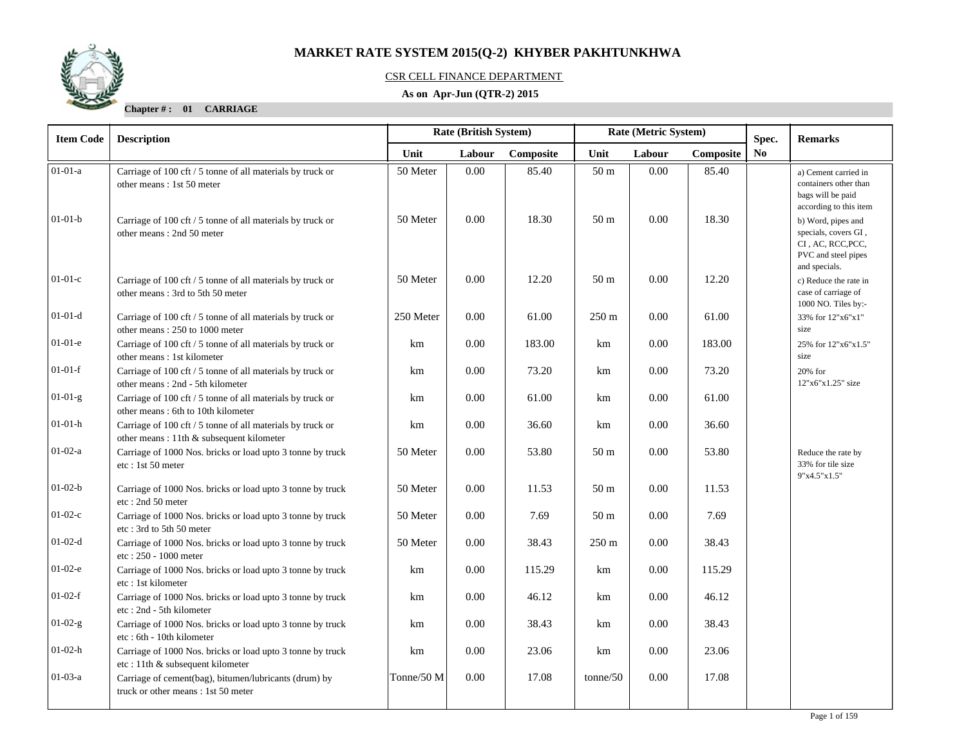

### CSR CELL FINANCE DEPARTMENT

### **As on Apr-Jun (QTR-2) 2015**

**Chapter # : 01 CARRIAGE**

| <b>Item Code</b> | <b>Description</b>                                                                                     |            | <b>Rate (British System)</b> |           | Rate (Metric System) |          |           | Spec.<br><b>Remarks</b> |                                                                                                         |  |
|------------------|--------------------------------------------------------------------------------------------------------|------------|------------------------------|-----------|----------------------|----------|-----------|-------------------------|---------------------------------------------------------------------------------------------------------|--|
|                  |                                                                                                        | Unit       | Labour                       | Composite | Unit                 | Labour   | Composite | No                      |                                                                                                         |  |
| $01-01-a$        | Carriage of 100 cft / 5 tonne of all materials by truck or<br>other means: 1st 50 meter                | 50 Meter   | 0.00                         | 85.40     | 50 m                 | $0.00\,$ | 85.40     |                         | a) Cement carried in<br>containers other than<br>bags will be paid<br>according to this item            |  |
| $01-01-b$        | Carriage of 100 cft / 5 tonne of all materials by truck or<br>other means: 2nd 50 meter                | 50 Meter   | 0.00                         | 18.30     | 50 <sub>m</sub>      | 0.00     | 18.30     |                         | b) Word, pipes and<br>specials, covers GI,<br>CI, AC, RCC, PCC,<br>PVC and steel pipes<br>and specials. |  |
| $01-01-c$        | Carriage of 100 cft / 5 tonne of all materials by truck or<br>other means: 3rd to 5th 50 meter         | 50 Meter   | 0.00                         | 12.20     | 50 <sub>m</sub>      | 0.00     | 12.20     |                         | c) Reduce the rate in<br>case of carriage of<br>1000 NO. Tiles by:-                                     |  |
| $01-01-d$        | Carriage of 100 cft / 5 tonne of all materials by truck or<br>other means: 250 to 1000 meter           | 250 Meter  | 0.00                         | 61.00     | $250 \text{ m}$      | 0.00     | 61.00     |                         | 33% for 12"x6"x1"<br>size                                                                               |  |
| $01-01-e$        | Carriage of 100 cft / 5 tonne of all materials by truck or<br>other means: 1st kilometer               | km         | 0.00                         | 183.00    | km                   | 0.00     | 183.00    |                         | 25% for 12"x6"x1.5"<br>size                                                                             |  |
| $01-01-f$        | Carriage of 100 cft / 5 tonne of all materials by truck or<br>other means: 2nd - 5th kilometer         | km         | 0.00                         | 73.20     | km                   | 0.00     | 73.20     |                         | 20% for<br>12"x6"x1.25" size                                                                            |  |
| $01-01-g$        | Carriage of 100 cft / 5 tonne of all materials by truck or<br>other means: 6th to 10th kilometer       | km         | 0.00                         | 61.00     | km                   | $0.00\,$ | 61.00     |                         |                                                                                                         |  |
| $01 - 01 - h$    | Carriage of 100 cft / 5 tonne of all materials by truck or<br>other means: 11th & subsequent kilometer | km         | 0.00                         | 36.60     | km                   | 0.00     | 36.60     |                         |                                                                                                         |  |
| $01-02-a$        | Carriage of 1000 Nos. bricks or load upto 3 tonne by truck<br>etc: 1st 50 meter                        | 50 Meter   | 0.00                         | 53.80     | 50 <sub>m</sub>      | 0.00     | 53.80     |                         | Reduce the rate by<br>33% for tile size<br>9"x4.5"x1.5"                                                 |  |
| $01-02-b$        | Carriage of 1000 Nos. bricks or load upto 3 tonne by truck<br>etc: 2nd 50 meter                        | 50 Meter   | 0.00                         | 11.53     | 50 m                 | 0.00     | 11.53     |                         |                                                                                                         |  |
| $01-02-c$        | Carriage of 1000 Nos. bricks or load upto 3 tonne by truck<br>etc: 3rd to 5th 50 meter                 | 50 Meter   | 0.00                         | 7.69      | 50 <sub>m</sub>      | 0.00     | 7.69      |                         |                                                                                                         |  |
| $01-02-d$        | Carriage of 1000 Nos. bricks or load upto 3 tonne by truck<br>etc: 250 - 1000 meter                    | 50 Meter   | 0.00                         | 38.43     | $250 \text{ m}$      | 0.00     | 38.43     |                         |                                                                                                         |  |
| $01-02-e$        | Carriage of 1000 Nos. bricks or load upto 3 tonne by truck<br>etc: 1st kilometer                       | km         | 0.00                         | 115.29    | km                   | $0.00\,$ | 115.29    |                         |                                                                                                         |  |
| $01-02-f$        | Carriage of 1000 Nos. bricks or load upto 3 tonne by truck<br>etc: 2nd - 5th kilometer                 | km         | 0.00                         | 46.12     | km                   | 0.00     | 46.12     |                         |                                                                                                         |  |
| $01-02-g$        | Carriage of 1000 Nos. bricks or load upto 3 tonne by truck<br>etc: 6th - 10th kilometer                | km         | 0.00                         | 38.43     | km                   | 0.00     | 38.43     |                         |                                                                                                         |  |
| $01-02-h$        | Carriage of 1000 Nos. bricks or load upto 3 tonne by truck<br>etc: 11th & subsequent kilometer         | km         | 0.00                         | 23.06     | km                   | 0.00     | 23.06     |                         |                                                                                                         |  |
| $01-03-a$        | Carriage of cement(bag), bitumen/lubricants (drum) by<br>truck or other means: 1st 50 meter            | Tonne/50 M | 0.00                         | 17.08     | tonne/50             | 0.00     | 17.08     |                         |                                                                                                         |  |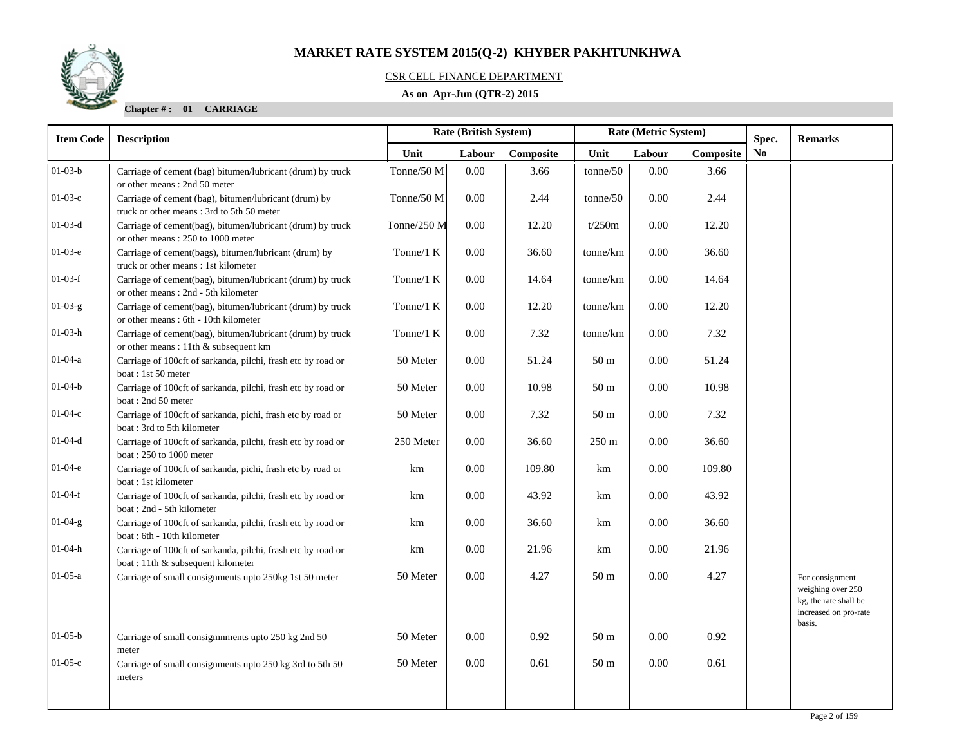

### CSR CELL FINANCE DEPARTMENT

### **As on Apr-Jun (QTR-2) 2015**

**Chapter # : 01 CARRIAGE**

| <b>Item Code</b> | Rate (British System)<br>Rate (Metric System)<br><b>Description</b>                                |              | Spec.  | <b>Remarks</b> |                 |        |           |                |                                                                                                  |
|------------------|----------------------------------------------------------------------------------------------------|--------------|--------|----------------|-----------------|--------|-----------|----------------|--------------------------------------------------------------------------------------------------|
|                  |                                                                                                    | Unit         | Labour | Composite      | Unit            | Labour | Composite | N <sub>0</sub> |                                                                                                  |
| $01-03-b$        | Carriage of cement (bag) bitumen/lubricant (drum) by truck<br>or other means: 2nd 50 meter         | Tonne/50 M   | 0.00   | 3.66           | tonne/50        | 0.00   | 3.66      |                |                                                                                                  |
| $01-03-c$        | Carriage of cement (bag), bitumen/lubricant (drum) by<br>truck or other means: 3rd to 5th 50 meter | Tonne/50 M   | 0.00   | 2.44           | tonne/50        | 0.00   | 2.44      |                |                                                                                                  |
| $01-03-d$        | Carriage of cement(bag), bitumen/lubricant (drum) by truck<br>or other means: 250 to 1000 meter    | Tonne/250 M  | 0.00   | 12.20          | t/250m          | 0.00   | 12.20     |                |                                                                                                  |
| $01-03-e$        | Carriage of cement(bags), bitumen/lubricant (drum) by<br>truck or other means: 1st kilometer       | Tonne/ $1 K$ | 0.00   | 36.60          | tonne/km        | 0.00   | 36.60     |                |                                                                                                  |
| $01-03-f$        | Carriage of cement(bag), bitumen/lubricant (drum) by truck<br>or other means: 2nd - 5th kilometer  | Tonne/ $1 K$ | 0.00   | 14.64          | tonne/km        | 0.00   | 14.64     |                |                                                                                                  |
| $01-03-g$        | Carriage of cement(bag), bitumen/lubricant (drum) by truck<br>or other means: 6th - 10th kilometer | Tonne/ $1 K$ | 0.00   | 12.20          | tonne/km        | 0.00   | 12.20     |                |                                                                                                  |
| 01-03-h          | Carriage of cement(bag), bitumen/lubricant (drum) by truck<br>or other means: 11th & subsequent km | Tonne/ $1 K$ | 0.00   | 7.32           | tonne/km        | 0.00   | 7.32      |                |                                                                                                  |
| $01 - 04 - a$    | Carriage of 100cft of sarkanda, pilchi, frash etc by road or<br>boat: 1st 50 meter                 | 50 Meter     | 0.00   | 51.24          | 50 <sub>m</sub> | 0.00   | 51.24     |                |                                                                                                  |
| $01-04-b$        | Carriage of 100cft of sarkanda, pilchi, frash etc by road or<br>boat: 2nd 50 meter                 | 50 Meter     | 0.00   | 10.98          | 50 <sub>m</sub> | 0.00   | 10.98     |                |                                                                                                  |
| $01-04-c$        | Carriage of 100cft of sarkanda, pichi, frash etc by road or<br>boat: 3rd to 5th kilometer          | 50 Meter     | 0.00   | 7.32           | 50 <sub>m</sub> | 0.00   | 7.32      |                |                                                                                                  |
| $01 - 04 - d$    | Carriage of 100cft of sarkanda, pilchi, frash etc by road or<br>boat: 250 to 1000 meter            | 250 Meter    | 0.00   | 36.60          | $250 \text{ m}$ | 0.00   | 36.60     |                |                                                                                                  |
| $01-04-e$        | Carriage of 100cft of sarkanda, pichi, frash etc by road or<br>boat: 1st kilometer                 | km           | 0.00   | 109.80         | km              | 0.00   | 109.80    |                |                                                                                                  |
| $01-04-f$        | Carriage of 100cft of sarkanda, pilchi, frash etc by road or<br>boat: 2nd - 5th kilometer          | km           | 0.00   | 43.92          | km              | 0.00   | 43.92     |                |                                                                                                  |
| $01-04-g$        | Carriage of 100cft of sarkanda, pilchi, frash etc by road or<br>boat: 6th - 10th kilometer         | km           | 0.00   | 36.60          | km              | 0.00   | 36.60     |                |                                                                                                  |
| 01-04-h          | Carriage of 100cft of sarkanda, pilchi, frash etc by road or<br>boat: 11th & subsequent kilometer  | km           | 0.00   | 21.96          | km              | 0.00   | 21.96     |                |                                                                                                  |
| $01-05-a$        | Carriage of small consignments upto 250kg 1st 50 meter                                             | 50 Meter     | 0.00   | 4.27           | 50 <sub>m</sub> | 0.00   | 4.27      |                | For consignment<br>weighing over 250<br>kg, the rate shall be<br>increased on pro-rate<br>basis. |
| $01 - 05 - b$    | Carriage of small consigmnments upto 250 kg 2nd 50<br>meter                                        | 50 Meter     | 0.00   | 0.92           | 50 <sub>m</sub> | 0.00   | 0.92      |                |                                                                                                  |
| $01-05-c$        | Carriage of small consignments upto 250 kg 3rd to 5th 50<br>meters                                 | 50 Meter     | 0.00   | 0.61           | 50 <sub>m</sub> | 0.00   | 0.61      |                |                                                                                                  |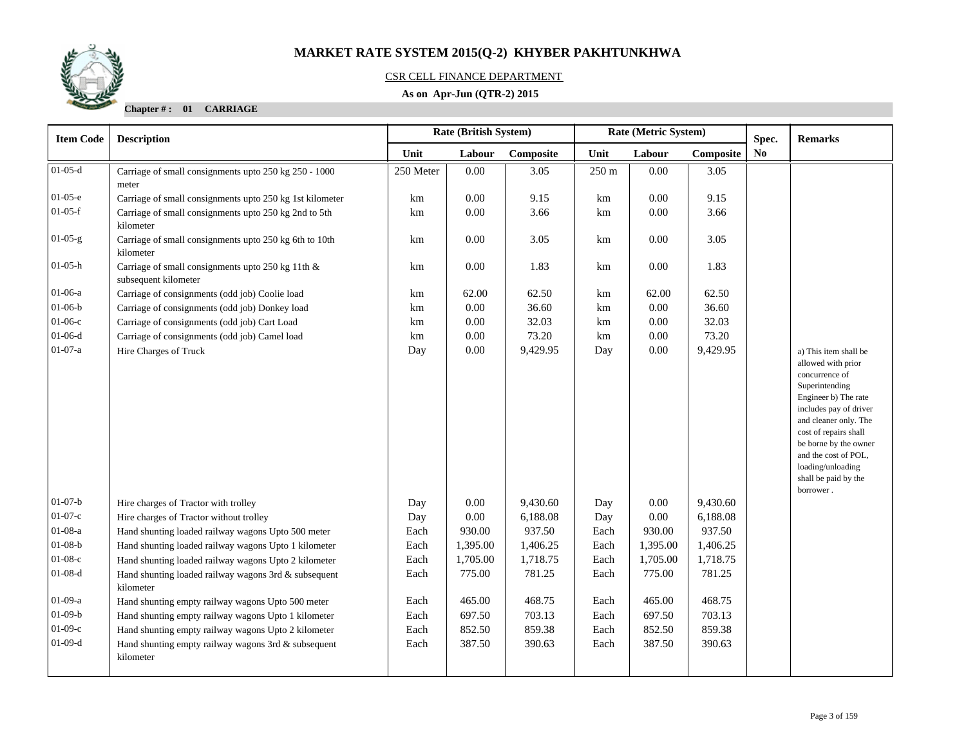

### CSR CELL FINANCE DEPARTMENT

### **As on Apr-Jun (QTR-2) 2015**

**Chapter # : 01 CARRIAGE**

| <b>Item Code</b>       | <b>Description</b>                                                                            |             | <b>Rate (British System)</b> |                    |             | Rate (Metric System) | Spec.              | <b>Remarks</b> |                                                                                                                                                                                                                                                                                                |
|------------------------|-----------------------------------------------------------------------------------------------|-------------|------------------------------|--------------------|-------------|----------------------|--------------------|----------------|------------------------------------------------------------------------------------------------------------------------------------------------------------------------------------------------------------------------------------------------------------------------------------------------|
|                        |                                                                                               | Unit        | Labour                       | Composite          | Unit        | Labour               | Composite          | N <sub>0</sub> |                                                                                                                                                                                                                                                                                                |
| $01-05-d$              | Carriage of small consignments upto 250 kg 250 - 1000<br>meter                                | 250 Meter   | 0.00                         | 3.05               | 250 m       | 0.00                 | 3.05               |                |                                                                                                                                                                                                                                                                                                |
| $01-05-e$              | Carriage of small consignments upto 250 kg 1st kilometer                                      | km          | 0.00                         | 9.15               | km          | 0.00                 | 9.15               |                |                                                                                                                                                                                                                                                                                                |
| $01-05-f$              | Carriage of small consignments upto 250 kg 2nd to 5th<br>kilometer                            | km          | $0.00\,$                     | 3.66               | km          | 0.00                 | 3.66               |                |                                                                                                                                                                                                                                                                                                |
| $01-05-g$              | Carriage of small consignments upto 250 kg 6th to 10th<br>kilometer                           | km          | $0.00\,$                     | 3.05               | km          | $0.00\,$             | 3.05               |                |                                                                                                                                                                                                                                                                                                |
| $01-05-h$              | Carriage of small consignments upto 250 kg 11th &<br>subsequent kilometer                     | km          | $0.00\,$                     | 1.83               | km          | $0.00\,$             | 1.83               |                |                                                                                                                                                                                                                                                                                                |
| $01-06-a$              | Carriage of consignments (odd job) Coolie load                                                | km          | 62.00                        | 62.50              | km          | 62.00                | 62.50              |                |                                                                                                                                                                                                                                                                                                |
| $01 - 06 - b$          | Carriage of consignments (odd job) Donkey load                                                | km          | 0.00                         | 36.60              | km          | 0.00                 | 36.60              |                |                                                                                                                                                                                                                                                                                                |
| $01-06-c$              | Carriage of consignments (odd job) Cart Load                                                  | km          | 0.00                         | 32.03              | km          | 0.00                 | 32.03              |                |                                                                                                                                                                                                                                                                                                |
| $01-06-d$              | Carriage of consignments (odd job) Camel load                                                 | km          | 0.00                         | 73.20              | km          | 0.00                 | 73.20              |                |                                                                                                                                                                                                                                                                                                |
| $01-07-a$              | Hire Charges of Truck                                                                         | Day         | 0.00                         | 9,429.95           | Day         | 0.00                 | 9,429.95           |                | a) This item shall be<br>allowed with prior<br>concurrence of<br>Superintending<br>Engineer b) The rate<br>includes pay of driver<br>and cleaner only. The<br>cost of repairs shall<br>be borne by the owner<br>and the cost of POL,<br>loading/unloading<br>shall be paid by the<br>borrower. |
| $01-07-b$<br>$01-07-c$ | Hire charges of Tractor with trolley                                                          | Day         | 0.00                         | 9,430.60           | Day         | 0.00                 | 9,430.60           |                |                                                                                                                                                                                                                                                                                                |
| $01-08-a$              | Hire charges of Tractor without trolley<br>Hand shunting loaded railway wagons Upto 500 meter | Day<br>Each | 0.00<br>930.00               | 6,188.08<br>937.50 | Day<br>Each | 0.00<br>930.00       | 6,188.08<br>937.50 |                |                                                                                                                                                                                                                                                                                                |
| $01-08-b$              | Hand shunting loaded railway wagons Upto 1 kilometer                                          | Each        | 1,395.00                     | 1,406.25           | Each        | 1,395.00             | 1,406.25           |                |                                                                                                                                                                                                                                                                                                |
| $01-08-c$              | Hand shunting loaded railway wagons Upto 2 kilometer                                          | Each        | 1,705.00                     | 1,718.75           | Each        | 1,705.00             | 1,718.75           |                |                                                                                                                                                                                                                                                                                                |
| $01-08-d$              | Hand shunting loaded railway wagons 3rd & subsequent<br>kilometer                             | Each        | 775.00                       | 781.25             | Each        | 775.00               | 781.25             |                |                                                                                                                                                                                                                                                                                                |
| $01-09-a$              | Hand shunting empty railway wagons Upto 500 meter                                             | Each        | 465.00                       | 468.75             | Each        | 465.00               | 468.75             |                |                                                                                                                                                                                                                                                                                                |
| $01-09-b$              | Hand shunting empty railway wagons Upto 1 kilometer                                           | Each        | 697.50                       | 703.13             | Each        | 697.50               | 703.13             |                |                                                                                                                                                                                                                                                                                                |
| $01-09-c$              | Hand shunting empty railway wagons Upto 2 kilometer                                           | Each        | 852.50                       | 859.38             | Each        | 852.50               | 859.38             |                |                                                                                                                                                                                                                                                                                                |
| $01-09-d$              | Hand shunting empty railway wagons 3rd & subsequent<br>kilometer                              | Each        | 387.50                       | 390.63             | Each        | 387.50               | 390.63             |                |                                                                                                                                                                                                                                                                                                |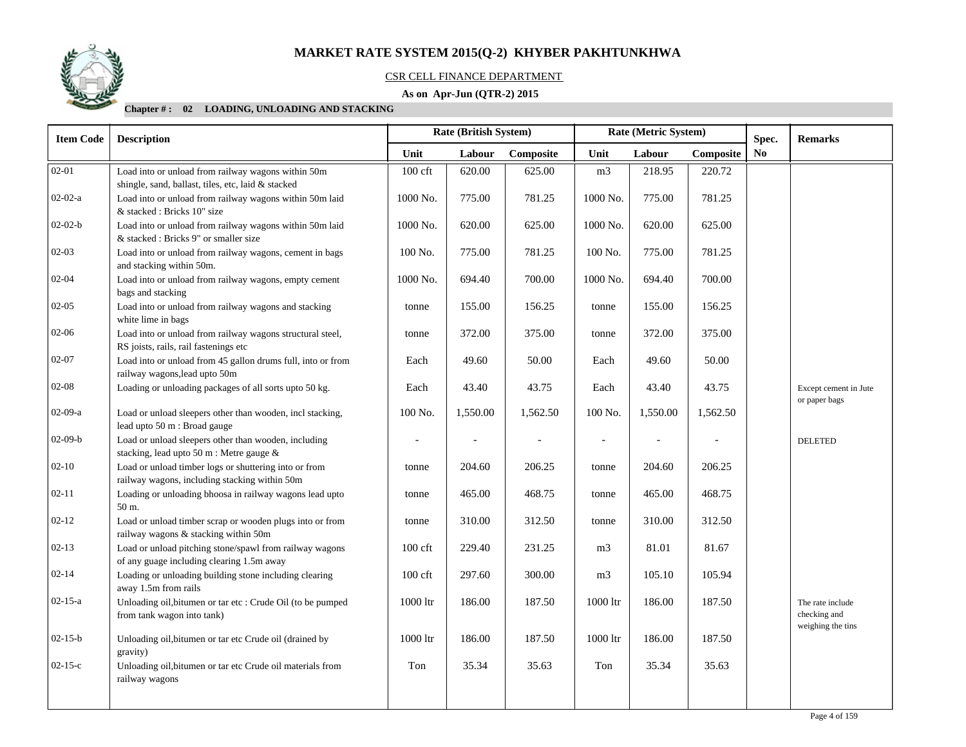

#### CSR CELL FINANCE DEPARTMENT

### **As on Apr-Jun (QTR-2) 2015**

#### **Chapter # : 02 LOADING, UNLOADING AND STACKING**

| <b>Item Code</b> | <b>Description</b>                                                                                       | Rate (British System)<br>Rate (Metric System) |          |          |                          |                |          | Spec. | <b>Remarks</b>                                        |
|------------------|----------------------------------------------------------------------------------------------------------|-----------------------------------------------|----------|----------|--------------------------|----------------|----------|-------|-------------------------------------------------------|
|                  |                                                                                                          | Unit<br>Composite<br>Unit<br>Labour<br>Labour |          |          | Composite                | N <sub>0</sub> |          |       |                                                       |
| $02 - 01$        | Load into or unload from railway wagons within 50m<br>shingle, sand, ballast, tiles, etc, laid & stacked | $100$ cft                                     | 620.00   | 625.00   | m <sub>3</sub>           | 218.95         | 220.72   |       |                                                       |
| $02-02-a$        | Load into or unload from railway wagons within 50m laid<br>& stacked: Bricks 10" size                    | 1000 No.                                      | 775.00   | 781.25   | 1000 No.                 | 775.00         | 781.25   |       |                                                       |
| $02-02-b$        | Load into or unload from railway wagons within 50m laid<br>& stacked : Bricks 9" or smaller size         | 1000 No.                                      | 620.00   | 625.00   | 1000 No.                 | 620.00         | 625.00   |       |                                                       |
| 02-03            | Load into or unload from railway wagons, cement in bags<br>and stacking within 50m.                      | 100 No.                                       | 775.00   | 781.25   | 100 No.                  | 775.00         | 781.25   |       |                                                       |
| $02 - 04$        | Load into or unload from railway wagons, empty cement<br>bags and stacking                               | 1000 No.                                      | 694.40   | 700.00   | 1000 No.                 | 694.40         | 700.00   |       |                                                       |
| $02 - 05$        | Load into or unload from railway wagons and stacking<br>white lime in bags                               | tonne                                         | 155.00   | 156.25   | tonne                    | 155.00         | 156.25   |       |                                                       |
| 02-06            | Load into or unload from railway wagons structural steel,<br>RS joists, rails, rail fastenings etc       | tonne                                         | 372.00   | 375.00   | tonne                    | 372.00         | 375.00   |       |                                                       |
| 02-07            | Load into or unload from 45 gallon drums full, into or from<br>railway wagons, lead upto 50m             | Each                                          | 49.60    | 50.00    | Each                     | 49.60          | 50.00    |       |                                                       |
| 02-08            | Loading or unloading packages of all sorts upto 50 kg.                                                   | Each                                          | 43.40    | 43.75    | Each                     | 43.40          | 43.75    |       | Except cement in Jute<br>or paper bags                |
| $02-09-a$        | Load or unload sleepers other than wooden, incl stacking,<br>lead upto 50 m : Broad gauge                | 100 No.                                       | 1,550.00 | 1,562.50 | 100 No.                  | 1,550.00       | 1,562.50 |       |                                                       |
| $02-09-b$        | Load or unload sleepers other than wooden, including<br>stacking, lead upto 50 m : Metre gauge &         | $\overline{\phantom{a}}$                      |          |          | $\overline{\phantom{a}}$ |                |          |       | <b>DELETED</b>                                        |
| $02 - 10$        | Load or unload timber logs or shuttering into or from<br>railway wagons, including stacking within 50m   | tonne                                         | 204.60   | 206.25   | tonne                    | 204.60         | 206.25   |       |                                                       |
| $02 - 11$        | Loading or unloading bhoosa in railway wagons lead upto<br>50 m.                                         | tonne                                         | 465.00   | 468.75   | tonne                    | 465.00         | 468.75   |       |                                                       |
| $02 - 12$        | Load or unload timber scrap or wooden plugs into or from<br>railway wagons & stacking within 50m         | tonne                                         | 310.00   | 312.50   | tonne                    | 310.00         | 312.50   |       |                                                       |
| $02 - 13$        | Load or unload pitching stone/spawl from railway wagons<br>of any guage including clearing 1.5m away     | $100$ cft                                     | 229.40   | 231.25   | m <sub>3</sub>           | 81.01          | 81.67    |       |                                                       |
| $02 - 14$        | Loading or unloading building stone including clearing<br>away 1.5m from rails                           | $100$ cft                                     | 297.60   | 300.00   | m <sub>3</sub>           | 105.10         | 105.94   |       |                                                       |
| $02 - 15 - a$    | Unloading oil, bitumen or tar etc : Crude Oil (to be pumped<br>from tank wagon into tank)                | 1000 ltr                                      | 186.00   | 187.50   | $1000\,\mathrm{ltr}$     | 186.00         | 187.50   |       | The rate include<br>checking and<br>weighing the tins |
| $02 - 15 - b$    | Unloading oil, bitumen or tar etc Crude oil (drained by<br>gravity)                                      | 1000 ltr                                      | 186.00   | 187.50   | 1000 ltr                 | 186.00         | 187.50   |       |                                                       |
| $02 - 15 - c$    | Unloading oil, bitumen or tar etc Crude oil materials from<br>railway wagons                             | Ton                                           | 35.34    | 35.63    | Ton                      | 35.34          | 35.63    |       |                                                       |
|                  |                                                                                                          |                                               |          |          |                          |                |          |       |                                                       |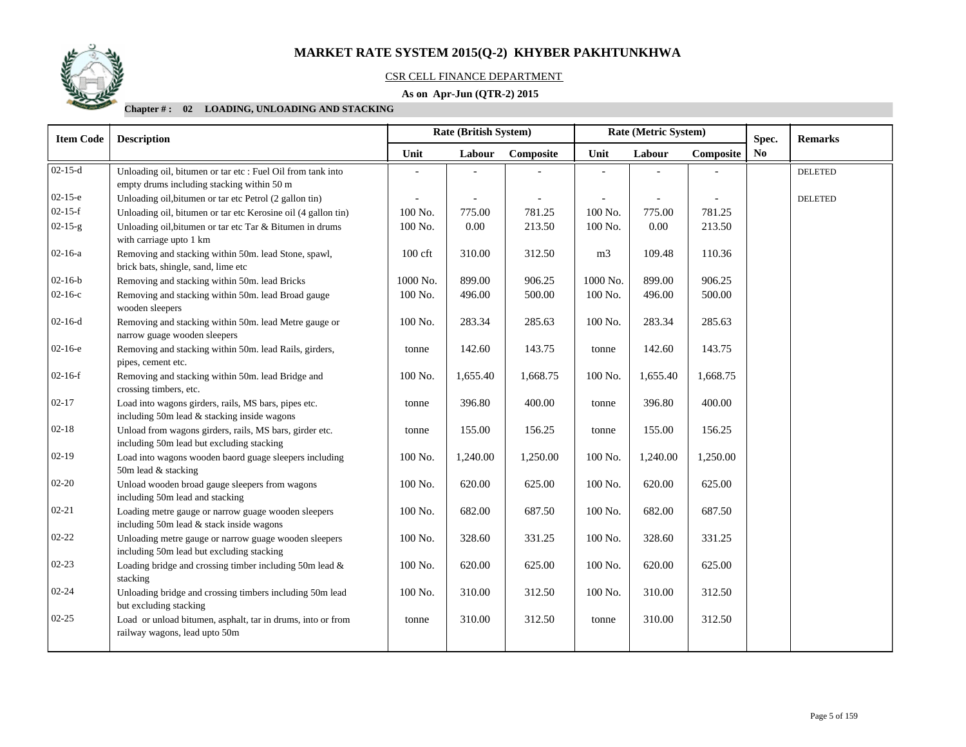

### CSR CELL FINANCE DEPARTMENT

### **As on Apr-Jun (QTR-2) 2015**

#### **Chapter # : 02 LOADING, UNLOADING AND STACKING**

| <b>Item Code</b> | <b>Description</b>                                                                                        | <b>Rate (British System)</b> |          |           | Rate (Metric System) |          | Spec.     | <b>Remarks</b> |                |
|------------------|-----------------------------------------------------------------------------------------------------------|------------------------------|----------|-----------|----------------------|----------|-----------|----------------|----------------|
|                  |                                                                                                           | Unit                         | Labour   | Composite | Unit                 | Labour   | Composite | N <sub>0</sub> |                |
| $02-15-d$        | Unloading oil, bitumen or tar etc : Fuel Oil from tank into<br>empty drums including stacking within 50 m |                              |          |           |                      |          |           |                | <b>DELETED</b> |
| $02-15-e$        | Unloading oil, bitumen or tar etc Petrol (2 gallon tin)                                                   |                              |          |           |                      |          |           |                | <b>DELETED</b> |
| $02-15-f$        | Unloading oil, bitumen or tar etc Kerosine oil (4 gallon tin)                                             | 100 No.                      | 775.00   | 781.25    | 100 No.              | 775.00   | 781.25    |                |                |
| $02 - 15 - g$    | Unloading oil, bitumen or tar etc Tar & Bitumen in drums<br>with carriage upto 1 km                       | 100 No.                      | 0.00     | 213.50    | 100 No.              | 0.00     | 213.50    |                |                |
| $02 - 16 - a$    | Removing and stacking within 50m. lead Stone, spawl,<br>brick bats, shingle, sand, lime etc               | $100$ cft                    | 310.00   | 312.50    | m <sub>3</sub>       | 109.48   | 110.36    |                |                |
| $02 - 16 - b$    | Removing and stacking within 50m. lead Bricks                                                             | 1000 No.                     | 899.00   | 906.25    | 1000 No.             | 899.00   | 906.25    |                |                |
| $02 - 16 - c$    | Removing and stacking within 50m. lead Broad gauge<br>wooden sleepers                                     | 100 No.                      | 496.00   | 500.00    | 100 No.              | 496.00   | 500.00    |                |                |
| $02-16-d$        | Removing and stacking within 50m. lead Metre gauge or<br>narrow guage wooden sleepers                     | 100 No.                      | 283.34   | 285.63    | 100 No.              | 283.34   | 285.63    |                |                |
| $02-16-e$        | Removing and stacking within 50m. lead Rails, girders,<br>pipes, cement etc.                              | tonne                        | 142.60   | 143.75    | tonne                | 142.60   | 143.75    |                |                |
| $02-16-f$        | Removing and stacking within 50m. lead Bridge and<br>crossing timbers, etc.                               | 100 No.                      | 1,655.40 | 1,668.75  | 100 No.              | 1,655.40 | 1,668.75  |                |                |
| $02 - 17$        | Load into wagons girders, rails, MS bars, pipes etc.<br>including 50m lead & stacking inside wagons       | tonne                        | 396.80   | 400.00    | tonne                | 396.80   | 400.00    |                |                |
| $02 - 18$        | Unload from wagons girders, rails, MS bars, girder etc.<br>including 50m lead but excluding stacking      | tonne                        | 155.00   | 156.25    | tonne                | 155.00   | 156.25    |                |                |
| $02-19$          | Load into wagons wooden baord guage sleepers including<br>50m lead & stacking                             | 100 No.                      | 1,240.00 | 1,250.00  | 100 No.              | 1,240.00 | 1,250.00  |                |                |
| $02 - 20$        | Unload wooden broad gauge sleepers from wagons<br>including 50m lead and stacking                         | 100 No.                      | 620.00   | 625.00    | 100 No.              | 620.00   | 625.00    |                |                |
| $02 - 21$        | Loading metre gauge or narrow guage wooden sleepers<br>including 50m lead & stack inside wagons           | 100 No.                      | 682.00   | 687.50    | 100 No.              | 682.00   | 687.50    |                |                |
| $02 - 22$        | Unloading metre gauge or narrow guage wooden sleepers<br>including 50m lead but excluding stacking        | 100 No.                      | 328.60   | 331.25    | 100 No.              | 328.60   | 331.25    |                |                |
| $02 - 23$        | Loading bridge and crossing timber including 50m lead $\&$<br>stacking                                    | 100 No.                      | 620.00   | 625.00    | 100 No.              | 620.00   | 625.00    |                |                |
| $02 - 24$        | Unloading bridge and crossing timbers including 50m lead<br>but excluding stacking                        | 100 No.                      | 310.00   | 312.50    | 100 No.              | 310.00   | 312.50    |                |                |
| $02 - 25$        | Load or unload bitumen, asphalt, tar in drums, into or from<br>railway wagons, lead upto 50m              | tonne                        | 310.00   | 312.50    | tonne                | 310.00   | 312.50    |                |                |
|                  |                                                                                                           |                              |          |           |                      |          |           |                |                |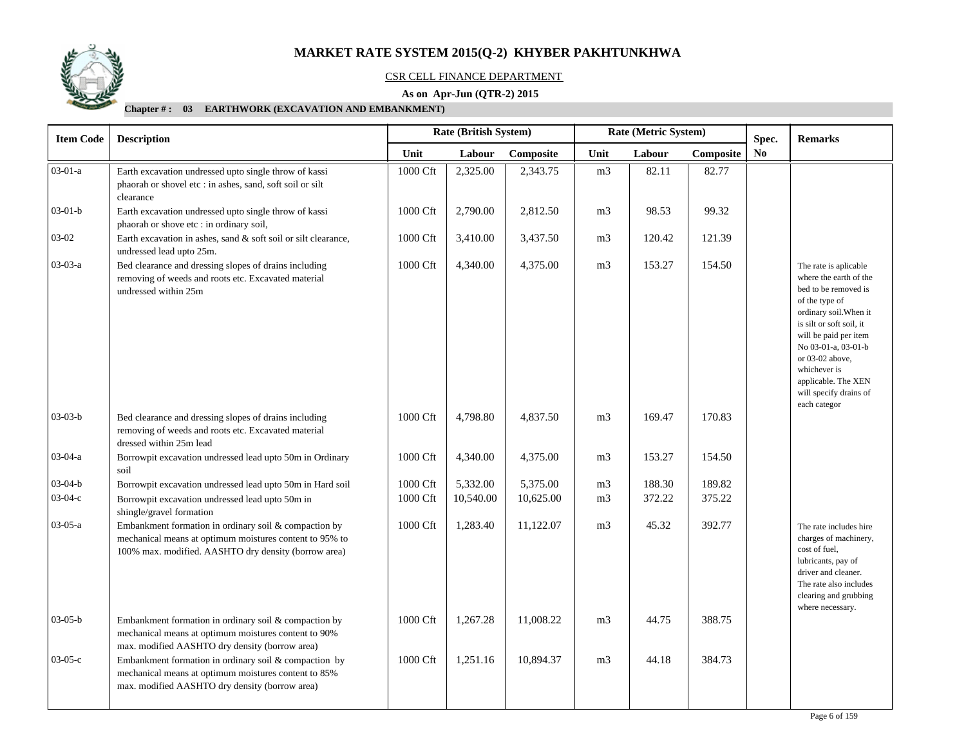

#### CSR CELL FINANCE DEPARTMENT

### **As on Apr-Jun (QTR-2) 2015**

| <b>Item Code</b> | <b>Description</b>                                                                                                                                                       |          | Rate (British System) |           |                | Rate (Metric System) |           | Spec.          | <b>Remarks</b>                                                                                                                                                                                                                                                                                      |
|------------------|--------------------------------------------------------------------------------------------------------------------------------------------------------------------------|----------|-----------------------|-----------|----------------|----------------------|-----------|----------------|-----------------------------------------------------------------------------------------------------------------------------------------------------------------------------------------------------------------------------------------------------------------------------------------------------|
|                  |                                                                                                                                                                          | Unit     | Labour                | Composite | Unit           | Labour               | Composite | N <sub>0</sub> |                                                                                                                                                                                                                                                                                                     |
| $03-01-a$        | Earth excavation undressed upto single throw of kassi<br>phaorah or shovel etc : in ashes, sand, soft soil or silt<br>clearance                                          | 1000 Cft | 2,325.00              | 2,343.75  | m <sub>3</sub> | 82.11                | 82.77     |                |                                                                                                                                                                                                                                                                                                     |
| $03-01-b$        | Earth excavation undressed upto single throw of kassi<br>phaorah or shove etc : in ordinary soil,                                                                        | 1000 Cft | 2,790.00              | 2,812.50  | m <sub>3</sub> | 98.53                | 99.32     |                |                                                                                                                                                                                                                                                                                                     |
| $03-02$          | Earth excavation in ashes, sand & soft soil or silt clearance,<br>undressed lead upto 25m.                                                                               | 1000 Cft | 3,410.00              | 3,437.50  | m <sub>3</sub> | 120.42               | 121.39    |                |                                                                                                                                                                                                                                                                                                     |
| $03-03-a$        | Bed clearance and dressing slopes of drains including<br>removing of weeds and roots etc. Excavated material<br>undressed within 25m                                     | 1000 Cft | 4,340.00              | 4,375.00  | m <sub>3</sub> | 153.27               | 154.50    |                | The rate is aplicable<br>where the earth of the<br>bed to be removed is<br>of the type of<br>ordinary soil. When it<br>is silt or soft soil, it<br>will be paid per item<br>No 03-01-a, 03-01-b<br>or 03-02 above,<br>whichever is<br>applicable. The XEN<br>will specify drains of<br>each categor |
| $03-03-b$        | Bed clearance and dressing slopes of drains including<br>removing of weeds and roots etc. Excavated material<br>dressed within 25m lead                                  | 1000 Cft | 4,798.80              | 4,837.50  | m <sub>3</sub> | 169.47               | 170.83    |                |                                                                                                                                                                                                                                                                                                     |
| $03-04-a$        | Borrowpit excavation undressed lead upto 50m in Ordinary<br>soil                                                                                                         | 1000 Cft | 4,340.00              | 4,375.00  | m <sub>3</sub> | 153.27               | 154.50    |                |                                                                                                                                                                                                                                                                                                     |
| $03-04-b$        | Borrowpit excavation undressed lead upto 50m in Hard soil                                                                                                                | 1000 Cft | 5,332.00              | 5,375.00  | m <sub>3</sub> | 188.30               | 189.82    |                |                                                                                                                                                                                                                                                                                                     |
| $03-04-c$        | Borrowpit excavation undressed lead upto 50m in<br>shingle/gravel formation                                                                                              | 1000 Cft | 10,540.00             | 10,625.00 | m <sub>3</sub> | 372.22               | 375.22    |                |                                                                                                                                                                                                                                                                                                     |
| 03-05-a          | Embankment formation in ordinary soil & compaction by<br>mechanical means at optimum moistures content to 95% to<br>100% max. modified. AASHTO dry density (borrow area) | 1000 Cft | 1,283.40              | 11,122.07 | m <sub>3</sub> | 45.32                | 392.77    |                | The rate includes hire<br>charges of machinery,<br>cost of fuel,<br>lubricants, pay of<br>driver and cleaner.<br>The rate also includes<br>clearing and grubbing<br>where necessary.                                                                                                                |
| $03-05-b$        | Embankment formation in ordinary soil & compaction by<br>mechanical means at optimum moistures content to 90%<br>max. modified AASHTO dry density (borrow area)          | 1000 Cft | 1,267.28              | 11,008.22 | m <sub>3</sub> | 44.75                | 388.75    |                |                                                                                                                                                                                                                                                                                                     |
| $03-05-c$        | Embankment formation in ordinary soil & compaction by<br>mechanical means at optimum moistures content to 85%<br>max. modified AASHTO dry density (borrow area)          | 1000 Cft | 1,251.16              | 10,894.37 | m <sub>3</sub> | 44.18                | 384.73    |                |                                                                                                                                                                                                                                                                                                     |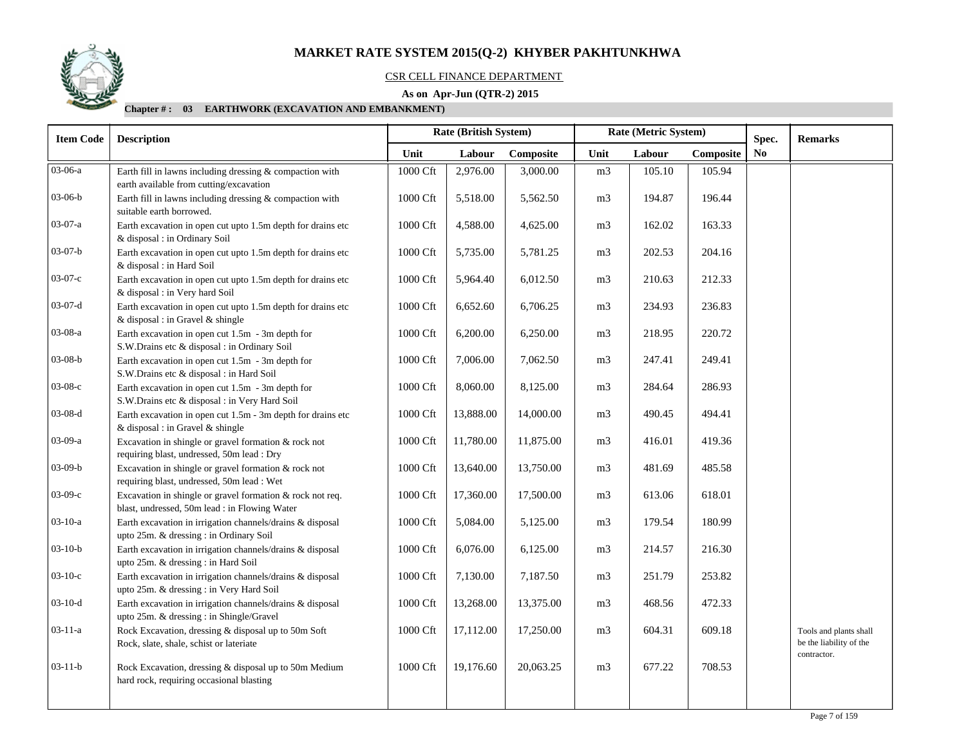

#### CSR CELL FINANCE DEPARTMENT

### **As on Apr-Jun (QTR-2) 2015**

| <b>Item Code</b> | <b>Description</b>                                                                                         | Rate (British System) |           |           |                | Rate (Metric System) |           | Spec. | <b>Remarks</b>                                                   |
|------------------|------------------------------------------------------------------------------------------------------------|-----------------------|-----------|-----------|----------------|----------------------|-----------|-------|------------------------------------------------------------------|
|                  |                                                                                                            | Unit                  | Labour    | Composite | Unit           | Labour               | Composite | No    |                                                                  |
| 03-06-a          | Earth fill in lawns including dressing & compaction with<br>earth available from cutting/excavation        | 1000 Cft              | 2,976.00  | 3,000.00  | m <sub>3</sub> | 105.10               | 105.94    |       |                                                                  |
| $03-06-b$        | Earth fill in lawns including dressing & compaction with<br>suitable earth borrowed.                       | 1000 Cft              | 5,518.00  | 5,562.50  | m <sub>3</sub> | 194.87               | 196.44    |       |                                                                  |
| $03-07-a$        | Earth excavation in open cut upto 1.5m depth for drains etc<br>& disposal : in Ordinary Soil               | 1000 Cft              | 4,588.00  | 4,625.00  | m <sub>3</sub> | 162.02               | 163.33    |       |                                                                  |
| $03-07-b$        | Earth excavation in open cut upto 1.5m depth for drains etc<br>& disposal : in Hard Soil                   | 1000 Cft              | 5,735.00  | 5,781.25  | m <sub>3</sub> | 202.53               | 204.16    |       |                                                                  |
| $03-07-c$        | Earth excavation in open cut upto 1.5m depth for drains etc<br>& disposal : in Very hard Soil              | 1000 Cft              | 5,964.40  | 6,012.50  | m <sub>3</sub> | 210.63               | 212.33    |       |                                                                  |
| $03-07-d$        | Earth excavation in open cut upto 1.5m depth for drains etc<br>& disposal : in Gravel & shingle            | 1000 Cft              | 6,652.60  | 6,706.25  | m <sub>3</sub> | 234.93               | 236.83    |       |                                                                  |
| 03-08-a          | Earth excavation in open cut 1.5m - 3m depth for<br>S.W.Drains etc & disposal : in Ordinary Soil           | 1000 Cft              | 6,200.00  | 6,250.00  | m <sub>3</sub> | 218.95               | 220.72    |       |                                                                  |
| $03-08-b$        | Earth excavation in open cut 1.5m - 3m depth for<br>S.W.Drains etc & disposal : in Hard Soil               | $1000\,\mathrm{Cft}$  | 7,006.00  | 7,062.50  | m <sub>3</sub> | 247.41               | 249.41    |       |                                                                  |
| $03-08-c$        | Earth excavation in open cut 1.5m - 3m depth for<br>S.W.Drains etc & disposal : in Very Hard Soil          | 1000 Cft              | 8,060.00  | 8,125.00  | m <sub>3</sub> | 284.64               | 286.93    |       |                                                                  |
| $03-08-d$        | Earth excavation in open cut 1.5m - 3m depth for drains etc<br>& disposal : in Gravel & shingle            | 1000 Cft              | 13,888.00 | 14,000.00 | m <sub>3</sub> | 490.45               | 494.41    |       |                                                                  |
| 03-09-a          | Excavation in shingle or gravel formation & rock not<br>requiring blast, undressed, 50m lead : Dry         | 1000 Cft              | 11,780.00 | 11,875.00 | m <sub>3</sub> | 416.01               | 419.36    |       |                                                                  |
| $03-09-b$        | Excavation in shingle or gravel formation & rock not<br>requiring blast, undressed, 50m lead : Wet         | 1000 Cft              | 13,640.00 | 13,750.00 | m <sub>3</sub> | 481.69               | 485.58    |       |                                                                  |
| $03-09-c$        | Excavation in shingle or gravel formation & rock not req.<br>blast, undressed, 50m lead : in Flowing Water | 1000 Cft              | 17,360.00 | 17,500.00 | m <sub>3</sub> | 613.06               | 618.01    |       |                                                                  |
| $03 - 10 - a$    | Earth excavation in irrigation channels/drains & disposal<br>upto 25m. & dressing : in Ordinary Soil       | 1000 Cft              | 5,084.00  | 5,125.00  | m <sub>3</sub> | 179.54               | 180.99    |       |                                                                  |
| $03-10-b$        | Earth excavation in irrigation channels/drains & disposal<br>upto 25m. & dressing : in Hard Soil           | $1000\,\mathrm{Cft}$  | 6,076.00  | 6,125.00  | m <sub>3</sub> | 214.57               | 216.30    |       |                                                                  |
| $03-10-c$        | Earth excavation in irrigation channels/drains & disposal<br>upto 25m. & dressing : in Very Hard Soil      | 1000 Cft              | 7,130.00  | 7,187.50  | m <sub>3</sub> | 251.79               | 253.82    |       |                                                                  |
| $03-10-d$        | Earth excavation in irrigation channels/drains & disposal<br>upto 25m. & dressing : in Shingle/Gravel      | 1000 Cft              | 13,268.00 | 13,375.00 | m <sub>3</sub> | 468.56               | 472.33    |       |                                                                  |
| $03 - 11 - a$    | Rock Excavation, dressing & disposal up to 50m Soft<br>Rock, slate, shale, schist or lateriate             | 1000 Cft              | 17,112.00 | 17,250.00 | m <sub>3</sub> | 604.31               | 609.18    |       | Tools and plants shall<br>be the liability of the<br>contractor. |
| $03-11-b$        | Rock Excavation, dressing & disposal up to 50m Medium<br>hard rock, requiring occasional blasting          | 1000 Cft              | 19,176.60 | 20,063.25 | m <sub>3</sub> | 677.22               | 708.53    |       |                                                                  |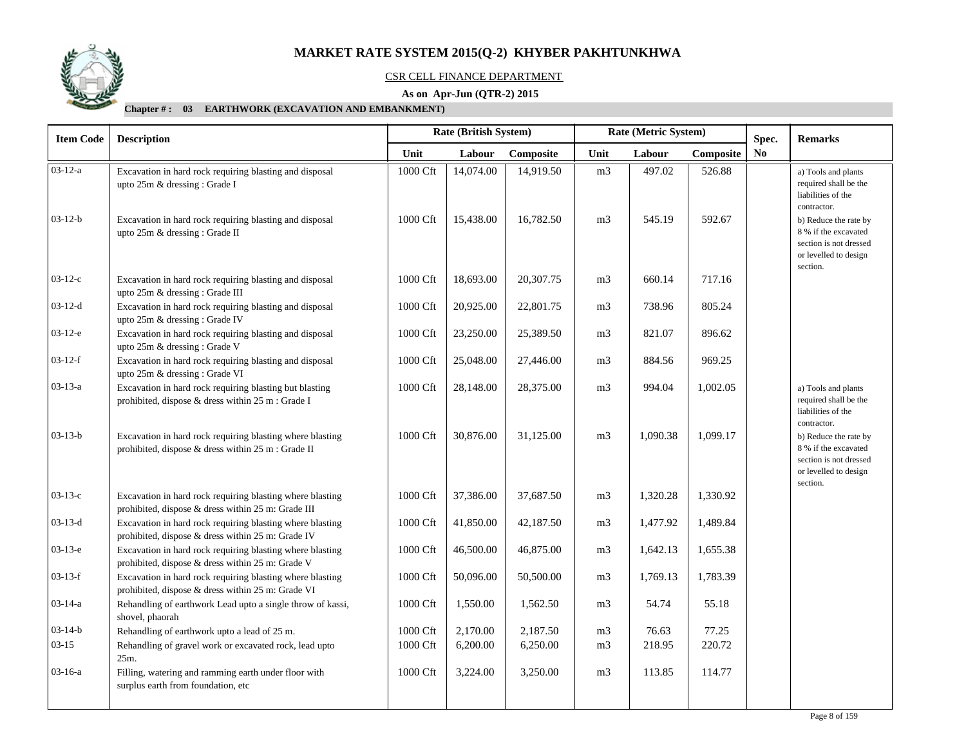

#### CSR CELL FINANCE DEPARTMENT

### **As on Apr-Jun (QTR-2) 2015**

| <b>Item Code</b> | <b>Description</b>                                                                                              |                      | Rate (British System) |           |                | Rate (Metric System) | Spec.     | <b>Remarks</b> |                                                                                                              |
|------------------|-----------------------------------------------------------------------------------------------------------------|----------------------|-----------------------|-----------|----------------|----------------------|-----------|----------------|--------------------------------------------------------------------------------------------------------------|
|                  |                                                                                                                 | Unit                 | Labour                | Composite | Unit           | Labour               | Composite | N <sub>0</sub> |                                                                                                              |
| $03 - 12 - a$    | Excavation in hard rock requiring blasting and disposal<br>upto 25m & dressing : Grade I                        | 1000 Cft             | 14,074.00             | 14,919.50 | m <sub>3</sub> | 497.02               | 526.88    |                | a) Tools and plants<br>required shall be the<br>liabilities of the<br>contractor.                            |
| $03-12-b$        | Excavation in hard rock requiring blasting and disposal<br>upto 25m & dressing : Grade II                       | 1000 Cft             | 15,438.00             | 16,782.50 | m <sub>3</sub> | 545.19               | 592.67    |                | b) Reduce the rate by<br>8 % if the excavated<br>section is not dressed<br>or levelled to design<br>section. |
| $03-12-c$        | Excavation in hard rock requiring blasting and disposal<br>upto 25m & dressing : Grade III                      | $1000\,\mathrm{Cft}$ | 18,693.00             | 20,307.75 | m <sub>3</sub> | 660.14               | 717.16    |                |                                                                                                              |
| $03-12-d$        | Excavation in hard rock requiring blasting and disposal<br>upto 25m & dressing : Grade IV                       | 1000 Cft             | 20,925.00             | 22,801.75 | m <sub>3</sub> | 738.96               | 805.24    |                |                                                                                                              |
| $03-12-e$        | Excavation in hard rock requiring blasting and disposal<br>upto 25m & dressing : Grade V                        | 1000 Cft             | 23,250.00             | 25,389.50 | m <sub>3</sub> | 821.07               | 896.62    |                |                                                                                                              |
| $03-12-f$        | Excavation in hard rock requiring blasting and disposal<br>upto 25m & dressing : Grade VI                       | 1000 Cft             | 25,048.00             | 27,446.00 | m <sub>3</sub> | 884.56               | 969.25    |                |                                                                                                              |
| $03-13-a$        | Excavation in hard rock requiring blasting but blasting<br>prohibited, dispose & dress within 25 m : Grade I    | 1000 Cft             | 28,148.00             | 28,375.00 | m <sub>3</sub> | 994.04               | 1,002.05  |                | a) Tools and plants<br>required shall be the<br>liabilities of the<br>contractor.                            |
| $03 - 13 - b$    | Excavation in hard rock requiring blasting where blasting<br>prohibited, dispose & dress within 25 m : Grade II | 1000 Cft             | 30,876.00             | 31,125.00 | m <sub>3</sub> | 1,090.38             | 1,099.17  |                | b) Reduce the rate by<br>8 % if the excavated<br>section is not dressed<br>or levelled to design<br>section. |
| $03-13-c$        | Excavation in hard rock requiring blasting where blasting<br>prohibited, dispose & dress within 25 m: Grade III | 1000 Cft             | 37,386.00             | 37,687.50 | m <sub>3</sub> | 1,320.28             | 1,330.92  |                |                                                                                                              |
| $03-13-d$        | Excavation in hard rock requiring blasting where blasting<br>prohibited, dispose & dress within 25 m: Grade IV  | 1000 Cft             | 41,850.00             | 42,187.50 | m <sub>3</sub> | 1,477.92             | 1,489.84  |                |                                                                                                              |
| $03-13-e$        | Excavation in hard rock requiring blasting where blasting<br>prohibited, dispose & dress within 25 m: Grade V   | 1000 Cft             | 46,500.00             | 46,875.00 | m <sub>3</sub> | 1,642.13             | 1,655.38  |                |                                                                                                              |
| $03-13-f$        | Excavation in hard rock requiring blasting where blasting<br>prohibited, dispose & dress within 25 m: Grade VI  | $1000\,\mathrm{Cft}$ | 50,096.00             | 50,500.00 | m <sub>3</sub> | 1,769.13             | 1,783.39  |                |                                                                                                              |
| $03 - 14 - a$    | Rehandling of earthwork Lead upto a single throw of kassi,<br>shovel, phaorah                                   | 1000 Cft             | 1,550.00              | 1,562.50  | m <sub>3</sub> | 54.74                | 55.18     |                |                                                                                                              |
| $03 - 14 - b$    | Rehandling of earthwork upto a lead of 25 m.                                                                    | 1000 Cft             | 2,170.00              | 2,187.50  | m <sub>3</sub> | 76.63                | 77.25     |                |                                                                                                              |
| $03-15$          | Rehandling of gravel work or excavated rock, lead upto<br>25m.                                                  | 1000 Cft             | 6,200.00              | 6,250.00  | m <sub>3</sub> | 218.95               | 220.72    |                |                                                                                                              |
| $03 - 16 - a$    | Filling, watering and ramming earth under floor with<br>surplus earth from foundation, etc                      | 1000 Cft             | 3,224.00              | 3,250.00  | m <sub>3</sub> | 113.85               | 114.77    |                |                                                                                                              |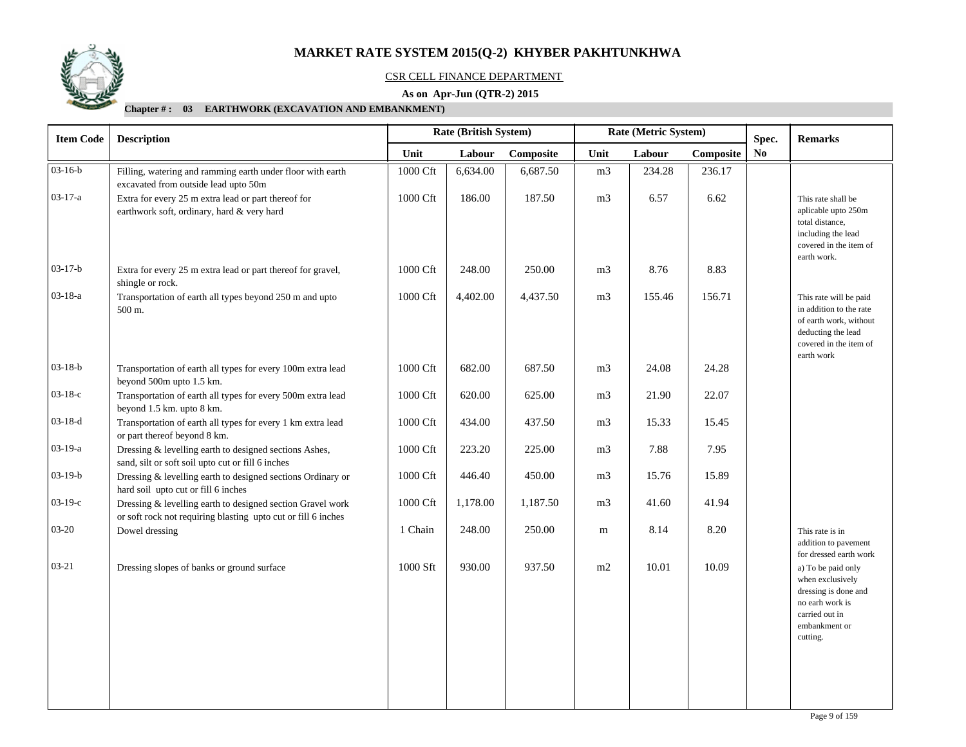

#### CSR CELL FINANCE DEPARTMENT

### **As on Apr-Jun (QTR-2) 2015**

|                                                                                                                             |                    | <b>Rate (British System)</b> |           | Rate (Metric System) |        |           |                | <b>Remarks</b>                                                                                                                            |  |
|-----------------------------------------------------------------------------------------------------------------------------|--------------------|------------------------------|-----------|----------------------|--------|-----------|----------------|-------------------------------------------------------------------------------------------------------------------------------------------|--|
|                                                                                                                             | Unit               | Labour                       | Composite | Unit                 | Labour | Composite | N <sub>0</sub> |                                                                                                                                           |  |
| Filling, watering and ramming earth under floor with earth<br>excavated from outside lead upto 50m                          | 1000 Cft           | 6,634.00                     | 6,687.50  | m <sub>3</sub>       | 234.28 | 236.17    |                |                                                                                                                                           |  |
| Extra for every 25 m extra lead or part thereof for<br>earthwork soft, ordinary, hard & very hard                           | 1000 Cft           | 186.00                       | 187.50    | m <sub>3</sub>       | 6.57   | 6.62      |                | This rate shall be<br>aplicable upto 250m<br>total distance,<br>including the lead<br>covered in the item of<br>earth work.               |  |
| Extra for every 25 m extra lead or part thereof for gravel,<br>shingle or rock.                                             | 1000 Cft           | 248.00                       | 250.00    | m <sub>3</sub>       | 8.76   | 8.83      |                |                                                                                                                                           |  |
| Transportation of earth all types beyond 250 m and upto<br>500 m.                                                           | 1000 Cft           | 4,402.00                     | 4,437.50  | m <sub>3</sub>       | 155.46 | 156.71    |                | This rate will be paid<br>in addition to the rate<br>of earth work, without<br>deducting the lead<br>covered in the item of<br>earth work |  |
| Transportation of earth all types for every 100m extra lead<br>beyond 500m upto 1.5 km.                                     | 1000 Cft           | 682.00                       | 687.50    | m <sub>3</sub>       | 24.08  | 24.28     |                |                                                                                                                                           |  |
| Transportation of earth all types for every 500m extra lead<br>beyond 1.5 km. upto 8 km.                                    | 1000 Cft           | 620.00                       | 625.00    | m <sub>3</sub>       | 21.90  | 22.07     |                |                                                                                                                                           |  |
| Transportation of earth all types for every 1 km extra lead<br>or part thereof beyond 8 km.                                 | 1000 Cft           | 434.00                       | 437.50    | m <sub>3</sub>       | 15.33  | 15.45     |                |                                                                                                                                           |  |
| Dressing & levelling earth to designed sections Ashes,<br>sand, silt or soft soil upto cut or fill 6 inches                 | 1000 Cft           | 223.20                       | 225.00    | m <sub>3</sub>       | 7.88   | 7.95      |                |                                                                                                                                           |  |
| Dressing & levelling earth to designed sections Ordinary or<br>hard soil upto cut or fill 6 inches                          | 1000 Cft           | 446.40                       | 450.00    | m <sub>3</sub>       | 15.76  | 15.89     |                |                                                                                                                                           |  |
| Dressing & levelling earth to designed section Gravel work<br>or soft rock not requiring blasting upto cut or fill 6 inches | 1000 Cft           | 1,178.00                     | 1,187.50  | m <sub>3</sub>       | 41.60  | 41.94     |                |                                                                                                                                           |  |
| Dowel dressing                                                                                                              | 1 Chain            | 248.00                       | 250.00    | m                    | 8.14   | 8.20      |                | This rate is in<br>addition to pavement<br>for dressed earth work                                                                         |  |
| Dressing slopes of banks or ground surface                                                                                  | 1000 Sft           | 930.00                       | 937.50    | m2                   | 10.01  | 10.09     |                | a) To be paid only<br>when exclusively<br>dressing is done and<br>no earh work is<br>carried out in<br>embankment or<br>cutting.          |  |
|                                                                                                                             | <b>Description</b> |                              |           |                      |        |           |                | Spec.                                                                                                                                     |  |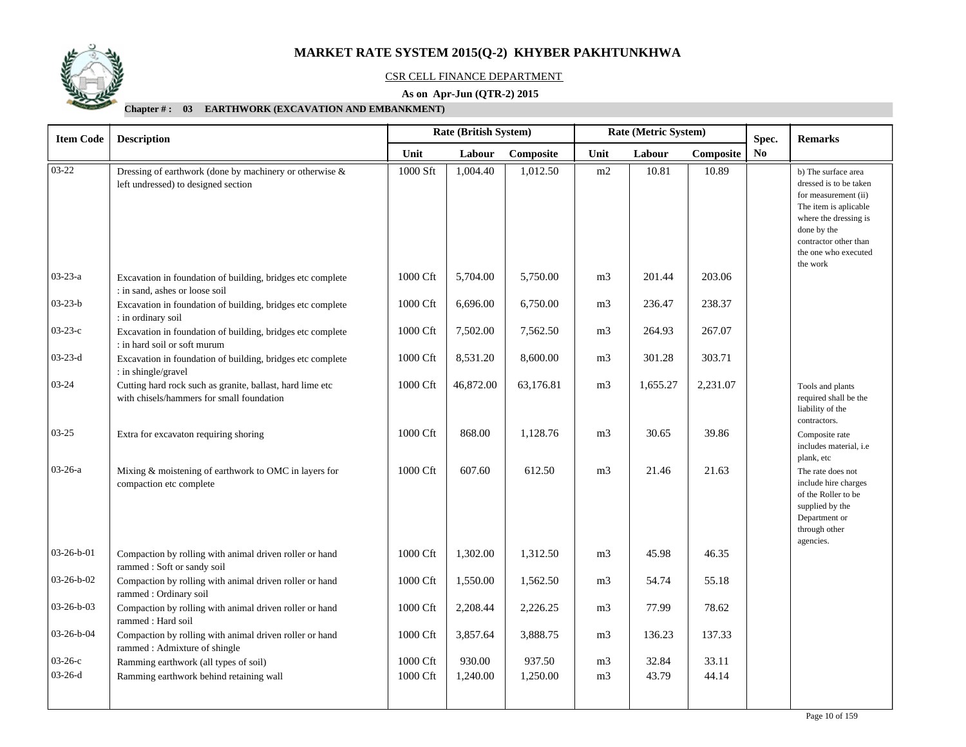

### CSR CELL FINANCE DEPARTMENT

### **As on Apr-Jun (QTR-2) 2015**

| <b>Item Code</b>   | <b>Description</b>                                                                                     |                      | Rate (British System) |           |                | Rate (Metric System) | Spec.     | <b>Remarks</b> |                                                                                                                                                                                                     |
|--------------------|--------------------------------------------------------------------------------------------------------|----------------------|-----------------------|-----------|----------------|----------------------|-----------|----------------|-----------------------------------------------------------------------------------------------------------------------------------------------------------------------------------------------------|
|                    |                                                                                                        | Unit                 | Labour                | Composite | Unit           | Labour               | Composite | N <sub>0</sub> |                                                                                                                                                                                                     |
| $03 - 22$          | Dressing of earthwork (done by machinery or otherwise &<br>left undressed) to designed section         | 1000 Sft             | 1,004.40              | 1,012.50  | m2             | 10.81                | 10.89     |                | b) The surface area<br>dressed is to be taken<br>for measurement (ii)<br>The item is aplicable<br>where the dressing is<br>done by the<br>contractor other than<br>the one who executed<br>the work |
| $03 - 23 - a$      | Excavation in foundation of building, bridges etc complete<br>: in sand, ashes or loose soil           | 1000 Cft             | 5,704.00              | 5,750.00  | m <sub>3</sub> | 201.44               | 203.06    |                |                                                                                                                                                                                                     |
| $03 - 23 - b$      | Excavation in foundation of building, bridges etc complete<br>: in ordinary soil                       | 1000 Cft             | 6,696.00              | 6,750.00  | m <sub>3</sub> | 236.47               | 238.37    |                |                                                                                                                                                                                                     |
| $03 - 23 - c$      | Excavation in foundation of building, bridges etc complete<br>: in hard soil or soft murum             | 1000 Cft             | 7,502.00              | 7,562.50  | m <sub>3</sub> | 264.93               | 267.07    |                |                                                                                                                                                                                                     |
| $03 - 23 - d$      | Excavation in foundation of building, bridges etc complete<br>: in shingle/gravel                      | 1000 Cft             | 8,531.20              | 8,600.00  | m <sub>3</sub> | 301.28               | 303.71    |                |                                                                                                                                                                                                     |
| $03 - 24$          | Cutting hard rock such as granite, ballast, hard lime etc<br>with chisels/hammers for small foundation | 1000 Cft             | 46,872.00             | 63,176.81 | m <sub>3</sub> | 1,655.27             | 2,231.07  |                | Tools and plants<br>required shall be the<br>liability of the<br>contractors.                                                                                                                       |
| $03 - 25$          | Extra for excavaton requiring shoring                                                                  | 1000 Cft             | 868.00                | 1.128.76  | m <sub>3</sub> | 30.65                | 39.86     |                | Composite rate<br>includes material, i.e<br>plank, etc                                                                                                                                              |
| $03 - 26 - a$      | Mixing & moistening of earthwork to OMC in layers for<br>compaction etc complete                       | 1000 Cft             | 607.60                | 612.50    | m <sub>3</sub> | 21.46                | 21.63     |                | The rate does not<br>include hire charges<br>of the Roller to be<br>supplied by the<br>Department or<br>through other<br>agencies.                                                                  |
| $03-26-b-01$       | Compaction by rolling with animal driven roller or hand<br>rammed: Soft or sandy soil                  | 1000 Cft             | 1,302.00              | 1,312.50  | m <sub>3</sub> | 45.98                | 46.35     |                |                                                                                                                                                                                                     |
| $03-26-b-02$       | Compaction by rolling with animal driven roller or hand<br>rammed: Ordinary soil                       | 1000 Cft             | 1,550.00              | 1,562.50  | m <sub>3</sub> | 54.74                | 55.18     |                |                                                                                                                                                                                                     |
| 03-26-b-03         | Compaction by rolling with animal driven roller or hand<br>rammed: Hard soil                           | $1000\,\mathrm{Cft}$ | 2,208.44              | 2,226.25  | m <sub>3</sub> | 77.99                | 78.62     |                |                                                                                                                                                                                                     |
| $03 - 26 - b - 04$ | Compaction by rolling with animal driven roller or hand<br>rammed: Admixture of shingle                | 1000 Cft             | 3,857.64              | 3,888.75  | m <sub>3</sub> | 136.23               | 137.33    |                |                                                                                                                                                                                                     |
| $03-26-c$          | Ramming earthwork (all types of soil)                                                                  | 1000 Cft             | 930.00                | 937.50    | m <sub>3</sub> | 32.84                | 33.11     |                |                                                                                                                                                                                                     |
| $03-26-d$          | Ramming earthwork behind retaining wall                                                                | 1000 Cft             | 1,240.00              | 1,250.00  | m <sub>3</sub> | 43.79                | 44.14     |                |                                                                                                                                                                                                     |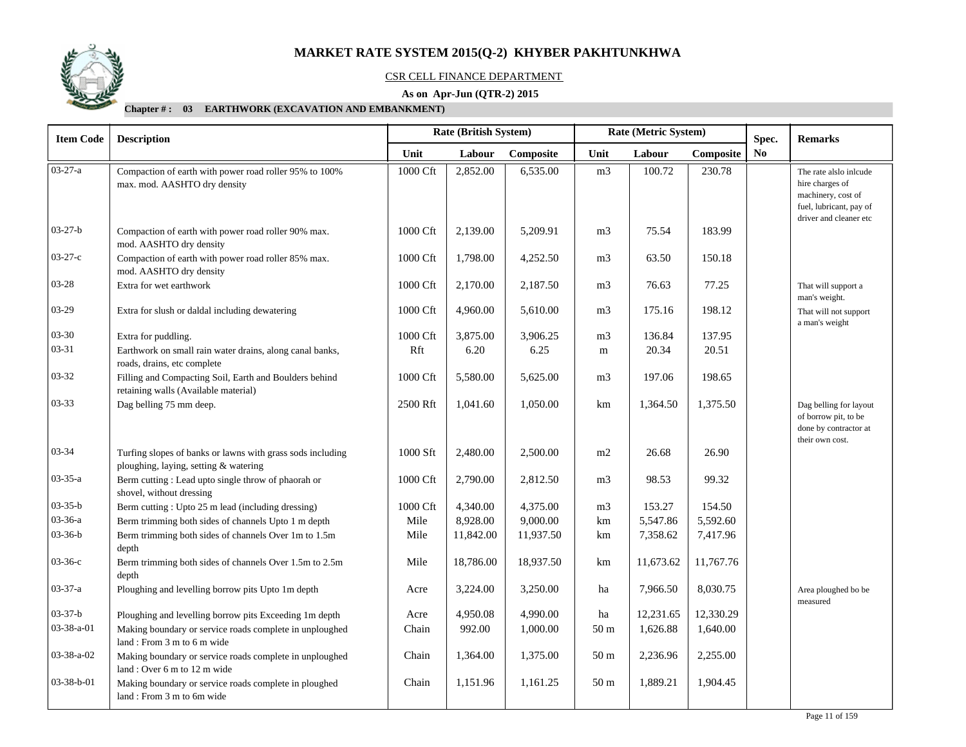

#### CSR CELL FINANCE DEPARTMENT

### **As on Apr-Jun (QTR-2) 2015**

| <b>Item Code</b> | <b>Description</b>                                                                                  |          | <b>Rate (British System)</b> |           |                 | Rate (Metric System) | Spec.     | <b>Remarks</b> |                                                                                            |
|------------------|-----------------------------------------------------------------------------------------------------|----------|------------------------------|-----------|-----------------|----------------------|-----------|----------------|--------------------------------------------------------------------------------------------|
|                  |                                                                                                     | Unit     | Labour                       | Composite | Unit            | Labour               | Composite | <b>No</b>      |                                                                                            |
| $03 - 27 - a$    | Compaction of earth with power road roller 95% to 100%<br>max. mod. AASHTO dry density              | 1000 Cft | 2,852.00                     | 6,535.00  | m <sub>3</sub>  | 100.72               | 230.78    |                | The rate alslo inlcude<br>hire charges of<br>machinery, cost of<br>fuel, lubricant, pay of |
| $03 - 27 - b$    | Compaction of earth with power road roller 90% max.                                                 | 1000 Cft | 2,139.00                     | 5,209.91  | m <sub>3</sub>  | 75.54                | 183.99    |                | driver and cleaner etc                                                                     |
|                  | mod. AASHTO dry density                                                                             |          |                              |           |                 |                      |           |                |                                                                                            |
| $03-27-c$        | Compaction of earth with power road roller 85% max.<br>mod. AASHTO dry density                      | 1000 Cft | 1,798.00                     | 4,252.50  | m <sub>3</sub>  | 63.50                | 150.18    |                |                                                                                            |
| 03-28            | Extra for wet earthwork                                                                             | 1000 Cft | 2,170.00                     | 2,187.50  | m <sub>3</sub>  | 76.63                | 77.25     |                | That will support a<br>man's weight.                                                       |
| $03-29$          | Extra for slush or daldal including dewatering                                                      | 1000 Cft | 4,960.00                     | 5,610.00  | m <sub>3</sub>  | 175.16               | 198.12    |                | That will not support<br>a man's weight                                                    |
| $03 - 30$        | Extra for puddling.                                                                                 | 1000 Cft | 3,875.00                     | 3,906.25  | m <sub>3</sub>  | 136.84               | 137.95    |                |                                                                                            |
| $03 - 31$        | Earthwork on small rain water drains, along canal banks,<br>roads, drains, etc complete             | Rft      | 6.20                         | 6.25      | m               | 20.34                | 20.51     |                |                                                                                            |
| $03 - 32$        | Filling and Compacting Soil, Earth and Boulders behind<br>retaining walls (Available material)      | 1000 Cft | 5,580.00                     | 5,625.00  | m <sub>3</sub>  | 197.06               | 198.65    |                |                                                                                            |
| $03 - 33$        | Dag belling 75 mm deep.                                                                             | 2500 Rft | 1,041.60                     | 1,050.00  | km              | 1,364.50             | 1,375.50  |                | Dag belling for layout<br>of borrow pit, to be<br>done by contractor at<br>their own cost. |
| 03-34            | Turfing slopes of banks or lawns with grass sods including<br>ploughing, laying, setting & watering | 1000 Sft | 2,480.00                     | 2,500.00  | m2              | 26.68                | 26.90     |                |                                                                                            |
| $03 - 35 - a$    | Berm cutting: Lead upto single throw of phaorah or<br>shovel, without dressing                      | 1000 Cft | 2,790.00                     | 2,812.50  | m <sub>3</sub>  | 98.53                | 99.32     |                |                                                                                            |
| $03 - 35 - b$    | Berm cutting: Upto 25 m lead (including dressing)                                                   | 1000 Cft | 4,340.00                     | 4,375.00  | m <sub>3</sub>  | 153.27               | 154.50    |                |                                                                                            |
| $03 - 36 - a$    | Berm trimming both sides of channels Upto 1 m depth                                                 | Mile     | 8,928.00                     | 9,000.00  | km              | 5,547.86             | 5,592.60  |                |                                                                                            |
| $03 - 36 - b$    | Berm trimming both sides of channels Over 1m to 1.5m<br>depth                                       | Mile     | 11,842.00                    | 11,937.50 | km              | 7,358.62             | 7,417.96  |                |                                                                                            |
| $03-36-c$        | Berm trimming both sides of channels Over 1.5m to 2.5m<br>depth                                     | Mile     | 18,786.00                    | 18,937.50 | km              | 11,673.62            | 11,767.76 |                |                                                                                            |
| $03 - 37 - a$    | Ploughing and levelling borrow pits Upto 1m depth                                                   | Acre     | 3,224.00                     | 3,250.00  | ha              | 7,966.50             | 8,030.75  |                | Area ploughed bo be<br>measured                                                            |
| $03 - 37 - b$    | Ploughing and levelling borrow pits Exceeding 1m depth                                              | Acre     | 4,950.08                     | 4,990.00  | ha              | 12,231.65            | 12,330.29 |                |                                                                                            |
| 03-38-a-01       | Making boundary or service roads complete in unploughed<br>land: From 3 m to 6 m wide               | Chain    | 992.00                       | 1,000.00  | 50 <sub>m</sub> | 1,626.88             | 1,640.00  |                |                                                                                            |
| 03-38-a-02       | Making boundary or service roads complete in unploughed<br>land: Over 6 m to 12 m wide              | Chain    | 1,364.00                     | 1,375.00  | 50 <sub>m</sub> | 2,236.96             | 2,255.00  |                |                                                                                            |
| 03-38-b-01       | Making boundary or service roads complete in ploughed<br>land: From 3 m to 6m wide                  | Chain    | 1,151.96                     | 1,161.25  | 50 <sub>m</sub> | 1,889.21             | 1,904.45  |                |                                                                                            |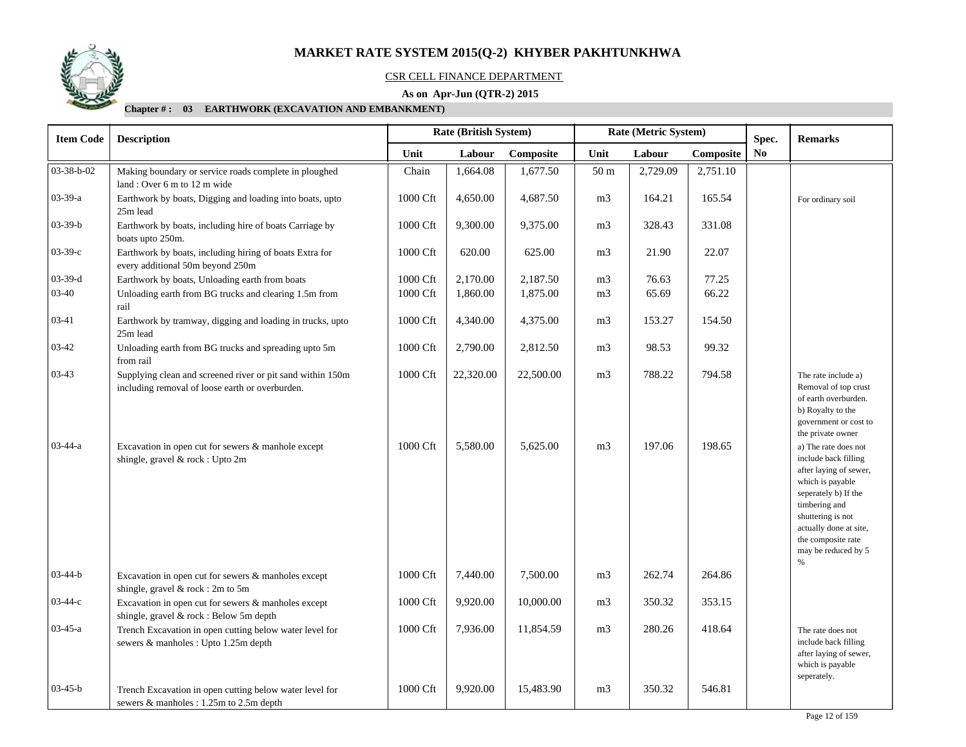

#### CSR CELL FINANCE DEPARTMENT

### **As on Apr-Jun (QTR-2) 2015**

| <b>Item Code</b> | <b>Description</b>                                                                                            | Rate (British System)<br>Rate (Metric System) |           | Spec.     |                 | <b>Remarks</b> |           |    |                                                                                                                                                                                                                                      |
|------------------|---------------------------------------------------------------------------------------------------------------|-----------------------------------------------|-----------|-----------|-----------------|----------------|-----------|----|--------------------------------------------------------------------------------------------------------------------------------------------------------------------------------------------------------------------------------------|
|                  |                                                                                                               | Unit                                          | Labour    | Composite | Unit            | Labour         | Composite | No |                                                                                                                                                                                                                                      |
| 03-38-b-02       | Making boundary or service roads complete in ploughed                                                         | Chain                                         | 1,664.08  | 1,677.50  | 50 <sub>m</sub> | 2,729.09       | 2,751.10  |    |                                                                                                                                                                                                                                      |
|                  | land: Over 6 m to 12 m wide                                                                                   |                                               |           |           |                 |                |           |    |                                                                                                                                                                                                                                      |
| $03-39-a$        | Earthwork by boats, Digging and loading into boats, upto<br>25m lead                                          | 1000 Cft                                      | 4,650.00  | 4,687.50  | m <sub>3</sub>  | 164.21         | 165.54    |    | For ordinary soil                                                                                                                                                                                                                    |
| $03-39-b$        | Earthwork by boats, including hire of boats Carriage by<br>boats upto 250m.                                   | 1000 Cft                                      | 9,300.00  | 9,375.00  | m <sub>3</sub>  | 328.43         | 331.08    |    |                                                                                                                                                                                                                                      |
| $03-39-c$        | Earthwork by boats, including hiring of boats Extra for<br>every additional 50m beyond 250m                   | 1000 Cft                                      | 620.00    | 625.00    | m <sub>3</sub>  | 21.90          | 22.07     |    |                                                                                                                                                                                                                                      |
| $03-39-d$        | Earthwork by boats, Unloading earth from boats                                                                | 1000 Cft                                      | 2,170.00  | 2,187.50  | m <sub>3</sub>  | 76.63          | 77.25     |    |                                                                                                                                                                                                                                      |
| 03-40            | Unloading earth from BG trucks and clearing 1.5m from<br>rail                                                 | 1000 Cft                                      | 1,860.00  | 1,875.00  | m <sub>3</sub>  | 65.69          | 66.22     |    |                                                                                                                                                                                                                                      |
| 03-41            | Earthwork by tramway, digging and loading in trucks, upto<br>25m lead                                         | 1000 Cft                                      | 4,340.00  | 4,375.00  | m <sub>3</sub>  | 153.27         | 154.50    |    |                                                                                                                                                                                                                                      |
| 03-42            | Unloading earth from BG trucks and spreading upto 5m<br>from rail                                             | 1000 Cft                                      | 2,790.00  | 2,812.50  | m <sub>3</sub>  | 98.53          | 99.32     |    |                                                                                                                                                                                                                                      |
| 03-43            | Supplying clean and screened river or pit sand within 150m<br>including removal of loose earth or overburden. | 1000 Cft                                      | 22,320.00 | 22,500.00 | m <sub>3</sub>  | 788.22         | 794.58    |    | The rate include a)<br>Removal of top crust<br>of earth overburden.<br>b) Royalty to the<br>government or cost to<br>the private owner                                                                                               |
| $03-44-a$        | Excavation in open cut for sewers & manhole except<br>shingle, gravel & rock : Upto 2m                        | 1000 Cft                                      | 5,580.00  | 5,625.00  | m <sub>3</sub>  | 197.06         | 198.65    |    | a) The rate does not<br>include back filling<br>after laying of sewer,<br>which is payable<br>seperately b) If the<br>timbering and<br>shuttering is not<br>actually done at site,<br>the composite rate<br>may be reduced by 5<br>% |
| $03-44-b$        | Excavation in open cut for sewers & manholes except<br>shingle, gravel & rock: 2m to 5m                       | 1000 Cft                                      | 7,440.00  | 7,500.00  | m <sub>3</sub>  | 262.74         | 264.86    |    |                                                                                                                                                                                                                                      |
| $03-44-c$        | Excavation in open cut for sewers & manholes except<br>shingle, gravel & rock: Below 5m depth                 | 1000 Cft                                      | 9,920.00  | 10,000.00 | m <sub>3</sub>  | 350.32         | 353.15    |    |                                                                                                                                                                                                                                      |
| $03-45-a$        | Trench Excavation in open cutting below water level for<br>sewers & manholes : Upto 1.25m depth               | 1000 Cft                                      | 7,936.00  | 11,854.59 | m <sub>3</sub>  | 280.26         | 418.64    |    | The rate does not<br>include back filling<br>after laying of sewer,<br>which is payable<br>seperately.                                                                                                                               |
| $03-45-b$        | Trench Excavation in open cutting below water level for<br>sewers & manholes : 1.25m to 2.5m depth            | 1000 Cft                                      | 9,920.00  | 15,483.90 | m <sub>3</sub>  | 350.32         | 546.81    |    |                                                                                                                                                                                                                                      |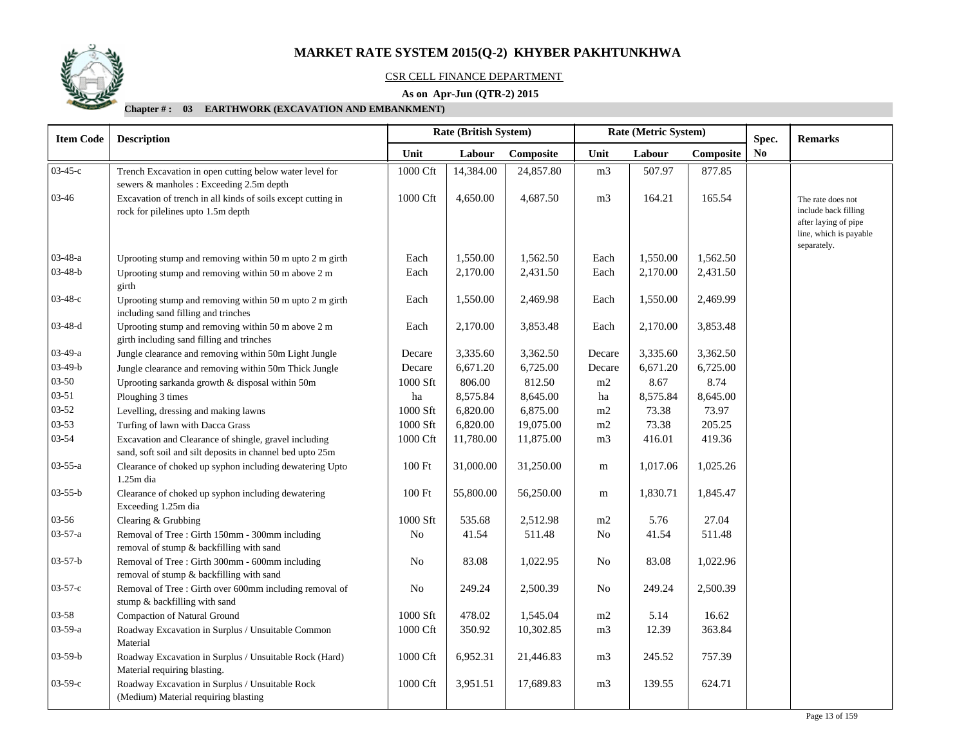

#### CSR CELL FINANCE DEPARTMENT

### **As on Apr-Jun (QTR-2) 2015**

| <b>Item Code</b> | Rate (British System)<br>Rate (Metric System)<br><b>Description</b>                                                |                      |           |           | Spec.          | <b>Remarks</b> |           |                |                                                                                                            |
|------------------|--------------------------------------------------------------------------------------------------------------------|----------------------|-----------|-----------|----------------|----------------|-----------|----------------|------------------------------------------------------------------------------------------------------------|
|                  |                                                                                                                    | Unit                 | Labour    | Composite | Unit           | Labour         | Composite | N <sub>0</sub> |                                                                                                            |
| $03-45-c$        | Trench Excavation in open cutting below water level for<br>sewers & manholes : Exceeding 2.5m depth                | 1000 Cft             | 14,384.00 | 24,857.80 | m <sub>3</sub> | 507.97         | 877.85    |                |                                                                                                            |
| 03-46            | Excavation of trench in all kinds of soils except cutting in<br>rock for pilelines upto 1.5m depth                 | 1000 Cft             | 4,650.00  | 4,687.50  | m <sub>3</sub> | 164.21         | 165.54    |                | The rate does not<br>include back filling<br>after laying of pipe<br>line, which is payable<br>separately. |
| $03-48-a$        | Uprooting stump and removing within 50 m upto 2 m girth                                                            | Each                 | 1,550.00  | 1,562.50  | Each           | 1,550.00       | 1,562.50  |                |                                                                                                            |
| 03-48-b          | Uprooting stump and removing within 50 m above 2 m<br>girth                                                        | Each                 | 2,170.00  | 2,431.50  | Each           | 2,170.00       | 2,431.50  |                |                                                                                                            |
| 03-48-с          | Uprooting stump and removing within 50 m upto 2 m girth<br>including sand filling and trinches                     | Each                 | 1,550.00  | 2,469.98  | Each           | 1,550.00       | 2,469.99  |                |                                                                                                            |
| $03-48-d$        | Uprooting stump and removing within 50 m above 2 m<br>girth including sand filling and trinches                    | Each                 | 2,170.00  | 3,853.48  | Each           | 2,170.00       | 3,853.48  |                |                                                                                                            |
| $03-49-a$        | Jungle clearance and removing within 50m Light Jungle                                                              | Decare               | 3,335.60  | 3,362.50  | Decare         | 3,335.60       | 3,362.50  |                |                                                                                                            |
| $03-49-b$        | Jungle clearance and removing within 50m Thick Jungle                                                              | Decare               | 6,671.20  | 6,725.00  | Decare         | 6,671.20       | 6,725.00  |                |                                                                                                            |
| $03 - 50$        | Uprooting sarkanda growth & disposal within 50m                                                                    | 1000 Sft             | 806.00    | 812.50    | m2             | 8.67           | 8.74      |                |                                                                                                            |
| 03-51            | Ploughing 3 times                                                                                                  | ha                   | 8,575.84  | 8,645.00  | ha             | 8,575.84       | 8,645.00  |                |                                                                                                            |
| $03 - 52$        | Levelling, dressing and making lawns                                                                               | 1000 Sft             | 6,820.00  | 6,875.00  | m2             | 73.38          | 73.97     |                |                                                                                                            |
| $03 - 53$        | Turfing of lawn with Dacca Grass                                                                                   | 1000 Sft             | 6,820.00  | 19,075.00 | m2             | 73.38          | 205.25    |                |                                                                                                            |
| 03-54            | Excavation and Clearance of shingle, gravel including<br>sand, soft soil and silt deposits in channel bed upto 25m | 1000 Cft             | 11,780.00 | 11,875.00 | m <sub>3</sub> | 416.01         | 419.36    |                |                                                                                                            |
| 03-55-a          | Clearance of choked up syphon including dewatering Upto<br>$1.25m$ dia                                             | 100 Ft               | 31,000.00 | 31,250.00 | m              | 1,017.06       | 1,025.26  |                |                                                                                                            |
| 03-55-b          | Clearance of choked up syphon including dewatering<br>Exceeding 1.25m dia                                          | 100 Ft               | 55,800.00 | 56,250.00 | m              | 1,830.71       | 1,845.47  |                |                                                                                                            |
| 03-56            | Clearing & Grubbing                                                                                                | 1000 Sft             | 535.68    | 2,512.98  | $\rm m2$       | 5.76           | 27.04     |                |                                                                                                            |
| 03-57-a          | Removal of Tree: Girth 150mm - 300mm including<br>removal of stump & backfilling with sand                         | No                   | 41.54     | 511.48    | N <sub>0</sub> | 41.54          | 511.48    |                |                                                                                                            |
| $03 - 57 - b$    | Removal of Tree : Girth 300mm - 600mm including<br>removal of stump & backfilling with sand                        | No                   | 83.08     | 1,022.95  | No             | 83.08          | 1,022.96  |                |                                                                                                            |
| $03 - 57 - c$    | Removal of Tree : Girth over 600mm including removal of<br>stump & backfilling with sand                           | $\rm No$             | 249.24    | 2,500.39  | No             | 249.24         | 2,500.39  |                |                                                                                                            |
| $03 - 58$        | Compaction of Natural Ground                                                                                       | 1000 Sft             | 478.02    | 1,545.04  | m2             | 5.14           | 16.62     |                |                                                                                                            |
| $03 - 59 - a$    | Roadway Excavation in Surplus / Unsuitable Common<br>Material                                                      | 1000 Cft             | 350.92    | 10,302.85 | m3             | 12.39          | 363.84    |                |                                                                                                            |
| $03-59-b$        | Roadway Excavation in Surplus / Unsuitable Rock (Hard)<br>Material requiring blasting.                             | $1000\,\mathrm{Cft}$ | 6,952.31  | 21,446.83 | m <sub>3</sub> | 245.52         | 757.39    |                |                                                                                                            |
| $03-59-c$        | Roadway Excavation in Surplus / Unsuitable Rock<br>(Medium) Material requiring blasting                            | 1000 Cft             | 3,951.51  | 17,689.83 | m3             | 139.55         | 624.71    |                |                                                                                                            |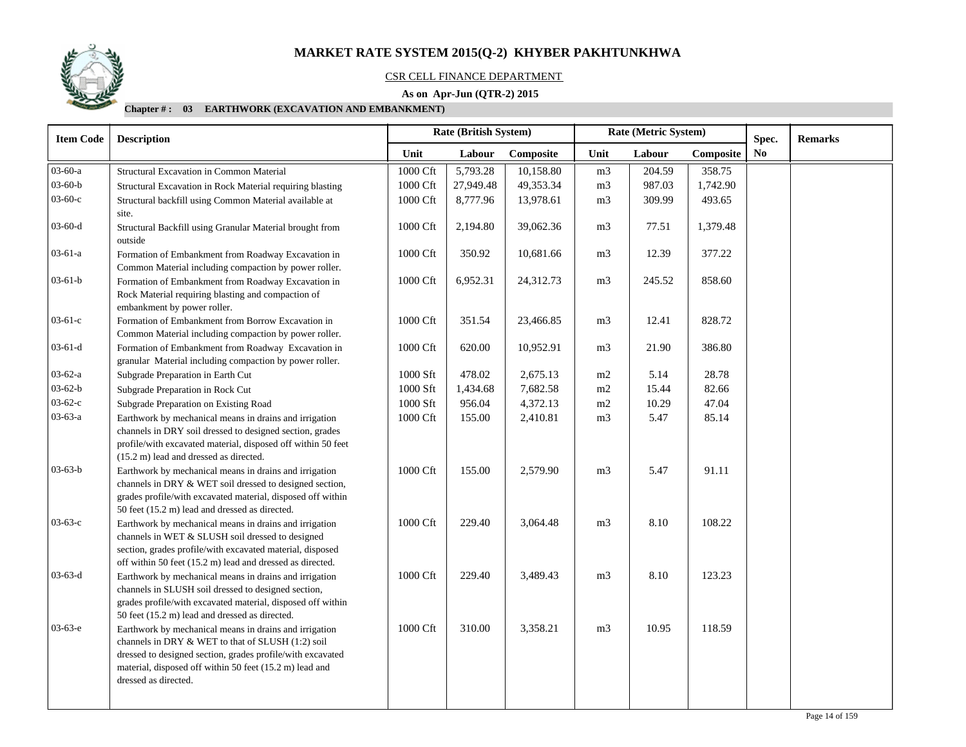

#### CSR CELL FINANCE DEPARTMENT

### **As on Apr-Jun (QTR-2) 2015**

| <b>Item Code</b> | <b>Description</b>                                                                                                                                                                                                                                           |                      | <b>Rate (British System)</b> |           |                | Rate (Metric System) |           | Spec. | <b>Remarks</b> |
|------------------|--------------------------------------------------------------------------------------------------------------------------------------------------------------------------------------------------------------------------------------------------------------|----------------------|------------------------------|-----------|----------------|----------------------|-----------|-------|----------------|
|                  |                                                                                                                                                                                                                                                              | Unit                 | Labour                       | Composite | Unit           | Labour               | Composite | No    |                |
| 03-60-a          | Structural Excavation in Common Material                                                                                                                                                                                                                     | 1000 Cft             | 5,793.28                     | 10,158.80 | m <sub>3</sub> | 204.59               | 358.75    |       |                |
| $03 - 60 - b$    | Structural Excavation in Rock Material requiring blasting                                                                                                                                                                                                    | 1000 Cft             | 27,949.48                    | 49,353.34 | m <sub>3</sub> | 987.03               | 1,742.90  |       |                |
| $03-60-c$        | Structural backfill using Common Material available at                                                                                                                                                                                                       | 1000 Cft             | 8,777.96                     | 13,978.61 | m3             | 309.99               | 493.65    |       |                |
|                  | site.                                                                                                                                                                                                                                                        |                      |                              |           |                |                      |           |       |                |
| 03-60-d          | Structural Backfill using Granular Material brought from<br>outside                                                                                                                                                                                          | 1000 Cft             | 2,194.80                     | 39,062.36 | m <sub>3</sub> | 77.51                | 1,379.48  |       |                |
| 03-61-a          | Formation of Embankment from Roadway Excavation in<br>Common Material including compaction by power roller.                                                                                                                                                  | 1000 Cft             | 350.92                       | 10,681.66 | m <sub>3</sub> | 12.39                | 377.22    |       |                |
| $03 - 61 - b$    | Formation of Embankment from Roadway Excavation in                                                                                                                                                                                                           | 1000 Cft             | 6,952.31                     | 24,312.73 | m <sub>3</sub> | 245.52               | 858.60    |       |                |
|                  | Rock Material requiring blasting and compaction of<br>embankment by power roller.                                                                                                                                                                            |                      |                              |           |                |                      |           |       |                |
| $03-61-c$        | Formation of Embankment from Borrow Excavation in<br>Common Material including compaction by power roller.                                                                                                                                                   | $1000\,\mathrm{Cft}$ | 351.54                       | 23,466.85 | m <sub>3</sub> | 12.41                | 828.72    |       |                |
| 03-61-d          | Formation of Embankment from Roadway Excavation in<br>granular Material including compaction by power roller.                                                                                                                                                | 1000 Cft             | 620.00                       | 10,952.91 | m3             | 21.90                | 386.80    |       |                |
| 03-62-a          | Subgrade Preparation in Earth Cut                                                                                                                                                                                                                            | 1000 Sft             | 478.02                       | 2,675.13  | m2             | 5.14                 | 28.78     |       |                |
| $03 - 62 - b$    | Subgrade Preparation in Rock Cut                                                                                                                                                                                                                             | 1000 Sft             | 1,434.68                     | 7,682.58  | m2             | 15.44                | 82.66     |       |                |
| $03-62-c$        | Subgrade Preparation on Existing Road                                                                                                                                                                                                                        | 1000 Sft             | 956.04                       | 4,372.13  | m2             | 10.29                | 47.04     |       |                |
| $03-63-a$        | Earthwork by mechanical means in drains and irrigation<br>channels in DRY soil dressed to designed section, grades<br>profile/with excavated material, disposed off within 50 feet<br>(15.2 m) lead and dressed as directed.                                 | 1000 Cft             | 155.00                       | 2,410.81  | m <sub>3</sub> | 5.47                 | 85.14     |       |                |
| $03-63-b$        | Earthwork by mechanical means in drains and irrigation<br>channels in DRY & WET soil dressed to designed section,<br>grades profile/with excavated material, disposed off within<br>50 feet (15.2 m) lead and dressed as directed.                           | 1000 Cft             | 155.00                       | 2,579.90  | m <sub>3</sub> | 5.47                 | 91.11     |       |                |
| $03-63-c$        | Earthwork by mechanical means in drains and irrigation<br>channels in WET & SLUSH soil dressed to designed<br>section, grades profile/with excavated material, disposed<br>off within 50 feet (15.2 m) lead and dressed as directed.                         | 1000 Cft             | 229.40                       | 3,064.48  | m <sub>3</sub> | 8.10                 | 108.22    |       |                |
| $03 - 63 - d$    | Earthwork by mechanical means in drains and irrigation<br>channels in SLUSH soil dressed to designed section,<br>grades profile/with excavated material, disposed off within<br>50 feet (15.2 m) lead and dressed as directed.                               | 1000 Cft             | 229.40                       | 3,489.43  | m <sub>3</sub> | 8.10                 | 123.23    |       |                |
| $03-63-e$        | Earthwork by mechanical means in drains and irrigation<br>channels in DRY & WET to that of SLUSH (1:2) soil<br>dressed to designed section, grades profile/with excavated<br>material, disposed off within 50 feet (15.2 m) lead and<br>dressed as directed. | 1000 Cft             | 310.00                       | 3,358.21  | m <sub>3</sub> | 10.95                | 118.59    |       |                |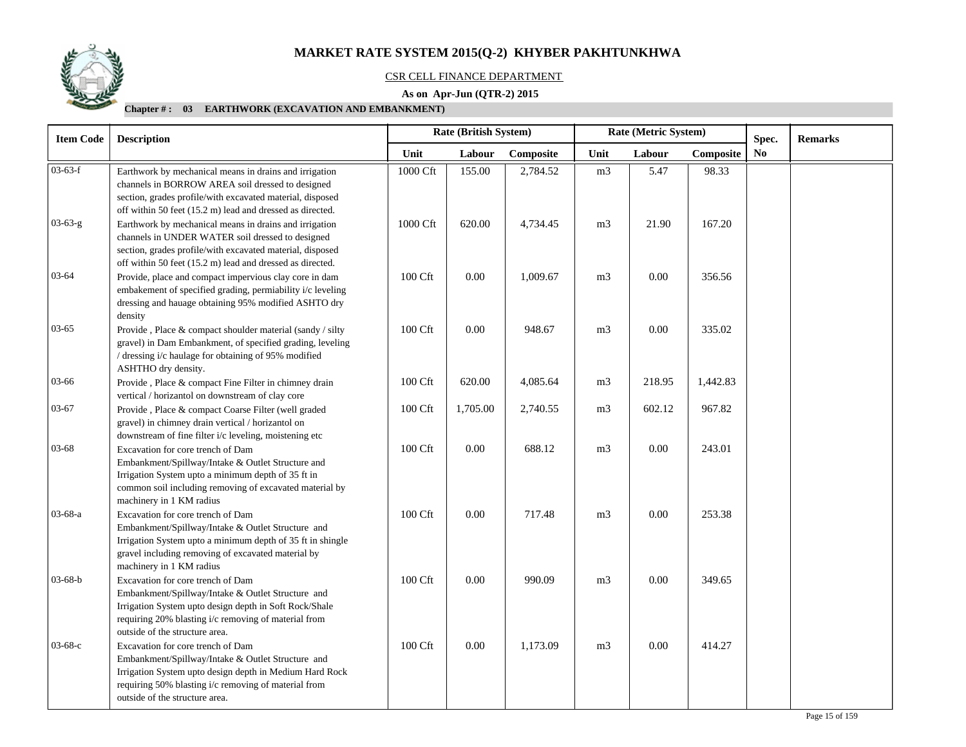

#### CSR CELL FINANCE DEPARTMENT

### **As on Apr-Jun (QTR-2) 2015**

| <b>Item Code</b> | Rate (British System)<br><b>Description</b>                                                                                                                                                                                                                                                       |          |          |           | Rate (Metric System) | Spec.    | <b>Remarks</b> |    |  |
|------------------|---------------------------------------------------------------------------------------------------------------------------------------------------------------------------------------------------------------------------------------------------------------------------------------------------|----------|----------|-----------|----------------------|----------|----------------|----|--|
|                  |                                                                                                                                                                                                                                                                                                   | Unit     | Labour   | Composite | Unit                 | Labour   | Composite      | No |  |
| $03-63-f$        | Earthwork by mechanical means in drains and irrigation<br>channels in BORROW AREA soil dressed to designed<br>section, grades profile/with excavated material, disposed                                                                                                                           | 1000 Cft | 155.00   | 2,784.52  | m <sub>3</sub>       | 5.47     | 98.33          |    |  |
| $03-63-g$        | off within 50 feet (15.2 m) lead and dressed as directed.<br>Earthwork by mechanical means in drains and irrigation<br>channels in UNDER WATER soil dressed to designed<br>section, grades profile/with excavated material, disposed<br>off within 50 feet (15.2 m) lead and dressed as directed. | 1000 Cft | 620.00   | 4,734.45  | m <sub>3</sub>       | 21.90    | 167.20         |    |  |
| $03 - 64$        | Provide, place and compact impervious clay core in dam<br>embakement of specified grading, permiability i/c leveling<br>dressing and hauage obtaining 95% modified ASHTO dry<br>density                                                                                                           | 100 Cft  | 0.00     | 1,009.67  | m <sub>3</sub>       | 0.00     | 356.56         |    |  |
| $03-65$          | Provide, Place & compact shoulder material (sandy / silty<br>gravel) in Dam Embankment, of specified grading, leveling<br>/ dressing i/c haulage for obtaining of 95% modified<br>ASHTHO dry density.                                                                                             | 100 Cft  | 0.00     | 948.67    | m <sub>3</sub>       | 0.00     | 335.02         |    |  |
| 03-66            | Provide, Place & compact Fine Filter in chimney drain<br>vertical / horizantol on downstream of clay core                                                                                                                                                                                         | 100 Cft  | 620.00   | 4,085.64  | m <sub>3</sub>       | 218.95   | 1,442.83       |    |  |
| 03-67            | Provide, Place & compact Coarse Filter (well graded<br>gravel) in chimney drain vertical / horizantol on<br>downstream of fine filter i/c leveling, moistening etc                                                                                                                                | 100 Cft  | 1,705.00 | 2,740.55  | m <sub>3</sub>       | 602.12   | 967.82         |    |  |
| $03 - 68$        | Excavation for core trench of Dam<br>Embankment/Spillway/Intake & Outlet Structure and<br>Irrigation System upto a minimum depth of 35 ft in<br>common soil including removing of excavated material by<br>machinery in 1 KM radius                                                               | 100 Cft  | 0.00     | 688.12    | m <sub>3</sub>       | $0.00\,$ | 243.01         |    |  |
| $03-68-a$        | Excavation for core trench of Dam<br>Embankment/Spillway/Intake & Outlet Structure and<br>Irrigation System upto a minimum depth of 35 ft in shingle<br>gravel including removing of excavated material by<br>machinery in 1 KM radius                                                            | 100 Cft  | 0.00     | 717.48    | m <sub>3</sub>       | 0.00     | 253.38         |    |  |
| $03-68-b$        | Excavation for core trench of Dam<br>Embankment/Spillway/Intake & Outlet Structure and<br>Irrigation System upto design depth in Soft Rock/Shale<br>requiring 20% blasting i/c removing of material from<br>outside of the structure area.                                                        | 100 Cft  | 0.00     | 990.09    | m <sub>3</sub>       | 0.00     | 349.65         |    |  |
| $03-68-c$        | Excavation for core trench of Dam<br>Embankment/Spillway/Intake & Outlet Structure and<br>Irrigation System upto design depth in Medium Hard Rock<br>requiring 50% blasting i/c removing of material from<br>outside of the structure area.                                                       | 100 Cft  | 0.00     | 1,173.09  | m <sub>3</sub>       | 0.00     | 414.27         |    |  |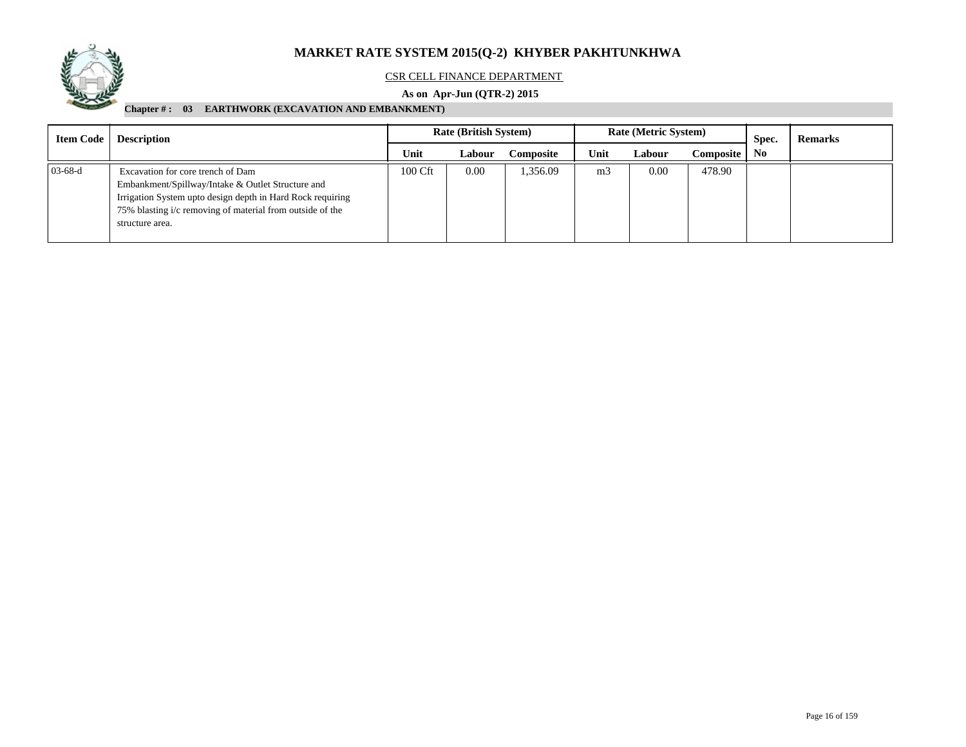

#### CSR CELL FINANCE DEPARTMENT

### **As on Apr-Jun (QTR-2) 2015**

| <b>Item Code</b> | <b>Description</b>                                                                                                                                                                                                                   | <b>Rate (British System)</b> |        |                  |                | <b>Rate (Metric System)</b> |           | Spec.          | <b>Remarks</b> |
|------------------|--------------------------------------------------------------------------------------------------------------------------------------------------------------------------------------------------------------------------------------|------------------------------|--------|------------------|----------------|-----------------------------|-----------|----------------|----------------|
|                  |                                                                                                                                                                                                                                      | Unit                         | Labour | <b>Composite</b> | Unit           | Labour                      | Composite | N <sub>0</sub> |                |
| $03-68-d$        | Excavation for core trench of Dam<br>Embankment/Spillway/Intake & Outlet Structure and<br>Irrigation System upto design depth in Hard Rock requiring<br>75% blasting i/c removing of material from outside of the<br>structure area. | 100 Cft                      | 0.00   | 1,356.09         | m <sub>3</sub> | 0.00                        | 478.90    |                |                |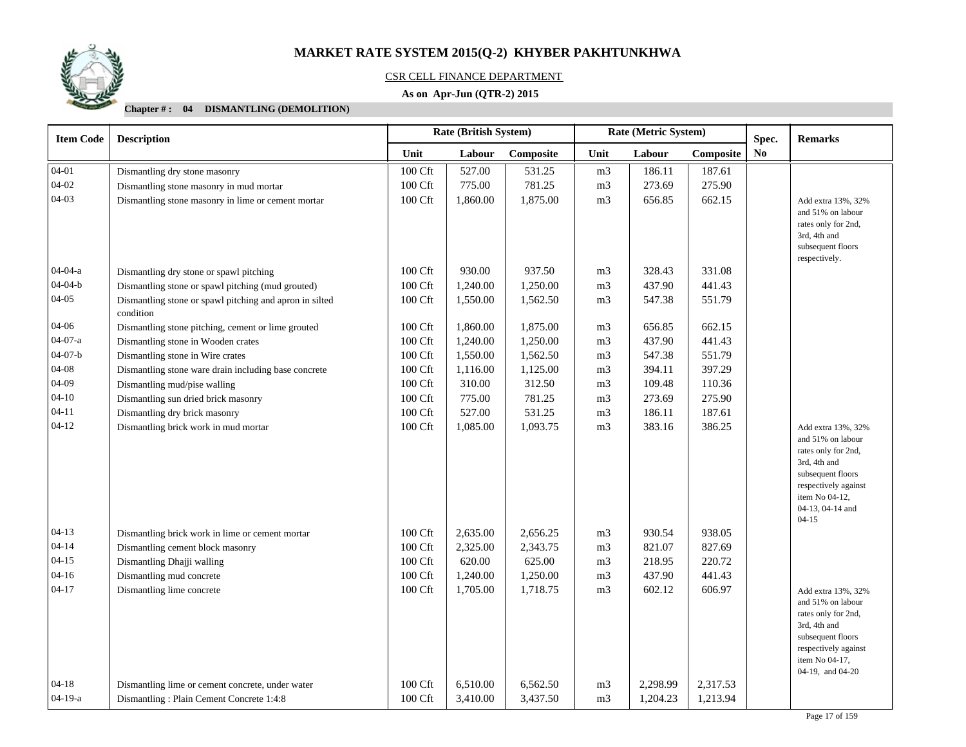

#### CSR CELL FINANCE DEPARTMENT

### **As on Apr-Jun (QTR-2) 2015**

| <b>Item Code</b> | <b>Rate (British System)</b><br>Rate (Metric System)<br><b>Description</b> |         |          |           |                |          | Spec.     | <b>Remarks</b> |                                                                                                                                                                                |
|------------------|----------------------------------------------------------------------------|---------|----------|-----------|----------------|----------|-----------|----------------|--------------------------------------------------------------------------------------------------------------------------------------------------------------------------------|
|                  |                                                                            | Unit    | Labour   | Composite | Unit           | Labour   | Composite | N <sub>0</sub> |                                                                                                                                                                                |
| $04 - 01$        | Dismantling dry stone masonry                                              | 100 Cft | 527.00   | 531.25    | m <sub>3</sub> | 186.11   | 187.61    |                |                                                                                                                                                                                |
| $04 - 02$        | Dismantling stone masonry in mud mortar                                    | 100 Cft | 775.00   | 781.25    | m <sub>3</sub> | 273.69   | 275.90    |                |                                                                                                                                                                                |
| $04 - 03$        | Dismantling stone masonry in lime or cement mortar                         | 100 Cft | 1,860.00 | 1,875.00  | m <sub>3</sub> | 656.85   | 662.15    |                | Add extra 13%, 32%<br>and 51% on labour<br>rates only for 2nd,<br>3rd, 4th and<br>subsequent floors<br>respectively.                                                           |
| $04 - 04 - a$    | Dismantling dry stone or spawl pitching                                    | 100 Cft | 930.00   | 937.50    | m <sub>3</sub> | 328.43   | 331.08    |                |                                                                                                                                                                                |
| $04 - 04 - b$    | Dismantling stone or spawl pitching (mud grouted)                          | 100 Cft | 1,240.00 | 1,250.00  | m <sub>3</sub> | 437.90   | 441.43    |                |                                                                                                                                                                                |
| $04 - 05$        | Dismantling stone or spawl pitching and apron in silted<br>condition       | 100 Cft | 1,550.00 | 1,562.50  | m <sub>3</sub> | 547.38   | 551.79    |                |                                                                                                                                                                                |
| 04-06            | Dismantling stone pitching, cement or lime grouted                         | 100 Cft | 1,860.00 | 1,875.00  | m <sub>3</sub> | 656.85   | 662.15    |                |                                                                                                                                                                                |
| $04-07-a$        | Dismantling stone in Wooden crates                                         | 100 Cft | 1,240.00 | 1,250.00  | m <sub>3</sub> | 437.90   | 441.43    |                |                                                                                                                                                                                |
| $04 - 07 - b$    | Dismantling stone in Wire crates                                           | 100 Cft | 1,550.00 | 1,562.50  | m <sub>3</sub> | 547.38   | 551.79    |                |                                                                                                                                                                                |
| $04 - 08$        | Dismantling stone ware drain including base concrete                       | 100 Cft | 1,116.00 | 1,125.00  | m <sub>3</sub> | 394.11   | 397.29    |                |                                                                                                                                                                                |
| 04-09            | Dismantling mud/pise walling                                               | 100 Cft | 310.00   | 312.50    | m <sub>3</sub> | 109.48   | 110.36    |                |                                                                                                                                                                                |
| $04 - 10$        | Dismantling sun dried brick masonry                                        | 100 Cft | 775.00   | 781.25    | m <sub>3</sub> | 273.69   | 275.90    |                |                                                                                                                                                                                |
| $04 - 11$        | Dismantling dry brick masonry                                              | 100 Cft | 527.00   | 531.25    | m <sub>3</sub> | 186.11   | 187.61    |                |                                                                                                                                                                                |
| $04 - 12$        | Dismantling brick work in mud mortar                                       | 100 Cft | 1,085.00 | 1,093.75  | m <sub>3</sub> | 383.16   | 386.25    |                | Add extra 13%, 32%<br>and 51% on labour<br>rates only for 2nd,<br>3rd, 4th and<br>subsequent floors<br>respectively against<br>item No 04-12,<br>04-13, 04-14 and<br>$04 - 15$ |
| $04-13$          | Dismantling brick work in lime or cement mortar                            | 100 Cft | 2,635.00 | 2,656.25  | m <sub>3</sub> | 930.54   | 938.05    |                |                                                                                                                                                                                |
| $04 - 14$        | Dismantling cement block masonry                                           | 100 Cft | 2,325.00 | 2,343.75  | m <sub>3</sub> | 821.07   | 827.69    |                |                                                                                                                                                                                |
| $04 - 15$        | Dismantling Dhajji walling                                                 | 100 Cft | 620.00   | 625.00    | m <sub>3</sub> | 218.95   | 220.72    |                |                                                                                                                                                                                |
| $04 - 16$        | Dismantling mud concrete                                                   | 100 Cft | 1,240.00 | 1,250.00  | m <sub>3</sub> | 437.90   | 441.43    |                |                                                                                                                                                                                |
| $04 - 17$        | Dismantling lime concrete                                                  | 100 Cft | 1,705.00 | 1,718.75  | m <sub>3</sub> | 602.12   | 606.97    |                | Add extra 13%, 32%<br>and 51% on labour<br>rates only for 2nd,<br>3rd, 4th and<br>subsequent floors<br>respectively against<br>item No 04-17,<br>04-19, and 04-20              |
| $04-18$          | Dismantling lime or cement concrete, under water                           | 100 Cft | 6,510.00 | 6,562.50  | m <sub>3</sub> | 2,298.99 | 2,317.53  |                |                                                                                                                                                                                |
| $04-19-a$        | Dismantling: Plain Cement Concrete 1:4:8                                   | 100 Cft | 3,410.00 | 3,437.50  | m <sub>3</sub> | 1,204.23 | 1,213.94  |                |                                                                                                                                                                                |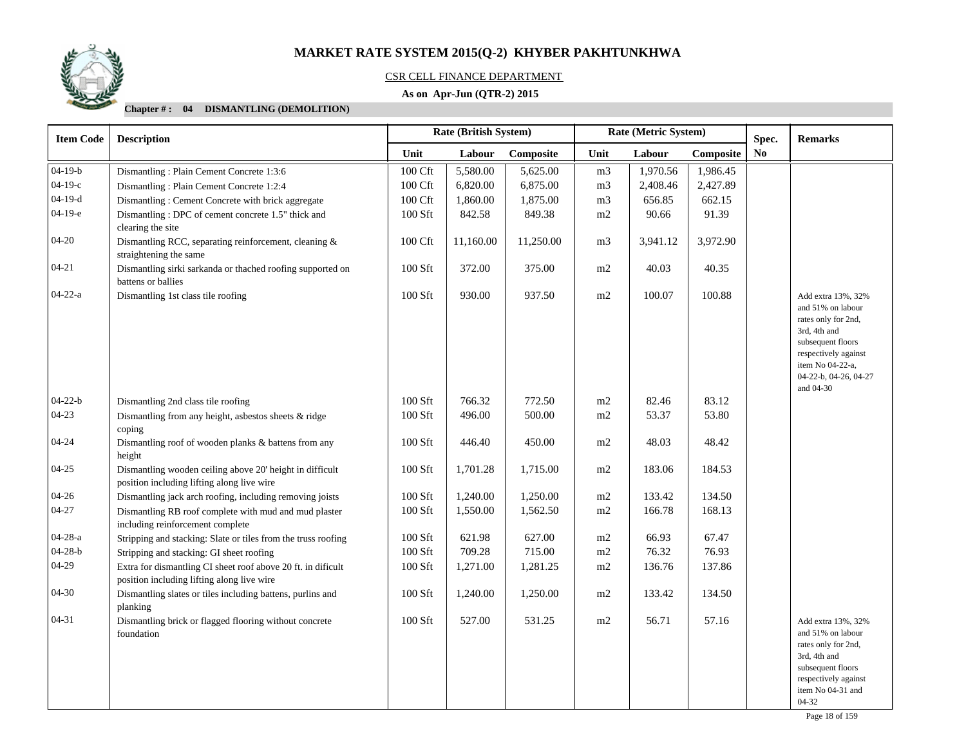

#### CSR CELL FINANCE DEPARTMENT

### **As on Apr-Jun (QTR-2) 2015**

| <b>Item Code</b> | <b>Description</b>                                                                                         |                     | <b>Rate (British System)</b> |           |                | Rate (Metric System) | Spec.     | <b>Remarks</b> |                                                                                                                                                                                       |
|------------------|------------------------------------------------------------------------------------------------------------|---------------------|------------------------------|-----------|----------------|----------------------|-----------|----------------|---------------------------------------------------------------------------------------------------------------------------------------------------------------------------------------|
|                  |                                                                                                            | Unit                | Labour                       | Composite | Unit           | Labour               | Composite | No             |                                                                                                                                                                                       |
| $04 - 19 - b$    | Dismantling: Plain Cement Concrete 1:3:6                                                                   | 100 Cft             | 5,580.00                     | 5,625.00  | m <sub>3</sub> | 1,970.56             | 1,986.45  |                |                                                                                                                                                                                       |
| $04-19-c$        | Dismantling: Plain Cement Concrete 1:2:4                                                                   | $100\ \mathrm{Cft}$ | 6,820.00                     | 6,875.00  | m <sub>3</sub> | 2,408.46             | 2,427.89  |                |                                                                                                                                                                                       |
| $04-19-d$        | Dismantling: Cement Concrete with brick aggregate                                                          | 100 Cft             | 1,860.00                     | 1,875.00  | m <sub>3</sub> | 656.85               | 662.15    |                |                                                                                                                                                                                       |
| $04-19-e$        | Dismantling: DPC of cement concrete 1.5" thick and<br>clearing the site                                    | 100 Sft             | 842.58                       | 849.38    | m2             | 90.66                | 91.39     |                |                                                                                                                                                                                       |
| $04 - 20$        | Dismantling RCC, separating reinforcement, cleaning &<br>straightening the same                            | 100 Cft             | 11,160.00                    | 11,250.00 | m <sub>3</sub> | 3,941.12             | 3,972.90  |                |                                                                                                                                                                                       |
| $04 - 21$        | Dismantling sirki sarkanda or thached roofing supported on<br>battens or ballies                           | 100 Sft             | 372.00                       | 375.00    | m2             | 40.03                | 40.35     |                |                                                                                                                                                                                       |
| $04-22-a$        | Dismantling 1st class tile roofing                                                                         | 100 Sft             | 930.00                       | 937.50    | m2             | 100.07               | 100.88    |                | Add extra 13%, 32%<br>and 51% on labour<br>rates only for 2nd,<br>3rd, 4th and<br>subsequent floors<br>respectively against<br>item No 04-22-a,<br>04-22-b, 04-26, 04-27<br>and 04-30 |
| $04 - 22 - b$    | Dismantling 2nd class tile roofing                                                                         | 100 Sft             | 766.32                       | 772.50    | m2             | 82.46                | 83.12     |                |                                                                                                                                                                                       |
| 04-23            | Dismantling from any height, asbestos sheets & ridge<br>coping                                             | 100 Sft             | 496.00                       | 500.00    | m2             | 53.37                | 53.80     |                |                                                                                                                                                                                       |
| $04 - 24$        | Dismantling roof of wooden planks & battens from any<br>height                                             | 100 Sft             | 446.40                       | 450.00    | m2             | 48.03                | 48.42     |                |                                                                                                                                                                                       |
| $04 - 25$        | Dismantling wooden ceiling above 20' height in difficult<br>position including lifting along live wire     | 100 Sft             | 1,701.28                     | 1,715.00  | m2             | 183.06               | 184.53    |                |                                                                                                                                                                                       |
| $04 - 26$        | Dismantling jack arch roofing, including removing joists                                                   | 100 Sft             | 1,240.00                     | 1,250.00  | m2             | 133.42               | 134.50    |                |                                                                                                                                                                                       |
| $04 - 27$        | Dismantling RB roof complete with mud and mud plaster<br>including reinforcement complete                  | $100$ Sft           | 1,550.00                     | 1,562.50  | m2             | 166.78               | 168.13    |                |                                                                                                                                                                                       |
| 04-28-a          | Stripping and stacking: Slate or tiles from the truss roofing                                              | 100 Sft             | 621.98                       | 627.00    | m2             | 66.93                | 67.47     |                |                                                                                                                                                                                       |
| $04 - 28 - b$    | Stripping and stacking: GI sheet roofing                                                                   | 100 Sft             | 709.28                       | 715.00    | m2             | 76.32                | 76.93     |                |                                                                                                                                                                                       |
| 04-29            | Extra for dismantling CI sheet roof above 20 ft. in dificult<br>position including lifting along live wire | $100$ Sft           | 1,271.00                     | 1,281.25  | m2             | 136.76               | 137.86    |                |                                                                                                                                                                                       |
| 04-30            | Dismantling slates or tiles including battens, purlins and<br>planking                                     | 100 Sft             | 1,240.00                     | 1,250.00  | m2             | 133.42               | 134.50    |                |                                                                                                                                                                                       |
| $04 - 31$        | Dismantling brick or flagged flooring without concrete<br>foundation                                       | 100 Sft             | 527.00                       | 531.25    | m2             | 56.71                | 57.16     |                | Add extra 13%, 32%<br>and 51% on labour<br>rates only for 2nd,<br>3rd, 4th and<br>subsequent floors<br>respectively against<br>item No 04-31 and<br>04-32                             |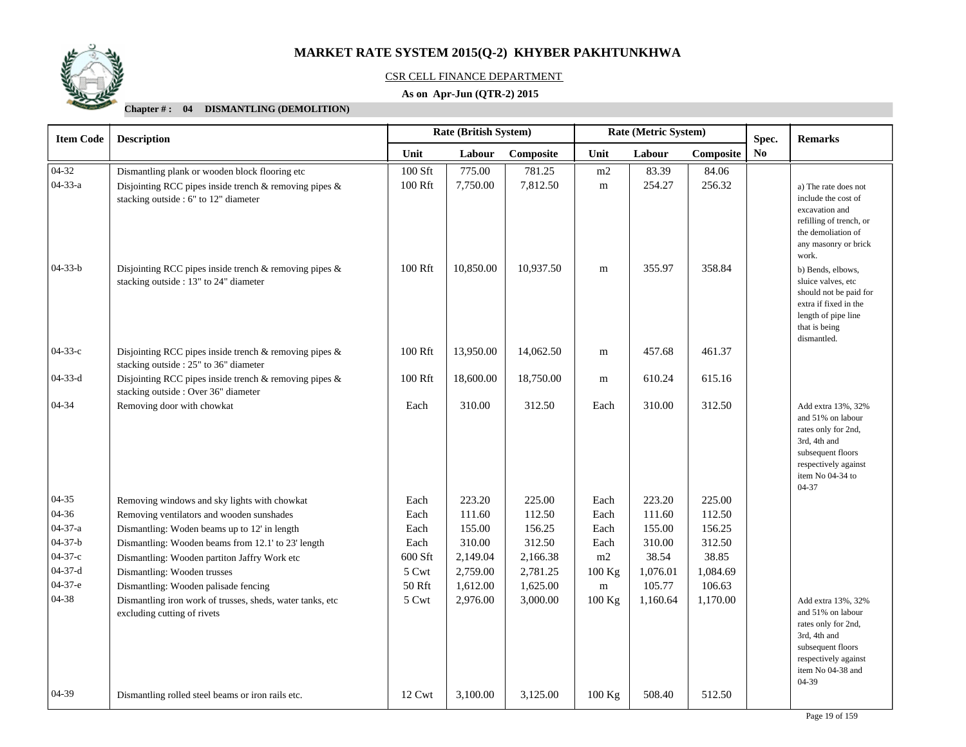

#### CSR CELL FINANCE DEPARTMENT

### **As on Apr-Jun (QTR-2) 2015**

| <b>Item Code</b> | <b>Description</b>                                                                                    | Rate (British System) |           |           |           | Rate (Metric System) | Spec.     | <b>Remarks</b> |                                                                                                                                                            |
|------------------|-------------------------------------------------------------------------------------------------------|-----------------------|-----------|-----------|-----------|----------------------|-----------|----------------|------------------------------------------------------------------------------------------------------------------------------------------------------------|
|                  |                                                                                                       | Unit                  | Labour    | Composite | Unit      | Labour               | Composite | N <sub>0</sub> |                                                                                                                                                            |
| $04 - 32$        | Dismantling plank or wooden block flooring etc                                                        | 100 Sft               | 775.00    | 781.25    | m2        | 83.39                | 84.06     |                |                                                                                                                                                            |
| $04 - 33 - a$    | Disjointing RCC pipes inside trench $\&$ removing pipes $\&$<br>stacking outside : 6" to 12" diameter | 100 Rft               | 7,750.00  | 7,812.50  | m         | 254.27               | 256.32    |                | a) The rate does not<br>include the cost of<br>excavation and<br>refilling of trench, or<br>the demoliation of<br>any masonry or brick                     |
| $04 - 33 - b$    | Disjointing RCC pipes inside trench & removing pipes &<br>stacking outside : 13" to 24" diameter      | 100 Rft               | 10,850.00 | 10,937.50 | m         | 355.97               | 358.84    |                | work.<br>b) Bends, elbows,<br>sluice valves, etc<br>should not be paid for<br>extra if fixed in the<br>length of pipe line<br>that is being<br>dismantled. |
| $04-33-c$        | Disjointing RCC pipes inside trench & removing pipes &<br>stacking outside : 25" to 36" diameter      | 100 Rft               | 13,950.00 | 14,062.50 | ${\bf m}$ | 457.68               | 461.37    |                |                                                                                                                                                            |
| $04-33-d$        | Disjointing RCC pipes inside trench $\&$ removing pipes $\&$<br>stacking outside : Over 36" diameter  | $100\;\mathrm{Rft}$   | 18,600.00 | 18,750.00 | m         | 610.24               | 615.16    |                |                                                                                                                                                            |
| 04-34            | Removing door with chowkat                                                                            | Each                  | 310.00    | 312.50    | Each      | 310.00               | 312.50    |                | Add extra 13%, 32%<br>and 51% on labour<br>rates only for 2nd,<br>3rd, 4th and<br>subsequent floors<br>respectively against<br>item No 04-34 to<br>04-37   |
| $04 - 35$        | Removing windows and sky lights with chowkat                                                          | Each                  | 223.20    | 225.00    | Each      | 223.20               | 225.00    |                |                                                                                                                                                            |
| 04-36            | Removing ventilators and wooden sunshades                                                             | Each                  | 111.60    | 112.50    | Each      | 111.60               | 112.50    |                |                                                                                                                                                            |
| $04 - 37 - a$    | Dismantling: Woden beams up to 12' in length                                                          | Each                  | 155.00    | 156.25    | Each      | 155.00               | 156.25    |                |                                                                                                                                                            |
| $04 - 37 - b$    | Dismantling: Wooden beams from 12.1' to 23' length                                                    | Each                  | 310.00    | 312.50    | Each      | 310.00               | 312.50    |                |                                                                                                                                                            |
| $04 - 37 - c$    | Dismantling: Wooden partiton Jaffry Work etc                                                          | 600 Sft               | 2,149.04  | 2,166.38  | m2        | 38.54                | 38.85     |                |                                                                                                                                                            |
| $04 - 37 - d$    | Dismantling: Wooden trusses                                                                           | 5 Cwt                 | 2,759.00  | 2,781.25  | 100 Kg    | 1,076.01             | 1,084.69  |                |                                                                                                                                                            |
| $04-37-e$        | Dismantling: Wooden palisade fencing                                                                  | 50 Rft                | 1,612.00  | 1,625.00  | ${\rm m}$ | 105.77               | 106.63    |                |                                                                                                                                                            |
| 04-38            | Dismantling iron work of trusses, sheds, water tanks, etc<br>excluding cutting of rivets              | 5 Cwt                 | 2,976.00  | 3,000.00  | 100 Kg    | 1,160.64             | 1,170.00  |                | Add extra 13%, 32%<br>and 51% on labour<br>rates only for 2nd,<br>3rd, 4th and<br>subsequent floors<br>respectively against<br>item No 04-38 and<br>04-39  |
| 04-39            | Dismantling rolled steel beams or iron rails etc.                                                     | 12 Cwt                | 3,100.00  | 3,125.00  | 100 Kg    | 508.40               | 512.50    |                |                                                                                                                                                            |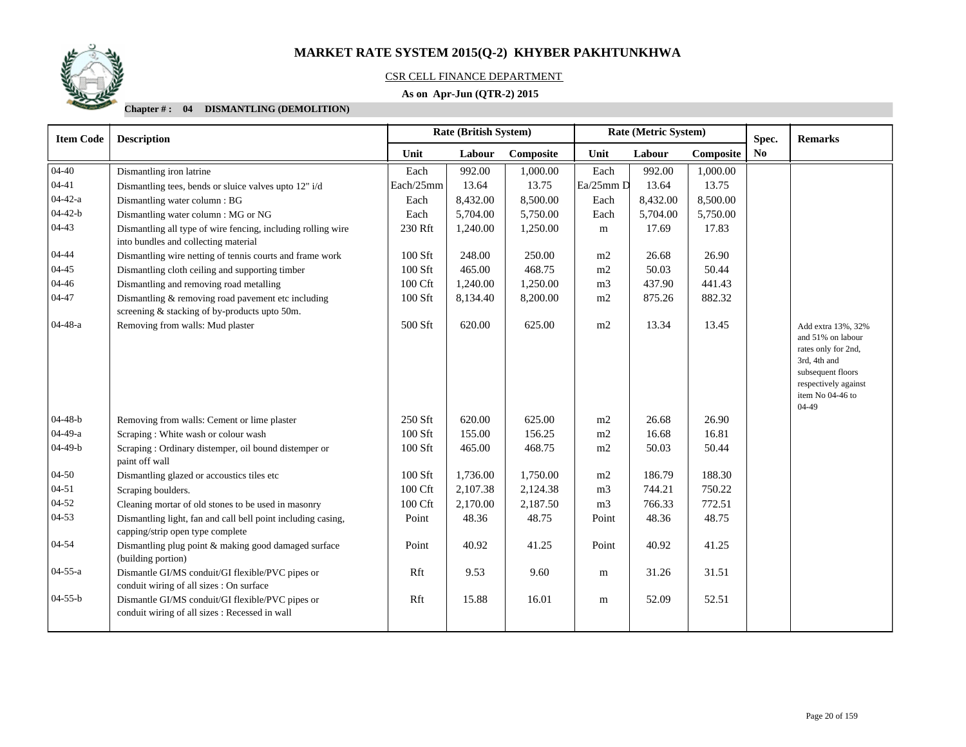

### CSR CELL FINANCE DEPARTMENT

### **As on Apr-Jun (QTR-2) 2015**

| <b>Item Code</b> | <b>Description</b>                                                                                    |           | <b>Rate (British System)</b> |           |                | Rate (Metric System) |           | Spec.          | <b>Remarks</b>                                                                                                                                             |
|------------------|-------------------------------------------------------------------------------------------------------|-----------|------------------------------|-----------|----------------|----------------------|-----------|----------------|------------------------------------------------------------------------------------------------------------------------------------------------------------|
|                  |                                                                                                       | Unit      | Labour                       | Composite | Unit           | Labour               | Composite | N <sub>0</sub> |                                                                                                                                                            |
| $04 - 40$        | Dismantling iron latrine                                                                              | Each      | 992.00                       | 1,000.00  | Each           | 992.00               | 1,000.00  |                |                                                                                                                                                            |
| 04-41            | Dismantling tees, bends or sluice valves upto 12" i/d                                                 | Each/25mm | 13.64                        | 13.75     | Ea/25mm D      | 13.64                | 13.75     |                |                                                                                                                                                            |
| 04-42-a          | Dismantling water column: BG                                                                          | Each      | 8,432.00                     | 8,500.00  | Each           | 8,432.00             | 8,500.00  |                |                                                                                                                                                            |
| $04-42-b$        | Dismantling water column: MG or NG                                                                    | Each      | 5,704.00                     | 5,750.00  | Each           | 5,704.00             | 5,750.00  |                |                                                                                                                                                            |
| 04-43            | Dismantling all type of wire fencing, including rolling wire<br>into bundles and collecting material  | 230 Rft   | 1,240.00                     | 1,250.00  | m              | 17.69                | 17.83     |                |                                                                                                                                                            |
| 04-44            | Dismantling wire netting of tennis courts and frame work                                              | 100 Sft   | 248.00                       | 250.00    | m2             | 26.68                | 26.90     |                |                                                                                                                                                            |
| 04-45            | Dismantling cloth ceiling and supporting timber                                                       | 100 Sft   | 465.00                       | 468.75    | m2             | 50.03                | 50.44     |                |                                                                                                                                                            |
| 04-46            | Dismantling and removing road metalling                                                               | 100 Cft   | 1,240.00                     | 1,250.00  | m <sub>3</sub> | 437.90               | 441.43    |                |                                                                                                                                                            |
| 04-47            | Dismantling $&$ removing road pavement etc including<br>screening & stacking of by-products upto 50m. | 100 Sft   | 8,134.40                     | 8,200.00  | m2             | 875.26               | 882.32    |                |                                                                                                                                                            |
| 04-48-a          | Removing from walls: Mud plaster                                                                      | 500 Sft   | 620.00                       | 625.00    | m2             | 13.34                | 13.45     |                | Add extra 13%, 32%<br>and 51% on labour<br>rates only for 2nd,<br>3rd, 4th and<br>subsequent floors<br>respectively against<br>item No 04-46 to<br>$04-49$ |
| $04-48-b$        | Removing from walls: Cement or lime plaster                                                           | 250 Sft   | 620.00                       | 625.00    | m2             | 26.68                | 26.90     |                |                                                                                                                                                            |
| 04-49-a          | Scraping: White wash or colour wash                                                                   | 100 Sft   | 155.00                       | 156.25    | m2             | 16.68                | 16.81     |                |                                                                                                                                                            |
| $04-49-b$        | Scraping : Ordinary distemper, oil bound distemper or<br>paint off wall                               | 100 Sft   | 465.00                       | 468.75    | m2             | 50.03                | 50.44     |                |                                                                                                                                                            |
| 04-50            | Dismantling glazed or accoustics tiles etc                                                            | 100 Sft   | 1,736.00                     | 1,750.00  | m2             | 186.79               | 188.30    |                |                                                                                                                                                            |
| 04-51            | Scraping boulders.                                                                                    | 100 Cft   | 2,107.38                     | 2,124.38  | m <sub>3</sub> | 744.21               | 750.22    |                |                                                                                                                                                            |
| 04-52            | Cleaning mortar of old stones to be used in masonry                                                   | 100 Cft   | 2,170.00                     | 2,187.50  | m <sub>3</sub> | 766.33               | 772.51    |                |                                                                                                                                                            |
| 04-53            | Dismantling light, fan and call bell point including casing,<br>capping/strip open type complete      | Point     | 48.36                        | 48.75     | Point          | 48.36                | 48.75     |                |                                                                                                                                                            |
| 04-54            | Dismantling plug point & making good damaged surface<br>(building portion)                            | Point     | 40.92                        | 41.25     | Point          | 40.92                | 41.25     |                |                                                                                                                                                            |
| 04-55-a          | Dismantle GI/MS conduit/GI flexible/PVC pipes or<br>conduit wiring of all sizes : On surface          | Rft       | 9.53                         | 9.60      | m              | 31.26                | 31.51     |                |                                                                                                                                                            |
| $04 - 55 - b$    | Dismantle GI/MS conduit/GI flexible/PVC pipes or<br>conduit wiring of all sizes : Recessed in wall    | Rft       | 15.88                        | 16.01     | m              | 52.09                | 52.51     |                |                                                                                                                                                            |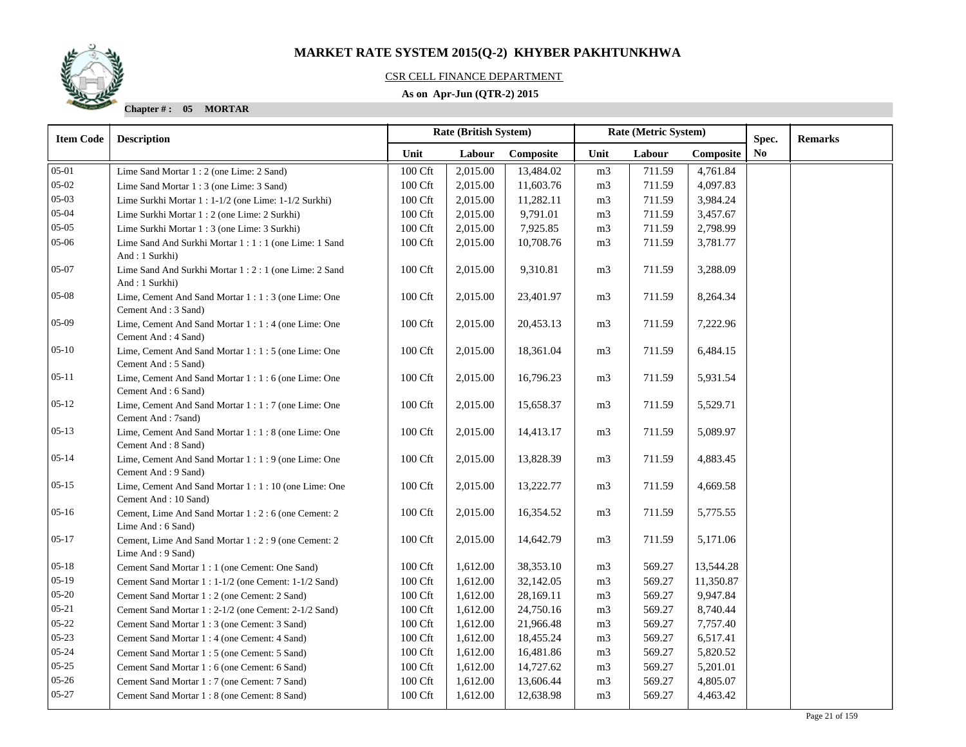### CSR CELL FINANCE DEPARTMENT

### **As on Apr-Jun (QTR-2) 2015**

**Chapter # : 05 MORTAR**

| <b>Item Code</b> | <b>Description</b>                                                           |                     | Rate (British System) |           |                | Rate (Metric System) |           | Spec.          | <b>Remarks</b> |
|------------------|------------------------------------------------------------------------------|---------------------|-----------------------|-----------|----------------|----------------------|-----------|----------------|----------------|
|                  |                                                                              | Unit                | Labour                | Composite | Unit           | Labour               | Composite | N <sub>0</sub> |                |
| $05-01$          | Lime Sand Mortar 1 : 2 (one Lime: 2 Sand)                                    | 100 Cft             | 2,015.00              | 13,484.02 | m <sub>3</sub> | 711.59               | 4,761.84  |                |                |
| $05 - 02$        | Lime Sand Mortar 1 : 3 (one Lime: 3 Sand)                                    | 100 Cft             | 2,015.00              | 11,603.76 | m <sub>3</sub> | 711.59               | 4,097.83  |                |                |
| $05-03$          | Lime Surkhi Mortar 1 : 1-1/2 (one Lime: 1-1/2 Surkhi)                        | 100 Cft             | 2,015.00              | 11,282.11 | m <sub>3</sub> | 711.59               | 3,984.24  |                |                |
| $05 - 04$        | Lime Surkhi Mortar 1 : 2 (one Lime: 2 Surkhi)                                | 100 Cft             | 2,015.00              | 9,791.01  | m <sub>3</sub> | 711.59               | 3,457.67  |                |                |
| $05-05$          | Lime Surkhi Mortar 1 : 3 (one Lime: 3 Surkhi)                                | 100 Cft             | 2,015.00              | 7,925.85  | m3             | 711.59               | 2,798.99  |                |                |
| 05-06            | Lime Sand And Surkhi Mortar 1:1:1 (one Lime: 1 Sand<br>And: 1 Surkhi)        | $100\ \mathrm{Cft}$ | 2,015.00              | 10,708.76 | m3             | 711.59               | 3,781.77  |                |                |
| 05-07            | Lime Sand And Surkhi Mortar 1 : 2 : 1 (one Lime: 2 Sand<br>And: 1 Surkhi)    | 100 Cft             | 2,015.00              | 9,310.81  | m <sub>3</sub> | 711.59               | 3,288.09  |                |                |
| $05-08$          | Lime, Cement And Sand Mortar 1:1:3 (one Lime: One<br>Cement And: 3 Sand)     | 100 Cft             | 2,015.00              | 23,401.97 | m <sub>3</sub> | 711.59               | 8,264.34  |                |                |
| $05-09$          | Lime, Cement And Sand Mortar 1 : 1 : 4 (one Lime: One<br>Cement And: 4 Sand) | 100 Cft             | 2,015.00              | 20,453.13 | m <sub>3</sub> | 711.59               | 7,222.96  |                |                |
| $05 - 10$        | Lime, Cement And Sand Mortar 1 : 1 : 5 (one Lime: One<br>Cement And: 5 Sand) | 100 Cft             | 2,015.00              | 18,361.04 | m <sub>3</sub> | 711.59               | 6,484.15  |                |                |
| $05-11$          | Lime, Cement And Sand Mortar 1:1:6 (one Lime: One<br>Cement And: 6 Sand)     | 100 Cft             | 2,015.00              | 16,796.23 | m3             | 711.59               | 5,931.54  |                |                |
| $05-12$          | Lime, Cement And Sand Mortar 1:1:7 (one Lime: One<br>Cement And: 7sand)      | 100 Cft             | 2,015.00              | 15,658.37 | m <sub>3</sub> | 711.59               | 5,529.71  |                |                |
| $05-13$          | Lime, Cement And Sand Mortar 1:1:8 (one Lime: One<br>Cement And: 8 Sand)     | 100 Cft             | 2,015.00              | 14,413.17 | m <sub>3</sub> | 711.59               | 5,089.97  |                |                |
| $05 - 14$        | Lime, Cement And Sand Mortar 1 : 1 : 9 (one Lime: One<br>Cement And: 9 Sand) | 100 Cft             | 2,015.00              | 13,828.39 | m <sub>3</sub> | 711.59               | 4,883.45  |                |                |
| $05-15$          | Lime, Cement And Sand Mortar 1:1:10 (one Lime: One<br>Cement And: 10 Sand)   | 100 Cft             | 2,015.00              | 13,222.77 | m <sub>3</sub> | 711.59               | 4,669.58  |                |                |
| $05-16$          | Cement, Lime And Sand Mortar 1:2:6 (one Cement: 2)<br>Lime And: 6 Sand)      | 100 Cft             | 2,015.00              | 16,354.52 | m3             | 711.59               | 5,775.55  |                |                |
| $05-17$          | Cement, Lime And Sand Mortar 1:2:9 (one Cement: 2<br>Lime And: 9 Sand)       | 100 Cft             | 2,015.00              | 14,642.79 | m <sub>3</sub> | 711.59               | 5,171.06  |                |                |
| $05 - 18$        | Cement Sand Mortar 1 : 1 (one Cement: One Sand)                              | 100 Cft             | 1,612.00              | 38,353.10 | m <sub>3</sub> | 569.27               | 13,544.28 |                |                |
| $05-19$          | Cement Sand Mortar 1 : 1-1/2 (one Cement: 1-1/2 Sand)                        | 100 Cft             | 1,612.00              | 32,142.05 | m <sub>3</sub> | 569.27               | 11,350.87 |                |                |
| $05 - 20$        | Cement Sand Mortar 1 : 2 (one Cement: 2 Sand)                                | 100 Cft             | 1,612.00              | 28,169.11 | m3             | 569.27               | 9,947.84  |                |                |
| $05 - 21$        | Cement Sand Mortar 1 : 2-1/2 (one Cement: 2-1/2 Sand)                        | 100 Cft             | 1,612.00              | 24,750.16 | m <sub>3</sub> | 569.27               | 8,740.44  |                |                |
| $05 - 22$        | Cement Sand Mortar 1 : 3 (one Cement: 3 Sand)                                | 100 Cft             | 1,612.00              | 21,966.48 | m <sub>3</sub> | 569.27               | 7,757.40  |                |                |
| $05 - 23$        | Cement Sand Mortar 1 : 4 (one Cement: 4 Sand)                                | 100 Cft             | 1,612.00              | 18,455.24 | m <sub>3</sub> | 569.27               | 6,517.41  |                |                |
| $05 - 24$        | Cement Sand Mortar 1:5 (one Cement: 5 Sand)                                  | 100 Cft             | 1,612.00              | 16,481.86 | m <sub>3</sub> | 569.27               | 5,820.52  |                |                |
| $05 - 25$        | Cement Sand Mortar 1: 6 (one Cement: 6 Sand)                                 | $100\ \mathrm{Cft}$ | 1,612.00              | 14,727.62 | m3             | 569.27               | 5,201.01  |                |                |
| $05 - 26$        | Cement Sand Mortar 1: 7 (one Cement: 7 Sand)                                 | 100 Cft             | 1,612.00              | 13,606.44 | m <sub>3</sub> | 569.27               | 4,805.07  |                |                |
| $05 - 27$        | Cement Sand Mortar 1: 8 (one Cement: 8 Sand)                                 | 100 Cft             | 1,612.00              | 12,638.98 | m <sub>3</sub> | 569.27               | 4,463.42  |                |                |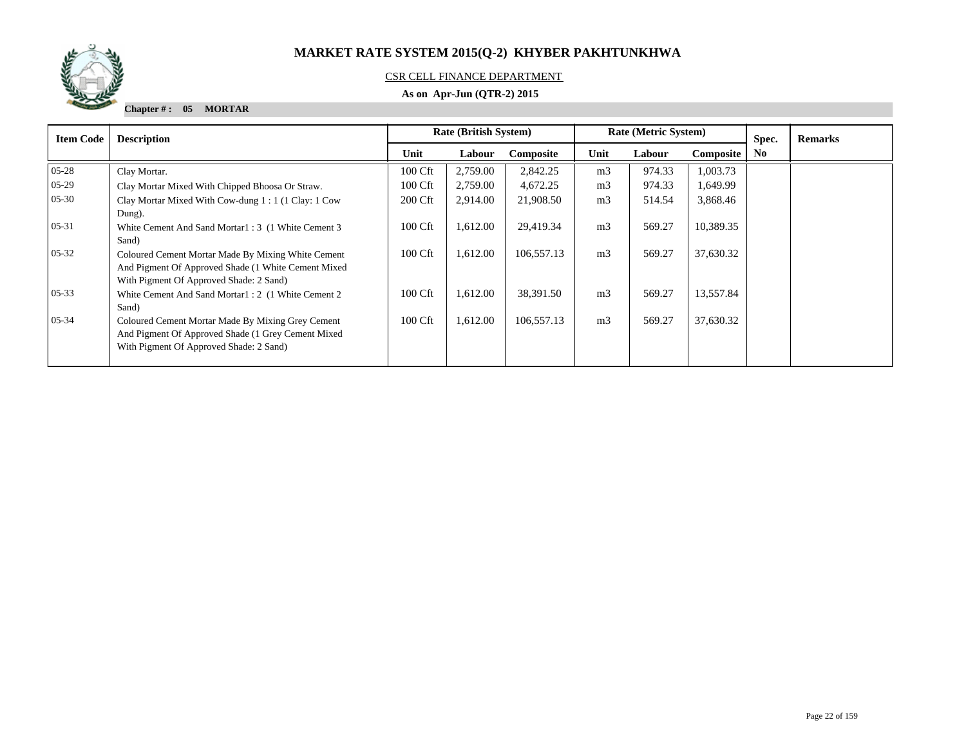

### CSR CELL FINANCE DEPARTMENT

### **As on Apr-Jun (QTR-2) 2015**

**Chapter # : 05 MORTAR**

| <b>Item Code</b> | <b>Description</b>                                                                                                                                    | <b>Rate (British System)</b> |          |            |                | Rate (Metric System) |           | Spec.          | <b>Remarks</b> |
|------------------|-------------------------------------------------------------------------------------------------------------------------------------------------------|------------------------------|----------|------------|----------------|----------------------|-----------|----------------|----------------|
|                  |                                                                                                                                                       | Unit                         | Labour   | Composite  | Unit           | Labour               | Composite | N <sub>0</sub> |                |
| $05 - 28$        | Clay Mortar.                                                                                                                                          | 100 Cft                      | 2,759.00 | 2,842.25   | m <sub>3</sub> | 974.33               | 1,003.73  |                |                |
| $05-29$          | Clay Mortar Mixed With Chipped Bhoosa Or Straw.                                                                                                       | 100 Cft                      | 2,759.00 | 4,672.25   | m <sub>3</sub> | 974.33               | 1,649.99  |                |                |
| $05 - 30$        | Clay Mortar Mixed With Cow-dung 1:1 (1 Clay: 1 Cow<br>Dung).                                                                                          | 200 Cft                      | 2,914.00 | 21,908.50  | m <sub>3</sub> | 514.54               | 3,868.46  |                |                |
| $05 - 31$        | White Cement And Sand Mortar1: 3 (1 White Cement 3)<br>Sand)                                                                                          | 100 Cft                      | 1,612.00 | 29,419.34  | m <sub>3</sub> | 569.27               | 10,389.35 |                |                |
| $05 - 32$        | Coloured Cement Mortar Made By Mixing White Cement<br>And Pigment Of Approved Shade (1 White Cement Mixed)<br>With Pigment Of Approved Shade: 2 Sand) | 100 Cft                      | 1,612.00 | 106,557.13 | m <sub>3</sub> | 569.27               | 37,630.32 |                |                |
| $05 - 33$        | White Cement And Sand Mortar1: 2 (1 White Cement 2)<br>Sand)                                                                                          | 100 Cft                      | 1,612.00 | 38,391.50  | m <sub>3</sub> | 569.27               | 13,557.84 |                |                |
| $05 - 34$        | Coloured Cement Mortar Made By Mixing Grey Cement<br>And Pigment Of Approved Shade (1 Grey Cement Mixed)<br>With Pigment Of Approved Shade: 2 Sand)   | 100 Cft                      | 1,612.00 | 106,557.13 | m <sub>3</sub> | 569.27               | 37,630.32 |                |                |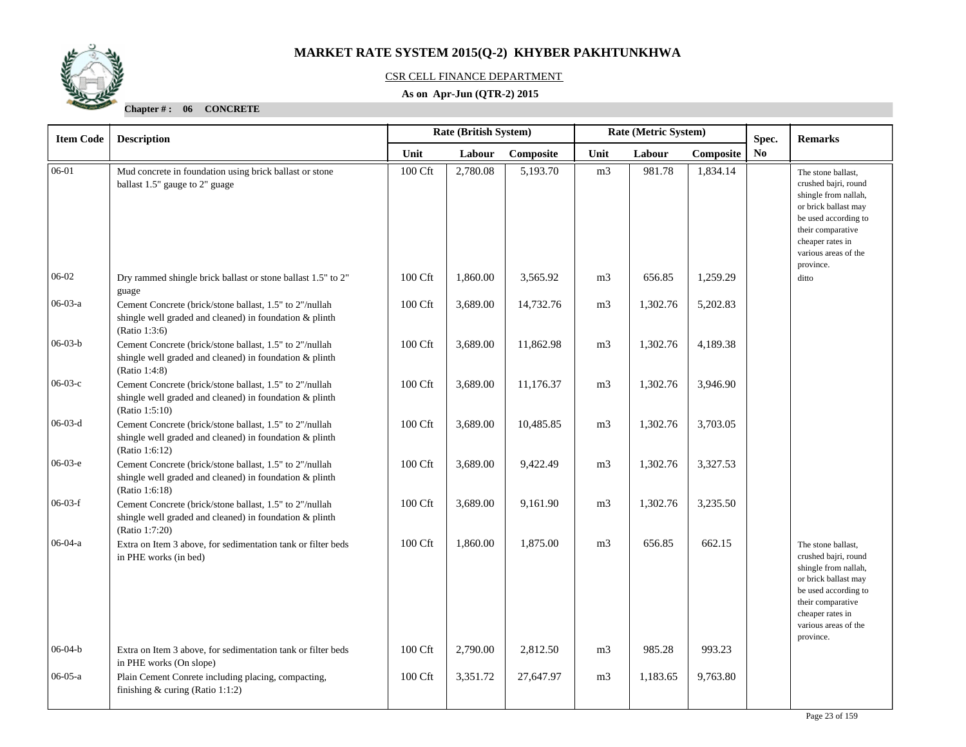

### CSR CELL FINANCE DEPARTMENT

### **As on Apr-Jun (QTR-2) 2015**

| <b>Item Code</b> | <b>Description</b>                                                                                                                   |         | <b>Rate (British System)</b><br>Rate (Metric System)<br>Spec. |           |                |          |          | <b>Remarks</b> |                                                                                                                                                                                                  |
|------------------|--------------------------------------------------------------------------------------------------------------------------------------|---------|---------------------------------------------------------------|-----------|----------------|----------|----------|----------------|--------------------------------------------------------------------------------------------------------------------------------------------------------------------------------------------------|
|                  | Unit<br>Labour<br>Labour<br>Composite<br>Unit                                                                                        |         |                                                               | Composite | No             |          |          |                |                                                                                                                                                                                                  |
| $06-01$          | Mud concrete in foundation using brick ballast or stone<br>ballast 1.5" gauge to 2" guage                                            | 100 Cft | 2,780.08                                                      | 5,193.70  | m <sub>3</sub> | 981.78   | 1,834.14 |                | The stone ballast,<br>crushed bajri, round<br>shingle from nallah,<br>or brick ballast may<br>be used according to<br>their comparative<br>cheaper rates in<br>various areas of the<br>province. |
| 06-02            | Dry rammed shingle brick ballast or stone ballast 1.5" to 2"<br>guage                                                                | 100 Cft | 1,860.00                                                      | 3,565.92  | m <sub>3</sub> | 656.85   | 1,259.29 |                | ditto                                                                                                                                                                                            |
| $06-03-a$        | Cement Concrete (brick/stone ballast, 1.5" to 2"/nullah<br>shingle well graded and cleaned) in foundation & plinth<br>(Ratio 1:3:6)  | 100 Cft | 3,689.00                                                      | 14,732.76 | m <sub>3</sub> | 1,302.76 | 5,202.83 |                |                                                                                                                                                                                                  |
| $06-03-b$        | Cement Concrete (brick/stone ballast, 1.5" to 2"/nullah<br>shingle well graded and cleaned) in foundation & plinth<br>(Ratio 1:4:8)  | 100 Cft | 3,689.00                                                      | 11,862.98 | m <sub>3</sub> | 1,302.76 | 4,189.38 |                |                                                                                                                                                                                                  |
| $06-03-c$        | Cement Concrete (brick/stone ballast, 1.5" to 2"/nullah<br>shingle well graded and cleaned) in foundation & plinth<br>(Ratio 1:5:10) | 100 Cft | 3,689.00                                                      | 11,176.37 | m <sub>3</sub> | 1,302.76 | 3,946.90 |                |                                                                                                                                                                                                  |
| $06-03-d$        | Cement Concrete (brick/stone ballast, 1.5" to 2"/nullah<br>shingle well graded and cleaned) in foundation & plinth<br>(Ratio 1:6:12) | 100 Cft | 3,689.00                                                      | 10,485.85 | m <sub>3</sub> | 1,302.76 | 3,703.05 |                |                                                                                                                                                                                                  |
| $06-03-e$        | Cement Concrete (brick/stone ballast, 1.5" to 2"/nullah<br>shingle well graded and cleaned) in foundation & plinth<br>(Ratio 1:6:18) | 100 Cft | 3,689.00                                                      | 9,422.49  | m <sub>3</sub> | 1,302.76 | 3,327.53 |                |                                                                                                                                                                                                  |
| $06-03-f$        | Cement Concrete (brick/stone ballast, 1.5" to 2"/nullah<br>shingle well graded and cleaned) in foundation & plinth<br>(Ratio 1:7:20) | 100 Cft | 3,689.00                                                      | 9,161.90  | m <sub>3</sub> | 1,302.76 | 3,235.50 |                |                                                                                                                                                                                                  |
| $06-04-a$        | Extra on Item 3 above, for sedimentation tank or filter beds<br>in PHE works (in bed)                                                | 100 Cft | 1,860.00                                                      | 1,875.00  | m <sub>3</sub> | 656.85   | 662.15   |                | The stone ballast,<br>crushed bajri, round<br>shingle from nallah,<br>or brick ballast may<br>be used according to<br>their comparative<br>cheaper rates in<br>various areas of the<br>province. |
| $06-04-b$        | Extra on Item 3 above, for sedimentation tank or filter beds<br>in PHE works (On slope)                                              | 100 Cft | 2,790.00                                                      | 2,812.50  | m <sub>3</sub> | 985.28   | 993.23   |                |                                                                                                                                                                                                  |
| $06-05-a$        | Plain Cement Conrete including placing, compacting,<br>finishing $&$ curing (Ratio 1:1:2)                                            | 100 Cft | 3,351.72                                                      | 27,647.97 | m <sub>3</sub> | 1,183.65 | 9,763.80 |                |                                                                                                                                                                                                  |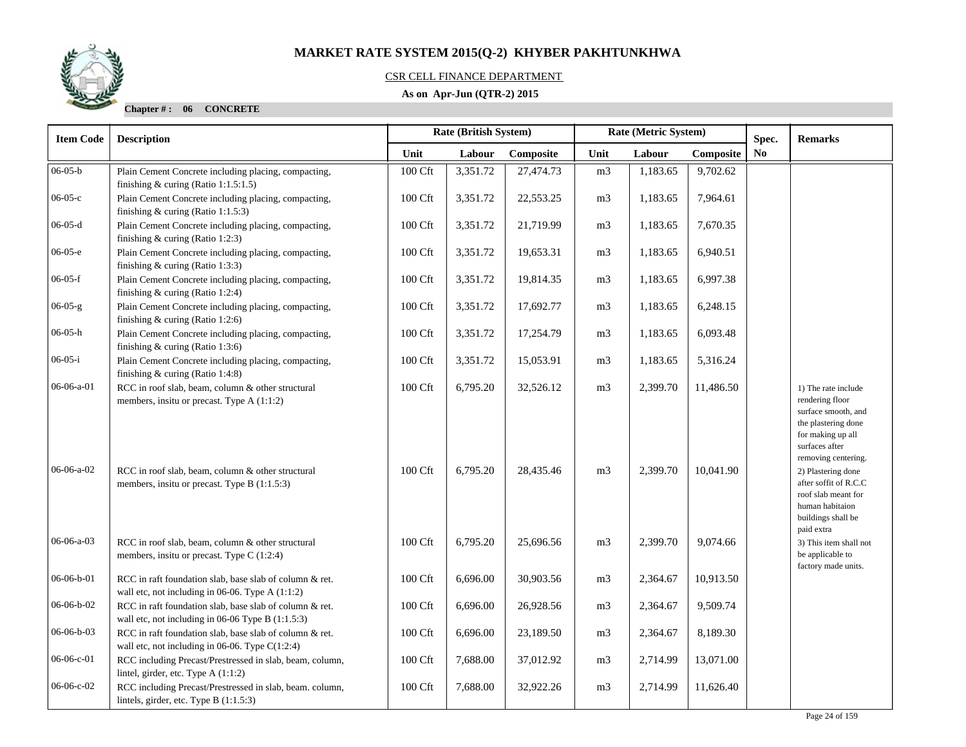

### CSR CELL FINANCE DEPARTMENT

### **As on Apr-Jun (QTR-2) 2015**

| <b>Item Code</b> | <b>Description</b>                                                                                           |                     | <b>Rate (British System)</b> |           |                | Rate (Metric System) | Spec.     | <b>Remarks</b> |                                                                                                                                                    |
|------------------|--------------------------------------------------------------------------------------------------------------|---------------------|------------------------------|-----------|----------------|----------------------|-----------|----------------|----------------------------------------------------------------------------------------------------------------------------------------------------|
|                  |                                                                                                              | Unit                | Labour                       | Composite | Unit           | Labour               | Composite | N <sub>0</sub> |                                                                                                                                                    |
| $06-05-b$        | Plain Cement Concrete including placing, compacting,<br>finishing $&$ curing (Ratio 1:1.5:1.5)               | 100 Cft             | 3,351.72                     | 27,474.73 | m <sub>3</sub> | 1,183.65             | 9,702.62  |                |                                                                                                                                                    |
| 06-05-с          | Plain Cement Concrete including placing, compacting,<br>finishing $&$ curing (Ratio 1:1.5:3)                 | 100 Cft             | 3,351.72                     | 22,553.25 | m <sub>3</sub> | 1,183.65             | 7,964.61  |                |                                                                                                                                                    |
| $06 - 05 - d$    | Plain Cement Concrete including placing, compacting,<br>finishing $&$ curing (Ratio 1:2:3)                   | 100 Cft             | 3,351.72                     | 21,719.99 | m <sub>3</sub> | 1,183.65             | 7,670.35  |                |                                                                                                                                                    |
| $06-05-e$        | Plain Cement Concrete including placing, compacting,<br>finishing & curing (Ratio 1:3:3)                     | 100 Cft             | 3,351.72                     | 19,653.31 | m <sub>3</sub> | 1,183.65             | 6,940.51  |                |                                                                                                                                                    |
| $06-05-f$        | Plain Cement Concrete including placing, compacting,<br>finishing & curing (Ratio 1:2:4)                     | 100 Cft             | 3,351.72                     | 19,814.35 | m <sub>3</sub> | 1,183.65             | 6,997.38  |                |                                                                                                                                                    |
| $06-05-g$        | Plain Cement Concrete including placing, compacting,<br>finishing & curing (Ratio 1:2:6)                     | 100 Cft             | 3,351.72                     | 17,692.77 | m <sub>3</sub> | 1,183.65             | 6,248.15  |                |                                                                                                                                                    |
| 06-05-h          | Plain Cement Concrete including placing, compacting,<br>finishing $&$ curing (Ratio 1:3:6)                   | 100 Cft             | 3,351.72                     | 17,254.79 | m <sub>3</sub> | 1,183.65             | 6,093.48  |                |                                                                                                                                                    |
| $06-05-i$        | Plain Cement Concrete including placing, compacting,<br>finishing & curing (Ratio 1:4:8)                     | 100 Cft             | 3,351.72                     | 15,053.91 | m <sub>3</sub> | 1,183.65             | 5,316.24  |                |                                                                                                                                                    |
| 06-06-a-01       | RCC in roof slab, beam, column & other structural<br>members, insitu or precast. Type A (1:1:2)              | $100\ \mathrm{Cft}$ | 6,795.20                     | 32,526.12 | m <sub>3</sub> | 2,399.70             | 11,486.50 |                | 1) The rate include<br>rendering floor<br>surface smooth, and<br>the plastering done<br>for making up all<br>surfaces after<br>removing centering. |
| 06-06-a-02       | RCC in roof slab, beam, column & other structural<br>members, insitu or precast. Type B (1:1.5:3)            | 100 Cft             | 6,795.20                     | 28,435.46 | m <sub>3</sub> | 2,399.70             | 10,041.90 |                | 2) Plastering done<br>after soffit of R.C.C<br>roof slab meant for<br>human habitaion<br>buildings shall be<br>paid extra                          |
| 06-06-a-03       | RCC in roof slab, beam, column & other structural<br>members, insitu or precast. Type C (1:2:4)              | 100 Cft             | 6,795.20                     | 25,696.56 | m <sub>3</sub> | 2,399.70             | 9,074.66  |                | 3) This item shall not<br>be applicable to<br>factory made units.                                                                                  |
| 06-06-b-01       | RCC in raft foundation slab, base slab of column & ret.<br>wall etc, not including in 06-06. Type A (1:1:2)  | $100\ \mathrm{Cft}$ | 6,696.00                     | 30,903.56 | m <sub>3</sub> | 2,364.67             | 10,913.50 |                |                                                                                                                                                    |
| 06-06-b-02       | RCC in raft foundation slab, base slab of column & ret.<br>wall etc, not including in 06-06 Type B (1:1.5:3) | 100 Cft             | 6,696.00                     | 26,928.56 | m3             | 2,364.67             | 9,509.74  |                |                                                                                                                                                    |
| 06-06-b-03       | RCC in raft foundation slab, base slab of column & ret.<br>wall etc, not including in 06-06. Type $C(1:2:4)$ | 100 Cft             | 6,696.00                     | 23,189.50 | m3             | 2,364.67             | 8,189.30  |                |                                                                                                                                                    |
| 06-06-с-01       | RCC including Precast/Prestressed in slab, beam, column,<br>lintel, girder, etc. Type A (1:1:2)              | 100 Cft             | 7,688.00                     | 37,012.92 | m <sub>3</sub> | 2,714.99             | 13,071.00 |                |                                                                                                                                                    |
| 06-06-с-02       | RCC including Precast/Prestressed in slab, beam. column,<br>lintels, girder, etc. Type B $(1:1.5:3)$         | 100 Cft             | 7,688.00                     | 32,922.26 | m <sub>3</sub> | 2,714.99             | 11,626.40 |                |                                                                                                                                                    |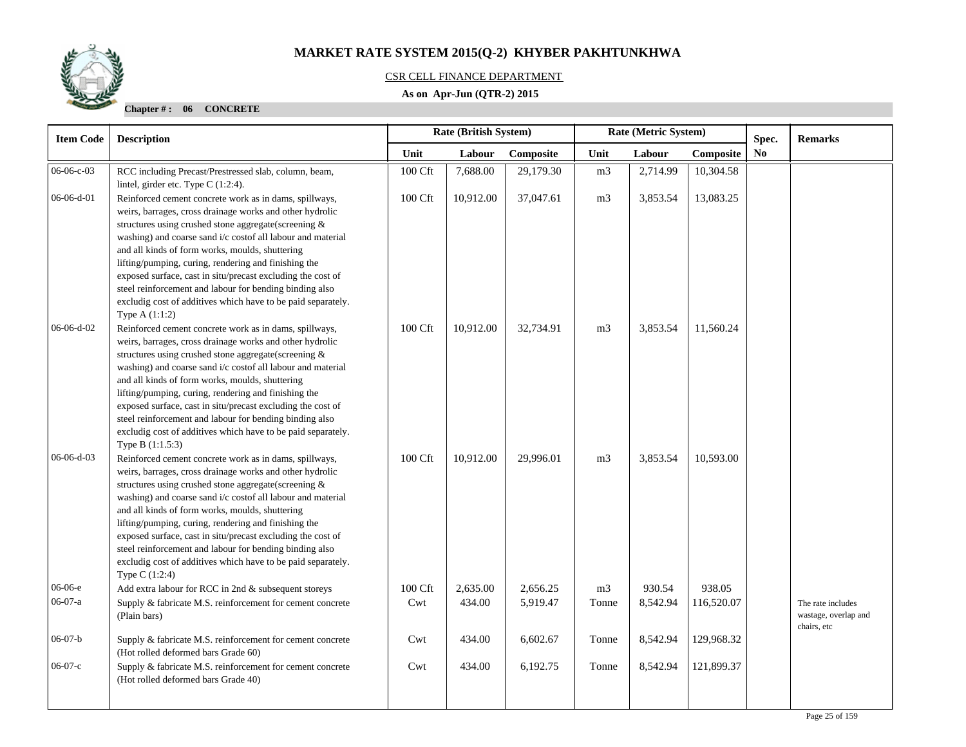

### CSR CELL FINANCE DEPARTMENT

### **As on Apr-Jun (QTR-2) 2015**

| <b>Item Code</b> | <b>Description</b>                                                                                                                                                                                                                                                                                                                                                                                                                                                                                                                                                 | Rate (British System)<br>Rate (Metric System)<br>Spec. |           |           |                |          | <b>Remarks</b> |                |                                                          |
|------------------|--------------------------------------------------------------------------------------------------------------------------------------------------------------------------------------------------------------------------------------------------------------------------------------------------------------------------------------------------------------------------------------------------------------------------------------------------------------------------------------------------------------------------------------------------------------------|--------------------------------------------------------|-----------|-----------|----------------|----------|----------------|----------------|----------------------------------------------------------|
|                  |                                                                                                                                                                                                                                                                                                                                                                                                                                                                                                                                                                    | Unit                                                   | Labour    | Composite | Unit           | Labour   | Composite      | N <sub>0</sub> |                                                          |
| 06-06-c-03       | RCC including Precast/Prestressed slab, column, beam,<br>lintel, girder etc. Type C (1:2:4).                                                                                                                                                                                                                                                                                                                                                                                                                                                                       | 100 Cft                                                | 7,688.00  | 29,179.30 | m <sub>3</sub> | 2,714.99 | 10,304.58      |                |                                                          |
| 06-06-d-01       | Reinforced cement concrete work as in dams, spillways,<br>weirs, barrages, cross drainage works and other hydrolic<br>structures using crushed stone aggregate(screening &<br>washing) and coarse sand i/c costof all labour and material<br>and all kinds of form works, moulds, shuttering<br>lifting/pumping, curing, rendering and finishing the<br>exposed surface, cast in situ/precast excluding the cost of<br>steel reinforcement and labour for bending binding also<br>excludig cost of additives which have to be paid separately.<br>Type $A(1:1:2)$  | 100 Cft                                                | 10,912.00 | 37,047.61 | m <sub>3</sub> | 3,853.54 | 13,083.25      |                |                                                          |
| 06-06-d-02       | Reinforced cement concrete work as in dams, spillways,<br>weirs, barrages, cross drainage works and other hydrolic<br>structures using crushed stone aggregate(screening &<br>washing) and coarse sand i/c costof all labour and material<br>and all kinds of form works, moulds, shuttering<br>lifting/pumping, curing, rendering and finishing the<br>exposed surface, cast in situ/precast excluding the cost of<br>steel reinforcement and labour for bending binding also<br>excludig cost of additives which have to be paid separately.<br>Type B (1:1.5:3) | 100 Cft                                                | 10,912.00 | 32,734.91 | m <sub>3</sub> | 3,853.54 | 11,560.24      |                |                                                          |
| 06-06-d-03       | Reinforced cement concrete work as in dams, spillways,<br>weirs, barrages, cross drainage works and other hydrolic<br>structures using crushed stone aggregate(screening &<br>washing) and coarse sand i/c costof all labour and material<br>and all kinds of form works, moulds, shuttering<br>lifting/pumping, curing, rendering and finishing the<br>exposed surface, cast in situ/precast excluding the cost of<br>steel reinforcement and labour for bending binding also<br>excludig cost of additives which have to be paid separately.<br>Type C (1:2:4)   | 100 Cft                                                | 10,912.00 | 29,996.01 | m <sub>3</sub> | 3,853.54 | 10,593.00      |                |                                                          |
| 06-06-е          | Add extra labour for RCC in 2nd & subsequent storeys                                                                                                                                                                                                                                                                                                                                                                                                                                                                                                               | 100 Cft                                                | 2,635.00  | 2,656.25  | m <sub>3</sub> | 930.54   | 938.05         |                |                                                          |
| 06-07-a          | Supply & fabricate M.S. reinforcement for cement concrete<br>(Plain bars)                                                                                                                                                                                                                                                                                                                                                                                                                                                                                          | Cwt                                                    | 434.00    | 5,919.47  | Tonne          | 8,542.94 | 116,520.07     |                | The rate includes<br>wastage, overlap and<br>chairs, etc |
| $06-07-b$        | Supply & fabricate M.S. reinforcement for cement concrete<br>(Hot rolled deformed bars Grade 60)                                                                                                                                                                                                                                                                                                                                                                                                                                                                   | Cwt                                                    | 434.00    | 6,602.67  | Tonne          | 8,542.94 | 129,968.32     |                |                                                          |
| $06-07-c$        | Supply & fabricate M.S. reinforcement for cement concrete<br>(Hot rolled deformed bars Grade 40)                                                                                                                                                                                                                                                                                                                                                                                                                                                                   | Cwt                                                    | 434.00    | 6,192.75  | Tonne          | 8,542.94 | 121,899.37     |                |                                                          |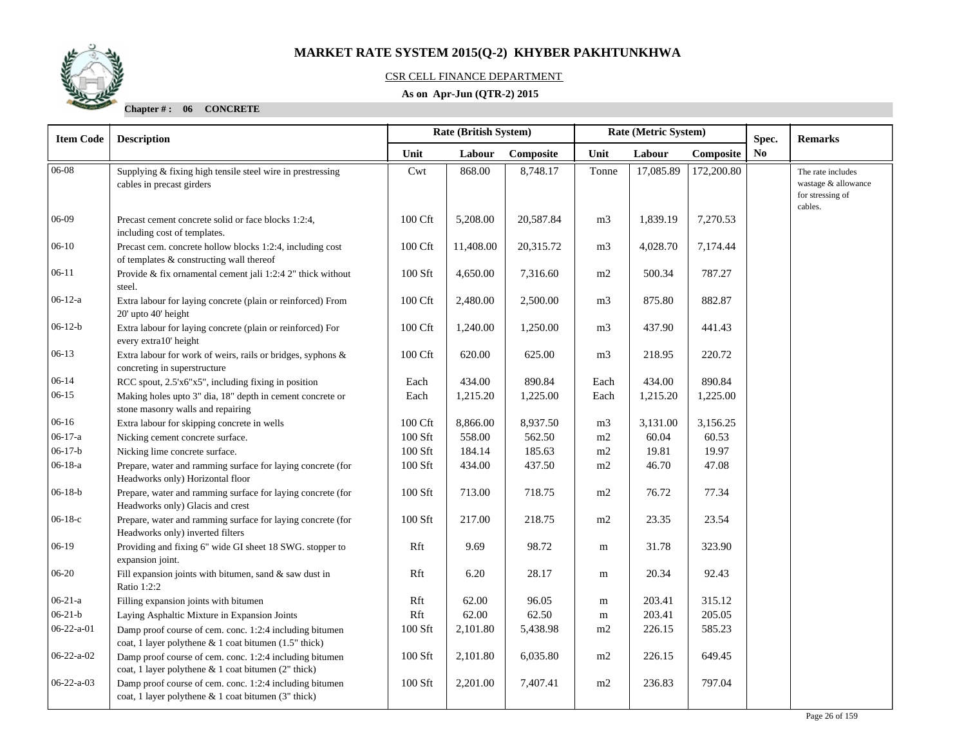

### CSR CELL FINANCE DEPARTMENT

### **As on Apr-Jun (QTR-2) 2015**

| <b>Item Code</b>   | <b>Rate (British System)</b><br>Rate (Metric System)<br><b>Description</b>                                       |                    |           |           | Spec.          | <b>Remarks</b> |            |    |                                                                         |
|--------------------|------------------------------------------------------------------------------------------------------------------|--------------------|-----------|-----------|----------------|----------------|------------|----|-------------------------------------------------------------------------|
|                    |                                                                                                                  | Unit               | Labour    | Composite | Unit           | Labour         | Composite  | No |                                                                         |
| 06-08              | Supplying & fixing high tensile steel wire in prestressing<br>cables in precast girders                          | Cwt                | 868.00    | 8,748.17  | Tonne          | 17,085.89      | 172,200.80 |    | The rate includes<br>wastage & allowance<br>for stressing of<br>cables. |
| 06-09              | Precast cement concrete solid or face blocks 1:2:4,<br>including cost of templates.                              | 100 Cft            | 5,208.00  | 20,587.84 | m <sub>3</sub> | 1,839.19       | 7,270.53   |    |                                                                         |
| $06-10$            | Precast cem. concrete hollow blocks 1:2:4, including cost<br>of templates & constructing wall thereof            | 100 Cft            | 11,408.00 | 20,315.72 | m <sub>3</sub> | 4,028.70       | 7,174.44   |    |                                                                         |
| $06-11$            | Provide & fix ornamental cement jali 1:2:4 2" thick without<br>steel.                                            | 100 Sft            | 4,650.00  | 7,316.60  | m2             | 500.34         | 787.27     |    |                                                                         |
| $06-12-a$          | Extra labour for laying concrete (plain or reinforced) From<br>20' upto 40' height                               | 100 Cft            | 2,480.00  | 2,500.00  | m <sub>3</sub> | 875.80         | 882.87     |    |                                                                         |
| $06-12-b$          | Extra labour for laying concrete (plain or reinforced) For<br>every extra10' height                              | 100 Cft            | 1,240.00  | 1,250.00  | m <sub>3</sub> | 437.90         | 441.43     |    |                                                                         |
| $06-13$            | Extra labour for work of weirs, rails or bridges, syphons &<br>concreting in superstructure                      | 100 Cft            | 620.00    | 625.00    | m <sub>3</sub> | 218.95         | 220.72     |    |                                                                         |
| $06 - 14$          | RCC spout, 2.5'x6"x5", including fixing in position                                                              | Each               | 434.00    | 890.84    | Each           | 434.00         | 890.84     |    |                                                                         |
| $06-15$            | Making holes upto 3" dia, 18" depth in cement concrete or<br>stone masonry walls and repairing                   | Each               | 1,215.20  | 1,225.00  | Each           | 1,215.20       | 1,225.00   |    |                                                                         |
| $06-16$            | Extra labour for skipping concrete in wells                                                                      | $100 \mathrm{Cft}$ | 8,866.00  | 8,937.50  | m <sub>3</sub> | 3,131.00       | 3,156.25   |    |                                                                         |
| $06-17-a$          | Nicking cement concrete surface.                                                                                 | 100 Sft            | 558.00    | 562.50    | m2             | 60.04          | 60.53      |    |                                                                         |
| $06-17-b$          | Nicking lime concrete surface.                                                                                   | 100 Sft            | 184.14    | 185.63    | $\rm m2$       | 19.81          | 19.97      |    |                                                                         |
| $06-18-a$          | Prepare, water and ramming surface for laying concrete (for<br>Headworks only) Horizontal floor                  | 100 Sft            | 434.00    | 437.50    | m2             | 46.70          | 47.08      |    |                                                                         |
| $06-18-b$          | Prepare, water and ramming surface for laying concrete (for<br>Headworks only) Glacis and crest                  | 100 Sft            | 713.00    | 718.75    | m2             | 76.72          | 77.34      |    |                                                                         |
| $06-18-c$          | Prepare, water and ramming surface for laying concrete (for<br>Headworks only) inverted filters                  | 100 Sft            | 217.00    | 218.75    | m2             | 23.35          | 23.54      |    |                                                                         |
| $06-19$            | Providing and fixing 6" wide GI sheet 18 SWG. stopper to<br>expansion joint.                                     | Rft                | 9.69      | 98.72     | m              | 31.78          | 323.90     |    |                                                                         |
| 06-20              | Fill expansion joints with bitumen, sand $&$ saw dust in<br>Ratio 1:2:2                                          | Rft                | 6.20      | 28.17     | m              | 20.34          | 92.43      |    |                                                                         |
| $06 - 21 - a$      | Filling expansion joints with bitumen                                                                            | Rft                | 62.00     | 96.05     | m              | 203.41         | 315.12     |    |                                                                         |
| $06 - 21 - b$      | Laying Asphaltic Mixture in Expansion Joints                                                                     | Rft                | 62.00     | 62.50     | m              | 203.41         | 205.05     |    |                                                                         |
| $06 - 22 - a - 01$ | Damp proof course of cem. conc. 1:2:4 including bitumen<br>coat, 1 layer polythene & 1 coat bitumen (1.5" thick) | 100 Sft            | 2,101.80  | 5,438.98  | m2             | 226.15         | 585.23     |    |                                                                         |
| $06 - 22 - a - 02$ | Damp proof course of cem. conc. 1:2:4 including bitumen<br>coat, 1 layer polythene & 1 coat bitumen (2" thick)   | 100 Sft            | 2,101.80  | 6,035.80  | m2             | 226.15         | 649.45     |    |                                                                         |
| $06 - 22 - a - 03$ | Damp proof course of cem. conc. 1:2:4 including bitumen<br>coat, 1 layer polythene $& 1$ coat bitumen (3" thick) | 100 Sft            | 2,201.00  | 7,407.41  | m2             | 236.83         | 797.04     |    |                                                                         |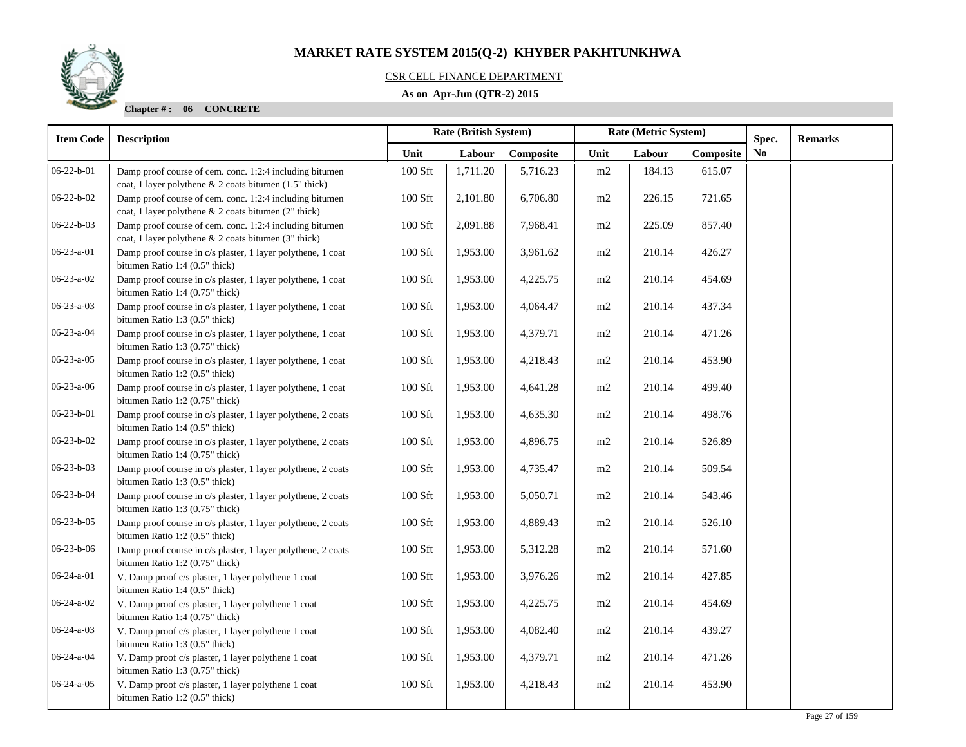### CSR CELL FINANCE DEPARTMENT

### **As on Apr-Jun (QTR-2) 2015**

| <b>Item Code</b>   | <b>Description</b>                                                                                                | Rate (British System) |          |           |                | Rate (Metric System) |           | Spec.          | <b>Remarks</b> |
|--------------------|-------------------------------------------------------------------------------------------------------------------|-----------------------|----------|-----------|----------------|----------------------|-----------|----------------|----------------|
|                    |                                                                                                                   | Unit                  | Labour   | Composite | Unit           | Labour               | Composite | N <sub>0</sub> |                |
| $06 - 22 - b - 01$ | Damp proof course of cem. conc. 1:2:4 including bitumen<br>coat, 1 layer polythene & 2 coats bitumen (1.5" thick) | 100 Sft               | 1,711.20 | 5,716.23  | m2             | 184.13               | 615.07    |                |                |
| 06-22-b-02         | Damp proof course of cem. conc. 1:2:4 including bitumen<br>coat, 1 layer polythene & 2 coats bitumen (2" thick)   | 100 Sft               | 2,101.80 | 6,706.80  | m2             | 226.15               | 721.65    |                |                |
| $06 - 22 - b - 03$ | Damp proof course of cem. conc. 1:2:4 including bitumen<br>coat, 1 layer polythene & 2 coats bitumen (3" thick)   | 100 Sft               | 2,091.88 | 7,968.41  | m2             | 225.09               | 857.40    |                |                |
| 06-23-a-01         | Damp proof course in c/s plaster, 1 layer polythene, 1 coat<br>bitumen Ratio 1:4 (0.5" thick)                     | 100 Sft               | 1,953.00 | 3,961.62  | m2             | 210.14               | 426.27    |                |                |
| 06-23-a-02         | Damp proof course in c/s plaster, 1 layer polythene, 1 coat<br>bitumen Ratio 1:4 (0.75" thick)                    | $100$ Sft             | 1,953.00 | 4,225.75  | m2             | 210.14               | 454.69    |                |                |
| 06-23-a-03         | Damp proof course in c/s plaster, 1 layer polythene, 1 coat<br>bitumen Ratio 1:3 (0.5" thick)                     | 100 Sft               | 1,953.00 | 4,064.47  | m2             | 210.14               | 437.34    |                |                |
| 06-23-a-04         | Damp proof course in c/s plaster, 1 layer polythene, 1 coat<br>bitumen Ratio 1:3 (0.75" thick)                    | 100 Sft               | 1,953.00 | 4,379.71  | m2             | 210.14               | 471.26    |                |                |
| $06 - 23 - a - 05$ | Damp proof course in c/s plaster, 1 layer polythene, 1 coat<br>bitumen Ratio 1:2 (0.5" thick)                     | 100 Sft               | 1,953.00 | 4,218.43  | $\rm m2$       | 210.14               | 453.90    |                |                |
| $06-23-a-06$       | Damp proof course in c/s plaster, 1 layer polythene, 1 coat<br>bitumen Ratio 1:2 (0.75" thick)                    | 100 Sft               | 1,953.00 | 4,641.28  | m2             | 210.14               | 499.40    |                |                |
| 06-23-b-01         | Damp proof course in c/s plaster, 1 layer polythene, 2 coats<br>bitumen Ratio 1:4 (0.5" thick)                    | 100 Sft               | 1,953.00 | 4,635.30  | m <sub>2</sub> | 210.14               | 498.76    |                |                |
| 06-23-b-02         | Damp proof course in c/s plaster, 1 layer polythene, 2 coats<br>bitumen Ratio 1:4 (0.75" thick)                   | 100 Sft               | 1,953.00 | 4,896.75  | m2             | 210.14               | 526.89    |                |                |
| 06-23-b-03         | Damp proof course in c/s plaster, 1 layer polythene, 2 coats<br>bitumen Ratio 1:3 (0.5" thick)                    | 100 Sft               | 1,953.00 | 4,735.47  | m2             | 210.14               | 509.54    |                |                |
| 06-23-b-04         | Damp proof course in c/s plaster, 1 layer polythene, 2 coats<br>bitumen Ratio 1:3 (0.75" thick)                   | 100 Sft               | 1,953.00 | 5,050.71  | m2             | 210.14               | 543.46    |                |                |
| 06-23-b-05         | Damp proof course in c/s plaster, 1 layer polythene, 2 coats<br>bitumen Ratio 1:2 (0.5" thick)                    | 100 Sft               | 1,953.00 | 4,889.43  | m2             | 210.14               | 526.10    |                |                |
| 06-23-b-06         | Damp proof course in c/s plaster, 1 layer polythene, 2 coats<br>bitumen Ratio 1:2 (0.75" thick)                   | 100 Sft               | 1,953.00 | 5,312.28  | m2             | 210.14               | 571.60    |                |                |
| $06-24-a-01$       | V. Damp proof c/s plaster, 1 layer polythene 1 coat<br>bitumen Ratio 1:4 (0.5" thick)                             | 100 Sft               | 1,953.00 | 3,976.26  | m2             | 210.14               | 427.85    |                |                |
| 06-24-a-02         | V. Damp proof c/s plaster, 1 layer polythene 1 coat<br>bitumen Ratio 1:4 (0.75" thick)                            | 100 Sft               | 1,953.00 | 4,225.75  | m2             | 210.14               | 454.69    |                |                |
| $06 - 24 - a - 03$ | V. Damp proof c/s plaster, 1 layer polythene 1 coat<br>bitumen Ratio 1:3 (0.5" thick)                             | 100 Sft               | 1,953.00 | 4,082.40  | m2             | 210.14               | 439.27    |                |                |
| 06-24-a-04         | V. Damp proof c/s plaster, 1 layer polythene 1 coat<br>bitumen Ratio 1:3 (0.75" thick)                            | 100 Sft               | 1,953.00 | 4,379.71  | m2             | 210.14               | 471.26    |                |                |
| $06-24-a-05$       | V. Damp proof c/s plaster, 1 layer polythene 1 coat<br>bitumen Ratio 1:2 (0.5" thick)                             | 100 Sft               | 1,953.00 | 4,218.43  | m2             | 210.14               | 453.90    |                |                |

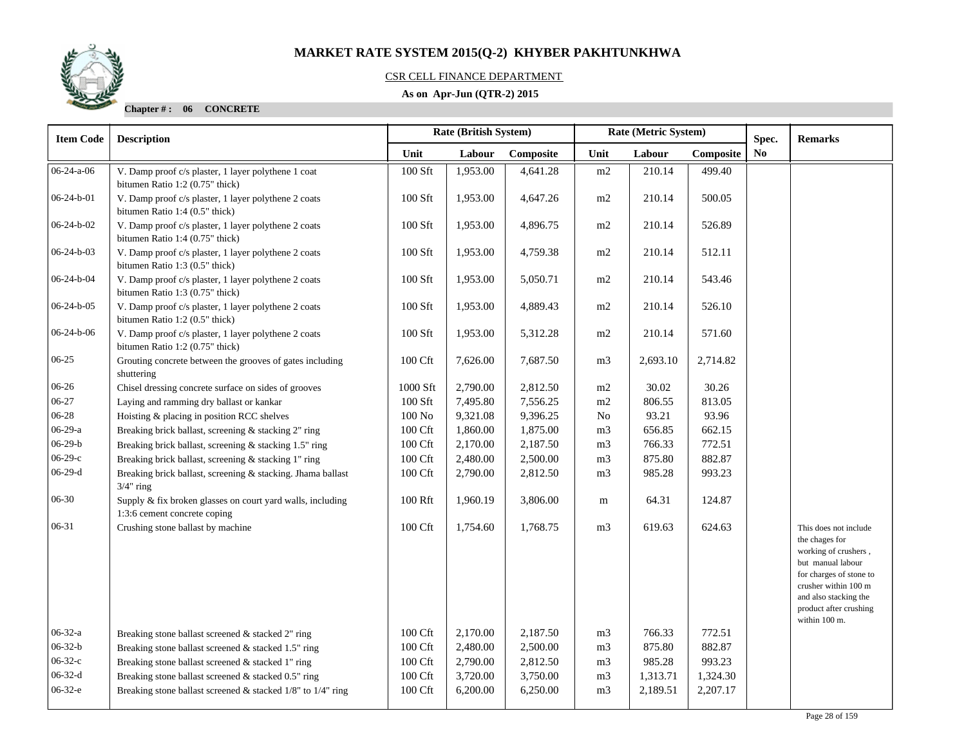

### CSR CELL FINANCE DEPARTMENT

### **As on Apr-Jun (QTR-2) 2015**

| <b>Item Code</b>   | <b>Description</b>                                                                         |                     | <b>Rate (British System)</b><br>Rate (Metric System)<br>Spec. |           |                |          |           | <b>Remarks</b> |                                                                                                                                                                                                             |
|--------------------|--------------------------------------------------------------------------------------------|---------------------|---------------------------------------------------------------|-----------|----------------|----------|-----------|----------------|-------------------------------------------------------------------------------------------------------------------------------------------------------------------------------------------------------------|
|                    |                                                                                            | Unit                | Labour                                                        | Composite | Unit           | Labour   | Composite | No             |                                                                                                                                                                                                             |
| $06 - 24 - a - 06$ | V. Damp proof c/s plaster, 1 layer polythene 1 coat<br>bitumen Ratio 1:2 (0.75" thick)     | 100 Sft             | 1,953.00                                                      | 4,641.28  | m2             | 210.14   | 499.40    |                |                                                                                                                                                                                                             |
| $06-24-b-01$       | V. Damp proof c/s plaster, 1 layer polythene 2 coats<br>bitumen Ratio 1:4 (0.5" thick)     | $100$ Sft           | 1,953.00                                                      | 4,647.26  | m2             | 210.14   | 500.05    |                |                                                                                                                                                                                                             |
| $06-24-b-02$       | V. Damp proof c/s plaster, 1 layer polythene 2 coats<br>bitumen Ratio 1:4 (0.75" thick)    | 100 Sft             | 1,953.00                                                      | 4,896.75  | m2             | 210.14   | 526.89    |                |                                                                                                                                                                                                             |
| $06 - 24 - b - 03$ | V. Damp proof c/s plaster, 1 layer polythene 2 coats<br>bitumen Ratio 1:3 (0.5" thick)     | 100 Sft             | 1,953.00                                                      | 4,759.38  | m2             | 210.14   | 512.11    |                |                                                                                                                                                                                                             |
| $06-24-b-04$       | V. Damp proof c/s plaster, 1 layer polythene 2 coats<br>bitumen Ratio 1:3 (0.75" thick)    | 100 Sft             | 1,953.00                                                      | 5,050.71  | m2             | 210.14   | 543.46    |                |                                                                                                                                                                                                             |
| $06 - 24 - b - 05$ | V. Damp proof c/s plaster, 1 layer polythene 2 coats<br>bitumen Ratio 1:2 (0.5" thick)     | 100 Sft             | 1,953.00                                                      | 4,889.43  | m2             | 210.14   | 526.10    |                |                                                                                                                                                                                                             |
| $06-24-b-06$       | V. Damp proof c/s plaster, 1 layer polythene 2 coats<br>bitumen Ratio 1:2 (0.75" thick)    | 100 Sft             | 1,953.00                                                      | 5,312.28  | $\rm m2$       | 210.14   | 571.60    |                |                                                                                                                                                                                                             |
| $06-25$            | Grouting concrete between the grooves of gates including<br>shuttering                     | $100\ \mathrm{Cft}$ | 7,626.00                                                      | 7,687.50  | m3             | 2,693.10 | 2,714.82  |                |                                                                                                                                                                                                             |
| $06-26$            | Chisel dressing concrete surface on sides of grooves                                       | 1000 Sft            | 2,790.00                                                      | 2,812.50  | m2             | 30.02    | 30.26     |                |                                                                                                                                                                                                             |
| $06-27$            | Laying and ramming dry ballast or kankar                                                   | 100 Sft             | 7,495.80                                                      | 7,556.25  | m2             | 806.55   | 813.05    |                |                                                                                                                                                                                                             |
| 06-28              | Hoisting & placing in position RCC shelves                                                 | $100$ No            | 9,321.08                                                      | 9,396.25  | No             | 93.21    | 93.96     |                |                                                                                                                                                                                                             |
| $06-29-a$          | Breaking brick ballast, screening & stacking 2" ring                                       | $100\ \mathrm{Cft}$ | 1,860.00                                                      | 1,875.00  | m <sub>3</sub> | 656.85   | 662.15    |                |                                                                                                                                                                                                             |
| $06 - 29 - b$      | Breaking brick ballast, screening & stacking 1.5" ring                                     | $100\ \mathrm{Cft}$ | 2,170.00                                                      | 2,187.50  | m <sub>3</sub> | 766.33   | 772.51    |                |                                                                                                                                                                                                             |
| $06-29-c$          | Breaking brick ballast, screening & stacking 1" ring                                       | 100 Cft             | 2,480.00                                                      | 2,500.00  | m <sub>3</sub> | 875.80   | 882.87    |                |                                                                                                                                                                                                             |
| $06-29-d$          | Breaking brick ballast, screening & stacking. Jhama ballast<br>$3/4"$ ring                 | 100 Cft             | 2,790.00                                                      | 2,812.50  | m <sub>3</sub> | 985.28   | 993.23    |                |                                                                                                                                                                                                             |
| $06 - 30$          | Supply & fix broken glasses on court yard walls, including<br>1:3:6 cement concrete coping | 100 Rft             | 1,960.19                                                      | 3,806.00  | m              | 64.31    | 124.87    |                |                                                                                                                                                                                                             |
| 06-31              | Crushing stone ballast by machine                                                          | 100 Cft             | 1,754.60                                                      | 1,768.75  | m <sub>3</sub> | 619.63   | 624.63    |                | This does not include<br>the chages for<br>working of crushers,<br>but manual labour<br>for charges of stone to<br>crusher within 100 m<br>and also stacking the<br>product after crushing<br>within 100 m. |
| $06 - 32 - a$      | Breaking stone ballast screened & stacked 2" ring                                          | 100 Cft             | 2,170.00                                                      | 2,187.50  | m <sub>3</sub> | 766.33   | 772.51    |                |                                                                                                                                                                                                             |
| $06 - 32 - b$      | Breaking stone ballast screened & stacked 1.5" ring                                        | 100 Cft             | 2,480.00                                                      | 2,500.00  | m <sub>3</sub> | 875.80   | 882.87    |                |                                                                                                                                                                                                             |
| $06 - 32 - c$      | Breaking stone ballast screened & stacked 1" ring                                          | 100 Cft             | 2,790.00                                                      | 2,812.50  | m <sub>3</sub> | 985.28   | 993.23    |                |                                                                                                                                                                                                             |
| $06-32-d$          | Breaking stone ballast screened $&$ stacked 0.5" ring                                      | 100 Cft             | 3,720.00                                                      | 3,750.00  | m <sub>3</sub> | 1,313.71 | 1,324.30  |                |                                                                                                                                                                                                             |
| $06-32-e$          | Breaking stone ballast screened $&$ stacked 1/8" to 1/4" ring                              | 100 Cft             | 6,200.00                                                      | 6,250.00  | m <sub>3</sub> | 2,189.51 | 2,207.17  |                |                                                                                                                                                                                                             |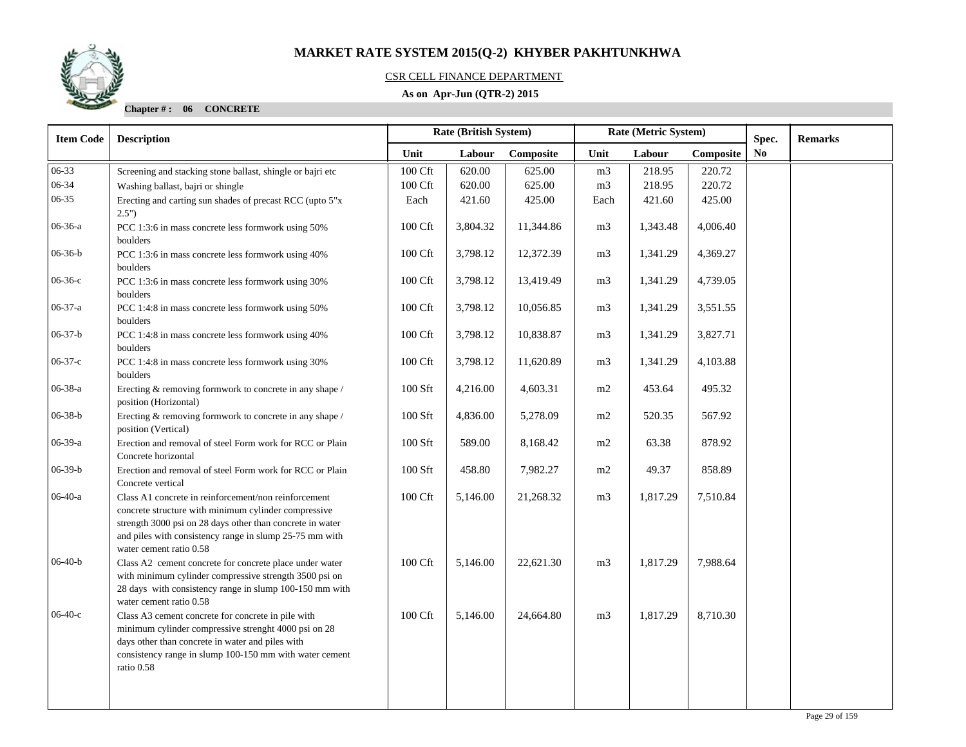

### CSR CELL FINANCE DEPARTMENT

### **As on Apr-Jun (QTR-2) 2015**

| <b>Item Code</b> | <b>Description</b>                                                                                                                                                                                                                                              |                  | <b>Rate (British System)</b> |           | Rate (Metric System) |          | Spec.     | <b>Remarks</b> |  |
|------------------|-----------------------------------------------------------------------------------------------------------------------------------------------------------------------------------------------------------------------------------------------------------------|------------------|------------------------------|-----------|----------------------|----------|-----------|----------------|--|
|                  |                                                                                                                                                                                                                                                                 | Unit             | Labour                       | Composite | Unit                 | Labour   | Composite | N <sub>0</sub> |  |
| 06-33            | Screening and stacking stone ballast, shingle or bajri etc                                                                                                                                                                                                      | 100 Cft          | 620.00                       | 625.00    | m <sub>3</sub>       | 218.95   | 220.72    |                |  |
| 06-34            | Washing ballast, bajri or shingle                                                                                                                                                                                                                               | 100 Cft          | 620.00                       | 625.00    | m <sub>3</sub>       | 218.95   | 220.72    |                |  |
| $06 - 35$        | Erecting and carting sun shades of precast RCC (upto 5"x<br>2.5"                                                                                                                                                                                                | Each             | 421.60                       | 425.00    | Each                 | 421.60   | 425.00    |                |  |
| 06-36-a          | PCC 1:3:6 in mass concrete less formwork using 50%<br>boulders                                                                                                                                                                                                  | 100 Cft          | 3,804.32                     | 11,344.86 | m <sub>3</sub>       | 1,343.48 | 4,006.40  |                |  |
| $06-36-b$        | PCC 1:3:6 in mass concrete less formwork using 40%<br>boulders                                                                                                                                                                                                  | 100 Cft          | 3,798.12                     | 12,372.39 | m <sub>3</sub>       | 1,341.29 | 4,369.27  |                |  |
| $06-36-c$        | PCC 1:3:6 in mass concrete less formwork using 30%<br>boulders                                                                                                                                                                                                  | 100 Cft          | 3,798.12                     | 13,419.49 | m <sub>3</sub>       | 1,341.29 | 4,739.05  |                |  |
| $06-37-a$        | PCC 1:4:8 in mass concrete less formwork using 50%<br>boulders                                                                                                                                                                                                  | 100 Cft          | 3,798.12                     | 10,056.85 | m <sub>3</sub>       | 1,341.29 | 3,551.55  |                |  |
| $06-37-b$        | PCC 1:4:8 in mass concrete less formwork using 40%<br>boulders                                                                                                                                                                                                  | 100 Cft          | 3,798.12                     | 10,838.87 | m <sub>3</sub>       | 1,341.29 | 3,827.71  |                |  |
| $06 - 37 - c$    | PCC 1:4:8 in mass concrete less formwork using 30%<br>boulders                                                                                                                                                                                                  | 100 Cft          | 3,798.12                     | 11,620.89 | m <sub>3</sub>       | 1,341.29 | 4,103.88  |                |  |
| 06-38-a          | Erecting & removing formwork to concrete in any shape /<br>position (Horizontal)                                                                                                                                                                                | $100$ Sft        | 4,216.00                     | 4,603.31  | m2                   | 453.64   | 495.32    |                |  |
| $06 - 38 - b$    | Erecting & removing formwork to concrete in any shape /<br>position (Vertical)                                                                                                                                                                                  | 100 Sft          | 4,836.00                     | 5,278.09  | m2                   | 520.35   | 567.92    |                |  |
| $06-39-a$        | Erection and removal of steel Form work for RCC or Plain<br>Concrete horizontal                                                                                                                                                                                 | 100 Sft          | 589.00                       | 8,168.42  | m2                   | 63.38    | 878.92    |                |  |
| $06 - 39 - b$    | Erection and removal of steel Form work for RCC or Plain<br>Concrete vertical                                                                                                                                                                                   | $100\;{\rm Sft}$ | 458.80                       | 7,982.27  | m2                   | 49.37    | 858.89    |                |  |
| $06-40-a$        | Class A1 concrete in reinforcement/non reinforcement<br>concrete structure with minimum cylinder compressive<br>strength 3000 psi on 28 days other than concrete in water<br>and piles with consistency range in slump 25-75 mm with<br>water cement ratio 0.58 | 100 Cft          | 5,146.00                     | 21,268.32 | m <sub>3</sub>       | 1,817.29 | 7,510.84  |                |  |
| $06-40-b$        | Class A2 cement concrete for concrete place under water<br>with minimum cylinder compressive strength 3500 psi on<br>28 days with consistency range in slump 100-150 mm with<br>water cement ratio 0.58                                                         | 100 Cft          | 5,146.00                     | 22,621.30 | m <sub>3</sub>       | 1,817.29 | 7,988.64  |                |  |
| $06-40-c$        | Class A3 cement concrete for concrete in pile with<br>minimum cylinder compressive strenght 4000 psi on 28<br>days other than concrete in water and piles with<br>consistency range in slump 100-150 mm with water cement<br>ratio 0.58                         | 100 Cft          | 5,146.00                     | 24,664.80 | m <sub>3</sub>       | 1,817.29 | 8,710.30  |                |  |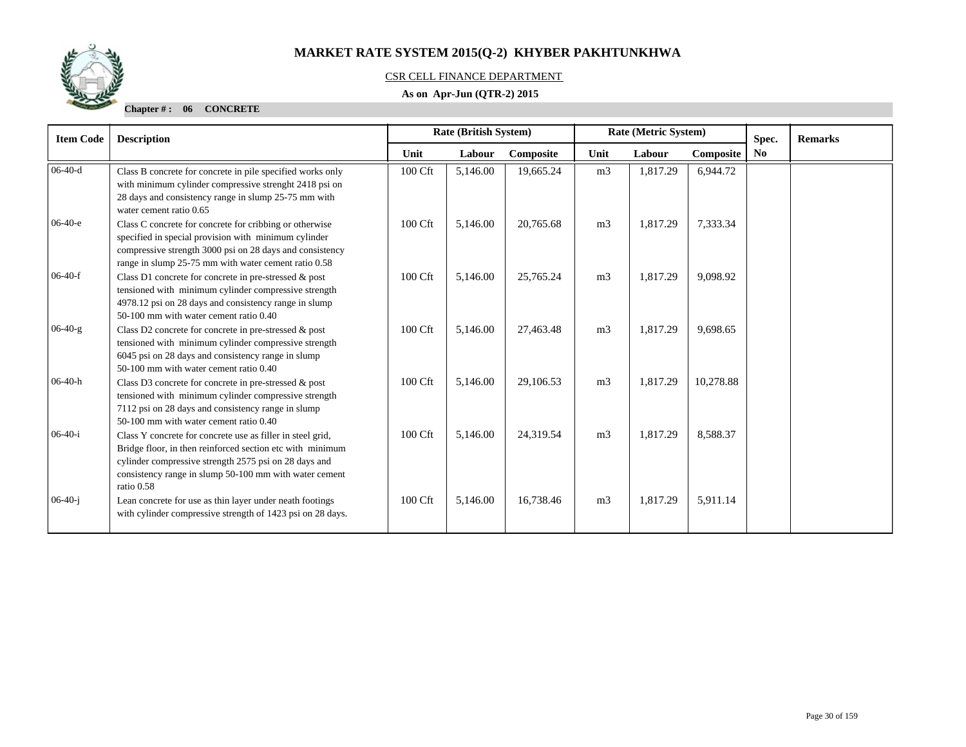

### CSR CELL FINANCE DEPARTMENT

### **As on Apr-Jun (QTR-2) 2015**

| <b>Item Code</b> | <b>Description</b>                                                                                                                                                                                                                                       | <b>Rate (British System)</b><br>Rate (Metric System) |          |           | Spec.          | <b>Remarks</b> |           |                |  |
|------------------|----------------------------------------------------------------------------------------------------------------------------------------------------------------------------------------------------------------------------------------------------------|------------------------------------------------------|----------|-----------|----------------|----------------|-----------|----------------|--|
|                  |                                                                                                                                                                                                                                                          | Unit                                                 | Labour   | Composite | Unit           | Labour         | Composite | N <sub>0</sub> |  |
| $06-40-d$        | Class B concrete for concrete in pile specified works only<br>with minimum cylinder compressive strenght 2418 psi on<br>28 days and consistency range in slump 25-75 mm with<br>water cement ratio 0.65                                                  | 100 Cft                                              | 5,146.00 | 19,665.24 | m <sub>3</sub> | 1,817.29       | 6,944.72  |                |  |
| $06-40-e$        | Class C concrete for concrete for cribbing or otherwise<br>specified in special provision with minimum cylinder<br>compressive strength 3000 psi on 28 days and consistency<br>range in slump 25-75 mm with water cement ratio 0.58                      | 100 Cft                                              | 5,146.00 | 20,765.68 | m <sub>3</sub> | 1,817.29       | 7,333.34  |                |  |
| $06-40-f$        | Class D1 concrete for concrete in pre-stressed & post<br>tensioned with minimum cylinder compressive strength<br>4978.12 psi on 28 days and consistency range in slump<br>50-100 mm with water cement ratio 0.40                                         | 100 Cft                                              | 5,146.00 | 25,765.24 | m <sub>3</sub> | 1,817.29       | 9,098.92  |                |  |
| $06-40-g$        | Class D2 concrete for concrete in pre-stressed & post<br>tensioned with minimum cylinder compressive strength<br>6045 psi on 28 days and consistency range in slump<br>50-100 mm with water cement ratio 0.40                                            | 100 Cft                                              | 5,146.00 | 27,463.48 | m <sub>3</sub> | 1,817.29       | 9,698.65  |                |  |
| $06-40-h$        | Class D3 concrete for concrete in pre-stressed & post<br>tensioned with minimum cylinder compressive strength<br>7112 psi on 28 days and consistency range in slump<br>50-100 mm with water cement ratio 0.40                                            | 100 Cft                                              | 5,146.00 | 29,106.53 | m <sub>3</sub> | 1,817.29       | 10,278.88 |                |  |
| $06-40-i$        | Class Y concrete for concrete use as filler in steel grid,<br>Bridge floor, in then reinforced section etc with minimum<br>cylinder compressive strength 2575 psi on 28 days and<br>consistency range in slump 50-100 mm with water cement<br>ratio 0.58 | 100 Cft                                              | 5,146.00 | 24,319.54 | m <sub>3</sub> | 1,817.29       | 8,588.37  |                |  |
| $06-40-i$        | Lean concrete for use as thin layer under neath footings<br>with cylinder compressive strength of 1423 psi on 28 days.                                                                                                                                   | 100 Cft                                              | 5,146.00 | 16,738.46 | m <sub>3</sub> | 1,817.29       | 5,911.14  |                |  |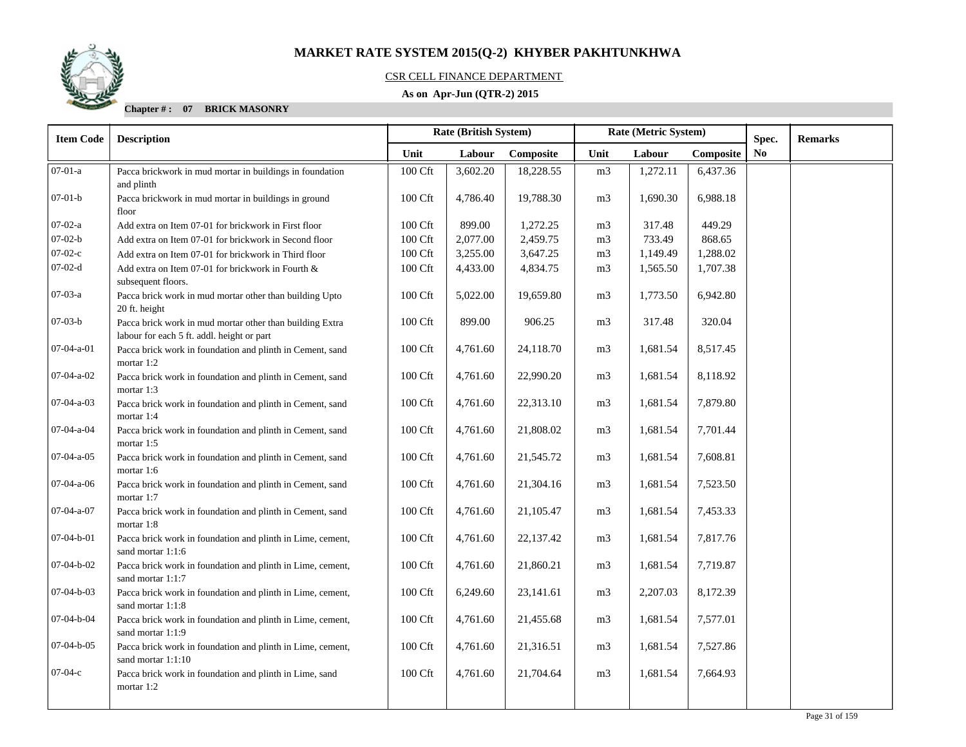

### CSR CELL FINANCE DEPARTMENT

### **As on Apr-Jun (QTR-2) 2015**

| <b>Item Code</b>   | <b>Description</b>                                                                                     | Rate (British System) |          |           |                | Rate (Metric System) |           | Spec.          | <b>Remarks</b> |
|--------------------|--------------------------------------------------------------------------------------------------------|-----------------------|----------|-----------|----------------|----------------------|-----------|----------------|----------------|
|                    |                                                                                                        | Unit                  | Labour   | Composite | Unit           | Labour               | Composite | N <sub>0</sub> |                |
| $07-01-a$          | Pacca brickwork in mud mortar in buildings in foundation<br>and plinth                                 | 100 Cft               | 3,602.20 | 18,228.55 | m <sub>3</sub> | 1,272.11             | 6,437.36  |                |                |
| $07-01-b$          | Pacca brickwork in mud mortar in buildings in ground<br>floor                                          | $100\ \mathrm{Cft}$   | 4,786.40 | 19,788.30 | m <sub>3</sub> | 1,690.30             | 6,988.18  |                |                |
| $07-02-a$          | Add extra on Item 07-01 for brickwork in First floor                                                   | 100 Cft               | 899.00   | 1,272.25  | m <sub>3</sub> | 317.48               | 449.29    |                |                |
| $07 - 02 - b$      | Add extra on Item 07-01 for brickwork in Second floor                                                  | 100 Cft               | 2,077.00 | 2,459.75  | m <sub>3</sub> | 733.49               | 868.65    |                |                |
| $07-02-c$          | Add extra on Item 07-01 for brickwork in Third floor                                                   | 100 Cft               | 3,255.00 | 3,647.25  | m <sub>3</sub> | 1,149.49             | 1,288.02  |                |                |
| $07-02-d$          | Add extra on Item 07-01 for brickwork in Fourth &<br>subsequent floors.                                | 100 Cft               | 4,433.00 | 4,834.75  | m <sub>3</sub> | 1,565.50             | 1,707.38  |                |                |
| 07-03-a            | Pacca brick work in mud mortar other than building Upto<br>20 ft. height                               | 100 Cft               | 5,022.00 | 19,659.80 | m <sub>3</sub> | 1,773.50             | 6,942.80  |                |                |
| $07 - 03 - b$      | Pacca brick work in mud mortar other than building Extra<br>labour for each 5 ft. addl. height or part | $100\ \mathrm{Cft}$   | 899.00   | 906.25    | m <sub>3</sub> | 317.48               | 320.04    |                |                |
| $07-04-a-01$       | Pacca brick work in foundation and plinth in Cement, sand<br>mortar 1:2                                | 100 Cft               | 4,761.60 | 24,118.70 | m <sub>3</sub> | 1,681.54             | 8,517.45  |                |                |
| 07-04-a-02         | Pacca brick work in foundation and plinth in Cement, sand<br>mortar 1:3                                | 100 Cft               | 4,761.60 | 22,990.20 | m <sub>3</sub> | 1,681.54             | 8,118.92  |                |                |
| 07-04-a-03         | Pacca brick work in foundation and plinth in Cement, sand<br>mortar 1:4                                | 100 Cft               | 4,761.60 | 22,313.10 | m <sub>3</sub> | 1,681.54             | 7,879.80  |                |                |
| 07-04-a-04         | Pacca brick work in foundation and plinth in Cement, sand<br>mortar 1:5                                | $100\ \mathrm{Cft}$   | 4,761.60 | 21,808.02 | m <sub>3</sub> | 1,681.54             | 7,701.44  |                |                |
| $07-04-a-05$       | Pacca brick work in foundation and plinth in Cement, sand<br>mortar 1:6                                | 100 Cft               | 4,761.60 | 21,545.72 | m <sub>3</sub> | 1,681.54             | 7,608.81  |                |                |
| $07-04-a-06$       | Pacca brick work in foundation and plinth in Cement, sand<br>mortar 1:7                                | 100 Cft               | 4,761.60 | 21,304.16 | m <sub>3</sub> | 1,681.54             | 7,523.50  |                |                |
| $07 - 04 - a - 07$ | Pacca brick work in foundation and plinth in Cement, sand<br>mortar 1:8                                | 100 Cft               | 4,761.60 | 21,105.47 | m <sub>3</sub> | 1,681.54             | 7,453.33  |                |                |
| $07 - 04 - b - 01$ | Pacca brick work in foundation and plinth in Lime, cement,<br>sand mortar 1:1:6                        | 100 Cft               | 4,761.60 | 22,137.42 | m <sub>3</sub> | 1,681.54             | 7,817.76  |                |                |
| 07-04-b-02         | Pacca brick work in foundation and plinth in Lime, cement,<br>sand mortar 1:1:7                        | 100 Cft               | 4,761.60 | 21,860.21 | m <sub>3</sub> | 1,681.54             | 7,719.87  |                |                |
| 07-04-b-03         | Pacca brick work in foundation and plinth in Lime, cement,<br>sand mortar 1:1:8                        | 100 Cft               | 6,249.60 | 23,141.61 | m <sub>3</sub> | 2,207.03             | 8,172.39  |                |                |
| $07 - 04 - b - 04$ | Pacca brick work in foundation and plinth in Lime, cement,<br>sand mortar 1:1:9                        | 100 Cft               | 4,761.60 | 21,455.68 | m <sub>3</sub> | 1,681.54             | 7,577.01  |                |                |
| $07-04-b-05$       | Pacca brick work in foundation and plinth in Lime, cement,<br>sand mortar 1:1:10                       | 100 Cft               | 4,761.60 | 21,316.51 | m <sub>3</sub> | 1,681.54             | 7,527.86  |                |                |
| $07-04-c$          | Pacca brick work in foundation and plinth in Lime, sand<br>mortar 1:2                                  | 100 Cft               | 4,761.60 | 21,704.64 | m <sub>3</sub> | 1,681.54             | 7,664.93  |                |                |
|                    |                                                                                                        |                       |          |           |                |                      |           |                |                |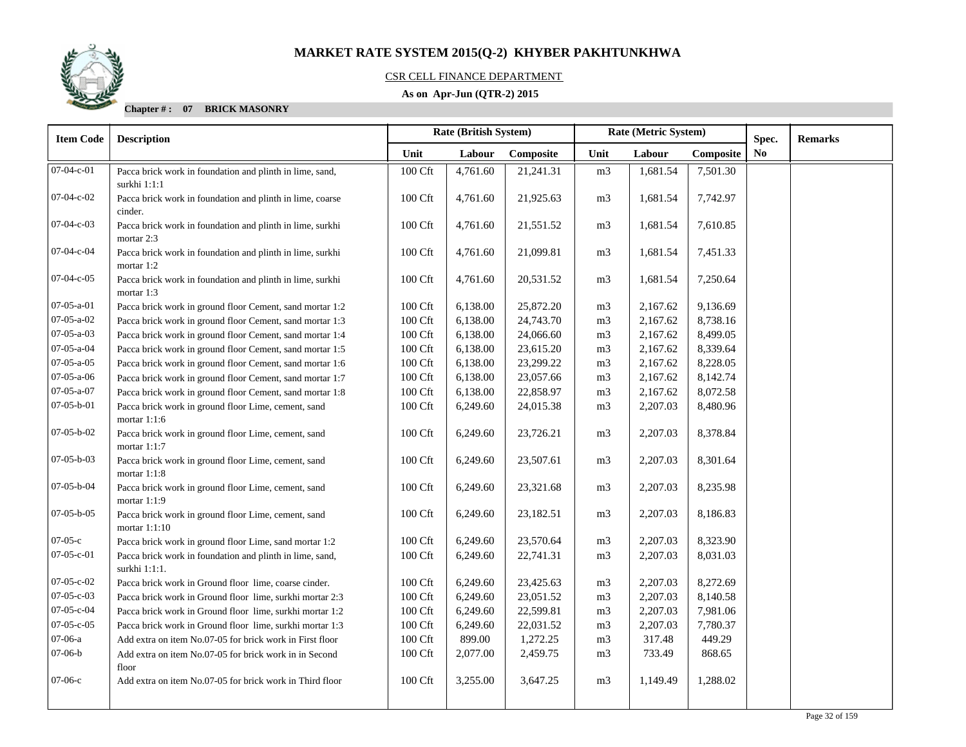

### CSR CELL FINANCE DEPARTMENT

### **As on Apr-Jun (QTR-2) 2015**

| <b>Item Code</b>   | <b>Description</b>                                                        | <b>Rate (British System)</b> |          |           |                | Rate (Metric System) |           | Spec.          | <b>Remarks</b> |
|--------------------|---------------------------------------------------------------------------|------------------------------|----------|-----------|----------------|----------------------|-----------|----------------|----------------|
|                    |                                                                           | Unit                         | Labour   | Composite | Unit           | Labour               | Composite | N <sub>0</sub> |                |
| 07-04-c-01         | Pacca brick work in foundation and plinth in lime, sand,                  | 100 Cft                      | 4,761.60 | 21,241.31 | m <sub>3</sub> | 1,681.54             | 7,501.30  |                |                |
|                    | surkhi 1:1:1                                                              |                              |          |           |                |                      |           |                |                |
| 07-04-c-02         | Pacca brick work in foundation and plinth in lime, coarse<br>cinder.      | 100 Cft                      | 4,761.60 | 21,925.63 | m <sub>3</sub> | 1,681.54             | 7,742.97  |                |                |
| 07-04-c-03         | Pacca brick work in foundation and plinth in lime, surkhi<br>mortar 2:3   | 100 Cft                      | 4,761.60 | 21,551.52 | m <sub>3</sub> | 1,681.54             | 7,610.85  |                |                |
| 07-04-c-04         | Pacca brick work in foundation and plinth in lime, surkhi<br>mortar 1:2   | 100 Cft                      | 4,761.60 | 21,099.81 | m <sub>3</sub> | 1,681.54             | 7,451.33  |                |                |
| $07-04-c-05$       | Pacca brick work in foundation and plinth in lime, surkhi<br>mortar 1:3   | 100 Cft                      | 4,761.60 | 20,531.52 | m <sub>3</sub> | 1,681.54             | 7,250.64  |                |                |
| $07-05-a-01$       | Pacca brick work in ground floor Cement, sand mortar 1:2                  | 100 Cft                      | 6,138.00 | 25,872.20 | m <sub>3</sub> | 2,167.62             | 9,136.69  |                |                |
| $07 - 05 - a - 02$ | Pacca brick work in ground floor Cement, sand mortar 1:3                  | 100 Cft                      | 6,138.00 | 24,743.70 | m <sub>3</sub> | 2,167.62             | 8,738.16  |                |                |
| $07-05-a-03$       | Pacca brick work in ground floor Cement, sand mortar 1:4                  | 100 Cft                      | 6,138.00 | 24,066.60 | m <sub>3</sub> | 2,167.62             | 8,499.05  |                |                |
| 07-05-a-04         | Pacca brick work in ground floor Cement, sand mortar 1:5                  | 100 Cft                      | 6,138.00 | 23,615.20 | m <sub>3</sub> | 2,167.62             | 8,339.64  |                |                |
| $07 - 05 - a - 05$ | Pacca brick work in ground floor Cement, sand mortar 1:6                  | 100 Cft                      | 6,138.00 | 23,299.22 | m <sub>3</sub> | 2,167.62             | 8,228.05  |                |                |
| $07 - 05 - a - 06$ | Pacca brick work in ground floor Cement, sand mortar 1:7                  | 100 Cft                      | 6,138.00 | 23,057.66 | m <sub>3</sub> | 2,167.62             | 8,142.74  |                |                |
| $07 - 05 - a - 07$ | Pacca brick work in ground floor Cement, sand mortar 1:8                  | 100 Cft                      | 6,138.00 | 22,858.97 | m <sub>3</sub> | 2,167.62             | 8,072.58  |                |                |
| $07 - 05 - b - 01$ | Pacca brick work in ground floor Lime, cement, sand<br>mortar $1:1:6$     | 100 Cft                      | 6,249.60 | 24,015.38 | m <sub>3</sub> | 2,207.03             | 8,480.96  |                |                |
| 07-05-b-02         | Pacca brick work in ground floor Lime, cement, sand<br>mortar $1:1:7$     | 100 Cft                      | 6,249.60 | 23,726.21 | m <sub>3</sub> | 2,207.03             | 8,378.84  |                |                |
| $07-05-b-03$       | Pacca brick work in ground floor Lime, cement, sand<br>mortar $1:1:8$     | 100 Cft                      | 6,249.60 | 23,507.61 | m <sub>3</sub> | 2,207.03             | 8,301.64  |                |                |
| 07-05-b-04         | Pacca brick work in ground floor Lime, cement, sand<br>mortar 1:1:9       | 100 Cft                      | 6,249.60 | 23,321.68 | m <sub>3</sub> | 2,207.03             | 8,235.98  |                |                |
| $07-05-b-05$       | Pacca brick work in ground floor Lime, cement, sand<br>mortar 1:1:10      | 100 Cft                      | 6,249.60 | 23,182.51 | m <sub>3</sub> | 2,207.03             | 8,186.83  |                |                |
| $07-05-c$          | Pacca brick work in ground floor Lime, sand mortar 1:2                    | $100$ Cft                    | 6,249.60 | 23,570.64 | m <sub>3</sub> | 2,207.03             | 8,323.90  |                |                |
| $07-05-c-01$       | Pacca brick work in foundation and plinth in lime, sand,<br>surkhi 1:1:1. | 100 Cft                      | 6,249.60 | 22,741.31 | m <sub>3</sub> | 2,207.03             | 8,031.03  |                |                |
| 07-05-c-02         | Pacca brick work in Ground floor lime, coarse cinder.                     | $100\ \mathrm{Cft}$          | 6,249.60 | 23,425.63 | m <sub>3</sub> | 2,207.03             | 8,272.69  |                |                |
| $07 - 05 - c - 03$ | Pacca brick work in Ground floor lime, surkhi mortar 2:3                  | 100 Cft                      | 6,249.60 | 23,051.52 | m <sub>3</sub> | 2,207.03             | 8,140.58  |                |                |
| 07-05-c-04         | Pacca brick work in Ground floor lime, surkhi mortar 1:2                  | 100 Cft                      | 6,249.60 | 22,599.81 | m <sub>3</sub> | 2,207.03             | 7,981.06  |                |                |
| $07-05-c-05$       | Pacca brick work in Ground floor lime, surkhi mortar 1:3                  | 100 Cft                      | 6,249.60 | 22,031.52 | m <sub>3</sub> | 2,207.03             | 7,780.37  |                |                |
| 07-06-a            | Add extra on item No.07-05 for brick work in First floor                  | 100 Cft                      | 899.00   | 1,272.25  | m <sub>3</sub> | 317.48               | 449.29    |                |                |
| $07-06-b$          | Add extra on item No.07-05 for brick work in in Second<br>floor           | 100 Cft                      | 2,077.00 | 2,459.75  | m <sub>3</sub> | 733.49               | 868.65    |                |                |
| $07-06-c$          | Add extra on item No.07-05 for brick work in Third floor                  | 100 Cft                      | 3,255.00 | 3,647.25  | m <sub>3</sub> | 1,149.49             | 1,288.02  |                |                |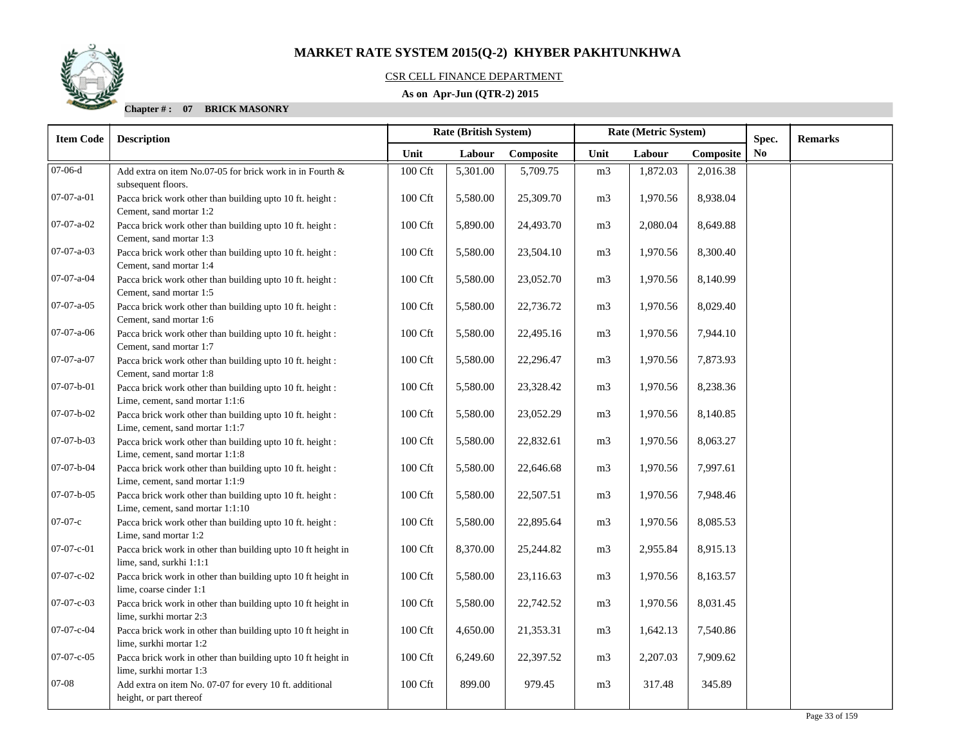

### CSR CELL FINANCE DEPARTMENT

### **As on Apr-Jun (QTR-2) 2015**

| <b>Item Code</b>   | <b>Description</b>                                                                            | Rate (British System) |          |           |                | Rate (Metric System) |           | Spec.          | <b>Remarks</b> |
|--------------------|-----------------------------------------------------------------------------------------------|-----------------------|----------|-----------|----------------|----------------------|-----------|----------------|----------------|
|                    |                                                                                               | Unit                  | Labour   | Composite | Unit           | Labour               | Composite | N <sub>0</sub> |                |
| $07-06-d$          | Add extra on item No.07-05 for brick work in in Fourth &<br>subsequent floors.                | 100 Cft               | 5,301.00 | 5,709.75  | m <sub>3</sub> | 1,872.03             | 2,016.38  |                |                |
| $07-07-a-01$       | Pacca brick work other than building upto 10 ft. height :<br>Cement, sand mortar 1:2          | 100 Cft               | 5,580.00 | 25,309.70 | m <sub>3</sub> | 1,970.56             | 8,938.04  |                |                |
| 07-07-a-02         | Pacca brick work other than building upto 10 ft. height :<br>Cement, sand mortar 1:3          | 100 Cft               | 5,890.00 | 24,493.70 | m <sub>3</sub> | 2,080.04             | 8,649.88  |                |                |
| 07-07-a-03         | Pacca brick work other than building upto 10 ft. height :<br>Cement, sand mortar 1:4          | 100 Cft               | 5,580.00 | 23,504.10 | m <sub>3</sub> | 1,970.56             | 8,300.40  |                |                |
| 07-07-a-04         | Pacca brick work other than building upto 10 ft. height :<br>Cement, sand mortar 1:5          | 100 Cft               | 5,580.00 | 23,052.70 | m <sub>3</sub> | 1,970.56             | 8,140.99  |                |                |
| $07-07-a-05$       | Pacca brick work other than building upto 10 ft. height :<br>Cement, sand mortar 1:6          | 100 Cft               | 5,580.00 | 22,736.72 | m <sub>3</sub> | 1,970.56             | 8,029.40  |                |                |
| $07-07-a-06$       | Pacca brick work other than building upto 10 ft. height :<br>Cement, sand mortar 1:7          | 100 Cft               | 5,580.00 | 22,495.16 | m <sub>3</sub> | 1,970.56             | 7,944.10  |                |                |
| 07-07-a-07         | Pacca brick work other than building upto 10 ft. height :<br>Cement, sand mortar 1:8          | 100 Cft               | 5,580.00 | 22,296.47 | m <sub>3</sub> | 1,970.56             | 7,873.93  |                |                |
| $07-07-b-01$       | Pacca brick work other than building upto 10 ft. height :<br>Lime, cement, sand mortar 1:1:6  | 100 Cft               | 5,580.00 | 23,328.42 | m <sub>3</sub> | 1,970.56             | 8,238.36  |                |                |
| 07-07-b-02         | Pacca brick work other than building upto 10 ft. height :<br>Lime, cement, sand mortar 1:1:7  | 100 Cft               | 5,580.00 | 23,052.29 | m <sub>3</sub> | 1,970.56             | 8,140.85  |                |                |
| $07-07-b-03$       | Pacca brick work other than building upto 10 ft. height :<br>Lime, cement, sand mortar 1:1:8  | 100 Cft               | 5,580.00 | 22,832.61 | m <sub>3</sub> | 1,970.56             | 8,063.27  |                |                |
| 07-07-b-04         | Pacca brick work other than building upto 10 ft. height :<br>Lime, cement, sand mortar 1:1:9  | $100 \mathrm{Cft}$    | 5,580.00 | 22,646.68 | m <sub>3</sub> | 1,970.56             | 7,997.61  |                |                |
| $07-07-b-05$       | Pacca brick work other than building upto 10 ft. height :<br>Lime, cement, sand mortar 1:1:10 | 100 Cft               | 5,580.00 | 22,507.51 | m <sub>3</sub> | 1,970.56             | 7,948.46  |                |                |
| $07-07-c$          | Pacca brick work other than building upto 10 ft. height :<br>Lime, sand mortar 1:2            | 100 Cft               | 5,580.00 | 22,895.64 | m <sub>3</sub> | 1,970.56             | 8,085.53  |                |                |
| $07-07-c-01$       | Pacca brick work in other than building upto 10 ft height in<br>lime, sand, surkhi 1:1:1      | 100 Cft               | 8,370.00 | 25,244.82 | m <sub>3</sub> | 2,955.84             | 8,915.13  |                |                |
| $07 - 07 - c - 02$ | Pacca brick work in other than building upto 10 ft height in<br>lime, coarse cinder 1:1       | 100 Cft               | 5,580.00 | 23,116.63 | m <sub>3</sub> | 1,970.56             | 8,163.57  |                |                |
| 07-07-c-03         | Pacca brick work in other than building upto 10 ft height in<br>lime, surkhi mortar 2:3       | 100 Cft               | 5,580.00 | 22,742.52 | m <sub>3</sub> | 1,970.56             | 8,031.45  |                |                |
| 07-07-c-04         | Pacca brick work in other than building upto 10 ft height in<br>lime, surkhi mortar 1:2       | 100 Cft               | 4,650.00 | 21,353.31 | m <sub>3</sub> | 1,642.13             | 7,540.86  |                |                |
| $07-07-c-05$       | Pacca brick work in other than building upto 10 ft height in<br>lime, surkhi mortar 1:3       | 100 Cft               | 6,249.60 | 22,397.52 | m <sub>3</sub> | 2,207.03             | 7,909.62  |                |                |
| 07-08              | Add extra on item No. 07-07 for every 10 ft. additional<br>height, or part thereof            | 100 Cft               | 899.00   | 979.45    | m <sub>3</sub> | 317.48               | 345.89    |                |                |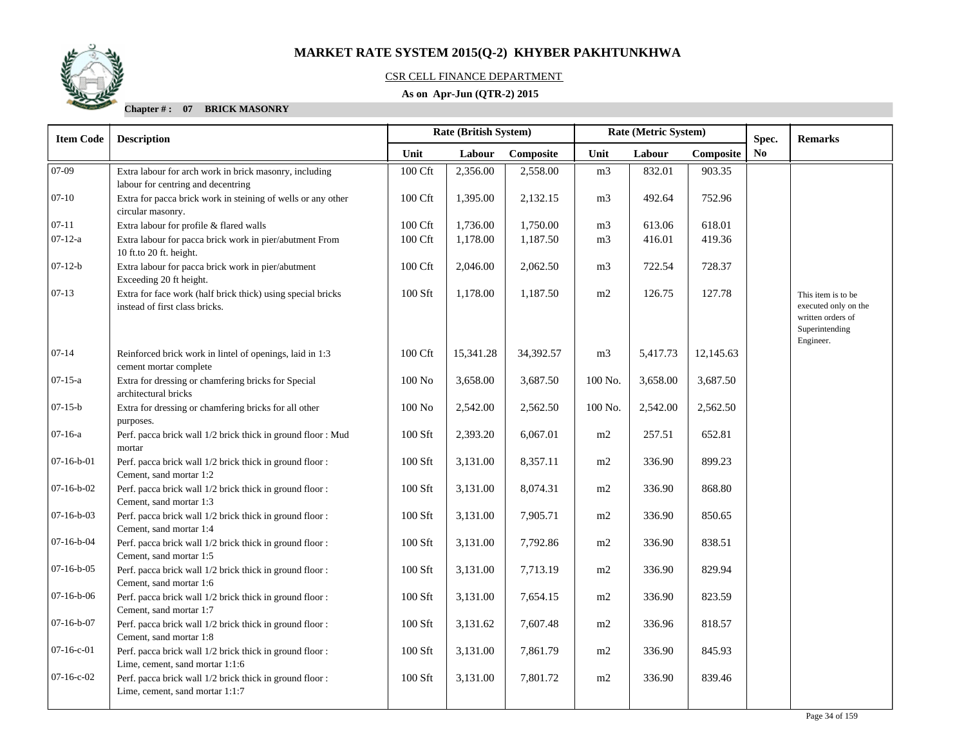

### CSR CELL FINANCE DEPARTMENT

### **As on Apr-Jun (QTR-2) 2015**

| <b>Item Code</b> | <b>Description</b>                                                                            | Rate (British System)<br>Spec. |           | Rate (Metric System) |                |          |           | <b>Remarks</b> |                                                                                                |
|------------------|-----------------------------------------------------------------------------------------------|--------------------------------|-----------|----------------------|----------------|----------|-----------|----------------|------------------------------------------------------------------------------------------------|
|                  |                                                                                               | Unit                           | Labour    | Composite            | Unit           | Labour   | Composite | No             |                                                                                                |
| 07-09            | Extra labour for arch work in brick masonry, including<br>labour for centring and decentring  | 100 Cft                        | 2,356.00  | 2,558.00             | m <sub>3</sub> | 832.01   | 903.35    |                |                                                                                                |
| $07-10$          | Extra for pacca brick work in steining of wells or any other<br>circular masonry.             | 100 Cft                        | 1,395.00  | 2,132.15             | m <sub>3</sub> | 492.64   | 752.96    |                |                                                                                                |
| $07 - 11$        | Extra labour for profile & flared walls                                                       | 100 Cft                        | 1,736.00  | 1,750.00             | m <sub>3</sub> | 613.06   | 618.01    |                |                                                                                                |
| $07-12-a$        | Extra labour for pacca brick work in pier/abutment From<br>10 ft.to 20 ft. height.            | 100 Cft                        | 1,178.00  | 1,187.50             | m <sub>3</sub> | 416.01   | 419.36    |                |                                                                                                |
| $07-12-b$        | Extra labour for pacca brick work in pier/abutment<br>Exceeding 20 ft height.                 | 100 Cft                        | 2,046.00  | 2,062.50             | m <sub>3</sub> | 722.54   | 728.37    |                |                                                                                                |
| $07-13$          | Extra for face work (half brick thick) using special bricks<br>instead of first class bricks. | 100 Sft                        | 1,178.00  | 1,187.50             | m2             | 126.75   | 127.78    |                | This item is to be<br>executed only on the<br>written orders of<br>Superintending<br>Engineer. |
| $07 - 14$        | Reinforced brick work in lintel of openings, laid in 1:3<br>cement mortar complete            | 100 Cft                        | 15,341.28 | 34,392.57            | m <sub>3</sub> | 5,417.73 | 12,145.63 |                |                                                                                                |
| $07 - 15 - a$    | Extra for dressing or chamfering bricks for Special<br>architectural bricks                   | $100$ No                       | 3,658.00  | 3,687.50             | 100 No.        | 3,658.00 | 3,687.50  |                |                                                                                                |
| $07-15-b$        | Extra for dressing or chamfering bricks for all other<br>purposes.                            | 100N <sub>o</sub>              | 2,542.00  | 2,562.50             | 100 No.        | 2,542.00 | 2,562.50  |                |                                                                                                |
| $07-16-a$        | Perf. pacca brick wall 1/2 brick thick in ground floor : Mud<br>mortar                        | 100 Sft                        | 2,393.20  | 6,067.01             | m2             | 257.51   | 652.81    |                |                                                                                                |
| $07-16-b-01$     | Perf. pacca brick wall 1/2 brick thick in ground floor:<br>Cement, sand mortar 1:2            | 100 Sft                        | 3,131.00  | 8,357.11             | m2             | 336.90   | 899.23    |                |                                                                                                |
| $07-16-b-02$     | Perf. pacca brick wall 1/2 brick thick in ground floor :<br>Cement, sand mortar 1:3           | 100 Sft                        | 3,131.00  | 8,074.31             | m2             | 336.90   | 868.80    |                |                                                                                                |
| $07-16-b-03$     | Perf. pacca brick wall 1/2 brick thick in ground floor:<br>Cement, sand mortar 1:4            | 100 Sft                        | 3,131.00  | 7,905.71             | m2             | 336.90   | 850.65    |                |                                                                                                |
| $07-16-b-04$     | Perf. pacca brick wall 1/2 brick thick in ground floor:<br>Cement, sand mortar 1:5            | 100 Sft                        | 3,131.00  | 7,792.86             | m2             | 336.90   | 838.51    |                |                                                                                                |
| $07-16-b-05$     | Perf. pacca brick wall 1/2 brick thick in ground floor :<br>Cement, sand mortar 1:6           | 100 Sft                        | 3,131.00  | 7,713.19             | m2             | 336.90   | 829.94    |                |                                                                                                |
| $07-16-b-06$     | Perf. pacca brick wall 1/2 brick thick in ground floor:<br>Cement, sand mortar 1:7            | 100 Sft                        | 3,131.00  | 7,654.15             | m2             | 336.90   | 823.59    |                |                                                                                                |
| $07-16-b-07$     | Perf. pacca brick wall 1/2 brick thick in ground floor:<br>Cement, sand mortar 1:8            | 100 Sft                        | 3,131.62  | 7,607.48             | m2             | 336.96   | 818.57    |                |                                                                                                |
| $07-16-c-01$     | Perf. pacca brick wall 1/2 brick thick in ground floor:<br>Lime, cement, sand mortar 1:1:6    | 100 Sft                        | 3,131.00  | 7,861.79             | m2             | 336.90   | 845.93    |                |                                                                                                |
| $07-16-c-02$     | Perf. pacca brick wall 1/2 brick thick in ground floor:<br>Lime, cement, sand mortar 1:1:7    | 100 Sft                        | 3,131.00  | 7,801.72             | m2             | 336.90   | 839.46    |                |                                                                                                |
|                  |                                                                                               |                                |           |                      |                |          |           |                |                                                                                                |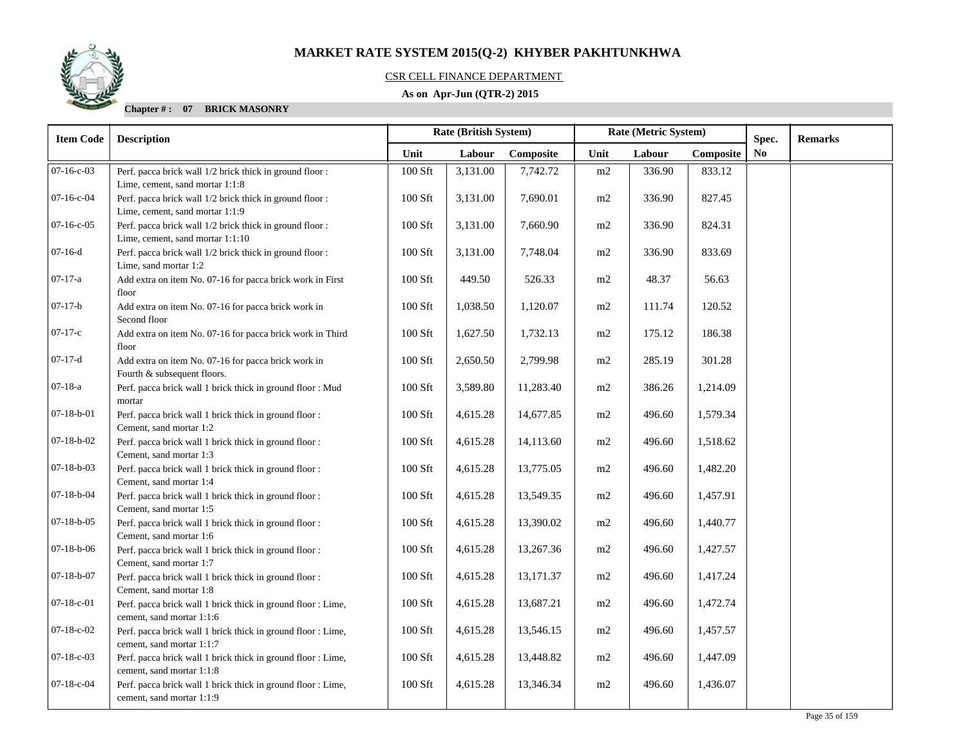

### CSR CELL FINANCE DEPARTMENT

### **As on Apr-Jun (QTR-2) 2015**

| <b>Item Code</b>   | <b>Description</b>                                                                           | Rate (British System) |          |           |      | Rate (Metric System) |           | Spec.          | <b>Remarks</b> |
|--------------------|----------------------------------------------------------------------------------------------|-----------------------|----------|-----------|------|----------------------|-----------|----------------|----------------|
|                    |                                                                                              | Unit                  | Labour   | Composite | Unit | Labour               | Composite | N <sub>0</sub> |                |
| $07-16-c-03$       | Perf. pacca brick wall 1/2 brick thick in ground floor:<br>Lime, cement, sand mortar 1:1:8   | 100 Sft               | 3,131.00 | 7,742.72  | m2   | 336.90               | 833.12    |                |                |
| $07-16-c-04$       | Perf. pacca brick wall 1/2 brick thick in ground floor:<br>Lime, cement, sand mortar 1:1:9   | $100$ Sft             | 3,131.00 | 7,690.01  | m2   | 336.90               | 827.45    |                |                |
| $07-16-c-05$       | Perf. pacca brick wall 1/2 brick thick in ground floor :<br>Lime, cement, sand mortar 1:1:10 | 100 Sft               | 3,131.00 | 7,660.90  | m2   | 336.90               | 824.31    |                |                |
| $07-16-d$          | Perf. pacca brick wall 1/2 brick thick in ground floor:<br>Lime, sand mortar 1:2             | $100$ Sft             | 3,131.00 | 7,748.04  | m2   | 336.90               | 833.69    |                |                |
| $07-17-a$          | Add extra on item No. 07-16 for pacca brick work in First<br>floor                           | 100 Sft               | 449.50   | 526.33    | m2   | 48.37                | 56.63     |                |                |
| $07-17-b$          | Add extra on item No. 07-16 for pacca brick work in<br>Second floor                          | 100 Sft               | 1,038.50 | 1,120.07  | m2   | 111.74               | 120.52    |                |                |
| $07-17-c$          | Add extra on item No. 07-16 for pacca brick work in Third<br>floor                           | 100 Sft               | 1,627.50 | 1,732.13  | m2   | 175.12               | 186.38    |                |                |
| $07-17-d$          | Add extra on item No. 07-16 for pacca brick work in<br>Fourth & subsequent floors.           | 100 Sft               | 2,650.50 | 2,799.98  | m2   | 285.19               | 301.28    |                |                |
| $07-18-a$          | Perf. pacca brick wall 1 brick thick in ground floor : Mud<br>mortar                         | $100$ Sft             | 3,589.80 | 11,283.40 | m2   | 386.26               | 1,214.09  |                |                |
| $07-18-b-01$       | Perf. pacca brick wall 1 brick thick in ground floor :<br>Cement, sand mortar 1:2            | 100 Sft               | 4,615.28 | 14,677.85 | m2   | 496.60               | 1,579.34  |                |                |
| $07-18-b-02$       | Perf. pacca brick wall 1 brick thick in ground floor:<br>Cement, sand mortar 1:3             | 100 Sft               | 4,615.28 | 14,113.60 | m2   | 496.60               | 1,518.62  |                |                |
| $07-18-b-03$       | Perf. pacca brick wall 1 brick thick in ground floor:<br>Cement, sand mortar 1:4             | $100$ Sft             | 4,615.28 | 13,775.05 | m2   | 496.60               | 1,482.20  |                |                |
| $07-18-b-04$       | Perf. pacca brick wall 1 brick thick in ground floor :<br>Cement, sand mortar 1:5            | $100$ Sft             | 4,615.28 | 13,549.35 | m2   | 496.60               | 1,457.91  |                |                |
| $07 - 18 - b - 05$ | Perf. pacca brick wall 1 brick thick in ground floor :<br>Cement, sand mortar 1:6            | $100$ Sft             | 4,615.28 | 13,390.02 | m2   | 496.60               | 1,440.77  |                |                |
| $07-18-b-06$       | Perf. pacca brick wall 1 brick thick in ground floor :<br>Cement, sand mortar 1:7            | $100$ Sft             | 4,615.28 | 13,267.36 | m2   | 496.60               | 1,427.57  |                |                |
| $07 - 18 - b - 07$ | Perf. pacca brick wall 1 brick thick in ground floor :<br>Cement, sand mortar 1:8            | 100 Sft               | 4,615.28 | 13,171.37 | m2   | 496.60               | 1,417.24  |                |                |
| $07 - 18 - c - 01$ | Perf. pacca brick wall 1 brick thick in ground floor : Lime,<br>cement, sand mortar 1:1:6    | 100 Sft               | 4,615.28 | 13,687.21 | m2   | 496.60               | 1,472.74  |                |                |
| $07-18-c-02$       | Perf. pacca brick wall 1 brick thick in ground floor : Lime,<br>cement, sand mortar 1:1:7    | $100$ Sft             | 4,615.28 | 13,546.15 | m2   | 496.60               | 1,457.57  |                |                |
| $07-18-c-03$       | Perf. pacca brick wall 1 brick thick in ground floor : Lime,<br>cement, sand mortar 1:1:8    | 100 Sft               | 4,615.28 | 13,448.82 | m2   | 496.60               | 1,447.09  |                |                |
| $07-18-c-04$       | Perf. pacca brick wall 1 brick thick in ground floor : Lime,<br>cement, sand mortar 1:1:9    | $100$ Sft             | 4,615.28 | 13,346.34 | m2   | 496.60               | 1,436.07  |                |                |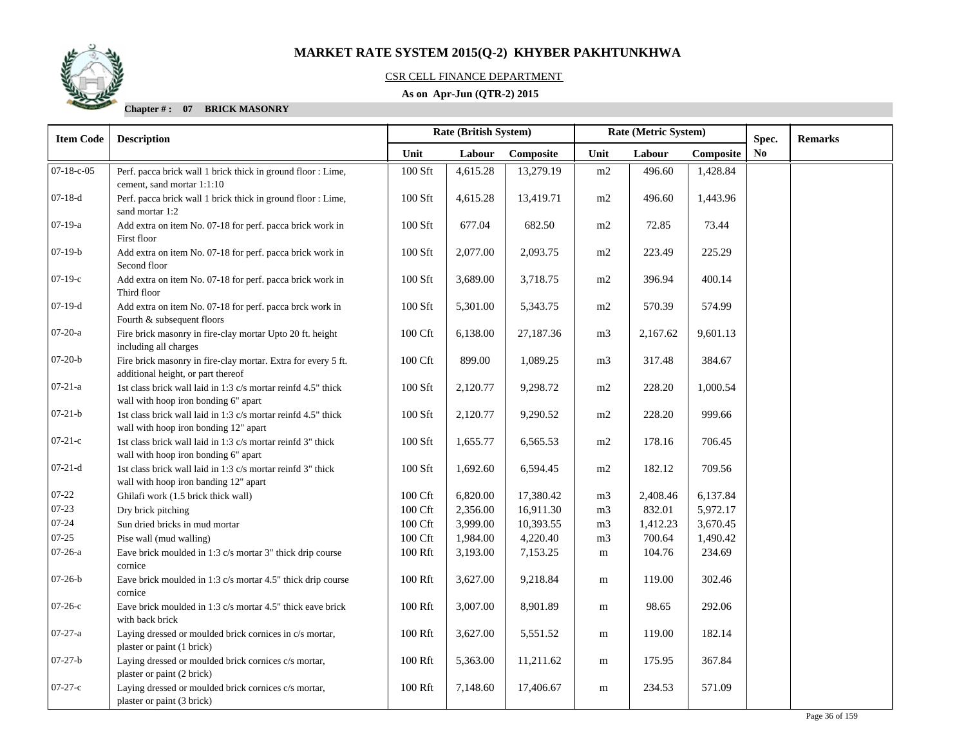

#### CSR CELL FINANCE DEPARTMENT

### **As on Apr-Jun (QTR-2) 2015**

| <b>Item Code</b> | <b>Description</b>                                                                                     |                     | Rate (British System) |           | Rate (Metric System) |          |           | Spec. | <b>Remarks</b> |
|------------------|--------------------------------------------------------------------------------------------------------|---------------------|-----------------------|-----------|----------------------|----------|-----------|-------|----------------|
|                  |                                                                                                        | Unit                | Labour                | Composite | Unit                 | Labour   | Composite | No    |                |
| 07-18-c-05       | Perf. pacca brick wall 1 brick thick in ground floor : Lime,<br>cement, sand mortar 1:1:10             | 100 Sft             | 4,615.28              | 13,279.19 | m2                   | 496.60   | 1,428.84  |       |                |
| $07-18-d$        | Perf. pacca brick wall 1 brick thick in ground floor : Lime,<br>sand mortar 1:2                        | 100 Sft             | 4,615.28              | 13,419.71 | m2                   | 496.60   | 1,443.96  |       |                |
| $07-19-a$        | Add extra on item No. 07-18 for perf. pacca brick work in<br>First floor                               | 100 Sft             | 677.04                | 682.50    | m2                   | 72.85    | 73.44     |       |                |
| $07-19-b$        | Add extra on item No. 07-18 for perf. pacca brick work in<br>Second floor                              | 100 Sft             | 2,077.00              | 2,093.75  | m2                   | 223.49   | 225.29    |       |                |
| $07-19-c$        | Add extra on item No. 07-18 for perf. pacca brick work in<br>Third floor                               | 100 Sft             | 3,689.00              | 3,718.75  | m2                   | 396.94   | 400.14    |       |                |
| $07-19-d$        | Add extra on item No. 07-18 for perf. pacca brck work in<br>Fourth & subsequent floors                 | 100 Sft             | 5,301.00              | 5,343.75  | m2                   | 570.39   | 574.99    |       |                |
| $07-20-a$        | Fire brick masonry in fire-clay mortar Upto 20 ft. height<br>including all charges                     | $100\,\mathrm{Cft}$ | 6,138.00              | 27,187.36 | m <sub>3</sub>       | 2,167.62 | 9,601.13  |       |                |
| $07-20-b$        | Fire brick masonry in fire-clay mortar. Extra for every 5 ft.<br>additional height, or part thereof    | 100 Cft             | 899.00                | 1,089.25  | m3                   | 317.48   | 384.67    |       |                |
| $07 - 21 - a$    | 1st class brick wall laid in 1:3 c/s mortar reinfd 4.5" thick<br>wall with hoop iron bonding 6" apart  | 100 Sft             | 2,120.77              | 9,298.72  | m2                   | 228.20   | 1,000.54  |       |                |
| $07 - 21 - b$    | 1st class brick wall laid in 1:3 c/s mortar reinfd 4.5" thick<br>wall with hoop iron bonding 12" apart | 100 Sft             | 2,120.77              | 9,290.52  | m2                   | 228.20   | 999.66    |       |                |
| $07-21-c$        | 1st class brick wall laid in 1:3 c/s mortar reinfd 3" thick<br>wall with hoop iron bonding 6" apart    | 100 Sft             | 1,655.77              | 6,565.53  | m2                   | 178.16   | 706.45    |       |                |
| $07-21-d$        | 1st class brick wall laid in 1:3 c/s mortar reinfd 3" thick<br>wall with hoop iron banding 12" apart   | 100 Sft             | 1,692.60              | 6,594.45  | m2                   | 182.12   | 709.56    |       |                |
| $07 - 22$        | Ghilafi work (1.5 brick thick wall)                                                                    | 100 Cft             | 6,820.00              | 17,380.42 | m <sub>3</sub>       | 2,408.46 | 6,137.84  |       |                |
| $07 - 23$        | Dry brick pitching                                                                                     | 100 Cft             | 2,356.00              | 16,911.30 | m <sub>3</sub>       | 832.01   | 5,972.17  |       |                |
| 07-24            | Sun dried bricks in mud mortar                                                                         | 100 Cft             | 3,999.00              | 10,393.55 | m <sub>3</sub>       | 1,412.23 | 3,670.45  |       |                |
| 07-25            | Pise wall (mud walling)                                                                                | 100 Cft             | 1,984.00              | 4,220.40  | m <sub>3</sub>       | 700.64   | 1,490.42  |       |                |
| $07-26-a$        | Eave brick moulded in 1:3 c/s mortar 3" thick drip course<br>cornice                                   | 100 Rft             | 3,193.00              | 7,153.25  | m                    | 104.76   | 234.69    |       |                |
| $07-26-b$        | Eave brick moulded in 1:3 c/s mortar 4.5" thick drip course<br>cornice                                 | 100 Rft             | 3,627.00              | 9,218.84  | m                    | 119.00   | 302.46    |       |                |
| 07-26-с          | Eave brick moulded in 1:3 c/s mortar 4.5" thick eave brick<br>with back brick                          | 100 Rft             | 3,007.00              | 8,901.89  | m                    | 98.65    | 292.06    |       |                |
| $07 - 27 - a$    | Laying dressed or moulded brick cornices in c/s mortar,<br>plaster or paint (1 brick)                  | 100 Rft             | 3,627.00              | 5,551.52  | m                    | 119.00   | 182.14    |       |                |
| $07-27-b$        | Laying dressed or moulded brick cornices c/s mortar,<br>plaster or paint (2 brick)                     | 100 Rft             | 5,363.00              | 11,211.62 | m                    | 175.95   | 367.84    |       |                |
| $07-27-c$        | Laying dressed or moulded brick cornices c/s mortar,<br>plaster or paint (3 brick)                     | 100 Rft             | 7,148.60              | 17,406.67 | m                    | 234.53   | 571.09    |       |                |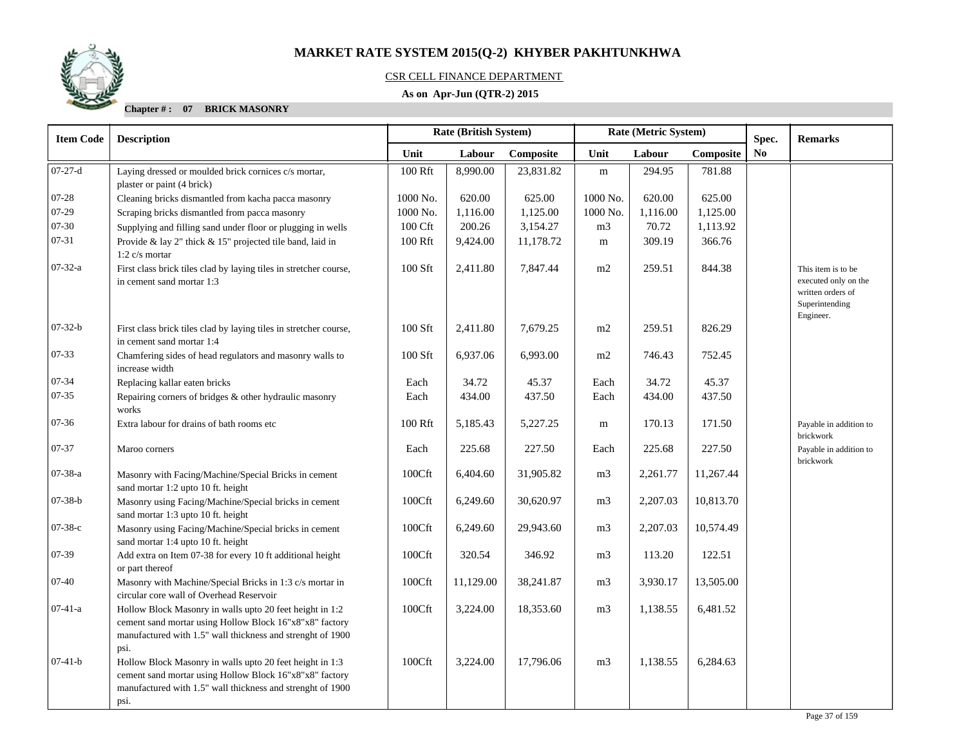

### CSR CELL FINANCE DEPARTMENT

### **As on Apr-Jun (QTR-2) 2015**

| <b>Item Code</b> | <b>Description</b>                                                                                                                                                                        |          | Rate (British System) |           | Rate (Metric System) |          |           | Spec.                  | <b>Remarks</b>                                                                                 |
|------------------|-------------------------------------------------------------------------------------------------------------------------------------------------------------------------------------------|----------|-----------------------|-----------|----------------------|----------|-----------|------------------------|------------------------------------------------------------------------------------------------|
|                  |                                                                                                                                                                                           | Unit     | Labour                | Composite | Unit                 | Labour   | Composite | $\mathbf{N}\mathbf{o}$ |                                                                                                |
| $07 - 27 - d$    | Laying dressed or moulded brick cornices c/s mortar,                                                                                                                                      | 100 Rft  | 8,990.00              | 23,831.82 | ${\bf m}$            | 294.95   | 781.88    |                        |                                                                                                |
|                  | plaster or paint (4 brick)                                                                                                                                                                |          |                       |           |                      |          |           |                        |                                                                                                |
| $07 - 28$        | Cleaning bricks dismantled from kacha pacca masonry                                                                                                                                       | 1000 No. | 620.00                | 625.00    | 1000 No.             | 620.00   | 625.00    |                        |                                                                                                |
| $07-29$          | Scraping bricks dismantled from pacca masonry                                                                                                                                             | 1000 No. | 1,116.00              | 1,125.00  | 1000 No.             | 1,116.00 | 1,125.00  |                        |                                                                                                |
| 07-30            | Supplying and filling sand under floor or plugging in wells                                                                                                                               | 100 Cft  | 200.26                | 3,154.27  | m <sub>3</sub>       | 70.72    | 1,113.92  |                        |                                                                                                |
| $07 - 31$        | Provide & lay 2" thick & 15" projected tile band, laid in<br>1:2 $c/s$ mortar                                                                                                             | 100 Rft  | 9,424.00              | 11,178.72 | m                    | 309.19   | 366.76    |                        |                                                                                                |
| $07 - 32 - a$    | First class brick tiles clad by laying tiles in stretcher course,<br>in cement sand mortar 1:3                                                                                            | 100 Sft  | 2,411.80              | 7,847.44  | m2                   | 259.51   | 844.38    |                        | This item is to be<br>executed only on the<br>written orders of<br>Superintending<br>Engineer. |
| $07-32-b$        | First class brick tiles clad by laying tiles in stretcher course,<br>in cement sand mortar 1:4                                                                                            | 100 Sft  | 2,411.80              | 7,679.25  | m2                   | 259.51   | 826.29    |                        |                                                                                                |
| $07 - 33$        | Chamfering sides of head regulators and masonry walls to<br>increase width                                                                                                                | 100 Sft  | 6,937.06              | 6,993.00  | m2                   | 746.43   | 752.45    |                        |                                                                                                |
| 07-34            | Replacing kallar eaten bricks                                                                                                                                                             | Each     | 34.72                 | 45.37     | Each                 | 34.72    | 45.37     |                        |                                                                                                |
| $07 - 35$        | Repairing corners of bridges & other hydraulic masonry<br>works                                                                                                                           | Each     | 434.00                | 437.50    | Each                 | 434.00   | 437.50    |                        |                                                                                                |
| $07 - 36$        | Extra labour for drains of bath rooms etc                                                                                                                                                 | 100 Rft  | 5,185.43              | 5,227.25  | m                    | 170.13   | 171.50    |                        | Payable in addition to<br>brickwork                                                            |
| 07-37            | Maroo corners                                                                                                                                                                             | Each     | 225.68                | 227.50    | Each                 | 225.68   | 227.50    |                        | Payable in addition to<br>brickwork                                                            |
| $07 - 38 - a$    | Masonry with Facing/Machine/Special Bricks in cement<br>sand mortar 1:2 upto 10 ft. height                                                                                                | 100Cft   | 6,404.60              | 31,905.82 | m <sub>3</sub>       | 2,261.77 | 11,267.44 |                        |                                                                                                |
| $07 - 38 - b$    | Masonry using Facing/Machine/Special bricks in cement<br>sand mortar 1:3 upto 10 ft. height                                                                                               | 100Cft   | 6,249.60              | 30,620.97 | m <sub>3</sub>       | 2,207.03 | 10,813.70 |                        |                                                                                                |
| $07 - 38 - c$    | Masonry using Facing/Machine/Special bricks in cement<br>sand mortar 1:4 upto 10 ft. height                                                                                               | 100Cft   | 6,249.60              | 29,943.60 | m <sub>3</sub>       | 2,207.03 | 10,574.49 |                        |                                                                                                |
| 07-39            | Add extra on Item 07-38 for every 10 ft additional height<br>or part thereof                                                                                                              | 100Cft   | 320.54                | 346.92    | m <sub>3</sub>       | 113.20   | 122.51    |                        |                                                                                                |
| $07 - 40$        | Masonry with Machine/Special Bricks in 1:3 c/s mortar in<br>circular core wall of Overhead Reservoir                                                                                      | 100Cft   | 11,129.00             | 38,241.87 | m <sub>3</sub>       | 3,930.17 | 13,505.00 |                        |                                                                                                |
| $07-41-a$        | Hollow Block Masonry in walls upto 20 feet height in 1:2<br>cement sand mortar using Hollow Block 16"x8"x8" factory<br>manufactured with 1.5" wall thickness and strenght of 1900<br>psi. | 100Cft   | 3,224.00              | 18,353.60 | m <sub>3</sub>       | 1,138.55 | 6,481.52  |                        |                                                                                                |
| $07-41-b$        | Hollow Block Masonry in walls upto 20 feet height in 1:3<br>cement sand mortar using Hollow Block 16"x8"x8" factory<br>manufactured with 1.5" wall thickness and strenght of 1900<br>psi. | 100Cft   | 3,224.00              | 17,796.06 | m <sub>3</sub>       | 1,138.55 | 6,284.63  |                        |                                                                                                |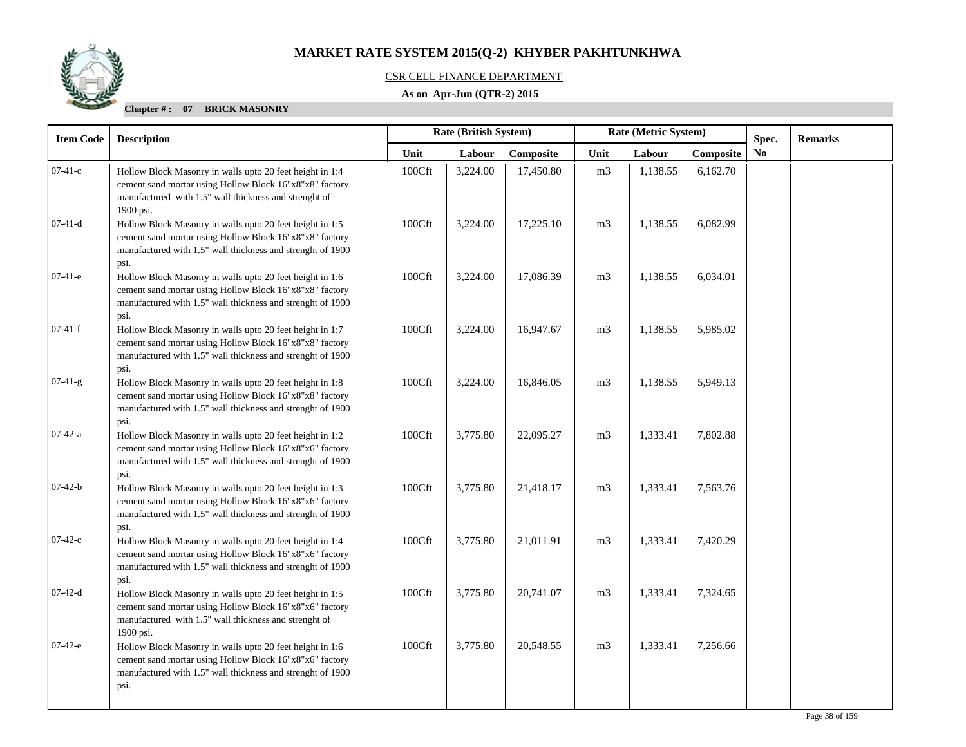### CSR CELL FINANCE DEPARTMENT

### **As on Apr-Jun (QTR-2) 2015**

| <b>Item Code</b> | <b>Description</b>                                                                                                                                                                        |        | Rate (British System) |           |                | Rate (Metric System) |          | Spec.          | <b>Remarks</b> |
|------------------|-------------------------------------------------------------------------------------------------------------------------------------------------------------------------------------------|--------|-----------------------|-----------|----------------|----------------------|----------|----------------|----------------|
|                  |                                                                                                                                                                                           | Unit   | Labour                | Composite | Unit           | Labour<br>Composite  |          | N <sub>0</sub> |                |
| $07-41-c$        | Hollow Block Masonry in walls upto 20 feet height in 1:4<br>cement sand mortar using Hollow Block 16"x8"x8" factory<br>manufactured with 1.5" wall thickness and strenght of<br>1900 psi. | 100Cft | 3,224.00              | 17,450.80 | m <sub>3</sub> | 1,138.55             | 6,162.70 |                |                |
| $07-41-d$        | Hollow Block Masonry in walls upto 20 feet height in 1:5<br>cement sand mortar using Hollow Block 16"x8"x8" factory<br>manufactured with 1.5" wall thickness and strenght of 1900<br>psi. | 100Cft | 3,224.00              | 17,225.10 | m <sub>3</sub> | 1,138.55             | 6,082.99 |                |                |
| $07-41-e$        | Hollow Block Masonry in walls upto 20 feet height in 1:6<br>cement sand mortar using Hollow Block 16"x8"x8" factory<br>manufactured with 1.5" wall thickness and strenght of 1900<br>psi. | 100Cft | 3,224.00              | 17,086.39 | m <sub>3</sub> | 1,138.55             | 6,034.01 |                |                |
| $07-41-f$        | Hollow Block Masonry in walls upto 20 feet height in 1:7<br>cement sand mortar using Hollow Block 16"x8"x8" factory<br>manufactured with 1.5" wall thickness and strenght of 1900<br>psi. | 100Cft | 3,224.00              | 16,947.67 | m <sub>3</sub> | 1,138.55             | 5,985.02 |                |                |
| $07-41-g$        | Hollow Block Masonry in walls upto 20 feet height in 1:8<br>cement sand mortar using Hollow Block 16"x8"x8" factory<br>manufactured with 1.5" wall thickness and strenght of 1900<br>psi. | 100Cft | 3,224.00              | 16,846.05 | m <sub>3</sub> | 1,138.55             | 5,949.13 |                |                |
| $07-42-a$        | Hollow Block Masonry in walls upto 20 feet height in 1:2<br>cement sand mortar using Hollow Block 16"x8"x6" factory<br>manufactured with 1.5" wall thickness and strenght of 1900<br>psi. | 100Cft | 3,775.80              | 22,095.27 | m <sub>3</sub> | 1,333.41             | 7,802.88 |                |                |
| $07-42-b$        | Hollow Block Masonry in walls upto 20 feet height in 1:3<br>cement sand mortar using Hollow Block 16"x8"x6" factory<br>manufactured with 1.5" wall thickness and strenght of 1900<br>psi. | 100Cft | 3,775.80              | 21,418.17 | m <sub>3</sub> | 1,333.41             | 7,563.76 |                |                |
| $07-42-c$        | Hollow Block Masonry in walls upto 20 feet height in 1:4<br>cement sand mortar using Hollow Block 16"x8"x6" factory<br>manufactured with 1.5" wall thickness and strenght of 1900<br>psi. | 100Cft | 3,775.80              | 21,011.91 | m <sub>3</sub> | 1,333.41             | 7,420.29 |                |                |
| $07-42-d$        | Hollow Block Masonry in walls upto 20 feet height in 1:5<br>cement sand mortar using Hollow Block 16"x8"x6" factory<br>manufactured with 1.5" wall thickness and strenght of<br>1900 psi. | 100Cft | 3,775.80              | 20,741.07 | m <sub>3</sub> | 1,333.41             | 7,324.65 |                |                |
| $07-42-e$        | Hollow Block Masonry in walls upto 20 feet height in 1:6<br>cement sand mortar using Hollow Block 16"x8"x6" factory<br>manufactured with 1.5" wall thickness and strenght of 1900<br>psi. | 100Cft | 3,775.80              | 20,548.55 | m <sub>3</sub> | 1,333.41             | 7,256.66 |                |                |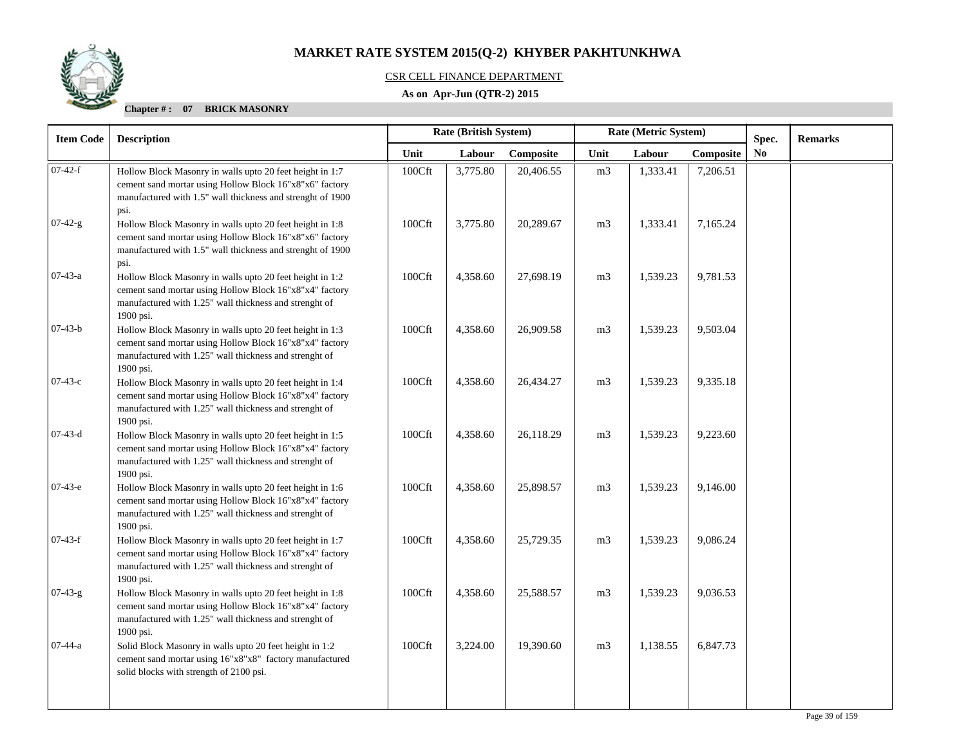### CSR CELL FINANCE DEPARTMENT

### **As on Apr-Jun (QTR-2) 2015**

| Rate (British System)<br>Rate (Metric System)<br><b>Description</b>                                                                                                                        |                                                                  |          |           | <b>Remarks</b> |                     |          |                |       |
|--------------------------------------------------------------------------------------------------------------------------------------------------------------------------------------------|------------------------------------------------------------------|----------|-----------|----------------|---------------------|----------|----------------|-------|
|                                                                                                                                                                                            | Unit                                                             | Labour   | Composite | Unit           | Labour<br>Composite |          | N <sub>0</sub> |       |
| Hollow Block Masonry in walls upto 20 feet height in 1:7<br>cement sand mortar using Hollow Block 16"x8"x6" factory<br>manufactured with 1.5" wall thickness and strenght of 1900          | 100Cft                                                           | 3,775.80 | 20,406.55 | m <sub>3</sub> | 1,333.41            | 7,206.51 |                |       |
| Hollow Block Masonry in walls upto 20 feet height in 1:8<br>cement sand mortar using Hollow Block 16"x8"x6" factory<br>manufactured with 1.5" wall thickness and strenght of 1900          | 100Cft                                                           | 3,775.80 | 20,289.67 | m <sub>3</sub> | 1,333.41            | 7,165.24 |                |       |
| Hollow Block Masonry in walls upto 20 feet height in 1:2<br>cement sand mortar using Hollow Block 16"x8"x4" factory<br>manufactured with 1.25" wall thickness and strenght of              | 100Cft                                                           | 4,358.60 | 27,698.19 | m <sub>3</sub> | 1,539.23            | 9,781.53 |                |       |
| Hollow Block Masonry in walls upto 20 feet height in 1:3<br>cement sand mortar using Hollow Block 16"x8"x4" factory<br>manufactured with 1.25" wall thickness and strenght of<br>1900 psi. | 100Cft                                                           | 4,358.60 | 26,909.58 | m <sub>3</sub> | 1,539.23            | 9,503.04 |                |       |
| Hollow Block Masonry in walls upto 20 feet height in 1:4<br>cement sand mortar using Hollow Block 16"x8"x4" factory<br>manufactured with 1.25" wall thickness and strenght of              | 100Cft                                                           | 4,358.60 | 26,434.27 | m <sub>3</sub> | 1,539.23            | 9,335.18 |                |       |
| Hollow Block Masonry in walls upto 20 feet height in 1:5<br>cement sand mortar using Hollow Block 16"x8"x4" factory<br>manufactured with 1.25" wall thickness and strenght of              | 100Cft                                                           | 4,358.60 | 26,118.29 | m <sub>3</sub> | 1,539.23            | 9,223.60 |                |       |
| Hollow Block Masonry in walls upto 20 feet height in 1:6<br>cement sand mortar using Hollow Block 16"x8"x4" factory<br>manufactured with 1.25" wall thickness and strenght of              | 100Cft                                                           | 4,358.60 | 25,898.57 | m <sub>3</sub> | 1,539.23            | 9,146.00 |                |       |
| Hollow Block Masonry in walls upto 20 feet height in 1:7<br>cement sand mortar using Hollow Block 16"x8"x4" factory<br>manufactured with 1.25" wall thickness and strenght of<br>1900 psi. | 100Cft                                                           | 4,358.60 | 25,729.35 | m <sub>3</sub> | 1,539.23            | 9,086.24 |                |       |
| Hollow Block Masonry in walls upto 20 feet height in 1:8<br>cement sand mortar using Hollow Block 16"x8"x4" factory<br>manufactured with 1.25" wall thickness and strenght of<br>1900 psi. | 100Cft                                                           | 4,358.60 | 25,588.57 | m <sub>3</sub> | 1,539.23            | 9,036.53 |                |       |
| Solid Block Masonry in walls upto 20 feet height in 1:2<br>cement sand mortar using 16"x8"x8" factory manufactured<br>solid blocks with strength of 2100 psi.                              | 100Cft                                                           | 3,224.00 | 19,390.60 | m <sub>3</sub> | 1,138.55            | 6,847.73 |                |       |
|                                                                                                                                                                                            | psi.<br>psi.<br>1900 psi.<br>1900 psi.<br>1900 psi.<br>1900 psi. |          |           |                |                     |          |                | Spec. |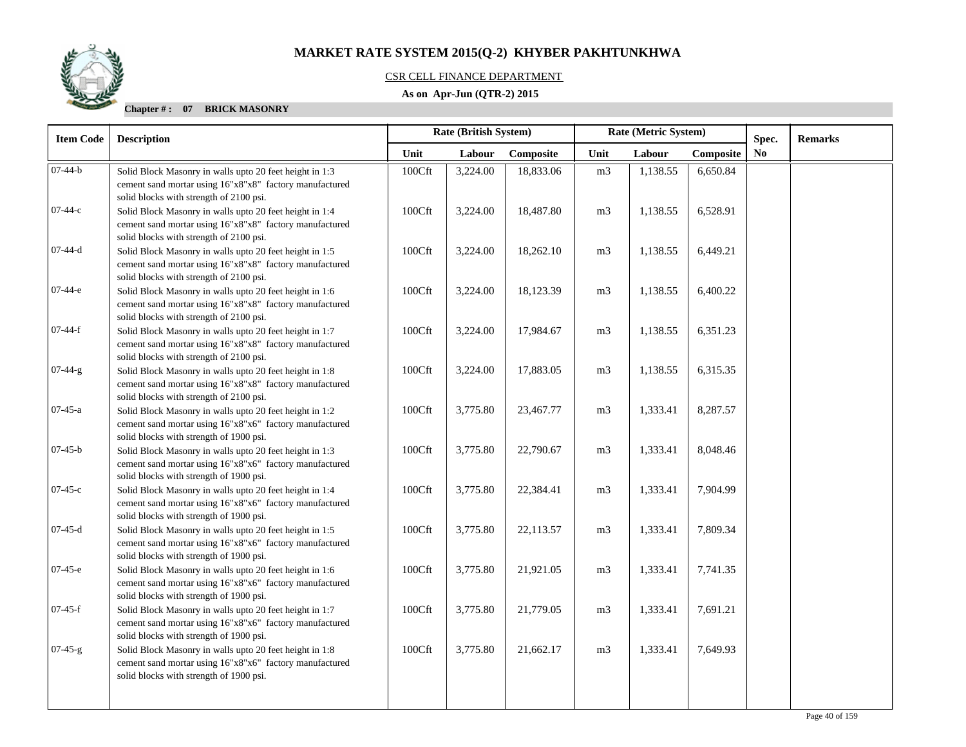

#### CSR CELL FINANCE DEPARTMENT

### **As on Apr-Jun (QTR-2) 2015**

| <b>Item Code</b> | <b>Description</b>                                                                                                                                                                                       |        | Rate (British System) |           | Rate (Metric System) |          |           | Spec.          | <b>Remarks</b> |
|------------------|----------------------------------------------------------------------------------------------------------------------------------------------------------------------------------------------------------|--------|-----------------------|-----------|----------------------|----------|-----------|----------------|----------------|
|                  |                                                                                                                                                                                                          | Unit   | Labour                | Composite | Unit                 | Labour   | Composite | N <sub>0</sub> |                |
| $07-44-b$        | Solid Block Masonry in walls upto 20 feet height in 1:3<br>cement sand mortar using 16"x8"x8" factory manufactured                                                                                       | 100Cft | 3,224.00              | 18,833.06 | m <sub>3</sub>       | 1,138.55 | 6,650.84  |                |                |
| 07-44-с          | solid blocks with strength of 2100 psi.<br>Solid Block Masonry in walls upto 20 feet height in 1:4<br>cement sand mortar using 16"x8"x8" factory manufactured<br>solid blocks with strength of 2100 psi. | 100Cft | 3,224.00              | 18,487.80 | m <sub>3</sub>       | 1,138.55 | 6,528.91  |                |                |
| $07-44-d$        | Solid Block Masonry in walls upto 20 feet height in 1:5<br>cement sand mortar using 16"x8"x8" factory manufactured<br>solid blocks with strength of 2100 psi.                                            | 100Cft | 3,224.00              | 18,262.10 | m <sub>3</sub>       | 1,138.55 | 6,449.21  |                |                |
| 07-44-е          | Solid Block Masonry in walls upto 20 feet height in 1:6<br>cement sand mortar using 16"x8"x8" factory manufactured<br>solid blocks with strength of 2100 psi.                                            | 100Cft | 3,224.00              | 18,123.39 | m <sub>3</sub>       | 1,138.55 | 6,400.22  |                |                |
| $07-44-f$        | Solid Block Masonry in walls upto 20 feet height in 1:7<br>cement sand mortar using 16"x8"x8" factory manufactured<br>solid blocks with strength of 2100 psi.                                            | 100Cft | 3,224.00              | 17,984.67 | m <sub>3</sub>       | 1,138.55 | 6,351.23  |                |                |
| $07-44-g$        | Solid Block Masonry in walls upto 20 feet height in 1:8<br>cement sand mortar using 16"x8"x8" factory manufactured<br>solid blocks with strength of 2100 psi.                                            | 100Cft | 3,224.00              | 17,883.05 | m <sub>3</sub>       | 1,138.55 | 6,315.35  |                |                |
| $07-45-a$        | Solid Block Masonry in walls upto 20 feet height in 1:2<br>cement sand mortar using 16"x8"x6" factory manufactured<br>solid blocks with strength of 1900 psi.                                            | 100Cft | 3,775.80              | 23,467.77 | m <sub>3</sub>       | 1,333.41 | 8,287.57  |                |                |
| $07-45-b$        | Solid Block Masonry in walls upto 20 feet height in 1:3<br>cement sand mortar using 16"x8"x6" factory manufactured<br>solid blocks with strength of 1900 psi.                                            | 100Cft | 3,775.80              | 22,790.67 | m <sub>3</sub>       | 1,333.41 | 8,048.46  |                |                |
| $07-45-c$        | Solid Block Masonry in walls upto 20 feet height in 1:4<br>cement sand mortar using 16"x8"x6" factory manufactured<br>solid blocks with strength of 1900 psi.                                            | 100Cft | 3,775.80              | 22,384.41 | m <sub>3</sub>       | 1,333.41 | 7,904.99  |                |                |
| $07-45-d$        | Solid Block Masonry in walls upto 20 feet height in 1:5<br>cement sand mortar using 16"x8"x6" factory manufactured<br>solid blocks with strength of 1900 psi.                                            | 100Cft | 3,775.80              | 22,113.57 | m <sub>3</sub>       | 1,333.41 | 7,809.34  |                |                |
| $07-45-e$        | Solid Block Masonry in walls upto 20 feet height in 1:6<br>cement sand mortar using 16"x8"x6" factory manufactured<br>solid blocks with strength of 1900 psi.                                            | 100Cft | 3,775.80              | 21,921.05 | m <sub>3</sub>       | 1,333.41 | 7,741.35  |                |                |
| $07-45-f$        | Solid Block Masonry in walls upto 20 feet height in 1:7<br>cement sand mortar using 16"x8"x6" factory manufactured<br>solid blocks with strength of 1900 psi.                                            | 100Cft | 3,775.80              | 21,779.05 | m <sub>3</sub>       | 1,333.41 | 7,691.21  |                |                |
| $07-45-g$        | Solid Block Masonry in walls upto 20 feet height in 1:8<br>cement sand mortar using 16"x8"x6" factory manufactured<br>solid blocks with strength of 1900 psi.                                            | 100Cft | 3,775.80              | 21,662.17 | m <sub>3</sub>       | 1,333.41 | 7,649.93  |                |                |
|                  |                                                                                                                                                                                                          |        |                       |           |                      |          |           |                |                |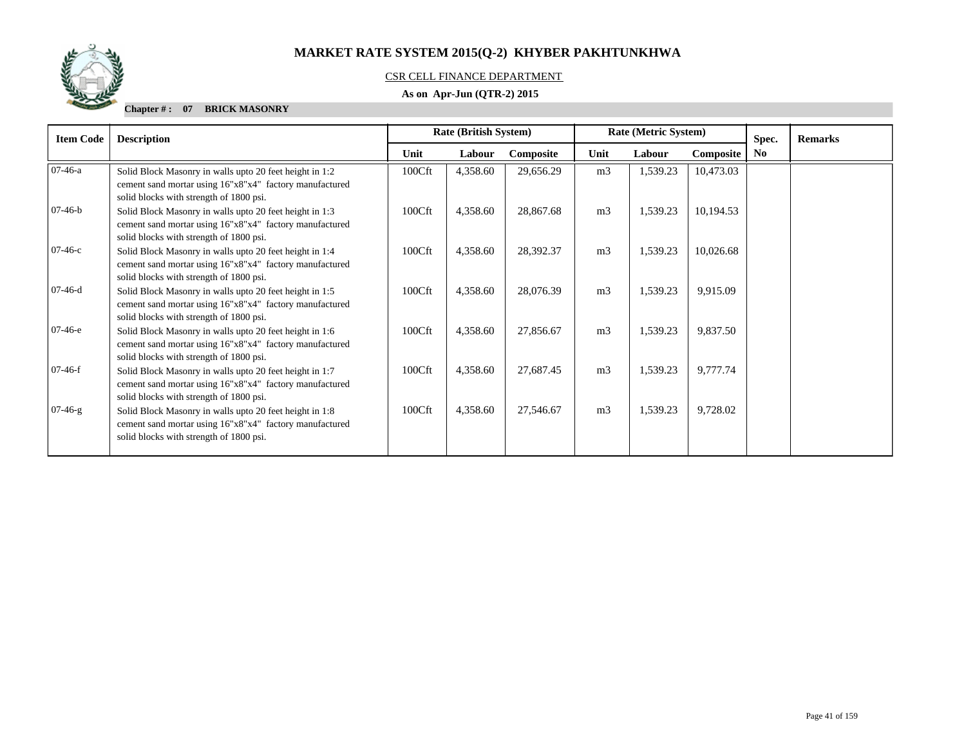

### CSR CELL FINANCE DEPARTMENT

### **As on Apr-Jun (QTR-2) 2015**

| <b>Item Code</b> | <b>Description</b>                                                                                                                                            | Rate (British System)<br>Rate (Metric System) |          |           |                |          | Spec.            | <b>Remarks</b> |  |
|------------------|---------------------------------------------------------------------------------------------------------------------------------------------------------------|-----------------------------------------------|----------|-----------|----------------|----------|------------------|----------------|--|
|                  |                                                                                                                                                               | Unit                                          | Labour   | Composite | Unit           | Labour   | <b>Composite</b> | N <sub>0</sub> |  |
| $07-46-a$        | Solid Block Masonry in walls upto 20 feet height in 1:2<br>cement sand mortar using 16"x8"x4" factory manufactured<br>solid blocks with strength of 1800 psi. | 100Cft                                        | 4,358.60 | 29,656.29 | m <sub>3</sub> | 1,539.23 | 10,473.03        |                |  |
| $07-46-b$        | Solid Block Masonry in walls upto 20 feet height in 1:3<br>cement sand mortar using 16"x8"x4" factory manufactured<br>solid blocks with strength of 1800 psi. | 100Cft                                        | 4,358.60 | 28,867.68 | m <sub>3</sub> | 1,539.23 | 10,194.53        |                |  |
| $07-46-c$        | Solid Block Masonry in walls upto 20 feet height in 1:4<br>cement sand mortar using 16"x8"x4" factory manufactured<br>solid blocks with strength of 1800 psi. | 100Cft                                        | 4,358.60 | 28,392.37 | m <sub>3</sub> | 1,539.23 | 10,026.68        |                |  |
| $07-46-d$        | Solid Block Masonry in walls upto 20 feet height in 1:5<br>cement sand mortar using 16"x8"x4" factory manufactured<br>solid blocks with strength of 1800 psi. | 100Cft                                        | 4,358.60 | 28,076.39 | m <sub>3</sub> | 1,539.23 | 9,915.09         |                |  |
| $07-46-e$        | Solid Block Masonry in walls upto 20 feet height in 1:6<br>cement sand mortar using 16"x8"x4" factory manufactured<br>solid blocks with strength of 1800 psi. | 100Cft                                        | 4,358.60 | 27,856.67 | m <sub>3</sub> | 1,539.23 | 9,837.50         |                |  |
| $07-46-f$        | Solid Block Masonry in walls upto 20 feet height in 1:7<br>cement sand mortar using 16"x8"x4" factory manufactured<br>solid blocks with strength of 1800 psi. | 100Cft                                        | 4,358.60 | 27,687.45 | m <sub>3</sub> | 1,539.23 | 9,777.74         |                |  |
| $07-46-g$        | Solid Block Masonry in walls upto 20 feet height in 1:8<br>cement sand mortar using 16"x8"x4" factory manufactured<br>solid blocks with strength of 1800 psi. | 100Cft                                        | 4,358.60 | 27,546.67 | m <sub>3</sub> | 1,539.23 | 9,728.02         |                |  |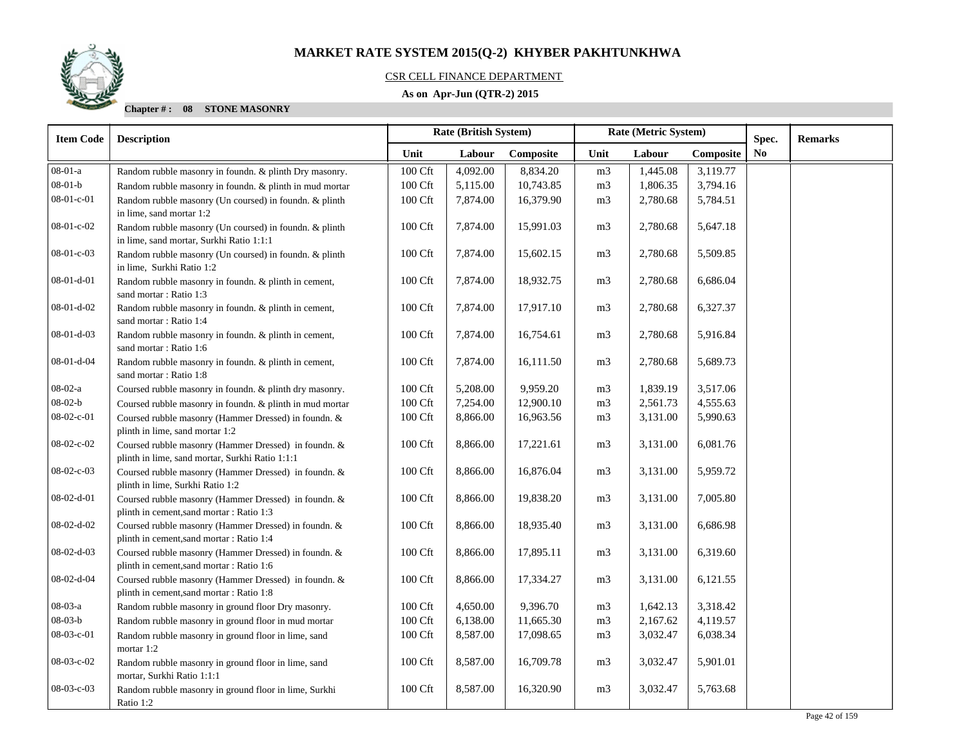

### CSR CELL FINANCE DEPARTMENT

### **As on Apr-Jun (QTR-2) 2015**

| <b>Item Code</b>   | <b>Description</b>                                                                                      |                     | Rate (British System) |           | Rate (Metric System) |          |           | Spec.          | <b>Remarks</b> |
|--------------------|---------------------------------------------------------------------------------------------------------|---------------------|-----------------------|-----------|----------------------|----------|-----------|----------------|----------------|
|                    |                                                                                                         | Unit                | Labour                | Composite | Unit                 | Labour   | Composite | N <sub>0</sub> |                |
| $08-01-a$          | Random rubble masonry in foundn. & plinth Dry masonry.                                                  | $100 \mathrm{Cft}$  | 4,092.00              | 8,834.20  | m <sub>3</sub>       | 1,445.08 | 3,119.77  |                |                |
| $08 - 01 - b$      | Random rubble masonry in foundn. & plinth in mud mortar                                                 | 100 Cft             | 5,115.00              | 10,743.85 | m <sub>3</sub>       | 1,806.35 | 3,794.16  |                |                |
| 08-01-c-01         | Random rubble masonry (Un coursed) in foundn. & plinth<br>in lime, sand mortar 1:2                      | 100 Cft             | 7,874.00              | 16,379.90 | m <sub>3</sub>       | 2,780.68 | 5,784.51  |                |                |
| $08-01-c-02$       | Random rubble masonry (Un coursed) in foundn. & plinth<br>in lime, sand mortar, Surkhi Ratio 1:1:1      | 100 Cft             | 7,874.00              | 15,991.03 | m <sub>3</sub>       | 2,780.68 | 5,647.18  |                |                |
| 08-01-c-03         | Random rubble masonry (Un coursed) in foundn. & plinth<br>in lime, Surkhi Ratio 1:2                     | 100 Cft             | 7,874.00              | 15,602.15 | m <sub>3</sub>       | 2,780.68 | 5,509.85  |                |                |
| $08-01-d-01$       | Random rubble masonry in foundn. & plinth in cement,<br>sand mortar: Ratio 1:3                          | 100 Cft             | 7,874.00              | 18,932.75 | m <sub>3</sub>       | 2,780.68 | 6,686.04  |                |                |
| $08-01-d-02$       | Random rubble masonry in foundn. & plinth in cement,<br>sand mortar: Ratio 1:4                          | 100 Cft             | 7,874.00              | 17,917.10 | m <sub>3</sub>       | 2,780.68 | 6,327.37  |                |                |
| $08-01-d-03$       | Random rubble masonry in foundn. & plinth in cement,<br>sand mortar: Ratio 1:6                          | 100 Cft             | 7,874.00              | 16,754.61 | m <sub>3</sub>       | 2,780.68 | 5,916.84  |                |                |
| 08-01-d-04         | Random rubble masonry in foundn. & plinth in cement,<br>sand mortar: Ratio 1:8                          | 100 Cft             | 7,874.00              | 16,111.50 | m <sub>3</sub>       | 2,780.68 | 5,689.73  |                |                |
| $08-02-a$          | Coursed rubble masonry in foundn. & plinth dry masonry.                                                 | 100 Cft             | 5,208.00              | 9,959.20  | m <sub>3</sub>       | 1,839.19 | 3,517.06  |                |                |
| $08 - 02 - b$      | Coursed rubble masonry in foundn. & plinth in mud mortar                                                | 100 Cft             | 7,254.00              | 12,900.10 | m <sub>3</sub>       | 2,561.73 | 4,555.63  |                |                |
| $08 - 02 - c - 01$ | Coursed rubble masonry (Hammer Dressed) in foundn. &<br>plinth in lime, sand mortar 1:2                 | 100 Cft             | 8,866.00              | 16,963.56 | m <sub>3</sub>       | 3,131.00 | 5,990.63  |                |                |
| 08-02-c-02         | Coursed rubble masonry (Hammer Dressed) in foundn. &<br>plinth in lime, sand mortar, Surkhi Ratio 1:1:1 | 100 Cft             | 8,866.00              | 17,221.61 | m <sub>3</sub>       | 3,131.00 | 6,081.76  |                |                |
| 08-02-c-03         | Coursed rubble masonry (Hammer Dressed) in foundn. &<br>plinth in lime, Surkhi Ratio 1:2                | 100 Cft             | 8,866.00              | 16,876.04 | m <sub>3</sub>       | 3,131.00 | 5,959.72  |                |                |
| $08-02-d-01$       | Coursed rubble masonry (Hammer Dressed) in foundn. &<br>plinth in cement, sand mortar: Ratio 1:3        | 100 Cft             | 8,866.00              | 19,838.20 | m <sub>3</sub>       | 3,131.00 | 7,005.80  |                |                |
| 08-02-d-02         | Coursed rubble masonry (Hammer Dressed) in foundn. &<br>plinth in cement, sand mortar : Ratio 1:4       | $100\ \mathrm{Cft}$ | 8,866.00              | 18,935.40 | m <sub>3</sub>       | 3,131.00 | 6,686.98  |                |                |
| $08-02-d-03$       | Coursed rubble masonry (Hammer Dressed) in foundn. &<br>plinth in cement, sand mortar : Ratio 1:6       | 100 Cft             | 8,866.00              | 17,895.11 | m <sub>3</sub>       | 3,131.00 | 6,319.60  |                |                |
| 08-02-d-04         | Coursed rubble masonry (Hammer Dressed) in foundn. &<br>plinth in cement, sand mortar : Ratio 1:8       | 100 Cft             | 8,866.00              | 17,334.27 | m <sub>3</sub>       | 3,131.00 | 6,121.55  |                |                |
| 08-03-a            | Random rubble masonry in ground floor Dry masonry.                                                      | 100 Cft             | 4,650.00              | 9,396.70  | m <sub>3</sub>       | 1,642.13 | 3,318.42  |                |                |
| $08 - 03 - b$      | Random rubble masonry in ground floor in mud mortar                                                     | 100 Cft             | 6,138.00              | 11,665.30 | m <sub>3</sub>       | 2,167.62 | 4,119.57  |                |                |
| 08-03-c-01         | Random rubble masonry in ground floor in lime, sand<br>mortar 1:2                                       | 100 Cft             | 8,587.00              | 17,098.65 | m <sub>3</sub>       | 3,032.47 | 6,038.34  |                |                |
| 08-03-c-02         | Random rubble masonry in ground floor in lime, sand<br>mortar, Surkhi Ratio 1:1:1                       | 100 Cft             | 8,587.00              | 16,709.78 | m <sub>3</sub>       | 3,032.47 | 5,901.01  |                |                |
| 08-03-c-03         | Random rubble masonry in ground floor in lime, Surkhi<br>Ratio 1:2                                      | 100 Cft             | 8,587.00              | 16,320.90 | m <sub>3</sub>       | 3,032.47 | 5,763.68  |                |                |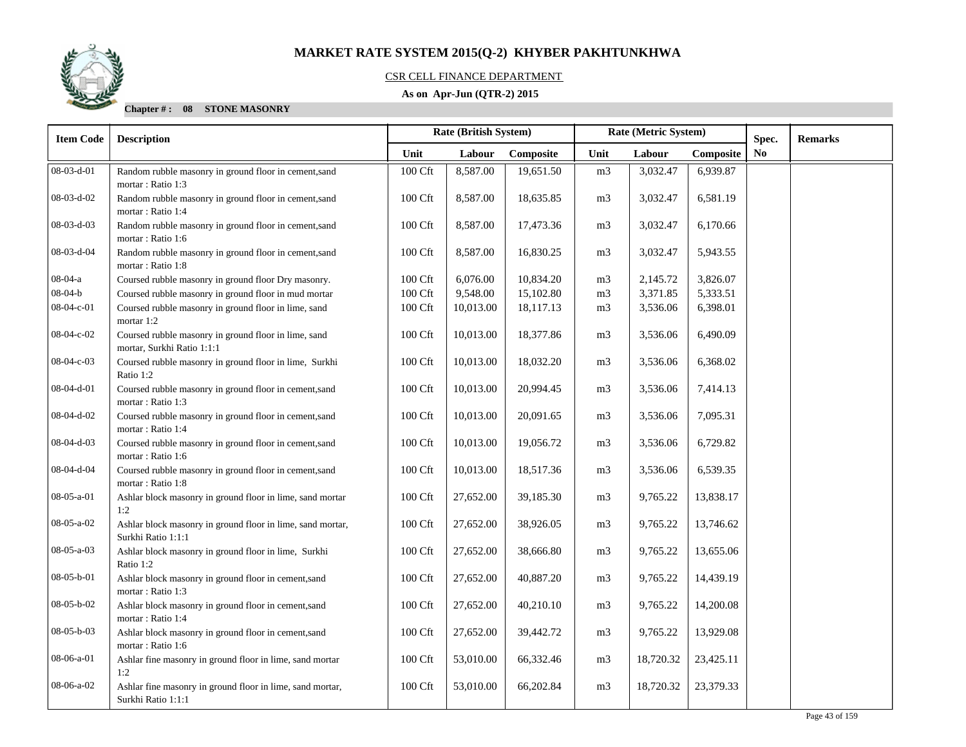

#### CSR CELL FINANCE DEPARTMENT

### **As on Apr-Jun (QTR-2) 2015**

| <b>Item Code</b> | <b>Description</b>                                                                 |                    | Rate (British System) |           | Rate (Metric System) |           |           | Spec.          | <b>Remarks</b> |
|------------------|------------------------------------------------------------------------------------|--------------------|-----------------------|-----------|----------------------|-----------|-----------|----------------|----------------|
|                  |                                                                                    | Unit               | Labour                | Composite | Unit                 | Labour    | Composite | N <sub>0</sub> |                |
| $08-03-d-01$     | Random rubble masonry in ground floor in cement, sand<br>mortar: Ratio 1:3         | 100 Cft            | 8,587.00              | 19,651.50 | m <sub>3</sub>       | 3,032.47  | 6,939.87  |                |                |
| 08-03-d-02       | Random rubble masonry in ground floor in cement, sand<br>mortar: Ratio 1:4         | 100 Cft            | 8,587.00              | 18,635.85 | m <sub>3</sub>       | 3,032.47  | 6,581.19  |                |                |
| 08-03-d-03       | Random rubble masonry in ground floor in cement, sand<br>mortar: Ratio 1:6         | 100 Cft            | 8,587.00              | 17,473.36 | m <sub>3</sub>       | 3,032.47  | 6,170.66  |                |                |
| 08-03-d-04       | Random rubble masonry in ground floor in cement, sand<br>mortar: Ratio 1:8         | 100 Cft            | 8,587.00              | 16,830.25 | m <sub>3</sub>       | 3,032.47  | 5,943.55  |                |                |
| $08-04-a$        | Coursed rubble masonry in ground floor Dry masonry.                                | $100 \mathrm{Cft}$ | 6,076.00              | 10,834.20 | m <sub>3</sub>       | 2,145.72  | 3,826.07  |                |                |
| $08 - 04 - b$    | Coursed rubble masonry in ground floor in mud mortar                               | 100 Cft            | 9,548.00              | 15,102.80 | m <sub>3</sub>       | 3,371.85  | 5,333.51  |                |                |
| 08-04-c-01       | Coursed rubble masonry in ground floor in lime, sand<br>mortar 1:2                 | 100 Cft            | 10,013.00             | 18,117.13 | m <sub>3</sub>       | 3,536.06  | 6,398.01  |                |                |
| 08-04-c-02       | Coursed rubble masonry in ground floor in lime, sand<br>mortar, Surkhi Ratio 1:1:1 | 100 Cft            | 10,013.00             | 18,377.86 | m <sub>3</sub>       | 3,536.06  | 6,490.09  |                |                |
| 08-04-c-03       | Coursed rubble masonry in ground floor in lime, Surkhi<br>Ratio 1:2                | 100 Cft            | 10,013.00             | 18,032.20 | m <sub>3</sub>       | 3,536.06  | 6,368.02  |                |                |
| 08-04-d-01       | Coursed rubble masonry in ground floor in cement, sand<br>mortar: Ratio 1:3        | 100 Cft            | 10,013.00             | 20,994.45 | m <sub>3</sub>       | 3,536.06  | 7,414.13  |                |                |
| $08-04-d-02$     | Coursed rubble masonry in ground floor in cement, sand<br>mortar: Ratio 1:4        | 100 Cft            | 10,013.00             | 20,091.65 | m <sub>3</sub>       | 3,536.06  | 7,095.31  |                |                |
| 08-04-d-03       | Coursed rubble masonry in ground floor in cement, sand<br>mortar: Ratio 1:6        | 100 Cft            | 10,013.00             | 19,056.72 | m <sub>3</sub>       | 3,536.06  | 6,729.82  |                |                |
| 08-04-d-04       | Coursed rubble masonry in ground floor in cement, sand<br>mortar: Ratio 1:8        | 100 Cft            | 10,013.00             | 18,517.36 | m <sub>3</sub>       | 3,536.06  | 6,539.35  |                |                |
| $08-05-a-01$     | Ashlar block masonry in ground floor in lime, sand mortar<br>1:2                   | 100 Cft            | 27,652.00             | 39,185.30 | m <sub>3</sub>       | 9,765.22  | 13,838.17 |                |                |
| $08-05-a-02$     | Ashlar block masonry in ground floor in lime, sand mortar,<br>Surkhi Ratio 1:1:1   | 100 Cft            | 27,652.00             | 38,926.05 | m <sub>3</sub>       | 9,765.22  | 13,746.62 |                |                |
| 08-05-a-03       | Ashlar block masonry in ground floor in lime, Surkhi<br>Ratio 1:2                  | 100 Cft            | 27,652.00             | 38,666.80 | m <sub>3</sub>       | 9,765.22  | 13,655.06 |                |                |
| 08-05-b-01       | Ashlar block masonry in ground floor in cement,sand<br>mortar: Ratio 1:3           | 100 Cft            | 27,652.00             | 40,887.20 | m <sub>3</sub>       | 9,765.22  | 14,439.19 |                |                |
| 08-05-b-02       | Ashlar block masonry in ground floor in cement, sand<br>mortar: Ratio 1:4          | 100 Cft            | 27,652.00             | 40,210.10 | m <sub>3</sub>       | 9,765.22  | 14,200.08 |                |                |
| 08-05-b-03       | Ashlar block masonry in ground floor in cement, sand<br>mortar: Ratio 1:6          | 100 Cft            | 27,652.00             | 39,442.72 | m <sub>3</sub>       | 9,765.22  | 13,929.08 |                |                |
| 08-06-a-01       | Ashlar fine masonry in ground floor in lime, sand mortar<br>1:2                    | 100 Cft            | 53,010.00             | 66,332.46 | m <sub>3</sub>       | 18,720.32 | 23,425.11 |                |                |
| 08-06-a-02       | Ashlar fine masonry in ground floor in lime, sand mortar,<br>Surkhi Ratio 1:1:1    | 100 Cft            | 53,010.00             | 66,202.84 | m <sub>3</sub>       | 18,720.32 | 23,379.33 |                |                |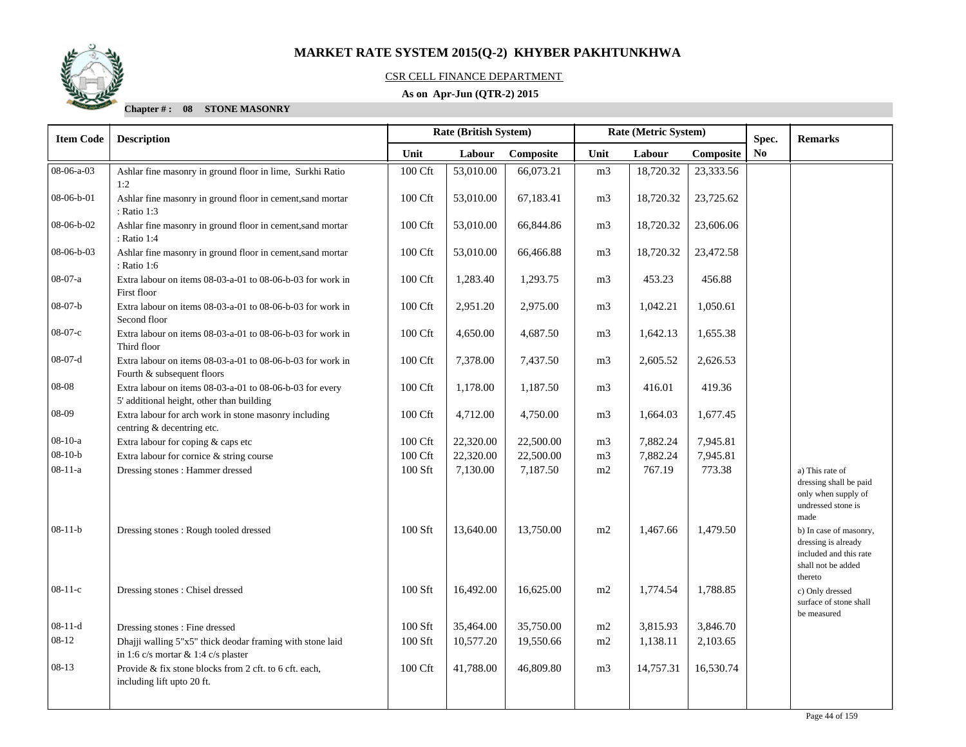

#### CSR CELL FINANCE DEPARTMENT

### **As on Apr-Jun (QTR-2) 2015**

| <b>Item Code</b> | <b>Description</b>                                                                                    | <b>Rate (British System)</b><br>Rate (Metric System)<br>Spec. |           |           |                |           | <b>Remarks</b> |                |                                                                                                          |
|------------------|-------------------------------------------------------------------------------------------------------|---------------------------------------------------------------|-----------|-----------|----------------|-----------|----------------|----------------|----------------------------------------------------------------------------------------------------------|
|                  |                                                                                                       | Unit                                                          | Labour    | Composite | Unit           | Labour    | Composite      | N <sub>0</sub> |                                                                                                          |
| 08-06-a-03       | Ashlar fine masonry in ground floor in lime, Surkhi Ratio<br>1:2                                      | 100 Cft                                                       | 53,010.00 | 66,073.21 | m <sub>3</sub> | 18,720.32 | 23,333.56      |                |                                                                                                          |
| 08-06-b-01       | Ashlar fine masonry in ground floor in cement, sand mortar<br>: Ratio 1:3                             | 100 Cft                                                       | 53,010.00 | 67,183.41 | m <sub>3</sub> | 18,720.32 | 23,725.62      |                |                                                                                                          |
| 08-06-b-02       | Ashlar fine masonry in ground floor in cement, sand mortar<br>: Ratio 1:4                             | 100 Cft                                                       | 53,010.00 | 66,844.86 | m <sub>3</sub> | 18,720.32 | 23,606.06      |                |                                                                                                          |
| 08-06-b-03       | Ashlar fine masonry in ground floor in cement, sand mortar<br>: Ratio 1:6                             | 100 Cft                                                       | 53,010.00 | 66,466.88 | m <sub>3</sub> | 18,720.32 | 23,472.58      |                |                                                                                                          |
| 08-07-a          | Extra labour on items 08-03-a-01 to 08-06-b-03 for work in<br>First floor                             | 100 Cft                                                       | 1,283.40  | 1,293.75  | m <sub>3</sub> | 453.23    | 456.88         |                |                                                                                                          |
| $08-07-b$        | Extra labour on items 08-03-a-01 to 08-06-b-03 for work in<br>Second floor                            | 100 Cft                                                       | 2,951.20  | 2,975.00  | m <sub>3</sub> | 1,042.21  | 1,050.61       |                |                                                                                                          |
| $08-07-c$        | Extra labour on items 08-03-a-01 to 08-06-b-03 for work in<br>Third floor                             | 100 Cft                                                       | 4,650.00  | 4,687.50  | m3             | 1,642.13  | 1,655.38       |                |                                                                                                          |
| $08-07-d$        | Extra labour on items 08-03-a-01 to 08-06-b-03 for work in<br>Fourth & subsequent floors              | 100 Cft                                                       | 7,378.00  | 7,437.50  | m3             | 2,605.52  | 2,626.53       |                |                                                                                                          |
| 08-08            | Extra labour on items 08-03-a-01 to 08-06-b-03 for every<br>5' additional height, other than building | 100 Cft                                                       | 1,178.00  | 1,187.50  | m <sub>3</sub> | 416.01    | 419.36         |                |                                                                                                          |
| 08-09            | Extra labour for arch work in stone masonry including<br>centring & decentring etc.                   | 100 Cft                                                       | 4,712.00  | 4,750.00  | m <sub>3</sub> | 1,664.03  | 1,677.45       |                |                                                                                                          |
| $08-10-a$        | Extra labour for coping & caps etc                                                                    | 100 Cft                                                       | 22,320.00 | 22,500.00 | m <sub>3</sub> | 7,882.24  | 7,945.81       |                |                                                                                                          |
| $08-10-b$        | Extra labour for cornice & string course                                                              | 100 Cft                                                       | 22,320.00 | 22,500.00 | m <sub>3</sub> | 7,882.24  | 7,945.81       |                |                                                                                                          |
| $08-11-a$        | Dressing stones : Hammer dressed                                                                      | 100 Sft                                                       | 7,130.00  | 7,187.50  | m2             | 767.19    | 773.38         |                | a) This rate of<br>dressing shall be paid<br>only when supply of<br>undressed stone is<br>made           |
| $08-11-b$        | Dressing stones: Rough tooled dressed                                                                 | $100$ Sft                                                     | 13,640.00 | 13,750.00 | m2             | 1,467.66  | 1,479.50       |                | b) In case of masonry,<br>dressing is already<br>included and this rate<br>shall not be added<br>thereto |
| $08-11-c$        | Dressing stones: Chisel dressed                                                                       | 100 Sft                                                       | 16,492.00 | 16,625.00 | m2             | 1,774.54  | 1,788.85       |                | c) Only dressed<br>surface of stone shall<br>be measured                                                 |
| $08-11-d$        | Dressing stones: Fine dressed                                                                         | 100 Sft                                                       | 35,464.00 | 35,750.00 | m2             | 3,815.93  | 3,846.70       |                |                                                                                                          |
| 08-12            | Dhajji walling 5"x5" thick deodar framing with stone laid<br>in 1:6 c/s mortar $& 1:4$ c/s plaster    | 100 Sft                                                       | 10,577.20 | 19,550.66 | m2             | 1,138.11  | 2,103.65       |                |                                                                                                          |
| $08-13$          | Provide & fix stone blocks from 2 cft. to 6 cft. each,<br>including lift upto 20 ft.                  | 100 Cft                                                       | 41,788.00 | 46,809.80 | m <sub>3</sub> | 14,757.31 | 16,530.74      |                |                                                                                                          |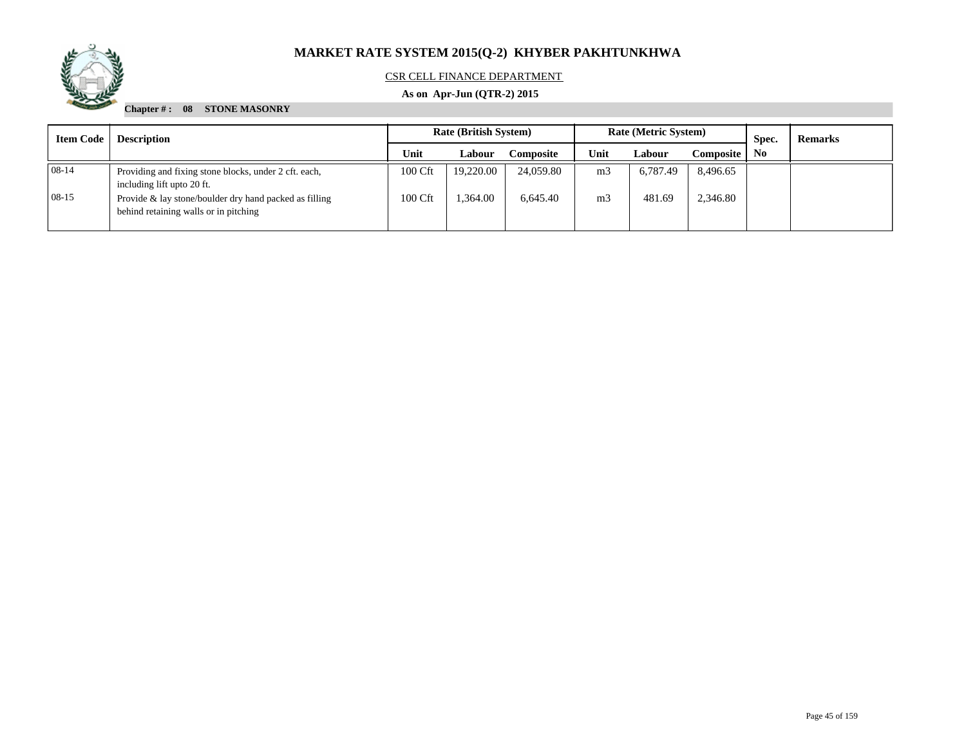

### CSR CELL FINANCE DEPARTMENT

### **As on Apr-Jun (QTR-2) 2015**

| <b>Item Code</b> | <b>Description</b>                                                                              | <b>Rate (British System)</b> |           |                  |                | <b>Rate (Metric System)</b> |           | Spec. | <b>Remarks</b> |
|------------------|-------------------------------------------------------------------------------------------------|------------------------------|-----------|------------------|----------------|-----------------------------|-----------|-------|----------------|
|                  |                                                                                                 |                              | Labour    | <b>Composite</b> | Unit           | Labour                      | Composite | No.   |                |
| 08-14            | Providing and fixing stone blocks, under 2 cft. each,<br>including lift upto 20 ft.             | 100 Cft                      | 19.220.00 | 24,059.80        | m <sub>3</sub> | 6.787.49                    | 8,496.65  |       |                |
| $08-15$          | Provide & lay stone/boulder dry hand packed as filling<br>behind retaining walls or in pitching | 100 Cft                      | .364.00   | 6,645.40         | m <sub>3</sub> | 481.69                      | 2,346.80  |       |                |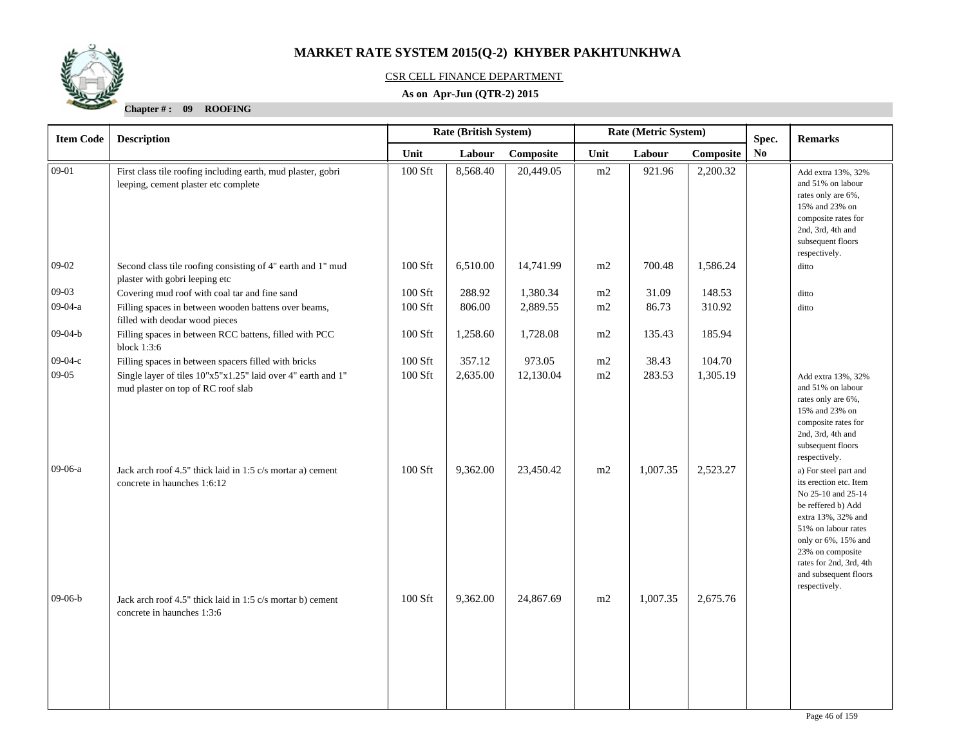

### CSR CELL FINANCE DEPARTMENT

### **As on Apr-Jun (QTR-2) 2015**

| <b>Item Code</b> | <b>Description</b>                                                                                   | Rate (Metric System)<br>Rate (British System)<br>Spec. |          |           |          |          |           | <b>Remarks</b> |                                                                                                                                                                                                                                                          |
|------------------|------------------------------------------------------------------------------------------------------|--------------------------------------------------------|----------|-----------|----------|----------|-----------|----------------|----------------------------------------------------------------------------------------------------------------------------------------------------------------------------------------------------------------------------------------------------------|
|                  |                                                                                                      | Unit                                                   | Labour   | Composite | Unit     | Labour   | Composite | No             |                                                                                                                                                                                                                                                          |
| $09 - 01$        | First class tile roofing including earth, mud plaster, gobri<br>leeping, cement plaster etc complete | 100 Sft                                                | 8,568.40 | 20,449.05 | m2       | 921.96   | 2,200.32  |                | Add extra 13%, 32%<br>and 51% on labour<br>rates only are 6%,<br>15% and 23% on<br>composite rates for<br>2nd, 3rd, 4th and<br>subsequent floors<br>respectively.                                                                                        |
| $09-02$          | Second class tile roofing consisting of 4" earth and 1" mud<br>plaster with gobri leeping etc        | 100 Sft                                                | 6,510.00 | 14,741.99 | $\rm m2$ | 700.48   | 1,586.24  |                | ditto                                                                                                                                                                                                                                                    |
| $09-03$          | Covering mud roof with coal tar and fine sand                                                        | 100 Sft                                                | 288.92   | 1,380.34  | m2       | 31.09    | 148.53    |                | ditto                                                                                                                                                                                                                                                    |
| 09-04-a          | Filling spaces in between wooden battens over beams,<br>filled with deodar wood pieces               | 100 Sft                                                | 806.00   | 2,889.55  | m2       | 86.73    | 310.92    |                | ditto                                                                                                                                                                                                                                                    |
| $09 - 04 - b$    | Filling spaces in between RCC battens, filled with PCC<br>block $1:3:6$                              | 100 Sft                                                | 1,258.60 | 1,728.08  | m2       | 135.43   | 185.94    |                |                                                                                                                                                                                                                                                          |
| $09-04-c$        | Filling spaces in between spacers filled with bricks                                                 | 100 Sft                                                | 357.12   | 973.05    | m2       | 38.43    | 104.70    |                |                                                                                                                                                                                                                                                          |
| $09-05$          | Single layer of tiles 10"x5"x1.25" laid over 4" earth and 1"<br>mud plaster on top of RC roof slab   | 100 Sft                                                | 2,635.00 | 12,130.04 | m2       | 283.53   | 1,305.19  |                | Add extra 13%, 32%<br>and 51% on labour<br>rates only are 6%,<br>15% and 23% on<br>composite rates for<br>2nd, 3rd, 4th and<br>subsequent floors<br>respectively.                                                                                        |
| 09-06-a          | Jack arch roof 4.5" thick laid in 1:5 c/s mortar a) cement<br>concrete in haunches 1:6:12            | 100 Sft                                                | 9,362.00 | 23,450.42 | m2       | 1,007.35 | 2,523.27  |                | a) For steel part and<br>its erection etc. Item<br>No 25-10 and 25-14<br>be reffered b) Add<br>extra 13%, 32% and<br>51% on labour rates<br>only or 6%, 15% and<br>23% on composite<br>rates for 2nd, 3rd, 4th<br>and subsequent floors<br>respectively. |
| $09-06-b$        | Jack arch roof 4.5" thick laid in 1:5 c/s mortar b) cement<br>concrete in haunches 1:3:6             | $100$ Sft                                              | 9,362.00 | 24,867.69 | m2       | 1,007.35 | 2,675.76  |                |                                                                                                                                                                                                                                                          |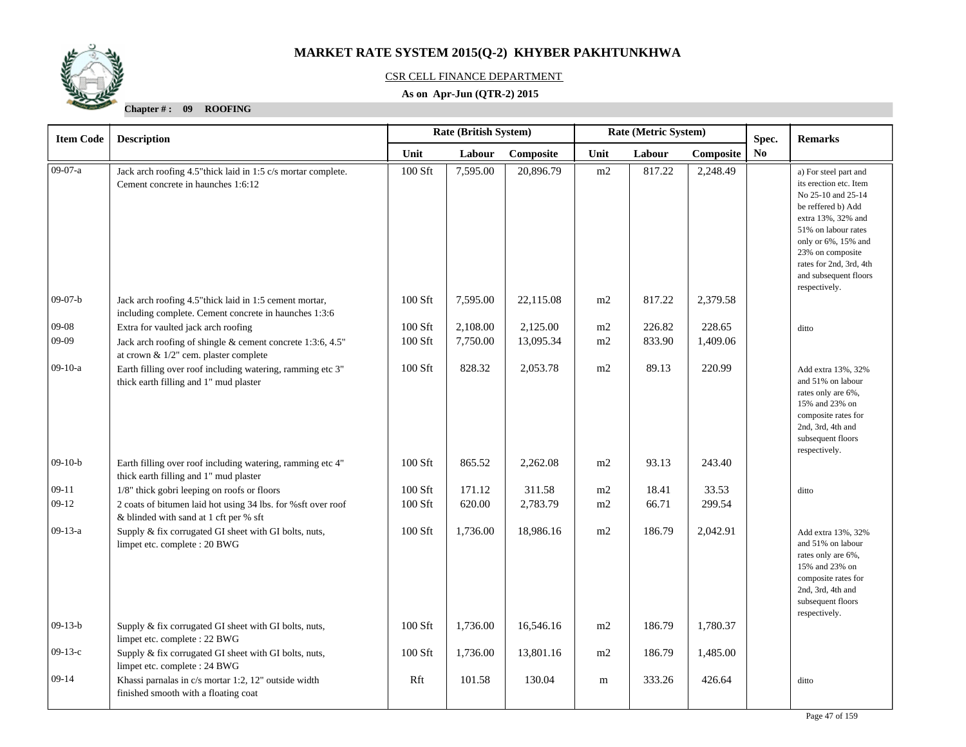

### CSR CELL FINANCE DEPARTMENT

### **As on Apr-Jun (QTR-2) 2015**

| <b>Item Code</b> | <b>Description</b>                                                                                               |         | Rate (British System) |           | Rate (Metric System) |        |           | Spec. | <b>Remarks</b>                                                                                                                                                                                                                          |
|------------------|------------------------------------------------------------------------------------------------------------------|---------|-----------------------|-----------|----------------------|--------|-----------|-------|-----------------------------------------------------------------------------------------------------------------------------------------------------------------------------------------------------------------------------------------|
|                  |                                                                                                                  | Unit    | Labour                | Composite | Unit                 | Labour | Composite | No    |                                                                                                                                                                                                                                         |
| 09-07-a          | Jack arch roofing 4.5" thick laid in 1:5 c/s mortar complete.<br>Cement concrete in haunches 1:6:12              | 100 Sft | 7,595.00              | 20,896.79 | m2                   | 817.22 | 2,248.49  |       | a) For steel part and<br>its erection etc. Item<br>No 25-10 and 25-14<br>be reffered b) Add<br>extra 13%, 32% and<br>51% on labour rates<br>only or 6%, 15% and<br>23% on composite<br>rates for 2nd, 3rd, 4th<br>and subsequent floors |
| $09-07-b$        | Jack arch roofing 4.5" thick laid in 1:5 cement mortar,<br>including complete. Cement concrete in haunches 1:3:6 | 100 Sft | 7,595.00              | 22,115.08 | m2                   | 817.22 | 2,379.58  |       | respectively.                                                                                                                                                                                                                           |
| $09 - 08$        | Extra for vaulted jack arch roofing                                                                              | 100 Sft | 2,108.00              | 2,125.00  | m2                   | 226.82 | 228.65    |       | ditto                                                                                                                                                                                                                                   |
| 09-09            | Jack arch roofing of shingle & cement concrete 1:3:6, 4.5"<br>at crown & 1/2" cem. plaster complete              | 100 Sft | 7,750.00              | 13,095.34 | m2                   | 833.90 | 1,409.06  |       |                                                                                                                                                                                                                                         |
| $09-10-a$        | Earth filling over roof including watering, ramming etc 3"<br>thick earth filling and 1" mud plaster             | 100 Sft | 828.32                | 2,053.78  | m2                   | 89.13  | 220.99    |       | Add extra 13%, 32%<br>and 51% on labour<br>rates only are 6%,<br>15% and 23% on<br>composite rates for<br>2nd, 3rd, 4th and<br>subsequent floors<br>respectively.                                                                       |
| $09-10-b$        | Earth filling over roof including watering, ramming etc 4"<br>thick earth filling and 1" mud plaster             | 100 Sft | 865.52                | 2,262.08  | m2                   | 93.13  | 243.40    |       |                                                                                                                                                                                                                                         |
| $09-11$          | 1/8" thick gobri leeping on roofs or floors                                                                      | 100 Sft | 171.12                | 311.58    | m2                   | 18.41  | 33.53     |       | ditto                                                                                                                                                                                                                                   |
| $09-12$          | 2 coats of bitumen laid hot using 34 lbs. for %sft over roof<br>& blinded with sand at 1 cft per % sft           | 100 Sft | 620.00                | 2,783.79  | m2                   | 66.71  | 299.54    |       |                                                                                                                                                                                                                                         |
| $09-13-a$        | Supply & fix corrugated GI sheet with GI bolts, nuts,<br>limpet etc. complete : 20 BWG                           | 100 Sft | 1,736.00              | 18,986.16 | m2                   | 186.79 | 2,042.91  |       | Add extra 13%, 32%<br>and 51% on labour<br>rates only are 6%,<br>15% and 23% on<br>composite rates for<br>2nd, 3rd, 4th and<br>subsequent floors<br>respectively.                                                                       |
| $09-13-b$        | Supply & fix corrugated GI sheet with GI bolts, nuts,<br>limpet etc. complete : 22 BWG                           | 100 Sft | 1,736.00              | 16,546.16 | m2                   | 186.79 | 1,780.37  |       |                                                                                                                                                                                                                                         |
| $09-13-c$        | Supply & fix corrugated GI sheet with GI bolts, nuts,<br>limpet etc. complete : 24 BWG                           | 100 Sft | 1,736.00              | 13,801.16 | m2                   | 186.79 | 1,485.00  |       |                                                                                                                                                                                                                                         |
| $09-14$          | Khassi parnalas in c/s mortar 1:2, 12" outside width<br>finished smooth with a floating coat                     | Rft     | 101.58                | 130.04    | m                    | 333.26 | 426.64    |       | ditto                                                                                                                                                                                                                                   |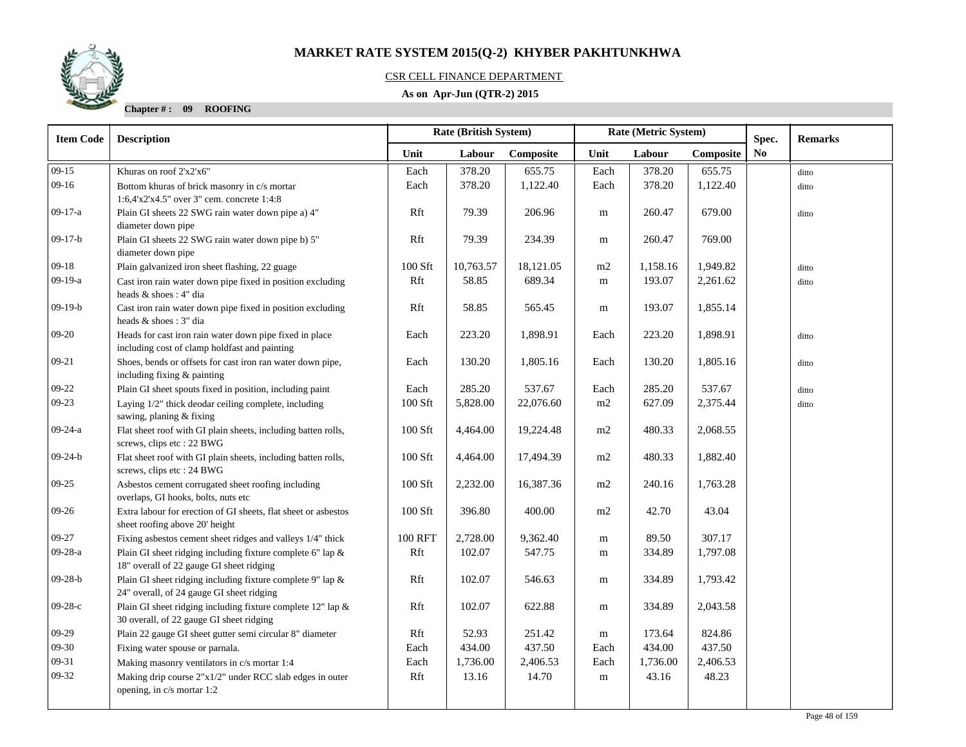### CSR CELL FINANCE DEPARTMENT

### **As on Apr-Jun (QTR-2) 2015**

| <b>Description</b><br>Khuras on roof 2'x2'x6"                                                          | Unit                                                                                                                                                                                                                                                                                                                                                                                                                                                                                                                                                                                                                                                                                                                                                                                  | Labour                                                                                   |                                                                                                     |                                                                                                                        |                                                                                                       |                                                                                                               | Spec.                                                                                                       | <b>Remarks</b> |
|--------------------------------------------------------------------------------------------------------|---------------------------------------------------------------------------------------------------------------------------------------------------------------------------------------------------------------------------------------------------------------------------------------------------------------------------------------------------------------------------------------------------------------------------------------------------------------------------------------------------------------------------------------------------------------------------------------------------------------------------------------------------------------------------------------------------------------------------------------------------------------------------------------|------------------------------------------------------------------------------------------|-----------------------------------------------------------------------------------------------------|------------------------------------------------------------------------------------------------------------------------|-------------------------------------------------------------------------------------------------------|---------------------------------------------------------------------------------------------------------------|-------------------------------------------------------------------------------------------------------------|----------------|
|                                                                                                        |                                                                                                                                                                                                                                                                                                                                                                                                                                                                                                                                                                                                                                                                                                                                                                                       |                                                                                          | Composite                                                                                           | Unit                                                                                                                   | Labour                                                                                                | Composite                                                                                                     | N <sub>0</sub>                                                                                              |                |
|                                                                                                        | Each                                                                                                                                                                                                                                                                                                                                                                                                                                                                                                                                                                                                                                                                                                                                                                                  | 378.20                                                                                   | 655.75                                                                                              | Each                                                                                                                   | 378.20                                                                                                | 655.75                                                                                                        |                                                                                                             | ditto          |
| Bottom khuras of brick masonry in c/s mortar                                                           | Each                                                                                                                                                                                                                                                                                                                                                                                                                                                                                                                                                                                                                                                                                                                                                                                  | 378.20                                                                                   | 1,122.40                                                                                            | Each                                                                                                                   | 378.20                                                                                                | 1,122.40                                                                                                      |                                                                                                             | ditto          |
| 1:6,4'x2'x4.5" over 3" cem. concrete 1:4:8                                                             |                                                                                                                                                                                                                                                                                                                                                                                                                                                                                                                                                                                                                                                                                                                                                                                       |                                                                                          |                                                                                                     |                                                                                                                        |                                                                                                       |                                                                                                               |                                                                                                             |                |
| Plain GI sheets 22 SWG rain water down pipe a) 4"                                                      | Rft                                                                                                                                                                                                                                                                                                                                                                                                                                                                                                                                                                                                                                                                                                                                                                                   | 79.39                                                                                    | 206.96                                                                                              | m                                                                                                                      | 260.47                                                                                                | 679.00                                                                                                        |                                                                                                             | ditto          |
|                                                                                                        |                                                                                                                                                                                                                                                                                                                                                                                                                                                                                                                                                                                                                                                                                                                                                                                       |                                                                                          |                                                                                                     |                                                                                                                        |                                                                                                       |                                                                                                               |                                                                                                             |                |
|                                                                                                        |                                                                                                                                                                                                                                                                                                                                                                                                                                                                                                                                                                                                                                                                                                                                                                                       |                                                                                          |                                                                                                     |                                                                                                                        |                                                                                                       |                                                                                                               |                                                                                                             |                |
|                                                                                                        |                                                                                                                                                                                                                                                                                                                                                                                                                                                                                                                                                                                                                                                                                                                                                                                       |                                                                                          |                                                                                                     |                                                                                                                        |                                                                                                       |                                                                                                               |                                                                                                             |                |
|                                                                                                        |                                                                                                                                                                                                                                                                                                                                                                                                                                                                                                                                                                                                                                                                                                                                                                                       |                                                                                          |                                                                                                     |                                                                                                                        |                                                                                                       |                                                                                                               |                                                                                                             | ditto          |
| heads & shoes: 4" dia                                                                                  |                                                                                                                                                                                                                                                                                                                                                                                                                                                                                                                                                                                                                                                                                                                                                                                       |                                                                                          |                                                                                                     |                                                                                                                        |                                                                                                       |                                                                                                               |                                                                                                             | ditto          |
| Cast iron rain water down pipe fixed in position excluding                                             | Rft                                                                                                                                                                                                                                                                                                                                                                                                                                                                                                                                                                                                                                                                                                                                                                                   | 58.85                                                                                    | 565.45                                                                                              | m                                                                                                                      | 193.07                                                                                                | 1,855.14                                                                                                      |                                                                                                             |                |
|                                                                                                        |                                                                                                                                                                                                                                                                                                                                                                                                                                                                                                                                                                                                                                                                                                                                                                                       |                                                                                          |                                                                                                     |                                                                                                                        |                                                                                                       |                                                                                                               |                                                                                                             |                |
| including cost of clamp holdfast and painting                                                          |                                                                                                                                                                                                                                                                                                                                                                                                                                                                                                                                                                                                                                                                                                                                                                                       |                                                                                          |                                                                                                     |                                                                                                                        |                                                                                                       |                                                                                                               |                                                                                                             | ditto          |
| Shoes, bends or offsets for cast iron ran water down pipe,                                             | Each                                                                                                                                                                                                                                                                                                                                                                                                                                                                                                                                                                                                                                                                                                                                                                                  | 130.20                                                                                   | 1,805.16                                                                                            | Each                                                                                                                   | 130.20                                                                                                | 1,805.16                                                                                                      |                                                                                                             | ditto          |
| including fixing & painting                                                                            |                                                                                                                                                                                                                                                                                                                                                                                                                                                                                                                                                                                                                                                                                                                                                                                       |                                                                                          |                                                                                                     |                                                                                                                        |                                                                                                       |                                                                                                               |                                                                                                             |                |
| Plain GI sheet spouts fixed in position, including paint                                               | Each                                                                                                                                                                                                                                                                                                                                                                                                                                                                                                                                                                                                                                                                                                                                                                                  | 285.20                                                                                   | 537.67                                                                                              | Each                                                                                                                   | 285.20                                                                                                | 537.67                                                                                                        |                                                                                                             | ditto          |
| Laying 1/2" thick deodar ceiling complete, including                                                   | 100 Sft                                                                                                                                                                                                                                                                                                                                                                                                                                                                                                                                                                                                                                                                                                                                                                               | 5,828.00                                                                                 | 22,076.60                                                                                           | m2                                                                                                                     | 627.09                                                                                                | 2,375.44                                                                                                      |                                                                                                             | ditto          |
| sawing, planing & fixing                                                                               |                                                                                                                                                                                                                                                                                                                                                                                                                                                                                                                                                                                                                                                                                                                                                                                       |                                                                                          |                                                                                                     |                                                                                                                        |                                                                                                       |                                                                                                               |                                                                                                             |                |
| Flat sheet roof with GI plain sheets, including batten rolls,<br>screws, clips etc : 22 BWG            |                                                                                                                                                                                                                                                                                                                                                                                                                                                                                                                                                                                                                                                                                                                                                                                       | 4,464.00                                                                                 |                                                                                                     | m2                                                                                                                     |                                                                                                       | 2,068.55                                                                                                      |                                                                                                             |                |
| Flat sheet roof with GI plain sheets, including batten rolls,                                          | 100 Sft                                                                                                                                                                                                                                                                                                                                                                                                                                                                                                                                                                                                                                                                                                                                                                               | 4,464.00                                                                                 | 17,494.39                                                                                           | m2                                                                                                                     | 480.33                                                                                                | 1,882.40                                                                                                      |                                                                                                             |                |
|                                                                                                        |                                                                                                                                                                                                                                                                                                                                                                                                                                                                                                                                                                                                                                                                                                                                                                                       |                                                                                          |                                                                                                     |                                                                                                                        |                                                                                                       |                                                                                                               |                                                                                                             |                |
| overlaps, GI hooks, bolts, nuts etc                                                                    |                                                                                                                                                                                                                                                                                                                                                                                                                                                                                                                                                                                                                                                                                                                                                                                       |                                                                                          |                                                                                                     |                                                                                                                        |                                                                                                       |                                                                                                               |                                                                                                             |                |
| Extra labour for erection of GI sheets, flat sheet or asbestos                                         | 100 Sft                                                                                                                                                                                                                                                                                                                                                                                                                                                                                                                                                                                                                                                                                                                                                                               | 396.80                                                                                   | 400.00                                                                                              | m2                                                                                                                     | 42.70                                                                                                 | 43.04                                                                                                         |                                                                                                             |                |
| sheet roofing above 20' height                                                                         |                                                                                                                                                                                                                                                                                                                                                                                                                                                                                                                                                                                                                                                                                                                                                                                       |                                                                                          |                                                                                                     |                                                                                                                        |                                                                                                       |                                                                                                               |                                                                                                             |                |
| Fixing asbestos cement sheet ridges and valleys 1/4" thick                                             | 100 RFT                                                                                                                                                                                                                                                                                                                                                                                                                                                                                                                                                                                                                                                                                                                                                                               | 2,728.00                                                                                 | 9,362.40                                                                                            | m                                                                                                                      | 89.50                                                                                                 | 307.17                                                                                                        |                                                                                                             |                |
| Plain GI sheet ridging including fixture complete 6" lap &<br>18" overall of 22 gauge GI sheet ridging | Rft                                                                                                                                                                                                                                                                                                                                                                                                                                                                                                                                                                                                                                                                                                                                                                                   | 102.07                                                                                   | 547.75                                                                                              | m                                                                                                                      | 334.89                                                                                                | 1,797.08                                                                                                      |                                                                                                             |                |
| Plain GI sheet ridging including fixture complete 9" lap &                                             | Rft                                                                                                                                                                                                                                                                                                                                                                                                                                                                                                                                                                                                                                                                                                                                                                                   | 102.07                                                                                   | 546.63                                                                                              | m                                                                                                                      | 334.89                                                                                                | 1,793.42                                                                                                      |                                                                                                             |                |
|                                                                                                        |                                                                                                                                                                                                                                                                                                                                                                                                                                                                                                                                                                                                                                                                                                                                                                                       |                                                                                          |                                                                                                     |                                                                                                                        |                                                                                                       |                                                                                                               |                                                                                                             |                |
|                                                                                                        |                                                                                                                                                                                                                                                                                                                                                                                                                                                                                                                                                                                                                                                                                                                                                                                       |                                                                                          |                                                                                                     |                                                                                                                        |                                                                                                       |                                                                                                               |                                                                                                             |                |
|                                                                                                        |                                                                                                                                                                                                                                                                                                                                                                                                                                                                                                                                                                                                                                                                                                                                                                                       |                                                                                          |                                                                                                     |                                                                                                                        |                                                                                                       |                                                                                                               |                                                                                                             |                |
|                                                                                                        |                                                                                                                                                                                                                                                                                                                                                                                                                                                                                                                                                                                                                                                                                                                                                                                       |                                                                                          |                                                                                                     |                                                                                                                        |                                                                                                       |                                                                                                               |                                                                                                             |                |
|                                                                                                        |                                                                                                                                                                                                                                                                                                                                                                                                                                                                                                                                                                                                                                                                                                                                                                                       |                                                                                          |                                                                                                     |                                                                                                                        |                                                                                                       |                                                                                                               |                                                                                                             |                |
|                                                                                                        |                                                                                                                                                                                                                                                                                                                                                                                                                                                                                                                                                                                                                                                                                                                                                                                       |                                                                                          |                                                                                                     |                                                                                                                        |                                                                                                       |                                                                                                               |                                                                                                             |                |
|                                                                                                        |                                                                                                                                                                                                                                                                                                                                                                                                                                                                                                                                                                                                                                                                                                                                                                                       |                                                                                          |                                                                                                     |                                                                                                                        |                                                                                                       |                                                                                                               |                                                                                                             |                |
|                                                                                                        | diameter down pipe<br>Plain GI sheets 22 SWG rain water down pipe b) 5"<br>diameter down pipe<br>Plain galvanized iron sheet flashing, 22 guage<br>Cast iron rain water down pipe fixed in position excluding<br>heads & shoes: 3" dia<br>Heads for cast iron rain water down pipe fixed in place<br>screws, clips etc: 24 BWG<br>Asbestos cement corrugated sheet roofing including<br>24" overall, of 24 gauge GI sheet ridging<br>Plain GI sheet ridging including fixture complete 12" lap &<br>30 overall, of 22 gauge GI sheet ridging<br>Plain 22 gauge GI sheet gutter semi circular 8" diameter<br>Fixing water spouse or parnala.<br>Making masonry ventilators in c/s mortar 1:4<br>Making drip course 2"x1/2" under RCC slab edges in outer<br>opening, in c/s mortar 1:2 | Rft<br>100 Sft<br>Rft<br>Each<br>100 Sft<br>100 Sft<br>Rft<br>Rft<br>Each<br>Each<br>Rft | 79.39<br>10,763.57<br>58.85<br>223.20<br>2,232.00<br>102.07<br>52.93<br>434.00<br>1,736.00<br>13.16 | 234.39<br>18,121.05<br>689.34<br>1,898.91<br>19,224.48<br>16,387.36<br>622.88<br>251.42<br>437.50<br>2,406.53<br>14.70 | ${\bf m}$<br>m2<br>${\bf m}$<br>Each<br>m2<br>$\mathbf m$<br>$\mathbf m$<br>Each<br>Each<br>${\rm m}$ | 260.47<br>1,158.16<br>193.07<br>223.20<br>480.33<br>240.16<br>334.89<br>173.64<br>434.00<br>1,736.00<br>43.16 | 769.00<br>1,949.82<br>2,261.62<br>1,898.91<br>1,763.28<br>2,043.58<br>824.86<br>437.50<br>2,406.53<br>48.23 |                |

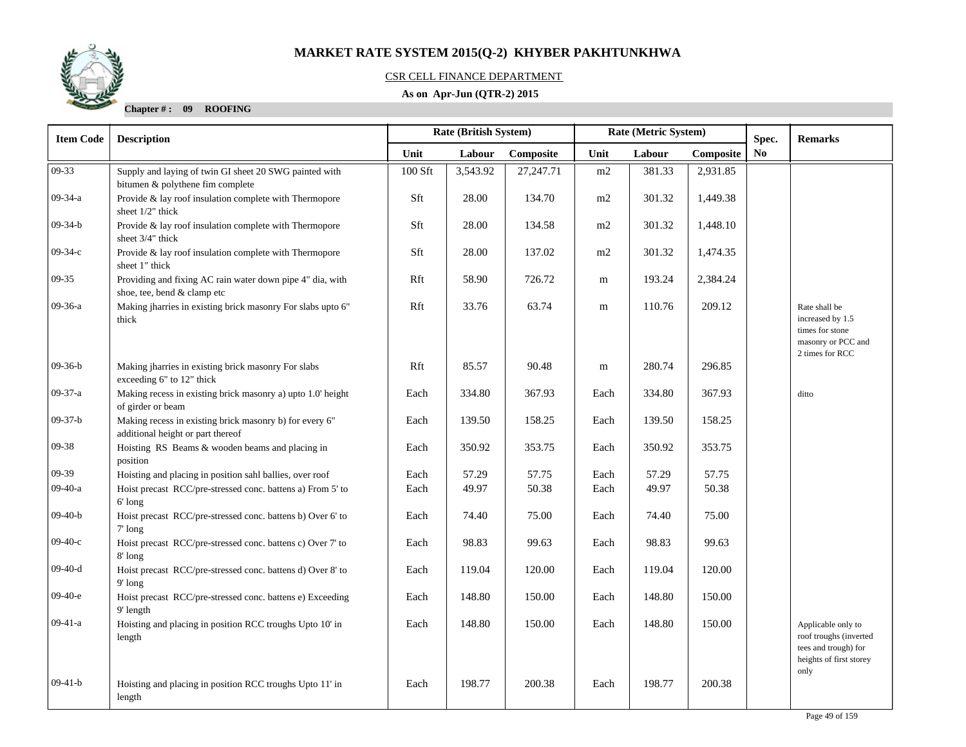### CSR CELL FINANCE DEPARTMENT

### **As on Apr-Jun (QTR-2) 2015**

| <b>Item Code</b> | <b>Description</b>                                                                           | Rate (British System) |          |           | Rate (Metric System) |        | Spec.     | <b>Remarks</b> |                                                                                                         |
|------------------|----------------------------------------------------------------------------------------------|-----------------------|----------|-----------|----------------------|--------|-----------|----------------|---------------------------------------------------------------------------------------------------------|
|                  |                                                                                              | Unit                  | Labour   | Composite | Unit                 | Labour | Composite | No             |                                                                                                         |
| 09-33            | Supply and laying of twin GI sheet 20 SWG painted with<br>bitumen & polythene fim complete   | 100 Sft               | 3,543.92 | 27,247.71 | m2                   | 381.33 | 2,931.85  |                |                                                                                                         |
| 09-34-a          | Provide & lay roof insulation complete with Thermopore<br>sheet 1/2" thick                   | Sft                   | 28.00    | 134.70    | m2                   | 301.32 | 1,449.38  |                |                                                                                                         |
| $09-34-b$        | Provide & lay roof insulation complete with Thermopore<br>sheet 3/4" thick                   | Sft                   | 28.00    | 134.58    | $\rm m2$             | 301.32 | 1,448.10  |                |                                                                                                         |
| $09-34-c$        | Provide & lay roof insulation complete with Thermopore<br>sheet 1" thick                     | Sft                   | 28.00    | 137.02    | m2                   | 301.32 | 1,474.35  |                |                                                                                                         |
| $09-35$          | Providing and fixing AC rain water down pipe 4" dia, with<br>shoe, tee, bend & clamp etc     | Rft                   | 58.90    | 726.72    | m                    | 193.24 | 2,384.24  |                |                                                                                                         |
| 09-36-a          | Making jharries in existing brick masonry For slabs upto 6"<br>thick                         | Rft                   | 33.76    | 63.74     | m                    | 110.76 | 209.12    |                | Rate shall be<br>increased by 1.5<br>times for stone<br>masonry or PCC and<br>2 times for RCC           |
| $09-36-b$        | Making jharries in existing brick masonry For slabs<br>exceeding 6" to 12" thick             | Rft                   | 85.57    | 90.48     | m                    | 280.74 | 296.85    |                |                                                                                                         |
| 09-37-a          | Making recess in existing brick masonry a) upto 1.0' height<br>of girder or beam             | Each                  | 334.80   | 367.93    | Each                 | 334.80 | 367.93    |                | ditto                                                                                                   |
| $09-37-b$        | Making recess in existing brick masonry b) for every 6"<br>additional height or part thereof | Each                  | 139.50   | 158.25    | Each                 | 139.50 | 158.25    |                |                                                                                                         |
| 09-38            | Hoisting RS Beams & wooden beams and placing in<br>position                                  | Each                  | 350.92   | 353.75    | Each                 | 350.92 | 353.75    |                |                                                                                                         |
| 09-39            | Hoisting and placing in position sahl ballies, over roof                                     | Each                  | 57.29    | 57.75     | Each                 | 57.29  | 57.75     |                |                                                                                                         |
| 09-40-a          | Hoist precast RCC/pre-stressed conc. battens a) From 5' to<br>$6'$ long                      | Each                  | 49.97    | 50.38     | Each                 | 49.97  | 50.38     |                |                                                                                                         |
| $09-40-b$        | Hoist precast RCC/pre-stressed conc. battens b) Over 6' to<br>$7'$ long                      | Each                  | 74.40    | 75.00     | Each                 | 74.40  | 75.00     |                |                                                                                                         |
| $09-40-c$        | Hoist precast RCC/pre-stressed conc. battens c) Over 7' to<br>$8'$ long                      | Each                  | 98.83    | 99.63     | Each                 | 98.83  | 99.63     |                |                                                                                                         |
| $09-40-d$        | Hoist precast RCC/pre-stressed conc. battens d) Over 8' to<br>$9'$ long                      | Each                  | 119.04   | 120.00    | Each                 | 119.04 | 120.00    |                |                                                                                                         |
| $09-40-e$        | Hoist precast RCC/pre-stressed conc. battens e) Exceeding<br>9' length                       | Each                  | 148.80   | 150.00    | Each                 | 148.80 | 150.00    |                |                                                                                                         |
| $09-41-a$        | Hoisting and placing in position RCC troughs Upto 10' in<br>length                           | Each                  | 148.80   | 150.00    | Each                 | 148.80 | 150.00    |                | Applicable only to<br>roof troughs (inverted<br>tees and trough) for<br>heights of first storey<br>only |
| $09-41-b$        | Hoisting and placing in position RCC troughs Upto 11' in<br>length                           | Each                  | 198.77   | 200.38    | Each                 | 198.77 | 200.38    |                |                                                                                                         |

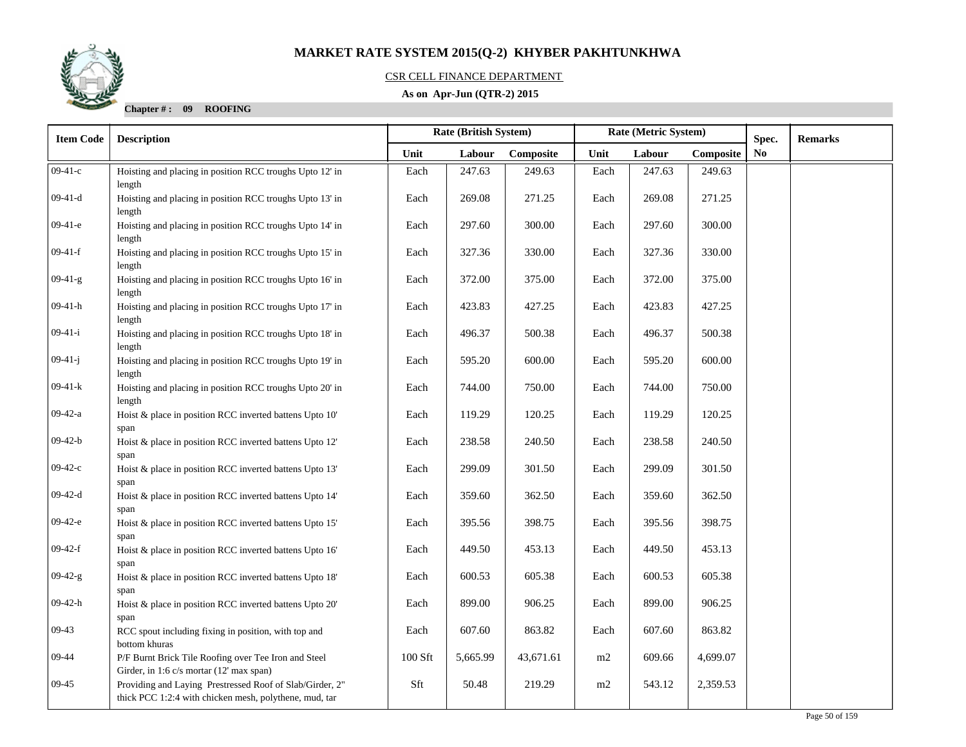### CSR CELL FINANCE DEPARTMENT

### **As on Apr-Jun (QTR-2) 2015**

| <b>Item Code</b> | <b>Description</b>                                                                                                 |           | <b>Rate (British System)</b> |           | Rate (Metric System) |        | Spec.     | <b>Remarks</b> |  |
|------------------|--------------------------------------------------------------------------------------------------------------------|-----------|------------------------------|-----------|----------------------|--------|-----------|----------------|--|
|                  |                                                                                                                    | Unit      | Labour                       | Composite | Unit                 | Labour | Composite | No             |  |
| $09-41-c$        | Hoisting and placing in position RCC troughs Upto 12' in<br>length                                                 | Each      | 247.63                       | 249.63    | Each                 | 247.63 | 249.63    |                |  |
| $09-41-d$        | Hoisting and placing in position RCC troughs Upto 13' in<br>length                                                 | Each      | 269.08                       | 271.25    | Each                 | 269.08 | 271.25    |                |  |
| $09-41-e$        | Hoisting and placing in position RCC troughs Upto 14' in<br>length                                                 | Each      | 297.60                       | 300.00    | Each                 | 297.60 | 300.00    |                |  |
| $09-41-f$        | Hoisting and placing in position RCC troughs Upto 15' in<br>length                                                 | Each      | 327.36                       | 330.00    | Each                 | 327.36 | 330.00    |                |  |
| $09-41-g$        | Hoisting and placing in position RCC troughs Upto 16' in<br>length                                                 | Each      | 372.00                       | 375.00    | Each                 | 372.00 | 375.00    |                |  |
| $09-41-h$        | Hoisting and placing in position RCC troughs Upto 17' in<br>length                                                 | Each      | 423.83                       | 427.25    | Each                 | 423.83 | 427.25    |                |  |
| $09-41-i$        | Hoisting and placing in position RCC troughs Upto 18' in<br>length                                                 | Each      | 496.37                       | 500.38    | Each                 | 496.37 | 500.38    |                |  |
| $09-41-j$        | Hoisting and placing in position RCC troughs Upto 19' in<br>length                                                 | Each      | 595.20                       | 600.00    | Each                 | 595.20 | 600.00    |                |  |
| $09-41-k$        | Hoisting and placing in position RCC troughs Upto 20' in<br>length                                                 | Each      | 744.00                       | 750.00    | Each                 | 744.00 | 750.00    |                |  |
| $09-42-a$        | Hoist & place in position RCC inverted battens Upto 10'<br>span                                                    | Each      | 119.29                       | 120.25    | Each                 | 119.29 | 120.25    |                |  |
| $09-42-b$        | Hoist & place in position RCC inverted battens Upto 12'<br>span                                                    | Each      | 238.58                       | 240.50    | Each                 | 238.58 | 240.50    |                |  |
| $09-42-c$        | Hoist & place in position RCC inverted battens Upto 13'<br>span                                                    | Each      | 299.09                       | 301.50    | Each                 | 299.09 | 301.50    |                |  |
| $09-42-d$        | Hoist & place in position RCC inverted battens Upto 14'<br>span                                                    | Each      | 359.60                       | 362.50    | Each                 | 359.60 | 362.50    |                |  |
| $09-42-e$        | Hoist & place in position RCC inverted battens Upto 15'<br>span                                                    | Each      | 395.56                       | 398.75    | Each                 | 395.56 | 398.75    |                |  |
| $09-42-f$        | Hoist & place in position RCC inverted battens Upto 16'<br>span                                                    | Each      | 449.50                       | 453.13    | Each                 | 449.50 | 453.13    |                |  |
| $09-42-g$        | Hoist & place in position RCC inverted battens Upto 18'<br>span                                                    | Each      | 600.53                       | 605.38    | Each                 | 600.53 | 605.38    |                |  |
| $09-42-h$        | Hoist & place in position RCC inverted battens Upto 20'<br>span                                                    | Each      | 899.00                       | 906.25    | Each                 | 899.00 | 906.25    |                |  |
| $09-43$          | RCC spout including fixing in position, with top and<br>bottom khuras                                              | Each      | 607.60                       | 863.82    | Each                 | 607.60 | 863.82    |                |  |
| $09 - 44$        | P/F Burnt Brick Tile Roofing over Tee Iron and Steel<br>Girder, in 1:6 c/s mortar (12' max span)                   | $100$ Sft | 5,665.99                     | 43,671.61 | m2                   | 609.66 | 4,699.07  |                |  |
| $09-45$          | Providing and Laying Prestressed Roof of Slab/Girder, 2"<br>thick PCC 1:2:4 with chicken mesh, polythene, mud, tar | Sft       | 50.48                        | 219.29    | $\rm m2$             | 543.12 | 2,359.53  |                |  |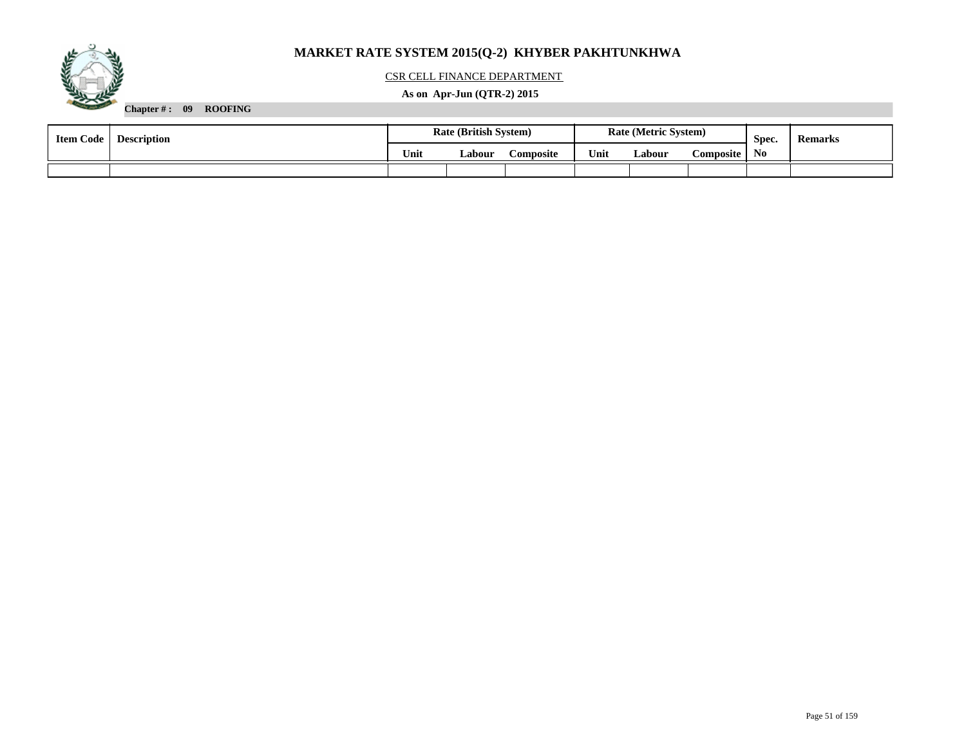

### CSR CELL FINANCE DEPARTMENT

### **As on Apr-Jun (QTR-2) 2015**

| <b>Item Code</b> | <b>Description</b> | <b>Rate (British System)</b> |        |                  | <b>Rate (Metric System)</b> |        | Spec.     | <b>Remarks</b> |  |
|------------------|--------------------|------------------------------|--------|------------------|-----------------------------|--------|-----------|----------------|--|
|                  | Unit               |                              | Labour | <b>Composite</b> | Unit                        | Labour | Composite | N <sub>0</sub> |  |
|                  |                    |                              |        |                  |                             |        |           |                |  |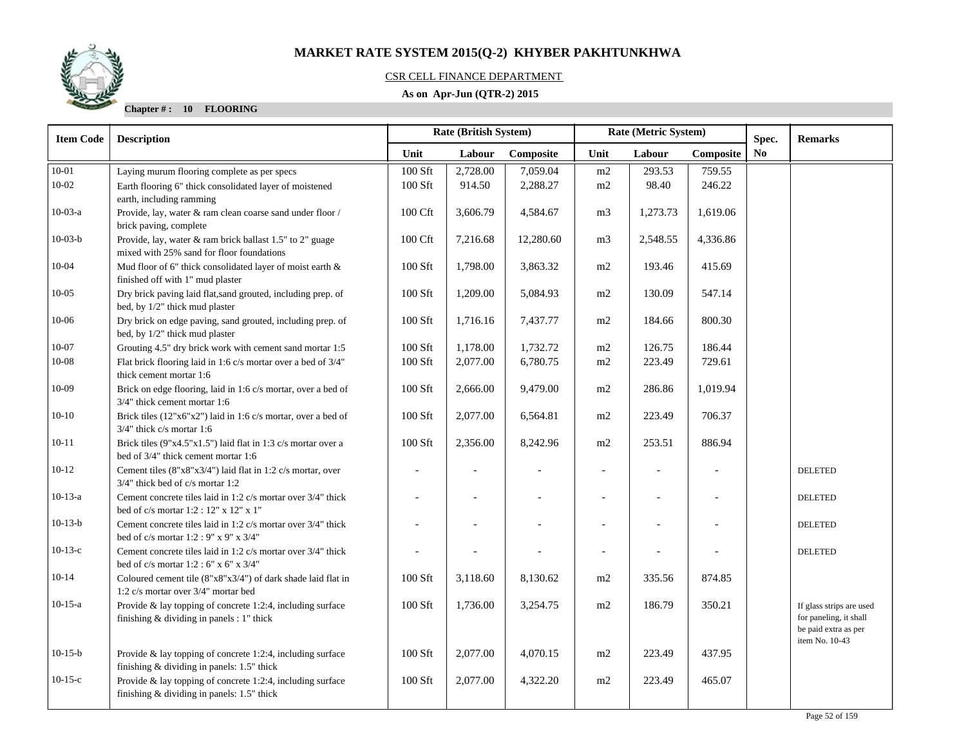# CSR CELL FINANCE DEPARTMENT

### **As on Apr-Jun (QTR-2) 2015**

| <b>Item Code</b> | <b>Description</b>                                                                              | <b>Rate (British System)</b> |                |           | Rate (Metric System)     |                          | Spec.     | <b>Remarks</b> |                                                |
|------------------|-------------------------------------------------------------------------------------------------|------------------------------|----------------|-----------|--------------------------|--------------------------|-----------|----------------|------------------------------------------------|
|                  |                                                                                                 | Unit                         | Labour         | Composite | Unit                     | Labour                   | Composite | <b>No</b>      |                                                |
| $10 - 01$        | Laying murum flooring complete as per specs                                                     | 100 Sft                      | 2,728.00       | 7,059.04  | m2                       | 293.53                   | 759.55    |                |                                                |
| $10 - 02$        | Earth flooring 6" thick consolidated layer of moistened                                         | 100 Sft                      | 914.50         | 2,288.27  | m2                       | 98.40                    | 246.22    |                |                                                |
|                  | earth, including ramming                                                                        |                              |                |           |                          |                          |           |                |                                                |
| $10-03-a$        | Provide, lay, water & ram clean coarse sand under floor /                                       | 100 Cft                      | 3,606.79       | 4,584.67  | m <sub>3</sub>           | 1,273.73                 | 1,619.06  |                |                                                |
|                  | brick paving, complete                                                                          |                              |                |           |                          |                          |           |                |                                                |
| $10-03-b$        | Provide, lay, water & ram brick ballast 1.5" to 2" guage                                        | 100 Cft                      | 7,216.68       | 12,280.60 | m <sub>3</sub>           | 2,548.55                 | 4,336.86  |                |                                                |
|                  | mixed with 25% sand for floor foundations                                                       |                              |                |           |                          |                          |           |                |                                                |
| $10 - 04$        | Mud floor of 6" thick consolidated layer of moist earth &<br>finished off with 1" mud plaster   | 100 Sft                      | 1,798.00       | 3,863.32  | m2                       | 193.46                   | 415.69    |                |                                                |
| $10 - 05$        | Dry brick paving laid flat, sand grouted, including prep. of                                    | 100 Sft                      | 1,209.00       | 5,084.93  | m2                       | 130.09                   | 547.14    |                |                                                |
|                  | bed, by 1/2" thick mud plaster                                                                  |                              |                |           |                          |                          |           |                |                                                |
| $10 - 06$        | Dry brick on edge paving, sand grouted, including prep. of                                      | 100 Sft                      | 1,716.16       | 7,437.77  | m2                       | 184.66                   | 800.30    |                |                                                |
|                  | bed, by 1/2" thick mud plaster                                                                  |                              |                |           |                          |                          |           |                |                                                |
| $10 - 07$        | Grouting 4.5" dry brick work with cement sand mortar 1:5                                        | $100$ Sft                    | 1,178.00       | 1,732.72  | m2                       | 126.75                   | 186.44    |                |                                                |
| $10 - 08$        | Flat brick flooring laid in 1:6 c/s mortar over a bed of 3/4"                                   | 100 Sft                      | 2,077.00       | 6,780.75  | m2                       | 223.49                   | 729.61    |                |                                                |
|                  | thick cement mortar 1:6                                                                         |                              |                |           |                          |                          |           |                |                                                |
| $10-09$          | Brick on edge flooring, laid in 1:6 c/s mortar, over a bed of                                   | 100 Sft                      | 2,666.00       | 9,479.00  | m2                       | 286.86                   | 1,019.94  |                |                                                |
|                  | 3/4" thick cement mortar 1:6                                                                    |                              |                |           |                          |                          |           |                |                                                |
| $10-10$          | Brick tiles (12"x6"x2") laid in 1:6 c/s mortar, over a bed of                                   | 100 Sft                      | 2,077.00       | 6,564.81  | m2                       | 223.49                   | 706.37    |                |                                                |
|                  | $3/4$ " thick c/s mortar 1:6                                                                    |                              |                |           |                          |                          |           |                |                                                |
| $10 - 11$        | Brick tiles $(9"x4.5"x1.5")$ laid flat in 1:3 c/s mortar over a                                 | 100 Sft                      | 2,356.00       | 8,242.96  | m2                       | 253.51                   | 886.94    |                |                                                |
| $10-12$          | bed of 3/4" thick cement mortar 1:6                                                             |                              |                |           |                          |                          |           |                |                                                |
|                  | Cement tiles (8"x8"x3/4") laid flat in 1:2 c/s mortar, over<br>3/4" thick bed of c/s mortar 1:2 |                              |                |           |                          |                          |           |                | <b>DELETED</b>                                 |
| $10-13-a$        | Cement concrete tiles laid in 1:2 c/s mortar over 3/4" thick                                    | $\overline{a}$               | $\overline{a}$ |           |                          | $\overline{\phantom{a}}$ |           |                | <b>DELETED</b>                                 |
|                  | bed of c/s mortar 1:2 : 12" x 12" x 1"                                                          |                              |                |           |                          |                          |           |                |                                                |
| $10-13-b$        | Cement concrete tiles laid in 1:2 c/s mortar over 3/4" thick                                    |                              |                |           |                          |                          |           |                | <b>DELETED</b>                                 |
|                  | bed of c/s mortar $1:2:9"$ x 9" x 3/4"                                                          |                              |                |           |                          |                          |           |                |                                                |
| $10-13-c$        | Cement concrete tiles laid in 1:2 c/s mortar over 3/4" thick                                    |                              |                |           | $\overline{\phantom{a}}$ | $\overline{\phantom{a}}$ |           |                | <b>DELETED</b>                                 |
|                  | bed of $c/s$ mortar 1:2 : 6" x 6" x 3/4"                                                        |                              |                |           |                          |                          |           |                |                                                |
| $10-14$          | Coloured cement tile $(8"x8"x3/4")$ of dark shade laid flat in                                  | 100 Sft                      | 3,118.60       | 8,130.62  | m2                       | 335.56                   | 874.85    |                |                                                |
|                  | 1:2 c/s mortar over 3/4" mortar bed                                                             |                              |                |           |                          |                          |           |                |                                                |
| $10-15-a$        | Provide & lay topping of concrete 1:2:4, including surface                                      | 100 Sft                      | 1,736.00       | 3,254.75  | m2                       | 186.79                   | 350.21    |                | If glass strips are used                       |
|                  | finishing & dividing in panels : 1" thick                                                       |                              |                |           |                          |                          |           |                | for paneling, it shall<br>be paid extra as per |
|                  |                                                                                                 |                              |                |           |                          |                          |           |                | item No. 10-43                                 |
| $10-15-b$        | Provide & lay topping of concrete 1:2:4, including surface                                      | $100$ Sft                    | 2,077.00       | 4,070.15  | m2                       | 223.49                   | 437.95    |                |                                                |
|                  | finishing & dividing in panels: 1.5" thick                                                      |                              |                |           |                          |                          |           |                |                                                |
| $10-15-c$        | Provide $\&$ lay topping of concrete 1:2:4, including surface                                   | 100 Sft                      | 2,077.00       | 4,322.20  | m2                       | 223.49                   | 465.07    |                |                                                |
|                  | finishing & dividing in panels: 1.5" thick                                                      |                              |                |           |                          |                          |           |                |                                                |
|                  |                                                                                                 |                              |                |           |                          |                          |           |                |                                                |

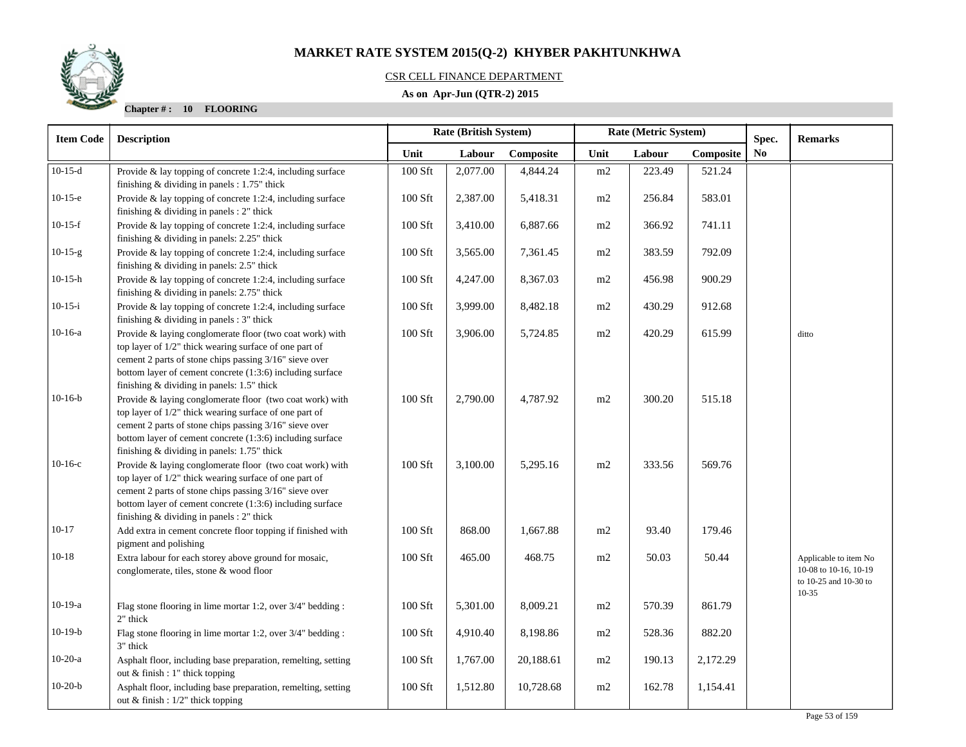### CSR CELL FINANCE DEPARTMENT

### **As on Apr-Jun (QTR-2) 2015**

| <b>Item Code</b> | <b>Description</b>                                                                                                                                                                                                                                                                       | <b>Rate (British System)</b>                  |          |           |                | Rate (Metric System) |          | Spec. | <b>Remarks</b>                                                                       |
|------------------|------------------------------------------------------------------------------------------------------------------------------------------------------------------------------------------------------------------------------------------------------------------------------------------|-----------------------------------------------|----------|-----------|----------------|----------------------|----------|-------|--------------------------------------------------------------------------------------|
|                  |                                                                                                                                                                                                                                                                                          | Unit<br>Labour<br>Labour<br>Composite<br>Unit |          | Composite | N <sub>0</sub> |                      |          |       |                                                                                      |
| $10-15-d$        | Provide $\&$ lay topping of concrete 1:2:4, including surface<br>finishing $&$ dividing in panels : 1.75" thick                                                                                                                                                                          | 100 Sft                                       | 2,077.00 | 4,844.24  | m2             | 223.49               | 521.24   |       |                                                                                      |
| $10-15-e$        | Provide $\&$ lay topping of concrete 1:2:4, including surface<br>finishing $&$ dividing in panels : 2" thick                                                                                                                                                                             | 100 Sft                                       | 2,387.00 | 5,418.31  | m2             | 256.84               | 583.01   |       |                                                                                      |
| $10-15-f$        | Provide $\&$ lay topping of concrete 1:2:4, including surface<br>finishing & dividing in panels: 2.25" thick                                                                                                                                                                             | 100 Sft                                       | 3,410.00 | 6,887.66  | m2             | 366.92               | 741.11   |       |                                                                                      |
| $10-15-g$        | Provide $\&$ lay topping of concrete 1:2:4, including surface<br>finishing & dividing in panels: 2.5" thick                                                                                                                                                                              | 100 Sft                                       | 3,565.00 | 7,361.45  | m2             | 383.59               | 792.09   |       |                                                                                      |
| 10-15-h          | Provide & lay topping of concrete 1:2:4, including surface<br>finishing & dividing in panels: 2.75" thick                                                                                                                                                                                | $100$ Sft                                     | 4,247.00 | 8,367.03  | m2             | 456.98               | 900.29   |       |                                                                                      |
| $10-15-i$        | Provide & lay topping of concrete 1:2:4, including surface<br>finishing $&$ dividing in panels : 3" thick                                                                                                                                                                                | 100 Sft                                       | 3,999.00 | 8,482.18  | m2             | 430.29               | 912.68   |       |                                                                                      |
| $10-16-a$        | Provide & laying conglomerate floor (two coat work) with<br>top layer of 1/2" thick wearing surface of one part of<br>cement 2 parts of stone chips passing 3/16" sieve over<br>bottom layer of cement concrete (1:3:6) including surface<br>finishing & dividing in panels: 1.5" thick  | 100 Sft                                       | 3,906.00 | 5,724.85  | m2             | 420.29               | 615.99   |       | ditto                                                                                |
| $10-16-b$        | Provide & laying conglomerate floor (two coat work) with<br>top layer of 1/2" thick wearing surface of one part of<br>cement 2 parts of stone chips passing 3/16" sieve over<br>bottom layer of cement concrete (1:3:6) including surface<br>finishing & dividing in panels: 1.75" thick | 100 Sft                                       | 2,790.00 | 4,787.92  | m2             | 300.20               | 515.18   |       |                                                                                      |
| $10-16-c$        | Provide & laying conglomerate floor (two coat work) with<br>top layer of 1/2" thick wearing surface of one part of<br>cement 2 parts of stone chips passing 3/16" sieve over<br>bottom layer of cement concrete (1:3:6) including surface<br>finishing & dividing in panels : 2" thick   | 100 Sft                                       | 3,100.00 | 5,295.16  | m2             | 333.56               | 569.76   |       |                                                                                      |
| $10 - 17$        | Add extra in cement concrete floor topping if finished with<br>pigment and polishing                                                                                                                                                                                                     | 100 Sft                                       | 868.00   | 1,667.88  | m2             | 93.40                | 179.46   |       |                                                                                      |
| $10 - 18$        | Extra labour for each storey above ground for mosaic,<br>conglomerate, tiles, stone & wood floor                                                                                                                                                                                         | 100 Sft                                       | 465.00   | 468.75    | m2             | 50.03                | 50.44    |       | Applicable to item No<br>10-08 to 10-16, 10-19<br>to 10-25 and 10-30 to<br>$10 - 35$ |
| $10-19-a$        | Flag stone flooring in lime mortar 1:2, over 3/4" bedding :<br>2" thick                                                                                                                                                                                                                  | 100 Sft                                       | 5,301.00 | 8,009.21  | $\rm m2$       | 570.39               | 861.79   |       |                                                                                      |
| $10-19-b$        | Flag stone flooring in lime mortar 1:2, over 3/4" bedding :<br>3" thick                                                                                                                                                                                                                  | 100 Sft                                       | 4,910.40 | 8,198.86  | m2             | 528.36               | 882.20   |       |                                                                                      |
| $10-20-a$        | Asphalt floor, including base preparation, remelting, setting<br>out $&$ finish : 1" thick topping                                                                                                                                                                                       | 100 Sft                                       | 1,767.00 | 20,188.61 | m2             | 190.13               | 2,172.29 |       |                                                                                      |
| $10-20-b$        | Asphalt floor, including base preparation, remelting, setting<br>out & finish : $1/2$ " thick topping                                                                                                                                                                                    | 100 Sft                                       | 1,512.80 | 10,728.68 | m2             | 162.78               | 1,154.41 |       |                                                                                      |

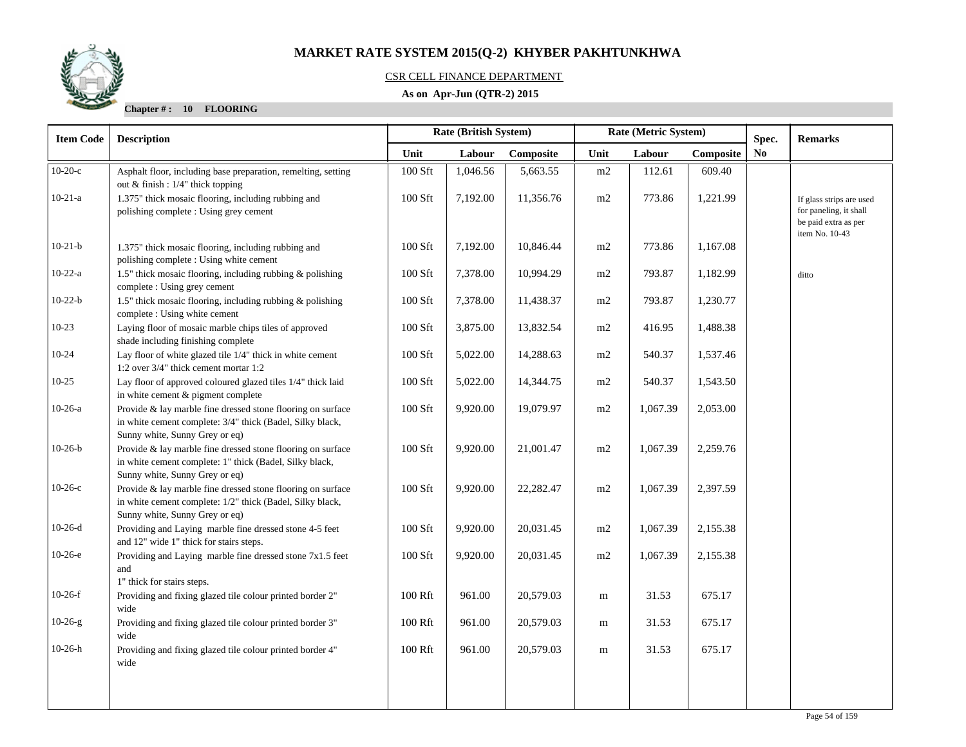

### CSR CELL FINANCE DEPARTMENT

### **As on Apr-Jun (QTR-2) 2015**

| <b>Description</b>                                                                                                       | Rate (British System)                                                                                                                                                               |          |           |      | Rate (Metric System) |           | Spec.                  | <b>Remarks</b>                                                                               |  |
|--------------------------------------------------------------------------------------------------------------------------|-------------------------------------------------------------------------------------------------------------------------------------------------------------------------------------|----------|-----------|------|----------------------|-----------|------------------------|----------------------------------------------------------------------------------------------|--|
|                                                                                                                          | Unit                                                                                                                                                                                | Labour   | Composite | Unit | Labour               | Composite | $\mathbf{N}\mathbf{o}$ |                                                                                              |  |
| Asphalt floor, including base preparation, remelting, setting<br>out & finish : 1/4" thick topping                       | 100 Sft                                                                                                                                                                             | 1,046.56 | 5,663.55  | m2   | 112.61               | 609.40    |                        |                                                                                              |  |
| 1.375" thick mosaic flooring, including rubbing and<br>polishing complete : Using grey cement                            | 100 Sft                                                                                                                                                                             | 7,192.00 | 11,356.76 | m2   | 773.86               | 1,221.99  |                        | If glass strips are used<br>for paneling, it shall<br>be paid extra as per<br>item No. 10-43 |  |
| 1.375" thick mosaic flooring, including rubbing and<br>polishing complete : Using white cement                           | 100 Sft                                                                                                                                                                             | 7,192.00 | 10,846.44 | m2   | 773.86               | 1,167.08  |                        |                                                                                              |  |
| 1.5" thick mosaic flooring, including rubbing & polishing<br>complete : Using grey cement                                | 100 Sft                                                                                                                                                                             | 7,378.00 | 10,994.29 | m2   | 793.87               | 1,182.99  |                        | ditto                                                                                        |  |
| 1.5" thick mosaic flooring, including rubbing & polishing<br>complete : Using white cement                               | 100 Sft                                                                                                                                                                             | 7,378.00 | 11,438.37 | m2   | 793.87               | 1,230.77  |                        |                                                                                              |  |
| Laying floor of mosaic marble chips tiles of approved<br>shade including finishing complete                              | 100 Sft                                                                                                                                                                             | 3,875.00 | 13,832.54 | m2   | 416.95               | 1,488.38  |                        |                                                                                              |  |
| Lay floor of white glazed tile 1/4" thick in white cement<br>1:2 over 3/4" thick cement mortar 1:2                       | 100 Sft                                                                                                                                                                             | 5,022.00 | 14,288.63 | m2   | 540.37               | 1,537.46  |                        |                                                                                              |  |
| Lay floor of approved coloured glazed tiles 1/4" thick laid<br>in white cement & pigment complete                        | 100 Sft                                                                                                                                                                             | 5,022.00 | 14,344.75 | m2   | 540.37               | 1,543.50  |                        |                                                                                              |  |
| Provide & lay marble fine dressed stone flooring on surface<br>in white cement complete: 3/4" thick (Badel, Silky black, | 100 Sft                                                                                                                                                                             | 9,920.00 | 19,079.97 | m2   | 1,067.39             | 2,053.00  |                        |                                                                                              |  |
| Provide & lay marble fine dressed stone flooring on surface<br>in white cement complete: 1" thick (Badel, Silky black,   | 100 Sft                                                                                                                                                                             | 9,920.00 | 21,001.47 | m2   | 1,067.39             | 2,259.76  |                        |                                                                                              |  |
| Provide & lay marble fine dressed stone flooring on surface<br>in white cement complete: 1/2" thick (Badel, Silky black, | 100 Sft                                                                                                                                                                             | 9,920.00 | 22,282.47 | m2   | 1,067.39             | 2,397.59  |                        |                                                                                              |  |
| Providing and Laying marble fine dressed stone 4-5 feet                                                                  | 100 Sft                                                                                                                                                                             | 9,920.00 | 20,031.45 | m2   | 1,067.39             | 2,155.38  |                        |                                                                                              |  |
| Providing and Laying marble fine dressed stone 7x1.5 feet<br>and                                                         | 100 Sft                                                                                                                                                                             | 9,920.00 | 20,031.45 | m2   | 1,067.39             | 2,155.38  |                        |                                                                                              |  |
| Providing and fixing glazed tile colour printed border 2"                                                                | 100 Rft                                                                                                                                                                             | 961.00   | 20,579.03 | m    | 31.53                | 675.17    |                        |                                                                                              |  |
| Providing and fixing glazed tile colour printed border 3"<br>wide                                                        | 100 Rft                                                                                                                                                                             | 961.00   | 20,579.03 | m    | 31.53                | 675.17    |                        |                                                                                              |  |
| Providing and fixing glazed tile colour printed border 4"<br>wide                                                        | 100 Rft                                                                                                                                                                             | 961.00   | 20,579.03 | m    | 31.53                | 675.17    |                        |                                                                                              |  |
|                                                                                                                          |                                                                                                                                                                                     |          |           |      |                      |           |                        |                                                                                              |  |
| <b>Item Code</b>                                                                                                         | Sunny white, Sunny Grey or eq)<br>Sunny white, Sunny Grey or eq)<br>Sunny white, Sunny Grey or eq)<br>and 12" wide 1" thick for stairs steps.<br>1" thick for stairs steps.<br>wide |          |           |      |                      |           |                        |                                                                                              |  |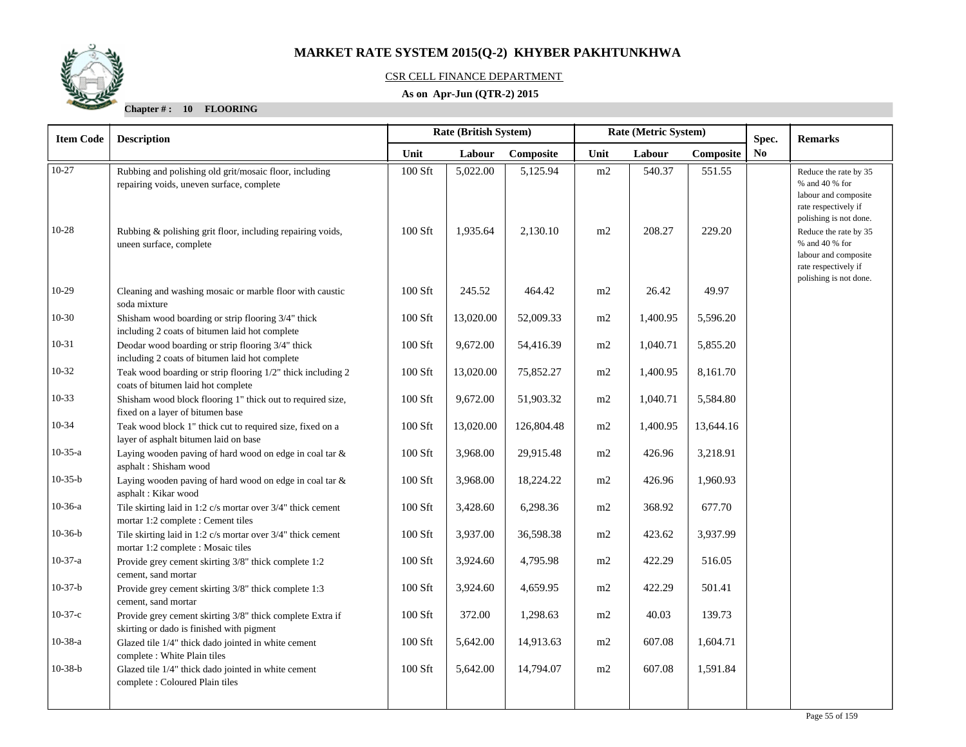

### CSR CELL FINANCE DEPARTMENT

### **As on Apr-Jun (QTR-2) 2015**

| <b>Item Code</b> | <b>Rate (British System)</b><br>Rate (Metric System)<br><b>Description</b>                             |           |           | Spec.      | <b>Remarks</b> |          |           |    |                                                                                                                                                                     |
|------------------|--------------------------------------------------------------------------------------------------------|-----------|-----------|------------|----------------|----------|-----------|----|---------------------------------------------------------------------------------------------------------------------------------------------------------------------|
|                  |                                                                                                        | Unit      | Labour    | Composite  | Unit           | Labour   | Composite | No |                                                                                                                                                                     |
| $10-27$          | Rubbing and polishing old grit/mosaic floor, including<br>repairing voids, uneven surface, complete    | $100$ Sft | 5,022.00  | 5,125.94   | m2             | 540.37   | 551.55    |    | Reduce the rate by 35<br>% and 40 % for<br>labour and composite                                                                                                     |
| $10 - 28$        | Rubbing & polishing grit floor, including repairing voids,<br>uneen surface, complete                  | 100 Sft   | 1,935.64  | 2,130.10   | m2             | 208.27   | 229.20    |    | rate respectively if<br>polishing is not done.<br>Reduce the rate by 35<br>% and 40 % for<br>labour and composite<br>rate respectively if<br>polishing is not done. |
| $10-29$          | Cleaning and washing mosaic or marble floor with caustic<br>soda mixture                               | 100 Sft   | 245.52    | 464.42     | m2             | 26.42    | 49.97     |    |                                                                                                                                                                     |
| $10-30$          | Shisham wood boarding or strip flooring 3/4" thick<br>including 2 coats of bitumen laid hot complete   | 100 Sft   | 13,020.00 | 52,009.33  | m2             | 1,400.95 | 5,596.20  |    |                                                                                                                                                                     |
| $10 - 31$        | Deodar wood boarding or strip flooring 3/4" thick<br>including 2 coats of bitumen laid hot complete    | 100 Sft   | 9,672.00  | 54,416.39  | m2             | 1,040.71 | 5,855.20  |    |                                                                                                                                                                     |
| $10 - 32$        | Teak wood boarding or strip flooring 1/2" thick including 2<br>coats of bitumen laid hot complete      | 100 Sft   | 13,020.00 | 75,852.27  | m2             | 1,400.95 | 8,161.70  |    |                                                                                                                                                                     |
| $10-33$          | Shisham wood block flooring 1" thick out to required size,<br>fixed on a layer of bitumen base         | 100 Sft   | 9,672.00  | 51,903.32  | m2             | 1,040.71 | 5,584.80  |    |                                                                                                                                                                     |
| $10-34$          | Teak wood block 1" thick cut to required size, fixed on a<br>layer of asphalt bitumen laid on base     | 100 Sft   | 13,020.00 | 126,804.48 | m2             | 1,400.95 | 13,644.16 |    |                                                                                                                                                                     |
| $10-35-a$        | Laying wooden paving of hard wood on edge in coal tar $\&$<br>asphalt: Shisham wood                    | 100 Sft   | 3,968.00  | 29,915.48  | m2             | 426.96   | 3,218.91  |    |                                                                                                                                                                     |
| $10-35-b$        | Laying wooden paving of hard wood on edge in coal tar &<br>asphalt: Kikar wood                         | 100 Sft   | 3,968.00  | 18,224.22  | m2             | 426.96   | 1,960.93  |    |                                                                                                                                                                     |
| $10-36-a$        | Tile skirting laid in 1:2 c/s mortar over 3/4" thick cement<br>mortar 1:2 complete : Cement tiles      | 100 Sft   | 3,428.60  | 6,298.36   | m2             | 368.92   | 677.70    |    |                                                                                                                                                                     |
| $10-36-b$        | Tile skirting laid in 1:2 c/s mortar over 3/4" thick cement<br>mortar 1:2 complete : Mosaic tiles      | 100 Sft   | 3,937.00  | 36,598.38  | m2             | 423.62   | 3,937.99  |    |                                                                                                                                                                     |
| $10-37-a$        | Provide grey cement skirting 3/8" thick complete 1:2<br>cement, sand mortar                            | 100 Sft   | 3,924.60  | 4,795.98   | m2             | 422.29   | 516.05    |    |                                                                                                                                                                     |
| $10-37-b$        | Provide grey cement skirting 3/8" thick complete 1:3<br>cement, sand mortar                            | 100 Sft   | 3,924.60  | 4,659.95   | m2             | 422.29   | 501.41    |    |                                                                                                                                                                     |
| $10-37-c$        | Provide grey cement skirting 3/8" thick complete Extra if<br>skirting or dado is finished with pigment | 100 Sft   | 372.00    | 1,298.63   | m2             | 40.03    | 139.73    |    |                                                                                                                                                                     |
| $10-38-a$        | Glazed tile 1/4" thick dado jointed in white cement<br>complete : White Plain tiles                    | 100 Sft   | 5,642.00  | 14,913.63  | m2             | 607.08   | 1,604.71  |    |                                                                                                                                                                     |
| $10-38-b$        | Glazed tile 1/4" thick dado jointed in white cement<br>complete : Coloured Plain tiles                 | 100 Sft   | 5,642.00  | 14,794.07  | m2             | 607.08   | 1,591.84  |    |                                                                                                                                                                     |
|                  |                                                                                                        |           |           |            |                |          |           |    |                                                                                                                                                                     |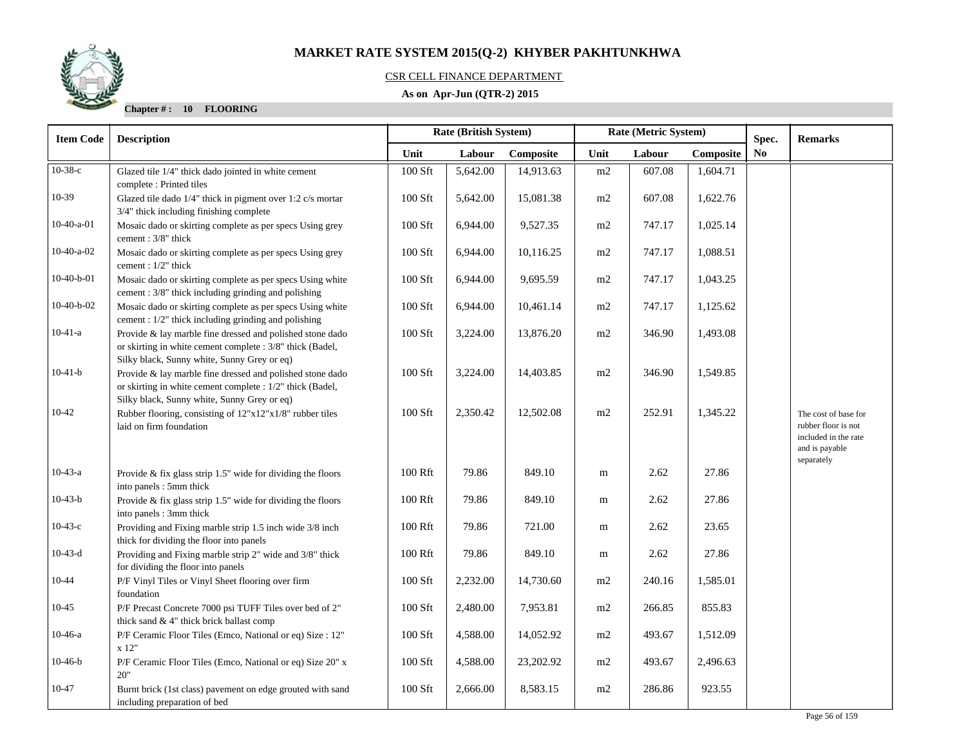

### CSR CELL FINANCE DEPARTMENT

### **As on Apr-Jun (QTR-2) 2015**

| <b>Item Code</b> | Rate (Metric System)<br>Rate (British System)<br><b>Description</b>                                                                                                   |         | Spec.    |           | <b>Remarks</b> |        |           |                |                                                                                       |
|------------------|-----------------------------------------------------------------------------------------------------------------------------------------------------------------------|---------|----------|-----------|----------------|--------|-----------|----------------|---------------------------------------------------------------------------------------|
|                  |                                                                                                                                                                       | Unit    | Labour   | Composite | Unit           | Labour | Composite | N <sub>0</sub> |                                                                                       |
| $10-38-c$        | Glazed tile 1/4" thick dado jointed in white cement<br>complete: Printed tiles                                                                                        | 100 Sft | 5,642.00 | 14,913.63 | m2             | 607.08 | 1,604.71  |                |                                                                                       |
| $10-39$          | Glazed tile dado 1/4" thick in pigment over 1:2 c/s mortar<br>3/4" thick including finishing complete                                                                 | 100 Sft | 5,642.00 | 15,081.38 | m2             | 607.08 | 1,622.76  |                |                                                                                       |
| $10-40-a-01$     | Mosaic dado or skirting complete as per specs Using grey<br>cement: 3/8" thick                                                                                        | 100 Sft | 6,944.00 | 9,527.35  | m2             | 747.17 | 1,025.14  |                |                                                                                       |
| $10-40-a-02$     | Mosaic dado or skirting complete as per specs Using grey<br>cement : 1/2" thick                                                                                       | 100 Sft | 6,944.00 | 10,116.25 | m2             | 747.17 | 1,088.51  |                |                                                                                       |
| $10-40-b-01$     | Mosaic dado or skirting complete as per specs Using white<br>cement: 3/8" thick including grinding and polishing                                                      | 100 Sft | 6,944.00 | 9,695.59  | m2             | 747.17 | 1,043.25  |                |                                                                                       |
| $10-40-b-02$     | Mosaic dado or skirting complete as per specs Using white<br>cement : 1/2" thick including grinding and polishing                                                     | 100 Sft | 6,944.00 | 10,461.14 | m2             | 747.17 | 1,125.62  |                |                                                                                       |
| $10-41-a$        | Provide & lay marble fine dressed and polished stone dado<br>or skirting in white cement complete : 3/8" thick (Badel,<br>Silky black, Sunny white, Sunny Grey or eq) | 100 Sft | 3,224.00 | 13,876.20 | m2             | 346.90 | 1,493.08  |                |                                                                                       |
| $10-41-b$        | Provide & lay marble fine dressed and polished stone dado<br>or skirting in white cement complete : 1/2" thick (Badel,<br>Silky black, Sunny white, Sunny Grey or eq) | 100 Sft | 3,224.00 | 14,403.85 | m2             | 346.90 | 1,549.85  |                |                                                                                       |
| $10-42$          | Rubber flooring, consisting of 12"x12"x1/8" rubber tiles<br>laid on firm foundation                                                                                   | 100 Sft | 2,350.42 | 12,502.08 | $\rm m2$       | 252.91 | 1,345.22  |                | The cost of base for<br>rubber floor is not<br>included in the rate<br>and is payable |
| $10-43-a$        | Provide $\&$ fix glass strip 1.5" wide for dividing the floors<br>into panels: 5mm thick                                                                              | 100 Rft | 79.86    | 849.10    | m              | 2.62   | 27.86     |                | separately                                                                            |
| $10-43-b$        | Provide & fix glass strip 1.5" wide for dividing the floors<br>into panels : 3mm thick                                                                                | 100 Rft | 79.86    | 849.10    | m              | 2.62   | 27.86     |                |                                                                                       |
| $10-43-c$        | Providing and Fixing marble strip 1.5 inch wide 3/8 inch<br>thick for dividing the floor into panels                                                                  | 100 Rft | 79.86    | 721.00    | m              | 2.62   | 23.65     |                |                                                                                       |
| $10-43-d$        | Providing and Fixing marble strip 2" wide and 3/8" thick<br>for dividing the floor into panels                                                                        | 100 Rft | 79.86    | 849.10    | m              | 2.62   | 27.86     |                |                                                                                       |
| 10-44            | P/F Vinyl Tiles or Vinyl Sheet flooring over firm<br>foundation                                                                                                       | 100 Sft | 2,232.00 | 14,730.60 | m2             | 240.16 | 1,585.01  |                |                                                                                       |
| $10 - 45$        | P/F Precast Concrete 7000 psi TUFF Tiles over bed of 2"<br>thick sand & 4" thick brick ballast comp                                                                   | 100 Sft | 2,480.00 | 7,953.81  | m2             | 266.85 | 855.83    |                |                                                                                       |
| $10-46-a$        | P/F Ceramic Floor Tiles (Emco, National or eq) Size : 12"<br>x 12"                                                                                                    | 100 Sft | 4,588.00 | 14,052.92 | m2             | 493.67 | 1,512.09  |                |                                                                                       |
| $10-46-b$        | P/F Ceramic Floor Tiles (Emco, National or eq) Size 20" x<br>20"                                                                                                      | 100 Sft | 4,588.00 | 23,202.92 | m2             | 493.67 | 2,496.63  |                |                                                                                       |
| 10-47            | Burnt brick (1st class) pavement on edge grouted with sand<br>including preparation of bed                                                                            | 100 Sft | 2,666.00 | 8,583.15  | m2             | 286.86 | 923.55    |                |                                                                                       |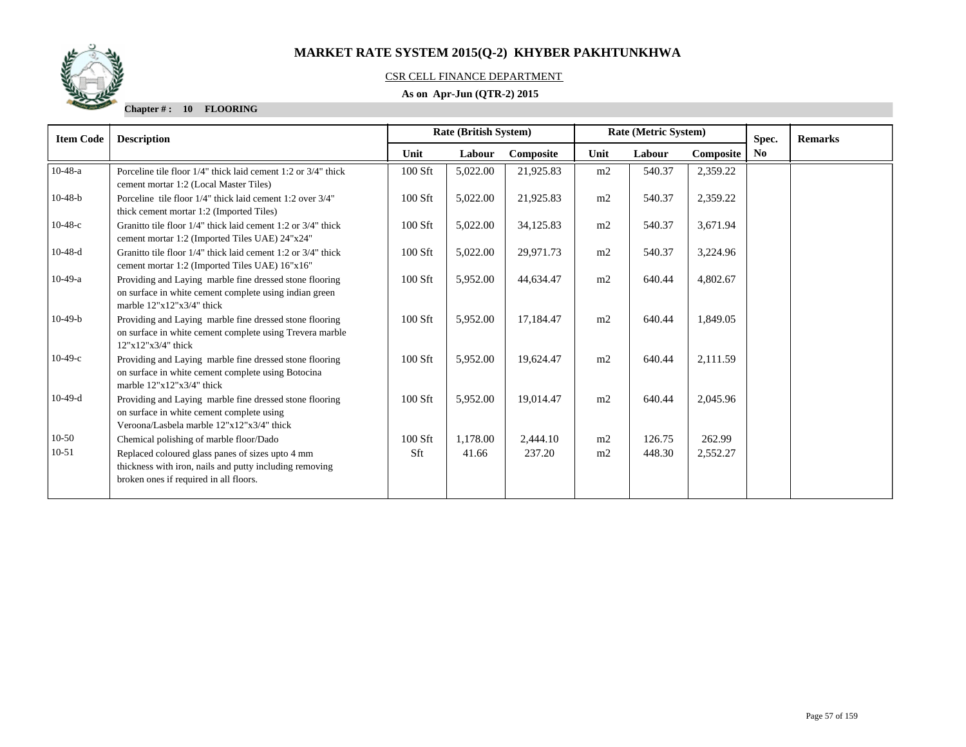

### CSR CELL FINANCE DEPARTMENT

### **As on Apr-Jun (QTR-2) 2015**

| <b>Item Code</b> | <b>Description</b>                                                                                                                                    | <b>Rate (British System)</b> |          |           |      | Rate (Metric System) |           | Spec.          | <b>Remarks</b> |
|------------------|-------------------------------------------------------------------------------------------------------------------------------------------------------|------------------------------|----------|-----------|------|----------------------|-----------|----------------|----------------|
|                  |                                                                                                                                                       | Unit                         | Labour   | Composite | Unit | Labour               | Composite | N <sub>0</sub> |                |
| $10-48-a$        | Porceline tile floor 1/4" thick laid cement 1:2 or 3/4" thick<br>cement mortar 1:2 (Local Master Tiles)                                               | 100 Sft                      | 5,022.00 | 21,925.83 | m2   | 540.37               | 2,359.22  |                |                |
| $10-48-b$        | Porceline tile floor 1/4" thick laid cement 1:2 over 3/4"<br>thick cement mortar 1:2 (Imported Tiles)                                                 | 100 Sft                      | 5,022.00 | 21,925.83 | m2   | 540.37               | 2,359.22  |                |                |
| $10-48-c$        | Granitto tile floor 1/4" thick laid cement 1:2 or 3/4" thick<br>cement mortar 1:2 (Imported Tiles UAE) 24"x24"                                        | $100$ Sft                    | 5,022.00 | 34,125.83 | m2   | 540.37               | 3,671.94  |                |                |
| $10-48-d$        | Granitto tile floor 1/4" thick laid cement 1:2 or 3/4" thick<br>cement mortar 1:2 (Imported Tiles UAE) 16"x16"                                        | $100$ Sft                    | 5,022.00 | 29,971.73 | m2   | 540.37               | 3,224.96  |                |                |
| $10-49-a$        | Providing and Laying marble fine dressed stone flooring<br>on surface in white cement complete using indian green<br>marble $12"x12"x3/4"$ thick      | 100 Sft                      | 5,952.00 | 44,634.47 | m2   | 640.44               | 4,802.67  |                |                |
| $10-49-b$        | Providing and Laying marble fine dressed stone flooring<br>on surface in white cement complete using Trevera marble<br>$12"x12"x3/4"$ thick           | $100$ Sft                    | 5,952.00 | 17,184.47 | m2   | 640.44               | 1,849.05  |                |                |
| $10-49-c$        | Providing and Laying marble fine dressed stone flooring<br>on surface in white cement complete using Botocina<br>marble $12"x12"x3/4"$ thick          | $100$ Sft                    | 5,952.00 | 19,624.47 | m2   | 640.44               | 2,111.59  |                |                |
| $10-49-d$        | Providing and Laying marble fine dressed stone flooring<br>on surface in white cement complete using<br>Veroona/Lasbela marble 12"x12"x3/4" thick     | $100$ Sft                    | 5,952.00 | 19,014.47 | m2   | 640.44               | 2,045.96  |                |                |
| $10-50$          | Chemical polishing of marble floor/Dado                                                                                                               | $100$ Sft                    | 1,178.00 | 2,444.10  | m2   | 126.75               | 262.99    |                |                |
| $10 - 51$        | Replaced coloured glass panes of sizes upto 4 mm<br>thickness with iron, nails and putty including removing<br>broken ones if required in all floors. | Sft                          | 41.66    | 237.20    | m2   | 448.30               | 2,552.27  |                |                |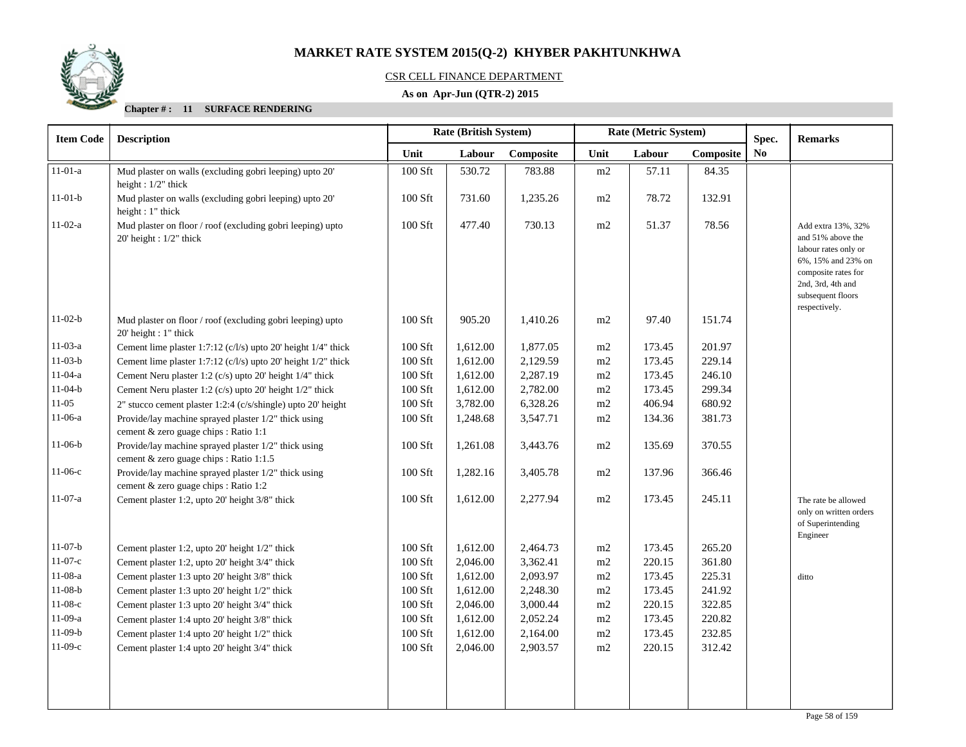

### CSR CELL FINANCE DEPARTMENT

### **As on Apr-Jun (QTR-2) 2015**

| <b>Item Code</b> | <b>Description</b>                                                                              |         | Rate (British System) |           | Rate (Metric System) |        |           | Spec. | <b>Remarks</b>                                                                                                                                                          |
|------------------|-------------------------------------------------------------------------------------------------|---------|-----------------------|-----------|----------------------|--------|-----------|-------|-------------------------------------------------------------------------------------------------------------------------------------------------------------------------|
|                  |                                                                                                 | Unit    | Labour                | Composite | Unit                 | Labour | Composite | No    |                                                                                                                                                                         |
| $11-01-a$        | Mud plaster on walls (excluding gobri leeping) upto 20'<br>height: 1/2" thick                   | 100 Sft | 530.72                | 783.88    | $\rm m2$             | 57.11  | 84.35     |       |                                                                                                                                                                         |
| $11-01-b$        | Mud plaster on walls (excluding gobri leeping) upto 20'<br>height : $1$ " thick                 | 100 Sft | 731.60                | 1,235.26  | m2                   | 78.72  | 132.91    |       |                                                                                                                                                                         |
| $11-02-a$        | Mud plaster on floor / roof (excluding gobri leeping) upto<br>20' height : 1/2" thick           | 100 Sft | 477.40                | 730.13    | m2                   | 51.37  | 78.56     |       | Add extra 13%, 32%<br>and 51% above the<br>labour rates only or<br>6%, 15% and 23% on<br>composite rates for<br>2nd, 3rd, 4th and<br>subsequent floors<br>respectively. |
| $11-02-b$        | Mud plaster on floor / roof (excluding gobri leeping) upto<br>$20'$ height : 1" thick           | 100 Sft | 905.20                | 1,410.26  | m2                   | 97.40  | 151.74    |       |                                                                                                                                                                         |
| $11-03-a$        | Cement lime plaster 1:7:12 (c/l/s) upto 20' height 1/4" thick                                   | 100 Sft | 1,612.00              | 1,877.05  | m2                   | 173.45 | 201.97    |       |                                                                                                                                                                         |
| $11-03-b$        | Cement lime plaster 1:7:12 (c/l/s) upto 20' height 1/2" thick                                   | 100 Sft | 1,612.00              | 2,129.59  | m2                   | 173.45 | 229.14    |       |                                                                                                                                                                         |
| $11-04-a$        | Cement Neru plaster 1:2 (c/s) upto 20' height 1/4" thick                                        | 100 Sft | 1,612.00              | 2,287.19  | m2                   | 173.45 | 246.10    |       |                                                                                                                                                                         |
| $11-04-b$        | Cement Neru plaster 1:2 (c/s) upto 20' height 1/2" thick                                        | 100 Sft | 1,612.00              | 2,782.00  | m2                   | 173.45 | 299.34    |       |                                                                                                                                                                         |
| $11-05$          | 2" stucco cement plaster 1:2:4 (c/s/shingle) upto 20' height                                    | 100 Sft | 3,782.00              | 6,328.26  | m2                   | 406.94 | 680.92    |       |                                                                                                                                                                         |
| $11-06-a$        | Provide/lay machine sprayed plaster 1/2" thick using<br>cement & zero guage chips : Ratio 1:1   | 100 Sft | 1,248.68              | 3,547.71  | m2                   | 134.36 | 381.73    |       |                                                                                                                                                                         |
| $11-06-b$        | Provide/lay machine sprayed plaster 1/2" thick using<br>cement & zero guage chips : Ratio 1:1.5 | 100 Sft | 1,261.08              | 3,443.76  | m2                   | 135.69 | 370.55    |       |                                                                                                                                                                         |
| $11-06-c$        | Provide/lay machine sprayed plaster 1/2" thick using<br>cement & zero guage chips : Ratio 1:2   | 100 Sft | 1,282.16              | 3,405.78  | m2                   | 137.96 | 366.46    |       |                                                                                                                                                                         |
| $11-07-a$        | Cement plaster 1:2, upto 20' height 3/8" thick                                                  | 100 Sft | 1,612.00              | 2,277.94  | m2                   | 173.45 | 245.11    |       | The rate be allowed<br>only on written orders<br>of Superintending<br>Engineer                                                                                          |
| $11-07-b$        | Cement plaster 1:2, upto 20' height 1/2" thick                                                  | 100 Sft | 1,612.00              | 2,464.73  | m2                   | 173.45 | 265.20    |       |                                                                                                                                                                         |
| $11-07-c$        | Cement plaster 1:2, upto 20' height 3/4" thick                                                  | 100 Sft | 2,046.00              | 3,362.41  | m2                   | 220.15 | 361.80    |       |                                                                                                                                                                         |
| $11-08-a$        | Cement plaster 1:3 upto 20' height 3/8" thick                                                   | 100 Sft | 1,612.00              | 2,093.97  | m2                   | 173.45 | 225.31    |       | ditto                                                                                                                                                                   |
| $11-08-b$        | Cement plaster 1:3 upto 20' height 1/2" thick                                                   | 100 Sft | 1,612.00              | 2,248.30  | m2                   | 173.45 | 241.92    |       |                                                                                                                                                                         |
| $11-08-c$        | Cement plaster 1:3 upto 20' height 3/4" thick                                                   | 100 Sft | 2,046.00              | 3,000.44  | m2                   | 220.15 | 322.85    |       |                                                                                                                                                                         |
| $11-09-a$        | Cement plaster 1:4 upto 20' height 3/8" thick                                                   | 100 Sft | 1,612.00              | 2,052.24  | m2                   | 173.45 | 220.82    |       |                                                                                                                                                                         |
| $11-09-b$        | Cement plaster 1:4 upto 20' height 1/2" thick                                                   | 100 Sft | 1,612.00              | 2,164.00  | m2                   | 173.45 | 232.85    |       |                                                                                                                                                                         |
| $11-09-c$        | Cement plaster 1:4 upto 20' height 3/4" thick                                                   | 100 Sft | 2,046.00              | 2,903.57  | m2                   | 220.15 | 312.42    |       |                                                                                                                                                                         |
|                  |                                                                                                 |         |                       |           |                      |        |           |       |                                                                                                                                                                         |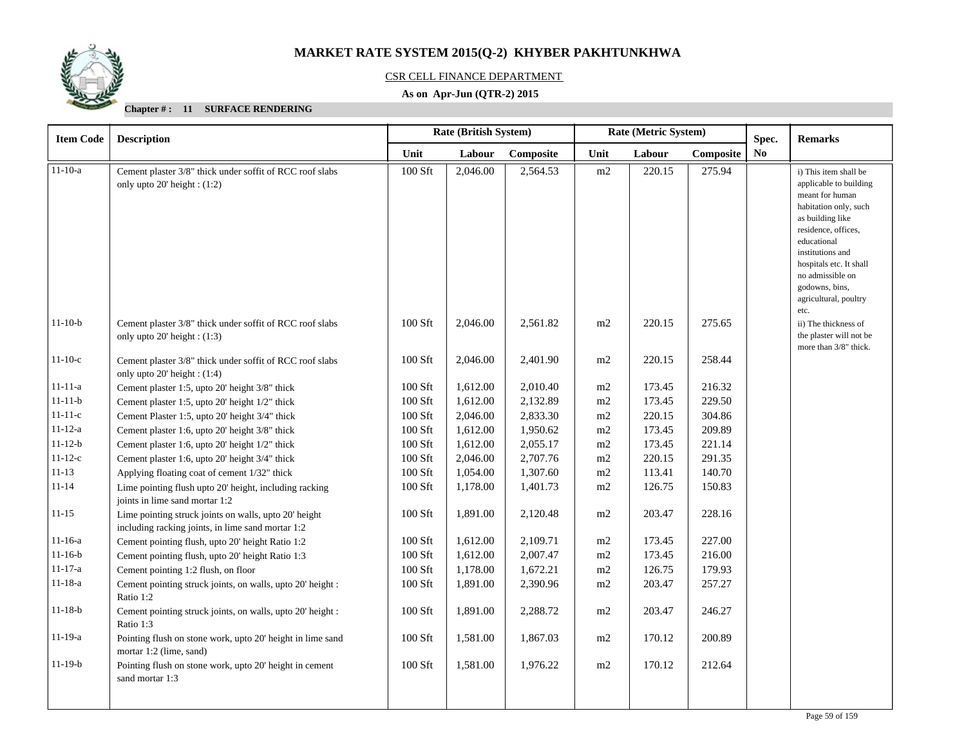

### CSR CELL FINANCE DEPARTMENT

### **As on Apr-Jun (QTR-2) 2015**

| <b>Item Code</b> | <b>Rate (British System)</b><br>Rate (Metric System)<br><b>Description</b>                                 |           |          |           |          | Spec.  | <b>Remarks</b> |                |                                                                                                                                                                       |
|------------------|------------------------------------------------------------------------------------------------------------|-----------|----------|-----------|----------|--------|----------------|----------------|-----------------------------------------------------------------------------------------------------------------------------------------------------------------------|
|                  |                                                                                                            | Unit      | Labour   | Composite | Unit     | Labour | Composite      | N <sub>0</sub> |                                                                                                                                                                       |
| $11 - 10 - a$    | Cement plaster 3/8" thick under soffit of RCC roof slabs<br>only upto $20'$ height: $(1:2)$                | 100 Sft   | 2,046.00 | 2,564.53  | m2       | 220.15 | 275.94         |                | i) This item shall be<br>applicable to building<br>meant for human<br>habitation only, such<br>as building like<br>residence, offices,<br>educational                 |
| $11-10-b$        | Cement plaster 3/8" thick under soffit of RCC roof slabs<br>only upto 20' height: (1:3)                    | $100$ Sft | 2,046.00 | 2,561.82  | m2       | 220.15 | 275.65         |                | institutions and<br>hospitals etc. It shall<br>no admissible on<br>godowns, bins,<br>agricultural, poultry<br>etc.<br>ii) The thickness of<br>the plaster will not be |
| $11-10-c$        | Cement plaster 3/8" thick under soffit of RCC roof slabs<br>only upto 20' height: (1:4)                    | 100 Sft   | 2,046.00 | 2,401.90  | m2       | 220.15 | 258.44         |                | more than 3/8" thick.                                                                                                                                                 |
| $11 - 11 - a$    | Cement plaster 1:5, upto 20' height 3/8" thick                                                             | $100$ Sft | 1,612.00 | 2,010.40  | m2       | 173.45 | 216.32         |                |                                                                                                                                                                       |
| $11 - 11 - b$    | Cement plaster 1:5, upto 20' height 1/2" thick                                                             | $100$ Sft | 1,612.00 | 2,132.89  | m2       | 173.45 | 229.50         |                |                                                                                                                                                                       |
| $11 - 11 - c$    | Cement Plaster 1:5, upto 20' height 3/4" thick                                                             | 100 Sft   | 2,046.00 | 2,833.30  | m2       | 220.15 | 304.86         |                |                                                                                                                                                                       |
| $11 - 12 - a$    | Cement plaster 1:6, upto 20' height 3/8" thick                                                             | $100$ Sft | 1,612.00 | 1,950.62  | m2       | 173.45 | 209.89         |                |                                                                                                                                                                       |
| $11 - 12 - b$    | Cement plaster 1:6, upto 20' height 1/2" thick                                                             | $100$ Sft | 1,612.00 | 2,055.17  | $\rm m2$ | 173.45 | 221.14         |                |                                                                                                                                                                       |
| $11 - 12 - c$    | Cement plaster 1:6, upto 20' height 3/4" thick                                                             | $100$ Sft | 2,046.00 | 2,707.76  | m2       | 220.15 | 291.35         |                |                                                                                                                                                                       |
| $11 - 13$        | Applying floating coat of cement 1/32" thick                                                               | $100$ Sft | 1,054.00 | 1,307.60  | m2       | 113.41 | 140.70         |                |                                                                                                                                                                       |
| $11 - 14$        | Lime pointing flush upto 20' height, including racking<br>joints in lime sand mortar 1:2                   | 100 Sft   | 1,178.00 | 1,401.73  | m2       | 126.75 | 150.83         |                |                                                                                                                                                                       |
| $11 - 15$        | Lime pointing struck joints on walls, upto 20' height<br>including racking joints, in lime sand mortar 1:2 | $100$ Sft | 1,891.00 | 2,120.48  | m2       | 203.47 | 228.16         |                |                                                                                                                                                                       |
| $11 - 16 - a$    | Cement pointing flush, upto 20' height Ratio 1:2                                                           | 100 Sft   | 1,612.00 | 2,109.71  | m2       | 173.45 | 227.00         |                |                                                                                                                                                                       |
| $11 - 16 - b$    | Cement pointing flush, upto 20' height Ratio 1:3                                                           | 100 Sft   | 1,612.00 | 2,007.47  | m2       | 173.45 | 216.00         |                |                                                                                                                                                                       |
| $11 - 17 - a$    | Cement pointing 1:2 flush, on floor                                                                        | 100 Sft   | 1,178.00 | 1,672.21  | m2       | 126.75 | 179.93         |                |                                                                                                                                                                       |
| $11 - 18 - a$    | Cement pointing struck joints, on walls, upto 20' height :<br>Ratio 1:2                                    | $100$ Sft | 1,891.00 | 2,390.96  | m2       | 203.47 | 257.27         |                |                                                                                                                                                                       |
| $11 - 18 - b$    | Cement pointing struck joints, on walls, upto 20' height :<br>Ratio 1:3                                    | $100$ Sft | 1,891.00 | 2,288.72  | m2       | 203.47 | 246.27         |                |                                                                                                                                                                       |
| $11 - 19 - a$    | Pointing flush on stone work, upto 20' height in lime sand<br>mortar 1:2 (lime, sand)                      | $100$ Sft | 1,581.00 | 1,867.03  | m2       | 170.12 | 200.89         |                |                                                                                                                                                                       |
| $11-19-b$        | Pointing flush on stone work, upto 20' height in cement<br>sand mortar 1:3                                 | $100$ Sft | 1,581.00 | 1,976.22  | m2       | 170.12 | 212.64         |                |                                                                                                                                                                       |
|                  |                                                                                                            |           |          |           |          |        |                |                |                                                                                                                                                                       |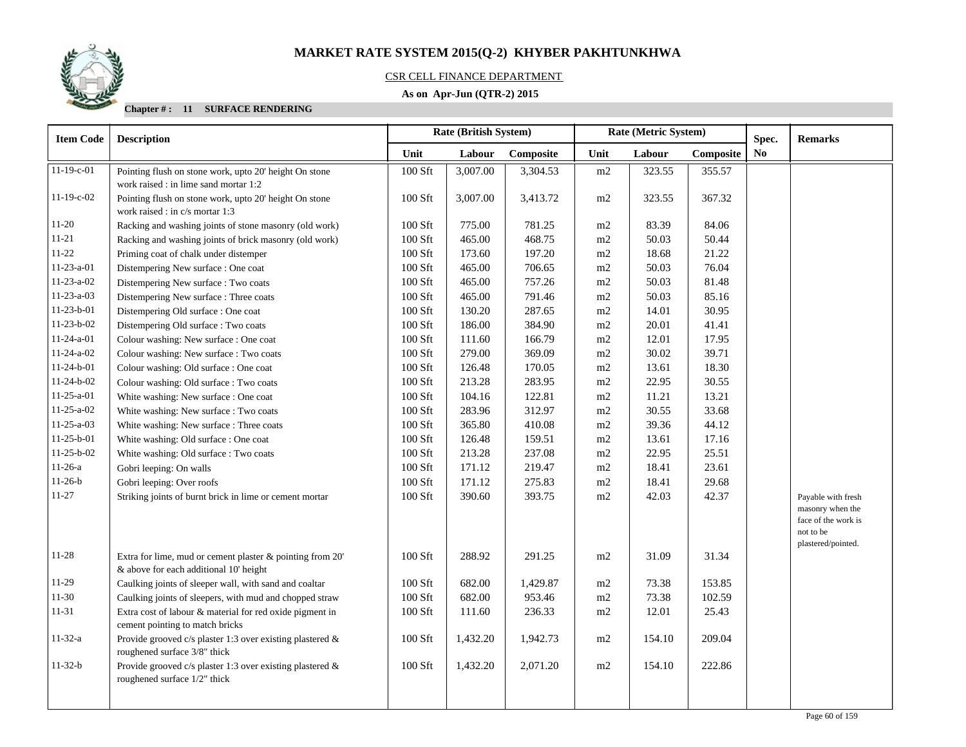

### CSR CELL FINANCE DEPARTMENT

### **As on Apr-Jun (QTR-2) 2015**

| <b>Item Code</b> | <b>Description</b>                                           |         | Rate (British System) |                             | Rate (Metric System) |           |                | Spec. | <b>Remarks</b>                  |
|------------------|--------------------------------------------------------------|---------|-----------------------|-----------------------------|----------------------|-----------|----------------|-------|---------------------------------|
|                  |                                                              | Unit    | Labour                | Composite<br>Unit<br>Labour |                      | Composite | N <sub>0</sub> |       |                                 |
| $11-19-c-01$     | Pointing flush on stone work, upto 20' height On stone       | 100 Sft | 3,007.00              | 3,304.53                    | m2                   | 323.55    | 355.57         |       |                                 |
|                  | work raised : in lime sand mortar 1:2                        |         |                       |                             |                      |           |                |       |                                 |
| $11-19-c-02$     | Pointing flush on stone work, upto 20' height On stone       | 100 Sft | 3,007.00              | 3,413.72                    | m2                   | 323.55    | 367.32         |       |                                 |
|                  | work raised : in c/s mortar 1:3                              |         |                       |                             |                      |           |                |       |                                 |
| $11-20$          | Racking and washing joints of stone masonry (old work)       | 100 Sft | 775.00                | 781.25                      | m2                   | 83.39     | 84.06          |       |                                 |
| $11 - 21$        | Racking and washing joints of brick masonry (old work)       | 100 Sft | 465.00                | 468.75                      | m2                   | 50.03     | 50.44          |       |                                 |
| $11 - 22$        | Priming coat of chalk under distemper                        | 100 Sft | 173.60                | 197.20                      | m2                   | 18.68     | 21.22          |       |                                 |
| $11-23-a-01$     | Distempering New surface : One coat                          | 100 Sft | 465.00                | 706.65                      | m2                   | 50.03     | 76.04          |       |                                 |
| $11-23-a-02$     | Distempering New surface : Two coats                         | 100 Sft | 465.00                | 757.26                      | m2                   | 50.03     | 81.48          |       |                                 |
| $11-23-a-03$     | Distempering New surface : Three coats                       | 100 Sft | 465.00                | 791.46                      | m2                   | 50.03     | 85.16          |       |                                 |
| $11-23-b-01$     | Distempering Old surface : One coat                          | 100 Sft | 130.20                | 287.65                      | m2                   | 14.01     | 30.95          |       |                                 |
| $11-23-b-02$     | Distempering Old surface : Two coats                         | 100 Sft | 186.00                | 384.90                      | m2                   | 20.01     | 41.41          |       |                                 |
| $11-24-a-01$     | Colour washing: New surface : One coat                       | 100 Sft | 111.60                | 166.79                      | m2                   | 12.01     | 17.95          |       |                                 |
| $11-24-a-02$     | Colour washing: New surface : Two coats                      | 100 Sft | 279.00                | 369.09                      | m2                   | 30.02     | 39.71          |       |                                 |
| $11-24-b-01$     | Colour washing: Old surface : One coat                       | 100 Sft | 126.48                | 170.05                      | m2                   | 13.61     | 18.30          |       |                                 |
| $11-24-b-02$     | Colour washing: Old surface : Two coats                      | 100 Sft | 213.28                | 283.95                      | $\rm m2$             | 22.95     | 30.55          |       |                                 |
| $11-25-a-01$     | White washing: New surface : One coat                        | 100 Sft | 104.16                | 122.81                      | m2                   | 11.21     | 13.21          |       |                                 |
| $11-25-a-02$     | White washing: New surface : Two coats                       | 100 Sft | 283.96                | 312.97                      | m2                   | 30.55     | 33.68          |       |                                 |
| $11-25-a-03$     | White washing: New surface : Three coats                     | 100 Sft | 365.80                | 410.08                      | m2                   | 39.36     | 44.12          |       |                                 |
| $11-25-b-01$     | White washing: Old surface : One coat                        | 100 Sft | 126.48                | 159.51                      | m2                   | 13.61     | 17.16          |       |                                 |
| $11-25-b-02$     | White washing: Old surface: Two coats                        | 100 Sft | 213.28                | 237.08                      | m2                   | 22.95     | 25.51          |       |                                 |
| $11-26-a$        | Gobri leeping: On walls                                      | 100 Sft | 171.12                | 219.47                      | m2                   | 18.41     | 23.61          |       |                                 |
| $11-26-b$        | Gobri leeping: Over roofs                                    | 100 Sft | 171.12                | 275.83                      | m2                   | 18.41     | 29.68          |       |                                 |
| $11 - 27$        | Striking joints of burnt brick in lime or cement mortar      | 100 Sft | 390.60                | 393.75                      | m2                   | 42.03     | 42.37          |       | Payable with fresh              |
|                  |                                                              |         |                       |                             |                      |           |                |       | masonry when the                |
|                  |                                                              |         |                       |                             |                      |           |                |       | face of the work is             |
|                  |                                                              |         |                       |                             |                      |           |                |       | not to be<br>plastered/pointed. |
| 11-28            | Extra for lime, mud or cement plaster $\&$ pointing from 20' | 100 Sft | 288.92                | 291.25                      | m2                   | 31.09     | 31.34          |       |                                 |
|                  | & above for each additional 10' height                       |         |                       |                             |                      |           |                |       |                                 |
| 11-29            | Caulking joints of sleeper wall, with sand and coaltar       | 100 Sft | 682.00                | 1,429.87                    | m2                   | 73.38     | 153.85         |       |                                 |
| $11-30$          | Caulking joints of sleepers, with mud and chopped straw      | 100 Sft | 682.00                | 953.46                      | m2                   | 73.38     | 102.59         |       |                                 |
| $11 - 31$        | Extra cost of labour & material for red oxide pigment in     | 100 Sft | 111.60                | 236.33                      | m2                   | 12.01     | 25.43          |       |                                 |
|                  | cement pointing to match bricks                              |         |                       |                             |                      |           |                |       |                                 |
| $11 - 32 - a$    | Provide grooved c/s plaster 1:3 over existing plastered &    | 100 Sft | 1,432.20              | 1,942.73                    | m2                   | 154.10    | 209.04         |       |                                 |
|                  | roughened surface 3/8" thick                                 |         |                       |                             |                      |           |                |       |                                 |
| $11-32-b$        | Provide grooved c/s plaster 1:3 over existing plastered &    | 100 Sft | 1,432.20              | 2,071.20                    | m2                   | 154.10    | 222.86         |       |                                 |
|                  | roughened surface 1/2" thick                                 |         |                       |                             |                      |           |                |       |                                 |
|                  |                                                              |         |                       |                             |                      |           |                |       |                                 |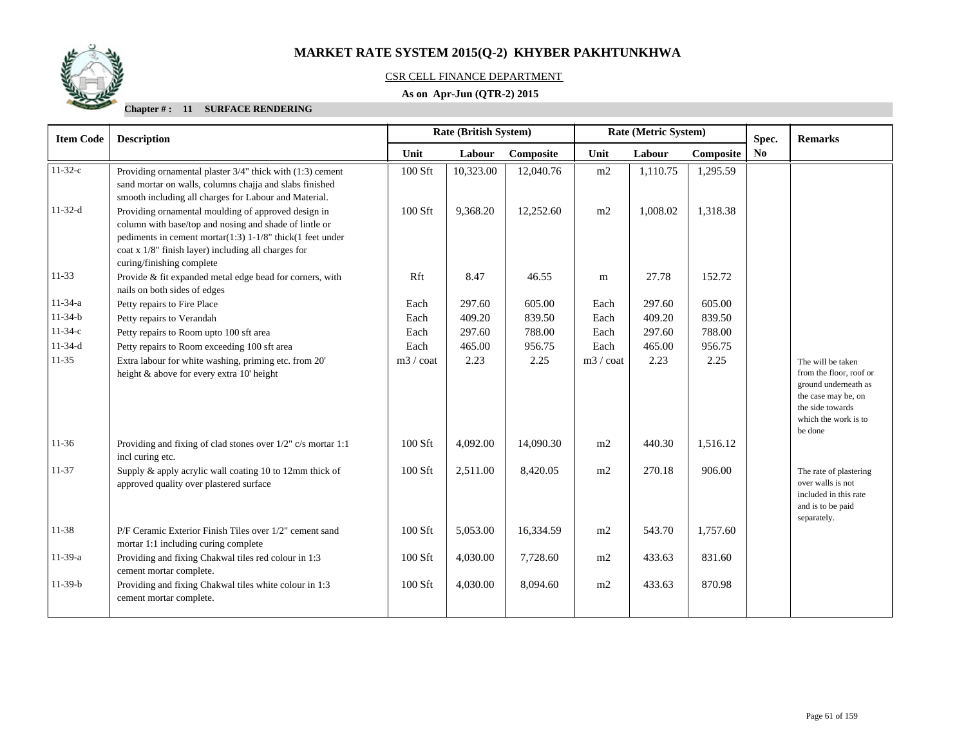

### CSR CELL FINANCE DEPARTMENT

### **As on Apr-Jun (QTR-2) 2015**

| <b>Item Code</b> | <b>Description</b>                                                                                                                                                                                                                                             | <b>Rate (British System)</b> |           |           |                    | Rate (Metric System) |           | Spec. | <b>Remarks</b>                                                                                                                                     |
|------------------|----------------------------------------------------------------------------------------------------------------------------------------------------------------------------------------------------------------------------------------------------------------|------------------------------|-----------|-----------|--------------------|----------------------|-----------|-------|----------------------------------------------------------------------------------------------------------------------------------------------------|
|                  |                                                                                                                                                                                                                                                                | Unit                         | Labour    | Composite | Unit               | Labour               | Composite | No    |                                                                                                                                                    |
| $11-32-c$        | Providing ornamental plaster 3/4" thick with (1:3) cement<br>sand mortar on walls, columns chajja and slabs finished<br>smooth including all charges for Labour and Material.                                                                                  | 100 Sft                      | 10,323.00 | 12,040.76 | m2                 | 1,110.75             | 1,295.59  |       |                                                                                                                                                    |
| $11-32-d$        | Providing ornamental moulding of approved design in<br>column with base/top and nosing and shade of lintle or<br>pediments in cement mortar(1:3) 1-1/8" thick(1 feet under<br>coat x 1/8" finish layer) including all charges for<br>curing/finishing complete | $100$ Sft                    | 9,368.20  | 12,252.60 | m2                 | 1,008.02             | 1,318.38  |       |                                                                                                                                                    |
| $11 - 33$        | Provide & fit expanded metal edge bead for corners, with<br>nails on both sides of edges                                                                                                                                                                       | Rft                          | 8.47      | 46.55     | m                  | 27.78                | 152.72    |       |                                                                                                                                                    |
| $11-34-a$        | Petty repairs to Fire Place                                                                                                                                                                                                                                    | Each                         | 297.60    | 605.00    | Each               | 297.60               | 605.00    |       |                                                                                                                                                    |
| $11-34-b$        | Petty repairs to Verandah                                                                                                                                                                                                                                      | Each                         | 409.20    | 839.50    | Each               | 409.20               | 839.50    |       |                                                                                                                                                    |
| $11-34-c$        | Petty repairs to Room upto 100 sft area                                                                                                                                                                                                                        | Each                         | 297.60    | 788.00    | Each               | 297.60               | 788.00    |       |                                                                                                                                                    |
| $11-34-d$        | Petty repairs to Room exceeding 100 sft area                                                                                                                                                                                                                   | Each                         | 465.00    | 956.75    | Each               | 465.00               | 956.75    |       |                                                                                                                                                    |
| $11 - 35$        | Extra labour for white washing, priming etc. from 20'<br>height & above for every extra 10' height                                                                                                                                                             | $m3 / \text{coat}$           | 2.23      | 2.25      | $m3 / \text{coat}$ | 2.23                 | 2.25      |       | The will be taken<br>from the floor, roof or<br>ground underneath as<br>the case may be, on<br>the side towards<br>which the work is to<br>be done |
| $11-36$          | Providing and fixing of clad stones over 1/2" c/s mortar 1:1<br>incl curing etc.                                                                                                                                                                               | $100$ Sft                    | 4,092.00  | 14,090.30 | m2                 | 440.30               | 1,516.12  |       |                                                                                                                                                    |
| $11 - 37$        | Supply & apply acrylic wall coating 10 to 12mm thick of<br>approved quality over plastered surface                                                                                                                                                             | 100 Sft                      | 2,511.00  | 8,420.05  | m2                 | 270.18               | 906.00    |       | The rate of plastering<br>over walls is not<br>included in this rate<br>and is to be paid<br>separately.                                           |
| 11-38            | P/F Ceramic Exterior Finish Tiles over 1/2" cement sand<br>mortar 1:1 including curing complete                                                                                                                                                                | 100 Sft                      | 5,053.00  | 16,334.59 | m2                 | 543.70               | 1,757.60  |       |                                                                                                                                                    |
| $11-39-a$        | Providing and fixing Chakwal tiles red colour in 1:3<br>cement mortar complete.                                                                                                                                                                                | 100 Sft                      | 4,030.00  | 7,728.60  | m2                 | 433.63               | 831.60    |       |                                                                                                                                                    |
| $11-39-b$        | Providing and fixing Chakwal tiles white colour in 1:3<br>cement mortar complete.                                                                                                                                                                              | 100 Sft                      | 4,030.00  | 8,094.60  | m2                 | 433.63               | 870.98    |       |                                                                                                                                                    |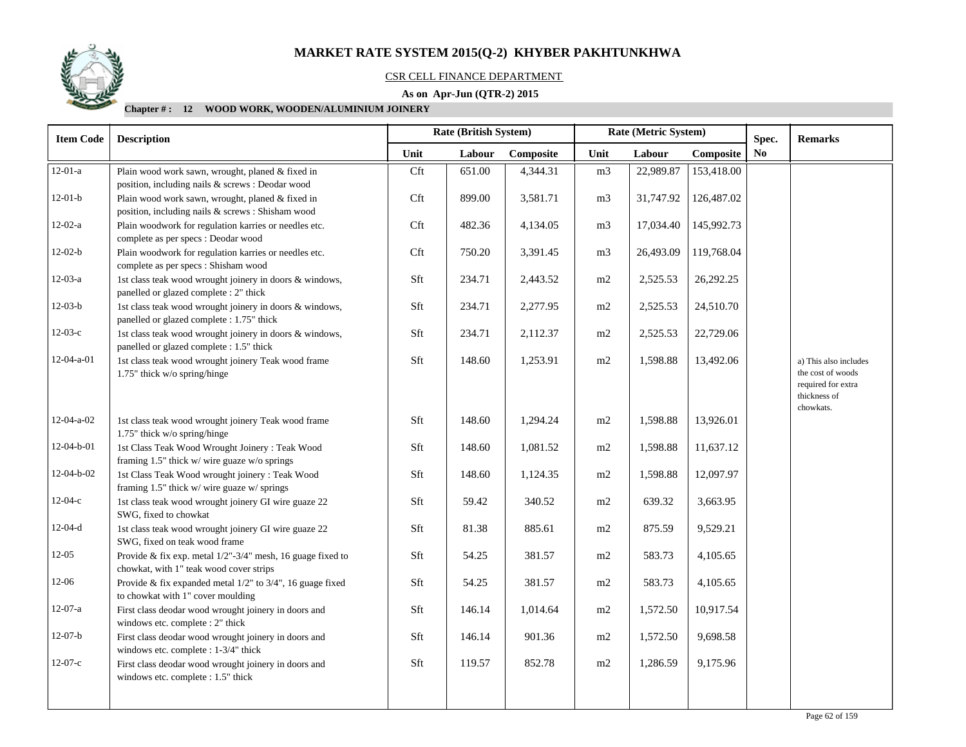

#### CSR CELL FINANCE DEPARTMENT

### **As on Apr-Jun (QTR-2) 2015**

| <b>Item Code</b>   | <b>Description</b>                                                                                       |      | Rate (British System) |           |                | Rate (Metric System) |            | Spec. | <b>Remarks</b>                          |
|--------------------|----------------------------------------------------------------------------------------------------------|------|-----------------------|-----------|----------------|----------------------|------------|-------|-----------------------------------------|
|                    |                                                                                                          | Unit | Labour                | Composite | Unit           | Labour               | Composite  | No.   |                                         |
| $12-01-a$          | Plain wood work sawn, wrought, planed & fixed in                                                         | Cft  | 651.00                | 4,344.31  | m <sub>3</sub> | 22,989.87            | 153,418.00 |       |                                         |
|                    | position, including nails & screws : Deodar wood                                                         |      |                       |           |                |                      |            |       |                                         |
| $12-01-b$          | Plain wood work sawn, wrought, planed & fixed in                                                         | Cft  | 899.00                | 3,581.71  | m <sub>3</sub> | 31,747.92            | 126,487.02 |       |                                         |
| $12-02-a$          | position, including nails & screws : Shisham wood                                                        |      |                       |           |                |                      |            |       |                                         |
|                    | Plain woodwork for regulation karries or needles etc.<br>complete as per specs : Deodar wood             | Cft  | 482.36                | 4,134.05  | m <sub>3</sub> | 17,034.40            | 145,992.73 |       |                                         |
| $12-02-b$          | Plain woodwork for regulation karries or needles etc.<br>complete as per specs : Shisham wood            | Cft  | 750.20                | 3,391.45  | m <sub>3</sub> | 26,493.09            | 119,768.04 |       |                                         |
| $12-03-a$          | 1st class teak wood wrought joinery in doors & windows,<br>panelled or glazed complete : 2" thick        | Sft  | 234.71                | 2,443.52  | m2             | 2,525.53             | 26,292.25  |       |                                         |
| $12-03-b$          | 1st class teak wood wrought joinery in doors & windows,<br>panelled or glazed complete : 1.75" thick     | Sft  | 234.71                | 2,277.95  | m2             | 2,525.53             | 24,510.70  |       |                                         |
| $12-03-c$          | 1st class teak wood wrought joinery in doors & windows,<br>panelled or glazed complete : 1.5" thick      | Sft  | 234.71                | 2,112.37  | m2             | 2,525.53             | 22,729.06  |       |                                         |
| $12-04-a-01$       | 1st class teak wood wrought joinery Teak wood frame                                                      | Sft  | 148.60                | 1,253.91  | $\rm m2$       | 1,598.88             | 13,492.06  |       | a) This also includes                   |
|                    | 1.75" thick w/o spring/hinge                                                                             |      |                       |           |                |                      |            |       | the cost of woods<br>required for extra |
|                    |                                                                                                          |      |                       |           |                |                      |            |       | thickness of<br>chowkats.               |
| $12 - 04 - a - 02$ | 1st class teak wood wrought joinery Teak wood frame<br>1.75" thick w/o spring/hinge                      | Sft  | 148.60                | 1,294.24  | m2             | 1,598.88             | 13,926.01  |       |                                         |
| 12-04-b-01         | 1st Class Teak Wood Wrought Joinery : Teak Wood<br>framing 1.5" thick w/ wire guaze w/o springs          | Sft  | 148.60                | 1,081.52  | m2             | 1,598.88             | 11,637.12  |       |                                         |
| $12-04-b-02$       | 1st Class Teak Wood wrought joinery : Teak Wood<br>framing 1.5" thick w/ wire guaze w/ springs           | Sft  | 148.60                | 1,124.35  | m2             | 1,598.88             | 12,097.97  |       |                                         |
| $12-04-c$          | 1st class teak wood wrought joinery GI wire guaze 22                                                     | Sft  | 59.42                 | 340.52    | $\rm m2$       | 639.32               | 3,663.95   |       |                                         |
|                    | SWG, fixed to chowkat                                                                                    |      |                       |           |                |                      |            |       |                                         |
| $12 - 04 - d$      | 1st class teak wood wrought joinery GI wire guaze 22<br>SWG, fixed on teak wood frame                    | Sft  | 81.38                 | 885.61    | m2             | 875.59               | 9,529.21   |       |                                         |
| $12-05$            | Provide & fix exp. metal $1/2$ "-3/4" mesh, 16 guage fixed to<br>chowkat, with 1" teak wood cover strips | Sft  | 54.25                 | 381.57    | m2             | 583.73               | 4,105.65   |       |                                         |
| 12-06              | Provide & fix expanded metal $1/2$ " to $3/4$ ", 16 guage fixed<br>to chowkat with 1" cover moulding     | Sft  | 54.25                 | 381.57    | m2             | 583.73               | 4,105.65   |       |                                         |
| $12-07-a$          | First class deodar wood wrought joinery in doors and<br>windows etc. complete : 2" thick                 | Sft  | 146.14                | 1,014.64  | m2             | 1,572.50             | 10,917.54  |       |                                         |
| $12-07-b$          | First class deodar wood wrought joinery in doors and<br>windows etc. complete : 1-3/4" thick             | Sft  | 146.14                | 901.36    | m2             | 1,572.50             | 9,698.58   |       |                                         |
| $12-07-c$          | First class deodar wood wrought joinery in doors and                                                     | Sft  | 119.57                | 852.78    | m2             | 1,286.59             | 9,175.96   |       |                                         |
|                    | windows etc. complete : 1.5" thick                                                                       |      |                       |           |                |                      |            |       |                                         |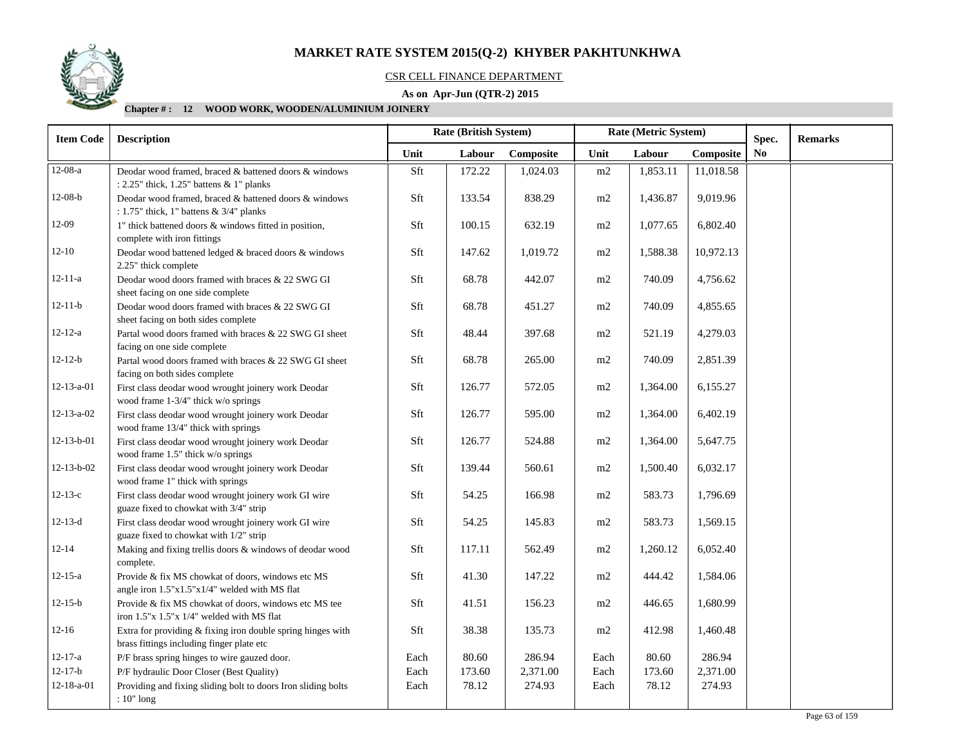

#### CSR CELL FINANCE DEPARTMENT

### **As on Apr-Jun (QTR-2) 2015**

| <b>Item Code</b>   | <b>Description</b>                                                                                       |      | Rate (British System) |           |          |          | Rate (Metric System)<br>Spec. |    | <b>Remarks</b> |
|--------------------|----------------------------------------------------------------------------------------------------------|------|-----------------------|-----------|----------|----------|-------------------------------|----|----------------|
|                    |                                                                                                          | Unit | Labour                | Composite | Unit     | Labour   | Composite                     | No |                |
| $12-08-a$          | Deodar wood framed, braced & battened doors & windows<br>: $2.25$ " thick, $1.25$ " battens & 1" planks  | Sft  | 172.22                | 1,024.03  | m2       | 1,853.11 | 11,018.58                     |    |                |
| $12-08-b$          | Deodar wood framed, braced & battened doors & windows<br>: 1.75" thick, 1" battens & 3/4" planks         | Sft  | 133.54                | 838.29    | m2       | 1,436.87 | 9,019.96                      |    |                |
| 12-09              | 1" thick battened doors & windows fitted in position,<br>complete with iron fittings                     | Sft  | 100.15                | 632.19    | $\rm m2$ | 1,077.65 | 6,802.40                      |    |                |
| $12 - 10$          | Deodar wood battened ledged & braced doors & windows<br>2.25" thick complete                             | Sft  | 147.62                | 1,019.72  | $\rm m2$ | 1,588.38 | 10,972.13                     |    |                |
| $12 - 11 - a$      | Deodar wood doors framed with braces & 22 SWG GI<br>sheet facing on one side complete                    | Sft  | 68.78                 | 442.07    | m2       | 740.09   | 4,756.62                      |    |                |
| $12 - 11 - b$      | Deodar wood doors framed with braces & 22 SWG GI<br>sheet facing on both sides complete                  | Sft  | 68.78                 | 451.27    | m2       | 740.09   | 4,855.65                      |    |                |
| $12 - 12 - a$      | Partal wood doors framed with braces & 22 SWG GI sheet<br>facing on one side complete                    | Sft  | 48.44                 | 397.68    | m2       | 521.19   | 4,279.03                      |    |                |
| $12 - 12 - b$      | Partal wood doors framed with braces & 22 SWG GI sheet<br>facing on both sides complete                  | Sft  | 68.78                 | 265.00    | $\rm m2$ | 740.09   | 2,851.39                      |    |                |
| $12 - 13 - a - 01$ | First class deodar wood wrought joinery work Deodar<br>wood frame 1-3/4" thick w/o springs               | Sft  | 126.77                | 572.05    | $\rm m2$ | 1,364.00 | 6,155.27                      |    |                |
| $12 - 13 - a - 02$ | First class deodar wood wrought joinery work Deodar<br>wood frame 13/4" thick with springs               | Sft  | 126.77                | 595.00    | m2       | 1,364.00 | 6,402.19                      |    |                |
| $12 - 13 - b - 01$ | First class deodar wood wrought joinery work Deodar<br>wood frame 1.5" thick w/o springs                 | Sft  | 126.77                | 524.88    | m2       | 1,364.00 | 5,647.75                      |    |                |
| $12 - 13 - b - 02$ | First class deodar wood wrought joinery work Deodar<br>wood frame 1" thick with springs                  | Sft  | 139.44                | 560.61    | m2       | 1,500.40 | 6,032.17                      |    |                |
| $12-13-c$          | First class deodar wood wrought joinery work GI wire<br>guaze fixed to chowkat with 3/4" strip           | Sft  | 54.25                 | 166.98    | m2       | 583.73   | 1,796.69                      |    |                |
| $12 - 13 - d$      | First class deodar wood wrought joinery work GI wire<br>guaze fixed to chowkat with 1/2" strip           | Sft  | 54.25                 | 145.83    | m2       | 583.73   | 1,569.15                      |    |                |
| $12 - 14$          | Making and fixing trellis doors & windows of deodar wood<br>complete.                                    | Sft  | 117.11                | 562.49    | $\rm m2$ | 1,260.12 | 6,052.40                      |    |                |
| $12 - 15 - a$      | Provide & fix MS chowkat of doors, windows etc MS<br>angle iron 1.5"x1.5"x1/4" welded with MS flat       | Sft  | 41.30                 | 147.22    | m2       | 444.42   | 1,584.06                      |    |                |
| $12 - 15 - b$      | Provide & fix MS chowkat of doors, windows etc MS tee<br>iron 1.5"x 1.5"x 1/4" welded with MS flat       | Sft  | 41.51                 | 156.23    | m2       | 446.65   | 1,680.99                      |    |                |
| $12 - 16$          | Extra for providing & fixing iron double spring hinges with<br>brass fittings including finger plate etc | Sft  | 38.38                 | 135.73    | m2       | 412.98   | 1,460.48                      |    |                |
| $12 - 17 - a$      | P/F brass spring hinges to wire gauzed door.                                                             | Each | 80.60                 | 286.94    | Each     | 80.60    | 286.94                        |    |                |
| $12 - 17 - b$      | P/F hydraulic Door Closer (Best Quality)                                                                 | Each | 173.60                | 2,371.00  | Each     | 173.60   | 2,371.00                      |    |                |
| $12 - 18 - a - 01$ | Providing and fixing sliding bolt to doors Iron sliding bolts<br>: 10" long                              | Each | 78.12                 | 274.93    | Each     | 78.12    | 274.93                        |    |                |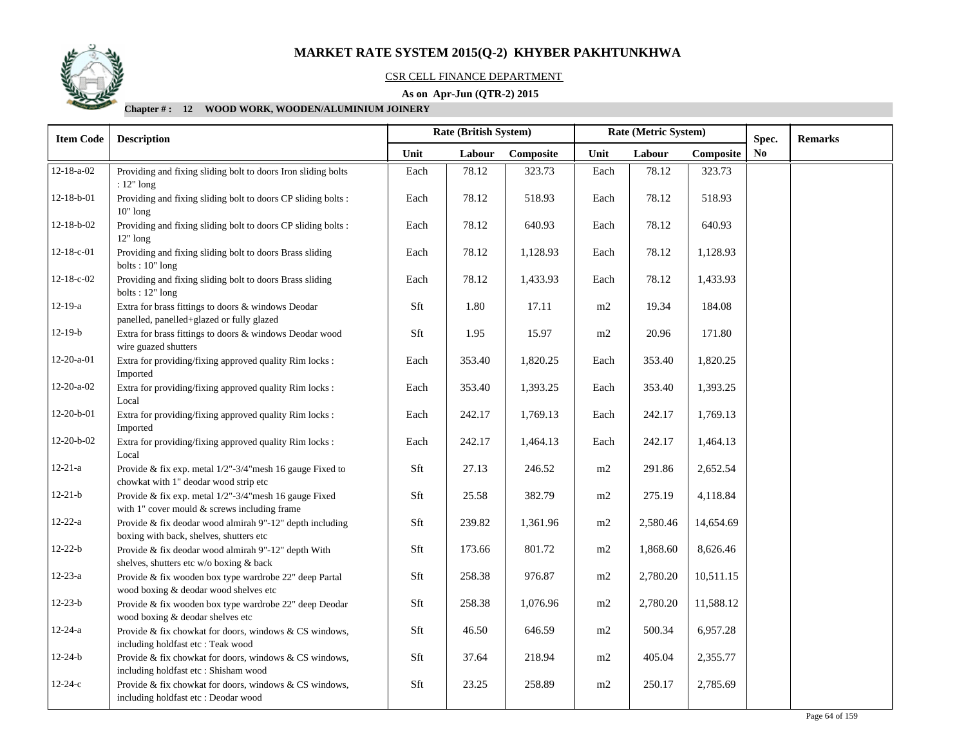

#### CSR CELL FINANCE DEPARTMENT

### **As on Apr-Jun (QTR-2) 2015**

| <b>Item Code</b>   | <b>Description</b>                                                                                    | Rate (Metric System)<br><b>Rate (British System)</b> |        | Spec.     | <b>Remarks</b> |          |           |                |  |
|--------------------|-------------------------------------------------------------------------------------------------------|------------------------------------------------------|--------|-----------|----------------|----------|-----------|----------------|--|
|                    |                                                                                                       | Unit                                                 | Labour | Composite | Unit           | Labour   | Composite | N <sub>0</sub> |  |
| $12 - 18 - a - 02$ | Providing and fixing sliding bolt to doors Iron sliding bolts<br>$: 12"$ long                         | Each                                                 | 78.12  | 323.73    | Each           | 78.12    | 323.73    |                |  |
| $12 - 18 - b - 01$ | Providing and fixing sliding bolt to doors CP sliding bolts :<br>$10"$ long                           | Each                                                 | 78.12  | 518.93    | Each           | 78.12    | 518.93    |                |  |
| $12 - 18 - b - 02$ | Providing and fixing sliding bolt to doors CP sliding bolts :<br>$12"$ long                           | Each                                                 | 78.12  | 640.93    | Each           | 78.12    | 640.93    |                |  |
| $12-18-c-01$       | Providing and fixing sliding bolt to doors Brass sliding<br>bolts: $10"$ long                         | Each                                                 | 78.12  | 1,128.93  | Each           | 78.12    | 1,128.93  |                |  |
| $12 - 18 - c - 02$ | Providing and fixing sliding bolt to doors Brass sliding<br>bolts: $12"$ long                         | Each                                                 | 78.12  | 1,433.93  | Each           | 78.12    | 1,433.93  |                |  |
| $12 - 19 - a$      | Extra for brass fittings to doors & windows Deodar<br>panelled, panelled+glazed or fully glazed       | Sft                                                  | 1.80   | 17.11     | m2             | 19.34    | 184.08    |                |  |
| $12-19-b$          | Extra for brass fittings to doors & windows Deodar wood<br>wire guazed shutters                       | Sft                                                  | 1.95   | 15.97     | m2             | 20.96    | 171.80    |                |  |
| $12 - 20 - a - 01$ | Extra for providing/fixing approved quality Rim locks :<br>Imported                                   | Each                                                 | 353.40 | 1,820.25  | Each           | 353.40   | 1,820.25  |                |  |
| 12-20-a-02         | Extra for providing/fixing approved quality Rim locks :<br>Local                                      | Each                                                 | 353.40 | 1,393.25  | Each           | 353.40   | 1,393.25  |                |  |
| 12-20-b-01         | Extra for providing/fixing approved quality Rim locks :<br>Imported                                   | Each                                                 | 242.17 | 1,769.13  | Each           | 242.17   | 1,769.13  |                |  |
| 12-20-b-02         | Extra for providing/fixing approved quality Rim locks :<br>Local                                      | Each                                                 | 242.17 | 1,464.13  | Each           | 242.17   | 1,464.13  |                |  |
| $12 - 21 - a$      | Provide & fix exp. metal 1/2"-3/4"mesh 16 gauge Fixed to<br>chowkat with 1" deodar wood strip etc     | Sft                                                  | 27.13  | 246.52    | m2             | 291.86   | 2,652.54  |                |  |
| $12 - 21 - b$      | Provide & fix exp. metal 1/2"-3/4"mesh 16 gauge Fixed<br>with 1" cover mould & screws including frame | Sft                                                  | 25.58  | 382.79    | m2             | 275.19   | 4,118.84  |                |  |
| $12 - 22 - a$      | Provide & fix deodar wood almirah 9"-12" depth including<br>boxing with back, shelves, shutters etc   | Sft                                                  | 239.82 | 1,361.96  | m2             | 2,580.46 | 14,654.69 |                |  |
| $12 - 22 - b$      | Provide & fix deodar wood almirah 9"-12" depth With<br>shelves, shutters etc w/o boxing & back        | Sft                                                  | 173.66 | 801.72    | m2             | 1,868.60 | 8,626.46  |                |  |
| $12 - 23 - a$      | Provide & fix wooden box type wardrobe 22" deep Partal<br>wood boxing $\&$ deodar wood shelves etc    | Sft                                                  | 258.38 | 976.87    | m2             | 2,780.20 | 10,511.15 |                |  |
| $12 - 23 - b$      | Provide & fix wooden box type wardrobe 22" deep Deodar<br>wood boxing & deodar shelves etc            | Sft                                                  | 258.38 | 1,076.96  | m2             | 2,780.20 | 11,588.12 |                |  |
| $12 - 24 - a$      | Provide & fix chowkat for doors, windows & CS windows,<br>including holdfast etc: Teak wood           | Sft                                                  | 46.50  | 646.59    | m2             | 500.34   | 6,957.28  |                |  |
| $12 - 24 - b$      | Provide & fix chowkat for doors, windows & CS windows,<br>including holdfast etc: Shisham wood        | Sft                                                  | 37.64  | 218.94    | m2             | 405.04   | 2,355.77  |                |  |
| $12 - 24 - c$      | Provide & fix chowkat for doors, windows & CS windows,<br>including holdfast etc : Deodar wood        | Sft                                                  | 23.25  | 258.89    | m2             | 250.17   | 2,785.69  |                |  |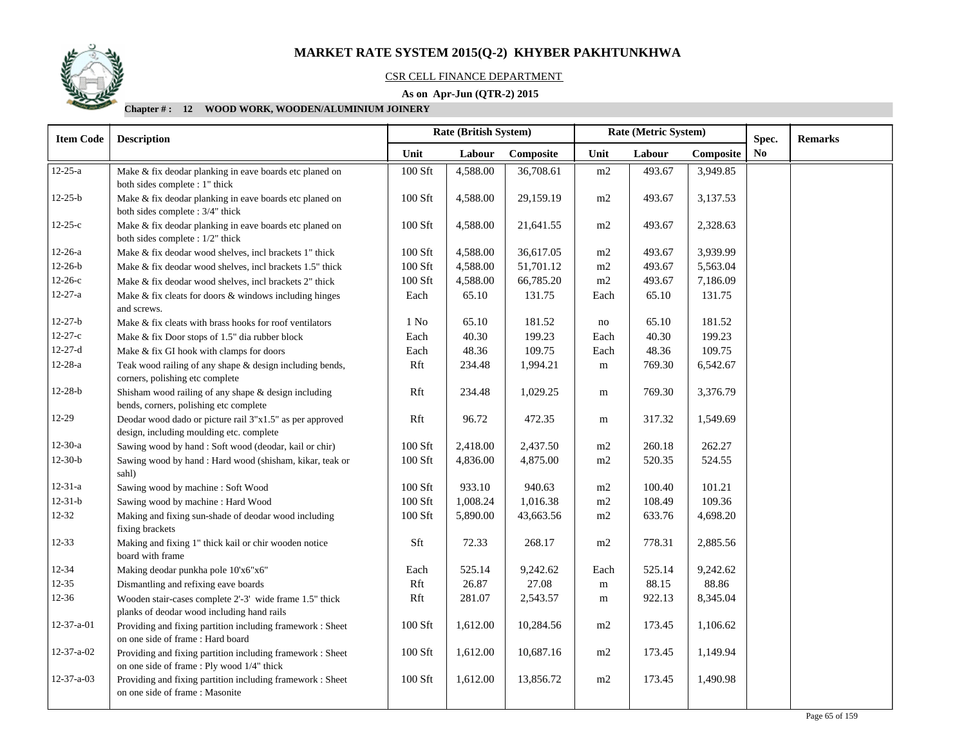

### CSR CELL FINANCE DEPARTMENT

### **As on Apr-Jun (QTR-2) 2015**

| <b>Item Code</b>   | <b>Description</b>                                                                                                            |                  | Rate (British System) |           |           | Rate (Metric System) |           | Spec.          | <b>Remarks</b> |
|--------------------|-------------------------------------------------------------------------------------------------------------------------------|------------------|-----------------------|-----------|-----------|----------------------|-----------|----------------|----------------|
|                    |                                                                                                                               | Unit             | Labour                | Composite | Unit      | Labour               | Composite | N <sub>0</sub> |                |
| $12 - 25 - a$      | Make & fix deodar planking in eave boards etc planed on                                                                       | 100 Sft          | 4,588.00              | 36,708.61 | m2        | 493.67               | 3,949.85  |                |                |
| $12 - 25 - b$      | both sides complete : 1" thick<br>Make & fix deodar planking in eave boards etc planed on<br>both sides complete : 3/4" thick | 100 Sft          | 4,588.00              | 29,159.19 | m2        | 493.67               | 3,137.53  |                |                |
| $12 - 25 - c$      | Make & fix deodar planking in eave boards etc planed on<br>both sides complete : 1/2" thick                                   | 100 Sft          | 4,588.00              | 21,641.55 | m2        | 493.67               | 2,328.63  |                |                |
| $12 - 26 - a$      | Make & fix deodar wood shelves, incl brackets 1" thick                                                                        | 100 Sft          | 4,588.00              | 36,617.05 | $\rm m2$  | 493.67               | 3,939.99  |                |                |
| $12 - 26 - b$      | Make & fix deodar wood shelves, incl brackets 1.5" thick                                                                      | 100 Sft          | 4,588.00              | 51,701.12 | $\rm m2$  | 493.67               | 5,563.04  |                |                |
| $12 - 26 - c$      | Make & fix deodar wood shelves, incl brackets 2" thick                                                                        | 100 Sft          | 4,588.00              | 66,785.20 | $\rm m2$  | 493.67               | 7,186.09  |                |                |
| $12 - 27 - a$      | Make & fix cleats for doors & windows including hinges<br>and screws.                                                         | Each             | 65.10                 | 131.75    | Each      | 65.10                | 131.75    |                |                |
| $12 - 27 - b$      | Make & fix cleats with brass hooks for roof ventilators                                                                       | 1 N <sub>0</sub> | 65.10                 | 181.52    | no        | 65.10                | 181.52    |                |                |
| $12 - 27 - c$      | Make & fix Door stops of 1.5" dia rubber block                                                                                | Each             | 40.30                 | 199.23    | Each      | 40.30                | 199.23    |                |                |
| $12 - 27 - d$      | Make & fix GI hook with clamps for doors                                                                                      | Each             | 48.36                 | 109.75    | Each      | 48.36                | 109.75    |                |                |
| $12 - 28 - a$      | Teak wood railing of any shape & design including bends,<br>corners, polishing etc complete                                   | Rft              | 234.48                | 1,994.21  | m         | 769.30               | 6,542.67  |                |                |
| $12 - 28 - b$      | Shisham wood railing of any shape $&$ design including<br>bends, corners, polishing etc complete                              | Rft              | 234.48                | 1,029.25  | ${\bf m}$ | 769.30               | 3,376.79  |                |                |
| 12-29              | Deodar wood dado or picture rail 3"x1.5" as per approved<br>design, including moulding etc. complete                          | Rft              | 96.72                 | 472.35    | m         | 317.32               | 1,549.69  |                |                |
| $12-30-a$          | Sawing wood by hand: Soft wood (deodar, kail or chir)                                                                         | 100 Sft          | 2,418.00              | 2,437.50  | m2        | 260.18               | 262.27    |                |                |
| $12 - 30 - b$      | Sawing wood by hand: Hard wood (shisham, kikar, teak or<br>sahl)                                                              | 100 Sft          | 4,836.00              | 4,875.00  | m2        | 520.35               | 524.55    |                |                |
| $12 - 31 - a$      | Sawing wood by machine : Soft Wood                                                                                            | 100 Sft          | 933.10                | 940.63    | m2        | 100.40               | 101.21    |                |                |
| $12 - 31 - b$      | Sawing wood by machine : Hard Wood                                                                                            | 100 Sft          | 1,008.24              | 1,016.38  | m2        | 108.49               | 109.36    |                |                |
| $12 - 32$          | Making and fixing sun-shade of deodar wood including<br>fixing brackets                                                       | $100$ Sft        | 5,890.00              | 43,663.56 | m2        | 633.76               | 4,698.20  |                |                |
| $12 - 33$          | Making and fixing 1" thick kail or chir wooden notice<br>board with frame                                                     | Sft              | 72.33                 | 268.17    | m2        | 778.31               | 2,885.56  |                |                |
| 12-34              | Making deodar punkha pole 10'x6"x6"                                                                                           | Each             | 525.14                | 9,242.62  | Each      | 525.14               | 9,242.62  |                |                |
| $12 - 35$          | Dismantling and refixing eave boards                                                                                          | Rft              | 26.87                 | 27.08     | m         | 88.15                | 88.86     |                |                |
| $12 - 36$          | Wooden stair-cases complete 2'-3' wide frame 1.5" thick                                                                       | Rft              | 281.07                | 2,543.57  | m         | 922.13               | 8,345.04  |                |                |
|                    | planks of deodar wood including hand rails                                                                                    |                  |                       |           |           |                      |           |                |                |
| 12-37-a-01         | Providing and fixing partition including framework : Sheet<br>on one side of frame : Hard board                               | 100 Sft          | 1,612.00              | 10,284.56 | m2        | 173.45               | 1,106.62  |                |                |
| 12-37-a-02         | Providing and fixing partition including framework : Sheet<br>on one side of frame : Ply wood 1/4" thick                      | 100 Sft          | 1,612.00              | 10,687.16 | m2        | 173.45               | 1,149.94  |                |                |
| $12 - 37 - a - 03$ | Providing and fixing partition including framework : Sheet<br>on one side of frame : Masonite                                 | 100 Sft          | 1,612.00              | 13,856.72 | m2        | 173.45               | 1,490.98  |                |                |
|                    |                                                                                                                               |                  |                       |           |           |                      |           |                |                |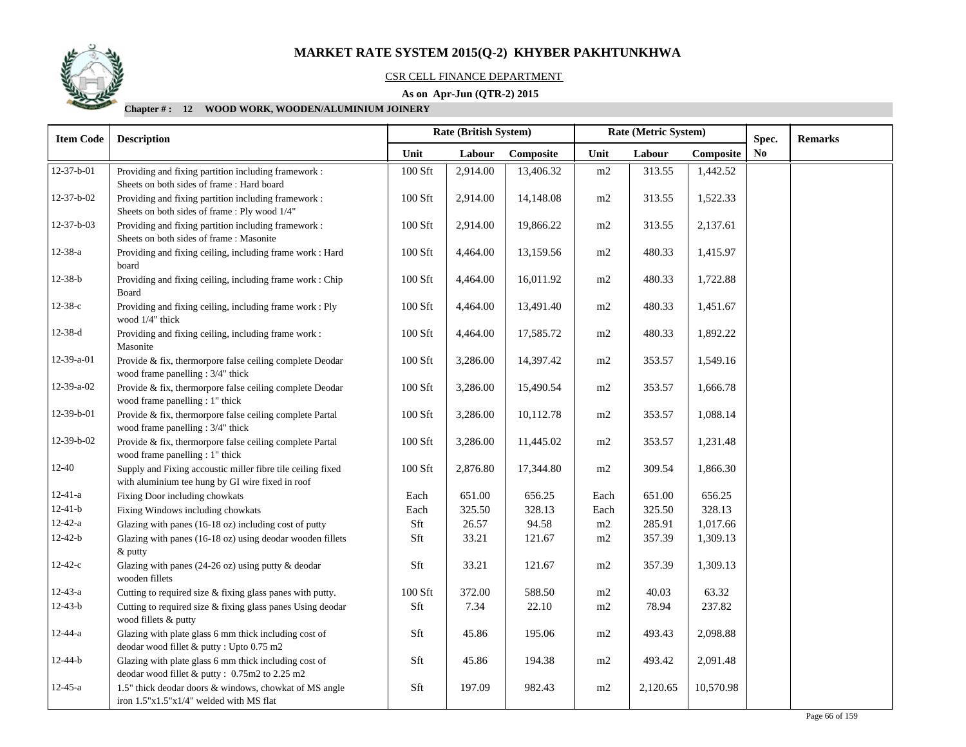

#### CSR CELL FINANCE DEPARTMENT

### **As on Apr-Jun (QTR-2) 2015**

| <b>Item Code</b>   | <b>Description</b>                                                                                              |                | Rate (British System) |           |          | Rate (Metric System) | Spec.     | <b>Remarks</b> |  |
|--------------------|-----------------------------------------------------------------------------------------------------------------|----------------|-----------------------|-----------|----------|----------------------|-----------|----------------|--|
|                    |                                                                                                                 | Unit           | Labour                | Composite | Unit     | Labour               | Composite | No             |  |
| $12 - 37 - b - 01$ | Providing and fixing partition including framework :<br>Sheets on both sides of frame: Hard board               | 100 Sft        | 2,914.00              | 13,406.32 | $\rm m2$ | 313.55               | 1,442.52  |                |  |
| $12 - 37 - b - 02$ | Providing and fixing partition including framework :<br>Sheets on both sides of frame : Ply wood 1/4"           | $100$ Sft $\,$ | 2,914.00              | 14,148.08 | $\rm m2$ | 313.55               | 1,522.33  |                |  |
| $12-37-b-03$       | Providing and fixing partition including framework :<br>Sheets on both sides of frame : Masonite                | 100 Sft        | 2,914.00              | 19,866.22 | $\rm m2$ | 313.55               | 2,137.61  |                |  |
| 12-38-a            | Providing and fixing ceiling, including frame work : Hard<br>board                                              | 100 Sft        | 4,464.00              | 13,159.56 | $\rm m2$ | 480.33               | 1,415.97  |                |  |
| $12 - 38 - b$      | Providing and fixing ceiling, including frame work : Chip<br>Board                                              | $100$ Sft      | 4,464.00              | 16,011.92 | m2       | 480.33               | 1,722.88  |                |  |
| $12 - 38 - c$      | Providing and fixing ceiling, including frame work : Ply<br>wood 1/4" thick                                     | 100 Sft        | 4,464.00              | 13,491.40 | m2       | 480.33               | 1,451.67  |                |  |
| $12-38-d$          | Providing and fixing ceiling, including frame work :<br>Masonite                                                | 100 Sft        | 4,464.00              | 17,585.72 | m2       | 480.33               | 1,892.22  |                |  |
| 12-39-a-01         | Provide & fix, thermorpore false ceiling complete Deodar<br>wood frame panelling : 3/4" thick                   | 100 Sft        | 3,286.00              | 14,397.42 | m2       | 353.57               | 1,549.16  |                |  |
| 12-39-a-02         | Provide & fix, thermorpore false ceiling complete Deodar<br>wood frame panelling : 1" thick                     | 100 Sft        | 3,286.00              | 15,490.54 | m2       | 353.57               | 1,666.78  |                |  |
| 12-39-b-01         | Provide & fix, thermorpore false ceiling complete Partal<br>wood frame panelling: 3/4" thick                    | 100 Sft        | 3,286.00              | 10,112.78 | m2       | 353.57               | 1,088.14  |                |  |
| 12-39-b-02         | Provide & fix, thermorpore false ceiling complete Partal<br>wood frame panelling : 1" thick                     | 100 Sft        | 3,286.00              | 11,445.02 | m2       | 353.57               | 1,231.48  |                |  |
| $12 - 40$          | Supply and Fixing accoustic miller fibre tile ceiling fixed<br>with aluminium tee hung by GI wire fixed in roof | 100 Sft        | 2,876.80              | 17,344.80 | m2       | 309.54               | 1,866.30  |                |  |
| $12 - 41 - a$      | Fixing Door including chowkats                                                                                  | Each           | 651.00                | 656.25    | Each     | 651.00               | 656.25    |                |  |
| $12 - 41 - b$      | Fixing Windows including chowkats                                                                               | Each           | 325.50                | 328.13    | Each     | 325.50               | 328.13    |                |  |
| $12 - 42 - a$      | Glazing with panes (16-18 oz) including cost of putty                                                           | Sft            | 26.57                 | 94.58     | $\rm m2$ | 285.91               | 1,017.66  |                |  |
| $12 - 42 - b$      | Glazing with panes (16-18 oz) using deodar wooden fillets<br>& putty                                            | Sft            | 33.21                 | 121.67    | $\rm m2$ | 357.39               | 1,309.13  |                |  |
| $12 - 42 - c$      | Glazing with panes (24-26 oz) using putty & deodar<br>wooden fillets                                            | Sft            | 33.21                 | 121.67    | $\rm m2$ | 357.39               | 1,309.13  |                |  |
| $12 - 43 - a$      | Cutting to required size & fixing glass panes with putty.                                                       | 100 Sft        | 372.00                | 588.50    | m2       | 40.03                | 63.32     |                |  |
| $12 - 43 - b$      | Cutting to required size & fixing glass panes Using deodar<br>wood fillets & putty                              | Sft            | 7.34                  | 22.10     | m2       | 78.94                | 237.82    |                |  |
| 12-44-a            | Glazing with plate glass 6 mm thick including cost of<br>deodar wood fillet & putty: Upto 0.75 m2               | Sft            | 45.86                 | 195.06    | m2       | 493.43               | 2,098.88  |                |  |
| $12 - 44 - b$      | Glazing with plate glass 6 mm thick including cost of<br>deodar wood fillet & putty: 0.75m2 to 2.25 m2          | Sft            | 45.86                 | 194.38    | $\rm m2$ | 493.42               | 2,091.48  |                |  |
| $12 - 45 - a$      | 1.5" thick deodar doors & windows, chowkat of MS angle<br>iron $1.5"x1.5"x1/4"$ welded with MS flat             | Sft            | 197.09                | 982.43    | m2       | 2,120.65             | 10,570.98 |                |  |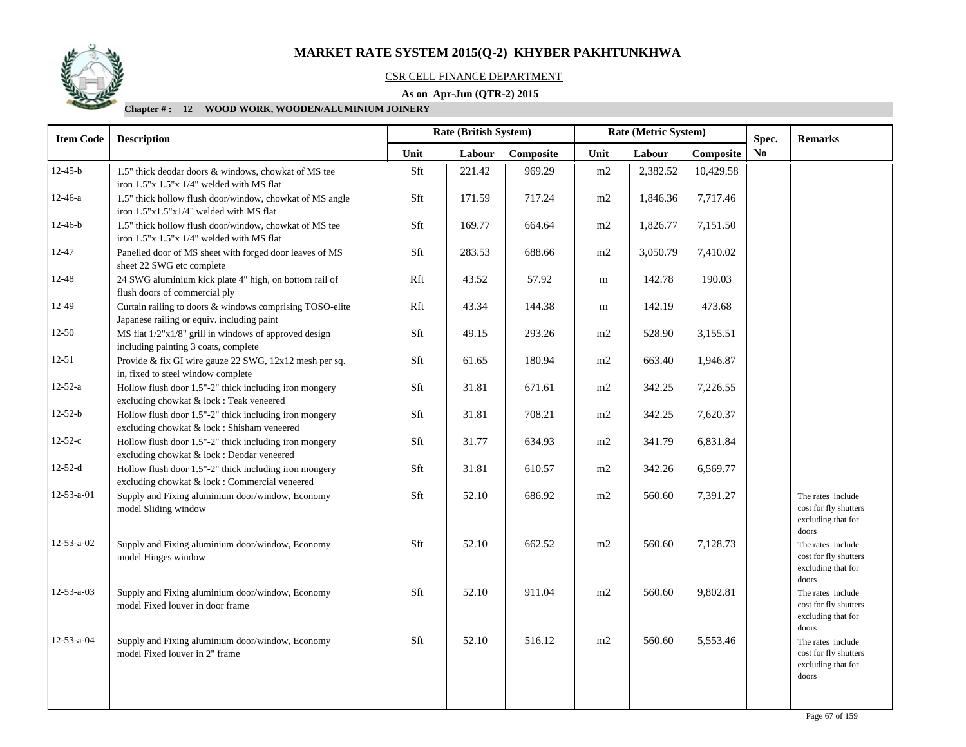

#### CSR CELL FINANCE DEPARTMENT

### **As on Apr-Jun (QTR-2) 2015**

| <b>Item Code</b>   | <b>Description</b>                                                                                       | Rate (British System)<br>Rate (Metric System) |        | Spec.     | <b>Remarks</b> |          |           |                |                                                                           |
|--------------------|----------------------------------------------------------------------------------------------------------|-----------------------------------------------|--------|-----------|----------------|----------|-----------|----------------|---------------------------------------------------------------------------|
|                    |                                                                                                          | Unit                                          | Labour | Composite | Unit           | Labour   | Composite | N <sub>0</sub> |                                                                           |
| $12 - 45 - b$      | 1.5" thick deodar doors & windows, chowkat of MS tee<br>iron 1.5"x 1.5"x 1/4" welded with MS flat        | Sft                                           | 221.42 | 969.29    | m2             | 2,382.52 | 10,429.58 |                |                                                                           |
| 12-46-a            | 1.5" thick hollow flush door/window, chowkat of MS angle<br>iron $1.5"x1.5"x1/4"$ welded with MS flat    | Sft                                           | 171.59 | 717.24    | m2             | 1,846.36 | 7,717.46  |                |                                                                           |
| 12-46-b            | 1.5" thick hollow flush door/window, chowkat of MS tee<br>iron 1.5"x 1.5"x 1/4" welded with MS flat      | Sft                                           | 169.77 | 664.64    | m2             | 1,826.77 | 7,151.50  |                |                                                                           |
| $12 - 47$          | Panelled door of MS sheet with forged door leaves of MS<br>sheet 22 SWG etc complete                     | Sft                                           | 283.53 | 688.66    | m2             | 3,050.79 | 7,410.02  |                |                                                                           |
| 12-48              | 24 SWG aluminium kick plate 4" high, on bottom rail of<br>flush doors of commercial ply                  | Rft                                           | 43.52  | 57.92     | m              | 142.78   | 190.03    |                |                                                                           |
| 12-49              | Curtain railing to doors & windows comprising TOSO-elite<br>Japanese railing or equiv. including paint   | Rft                                           | 43.34  | 144.38    | m              | 142.19   | 473.68    |                |                                                                           |
| $12 - 50$          | MS flat 1/2"x1/8" grill in windows of approved design<br>including painting 3 coats, complete            | Sft                                           | 49.15  | 293.26    | m2             | 528.90   | 3,155.51  |                |                                                                           |
| $12 - 51$          | Provide & fix GI wire gauze 22 SWG, 12x12 mesh per sq.<br>in, fixed to steel window complete             | Sft                                           | 61.65  | 180.94    | m2             | 663.40   | 1,946.87  |                |                                                                           |
| $12 - 52 - a$      | Hollow flush door 1.5"-2" thick including iron mongery<br>excluding chowkat & lock : Teak veneered       | Sft                                           | 31.81  | 671.61    | m2             | 342.25   | 7,226.55  |                |                                                                           |
| $12 - 52 - b$      | Hollow flush door 1.5"-2" thick including iron mongery<br>excluding chowkat & lock : Shisham veneered    | Sft                                           | 31.81  | 708.21    | m2             | 342.25   | 7,620.37  |                |                                                                           |
| $12 - 52 - c$      | Hollow flush door 1.5"-2" thick including iron mongery<br>excluding chowkat & lock : Deodar veneered     | Sft                                           | 31.77  | 634.93    | m2             | 341.79   | 6,831.84  |                |                                                                           |
| $12 - 52 - d$      | Hollow flush door 1.5"-2" thick including iron mongery<br>excluding chowkat & lock : Commercial veneered | Sft                                           | 31.81  | 610.57    | m2             | 342.26   | 6,569.77  |                |                                                                           |
| 12-53-a-01         | Supply and Fixing aluminium door/window, Economy<br>model Sliding window                                 | Sft                                           | 52.10  | 686.92    | m2             | 560.60   | 7,391.27  |                | The rates include<br>cost for fly shutters<br>excluding that for<br>doors |
| $12 - 53 - a - 02$ | Supply and Fixing aluminium door/window, Economy<br>model Hinges window                                  | Sft                                           | 52.10  | 662.52    | m2             | 560.60   | 7,128.73  |                | The rates include<br>cost for fly shutters<br>excluding that for<br>doors |
| $12 - 53 - a - 03$ | Supply and Fixing aluminium door/window, Economy<br>model Fixed louver in door frame                     | Sft                                           | 52.10  | 911.04    | m2             | 560.60   | 9,802.81  |                | The rates include<br>cost for fly shutters<br>excluding that for<br>doors |
| 12-53-a-04         | Supply and Fixing aluminium door/window, Economy<br>model Fixed louver in 2" frame                       | Sft                                           | 52.10  | 516.12    | m2             | 560.60   | 5,553.46  |                | The rates include<br>cost for fly shutters<br>excluding that for<br>doors |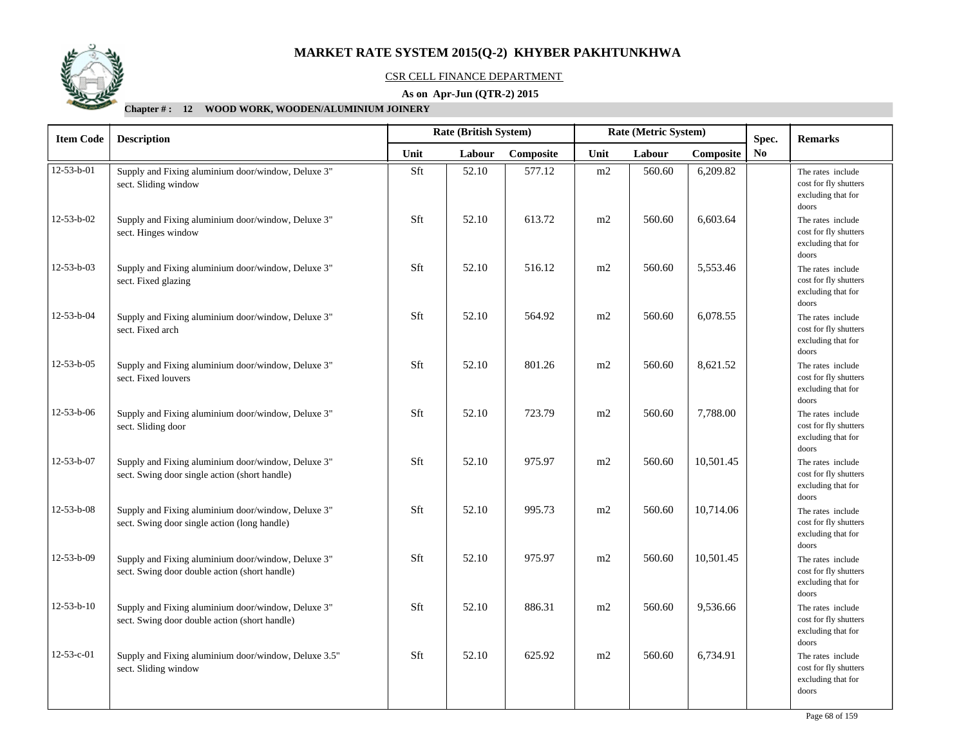

#### CSR CELL FINANCE DEPARTMENT

### **As on Apr-Jun (QTR-2) 2015**

| <b>Item Code</b>   | <b>Description</b>                                                                                  |      | Rate (British System) |           | Rate (Metric System) |        |           | Spec. | <b>Remarks</b>                                                            |
|--------------------|-----------------------------------------------------------------------------------------------------|------|-----------------------|-----------|----------------------|--------|-----------|-------|---------------------------------------------------------------------------|
|                    |                                                                                                     | Unit | Labour                | Composite | Unit                 | Labour | Composite | No.   |                                                                           |
| $12 - 53 - b - 01$ | Supply and Fixing aluminium door/window, Deluxe 3"<br>sect. Sliding window                          | Sft  | 52.10                 | 577.12    | m2                   | 560.60 | 6,209.82  |       | The rates include<br>cost for fly shutters<br>excluding that for<br>doors |
| 12-53-b-02         | Supply and Fixing aluminium door/window, Deluxe 3"<br>sect. Hinges window                           | Sft  | 52.10                 | 613.72    | m2                   | 560.60 | 6,603.64  |       | The rates include<br>cost for fly shutters<br>excluding that for<br>doors |
| 12-53-b-03         | Supply and Fixing aluminium door/window, Deluxe 3"<br>sect. Fixed glazing                           | Sft  | 52.10                 | 516.12    | m2                   | 560.60 | 5,553.46  |       | The rates include<br>cost for fly shutters<br>excluding that for<br>doors |
| 12-53-b-04         | Supply and Fixing aluminium door/window, Deluxe 3"<br>sect. Fixed arch                              | Sft  | 52.10                 | 564.92    | m2                   | 560.60 | 6,078.55  |       | The rates include<br>cost for fly shutters<br>excluding that for<br>doors |
| 12-53-b-05         | Supply and Fixing aluminium door/window, Deluxe 3"<br>sect. Fixed louvers                           | Sft  | 52.10                 | 801.26    | m2                   | 560.60 | 8,621.52  |       | The rates include<br>cost for fly shutters<br>excluding that for<br>doors |
| 12-53-b-06         | Supply and Fixing aluminium door/window, Deluxe 3"<br>sect. Sliding door                            | Sft  | 52.10                 | 723.79    | m2                   | 560.60 | 7,788.00  |       | The rates include<br>cost for fly shutters<br>excluding that for<br>doors |
| 12-53-b-07         | Supply and Fixing aluminium door/window, Deluxe 3"<br>sect. Swing door single action (short handle) | Sft  | 52.10                 | 975.97    | m2                   | 560.60 | 10,501.45 |       | The rates include<br>cost for fly shutters<br>excluding that for<br>doors |
| $12 - 53 - b - 08$ | Supply and Fixing aluminium door/window, Deluxe 3"<br>sect. Swing door single action (long handle)  | Sft  | 52.10                 | 995.73    | m2                   | 560.60 | 10,714.06 |       | The rates include<br>cost for fly shutters<br>excluding that for<br>doors |
| 12-53-b-09         | Supply and Fixing aluminium door/window, Deluxe 3"<br>sect. Swing door double action (short handle) | Sft  | 52.10                 | 975.97    | m2                   | 560.60 | 10,501.45 |       | The rates include<br>cost for fly shutters<br>excluding that for<br>doors |
| $12 - 53 - b - 10$ | Supply and Fixing aluminium door/window, Deluxe 3"<br>sect. Swing door double action (short handle) | Sft  | 52.10                 | 886.31    | m2                   | 560.60 | 9,536.66  |       | The rates include<br>cost for fly shutters<br>excluding that for<br>doors |
| 12-53-c-01         | Supply and Fixing aluminium door/window, Deluxe 3.5"<br>sect. Sliding window                        | Sft  | 52.10                 | 625.92    | m2                   | 560.60 | 6,734.91  |       | The rates include<br>cost for fly shutters<br>excluding that for<br>doors |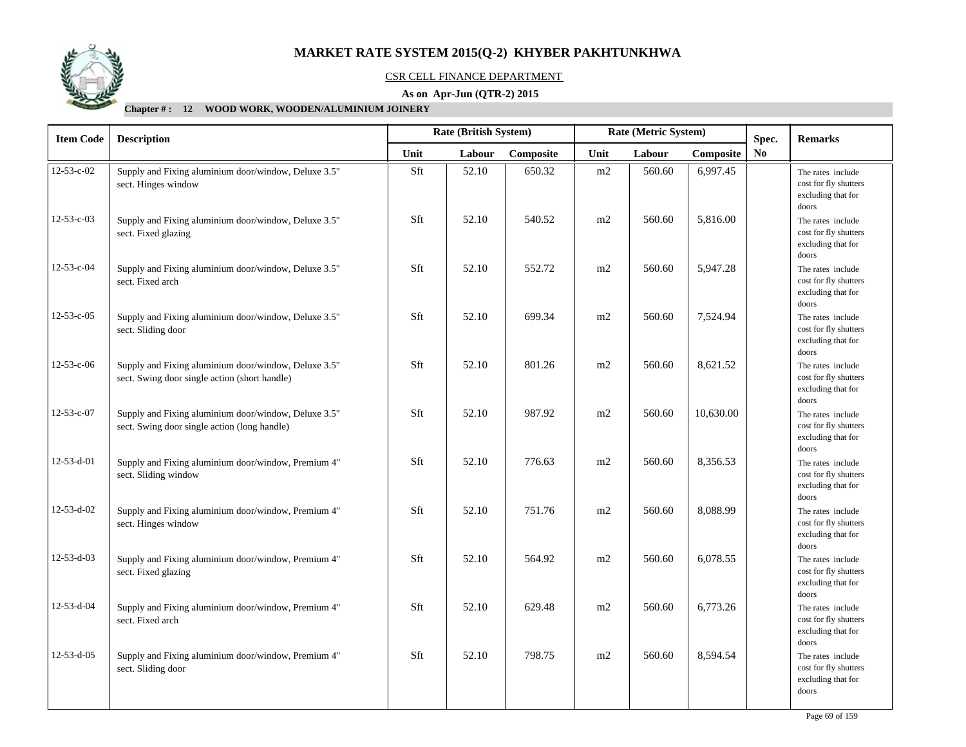

#### CSR CELL FINANCE DEPARTMENT

### **As on Apr-Jun (QTR-2) 2015**

| <b>Item Code</b>   | <b>Description</b>                                                                                    |      | Rate (British System) |           | Rate (Metric System) |        |           | Spec. | <b>Remarks</b>                                                            |
|--------------------|-------------------------------------------------------------------------------------------------------|------|-----------------------|-----------|----------------------|--------|-----------|-------|---------------------------------------------------------------------------|
|                    |                                                                                                       | Unit | Labour                | Composite | Unit                 | Labour | Composite | No.   |                                                                           |
| $12 - 53 - c - 02$ | Supply and Fixing aluminium door/window, Deluxe 3.5"<br>sect. Hinges window                           | Sft  | 52.10                 | 650.32    | m2                   | 560.60 | 6,997.45  |       | The rates include<br>cost for fly shutters<br>excluding that for<br>doors |
| 12-53-c-03         | Supply and Fixing aluminium door/window, Deluxe 3.5"<br>sect. Fixed glazing                           | Sft  | 52.10                 | 540.52    | m2                   | 560.60 | 5,816.00  |       | The rates include<br>cost for fly shutters<br>excluding that for<br>doors |
| 12-53-c-04         | Supply and Fixing aluminium door/window, Deluxe 3.5"<br>sect. Fixed arch                              | Sft  | 52.10                 | 552.72    | m2                   | 560.60 | 5,947.28  |       | The rates include<br>cost for fly shutters<br>excluding that for<br>doors |
| $12 - 53 - c - 05$ | Supply and Fixing aluminium door/window, Deluxe 3.5"<br>sect. Sliding door                            | Sft  | 52.10                 | 699.34    | m2                   | 560.60 | 7,524.94  |       | The rates include<br>cost for fly shutters<br>excluding that for<br>doors |
| 12-53-c-06         | Supply and Fixing aluminium door/window, Deluxe 3.5"<br>sect. Swing door single action (short handle) | Sft  | 52.10                 | 801.26    | m2                   | 560.60 | 8,621.52  |       | The rates include<br>cost for fly shutters<br>excluding that for<br>doors |
| 12-53-c-07         | Supply and Fixing aluminium door/window, Deluxe 3.5"<br>sect. Swing door single action (long handle)  | Sft  | 52.10                 | 987.92    | m2                   | 560.60 | 10,630.00 |       | The rates include<br>cost for fly shutters<br>excluding that for<br>doors |
| 12-53-d-01         | Supply and Fixing aluminium door/window, Premium 4"<br>sect. Sliding window                           | Sft  | 52.10                 | 776.63    | m2                   | 560.60 | 8,356.53  |       | The rates include<br>cost for fly shutters<br>excluding that for<br>doors |
| 12-53-d-02         | Supply and Fixing aluminium door/window, Premium 4"<br>sect. Hinges window                            | Sft  | 52.10                 | 751.76    | m2                   | 560.60 | 8,088.99  |       | The rates include<br>cost for fly shutters<br>excluding that for<br>doors |
| $12 - 53 - d - 03$ | Supply and Fixing aluminium door/window, Premium 4"<br>sect. Fixed glazing                            | Sft  | 52.10                 | 564.92    | m2                   | 560.60 | 6,078.55  |       | The rates include<br>cost for fly shutters<br>excluding that for<br>doors |
| 12-53-d-04         | Supply and Fixing aluminium door/window, Premium 4"<br>sect. Fixed arch                               | Sft  | 52.10                 | 629.48    | m2                   | 560.60 | 6,773.26  |       | The rates include<br>cost for fly shutters<br>excluding that for<br>doors |
| 12-53-d-05         | Supply and Fixing aluminium door/window, Premium 4"<br>sect. Sliding door                             | Sft  | 52.10                 | 798.75    | m2                   | 560.60 | 8,594.54  |       | The rates include<br>cost for fly shutters<br>excluding that for<br>doors |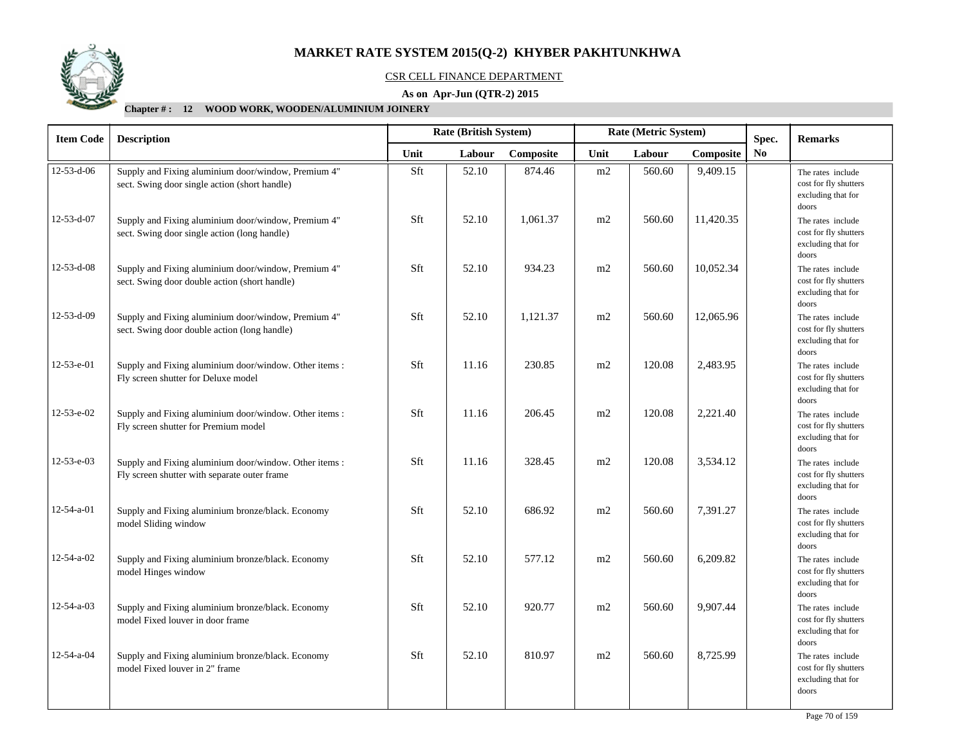

#### CSR CELL FINANCE DEPARTMENT

### **As on Apr-Jun (QTR-2) 2015**

| <b>Item Code</b>   | <b>Description</b>                                                                                     | Rate (British System)<br>Rate (Metric System) |        |           |      |        |           | Spec.          | <b>Remarks</b>                                                            |
|--------------------|--------------------------------------------------------------------------------------------------------|-----------------------------------------------|--------|-----------|------|--------|-----------|----------------|---------------------------------------------------------------------------|
|                    |                                                                                                        | Unit                                          | Labour | Composite | Unit | Labour | Composite | N <sub>0</sub> |                                                                           |
| 12-53-d-06         | Supply and Fixing aluminium door/window, Premium 4"<br>sect. Swing door single action (short handle)   | Sft                                           | 52.10  | 874.46    | m2   | 560.60 | 9,409.15  |                | The rates include<br>cost for fly shutters<br>excluding that for<br>doors |
| 12-53-d-07         | Supply and Fixing aluminium door/window, Premium 4"<br>sect. Swing door single action (long handle)    | Sft                                           | 52.10  | 1,061.37  | m2   | 560.60 | 11,420.35 |                | The rates include<br>cost for fly shutters<br>excluding that for<br>doors |
| $12 - 53 - d - 08$ | Supply and Fixing aluminium door/window, Premium 4"<br>sect. Swing door double action (short handle)   | Sft                                           | 52.10  | 934.23    | m2   | 560.60 | 10,052.34 |                | The rates include<br>cost for fly shutters<br>excluding that for<br>doors |
| 12-53-d-09         | Supply and Fixing aluminium door/window, Premium 4"<br>sect. Swing door double action (long handle)    | Sft                                           | 52.10  | 1,121.37  | m2   | 560.60 | 12,065.96 |                | The rates include<br>cost for fly shutters<br>excluding that for<br>doors |
| 12-53-e-01         | Supply and Fixing aluminium door/window. Other items :<br>Fly screen shutter for Deluxe model          | Sft                                           | 11.16  | 230.85    | m2   | 120.08 | 2,483.95  |                | The rates include<br>cost for fly shutters<br>excluding that for<br>doors |
| 12-53-e-02         | Supply and Fixing aluminium door/window. Other items:<br>Fly screen shutter for Premium model          | Sft                                           | 11.16  | 206.45    | m2   | 120.08 | 2,221.40  |                | The rates include<br>cost for fly shutters<br>excluding that for<br>doors |
| 12-53-e-03         | Supply and Fixing aluminium door/window. Other items :<br>Fly screen shutter with separate outer frame | Sft                                           | 11.16  | 328.45    | m2   | 120.08 | 3,534.12  |                | The rates include<br>cost for fly shutters<br>excluding that for<br>doors |
| $12 - 54 - a - 01$ | Supply and Fixing aluminium bronze/black. Economy<br>model Sliding window                              | Sft                                           | 52.10  | 686.92    | m2   | 560.60 | 7,391.27  |                | The rates include<br>cost for fly shutters<br>excluding that for<br>doors |
| $12 - 54 - a - 02$ | Supply and Fixing aluminium bronze/black. Economy<br>model Hinges window                               | Sft                                           | 52.10  | 577.12    | m2   | 560.60 | 6,209.82  |                | The rates include<br>cost for fly shutters<br>excluding that for<br>doors |
| $12 - 54 - a - 03$ | Supply and Fixing aluminium bronze/black. Economy<br>model Fixed louver in door frame                  | Sft                                           | 52.10  | 920.77    | m2   | 560.60 | 9,907.44  |                | The rates include<br>cost for fly shutters<br>excluding that for<br>doors |
| 12-54-a-04         | Supply and Fixing aluminium bronze/black. Economy<br>model Fixed louver in 2" frame                    | Sft                                           | 52.10  | 810.97    | m2   | 560.60 | 8,725.99  |                | The rates include<br>cost for fly shutters<br>excluding that for<br>doors |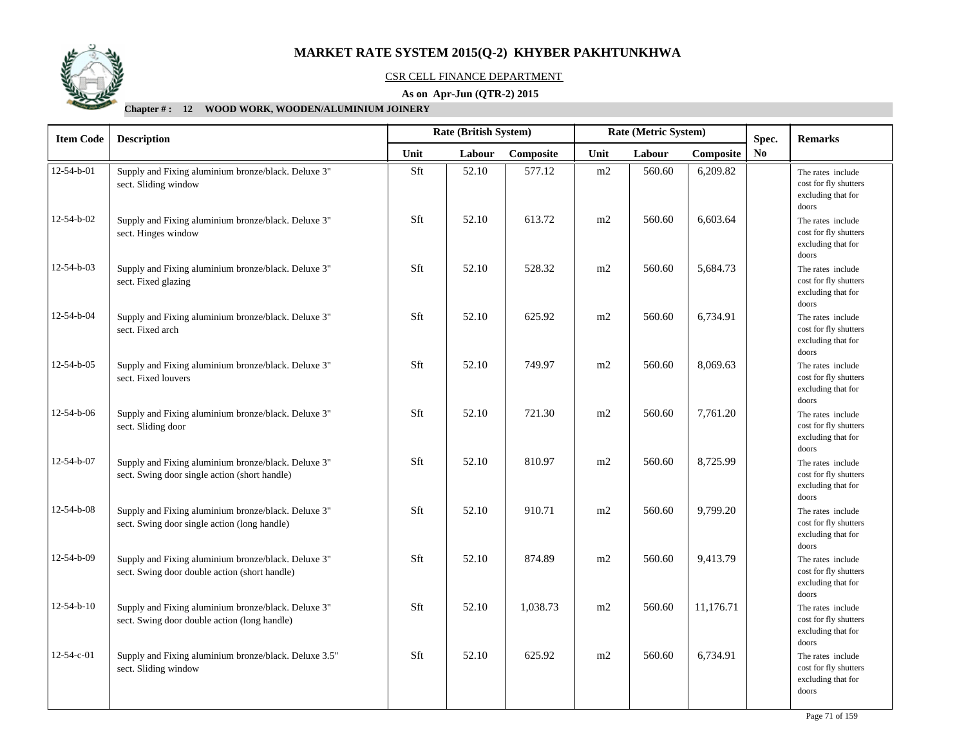

#### CSR CELL FINANCE DEPARTMENT

### **As on Apr-Jun (QTR-2) 2015**

| <b>Item Code</b>   | <b>Description</b>                                                                                   |      | Rate (British System) |           | Rate (Metric System) |        |           | Spec. | <b>Remarks</b>                                                            |
|--------------------|------------------------------------------------------------------------------------------------------|------|-----------------------|-----------|----------------------|--------|-----------|-------|---------------------------------------------------------------------------|
|                    |                                                                                                      | Unit | Labour                | Composite | Unit                 | Labour | Composite | No.   |                                                                           |
| $12 - 54 - b - 01$ | Supply and Fixing aluminium bronze/black. Deluxe 3"<br>sect. Sliding window                          | Sft  | 52.10                 | 577.12    | m2                   | 560.60 | 6,209.82  |       | The rates include<br>cost for fly shutters<br>excluding that for<br>doors |
| 12-54-b-02         | Supply and Fixing aluminium bronze/black. Deluxe 3"<br>sect. Hinges window                           | Sft  | 52.10                 | 613.72    | m2                   | 560.60 | 6,603.64  |       | The rates include<br>cost for fly shutters<br>excluding that for<br>doors |
| 12-54-b-03         | Supply and Fixing aluminium bronze/black. Deluxe 3"<br>sect. Fixed glazing                           | Sft  | 52.10                 | 528.32    | m2                   | 560.60 | 5,684.73  |       | The rates include<br>cost for fly shutters<br>excluding that for<br>doors |
| 12-54-b-04         | Supply and Fixing aluminium bronze/black. Deluxe 3"<br>sect. Fixed arch                              | Sft  | 52.10                 | 625.92    | m2                   | 560.60 | 6,734.91  |       | The rates include<br>cost for fly shutters<br>excluding that for<br>doors |
| 12-54-b-05         | Supply and Fixing aluminium bronze/black. Deluxe 3"<br>sect. Fixed louvers                           | Sft  | 52.10                 | 749.97    | m2                   | 560.60 | 8,069.63  |       | The rates include<br>cost for fly shutters<br>excluding that for<br>doors |
| 12-54-b-06         | Supply and Fixing aluminium bronze/black. Deluxe 3"<br>sect. Sliding door                            | Sft  | 52.10                 | 721.30    | m2                   | 560.60 | 7,761.20  |       | The rates include<br>cost for fly shutters<br>excluding that for<br>doors |
| 12-54-b-07         | Supply and Fixing aluminium bronze/black. Deluxe 3"<br>sect. Swing door single action (short handle) | Sft  | 52.10                 | 810.97    | m2                   | 560.60 | 8,725.99  |       | The rates include<br>cost for fly shutters<br>excluding that for<br>doors |
| 12-54-b-08         | Supply and Fixing aluminium bronze/black. Deluxe 3"<br>sect. Swing door single action (long handle)  | Sft  | 52.10                 | 910.71    | m2                   | 560.60 | 9,799.20  |       | The rates include<br>cost for fly shutters<br>excluding that for<br>doors |
| 12-54-b-09         | Supply and Fixing aluminium bronze/black. Deluxe 3"<br>sect. Swing door double action (short handle) | Sft  | 52.10                 | 874.89    | m2                   | 560.60 | 9,413.79  |       | The rates include<br>cost for fly shutters<br>excluding that for<br>doors |
| $12 - 54 - b - 10$ | Supply and Fixing aluminium bronze/black. Deluxe 3"<br>sect. Swing door double action (long handle)  | Sft  | 52.10                 | 1,038.73  | m2                   | 560.60 | 11,176.71 |       | The rates include<br>cost for fly shutters<br>excluding that for<br>doors |
| 12-54-c-01         | Supply and Fixing aluminium bronze/black. Deluxe 3.5"<br>sect. Sliding window                        | Sft  | 52.10                 | 625.92    | m2                   | 560.60 | 6,734.91  |       | The rates include<br>cost for fly shutters<br>excluding that for<br>doors |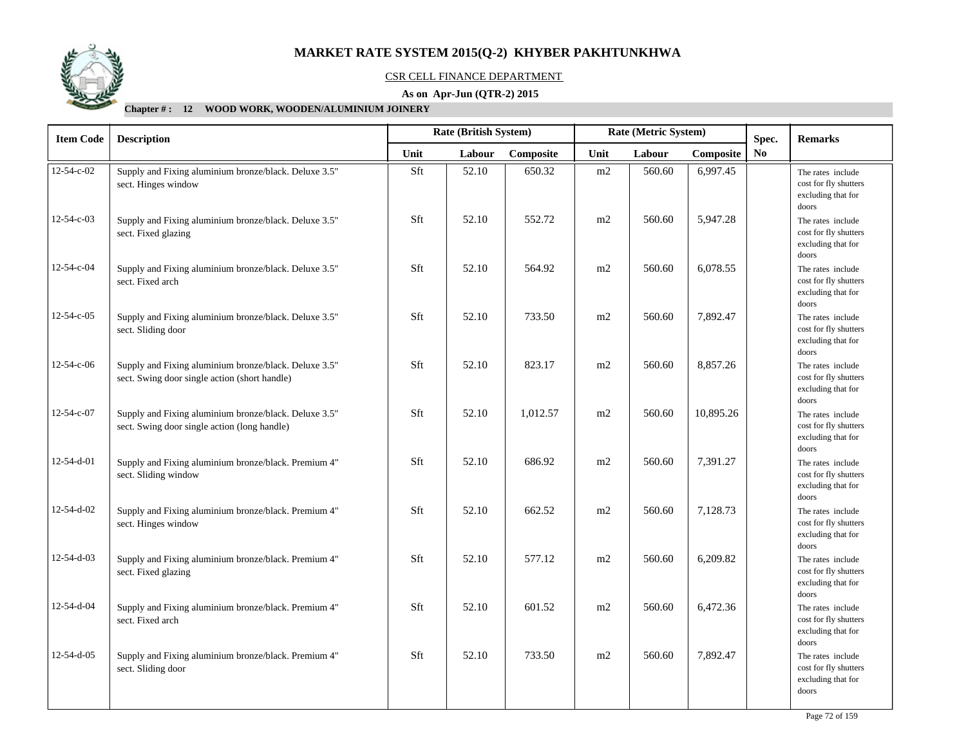

## CSR CELL FINANCE DEPARTMENT

### **As on Apr-Jun (QTR-2) 2015**

| <b>Item Code</b>   | <b>Description</b>                                                                                     | Rate (British System)<br>Rate (Metric System) |        |           |      |        |           | Spec. | <b>Remarks</b>                                                            |
|--------------------|--------------------------------------------------------------------------------------------------------|-----------------------------------------------|--------|-----------|------|--------|-----------|-------|---------------------------------------------------------------------------|
|                    |                                                                                                        | Unit                                          | Labour | Composite | Unit | Labour | Composite | No.   |                                                                           |
| 12-54-c-02         | Supply and Fixing aluminium bronze/black. Deluxe 3.5"<br>sect. Hinges window                           | Sft                                           | 52.10  | 650.32    | m2   | 560.60 | 6,997.45  |       | The rates include<br>cost for fly shutters<br>excluding that for<br>doors |
| 12-54-c-03         | Supply and Fixing aluminium bronze/black. Deluxe 3.5"<br>sect. Fixed glazing                           | Sft                                           | 52.10  | 552.72    | m2   | 560.60 | 5,947.28  |       | The rates include<br>cost for fly shutters<br>excluding that for<br>doors |
| 12-54-c-04         | Supply and Fixing aluminium bronze/black. Deluxe 3.5"<br>sect. Fixed arch                              | Sft                                           | 52.10  | 564.92    | m2   | 560.60 | 6,078.55  |       | The rates include<br>cost for fly shutters<br>excluding that for<br>doors |
| $12 - 54 - c - 05$ | Supply and Fixing aluminium bronze/black. Deluxe 3.5"<br>sect. Sliding door                            | Sft                                           | 52.10  | 733.50    | m2   | 560.60 | 7,892.47  |       | The rates include<br>cost for fly shutters<br>excluding that for<br>doors |
| 12-54-c-06         | Supply and Fixing aluminium bronze/black. Deluxe 3.5"<br>sect. Swing door single action (short handle) | Sft                                           | 52.10  | 823.17    | m2   | 560.60 | 8,857.26  |       | The rates include<br>cost for fly shutters<br>excluding that for<br>doors |
| 12-54-c-07         | Supply and Fixing aluminium bronze/black. Deluxe 3.5"<br>sect. Swing door single action (long handle)  | Sft                                           | 52.10  | 1,012.57  | m2   | 560.60 | 10,895.26 |       | The rates include<br>cost for fly shutters<br>excluding that for<br>doors |
| 12-54-d-01         | Supply and Fixing aluminium bronze/black. Premium 4"<br>sect. Sliding window                           | Sft                                           | 52.10  | 686.92    | m2   | 560.60 | 7,391.27  |       | The rates include<br>cost for fly shutters<br>excluding that for<br>doors |
| 12-54-d-02         | Supply and Fixing aluminium bronze/black. Premium 4"<br>sect. Hinges window                            | Sft                                           | 52.10  | 662.52    | m2   | 560.60 | 7,128.73  |       | The rates include<br>cost for fly shutters<br>excluding that for<br>doors |
| 12-54-d-03         | Supply and Fixing aluminium bronze/black. Premium 4"<br>sect. Fixed glazing                            | Sft                                           | 52.10  | 577.12    | m2   | 560.60 | 6,209.82  |       | The rates include<br>cost for fly shutters<br>excluding that for<br>doors |
| 12-54-d-04         | Supply and Fixing aluminium bronze/black. Premium 4"<br>sect. Fixed arch                               | Sft                                           | 52.10  | 601.52    | m2   | 560.60 | 6,472.36  |       | The rates include<br>cost for fly shutters<br>excluding that for<br>doors |
| 12-54-d-05         | Supply and Fixing aluminium bronze/black. Premium 4"<br>sect. Sliding door                             | Sft                                           | 52.10  | 733.50    | m2   | 560.60 | 7,892.47  |       | The rates include<br>cost for fly shutters<br>excluding that for<br>doors |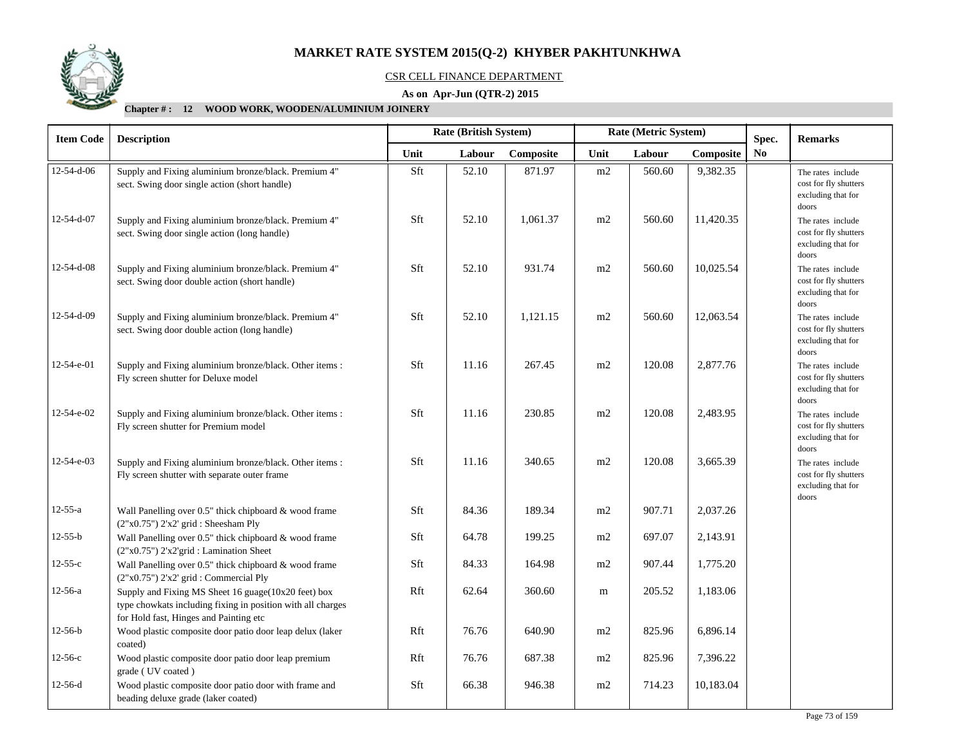

## CSR CELL FINANCE DEPARTMENT

## **As on Apr-Jun (QTR-2) 2015**

## **Chapter # : 12 WOOD WORK, WOODEN/ALUMINIUM JOINERY**

| <b>Item Code</b>   | <b>Description</b>                                                                                                                                           | Rate (British System)                         |       |          |           | Rate (Metric System) |           | Spec. | <b>Remarks</b>                                                            |
|--------------------|--------------------------------------------------------------------------------------------------------------------------------------------------------------|-----------------------------------------------|-------|----------|-----------|----------------------|-----------|-------|---------------------------------------------------------------------------|
|                    |                                                                                                                                                              | Unit<br>Composite<br>Unit<br>Labour<br>Labour |       |          | Composite | No                   |           |       |                                                                           |
| 12-54-d-06         | Supply and Fixing aluminium bronze/black. Premium 4"<br>sect. Swing door single action (short handle)                                                        | Sft                                           | 52.10 | 871.97   | m2        | 560.60               | 9,382.35  |       | The rates include<br>cost for fly shutters<br>excluding that for<br>doors |
| 12-54-d-07         | Supply and Fixing aluminium bronze/black. Premium 4"<br>sect. Swing door single action (long handle)                                                         | Sft                                           | 52.10 | 1,061.37 | m2        | 560.60               | 11,420.35 |       | The rates include<br>cost for fly shutters<br>excluding that for<br>doors |
| $12 - 54 - d - 08$ | Supply and Fixing aluminium bronze/black. Premium 4"<br>sect. Swing door double action (short handle)                                                        | Sft                                           | 52.10 | 931.74   | m2        | 560.60               | 10,025.54 |       | The rates include<br>cost for fly shutters<br>excluding that for<br>doors |
| 12-54-d-09         | Supply and Fixing aluminium bronze/black. Premium 4"<br>sect. Swing door double action (long handle)                                                         | Sft                                           | 52.10 | 1,121.15 | m2        | 560.60               | 12,063.54 |       | The rates include<br>cost for fly shutters<br>excluding that for<br>doors |
| 12-54-e-01         | Supply and Fixing aluminium bronze/black. Other items :<br>Fly screen shutter for Deluxe model                                                               | Sft                                           | 11.16 | 267.45   | m2        | 120.08               | 2,877.76  |       | The rates include<br>cost for fly shutters<br>excluding that for<br>doors |
| 12-54-e-02         | Supply and Fixing aluminium bronze/black. Other items :<br>Fly screen shutter for Premium model                                                              | Sft                                           | 11.16 | 230.85   | m2        | 120.08               | 2,483.95  |       | The rates include<br>cost for fly shutters<br>excluding that for<br>doors |
| 12-54-e-03         | Supply and Fixing aluminium bronze/black. Other items :<br>Fly screen shutter with separate outer frame                                                      | Sft                                           | 11.16 | 340.65   | m2        | 120.08               | 3,665.39  |       | The rates include<br>cost for fly shutters<br>excluding that for<br>doors |
| $12 - 55 - a$      | Wall Panelling over 0.5" thick chipboard & wood frame<br>$(2"x0.75")$ $2'x2'$ grid : Sheesham Ply                                                            | Sft                                           | 84.36 | 189.34   | m2        | 907.71               | 2,037.26  |       |                                                                           |
| $12-55-b$          | Wall Panelling over 0.5" thick chipboard & wood frame<br>(2"x0.75") 2'x2'grid : Lamination Sheet                                                             | Sft                                           | 64.78 | 199.25   | m2        | 697.07               | 2,143.91  |       |                                                                           |
| $12 - 55 - c$      | Wall Panelling over 0.5" thick chipboard & wood frame<br>(2"x0.75") 2'x2' grid : Commercial Ply                                                              | Sft                                           | 84.33 | 164.98   | m2        | 907.44               | 1,775.20  |       |                                                                           |
| $12 - 56 - a$      | Supply and Fixing MS Sheet 16 guage(10x20 feet) box<br>type chowkats including fixing in position with all charges<br>for Hold fast, Hinges and Painting etc | Rft                                           | 62.64 | 360.60   | m         | 205.52               | 1,183.06  |       |                                                                           |
| $12-56-b$          | Wood plastic composite door patio door leap delux (laker<br>coated)                                                                                          | Rft                                           | 76.76 | 640.90   | m2        | 825.96               | 6,896.14  |       |                                                                           |
| $12-56-c$          | Wood plastic composite door patio door leap premium<br>grade (UV coated)                                                                                     | Rft                                           | 76.76 | 687.38   | m2        | 825.96               | 7,396.22  |       |                                                                           |
| $12-56-d$          | Wood plastic composite door patio door with frame and<br>beading deluxe grade (laker coated)                                                                 | Sft                                           | 66.38 | 946.38   | m2        | 714.23               | 10,183.04 |       |                                                                           |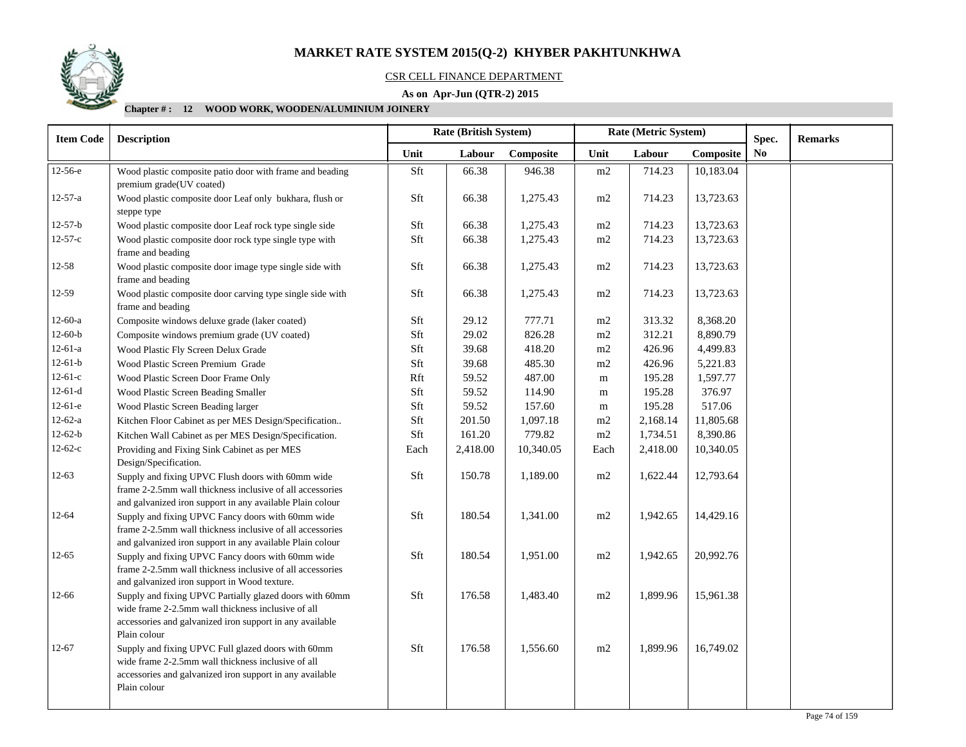

## CSR CELL FINANCE DEPARTMENT

## **As on Apr-Jun (QTR-2) 2015**

## **Chapter # : 12 WOOD WORK, WOODEN/ALUMINIUM JOINERY**

| <b>Item Code</b> | Rate (British System)<br>Rate (Metric System)<br><b>Description</b>                                                                                                                       |      |          |           | Spec.    | <b>Remarks</b> |           |    |  |
|------------------|-------------------------------------------------------------------------------------------------------------------------------------------------------------------------------------------|------|----------|-----------|----------|----------------|-----------|----|--|
|                  |                                                                                                                                                                                           | Unit | Labour   | Composite | Unit     | Labour         | Composite | No |  |
| $12-56-e$        | Wood plastic composite patio door with frame and beading<br>premium grade(UV coated)                                                                                                      | Sft  | 66.38    | 946.38    | $\rm m2$ | 714.23         | 10,183.04 |    |  |
| $12 - 57 - a$    | Wood plastic composite door Leaf only bukhara, flush or<br>steppe type                                                                                                                    | Sft  | 66.38    | 1,275.43  | m2       | 714.23         | 13,723.63 |    |  |
| $12 - 57 - b$    | Wood plastic composite door Leaf rock type single side                                                                                                                                    | Sft  | 66.38    | 1,275.43  | m2       | 714.23         | 13,723.63 |    |  |
| $12 - 57 - c$    | Wood plastic composite door rock type single type with<br>frame and beading                                                                                                               | Sft  | 66.38    | 1,275.43  | m2       | 714.23         | 13,723.63 |    |  |
| $12 - 58$        | Wood plastic composite door image type single side with<br>frame and beading                                                                                                              | Sft  | 66.38    | 1,275.43  | m2       | 714.23         | 13,723.63 |    |  |
| 12-59            | Wood plastic composite door carving type single side with<br>frame and beading                                                                                                            | Sft  | 66.38    | 1,275.43  | m2       | 714.23         | 13,723.63 |    |  |
| $12-60-a$        | Composite windows deluxe grade (laker coated)                                                                                                                                             | Sft  | 29.12    | 777.71    | $\rm m2$ | 313.32         | 8,368.20  |    |  |
| $12-60-b$        | Composite windows premium grade (UV coated)                                                                                                                                               | Sft  | 29.02    | 826.28    | m2       | 312.21         | 8,890.79  |    |  |
| $12-61-a$        | Wood Plastic Fly Screen Delux Grade                                                                                                                                                       | Sft  | 39.68    | 418.20    | $\rm m2$ | 426.96         | 4,499.83  |    |  |
| $12-61-b$        | Wood Plastic Screen Premium Grade                                                                                                                                                         | Sft  | 39.68    | 485.30    | m2       | 426.96         | 5,221.83  |    |  |
| $12-61-c$        | Wood Plastic Screen Door Frame Only                                                                                                                                                       | Rft  | 59.52    | 487.00    | m        | 195.28         | 1,597.77  |    |  |
| $12-61-d$        | Wood Plastic Screen Beading Smaller                                                                                                                                                       | Sft  | 59.52    | 114.90    | m        | 195.28         | 376.97    |    |  |
| $12-61-e$        | Wood Plastic Screen Beading larger                                                                                                                                                        | Sft  | 59.52    | 157.60    | m        | 195.28         | 517.06    |    |  |
| $12-62-a$        | Kitchen Floor Cabinet as per MES Design/Specification                                                                                                                                     | Sft  | 201.50   | 1,097.18  | m2       | 2,168.14       | 11,805.68 |    |  |
| $12-62-b$        | Kitchen Wall Cabinet as per MES Design/Specification.                                                                                                                                     | Sft  | 161.20   | 779.82    | m2       | 1,734.51       | 8,390.86  |    |  |
| $12-62-c$        | Providing and Fixing Sink Cabinet as per MES<br>Design/Specification.                                                                                                                     | Each | 2,418.00 | 10,340.05 | Each     | 2,418.00       | 10,340.05 |    |  |
| $12-63$          | Supply and fixing UPVC Flush doors with 60mm wide<br>frame 2-2.5mm wall thickness inclusive of all accessories<br>and galvanized iron support in any available Plain colour               | Sft  | 150.78   | 1,189.00  | m2       | 1,622.44       | 12,793.64 |    |  |
| $12 - 64$        | Supply and fixing UPVC Fancy doors with 60mm wide<br>frame 2-2.5mm wall thickness inclusive of all accessories<br>and galvanized iron support in any available Plain colour               | Sft  | 180.54   | 1,341.00  | m2       | 1,942.65       | 14,429.16 |    |  |
| $12 - 65$        | Supply and fixing UPVC Fancy doors with 60mm wide<br>frame 2-2.5mm wall thickness inclusive of all accessories<br>and galvanized iron support in Wood texture.                            | Sft  | 180.54   | 1,951.00  | m2       | 1,942.65       | 20,992.76 |    |  |
| 12-66            | Supply and fixing UPVC Partially glazed doors with 60mm<br>wide frame 2-2.5mm wall thickness inclusive of all<br>accessories and galvanized iron support in any available<br>Plain colour | Sft  | 176.58   | 1,483.40  | m2       | 1,899.96       | 15,961.38 |    |  |
| $12 - 67$        | Supply and fixing UPVC Full glazed doors with 60mm<br>wide frame 2-2.5mm wall thickness inclusive of all<br>accessories and galvanized iron support in any available<br>Plain colour      | Sft  | 176.58   | 1,556.60  | m2       | 1,899.96       | 16,749.02 |    |  |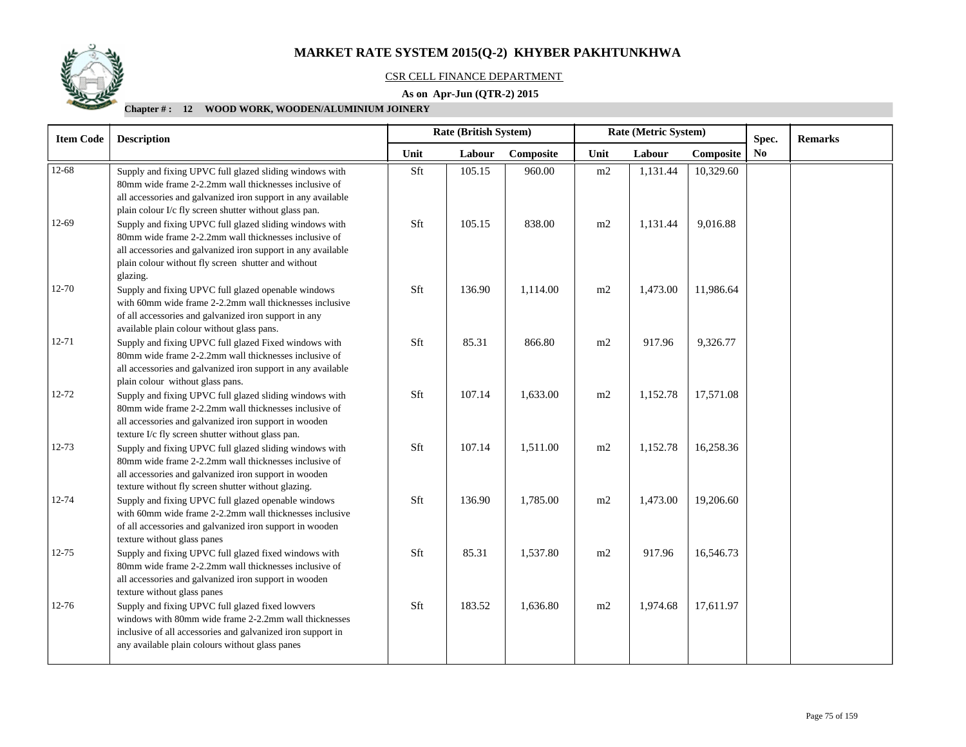

## CSR CELL FINANCE DEPARTMENT

## **As on Apr-Jun (QTR-2) 2015**

## **Chapter # : 12 WOOD WORK, WOODEN/ALUMINIUM JOINERY**

| <b>Item Code</b><br><b>Description</b> |                                                                                                                                                                                                                                                     |      | <b>Rate (British System)</b> |           |      | Rate (Metric System) |           | Spec.          | <b>Remarks</b> |
|----------------------------------------|-----------------------------------------------------------------------------------------------------------------------------------------------------------------------------------------------------------------------------------------------------|------|------------------------------|-----------|------|----------------------|-----------|----------------|----------------|
|                                        |                                                                                                                                                                                                                                                     | Unit | Labour                       | Composite | Unit | Labour               | Composite | N <sub>0</sub> |                |
| 12-68                                  | Supply and fixing UPVC full glazed sliding windows with<br>80mm wide frame 2-2.2mm wall thicknesses inclusive of<br>all accessories and galvanized iron support in any available<br>plain colour I/c fly screen shutter without glass pan.          | Sft  | 105.15                       | 960.00    | m2   | 1,131.44             | 10,329.60 |                |                |
| 12-69                                  | Supply and fixing UPVC full glazed sliding windows with<br>80mm wide frame 2-2.2mm wall thicknesses inclusive of<br>all accessories and galvanized iron support in any available<br>plain colour without fly screen shutter and without<br>glazing. | Sft  | 105.15                       | 838.00    | m2   | 1,131.44             | 9,016.88  |                |                |
| 12-70                                  | Supply and fixing UPVC full glazed openable windows<br>with 60mm wide frame 2-2.2mm wall thicknesses inclusive<br>of all accessories and galvanized iron support in any<br>available plain colour without glass pans.                               | Sft  | 136.90                       | 1,114.00  | m2   | 1,473.00             | 11,986.64 |                |                |
| $12 - 71$                              | Supply and fixing UPVC full glazed Fixed windows with<br>80mm wide frame 2-2.2mm wall thicknesses inclusive of<br>all accessories and galvanized iron support in any available<br>plain colour without glass pans.                                  | Sft  | 85.31                        | 866.80    | m2   | 917.96               | 9,326.77  |                |                |
| $12 - 72$                              | Supply and fixing UPVC full glazed sliding windows with<br>80mm wide frame 2-2.2mm wall thicknesses inclusive of<br>all accessories and galvanized iron support in wooden<br>texture I/c fly screen shutter without glass pan.                      | Sft  | 107.14                       | 1,633.00  | m2   | 1,152.78             | 17,571.08 |                |                |
| $12 - 73$                              | Supply and fixing UPVC full glazed sliding windows with<br>80mm wide frame 2-2.2mm wall thicknesses inclusive of<br>all accessories and galvanized iron support in wooden<br>texture without fly screen shutter without glazing.                    | Sft  | 107.14                       | 1.511.00  | m2   | 1,152.78             | 16,258.36 |                |                |
| 12-74                                  | Supply and fixing UPVC full glazed openable windows<br>with 60mm wide frame 2-2.2mm wall thicknesses inclusive<br>of all accessories and galvanized iron support in wooden<br>texture without glass panes                                           | Sft  | 136.90                       | 1.785.00  | m2   | 1,473.00             | 19,206.60 |                |                |
| 12-75                                  | Supply and fixing UPVC full glazed fixed windows with<br>80mm wide frame 2-2.2mm wall thicknesses inclusive of<br>all accessories and galvanized iron support in wooden<br>texture without glass panes                                              | Sft  | 85.31                        | 1,537.80  | m2   | 917.96               | 16,546.73 |                |                |
| 12-76                                  | Supply and fixing UPVC full glazed fixed lowvers<br>windows with 80mm wide frame 2-2.2mm wall thicknesses<br>inclusive of all accessories and galvanized iron support in<br>any available plain colours without glass panes                         | Sft  | 183.52                       | 1,636.80  | m2   | 1,974.68             | 17,611.97 |                |                |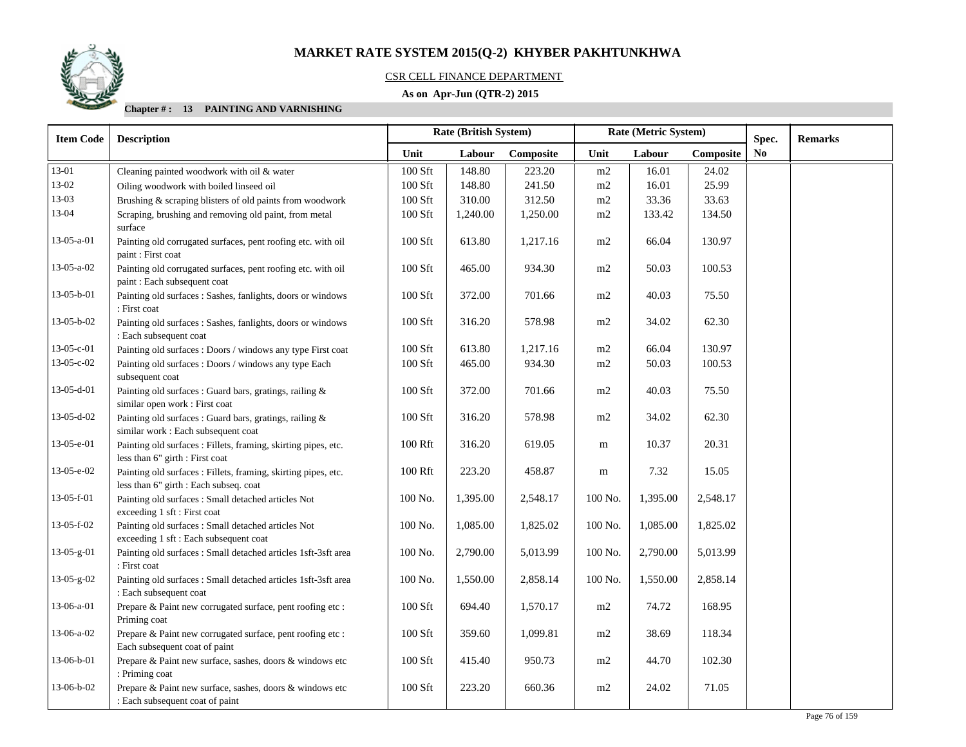

## CSR CELL FINANCE DEPARTMENT

## **As on Apr-Jun (QTR-2) 2015**

| <b>Item Code</b> | <b>Rate (British System)</b><br>Rate (Metric System)<br><b>Description</b>                               |           |          |           | Spec.   | <b>Remarks</b> |           |    |  |
|------------------|----------------------------------------------------------------------------------------------------------|-----------|----------|-----------|---------|----------------|-----------|----|--|
|                  |                                                                                                          | Unit      | Labour   | Composite | Unit    | Labour         | Composite | No |  |
| 13-01            | Cleaning painted woodwork with oil & water                                                               | 100 Sft   | 148.80   | 223.20    | m2      | 16.01          | 24.02     |    |  |
| 13-02            | Oiling woodwork with boiled linseed oil                                                                  | 100 Sft   | 148.80   | 241.50    | m2      | 16.01          | 25.99     |    |  |
| 13-03            | Brushing & scraping blisters of old paints from woodwork                                                 | 100 Sft   | 310.00   | 312.50    | m2      | 33.36          | 33.63     |    |  |
| 13-04            | Scraping, brushing and removing old paint, from metal<br>surface                                         | 100 Sft   | 1,240.00 | 1,250.00  | m2      | 133.42         | 134.50    |    |  |
| $13-05-a-01$     | Painting old corrugated surfaces, pent roofing etc. with oil<br>paint: First coat                        | 100 Sft   | 613.80   | 1,217.16  | m2      | 66.04          | 130.97    |    |  |
| 13-05-a-02       | Painting old corrugated surfaces, pent roofing etc. with oil<br>paint: Each subsequent coat              | 100 Sft   | 465.00   | 934.30    | m2      | 50.03          | 100.53    |    |  |
| 13-05-b-01       | Painting old surfaces : Sashes, fanlights, doors or windows<br>: First coat                              | 100 Sft   | 372.00   | 701.66    | m2      | 40.03          | 75.50     |    |  |
| $13-05-b-02$     | Painting old surfaces : Sashes, fanlights, doors or windows<br>: Each subsequent coat                    | 100 Sft   | 316.20   | 578.98    | m2      | 34.02          | 62.30     |    |  |
| $13-05-c-01$     | Painting old surfaces : Doors / windows any type First coat                                              | 100 Sft   | 613.80   | 1,217.16  | m2      | 66.04          | 130.97    |    |  |
| 13-05-c-02       | Painting old surfaces : Doors / windows any type Each<br>subsequent coat                                 | 100 Sft   | 465.00   | 934.30    | m2      | 50.03          | 100.53    |    |  |
| 13-05-d-01       | Painting old surfaces : Guard bars, gratings, railing &<br>similar open work : First coat                | 100 Sft   | 372.00   | 701.66    | m2      | 40.03          | 75.50     |    |  |
| $13-05-d-02$     | Painting old surfaces : Guard bars, gratings, railing &<br>similar work : Each subsequent coat           | 100 Sft   | 316.20   | 578.98    | m2      | 34.02          | 62.30     |    |  |
| 13-05-e-01       | Painting old surfaces : Fillets, framing, skirting pipes, etc.<br>less than 6" girth : First coat        | 100 Rft   | 316.20   | 619.05    | m       | 10.37          | 20.31     |    |  |
| 13-05-e-02       | Painting old surfaces : Fillets, framing, skirting pipes, etc.<br>less than 6" girth : Each subseq. coat | 100 Rft   | 223.20   | 458.87    | m       | 7.32           | 15.05     |    |  |
| 13-05-f-01       | Painting old surfaces : Small detached articles Not<br>exceeding 1 sft : First coat                      | 100 No.   | 1,395.00 | 2,548.17  | 100 No. | 1,395.00       | 2,548.17  |    |  |
| 13-05-f-02       | Painting old surfaces : Small detached articles Not<br>exceeding 1 sft : Each subsequent coat            | 100 No.   | 1,085.00 | 1,825.02  | 100 No. | 1,085.00       | 1,825.02  |    |  |
| 13-05-g-01       | Painting old surfaces : Small detached articles 1sft-3sft area<br>: First coat                           | 100 No.   | 2,790.00 | 5,013.99  | 100 No. | 2,790.00       | 5,013.99  |    |  |
| 13-05-g-02       | Painting old surfaces : Small detached articles 1sft-3sft area<br>: Each subsequent coat                 | 100 No.   | 1,550.00 | 2,858.14  | 100 No. | 1,550.00       | 2,858.14  |    |  |
| 13-06-a-01       | Prepare & Paint new corrugated surface, pent roofing etc :<br>Priming coat                               | $100$ Sft | 694.40   | 1,570.17  | m2      | 74.72          | 168.95    |    |  |
| $13-06-a-02$     | Prepare & Paint new corrugated surface, pent roofing etc :<br>Each subsequent coat of paint              | 100 Sft   | 359.60   | 1,099.81  | m2      | 38.69          | 118.34    |    |  |
| 13-06-b-01       | Prepare & Paint new surface, sashes, doors & windows etc<br>: Priming coat                               | 100 Sft   | 415.40   | 950.73    | m2      | 44.70          | 102.30    |    |  |
| 13-06-b-02       | Prepare & Paint new surface, sashes, doors & windows etc<br>: Each subsequent coat of paint              | 100 Sft   | 223.20   | 660.36    | m2      | 24.02          | 71.05     |    |  |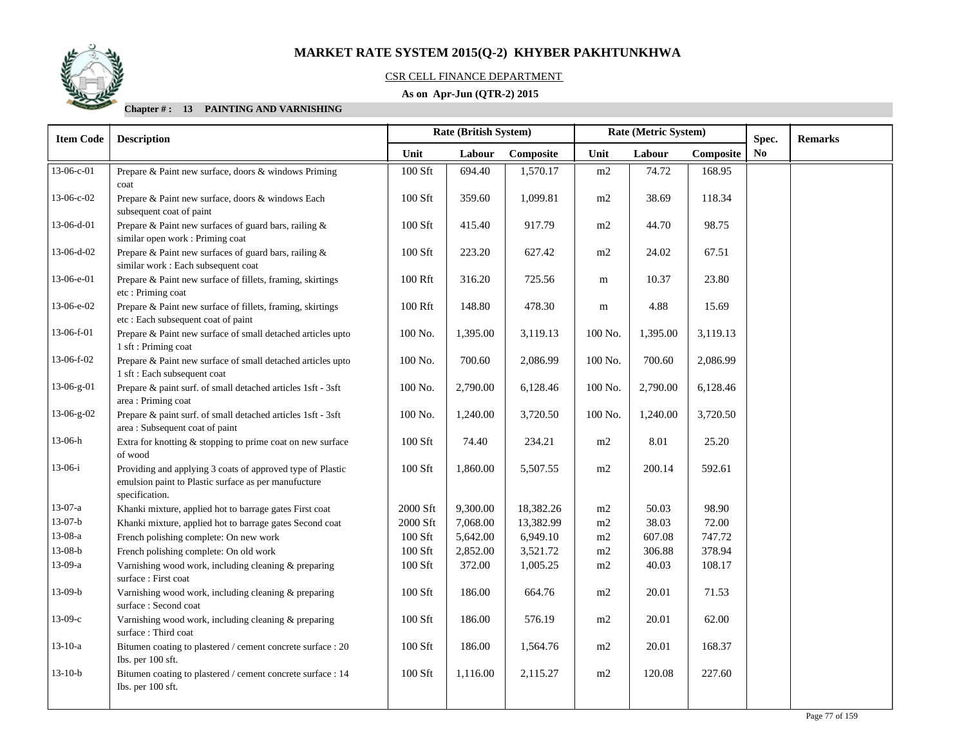

## CSR CELL FINANCE DEPARTMENT

## **As on Apr-Jun (QTR-2) 2015**

| <b>Item Code</b> | <b>Description</b>                                                                                                                   |                | Rate (British System) |           | Rate (Metric System) |          |           | Spec. | <b>Remarks</b> |
|------------------|--------------------------------------------------------------------------------------------------------------------------------------|----------------|-----------------------|-----------|----------------------|----------|-----------|-------|----------------|
|                  |                                                                                                                                      | Unit           | Labour                | Composite | Unit                 | Labour   | Composite | No    |                |
| 13-06-c-01       | Prepare & Paint new surface, doors & windows Priming<br>coat                                                                         | 100 Sft        | 694.40                | 1,570.17  | m2                   | 74.72    | 168.95    |       |                |
| 13-06-c-02       | Prepare & Paint new surface, doors & windows Each<br>subsequent coat of paint                                                        | 100 Sft        | 359.60                | 1,099.81  | m2                   | 38.69    | 118.34    |       |                |
| 13-06-d-01       | Prepare & Paint new surfaces of guard bars, railing &<br>similar open work: Priming coat                                             | 100 Sft        | 415.40                | 917.79    | m2                   | 44.70    | 98.75     |       |                |
| 13-06-d-02       | Prepare & Paint new surfaces of guard bars, railing &<br>similar work : Each subsequent coat                                         | 100 Sft        | 223.20                | 627.42    | m2                   | 24.02    | 67.51     |       |                |
| 13-06-e-01       | Prepare & Paint new surface of fillets, framing, skirtings<br>etc: Priming coat                                                      | 100 Rft        | 316.20                | 725.56    | m                    | 10.37    | 23.80     |       |                |
| 13-06-e-02       | Prepare & Paint new surface of fillets, framing, skirtings<br>etc : Each subsequent coat of paint                                    | 100 Rft        | 148.80                | 478.30    | m                    | 4.88     | 15.69     |       |                |
| 13-06-f-01       | Prepare & Paint new surface of small detached articles upto<br>1 sft : Priming coat                                                  | 100 No.        | 1,395.00              | 3,119.13  | 100 No.              | 1,395.00 | 3,119.13  |       |                |
| 13-06-f-02       | Prepare & Paint new surface of small detached articles upto<br>1 sft : Each subsequent coat                                          | 100 No.        | 700.60                | 2,086.99  | 100 No.              | 700.60   | 2,086.99  |       |                |
| 13-06-g-01       | Prepare & paint surf. of small detached articles 1sft - 3sft<br>area: Priming coat                                                   | 100 No.        | 2,790.00              | 6,128.46  | 100 No.              | 2,790.00 | 6,128.46  |       |                |
| 13-06-g-02       | Prepare & paint surf. of small detached articles 1sft - 3sft<br>area: Subsequent coat of paint                                       | $100$ No. $\,$ | 1,240.00              | 3,720.50  | 100 No.              | 1,240.00 | 3,720.50  |       |                |
| 13-06-h          | Extra for knotting & stopping to prime coat on new surface<br>of wood                                                                | 100 Sft        | 74.40                 | 234.21    | m2                   | 8.01     | 25.20     |       |                |
| $13-06-i$        | Providing and applying 3 coats of approved type of Plastic<br>emulsion paint to Plastic surface as per manufucture<br>specification. | 100 Sft        | 1,860.00              | 5,507.55  | m2                   | 200.14   | 592.61    |       |                |
| 13-07-a          | Khanki mixture, applied hot to barrage gates First coat                                                                              | 2000 Sft       | 9,300.00              | 18,382.26 | m2                   | 50.03    | 98.90     |       |                |
| $13-07-b$        | Khanki mixture, applied hot to barrage gates Second coat                                                                             | 2000 Sft       | 7,068.00              | 13,382.99 | m2                   | 38.03    | 72.00     |       |                |
| 13-08-a          | French polishing complete: On new work                                                                                               | 100 Sft        | 5,642.00              | 6,949.10  | m2                   | 607.08   | 747.72    |       |                |
| $13-08-b$        | French polishing complete: On old work                                                                                               | 100 Sft        | 2,852.00              | 3,521.72  | m2                   | 306.88   | 378.94    |       |                |
| 13-09-a          | Varnishing wood work, including cleaning & preparing<br>surface: First coat                                                          | 100 Sft        | 372.00                | 1,005.25  | m2                   | 40.03    | 108.17    |       |                |
| $13-09-b$        | Varnishing wood work, including cleaning & preparing<br>surface: Second coat                                                         | 100 Sft        | 186.00                | 664.76    | m2                   | 20.01    | 71.53     |       |                |
| $13-09-c$        | Varnishing wood work, including cleaning & preparing<br>surface: Third coat                                                          | 100 Sft        | 186.00                | 576.19    | m2                   | 20.01    | 62.00     |       |                |
| $13-10-a$        | Bitumen coating to plastered / cement concrete surface : 20<br>Ibs. per 100 sft.                                                     | 100 Sft        | 186.00                | 1,564.76  | m2                   | 20.01    | 168.37    |       |                |
| $13-10-b$        | Bitumen coating to plastered / cement concrete surface : 14<br>Ibs. per 100 sft.                                                     | 100 Sft        | 1,116.00              | 2,115.27  | m2                   | 120.08   | 227.60    |       |                |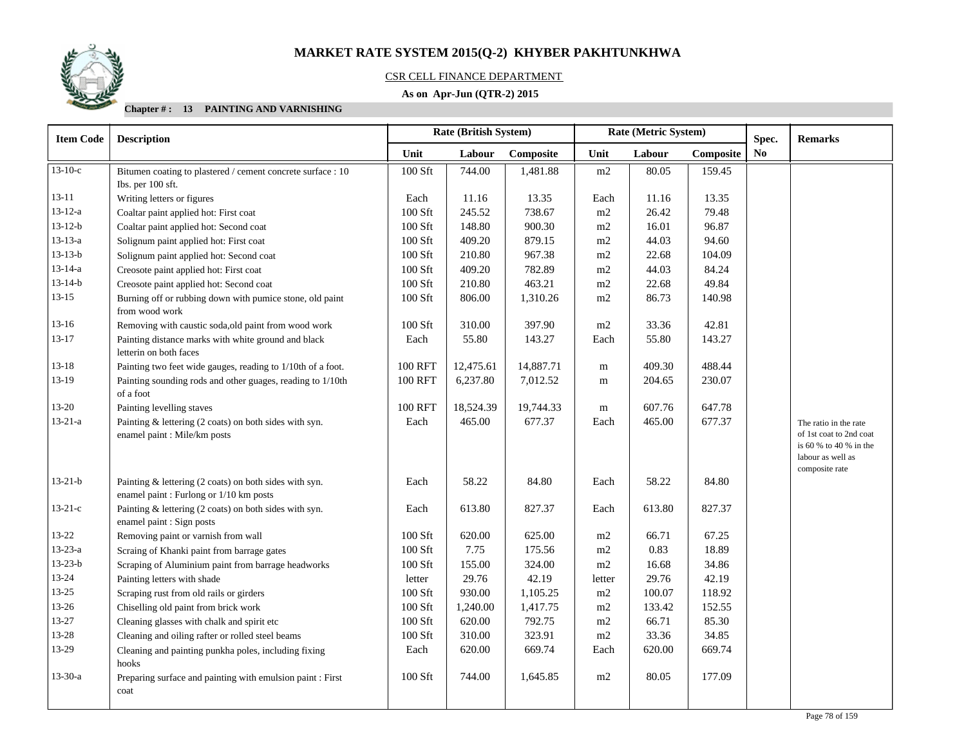

## CSR CELL FINANCE DEPARTMENT

## **As on Apr-Jun (QTR-2) 2015**

| <b>Item Code</b> | <b>Description</b>                                                                                |                | <b>Rate (British System)</b> |           |        | Rate (Metric System) |           | Spec.          | <b>Remarks</b>                                                                                                    |
|------------------|---------------------------------------------------------------------------------------------------|----------------|------------------------------|-----------|--------|----------------------|-----------|----------------|-------------------------------------------------------------------------------------------------------------------|
|                  |                                                                                                   | Unit           | Labour                       | Composite | Unit   | Labour               | Composite | N <sub>0</sub> |                                                                                                                   |
| $13-10-c$        | Bitumen coating to plastered / cement concrete surface : 10                                       | 100 Sft        | 744.00                       | 1,481.88  | m2     | 80.05                | 159.45    |                |                                                                                                                   |
|                  | Ibs. per 100 sft.                                                                                 |                |                              |           |        |                      |           |                |                                                                                                                   |
| $13 - 11$        | Writing letters or figures                                                                        | Each           | 11.16                        | 13.35     | Each   | 11.16                | 13.35     |                |                                                                                                                   |
| $13 - 12 - a$    | Coaltar paint applied hot: First coat                                                             | 100 Sft        | 245.52                       | 738.67    | m2     | 26.42                | 79.48     |                |                                                                                                                   |
| $13 - 12 - b$    | Coaltar paint applied hot: Second coat                                                            | 100 Sft        | 148.80                       | 900.30    | m2     | 16.01                | 96.87     |                |                                                                                                                   |
| $13 - 13 - a$    | Solignum paint applied hot: First coat                                                            | 100 Sft        | 409.20                       | 879.15    | m2     | 44.03                | 94.60     |                |                                                                                                                   |
| $13 - 13 - b$    | Solignum paint applied hot: Second coat                                                           | 100 Sft        | 210.80                       | 967.38    | m2     | 22.68                | 104.09    |                |                                                                                                                   |
| $13 - 14 - a$    | Creosote paint applied hot: First coat                                                            | 100 Sft        | 409.20                       | 782.89    | m2     | 44.03                | 84.24     |                |                                                                                                                   |
| $13 - 14 - b$    | Creosote paint applied hot: Second coat                                                           | 100 Sft        | 210.80                       | 463.21    | m2     | 22.68                | 49.84     |                |                                                                                                                   |
| $13-15$          | Burning off or rubbing down with pumice stone, old paint<br>from wood work                        | 100 Sft        | 806.00                       | 1,310.26  | m2     | 86.73                | 140.98    |                |                                                                                                                   |
| $13-16$          | Removing with caustic soda, old paint from wood work                                              | 100 Sft        | 310.00                       | 397.90    | m2     | 33.36                | 42.81     |                |                                                                                                                   |
| $13 - 17$        | Painting distance marks with white ground and black<br>letterin on both faces                     | Each           | 55.80                        | 143.27    | Each   | 55.80                | 143.27    |                |                                                                                                                   |
| $13 - 18$        | Painting two feet wide gauges, reading to 1/10th of a foot.                                       | 100 RFT        | 12,475.61                    | 14,887.71 | m      | 409.30               | 488.44    |                |                                                                                                                   |
| 13-19            | Painting sounding rods and other guages, reading to 1/10th<br>of a foot                           | <b>100 RFT</b> | 6,237.80                     | 7,012.52  | m      | 204.65               | 230.07    |                |                                                                                                                   |
| $13 - 20$        | Painting levelling staves                                                                         | <b>100 RFT</b> | 18,524.39                    | 19,744.33 | m      | 607.76               | 647.78    |                |                                                                                                                   |
| $13 - 21 - a$    | Painting & lettering (2 coats) on both sides with syn.<br>enamel paint : Mile/km posts            | Each           | 465.00                       | 677.37    | Each   | 465.00               | 677.37    |                | The ratio in the rate<br>of 1st coat to 2nd coat<br>is 60 % to 40 % in the<br>labour as well as<br>composite rate |
| $13 - 21 - b$    | Painting & lettering (2 coats) on both sides with syn.<br>enamel paint : Furlong or 1/10 km posts | Each           | 58.22                        | 84.80     | Each   | 58.22                | 84.80     |                |                                                                                                                   |
| $13-21-c$        | Painting & lettering (2 coats) on both sides with syn.<br>enamel paint : Sign posts               | Each           | 613.80                       | 827.37    | Each   | 613.80               | 827.37    |                |                                                                                                                   |
| $13 - 22$        | Removing paint or varnish from wall                                                               | 100 Sft        | 620.00                       | 625.00    | m2     | 66.71                | 67.25     |                |                                                                                                                   |
| $13 - 23 - a$    | Scraing of Khanki paint from barrage gates                                                        | 100 Sft        | 7.75                         | 175.56    | m2     | 0.83                 | 18.89     |                |                                                                                                                   |
| $13 - 23 - b$    | Scraping of Aluminium paint from barrage headworks                                                | 100 Sft        | 155.00                       | 324.00    | m2     | 16.68                | 34.86     |                |                                                                                                                   |
| 13-24            | Painting letters with shade                                                                       | letter         | 29.76                        | 42.19     | letter | 29.76                | 42.19     |                |                                                                                                                   |
| $13 - 25$        | Scraping rust from old rails or girders                                                           | 100 Sft        | 930.00                       | 1,105.25  | m2     | 100.07               | 118.92    |                |                                                                                                                   |
| 13-26            | Chiselling old paint from brick work                                                              | 100 Sft        | 1,240.00                     | 1,417.75  | m2     | 133.42               | 152.55    |                |                                                                                                                   |
| 13-27            | Cleaning glasses with chalk and spirit etc                                                        | 100 Sft        | 620.00                       | 792.75    | m2     | 66.71                | 85.30     |                |                                                                                                                   |
| 13-28            | Cleaning and oiling rafter or rolled steel beams                                                  | 100 Sft        | 310.00                       | 323.91    | m2     | 33.36                | 34.85     |                |                                                                                                                   |
| 13-29            | Cleaning and painting punkha poles, including fixing<br>hooks                                     | Each           | 620.00                       | 669.74    | Each   | 620.00               | 669.74    |                |                                                                                                                   |
| $13 - 30 - a$    | Preparing surface and painting with emulsion paint : First<br>coat                                | 100 Sft        | 744.00                       | 1,645.85  | m2     | 80.05                | 177.09    |                |                                                                                                                   |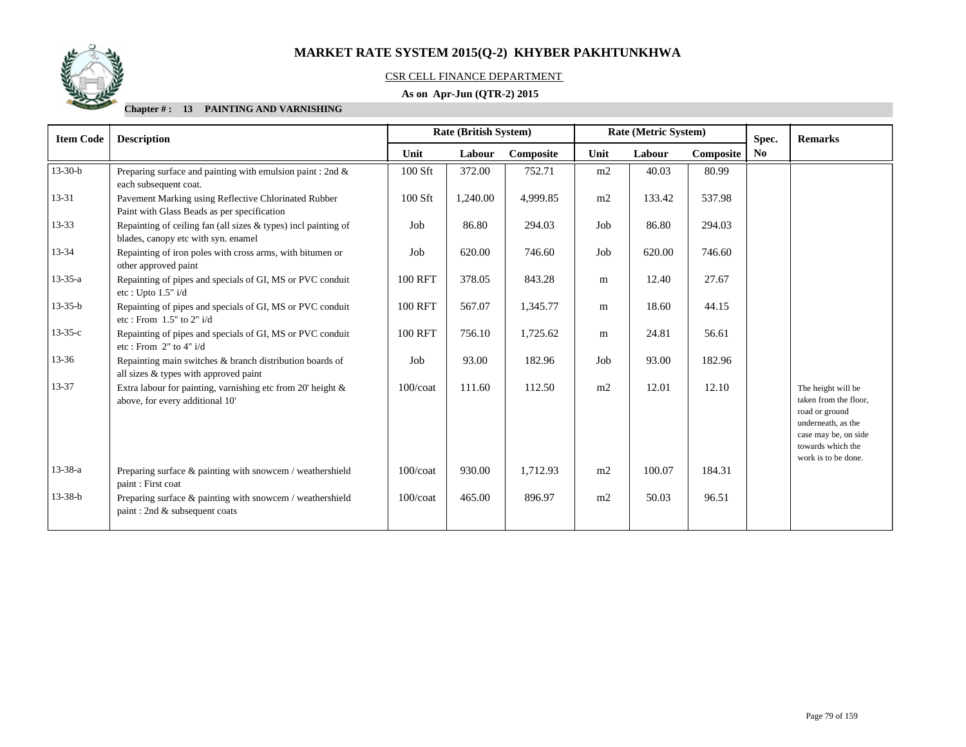

## CSR CELL FINANCE DEPARTMENT

## **As on Apr-Jun (QTR-2) 2015**

| <b>Item Code</b> | <b>Description</b>                                                                                      | <b>Rate (British System)</b> |          |           |      | Rate (Metric System) |           | Spec.          | <b>Remarks</b>                                                                                                                                          |
|------------------|---------------------------------------------------------------------------------------------------------|------------------------------|----------|-----------|------|----------------------|-----------|----------------|---------------------------------------------------------------------------------------------------------------------------------------------------------|
|                  |                                                                                                         | Unit                         | Labour   | Composite | Unit | Labour               | Composite | N <sub>0</sub> |                                                                                                                                                         |
| $13 - 30 - b$    | Preparing surface and painting with emulsion paint : 2nd $\&$<br>each subsequent coat.                  | 100 Sft                      | 372.00   | 752.71    | m2   | 40.03                | 80.99     |                |                                                                                                                                                         |
| 13-31            | Pavement Marking using Reflective Chlorinated Rubber<br>Paint with Glass Beads as per specification     | 100 Sft                      | 1,240.00 | 4,999.85  | m2   | 133.42               | 537.98    |                |                                                                                                                                                         |
| $13 - 33$        | Repainting of ceiling fan (all sizes $&$ types) incl painting of<br>blades, canopy etc with syn. enamel | Job                          | 86.80    | 294.03    | Job  | 86.80                | 294.03    |                |                                                                                                                                                         |
| 13-34            | Repainting of iron poles with cross arms, with bitumen or<br>other approved paint                       | Job                          | 620.00   | 746.60    | Job  | 620.00               | 746.60    |                |                                                                                                                                                         |
| $13 - 35 - a$    | Repainting of pipes and specials of GI, MS or PVC conduit<br>etc: Upto $1.5"$ i/d                       | <b>100 RFT</b>               | 378.05   | 843.28    | m    | 12.40                | 27.67     |                |                                                                                                                                                         |
| $13 - 35 - b$    | Repainting of pipes and specials of GI, MS or PVC conduit<br>etc: From $1.5"$ to $2"$ i/d               | <b>100 RFT</b>               | 567.07   | 1,345.77  | m    | 18.60                | 44.15     |                |                                                                                                                                                         |
| $13 - 35 - c$    | Repainting of pipes and specials of GI, MS or PVC conduit<br>etc: From $2"$ to $4"$ i/d                 | <b>100 RFT</b>               | 756.10   | 1,725.62  | m    | 24.81                | 56.61     |                |                                                                                                                                                         |
| $13 - 36$        | Repainting main switches & branch distribution boards of<br>all sizes & types with approved paint       | Job                          | 93.00    | 182.96    | Job  | 93.00                | 182.96    |                |                                                                                                                                                         |
| 13-37            | Extra labour for painting, varnishing etc from 20' height &<br>above, for every additional 10'          | $100$ / $\cot$               | 111.60   | 112.50    | m2   | 12.01                | 12.10     |                | The height will be<br>taken from the floor,<br>road or ground<br>underneath, as the<br>case may be, on side<br>towards which the<br>work is to be done. |
| $13 - 38 - a$    | Preparing surface & painting with snowcem / weathershield<br>paint: First coat                          | $100$ / $\cot$               | 930.00   | 1,712.93  | m2   | 100.07               | 184.31    |                |                                                                                                                                                         |
| $13 - 38 - b$    | Preparing surface $\&$ painting with snowcem / weathershield<br>paint: 2nd & subsequent coats           | $100$ / $\cot$               | 465.00   | 896.97    | m2   | 50.03                | 96.51     |                |                                                                                                                                                         |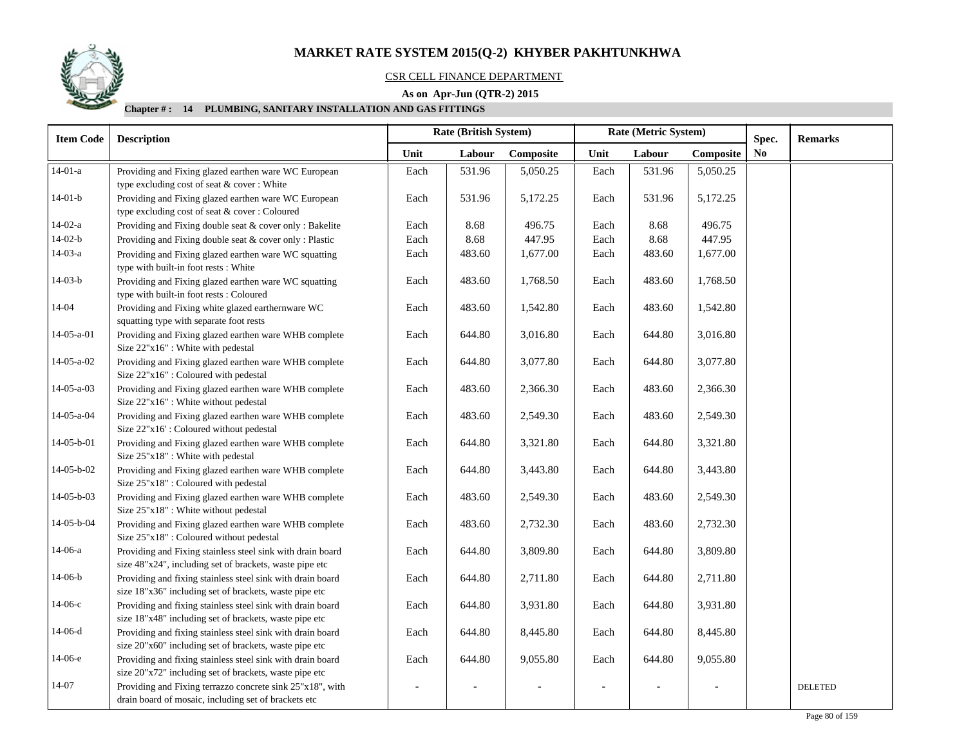

## CSR CELL FINANCE DEPARTMENT

## **As on Apr-Jun (QTR-2) 2015**

| <b>Item Code</b> | <b>Description</b>                                                                            | <b>Rate (British System)</b> |        |           |      | Rate (Metric System) |           | Spec.     | <b>Remarks</b> |
|------------------|-----------------------------------------------------------------------------------------------|------------------------------|--------|-----------|------|----------------------|-----------|-----------|----------------|
|                  |                                                                                               | Unit                         | Labour | Composite | Unit | Labour               | Composite | <b>No</b> |                |
| $14-01-a$        | Providing and Fixing glazed earthen ware WC European                                          | Each                         | 531.96 | 5,050.25  | Each | 531.96               | 5,050.25  |           |                |
|                  | type excluding cost of seat & cover: White                                                    |                              |        |           |      |                      |           |           |                |
| $14-01-b$        | Providing and Fixing glazed earthen ware WC European                                          | Each                         | 531.96 | 5,172.25  | Each | 531.96               | 5,172.25  |           |                |
|                  | type excluding cost of seat & cover: Coloured                                                 |                              |        |           |      |                      |           |           |                |
| $14-02-a$        | Providing and Fixing double seat & cover only : Bakelite                                      | Each                         | 8.68   | 496.75    | Each | 8.68                 | 496.75    |           |                |
| $14-02-b$        | Providing and Fixing double seat & cover only : Plastic                                       | Each                         | 8.68   | 447.95    | Each | 8.68                 | 447.95    |           |                |
| $14-03-a$        | Providing and Fixing glazed earthen ware WC squatting<br>type with built-in foot rests: White | Each                         | 483.60 | 1,677.00  | Each | 483.60               | 1,677.00  |           |                |
| $14-03-b$        | Providing and Fixing glazed earthen ware WC squatting                                         | Each                         | 483.60 | 1,768.50  | Each | 483.60               | 1,768.50  |           |                |
|                  | type with built-in foot rests: Coloured                                                       |                              |        |           |      |                      |           |           |                |
| 14-04            | Providing and Fixing white glazed earthernware WC                                             | Each                         | 483.60 | 1,542.80  | Each | 483.60               | 1,542.80  |           |                |
|                  | squatting type with separate foot rests                                                       |                              |        |           |      |                      |           |           |                |
| $14-05-a-01$     | Providing and Fixing glazed earthen ware WHB complete<br>Size 22"x16" : White with pedestal   | Each                         | 644.80 | 3,016.80  | Each | 644.80               | 3,016.80  |           |                |
| 14-05-a-02       | Providing and Fixing glazed earthen ware WHB complete<br>Size 22"x16": Coloured with pedestal | Each                         | 644.80 | 3,077.80  | Each | 644.80               | 3,077.80  |           |                |
| $14-05-a-03$     | Providing and Fixing glazed earthen ware WHB complete<br>Size 22"x16": White without pedestal | Each                         | 483.60 | 2,366.30  | Each | 483.60               | 2,366.30  |           |                |
| $14-05-a-04$     | Providing and Fixing glazed earthen ware WHB complete                                         | Each                         | 483.60 | 2,549.30  | Each | 483.60               | 2,549.30  |           |                |
|                  | Size 22"x16': Coloured without pedestal                                                       |                              |        |           |      |                      |           |           |                |
| 14-05-b-01       | Providing and Fixing glazed earthen ware WHB complete                                         | Each                         | 644.80 | 3,321.80  | Each | 644.80               | 3,321.80  |           |                |
|                  | Size 25"x18" : White with pedestal                                                            |                              |        |           |      |                      |           |           |                |
| 14-05-b-02       | Providing and Fixing glazed earthen ware WHB complete                                         | Each                         | 644.80 | 3,443.80  | Each | 644.80               | 3,443.80  |           |                |
|                  | Size 25"x18" : Coloured with pedestal                                                         |                              |        |           |      |                      |           |           |                |
| 14-05-b-03       | Providing and Fixing glazed earthen ware WHB complete                                         | Each                         | 483.60 | 2,549.30  | Each | 483.60               | 2,549.30  |           |                |
|                  | Size 25"x18": White without pedestal                                                          |                              |        |           |      |                      |           |           |                |
| 14-05-b-04       | Providing and Fixing glazed earthen ware WHB complete                                         | Each                         | 483.60 | 2,732.30  | Each | 483.60               | 2,732.30  |           |                |
|                  | Size 25"x18" : Coloured without pedestal                                                      |                              |        |           |      |                      |           |           |                |
| $14-06-a$        | Providing and Fixing stainless steel sink with drain board                                    | Each                         | 644.80 | 3,809.80  | Each | 644.80               | 3,809.80  |           |                |
|                  | size 48"x24", including set of brackets, waste pipe etc                                       |                              |        |           |      |                      |           |           |                |
| $14-06-b$        | Providing and fixing stainless steel sink with drain board                                    | Each                         | 644.80 | 2,711.80  | Each | 644.80               | 2,711.80  |           |                |
|                  | size 18"x36" including set of brackets, waste pipe etc                                        |                              |        |           |      |                      |           |           |                |
| $14-06-c$        | Providing and fixing stainless steel sink with drain board                                    | Each                         | 644.80 | 3,931.80  | Each | 644.80               | 3,931.80  |           |                |
|                  | size 18"x48" including set of brackets, waste pipe etc                                        |                              |        |           |      |                      |           |           |                |
| $14-06-d$        | Providing and fixing stainless steel sink with drain board                                    | Each                         | 644.80 | 8,445.80  | Each | 644.80               | 8,445.80  |           |                |
|                  | size 20"x60" including set of brackets, waste pipe etc                                        |                              |        |           |      |                      |           |           |                |
| 14-06-е          | Providing and fixing stainless steel sink with drain board                                    | Each                         | 644.80 | 9,055.80  | Each | 644.80               | 9,055.80  |           |                |
|                  | size 20"x72" including set of brackets, waste pipe etc                                        |                              |        |           |      |                      |           |           |                |
| 14-07            | Providing and Fixing terrazzo concrete sink 25"x18", with                                     |                              |        |           |      |                      |           |           | <b>DELETED</b> |
|                  | drain board of mosaic, including set of brackets etc                                          |                              |        |           |      |                      |           |           |                |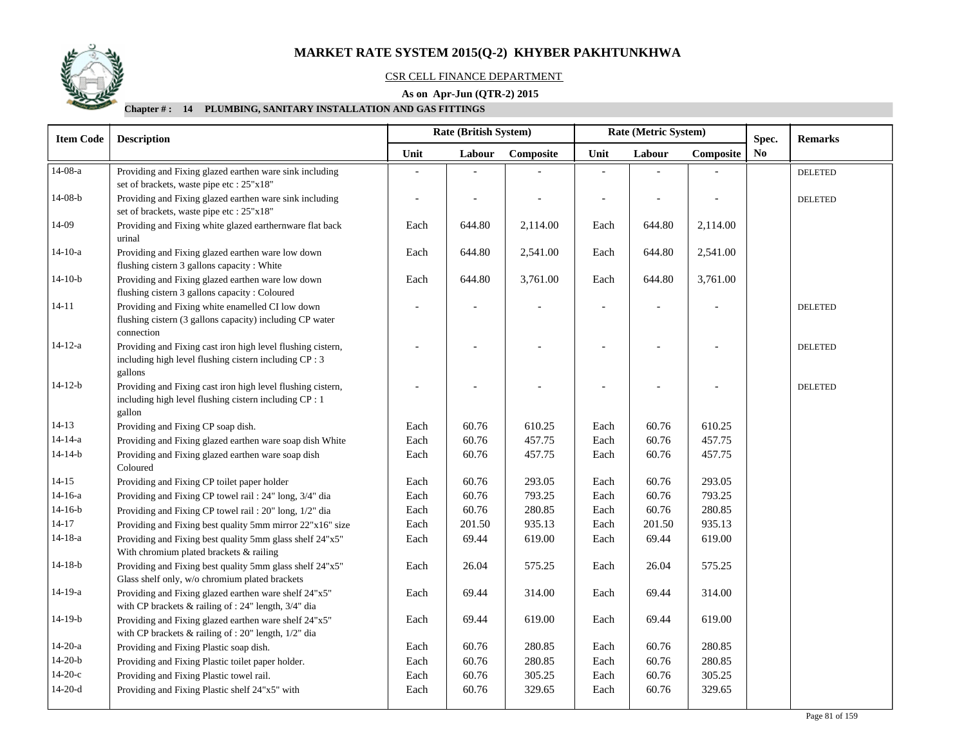

## CSR CELL FINANCE DEPARTMENT

## **As on Apr-Jun (QTR-2) 2015**

| <b>Item Code</b> | <b>Description</b>                                                                                                               |      | <b>Rate (British System)</b> |           |      | Rate (Metric System) |           | Spec.          | <b>Remarks</b> |
|------------------|----------------------------------------------------------------------------------------------------------------------------------|------|------------------------------|-----------|------|----------------------|-----------|----------------|----------------|
|                  |                                                                                                                                  | Unit | Labour                       | Composite | Unit | Labour               | Composite | N <sub>0</sub> |                |
| $14-08-a$        | Providing and Fixing glazed earthen ware sink including                                                                          |      |                              |           |      |                      |           |                | <b>DELETED</b> |
|                  | set of brackets, waste pipe etc : 25"x18"                                                                                        |      |                              |           |      |                      |           |                |                |
| $14-08-b$        | Providing and Fixing glazed earthen ware sink including<br>set of brackets, waste pipe etc : 25"x18"                             |      |                              |           |      |                      |           |                | <b>DELETED</b> |
| $14-09$          | Providing and Fixing white glazed earthernware flat back<br>urinal                                                               | Each | 644.80                       | 2,114.00  | Each | 644.80               | 2,114.00  |                |                |
| 14-10-a          | Providing and Fixing glazed earthen ware low down<br>flushing cistern 3 gallons capacity : White                                 | Each | 644.80                       | 2,541.00  | Each | 644.80               | 2,541.00  |                |                |
| $14-10-b$        | Providing and Fixing glazed earthen ware low down<br>flushing cistern 3 gallons capacity : Coloured                              | Each | 644.80                       | 3,761.00  | Each | 644.80               | 3,761.00  |                |                |
| $14 - 11$        | Providing and Fixing white enamelled CI low down<br>flushing cistern (3 gallons capacity) including CP water<br>connection       |      |                              |           |      |                      |           |                | <b>DELETED</b> |
| $14 - 12 - a$    | Providing and Fixing cast iron high level flushing cistern,<br>including high level flushing cistern including CP : 3<br>gallons |      |                              |           |      |                      |           |                | <b>DELETED</b> |
| $14 - 12 - b$    | Providing and Fixing cast iron high level flushing cistern,<br>including high level flushing cistern including CP : 1<br>gallon  |      |                              |           |      |                      |           |                | <b>DELETED</b> |
| $14-13$          | Providing and Fixing CP soap dish.                                                                                               | Each | 60.76                        | 610.25    | Each | 60.76                | 610.25    |                |                |
| $14 - 14 - a$    | Providing and Fixing glazed earthen ware soap dish White                                                                         | Each | 60.76                        | 457.75    | Each | 60.76                | 457.75    |                |                |
| $14-14-b$        | Providing and Fixing glazed earthen ware soap dish<br>Coloured                                                                   | Each | 60.76                        | 457.75    | Each | 60.76                | 457.75    |                |                |
| $14 - 15$        | Providing and Fixing CP toilet paper holder                                                                                      | Each | 60.76                        | 293.05    | Each | 60.76                | 293.05    |                |                |
| $14-16-a$        | Providing and Fixing CP towel rail: 24" long, 3/4" dia                                                                           | Each | 60.76                        | 793.25    | Each | 60.76                | 793.25    |                |                |
| $14-16-b$        | Providing and Fixing CP towel rail: 20" long, 1/2" dia                                                                           | Each | 60.76                        | 280.85    | Each | 60.76                | 280.85    |                |                |
| $14 - 17$        | Providing and Fixing best quality 5mm mirror 22"x16" size                                                                        | Each | 201.50                       | 935.13    | Each | 201.50               | 935.13    |                |                |
| $14 - 18 - a$    | Providing and Fixing best quality 5mm glass shelf 24"x5"<br>With chromium plated brackets & railing                              | Each | 69.44                        | 619.00    | Each | 69.44                | 619.00    |                |                |
| $14-18-b$        | Providing and Fixing best quality 5mm glass shelf 24"x5"<br>Glass shelf only, w/o chromium plated brackets                       | Each | 26.04                        | 575.25    | Each | 26.04                | 575.25    |                |                |
| 14-19-a          | Providing and Fixing glazed earthen ware shelf 24"x5"<br>with CP brackets & railing of : 24" length, 3/4" dia                    | Each | 69.44                        | 314.00    | Each | 69.44                | 314.00    |                |                |
| $14-19-b$        | Providing and Fixing glazed earthen ware shelf 24"x5"<br>with CP brackets & railing of : 20" length, 1/2" dia                    | Each | 69.44                        | 619.00    | Each | 69.44                | 619.00    |                |                |
| $14-20-a$        | Providing and Fixing Plastic soap dish.                                                                                          | Each | 60.76                        | 280.85    | Each | 60.76                | 280.85    |                |                |
| $14-20-b$        | Providing and Fixing Plastic toilet paper holder.                                                                                | Each | 60.76                        | 280.85    | Each | 60.76                | 280.85    |                |                |
| $14-20-c$        | Providing and Fixing Plastic towel rail.                                                                                         | Each | 60.76                        | 305.25    | Each | 60.76                | 305.25    |                |                |
| $14-20-d$        | Providing and Fixing Plastic shelf 24"x5" with                                                                                   | Each | 60.76                        | 329.65    | Each | 60.76                | 329.65    |                |                |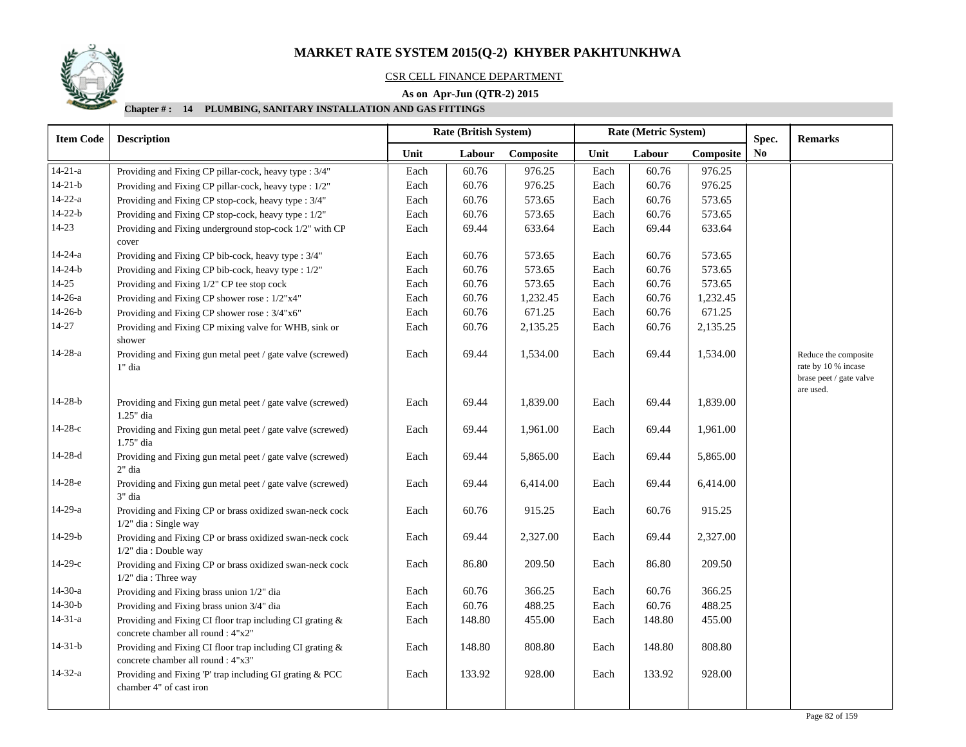

## CSR CELL FINANCE DEPARTMENT

## **As on Apr-Jun (QTR-2) 2015**

| <b>Item Code</b> | <b>Description</b>                                                                              |      | Rate (British System) |           |      | Rate (Metric System) | Spec.     | <b>Remarks</b> |                                                                        |
|------------------|-------------------------------------------------------------------------------------------------|------|-----------------------|-----------|------|----------------------|-----------|----------------|------------------------------------------------------------------------|
|                  |                                                                                                 | Unit | Labour                | Composite | Unit | Labour               | Composite | No             |                                                                        |
| $14 - 21 - a$    | Providing and Fixing CP pillar-cock, heavy type : 3/4"                                          | Each | 60.76                 | 976.25    | Each | 60.76                | 976.25    |                |                                                                        |
| $14 - 21 - b$    | Providing and Fixing CP pillar-cock, heavy type : 1/2"                                          | Each | 60.76                 | 976.25    | Each | 60.76                | 976.25    |                |                                                                        |
| $14 - 22 - a$    | Providing and Fixing CP stop-cock, heavy type : 3/4"                                            | Each | 60.76                 | 573.65    | Each | 60.76                | 573.65    |                |                                                                        |
| $14 - 22 - b$    | Providing and Fixing CP stop-cock, heavy type : 1/2"                                            | Each | 60.76                 | 573.65    | Each | 60.76                | 573.65    |                |                                                                        |
| $14 - 23$        | Providing and Fixing underground stop-cock 1/2" with CP<br>cover                                | Each | 69.44                 | 633.64    | Each | 69.44                | 633.64    |                |                                                                        |
| $14 - 24 - a$    | Providing and Fixing CP bib-cock, heavy type : 3/4"                                             | Each | 60.76                 | 573.65    | Each | 60.76                | 573.65    |                |                                                                        |
| $14 - 24 - b$    | Providing and Fixing CP bib-cock, heavy type : 1/2"                                             | Each | 60.76                 | 573.65    | Each | 60.76                | 573.65    |                |                                                                        |
| $14 - 25$        | Providing and Fixing 1/2" CP tee stop cock                                                      | Each | 60.76                 | 573.65    | Each | 60.76                | 573.65    |                |                                                                        |
| $14-26-a$        | Providing and Fixing CP shower rose : 1/2"x4"                                                   | Each | 60.76                 | 1,232.45  | Each | 60.76                | 1,232.45  |                |                                                                        |
| $14-26-b$        | Providing and Fixing CP shower rose : 3/4"x6"                                                   | Each | 60.76                 | 671.25    | Each | 60.76                | 671.25    |                |                                                                        |
| 14-27            | Providing and Fixing CP mixing valve for WHB, sink or<br>shower                                 | Each | 60.76                 | 2,135.25  | Each | 60.76                | 2,135.25  |                |                                                                        |
| $14-28-a$        | Providing and Fixing gun metal peet / gate valve (screwed)<br>1" dia                            | Each | 69.44                 | 1,534.00  | Each | 69.44                | 1,534.00  |                | Reduce the composite<br>rate by 10 % incase<br>brase peet / gate valve |
| $14 - 28 - b$    | Providing and Fixing gun metal peet / gate valve (screwed)<br>1.25" dia                         | Each | 69.44                 | 1,839.00  | Each | 69.44                | 1,839.00  |                | are used.                                                              |
| $14-28-c$        | Providing and Fixing gun metal peet / gate valve (screwed)<br>1.75" dia                         | Each | 69.44                 | 1,961.00  | Each | 69.44                | 1,961.00  |                |                                                                        |
| $14-28-d$        | Providing and Fixing gun metal peet / gate valve (screwed)<br>2" dia                            | Each | 69.44                 | 5,865.00  | Each | 69.44                | 5,865.00  |                |                                                                        |
| 14-28-е          | Providing and Fixing gun metal peet / gate valve (screwed)<br>3" dia                            | Each | 69.44                 | 6,414.00  | Each | 69.44                | 6,414.00  |                |                                                                        |
| $14-29-a$        | Providing and Fixing CP or brass oxidized swan-neck cock<br>$1/2$ " dia: Single way             | Each | 60.76                 | 915.25    | Each | 60.76                | 915.25    |                |                                                                        |
| $14-29-b$        | Providing and Fixing CP or brass oxidized swan-neck cock<br>$1/2$ " dia: Double way             | Each | 69.44                 | 2,327.00  | Each | 69.44                | 2,327.00  |                |                                                                        |
| $14-29-c$        | Providing and Fixing CP or brass oxidized swan-neck cock<br>$1/2$ " dia: Three way              | Each | 86.80                 | 209.50    | Each | 86.80                | 209.50    |                |                                                                        |
| $14-30-a$        | Providing and Fixing brass union 1/2" dia                                                       | Each | 60.76                 | 366.25    | Each | 60.76                | 366.25    |                |                                                                        |
| $14-30-b$        | Providing and Fixing brass union 3/4" dia                                                       | Each | 60.76                 | 488.25    | Each | 60.76                | 488.25    |                |                                                                        |
| $14 - 31 - a$    | Providing and Fixing CI floor trap including CI grating &<br>concrete chamber all round : 4"x2" | Each | 148.80                | 455.00    | Each | 148.80               | 455.00    |                |                                                                        |
| $14-31-b$        | Providing and Fixing CI floor trap including CI grating &<br>concrete chamber all round : 4"x3" | Each | 148.80                | 808.80    | Each | 148.80               | 808.80    |                |                                                                        |
| $14 - 32 - a$    | Providing and Fixing 'P' trap including GI grating & PCC<br>chamber 4" of cast iron             | Each | 133.92                | 928.00    | Each | 133.92               | 928.00    |                |                                                                        |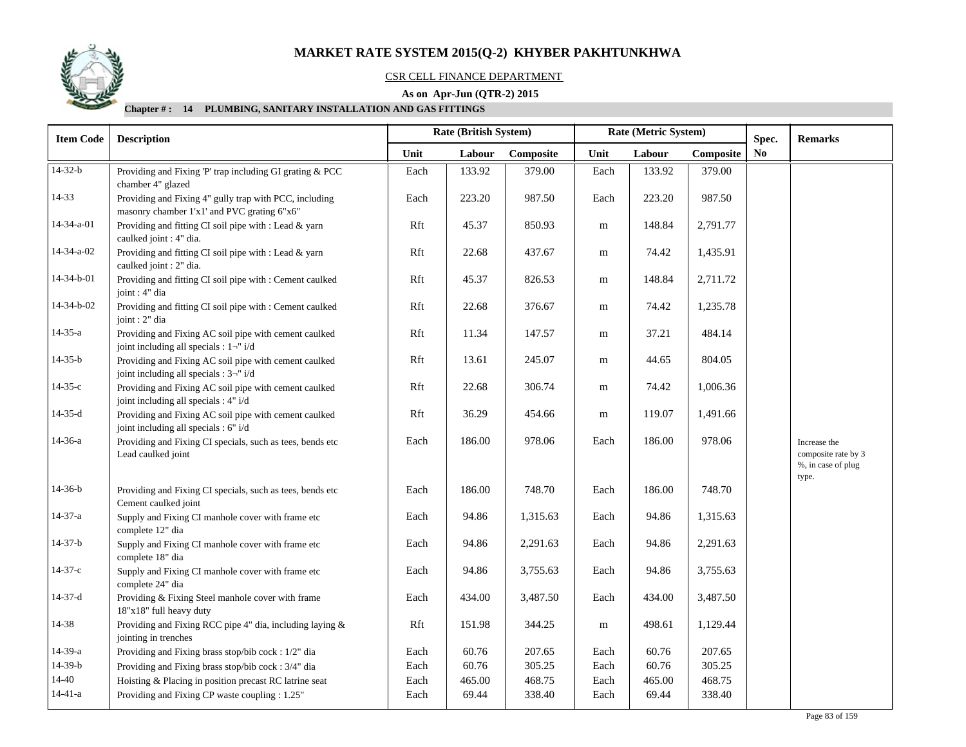

## CSR CELL FINANCE DEPARTMENT

## **As on Apr-Jun (QTR-2) 2015**

| <b>Item Code</b>   | <b>Description</b>                                                                                    |      | Rate (British System)<br>Rate (Metric System)<br>Spec. |          |        |           |                |  | <b>Remarks</b>                                                     |
|--------------------|-------------------------------------------------------------------------------------------------------|------|--------------------------------------------------------|----------|--------|-----------|----------------|--|--------------------------------------------------------------------|
|                    | Unit<br>Labour                                                                                        |      | Composite                                              | Unit     | Labour | Composite | N <sub>0</sub> |  |                                                                    |
| $14-32-b$          | Providing and Fixing 'P' trap including GI grating & PCC<br>chamber 4" glazed                         | Each | 133.92                                                 | 379.00   | Each   | 133.92    | 379.00         |  |                                                                    |
| 14-33              | Providing and Fixing 4" gully trap with PCC, including<br>masonry chamber 1'x1' and PVC grating 6"x6" | Each | 223.20                                                 | 987.50   | Each   | 223.20    | 987.50         |  |                                                                    |
| $14 - 34 - a - 01$ | Providing and fitting CI soil pipe with : Lead & yarn<br>caulked joint : 4" dia.                      | Rft  | 45.37                                                  | 850.93   | m      | 148.84    | 2,791.77       |  |                                                                    |
| 14-34-a-02         | Providing and fitting CI soil pipe with : Lead & yarn<br>caulked joint : 2" dia.                      | Rft  | 22.68                                                  | 437.67   | m      | 74.42     | 1,435.91       |  |                                                                    |
| 14-34-b-01         | Providing and fitting CI soil pipe with : Cement caulked<br>joint : 4" dia                            | Rft  | 45.37                                                  | 826.53   | m      | 148.84    | 2,711.72       |  |                                                                    |
| 14-34-b-02         | Providing and fitting CI soil pipe with : Cement caulked<br>joint : 2" dia                            | Rft  | 22.68                                                  | 376.67   | m      | 74.42     | 1,235.78       |  |                                                                    |
| $14 - 35 - a$      | Providing and Fixing AC soil pipe with cement caulked<br>joint including all specials : 1-" i/d       | Rft  | 11.34                                                  | 147.57   | m      | 37.21     | 484.14         |  |                                                                    |
| $14 - 35 - b$      | Providing and Fixing AC soil pipe with cement caulked<br>joint including all specials : 3-" i/d       | Rft  | 13.61                                                  | 245.07   | m      | 44.65     | 804.05         |  |                                                                    |
| $14 - 35 - c$      | Providing and Fixing AC soil pipe with cement caulked<br>joint including all specials : 4" i/d        | Rft  | 22.68                                                  | 306.74   | m      | 74.42     | 1,006.36       |  |                                                                    |
| $14-35-d$          | Providing and Fixing AC soil pipe with cement caulked<br>joint including all specials : 6" i/d        | Rft  | 36.29                                                  | 454.66   | m      | 119.07    | 1,491.66       |  |                                                                    |
| 14-36-a            | Providing and Fixing CI specials, such as tees, bends etc<br>Lead caulked joint                       | Each | 186.00                                                 | 978.06   | Each   | 186.00    | 978.06         |  | Increase the<br>composite rate by 3<br>%, in case of plug<br>type. |
| $14-36-b$          | Providing and Fixing CI specials, such as tees, bends etc<br>Cement caulked joint                     | Each | 186.00                                                 | 748.70   | Each   | 186.00    | 748.70         |  |                                                                    |
| $14 - 37 - a$      | Supply and Fixing CI manhole cover with frame etc<br>complete 12" dia                                 | Each | 94.86                                                  | 1,315.63 | Each   | 94.86     | 1,315.63       |  |                                                                    |
| $14-37-b$          | Supply and Fixing CI manhole cover with frame etc<br>complete 18" dia                                 | Each | 94.86                                                  | 2,291.63 | Each   | 94.86     | 2,291.63       |  |                                                                    |
| $14-37-c$          | Supply and Fixing CI manhole cover with frame etc<br>complete 24" dia                                 | Each | 94.86                                                  | 3,755.63 | Each   | 94.86     | 3,755.63       |  |                                                                    |
| $14-37-d$          | Providing & Fixing Steel manhole cover with frame<br>18"x18" full heavy duty                          | Each | 434.00                                                 | 3,487.50 | Each   | 434.00    | 3,487.50       |  |                                                                    |
| 14-38              | Providing and Fixing RCC pipe 4" dia, including laying &<br>jointing in trenches                      | Rft  | 151.98                                                 | 344.25   | m      | 498.61    | 1,129.44       |  |                                                                    |
| 14-39-a            | Providing and Fixing brass stop/bib cock: 1/2" dia                                                    | Each | 60.76                                                  | 207.65   | Each   | 60.76     | 207.65         |  |                                                                    |
| $14-39-b$          | Providing and Fixing brass stop/bib cock: 3/4" dia                                                    | Each | 60.76                                                  | 305.25   | Each   | 60.76     | 305.25         |  |                                                                    |
| $14 - 40$          | Hoisting & Placing in position precast RC latrine seat                                                | Each | 465.00                                                 | 468.75   | Each   | 465.00    | 468.75         |  |                                                                    |
| $14-41-a$          | Providing and Fixing CP waste coupling : 1.25"                                                        | Each | 69.44                                                  | 338.40   | Each   | 69.44     | 338.40         |  |                                                                    |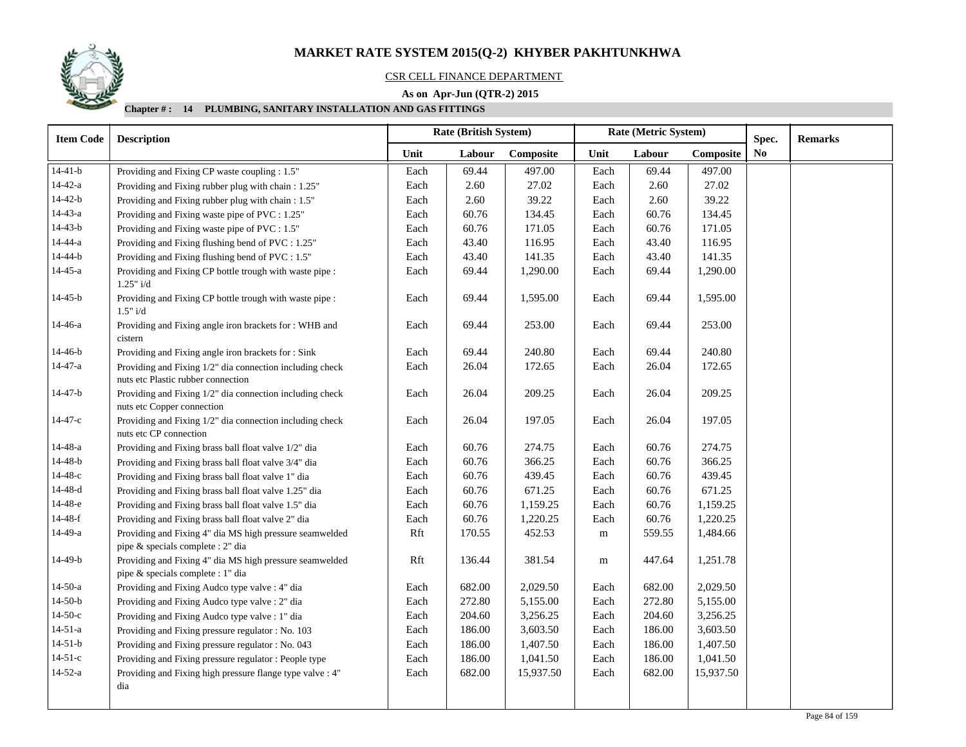

#### CSR CELL FINANCE DEPARTMENT

## **As on Apr-Jun (QTR-2) 2015**

| <b>Item Code</b> | <b>Rate (British System)</b><br><b>Description</b>                                           |      |        |           | Rate (Metric System) |        |           | Spec.          | <b>Remarks</b> |
|------------------|----------------------------------------------------------------------------------------------|------|--------|-----------|----------------------|--------|-----------|----------------|----------------|
|                  |                                                                                              | Unit | Labour | Composite | Unit                 | Labour | Composite | N <sub>0</sub> |                |
| $14-41-b$        | Providing and Fixing CP waste coupling : 1.5"                                                | Each | 69.44  | 497.00    | Each                 | 69.44  | 497.00    |                |                |
| $14 - 42 - a$    | Providing and Fixing rubber plug with chain: 1.25"                                           | Each | 2.60   | 27.02     | Each                 | 2.60   | 27.02     |                |                |
| $14 - 42 - b$    | Providing and Fixing rubber plug with chain: 1.5"                                            | Each | 2.60   | 39.22     | Each                 | 2.60   | 39.22     |                |                |
| $14 - 43 - a$    | Providing and Fixing waste pipe of PVC : 1.25"                                               | Each | 60.76  | 134.45    | Each                 | 60.76  | 134.45    |                |                |
| $14 - 43 - b$    | Providing and Fixing waste pipe of PVC : 1.5"                                                | Each | 60.76  | 171.05    | Each                 | 60.76  | 171.05    |                |                |
| $14 - 44 - a$    | Providing and Fixing flushing bend of PVC : 1.25"                                            | Each | 43.40  | 116.95    | Each                 | 43.40  | 116.95    |                |                |
| 14-44-b          | Providing and Fixing flushing bend of PVC : 1.5"                                             | Each | 43.40  | 141.35    | Each                 | 43.40  | 141.35    |                |                |
| $14 - 45 - a$    | Providing and Fixing CP bottle trough with waste pipe :<br>1.25" i/d                         | Each | 69.44  | 1,290.00  | Each                 | 69.44  | 1,290.00  |                |                |
| $14 - 45 - b$    | Providing and Fixing CP bottle trough with waste pipe :<br>1.5" i/d                          | Each | 69.44  | 1,595.00  | Each                 | 69.44  | 1,595.00  |                |                |
| 14-46-a          | Providing and Fixing angle iron brackets for : WHB and<br>cistern                            | Each | 69.44  | 253.00    | Each                 | 69.44  | 253.00    |                |                |
| $14 - 46 - b$    | Providing and Fixing angle iron brackets for : Sink                                          | Each | 69.44  | 240.80    | Each                 | 69.44  | 240.80    |                |                |
| $14 - 47 - a$    | Providing and Fixing 1/2" dia connection including check                                     | Each | 26.04  | 172.65    | Each                 | 26.04  | 172.65    |                |                |
|                  | nuts etc Plastic rubber connection                                                           |      |        |           |                      |        |           |                |                |
| $14 - 47 - b$    | Providing and Fixing 1/2" dia connection including check<br>nuts etc Copper connection       | Each | 26.04  | 209.25    | Each                 | 26.04  | 209.25    |                |                |
| 14-47-с          | Providing and Fixing 1/2" dia connection including check<br>nuts etc CP connection           | Each | 26.04  | 197.05    | Each                 | 26.04  | 197.05    |                |                |
| $14 - 48 - a$    | Providing and Fixing brass ball float valve 1/2" dia                                         | Each | 60.76  | 274.75    | Each                 | 60.76  | 274.75    |                |                |
| $14 - 48 - b$    | Providing and Fixing brass ball float valve 3/4" dia                                         | Each | 60.76  | 366.25    | Each                 | 60.76  | 366.25    |                |                |
| 14-48-с          | Providing and Fixing brass ball float valve 1" dia                                           | Each | 60.76  | 439.45    | Each                 | 60.76  | 439.45    |                |                |
| $14 - 48 - d$    | Providing and Fixing brass ball float valve 1.25" dia                                        | Each | 60.76  | 671.25    | Each                 | 60.76  | 671.25    |                |                |
| 14-48-е          | Providing and Fixing brass ball float valve 1.5" dia                                         | Each | 60.76  | 1,159.25  | Each                 | 60.76  | 1,159.25  |                |                |
| $14 - 48 - f$    | Providing and Fixing brass ball float valve 2" dia                                           | Each | 60.76  | 1,220.25  | Each                 | 60.76  | 1,220.25  |                |                |
| $14-49-a$        | Providing and Fixing 4" dia MS high pressure seamwelded<br>pipe & specials complete : 2" dia | Rft  | 170.55 | 452.53    | ${\bf m}$            | 559.55 | 1,484.66  |                |                |
| $14-49-b$        | Providing and Fixing 4" dia MS high pressure seamwelded<br>pipe & specials complete : 1" dia | Rft  | 136.44 | 381.54    | m                    | 447.64 | 1,251.78  |                |                |
| $14-50-a$        | Providing and Fixing Audco type valve : 4" dia                                               | Each | 682.00 | 2,029.50  | Each                 | 682.00 | 2,029.50  |                |                |
| $14-50-b$        | Providing and Fixing Audco type valve : 2" dia                                               | Each | 272.80 | 5,155.00  | Each                 | 272.80 | 5,155.00  |                |                |
| $14-50-c$        | Providing and Fixing Audco type valve : 1" dia                                               | Each | 204.60 | 3,256.25  | Each                 | 204.60 | 3,256.25  |                |                |
| $14 - 51 - a$    | Providing and Fixing pressure regulator : No. 103                                            | Each | 186.00 | 3,603.50  | Each                 | 186.00 | 3,603.50  |                |                |
| $14-51-b$        | Providing and Fixing pressure regulator : No. 043                                            | Each | 186.00 | 1,407.50  | Each                 | 186.00 | 1,407.50  |                |                |
| $14-51-c$        | Providing and Fixing pressure regulator : People type                                        | Each | 186.00 | 1,041.50  | Each                 | 186.00 | 1,041.50  |                |                |
| $14 - 52 - a$    | Providing and Fixing high pressure flange type valve : 4"                                    | Each | 682.00 | 15,937.50 | Each                 | 682.00 | 15,937.50 |                |                |
|                  | dia                                                                                          |      |        |           |                      |        |           |                |                |
|                  |                                                                                              |      |        |           |                      |        |           |                |                |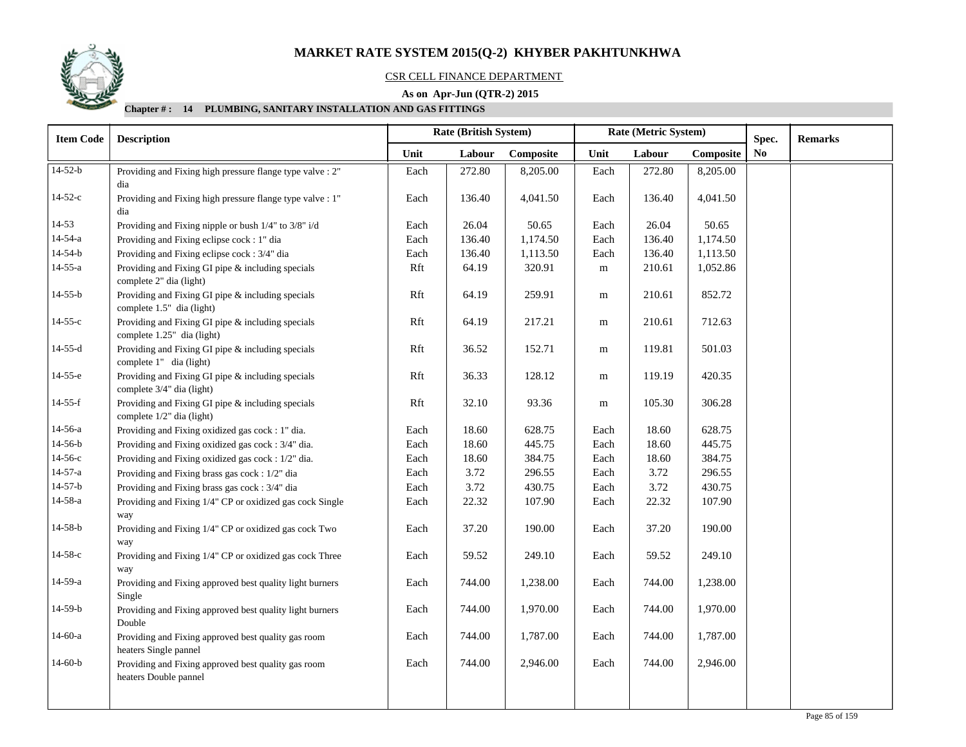

## CSR CELL FINANCE DEPARTMENT

## **As on Apr-Jun (QTR-2) 2015**

| <b>Item Code</b> | <b>Description</b>                                                              |      | <b>Rate (British System)</b> |           |           | Rate (Metric System) |           |                         | <b>Remarks</b> |
|------------------|---------------------------------------------------------------------------------|------|------------------------------|-----------|-----------|----------------------|-----------|-------------------------|----------------|
|                  |                                                                                 | Unit | Labour                       | Composite | Unit      | Labour               | Composite | Spec.<br>N <sub>0</sub> |                |
| $14 - 52 - b$    | Providing and Fixing high pressure flange type valve : 2"<br>dia                | Each | 272.80                       | 8,205.00  | Each      | 272.80               | 8,205.00  |                         |                |
| $14-52-c$        | Providing and Fixing high pressure flange type valve : 1"<br>dia                | Each | 136.40                       | 4,041.50  | Each      | 136.40               | 4,041.50  |                         |                |
| $14 - 53$        | Providing and Fixing nipple or bush 1/4" to 3/8" i/d                            | Each | 26.04                        | 50.65     | Each      | 26.04                | 50.65     |                         |                |
| $14 - 54 - a$    | Providing and Fixing eclipse cock : 1" dia                                      | Each | 136.40                       | 1,174.50  | Each      | 136.40               | 1,174.50  |                         |                |
| $14 - 54 - b$    | Providing and Fixing eclipse cock: 3/4" dia                                     | Each | 136.40                       | 1,113.50  | Each      | 136.40               | 1,113.50  |                         |                |
| $14 - 55 - a$    | Providing and Fixing GI pipe & including specials<br>complete 2" dia (light)    | Rft  | 64.19                        | 320.91    | m         | 210.61               | 1,052.86  |                         |                |
| $14 - 55 - b$    | Providing and Fixing GI pipe & including specials<br>complete 1.5" dia (light)  | Rft  | 64.19                        | 259.91    | m         | 210.61               | 852.72    |                         |                |
| $14 - 55 - c$    | Providing and Fixing GI pipe & including specials<br>complete 1.25" dia (light) | Rft  | 64.19                        | 217.21    | ${\bf m}$ | 210.61               | 712.63    |                         |                |
| $14 - 55 - d$    | Providing and Fixing GI pipe & including specials<br>complete 1" dia (light)    | Rft  | 36.52                        | 152.71    | ${\rm m}$ | 119.81               | 501.03    |                         |                |
| $14-55-e$        | Providing and Fixing GI pipe & including specials<br>complete 3/4" dia (light)  | Rft  | 36.33                        | 128.12    | m         | 119.19               | 420.35    |                         |                |
| $14-55-f$        | Providing and Fixing GI pipe & including specials<br>complete 1/2" dia (light)  | Rft  | 32.10                        | 93.36     | ${\bf m}$ | 105.30               | 306.28    |                         |                |
| 14-56-a          | Providing and Fixing oxidized gas cock: 1" dia.                                 | Each | 18.60                        | 628.75    | Each      | 18.60                | 628.75    |                         |                |
| $14 - 56 - b$    | Providing and Fixing oxidized gas cock: 3/4" dia.                               | Each | 18.60                        | 445.75    | Each      | 18.60                | 445.75    |                         |                |
| $14 - 56 - c$    | Providing and Fixing oxidized gas cock : 1/2" dia.                              | Each | 18.60                        | 384.75    | Each      | 18.60                | 384.75    |                         |                |
| $14 - 57 - a$    | Providing and Fixing brass gas cock : 1/2" dia                                  | Each | 3.72                         | 296.55    | Each      | 3.72                 | 296.55    |                         |                |
| $14 - 57 - b$    | Providing and Fixing brass gas cock: 3/4" dia                                   | Each | 3.72                         | 430.75    | Each      | 3.72                 | 430.75    |                         |                |
| $14 - 58 - a$    | Providing and Fixing 1/4" CP or oxidized gas cock Single<br>way                 | Each | 22.32                        | 107.90    | Each      | 22.32                | 107.90    |                         |                |
| $14-58-b$        | Providing and Fixing 1/4" CP or oxidized gas cock Two<br>way                    | Each | 37.20                        | 190.00    | Each      | 37.20                | 190.00    |                         |                |
| $14 - 58 - c$    | Providing and Fixing 1/4" CP or oxidized gas cock Three<br>way                  | Each | 59.52                        | 249.10    | Each      | 59.52                | 249.10    |                         |                |
| 14-59-a          | Providing and Fixing approved best quality light burners<br>Single              | Each | 744.00                       | 1,238.00  | Each      | 744.00               | 1,238.00  |                         |                |
| $14-59-b$        | Providing and Fixing approved best quality light burners<br>Double              | Each | 744.00                       | 1,970.00  | Each      | 744.00               | 1,970.00  |                         |                |
| 14-60-a          | Providing and Fixing approved best quality gas room<br>heaters Single pannel    | Each | 744.00                       | 1,787.00  | Each      | 744.00               | 1,787.00  |                         |                |
| $14-60-b$        | Providing and Fixing approved best quality gas room<br>heaters Double pannel    | Each | 744.00                       | 2,946.00  | Each      | 744.00               | 2,946.00  |                         |                |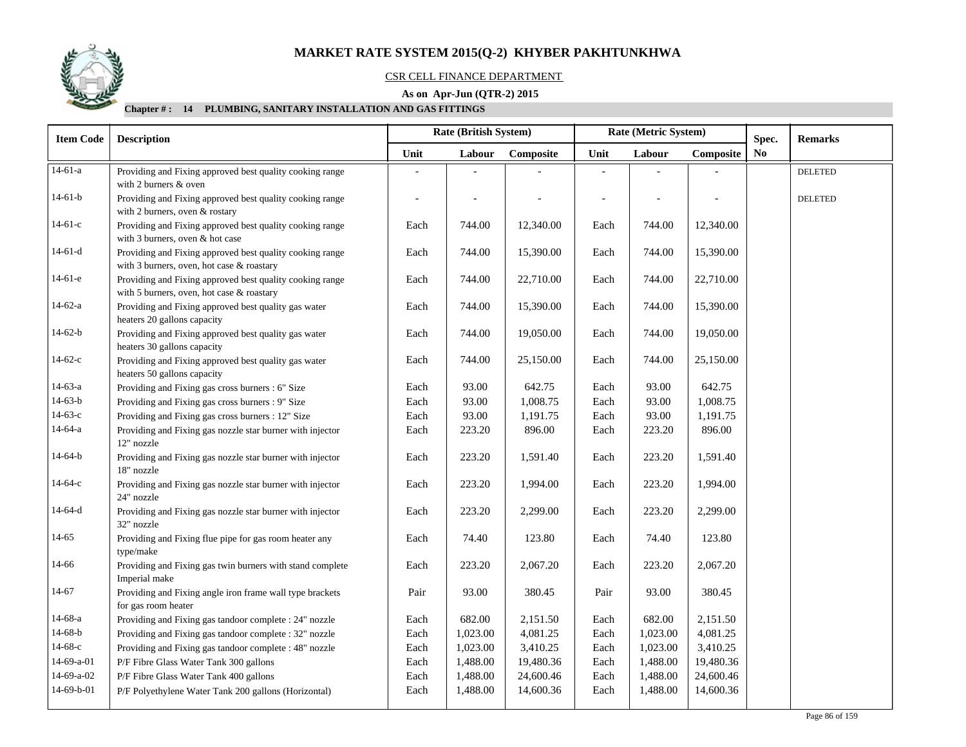

## CSR CELL FINANCE DEPARTMENT

## **As on Apr-Jun (QTR-2) 2015**

| <b>Remarks</b><br>Spec.<br>N <sub>0</sub><br><b>DELETED</b><br><b>DELETED</b> |
|-------------------------------------------------------------------------------|
|                                                                               |
|                                                                               |
|                                                                               |
|                                                                               |
|                                                                               |
|                                                                               |
|                                                                               |
|                                                                               |
|                                                                               |
|                                                                               |
|                                                                               |
|                                                                               |
|                                                                               |
|                                                                               |
|                                                                               |
|                                                                               |
|                                                                               |
|                                                                               |
|                                                                               |
|                                                                               |
|                                                                               |
|                                                                               |
|                                                                               |
|                                                                               |
|                                                                               |
|                                                                               |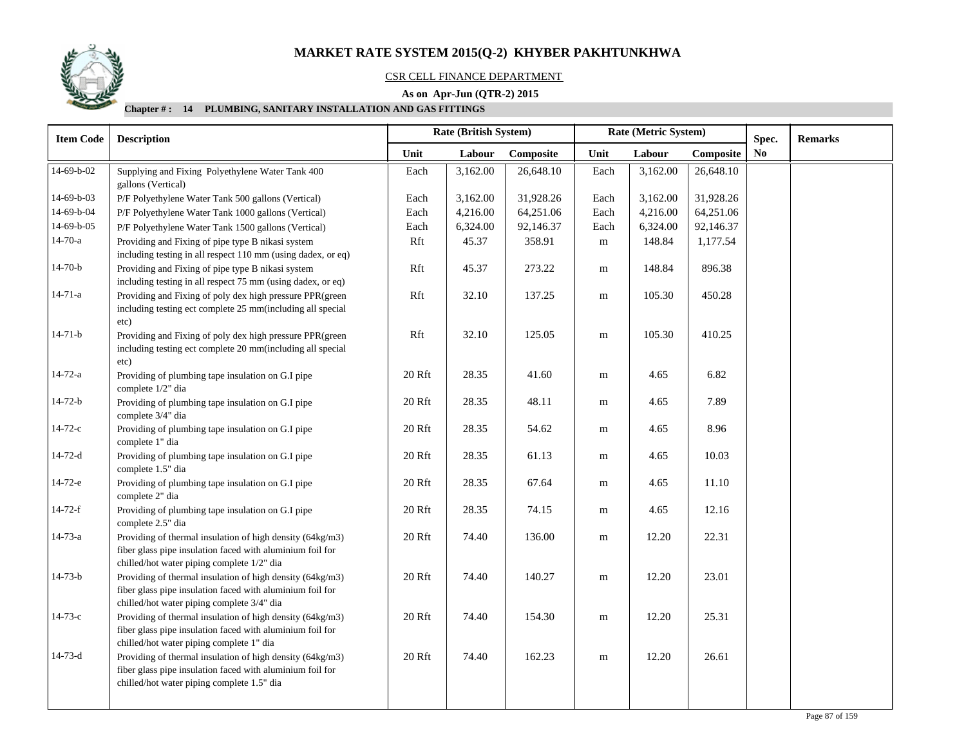

## CSR CELL FINANCE DEPARTMENT

## **As on Apr-Jun (QTR-2) 2015**

| <b>Item Code</b> | <b>Description</b>                                                                                                                                                   | Rate (British System) |          |           |           | Rate (Metric System) |           | Spec.          | <b>Remarks</b> |
|------------------|----------------------------------------------------------------------------------------------------------------------------------------------------------------------|-----------------------|----------|-----------|-----------|----------------------|-----------|----------------|----------------|
|                  |                                                                                                                                                                      | Unit                  | Labour   | Composite | Unit      | Labour               | Composite | N <sub>0</sub> |                |
| 14-69-b-02       | Supplying and Fixing Polyethylene Water Tank 400<br>gallons (Vertical)                                                                                               | Each                  | 3,162.00 | 26,648.10 | Each      | 3,162.00             | 26,648.10 |                |                |
| 14-69-b-03       | P/F Polyethylene Water Tank 500 gallons (Vertical)                                                                                                                   | Each                  | 3,162.00 | 31,928.26 | Each      | 3,162.00             | 31,928.26 |                |                |
| 14-69-b-04       | P/F Polyethylene Water Tank 1000 gallons (Vertical)                                                                                                                  | Each                  | 4,216.00 | 64,251.06 | Each      | 4,216.00             | 64,251.06 |                |                |
| 14-69-b-05       | P/F Polyethylene Water Tank 1500 gallons (Vertical)                                                                                                                  | Each                  | 6,324.00 | 92,146.37 | Each      | 6,324.00             | 92,146.37 |                |                |
| $14-70-a$        | Providing and Fixing of pipe type B nikasi system<br>including testing in all respect 110 mm (using dadex, or eq)                                                    | Rft                   | 45.37    | 358.91    | ${\bf m}$ | 148.84               | 1,177.54  |                |                |
| $14-70-b$        | Providing and Fixing of pipe type B nikasi system<br>including testing in all respect 75 mm (using dadex, or eq)                                                     | Rft                   | 45.37    | 273.22    | ${\bf m}$ | 148.84               | 896.38    |                |                |
| $14 - 71 - a$    | Providing and Fixing of poly dex high pressure PPR(green<br>including testing ect complete 25 mm(including all special<br>etc)                                       | Rft                   | 32.10    | 137.25    | ${\bf m}$ | 105.30               | 450.28    |                |                |
| $14 - 71 - b$    | Providing and Fixing of poly dex high pressure PPR (green<br>including testing ect complete 20 mm(including all special<br>etc)                                      | Rft                   | 32.10    | 125.05    | ${\bf m}$ | 105.30               | 410.25    |                |                |
| $14 - 72 - a$    | Providing of plumbing tape insulation on G.I pipe<br>complete 1/2" dia                                                                                               | 20 Rft                | 28.35    | 41.60     | m         | 4.65                 | 6.82      |                |                |
| $14 - 72 - b$    | Providing of plumbing tape insulation on G.I pipe<br>complete 3/4" dia                                                                                               | 20 Rft                | 28.35    | 48.11     | m         | 4.65                 | 7.89      |                |                |
| $14 - 72 - c$    | Providing of plumbing tape insulation on G.I pipe<br>complete 1" dia                                                                                                 | 20 Rft                | 28.35    | 54.62     | m         | 4.65                 | 8.96      |                |                |
| $14 - 72 - d$    | Providing of plumbing tape insulation on G.I pipe<br>complete 1.5" dia                                                                                               | 20 Rft                | 28.35    | 61.13     | m         | 4.65                 | 10.03     |                |                |
| $14-72-e$        | Providing of plumbing tape insulation on G.I pipe<br>complete 2" dia                                                                                                 | 20 Rft                | 28.35    | 67.64     | m         | 4.65                 | 11.10     |                |                |
| $14 - 72 - f$    | Providing of plumbing tape insulation on G.I pipe<br>complete 2.5" dia                                                                                               | 20 Rft                | 28.35    | 74.15     | m         | 4.65                 | 12.16     |                |                |
| 14-73-a          | Providing of thermal insulation of high density (64kg/m3)<br>fiber glass pipe insulation faced with aluminium foil for<br>chilled/hot water piping complete 1/2" dia | 20Rft                 | 74.40    | 136.00    | m         | 12.20                | 22.31     |                |                |
| $14 - 73 - b$    | Providing of thermal insulation of high density (64kg/m3)<br>fiber glass pipe insulation faced with aluminium foil for<br>chilled/hot water piping complete 3/4" dia | 20 Rft                | 74.40    | 140.27    | ${\bf m}$ | 12.20                | 23.01     |                |                |
| $14 - 73 - c$    | Providing of thermal insulation of high density (64kg/m3)<br>fiber glass pipe insulation faced with aluminium foil for<br>chilled/hot water piping complete 1" dia   | 20 Rft                | 74.40    | 154.30    | ${\bf m}$ | 12.20                | 25.31     |                |                |
| $14 - 73 - d$    | Providing of thermal insulation of high density (64kg/m3)<br>fiber glass pipe insulation faced with aluminium foil for<br>chilled/hot water piping complete 1.5" dia | 20Rft                 | 74.40    | 162.23    | ${\bf m}$ | 12.20                | 26.61     |                |                |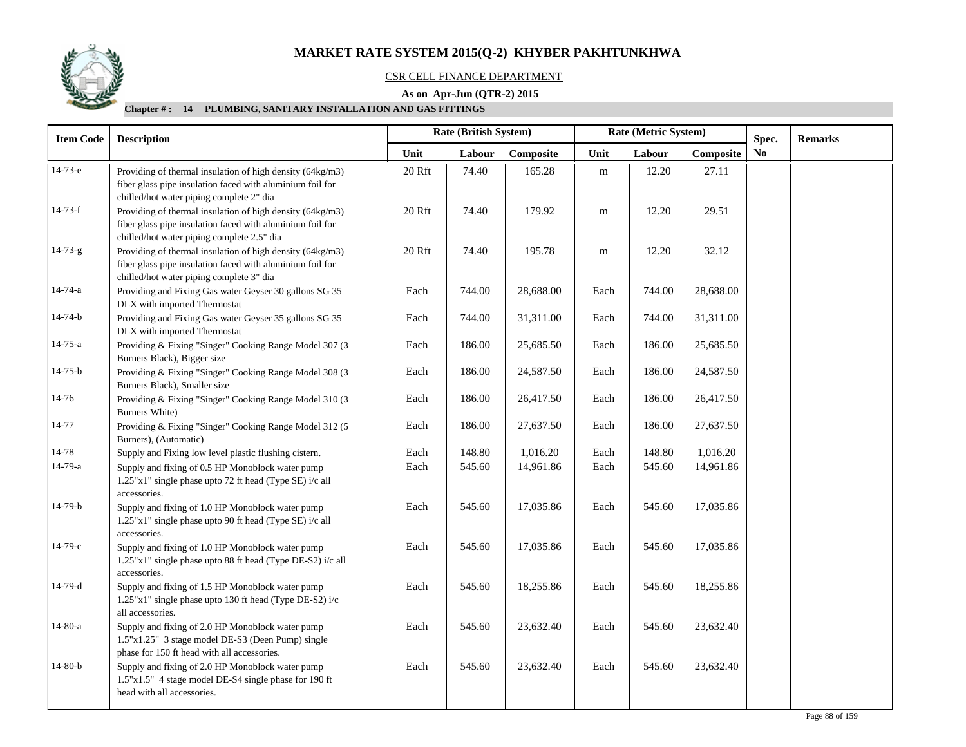

## CSR CELL FINANCE DEPARTMENT

## **As on Apr-Jun (QTR-2) 2015**

| <b>Item Code</b> | <b>Description</b>                                         | Rate (British System) |        |           |           | Rate (Metric System) |           | Spec. | <b>Remarks</b> |
|------------------|------------------------------------------------------------|-----------------------|--------|-----------|-----------|----------------------|-----------|-------|----------------|
|                  |                                                            | Unit                  | Labour | Composite | Unit      | Labour               | Composite | No    |                |
| $14-73-e$        | Providing of thermal insulation of high density (64kg/m3)  | 20 Rft                | 74.40  | 165.28    | ${\bf m}$ | 12.20                | 27.11     |       |                |
|                  | fiber glass pipe insulation faced with aluminium foil for  |                       |        |           |           |                      |           |       |                |
|                  | chilled/hot water piping complete 2" dia                   |                       |        |           |           |                      |           |       |                |
| $14 - 73 - f$    | Providing of thermal insulation of high density (64kg/m3)  | 20 Rft                | 74.40  | 179.92    | m         | 12.20                | 29.51     |       |                |
|                  | fiber glass pipe insulation faced with aluminium foil for  |                       |        |           |           |                      |           |       |                |
|                  | chilled/hot water piping complete 2.5" dia                 |                       |        |           |           |                      |           |       |                |
| $14 - 73 - g$    | Providing of thermal insulation of high density (64kg/m3)  | 20 Rft                | 74.40  | 195.78    | ${\bf m}$ | 12.20                | 32.12     |       |                |
|                  | fiber glass pipe insulation faced with aluminium foil for  |                       |        |           |           |                      |           |       |                |
|                  | chilled/hot water piping complete 3" dia                   |                       |        |           |           |                      |           |       |                |
| 14-74-a          | Providing and Fixing Gas water Geyser 30 gallons SG 35     | Each                  | 744.00 | 28,688.00 | Each      | 744.00               | 28,688.00 |       |                |
|                  | DLX with imported Thermostat                               |                       |        |           |           |                      |           |       |                |
| $14 - 74 - b$    | Providing and Fixing Gas water Geyser 35 gallons SG 35     | Each                  | 744.00 | 31,311.00 | Each      | 744.00               | 31,311.00 |       |                |
|                  | DLX with imported Thermostat                               |                       |        |           |           |                      |           |       |                |
| $14 - 75 - a$    | Providing & Fixing "Singer" Cooking Range Model 307 (3     | Each                  | 186.00 | 25,685.50 | Each      | 186.00               | 25,685.50 |       |                |
|                  | Burners Black), Bigger size                                |                       |        |           |           |                      |           |       |                |
| $14 - 75 - b$    | Providing & Fixing "Singer" Cooking Range Model 308 (3     | Each                  | 186.00 | 24,587.50 | Each      | 186.00               | 24,587.50 |       |                |
|                  | Burners Black), Smaller size                               |                       |        |           |           |                      |           |       |                |
| 14-76            | Providing & Fixing "Singer" Cooking Range Model 310 (3     | Each                  | 186.00 | 26,417.50 | Each      | 186.00               | 26,417.50 |       |                |
|                  | Burners White)                                             |                       |        |           |           |                      |           |       |                |
| 14-77            | Providing & Fixing "Singer" Cooking Range Model 312 (5     | Each                  | 186.00 | 27,637.50 | Each      | 186.00               | 27,637.50 |       |                |
|                  | Burners), (Automatic)                                      |                       |        |           |           |                      |           |       |                |
| 14-78            | Supply and Fixing low level plastic flushing cistern.      | Each                  | 148.80 | 1,016.20  | Each      | 148.80               | 1,016.20  |       |                |
| 14-79-a          | Supply and fixing of 0.5 HP Monoblock water pump           | Each                  | 545.60 | 14,961.86 | Each      | 545.60               | 14,961.86 |       |                |
|                  | 1.25"x1" single phase upto 72 ft head (Type SE) i/c all    |                       |        |           |           |                      |           |       |                |
|                  | accessories.                                               |                       |        |           |           |                      |           |       |                |
| 14-79-b          | Supply and fixing of 1.0 HP Monoblock water pump           | Each                  | 545.60 | 17,035.86 | Each      | 545.60               | 17,035.86 |       |                |
|                  | 1.25"x1" single phase upto 90 ft head (Type SE) i/c all    |                       |        |           |           |                      |           |       |                |
|                  | accessories.                                               |                       |        |           |           |                      |           |       |                |
| $14-79-c$        | Supply and fixing of 1.0 HP Monoblock water pump           | Each                  | 545.60 | 17,035.86 | Each      | 545.60               | 17,035.86 |       |                |
|                  | 1.25"x1" single phase upto 88 ft head (Type DE-S2) i/c all |                       |        |           |           |                      |           |       |                |
|                  | accessories.                                               |                       |        |           |           |                      |           |       |                |
| 14-79-d          | Supply and fixing of 1.5 HP Monoblock water pump           | Each                  | 545.60 | 18,255.86 | Each      | 545.60               | 18,255.86 |       |                |
|                  | 1.25"x1" single phase upto 130 ft head (Type DE-S2) i/c    |                       |        |           |           |                      |           |       |                |
|                  | all accessories.                                           |                       |        |           |           |                      |           |       |                |
| 14-80-a          | Supply and fixing of 2.0 HP Monoblock water pump           | Each                  | 545.60 | 23,632.40 | Each      | 545.60               | 23,632.40 |       |                |
|                  | 1.5"x1.25" 3 stage model DE-S3 (Deen Pump) single          |                       |        |           |           |                      |           |       |                |
|                  | phase for 150 ft head with all accessories.                |                       |        |           |           |                      |           |       |                |
| $14-80-b$        | Supply and fixing of 2.0 HP Monoblock water pump           | Each                  | 545.60 | 23,632.40 | Each      | 545.60               | 23,632.40 |       |                |
|                  | 1.5"x1.5" 4 stage model DE-S4 single phase for 190 ft      |                       |        |           |           |                      |           |       |                |
|                  | head with all accessories.                                 |                       |        |           |           |                      |           |       |                |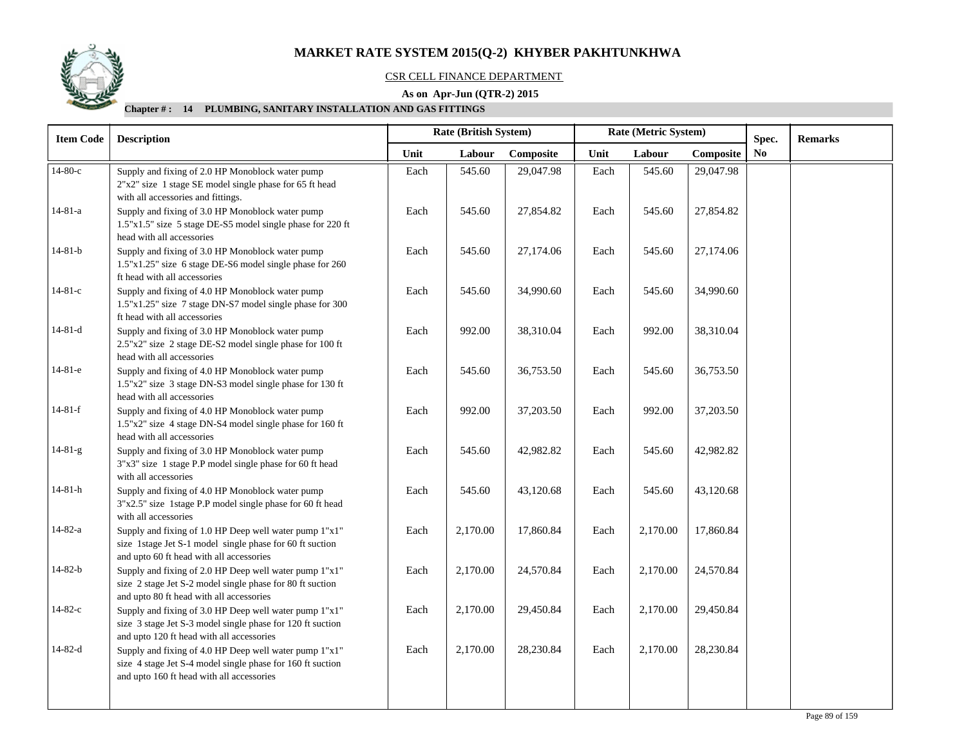

## CSR CELL FINANCE DEPARTMENT

## **As on Apr-Jun (QTR-2) 2015**

| <b>Item Code</b> | <b>Description</b>                                                                                                                                                |      | Rate (British System) |           |      | Rate (Metric System) |           | Spec.          | <b>Remarks</b> |
|------------------|-------------------------------------------------------------------------------------------------------------------------------------------------------------------|------|-----------------------|-----------|------|----------------------|-----------|----------------|----------------|
|                  |                                                                                                                                                                   | Unit | Labour                | Composite | Unit | Labour               | Composite | N <sub>0</sub> |                |
| $14-80-c$        | Supply and fixing of 2.0 HP Monoblock water pump<br>2"x2" size 1 stage SE model single phase for 65 ft head<br>with all accessories and fittings.                 | Each | 545.60                | 29,047.98 | Each | 545.60               | 29,047.98 |                |                |
| $14 - 81 - a$    | Supply and fixing of 3.0 HP Monoblock water pump<br>1.5"x1.5" size 5 stage DE-S5 model single phase for 220 ft<br>head with all accessories                       | Each | 545.60                | 27,854.82 | Each | 545.60               | 27,854.82 |                |                |
| $14 - 81 - b$    | Supply and fixing of 3.0 HP Monoblock water pump<br>1.5"x1.25" size 6 stage DE-S6 model single phase for 260<br>ft head with all accessories                      | Each | 545.60                | 27,174.06 | Each | 545.60               | 27,174.06 |                |                |
| $14 - 81 - c$    | Supply and fixing of 4.0 HP Monoblock water pump<br>1.5"x1.25" size 7 stage DN-S7 model single phase for 300<br>ft head with all accessories                      | Each | 545.60                | 34,990.60 | Each | 545.60               | 34,990.60 |                |                |
| $14 - 81 - d$    | Supply and fixing of 3.0 HP Monoblock water pump<br>2.5"x2" size 2 stage DE-S2 model single phase for 100 ft<br>head with all accessories                         | Each | 992.00                | 38,310.04 | Each | 992.00               | 38,310.04 |                |                |
| 14-81-е          | Supply and fixing of 4.0 HP Monoblock water pump<br>1.5"x2" size 3 stage DN-S3 model single phase for 130 ft<br>head with all accessories                         | Each | 545.60                | 36,753.50 | Each | 545.60               | 36,753.50 |                |                |
| $14-81-f$        | Supply and fixing of 4.0 HP Monoblock water pump<br>1.5"x2" size 4 stage DN-S4 model single phase for 160 ft<br>head with all accessories                         | Each | 992.00                | 37,203.50 | Each | 992.00               | 37,203.50 |                |                |
| $14-81-g$        | Supply and fixing of 3.0 HP Monoblock water pump<br>3"x3" size 1 stage P.P model single phase for 60 ft head<br>with all accessories                              | Each | 545.60                | 42,982.82 | Each | 545.60               | 42,982.82 |                |                |
| $14 - 81 - h$    | Supply and fixing of 4.0 HP Monoblock water pump<br>3"x2.5" size 1stage P.P model single phase for 60 ft head<br>with all accessories                             | Each | 545.60                | 43,120.68 | Each | 545.60               | 43,120.68 |                |                |
| 14-82-a          | Supply and fixing of 1.0 HP Deep well water pump 1"x1"<br>size 1stage Jet S-1 model single phase for 60 ft suction<br>and upto 60 ft head with all accessories    | Each | 2,170.00              | 17,860.84 | Each | 2,170.00             | 17,860.84 |                |                |
| 14-82-b          | Supply and fixing of 2.0 HP Deep well water pump 1"x1"<br>size 2 stage Jet S-2 model single phase for 80 ft suction<br>and upto 80 ft head with all accessories   | Each | 2,170.00              | 24,570.84 | Each | 2,170.00             | 24,570.84 |                |                |
| $14 - 82 - c$    | Supply and fixing of 3.0 HP Deep well water pump 1"x1"<br>size 3 stage Jet S-3 model single phase for 120 ft suction<br>and upto 120 ft head with all accessories | Each | 2,170.00              | 29,450.84 | Each | 2,170.00             | 29,450.84 |                |                |
| $14 - 82 - d$    | Supply and fixing of 4.0 HP Deep well water pump 1"x1"<br>size 4 stage Jet S-4 model single phase for 160 ft suction<br>and upto 160 ft head with all accessories | Each | 2,170.00              | 28,230.84 | Each | 2,170.00             | 28,230.84 |                |                |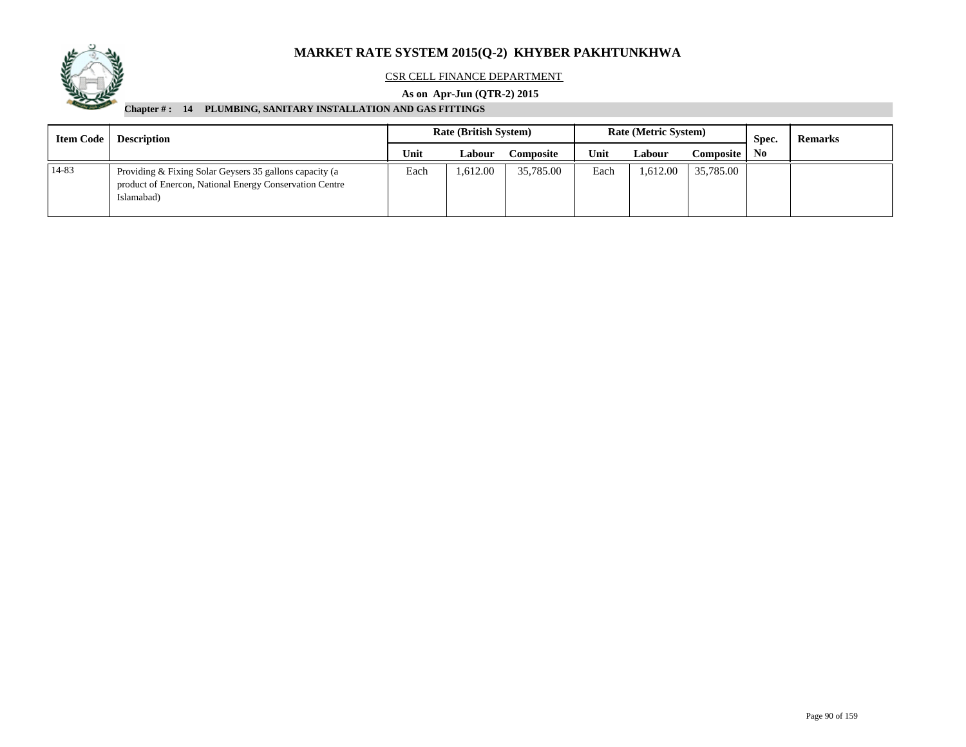

## CSR CELL FINANCE DEPARTMENT

## **As on Apr-Jun (QTR-2) 2015**

| <b>Item Code</b><br><b>Description</b> |                                                                                                                                  | <b>Rate (British System)</b> |               |                  |      | <b>Rate (Metric System)</b> |            | Spec.          | <b>Remarks</b> |
|----------------------------------------|----------------------------------------------------------------------------------------------------------------------------------|------------------------------|---------------|------------------|------|-----------------------------|------------|----------------|----------------|
|                                        |                                                                                                                                  | Unit                         | <b>Labour</b> | <b>Composite</b> | Unit | Labour                      | Composite. | N <sub>0</sub> |                |
| 14-83                                  | Providing & Fixing Solar Geysers 35 gallons capacity (a<br>product of Enercon, National Energy Conservation Centre<br>Islamabad) | Each                         | .612.00       | 35,785.00        | Each | 1,612.00                    | 35,785.00  |                |                |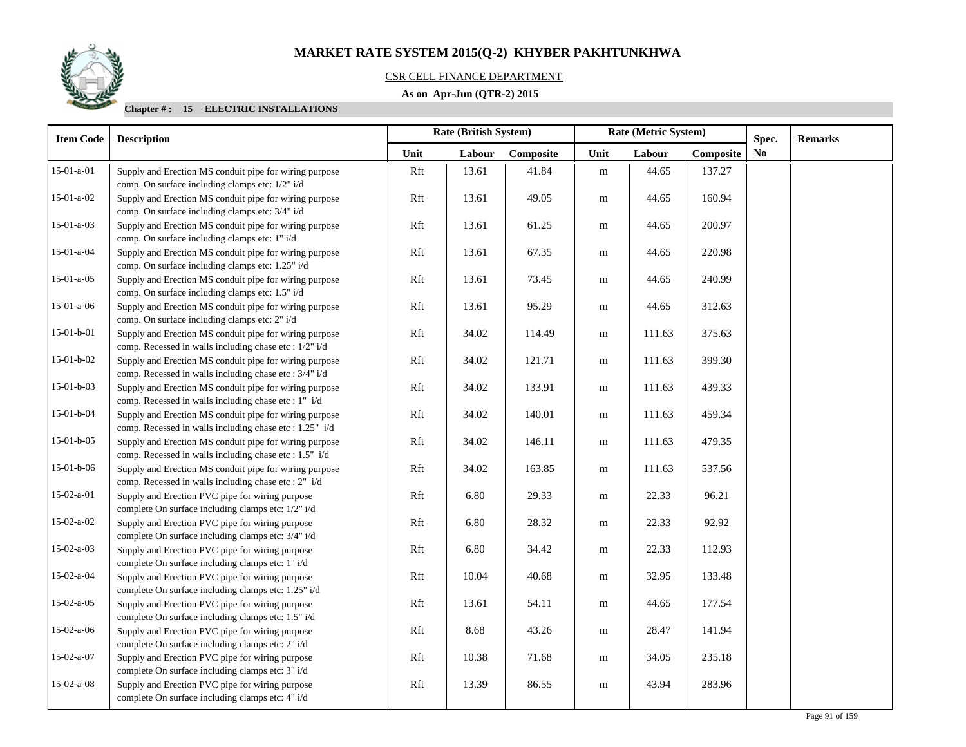## CSR CELL FINANCE DEPARTMENT

## **As on Apr-Jun (QTR-2) 2015**

| <b>Item Code</b> | <b>Description</b>                                                                                                | <b>Rate (British System)</b> |        |           |           | Rate (Metric System) |           | Spec. | <b>Remarks</b> |
|------------------|-------------------------------------------------------------------------------------------------------------------|------------------------------|--------|-----------|-----------|----------------------|-----------|-------|----------------|
|                  |                                                                                                                   | Unit                         | Labour | Composite | Unit      | Labour               | Composite | No    |                |
| 15-01-a-01       | Supply and Erection MS conduit pipe for wiring purpose<br>comp. On surface including clamps etc: 1/2" i/d         | Rft                          | 13.61  | 41.84     | ${\bf m}$ | 44.65                | 137.27    |       |                |
| $15-01-a-02$     | Supply and Erection MS conduit pipe for wiring purpose<br>comp. On surface including clamps etc: 3/4" i/d         | Rft                          | 13.61  | 49.05     | m         | 44.65                | 160.94    |       |                |
| $15-01-a-03$     | Supply and Erection MS conduit pipe for wiring purpose<br>comp. On surface including clamps etc: 1" i/d           | Rft                          | 13.61  | 61.25     | ${\bf m}$ | 44.65                | 200.97    |       |                |
| 15-01-a-04       | Supply and Erection MS conduit pipe for wiring purpose<br>comp. On surface including clamps etc: 1.25" i/d        | Rft                          | 13.61  | 67.35     | m         | 44.65                | 220.98    |       |                |
| $15-01-a-05$     | Supply and Erection MS conduit pipe for wiring purpose<br>comp. On surface including clamps etc: 1.5" i/d         | Rft                          | 13.61  | 73.45     | m         | 44.65                | 240.99    |       |                |
| $15-01-a-06$     | Supply and Erection MS conduit pipe for wiring purpose<br>comp. On surface including clamps etc: 2" i/d           | Rft                          | 13.61  | 95.29     | m         | 44.65                | 312.63    |       |                |
| $15-01-b-01$     | Supply and Erection MS conduit pipe for wiring purpose<br>comp. Recessed in walls including chase etc : 1/2" i/d  | Rft                          | 34.02  | 114.49    | m         | 111.63               | 375.63    |       |                |
| 15-01-b-02       | Supply and Erection MS conduit pipe for wiring purpose<br>comp. Recessed in walls including chase etc : 3/4" i/d  | Rft                          | 34.02  | 121.71    | m         | 111.63               | 399.30    |       |                |
| $15-01-b-03$     | Supply and Erection MS conduit pipe for wiring purpose<br>comp. Recessed in walls including chase etc : 1" i/d    | Rft                          | 34.02  | 133.91    | m         | 111.63               | 439.33    |       |                |
| 15-01-b-04       | Supply and Erection MS conduit pipe for wiring purpose<br>comp. Recessed in walls including chase etc : 1.25" i/d | Rft                          | 34.02  | 140.01    | m         | 111.63               | 459.34    |       |                |
| $15-01-b-05$     | Supply and Erection MS conduit pipe for wiring purpose<br>comp. Recessed in walls including chase etc : 1.5" i/d  | Rft                          | 34.02  | 146.11    | ${\bf m}$ | 111.63               | 479.35    |       |                |
| $15-01-b-06$     | Supply and Erection MS conduit pipe for wiring purpose<br>comp. Recessed in walls including chase etc : 2" i/d    | Rft                          | 34.02  | 163.85    | ${\bf m}$ | 111.63               | 537.56    |       |                |
| 15-02-a-01       | Supply and Erection PVC pipe for wiring purpose<br>complete On surface including clamps etc: 1/2" i/d             | Rft                          | 6.80   | 29.33     | m         | 22.33                | 96.21     |       |                |
| $15-02-a-02$     | Supply and Erection PVC pipe for wiring purpose<br>complete On surface including clamps etc: 3/4" i/d             | Rft                          | 6.80   | 28.32     | ${\bf m}$ | 22.33                | 92.92     |       |                |
| $15-02-a-03$     | Supply and Erection PVC pipe for wiring purpose<br>complete On surface including clamps etc: 1" i/d               | Rft                          | 6.80   | 34.42     | m         | 22.33                | 112.93    |       |                |
| 15-02-a-04       | Supply and Erection PVC pipe for wiring purpose<br>complete On surface including clamps etc: 1.25" i/d            | Rft                          | 10.04  | 40.68     | m         | 32.95                | 133.48    |       |                |
| $15-02-a-05$     | Supply and Erection PVC pipe for wiring purpose<br>complete On surface including clamps etc: 1.5" i/d             | Rft                          | 13.61  | 54.11     | m         | 44.65                | 177.54    |       |                |
| $15-02-a-06$     | Supply and Erection PVC pipe for wiring purpose<br>complete On surface including clamps etc: 2" i/d               | Rft                          | 8.68   | 43.26     | m         | 28.47                | 141.94    |       |                |
| 15-02-a-07       | Supply and Erection PVC pipe for wiring purpose<br>complete On surface including clamps etc: 3" i/d               | Rft                          | 10.38  | 71.68     | m         | 34.05                | 235.18    |       |                |
| $15-02-a-08$     | Supply and Erection PVC pipe for wiring purpose<br>complete On surface including clamps etc: 4" i/d               | Rft                          | 13.39  | 86.55     | m         | 43.94                | 283.96    |       |                |

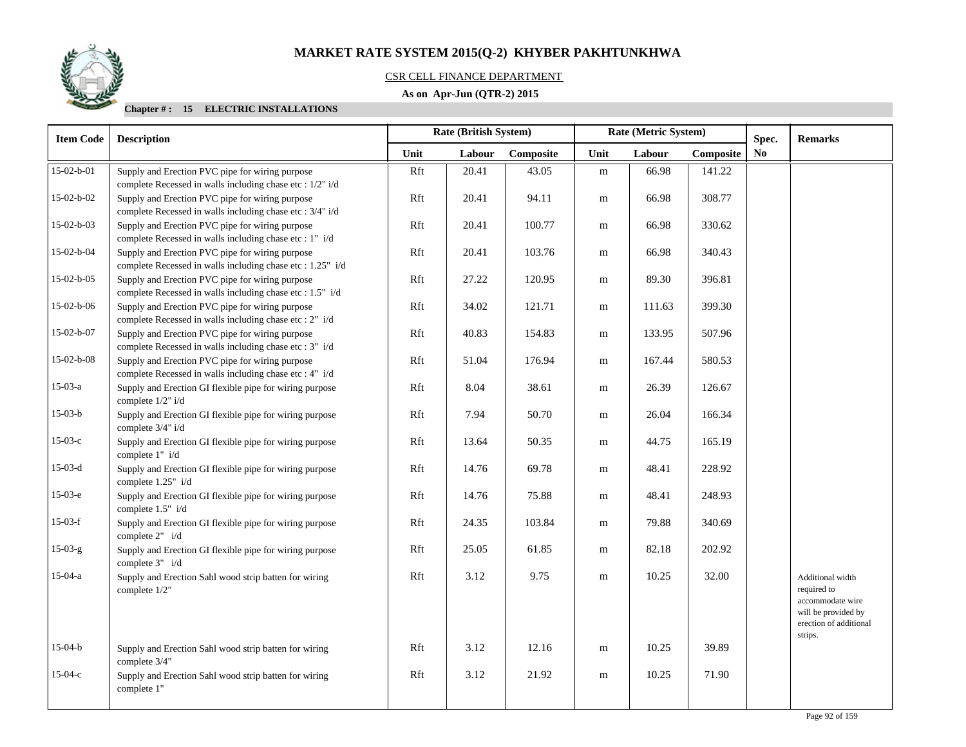## CSR CELL FINANCE DEPARTMENT

## **As on Apr-Jun (QTR-2) 2015**

| <b>Item Code</b> | <b>Description</b>                                                                                            | Rate (British System) |        |           |      | Rate (Metric System) |           | Spec.                  | <b>Remarks</b>                                                                                                  |
|------------------|---------------------------------------------------------------------------------------------------------------|-----------------------|--------|-----------|------|----------------------|-----------|------------------------|-----------------------------------------------------------------------------------------------------------------|
|                  |                                                                                                               | Unit                  | Labour | Composite | Unit | Labour               | Composite | $\mathbf{N}\mathbf{o}$ |                                                                                                                 |
| $15-02-b-01$     | Supply and Erection PVC pipe for wiring purpose<br>complete Recessed in walls including chase etc : 1/2" i/d  | Rft                   | 20.41  | 43.05     | m    | 66.98                | 141.22    |                        |                                                                                                                 |
| 15-02-b-02       | Supply and Erection PVC pipe for wiring purpose<br>complete Recessed in walls including chase etc : 3/4" i/d  | Rft                   | 20.41  | 94.11     | m    | 66.98                | 308.77    |                        |                                                                                                                 |
| $15-02-b-03$     | Supply and Erection PVC pipe for wiring purpose<br>complete Recessed in walls including chase etc : 1" i/d    | Rft                   | 20.41  | 100.77    | m    | 66.98                | 330.62    |                        |                                                                                                                 |
| $15-02-b-04$     | Supply and Erection PVC pipe for wiring purpose<br>complete Recessed in walls including chase etc : 1.25" i/d | Rft                   | 20.41  | 103.76    | m    | 66.98                | 340.43    |                        |                                                                                                                 |
| $15-02-b-05$     | Supply and Erection PVC pipe for wiring purpose<br>complete Recessed in walls including chase etc : 1.5" i/d  | Rft                   | 27.22  | 120.95    | m    | 89.30                | 396.81    |                        |                                                                                                                 |
| 15-02-b-06       | Supply and Erection PVC pipe for wiring purpose<br>complete Recessed in walls including chase etc : 2" i/d    | Rft                   | 34.02  | 121.71    | m    | 111.63               | 399.30    |                        |                                                                                                                 |
| 15-02-b-07       | Supply and Erection PVC pipe for wiring purpose<br>complete Recessed in walls including chase etc : 3" i/d    | Rft                   | 40.83  | 154.83    | m    | 133.95               | 507.96    |                        |                                                                                                                 |
| $15-02-b-08$     | Supply and Erection PVC pipe for wiring purpose<br>complete Recessed in walls including chase etc : 4" i/d    | Rft                   | 51.04  | 176.94    | m    | 167.44               | 580.53    |                        |                                                                                                                 |
| $15-03-a$        | Supply and Erection GI flexible pipe for wiring purpose<br>complete 1/2" i/d                                  | Rft                   | 8.04   | 38.61     | m    | 26.39                | 126.67    |                        |                                                                                                                 |
| $15-03-b$        | Supply and Erection GI flexible pipe for wiring purpose<br>complete 3/4" i/d                                  | Rft                   | 7.94   | 50.70     | m    | 26.04                | 166.34    |                        |                                                                                                                 |
| $15-03-c$        | Supply and Erection GI flexible pipe for wiring purpose<br>complete 1" i/d                                    | Rft                   | 13.64  | 50.35     | m    | 44.75                | 165.19    |                        |                                                                                                                 |
| $15-03-d$        | Supply and Erection GI flexible pipe for wiring purpose<br>complete 1.25" i/d                                 | Rft                   | 14.76  | 69.78     | m    | 48.41                | 228.92    |                        |                                                                                                                 |
| $15-03-e$        | Supply and Erection GI flexible pipe for wiring purpose<br>complete 1.5" i/d                                  | Rft                   | 14.76  | 75.88     | m    | 48.41                | 248.93    |                        |                                                                                                                 |
| $15-03-f$        | Supply and Erection GI flexible pipe for wiring purpose<br>complete $2" i/d$                                  | Rft                   | 24.35  | 103.84    | m    | 79.88                | 340.69    |                        |                                                                                                                 |
| $15-03-g$        | Supply and Erection GI flexible pipe for wiring purpose<br>complete 3" i/d                                    | Rft                   | 25.05  | 61.85     | m    | 82.18                | 202.92    |                        |                                                                                                                 |
| $15-04-a$        | Supply and Erection Sahl wood strip batten for wiring<br>complete 1/2"                                        | Rft                   | 3.12   | 9.75      | m    | 10.25                | 32.00     |                        | Additional width<br>required to<br>accommodate wire<br>will be provided by<br>erection of additional<br>strips. |
| $15-04-b$        | Supply and Erection Sahl wood strip batten for wiring<br>complete 3/4"                                        | Rft                   | 3.12   | 12.16     | m    | 10.25                | 39.89     |                        |                                                                                                                 |
| $15-04-c$        | Supply and Erection Sahl wood strip batten for wiring<br>complete 1"                                          | Rft                   | 3.12   | 21.92     | m    | 10.25                | 71.90     |                        |                                                                                                                 |

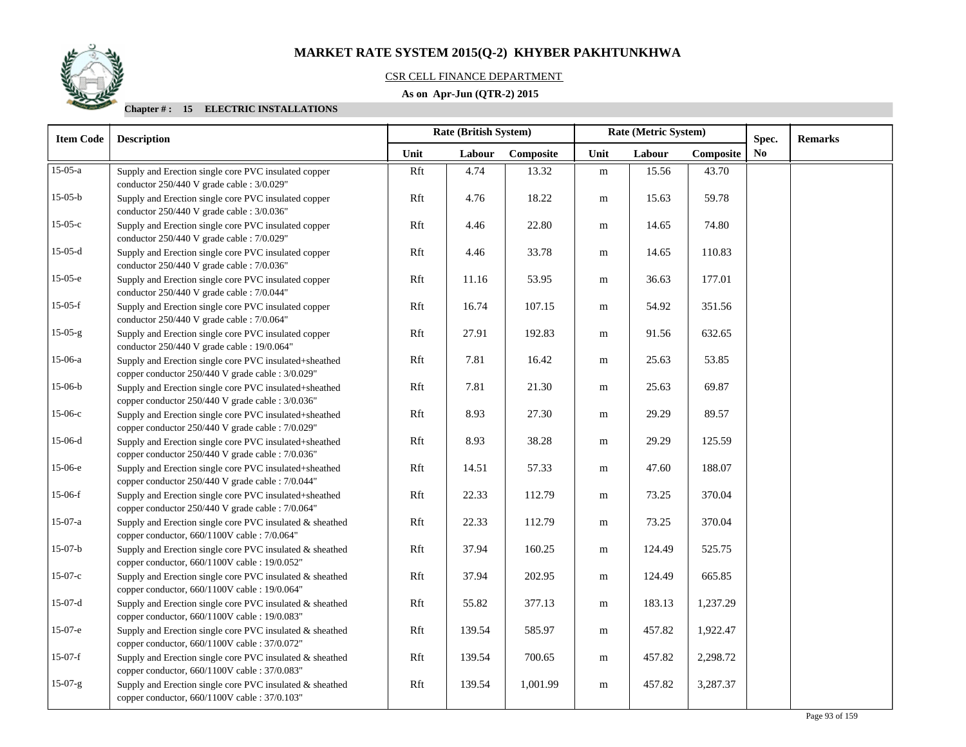## CSR CELL FINANCE DEPARTMENT

## **As on Apr-Jun (QTR-2) 2015**

| <b>Item Code</b> | <b>Description</b>                                                                                          |      | Rate (British System)<br>Rate (Metric System) |           |           |        |           | Spec.          | <b>Remarks</b> |
|------------------|-------------------------------------------------------------------------------------------------------------|------|-----------------------------------------------|-----------|-----------|--------|-----------|----------------|----------------|
|                  |                                                                                                             | Unit | Labour                                        | Composite | Unit      | Labour | Composite | N <sub>0</sub> |                |
| $15-05-a$        | Supply and Erection single core PVC insulated copper<br>conductor $250/440$ V grade cable : $3/0.029$ "     | Rft  | 4.74                                          | 13.32     | m         | 15.56  | 43.70     |                |                |
| $15-05-b$        | Supply and Erection single core PVC insulated copper<br>conductor $250/440$ V grade cable : $3/0.036$ "     | Rft  | 4.76                                          | 18.22     | m         | 15.63  | 59.78     |                |                |
| $15-05-c$        | Supply and Erection single core PVC insulated copper<br>conductor 250/440 V grade cable : 7/0.029"          | Rft  | 4.46                                          | 22.80     | m         | 14.65  | 74.80     |                |                |
| $15-05-d$        | Supply and Erection single core PVC insulated copper<br>conductor 250/440 V grade cable : 7/0.036"          | Rft  | 4.46                                          | 33.78     | m         | 14.65  | 110.83    |                |                |
| $15-05-e$        | Supply and Erection single core PVC insulated copper<br>conductor 250/440 V grade cable : 7/0.044"          | Rft  | 11.16                                         | 53.95     | m         | 36.63  | 177.01    |                |                |
| $15-05-f$        | Supply and Erection single core PVC insulated copper<br>conductor 250/440 V grade cable : 7/0.064"          | Rft  | 16.74                                         | 107.15    | m         | 54.92  | 351.56    |                |                |
| $15-05-g$        | Supply and Erection single core PVC insulated copper<br>conductor 250/440 V grade cable : 19/0.064"         | Rft  | 27.91                                         | 192.83    | m         | 91.56  | 632.65    |                |                |
| $15-06-a$        | Supply and Erection single core PVC insulated+sheathed<br>copper conductor 250/440 V grade cable : 3/0.029" | Rft  | 7.81                                          | 16.42     | m         | 25.63  | 53.85     |                |                |
| $15-06-b$        | Supply and Erection single core PVC insulated+sheathed<br>copper conductor 250/440 V grade cable : 3/0.036" | Rft  | 7.81                                          | 21.30     | m         | 25.63  | 69.87     |                |                |
| $15-06-c$        | Supply and Erection single core PVC insulated+sheathed<br>copper conductor 250/440 V grade cable : 7/0.029" | Rft  | 8.93                                          | 27.30     | m         | 29.29  | 89.57     |                |                |
| $15-06-d$        | Supply and Erection single core PVC insulated+sheathed<br>copper conductor 250/440 V grade cable : 7/0.036" | Rft  | 8.93                                          | 38.28     | m         | 29.29  | 125.59    |                |                |
| 15-06-е          | Supply and Erection single core PVC insulated+sheathed<br>copper conductor 250/440 V grade cable : 7/0.044" | Rft  | 14.51                                         | 57.33     | m         | 47.60  | 188.07    |                |                |
| $15-06-f$        | Supply and Erection single core PVC insulated+sheathed<br>copper conductor 250/440 V grade cable : 7/0.064" | Rft  | 22.33                                         | 112.79    | m         | 73.25  | 370.04    |                |                |
| $15-07-a$        | Supply and Erection single core PVC insulated & sheathed<br>copper conductor, 660/1100V cable : 7/0.064"    | Rft  | 22.33                                         | 112.79    | m         | 73.25  | 370.04    |                |                |
| $15-07-b$        | Supply and Erection single core PVC insulated & sheathed<br>copper conductor, 660/1100V cable : 19/0.052"   | Rft  | 37.94                                         | 160.25    | m         | 124.49 | 525.75    |                |                |
| $15-07-c$        | Supply and Erection single core PVC insulated & sheathed<br>copper conductor, 660/1100V cable : 19/0.064"   | Rft  | 37.94                                         | 202.95    | ${\bf m}$ | 124.49 | 665.85    |                |                |
| $15-07-d$        | Supply and Erection single core PVC insulated & sheathed<br>copper conductor, 660/1100V cable : 19/0.083"   | Rft  | 55.82                                         | 377.13    | ${\rm m}$ | 183.13 | 1,237.29  |                |                |
| $15-07-e$        | Supply and Erection single core PVC insulated & sheathed<br>copper conductor, 660/1100V cable : 37/0.072"   | Rft  | 139.54                                        | 585.97    | m         | 457.82 | 1,922.47  |                |                |
| $15-07-f$        | Supply and Erection single core PVC insulated & sheathed<br>copper conductor, 660/1100V cable : 37/0.083"   | Rft  | 139.54                                        | 700.65    | m         | 457.82 | 2,298.72  |                |                |
| $15-07-g$        | Supply and Erection single core PVC insulated & sheathed<br>copper conductor, 660/1100V cable : 37/0.103"   | Rft  | 139.54                                        | 1,001.99  | m         | 457.82 | 3,287.37  |                |                |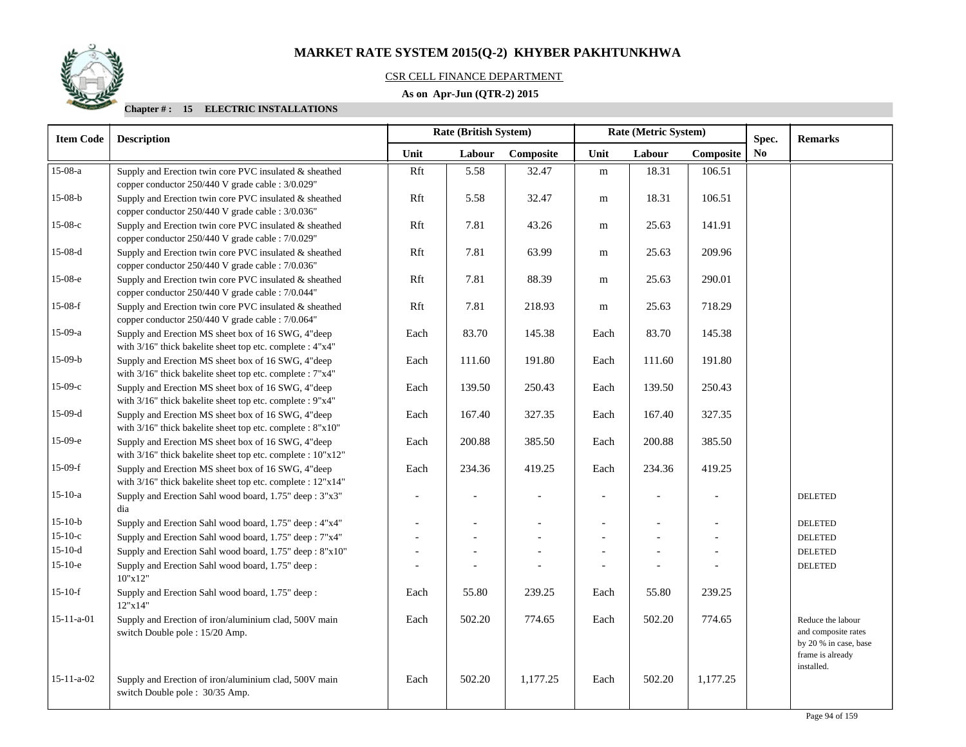## CSR CELL FINANCE DEPARTMENT

## **As on Apr-Jun (QTR-2) 2015**

| <b>Item Code</b>   | <b>Description</b>                                                                                                |                          | <b>Rate (British System)</b> |           |                | Rate (Metric System) |           | Spec.          | <b>Remarks</b>                                                                        |  |
|--------------------|-------------------------------------------------------------------------------------------------------------------|--------------------------|------------------------------|-----------|----------------|----------------------|-----------|----------------|---------------------------------------------------------------------------------------|--|
|                    |                                                                                                                   | Unit                     | Labour                       | Composite | Unit           | Labour               | Composite | N <sub>0</sub> |                                                                                       |  |
| 15-08-a            | Supply and Erection twin core PVC insulated & sheathed<br>copper conductor 250/440 V grade cable : 3/0.029"       | Rft                      | 5.58                         | 32.47     | m              | 18.31                | 106.51    |                |                                                                                       |  |
| $15-08-b$          | Supply and Erection twin core PVC insulated & sheathed<br>copper conductor 250/440 V grade cable : 3/0.036"       | Rft                      | 5.58                         | 32.47     | m              | 18.31                | 106.51    |                |                                                                                       |  |
| $15-08-c$          | Supply and Erection twin core PVC insulated & sheathed<br>copper conductor 250/440 V grade cable : 7/0.029"       | Rft                      | 7.81                         | 43.26     | m              | 25.63                | 141.91    |                |                                                                                       |  |
| $15-08-d$          | Supply and Erection twin core PVC insulated & sheathed<br>copper conductor 250/440 V grade cable : 7/0.036"       | Rft                      | 7.81                         | 63.99     | m              | 25.63                | 209.96    |                |                                                                                       |  |
| 15-08-е            | Supply and Erection twin core PVC insulated & sheathed<br>copper conductor 250/440 V grade cable : 7/0.044"       | Rft                      | 7.81                         | 88.39     | m              | 25.63                | 290.01    |                |                                                                                       |  |
| $15-08-f$          | Supply and Erection twin core PVC insulated & sheathed<br>copper conductor 250/440 V grade cable : 7/0.064"       | Rft                      | 7.81                         | 218.93    | m              | 25.63                | 718.29    |                |                                                                                       |  |
| 15-09-a            | Supply and Erection MS sheet box of 16 SWG, 4"deep<br>with 3/16" thick bakelite sheet top etc. complete : 4"x4"   | Each                     | 83.70                        | 145.38    | Each           | 83.70                | 145.38    |                |                                                                                       |  |
| $15-09-b$          | Supply and Erection MS sheet box of 16 SWG, 4"deep<br>with 3/16" thick bakelite sheet top etc. complete : 7"x4"   | Each                     | 111.60                       | 191.80    | Each           | 111.60               | 191.80    |                |                                                                                       |  |
| $15-09-c$          | Supply and Erection MS sheet box of 16 SWG, 4"deep<br>with 3/16" thick bakelite sheet top etc. complete : 9"x4"   | Each                     | 139.50                       | 250.43    | Each           | 139.50               | 250.43    |                |                                                                                       |  |
| $15-09-d$          | Supply and Erection MS sheet box of 16 SWG, 4"deep<br>with 3/16" thick bakelite sheet top etc. complete : 8"x10"  | Each                     | 167.40                       | 327.35    | Each           | 167.40               | 327.35    |                |                                                                                       |  |
| $15-09-e$          | Supply and Erection MS sheet box of 16 SWG, 4"deep<br>with 3/16" thick bakelite sheet top etc. complete : 10"x12" | Each                     | 200.88                       | 385.50    | Each           | 200.88               | 385.50    |                |                                                                                       |  |
| $15-09-f$          | Supply and Erection MS sheet box of 16 SWG, 4"deep<br>with 3/16" thick bakelite sheet top etc. complete : 12"x14" | Each                     | 234.36                       | 419.25    | Each           | 234.36               | 419.25    |                |                                                                                       |  |
| $15-10-a$          | Supply and Erection Sahl wood board, 1.75" deep: 3"x3"<br>dia                                                     | $\overline{\phantom{a}}$ | $\overline{a}$               |           | $\blacksquare$ |                      |           |                | <b>DELETED</b>                                                                        |  |
| $15-10-b$          | Supply and Erection Sahl wood board, 1.75" deep: 4"x4"                                                            | $\overline{a}$           | $\overline{\phantom{a}}$     |           |                |                      |           |                | <b>DELETED</b>                                                                        |  |
| $15-10-c$          | Supply and Erection Sahl wood board, 1.75" deep: 7"x4"                                                            | $\overline{a}$           |                              |           |                |                      |           |                | <b>DELETED</b>                                                                        |  |
| $15-10-d$          | Supply and Erection Sahl wood board, 1.75" deep: 8"x10"                                                           | $\overline{\phantom{a}}$ |                              |           |                |                      |           |                | <b>DELETED</b>                                                                        |  |
| $15-10-e$          | Supply and Erection Sahl wood board, 1.75" deep:<br>10"x12"                                                       |                          |                              |           |                |                      |           |                | <b>DELETED</b>                                                                        |  |
| $15-10-f$          | Supply and Erection Sahl wood board, 1.75" deep:<br>12"x14"                                                       | Each                     | 55.80                        | 239.25    | Each           | 55.80                | 239.25    |                |                                                                                       |  |
| $15 - 11 - a - 01$ | Supply and Erection of iron/aluminium clad, 500V main<br>switch Double pole : 15/20 Amp.                          | Each                     | 502.20                       | 774.65    | Each           | 502.20               | 774.65    |                | Reduce the labour<br>and composite rates<br>by 20 % in case, base<br>frame is already |  |
| $15 - 11 - a - 02$ | Supply and Erection of iron/aluminium clad, 500V main<br>switch Double pole : 30/35 Amp.                          | Each                     | 502.20                       | 1,177.25  | Each           | 502.20               | 1,177.25  |                | installed.                                                                            |  |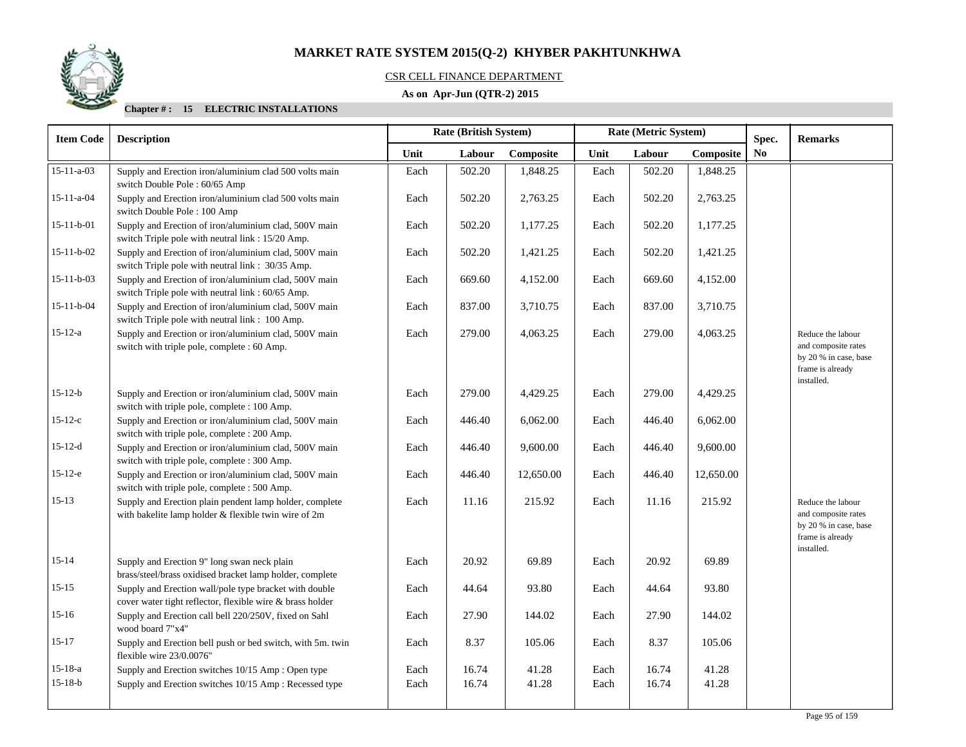

## CSR CELL FINANCE DEPARTMENT

## **As on Apr-Jun (QTR-2) 2015**

| <b>Item Code</b>   | <b>Description</b>                                                                                                  | Rate (British System)<br>Rate (Metric System) |        |           |      | Spec.  |           |                | <b>Remarks</b>                                                                                      |
|--------------------|---------------------------------------------------------------------------------------------------------------------|-----------------------------------------------|--------|-----------|------|--------|-----------|----------------|-----------------------------------------------------------------------------------------------------|
|                    |                                                                                                                     | Unit                                          | Labour | Composite | Unit | Labour | Composite | N <sub>0</sub> |                                                                                                     |
| $15 - 11 - a - 03$ | Supply and Erection iron/aluminium clad 500 volts main<br>switch Double Pole : 60/65 Amp                            | Each                                          | 502.20 | 1,848.25  | Each | 502.20 | 1,848.25  |                |                                                                                                     |
| $15 - 11 - a - 04$ | Supply and Erection iron/aluminium clad 500 volts main<br>switch Double Pole: 100 Amp                               | Each                                          | 502.20 | 2,763.25  | Each | 502.20 | 2,763.25  |                |                                                                                                     |
| $15-11-b-01$       | Supply and Erection of iron/aluminium clad, 500V main<br>switch Triple pole with neutral link : 15/20 Amp.          | Each                                          | 502.20 | 1,177.25  | Each | 502.20 | 1,177.25  |                |                                                                                                     |
| $15 - 11 - b - 02$ | Supply and Erection of iron/aluminium clad, 500V main<br>switch Triple pole with neutral link: 30/35 Amp.           | Each                                          | 502.20 | 1,421.25  | Each | 502.20 | 1,421.25  |                |                                                                                                     |
| $15 - 11 - b - 03$ | Supply and Erection of iron/aluminium clad, 500V main<br>switch Triple pole with neutral link : 60/65 Amp.          | Each                                          | 669.60 | 4,152.00  | Each | 669.60 | 4,152.00  |                |                                                                                                     |
| $15 - 11 - b - 04$ | Supply and Erection of iron/aluminium clad, 500V main<br>switch Triple pole with neutral link : 100 Amp.            | Each                                          | 837.00 | 3,710.75  | Each | 837.00 | 3,710.75  |                |                                                                                                     |
| $15 - 12 - a$      | Supply and Erection or iron/aluminium clad, 500V main<br>switch with triple pole, complete : 60 Amp.                | Each                                          | 279.00 | 4,063.25  | Each | 279.00 | 4,063.25  |                | Reduce the labour<br>and composite rates<br>by 20 % in case, base<br>frame is already<br>installed. |
| $15 - 12 - b$      | Supply and Erection or iron/aluminium clad, 500V main<br>switch with triple pole, complete : 100 Amp.               | Each                                          | 279.00 | 4,429.25  | Each | 279.00 | 4,429.25  |                |                                                                                                     |
| $15 - 12 - c$      | Supply and Erection or iron/aluminium clad, 500V main<br>switch with triple pole, complete : 200 Amp.               | Each                                          | 446.40 | 6,062.00  | Each | 446.40 | 6,062.00  |                |                                                                                                     |
| $15 - 12 - d$      | Supply and Erection or iron/aluminium clad, 500V main<br>switch with triple pole, complete : 300 Amp.               | Each                                          | 446.40 | 9,600.00  | Each | 446.40 | 9,600.00  |                |                                                                                                     |
| $15-12-e$          | Supply and Erection or iron/aluminium clad, 500V main<br>switch with triple pole, complete : 500 Amp.               | Each                                          | 446.40 | 12,650.00 | Each | 446.40 | 12,650.00 |                |                                                                                                     |
| $15 - 13$          | Supply and Erection plain pendent lamp holder, complete<br>with bakelite lamp holder & flexible twin wire of 2m     | Each                                          | 11.16  | 215.92    | Each | 11.16  | 215.92    |                | Reduce the labour<br>and composite rates<br>by 20 % in case, base<br>frame is already<br>installed. |
| $15 - 14$          | Supply and Erection 9" long swan neck plain<br>brass/steel/brass oxidised bracket lamp holder, complete             | Each                                          | 20.92  | 69.89     | Each | 20.92  | 69.89     |                |                                                                                                     |
| $15 - 15$          | Supply and Erection wall/pole type bracket with double<br>cover water tight reflector, flexible wire & brass holder | Each                                          | 44.64  | 93.80     | Each | 44.64  | 93.80     |                |                                                                                                     |
| $15 - 16$          | Supply and Erection call bell 220/250V, fixed on Sahl<br>wood board 7"x4"                                           | Each                                          | 27.90  | 144.02    | Each | 27.90  | 144.02    |                |                                                                                                     |
| $15 - 17$          | Supply and Erection bell push or bed switch, with 5m. twin<br>flexible wire 23/0.0076"                              | Each                                          | 8.37   | 105.06    | Each | 8.37   | 105.06    |                |                                                                                                     |
| $15 - 18 - a$      | Supply and Erection switches 10/15 Amp: Open type                                                                   | Each                                          | 16.74  | 41.28     | Each | 16.74  | 41.28     |                |                                                                                                     |
| $15 - 18 - b$      | Supply and Erection switches 10/15 Amp: Recessed type                                                               | Each                                          | 16.74  | 41.28     | Each | 16.74  | 41.28     |                |                                                                                                     |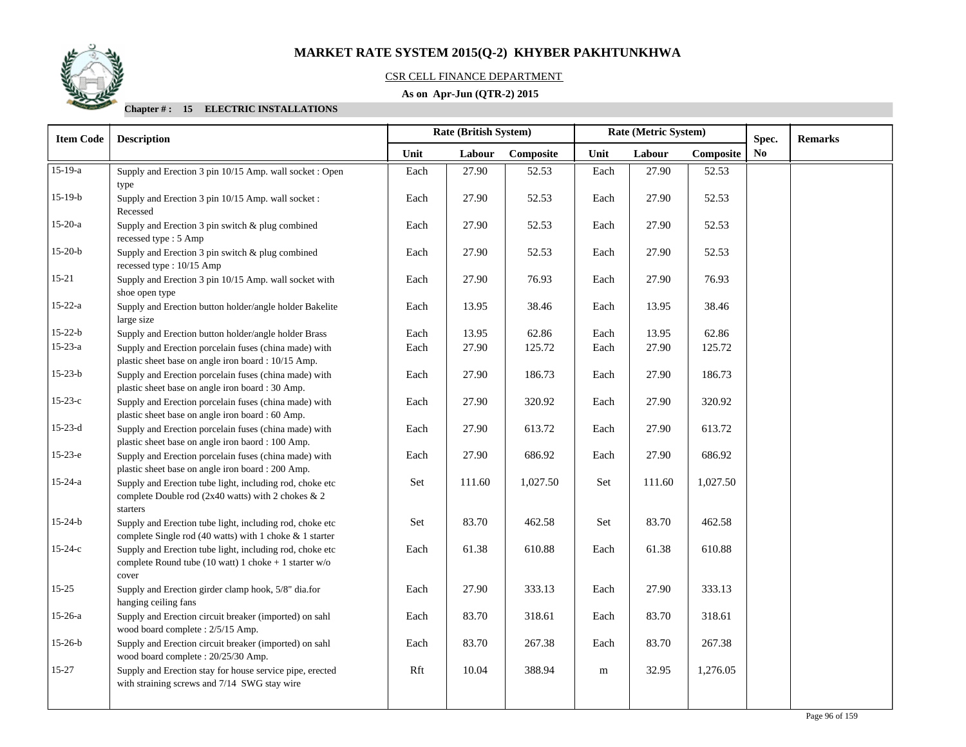

## CSR CELL FINANCE DEPARTMENT

## **As on Apr-Jun (QTR-2) 2015**

| <b>Item Code</b> | <b>Description</b>                                                                                                           | <b>Rate (British System)</b><br>Rate (Metric System) |        |           |           | Spec.  | <b>Remarks</b> |    |  |
|------------------|------------------------------------------------------------------------------------------------------------------------------|------------------------------------------------------|--------|-----------|-----------|--------|----------------|----|--|
|                  |                                                                                                                              | Unit                                                 | Labour | Composite | Unit      | Labour | Composite      | No |  |
| $15-19-a$        | Supply and Erection 3 pin 10/15 Amp. wall socket : Open<br>type                                                              | Each                                                 | 27.90  | 52.53     | Each      | 27.90  | 52.53          |    |  |
| $15-19-b$        | Supply and Erection 3 pin 10/15 Amp. wall socket:<br>Recessed                                                                | Each                                                 | 27.90  | 52.53     | Each      | 27.90  | 52.53          |    |  |
| $15-20-a$        | Supply and Erection 3 pin switch & plug combined<br>recessed type: 5 Amp                                                     | Each                                                 | 27.90  | 52.53     | Each      | 27.90  | 52.53          |    |  |
| $15-20-b$        | Supply and Erection 3 pin switch & plug combined<br>recessed type : 10/15 Amp                                                | Each                                                 | 27.90  | 52.53     | Each      | 27.90  | 52.53          |    |  |
| $15 - 21$        | Supply and Erection 3 pin 10/15 Amp. wall socket with<br>shoe open type                                                      | Each                                                 | 27.90  | 76.93     | Each      | 27.90  | 76.93          |    |  |
| $15 - 22 - a$    | Supply and Erection button holder/angle holder Bakelite<br>large size                                                        | Each                                                 | 13.95  | 38.46     | Each      | 13.95  | 38.46          |    |  |
| $15 - 22 - b$    | Supply and Erection button holder/angle holder Brass                                                                         | Each                                                 | 13.95  | 62.86     | Each      | 13.95  | 62.86          |    |  |
| $15 - 23 - a$    | Supply and Erection porcelain fuses (china made) with<br>plastic sheet base on angle iron board : 10/15 Amp.                 | Each                                                 | 27.90  | 125.72    | Each      | 27.90  | 125.72         |    |  |
| $15-23-b$        | Supply and Erection porcelain fuses (china made) with<br>plastic sheet base on angle iron board : 30 Amp.                    | Each                                                 | 27.90  | 186.73    | Each      | 27.90  | 186.73         |    |  |
| $15-23-c$        | Supply and Erection porcelain fuses (china made) with<br>plastic sheet base on angle iron board : 60 Amp.                    | Each                                                 | 27.90  | 320.92    | Each      | 27.90  | 320.92         |    |  |
| $15-23-d$        | Supply and Erection porcelain fuses (china made) with<br>plastic sheet base on angle iron baord : 100 Amp.                   | Each                                                 | 27.90  | 613.72    | Each      | 27.90  | 613.72         |    |  |
| $15-23-e$        | Supply and Erection porcelain fuses (china made) with<br>plastic sheet base on angle iron board : 200 Amp.                   | Each                                                 | 27.90  | 686.92    | Each      | 27.90  | 686.92         |    |  |
| $15 - 24 - a$    | Supply and Erection tube light, including rod, choke etc<br>complete Double rod (2x40 watts) with 2 chokes & 2<br>starters   | Set                                                  | 111.60 | 1,027.50  | Set       | 111.60 | 1,027.50       |    |  |
| $15 - 24 - b$    | Supply and Erection tube light, including rod, choke etc.<br>complete Single rod (40 watts) with 1 choke & 1 starter         | Set                                                  | 83.70  | 462.58    | Set       | 83.70  | 462.58         |    |  |
| $15 - 24 - c$    | Supply and Erection tube light, including rod, choke etc<br>complete Round tube (10 watt) 1 choke + 1 starter $w/o$<br>cover | Each                                                 | 61.38  | 610.88    | Each      | 61.38  | 610.88         |    |  |
| $15 - 25$        | Supply and Erection girder clamp hook, 5/8" dia.for<br>hanging ceiling fans                                                  | Each                                                 | 27.90  | 333.13    | Each      | 27.90  | 333.13         |    |  |
| $15-26-a$        | Supply and Erection circuit breaker (imported) on sahl<br>wood board complete : 2/5/15 Amp.                                  | Each                                                 | 83.70  | 318.61    | Each      | 83.70  | 318.61         |    |  |
| $15-26-b$        | Supply and Erection circuit breaker (imported) on sahl<br>wood board complete : 20/25/30 Amp.                                | Each                                                 | 83.70  | 267.38    | Each      | 83.70  | 267.38         |    |  |
| $15 - 27$        | Supply and Erection stay for house service pipe, erected<br>with straining screws and 7/14 SWG stay wire                     | Rft                                                  | 10.04  | 388.94    | ${\bf m}$ | 32.95  | 1,276.05       |    |  |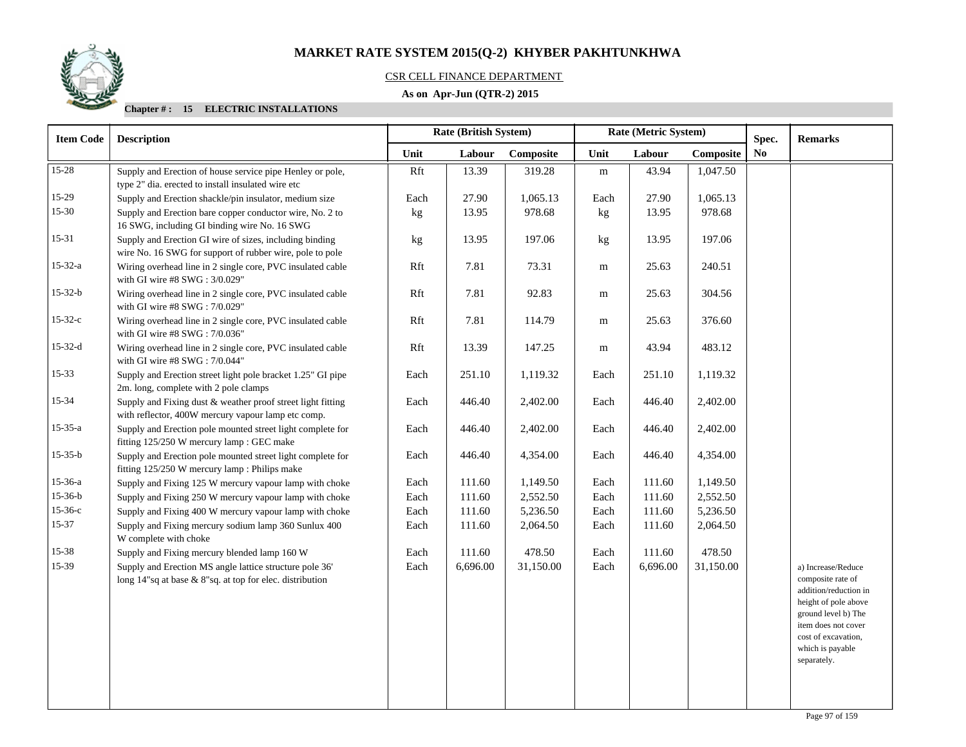

## CSR CELL FINANCE DEPARTMENT

## **As on Apr-Jun (QTR-2) 2015**

| <b>Item Code</b> | <b>Description</b>                                                                                                  |      | Rate (British System) |           |           | Rate (Metric System) | Spec.     | <b>Remarks</b> |                                                                                                                                                                                                  |
|------------------|---------------------------------------------------------------------------------------------------------------------|------|-----------------------|-----------|-----------|----------------------|-----------|----------------|--------------------------------------------------------------------------------------------------------------------------------------------------------------------------------------------------|
|                  |                                                                                                                     | Unit | Labour                | Composite | Unit      | Labour               | Composite | No.            |                                                                                                                                                                                                  |
| $15-28$          | Supply and Erection of house service pipe Henley or pole,                                                           | Rft  | 13.39                 | 319.28    | ${\bf m}$ | 43.94                | 1,047.50  |                |                                                                                                                                                                                                  |
|                  | type 2" dia. erected to install insulated wire etc                                                                  |      |                       |           |           |                      |           |                |                                                                                                                                                                                                  |
| $15-29$          | Supply and Erection shackle/pin insulator, medium size                                                              | Each | 27.90                 | 1,065.13  | Each      | 27.90                | 1,065.13  |                |                                                                                                                                                                                                  |
| $15 - 30$        | Supply and Erection bare copper conductor wire, No. 2 to<br>16 SWG, including GI binding wire No. 16 SWG            | kg   | 13.95                 | 978.68    | kg        | 13.95                | 978.68    |                |                                                                                                                                                                                                  |
| 15-31            | Supply and Erection GI wire of sizes, including binding<br>wire No. 16 SWG for support of rubber wire, pole to pole | kg   | 13.95                 | 197.06    | kg        | 13.95                | 197.06    |                |                                                                                                                                                                                                  |
| $15 - 32 - a$    | Wiring overhead line in 2 single core, PVC insulated cable<br>with GI wire #8 SWG: 3/0.029"                         | Rft  | 7.81                  | 73.31     | ${\bf m}$ | 25.63                | 240.51    |                |                                                                                                                                                                                                  |
| $15 - 32 - b$    | Wiring overhead line in 2 single core, PVC insulated cable<br>with GI wire #8 SWG: 7/0.029"                         | Rft  | 7.81                  | 92.83     | m         | 25.63                | 304.56    |                |                                                                                                                                                                                                  |
| $15 - 32 - c$    | Wiring overhead line in 2 single core, PVC insulated cable<br>with GI wire #8 SWG: 7/0.036"                         | Rft  | 7.81                  | 114.79    | m         | 25.63                | 376.60    |                |                                                                                                                                                                                                  |
| $15 - 32 - d$    | Wiring overhead line in 2 single core, PVC insulated cable<br>with GI wire #8 SWG: 7/0.044"                         | Rft  | 13.39                 | 147.25    | m         | 43.94                | 483.12    |                |                                                                                                                                                                                                  |
| $15 - 33$        | Supply and Erection street light pole bracket 1.25" GI pipe<br>2m. long, complete with 2 pole clamps                | Each | 251.10                | 1,119.32  | Each      | 251.10               | 1,119.32  |                |                                                                                                                                                                                                  |
| 15-34            | Supply and Fixing dust & weather proof street light fitting<br>with reflector, 400W mercury vapour lamp etc comp.   | Each | 446.40                | 2,402.00  | Each      | 446.40               | 2,402.00  |                |                                                                                                                                                                                                  |
| $15 - 35 - a$    | Supply and Erection pole mounted street light complete for<br>fitting 125/250 W mercury lamp : GEC make             | Each | 446.40                | 2,402.00  | Each      | 446.40               | 2,402.00  |                |                                                                                                                                                                                                  |
| $15 - 35 - b$    | Supply and Erection pole mounted street light complete for<br>fitting 125/250 W mercury lamp : Philips make         | Each | 446.40                | 4,354.00  | Each      | 446.40               | 4,354.00  |                |                                                                                                                                                                                                  |
| $15 - 36 - a$    | Supply and Fixing 125 W mercury vapour lamp with choke                                                              | Each | 111.60                | 1,149.50  | Each      | 111.60               | 1,149.50  |                |                                                                                                                                                                                                  |
| $15 - 36 - b$    | Supply and Fixing 250 W mercury vapour lamp with choke                                                              | Each | 111.60                | 2,552.50  | Each      | 111.60               | 2,552.50  |                |                                                                                                                                                                                                  |
| $15 - 36 - c$    | Supply and Fixing 400 W mercury vapour lamp with choke                                                              | Each | 111.60                | 5,236.50  | Each      | 111.60               | 5,236.50  |                |                                                                                                                                                                                                  |
| $15 - 37$        | Supply and Fixing mercury sodium lamp 360 Sunlux 400<br>W complete with choke                                       | Each | 111.60                | 2,064.50  | Each      | 111.60               | 2,064.50  |                |                                                                                                                                                                                                  |
| 15-38            | Supply and Fixing mercury blended lamp 160 W                                                                        | Each | 111.60                | 478.50    | Each      | 111.60               | 478.50    |                |                                                                                                                                                                                                  |
| 15-39            | Supply and Erection MS angle lattice structure pole 36'<br>long 14"sq at base & 8"sq. at top for elec. distribution | Each | 6,696.00              | 31,150.00 | Each      | 6,696.00             | 31,150.00 |                | a) Increase/Reduce<br>composite rate of<br>addition/reduction in<br>height of pole above<br>ground level b) The<br>item does not cover<br>cost of excavation,<br>which is payable<br>separately. |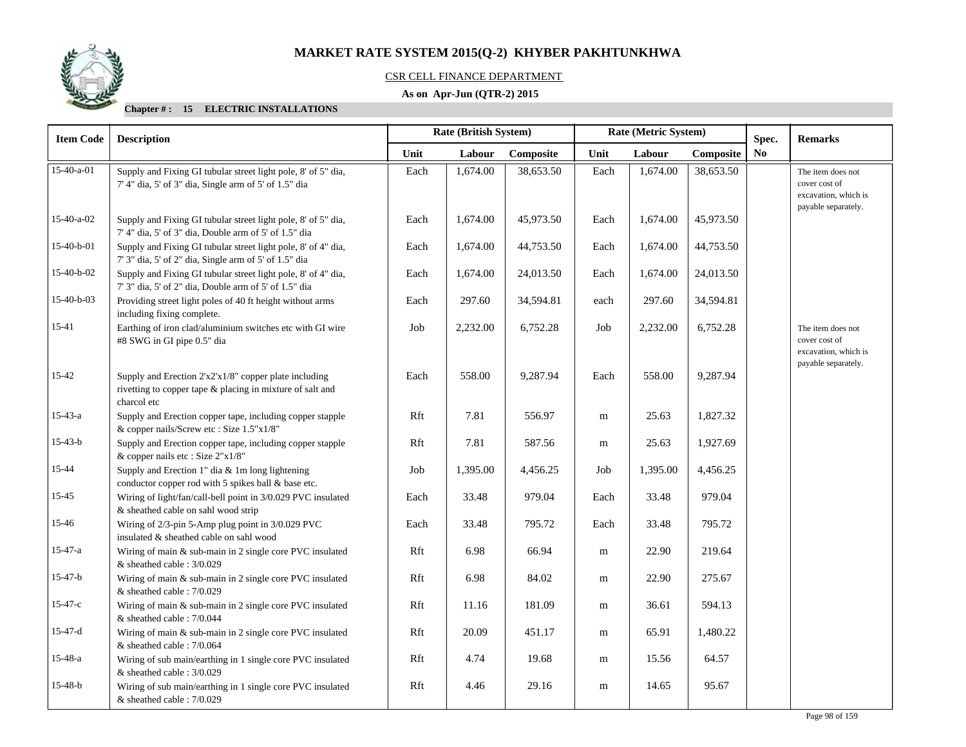

## CSR CELL FINANCE DEPARTMENT

## **As on Apr-Jun (QTR-2) 2015**

| <b>Item Code</b> | <b>Description</b>                                                                                                                |      | Rate (British System) |           | Rate (Metric System) |          |           | Spec.          | <b>Remarks</b>                                                                    |
|------------------|-----------------------------------------------------------------------------------------------------------------------------------|------|-----------------------|-----------|----------------------|----------|-----------|----------------|-----------------------------------------------------------------------------------|
|                  |                                                                                                                                   | Unit | Labour                | Composite | Unit                 | Labour   | Composite | N <sub>0</sub> |                                                                                   |
| $15-40-a-01$     | Supply and Fixing GI tubular street light pole, 8' of 5" dia,<br>7' 4" dia, 5' of 3" dia, Single arm of 5' of 1.5" dia            | Each | 1,674.00              | 38,653.50 | Each                 | 1,674.00 | 38,653.50 |                | The item does not<br>cover cost of<br>excavation, which is                        |
| $15-40-a-02$     | Supply and Fixing GI tubular street light pole, 8' of 5" dia,<br>7' 4" dia, 5' of 3" dia, Double arm of 5' of 1.5" dia            | Each | 1,674.00              | 45,973.50 | Each                 | 1,674.00 | 45,973.50 |                | payable separately.                                                               |
| 15-40-b-01       | Supply and Fixing GI tubular street light pole, 8' of 4" dia,<br>7' 3" dia, 5' of 2" dia, Single arm of 5' of 1.5" dia            | Each | 1,674.00              | 44,753.50 | Each                 | 1,674.00 | 44,753.50 |                |                                                                                   |
| 15-40-b-02       | Supply and Fixing GI tubular street light pole, 8' of 4" dia,<br>7' 3" dia, 5' of 2" dia, Double arm of 5' of 1.5" dia            | Each | 1,674.00              | 24,013.50 | Each                 | 1,674.00 | 24,013.50 |                |                                                                                   |
| 15-40-b-03       | Providing street light poles of 40 ft height without arms<br>including fixing complete.                                           | Each | 297.60                | 34,594.81 | each                 | 297.60   | 34,594.81 |                |                                                                                   |
| 15-41            | Earthing of iron clad/aluminium switches etc with GI wire<br>#8 SWG in GI pipe 0.5" dia                                           | Job  | 2,232.00              | 6,752.28  | Job                  | 2,232.00 | 6,752.28  |                | The item does not<br>cover cost of<br>excavation, which is<br>payable separately. |
| 15-42            | Supply and Erection 2'x2'x1/8" copper plate including<br>rivetting to copper tape & placing in mixture of salt and<br>charcol etc | Each | 558.00                | 9,287.94  | Each                 | 558.00   | 9,287.94  |                |                                                                                   |
| $15 - 43 - a$    | Supply and Erection copper tape, including copper stapple<br>& copper nails/Screw etc: Size 1.5"x1/8"                             | Rft  | 7.81                  | 556.97    | m                    | 25.63    | 1,827.32  |                |                                                                                   |
| $15 - 43 - b$    | Supply and Erection copper tape, including copper stapple<br>& copper nails etc : Size 2"x1/8"                                    | Rft  | 7.81                  | 587.56    | m                    | 25.63    | 1,927.69  |                |                                                                                   |
| 15-44            | Supply and Erection 1" dia & 1m long lightening<br>conductor copper rod with 5 spikes ball & base etc.                            | Job  | 1,395.00              | 4,456.25  | Job                  | 1,395.00 | 4,456.25  |                |                                                                                   |
| 15-45            | Wiring of light/fan/call-bell point in 3/0.029 PVC insulated<br>& sheathed cable on sahl wood strip                               | Each | 33.48                 | 979.04    | Each                 | 33.48    | 979.04    |                |                                                                                   |
| 15-46            | Wiring of 2/3-pin 5-Amp plug point in 3/0.029 PVC<br>insulated & sheathed cable on sahl wood                                      | Each | 33.48                 | 795.72    | Each                 | 33.48    | 795.72    |                |                                                                                   |
| $15 - 47 - a$    | Wiring of main $&$ sub-main in 2 single core PVC insulated<br>$&$ sheathed cable : 3/0.029                                        | Rft  | 6.98                  | 66.94     | m                    | 22.90    | 219.64    |                |                                                                                   |
| $15-47-b$        | Wiring of main & sub-main in 2 single core PVC insulated<br>$&$ sheathed cable : 7/0.029                                          | Rft  | 6.98                  | 84.02     | m                    | 22.90    | 275.67    |                |                                                                                   |
| $15 - 47 - c$    | Wiring of main & sub-main in 2 single core PVC insulated<br>$&$ sheathed cable : 7/0.044                                          | Rft  | 11.16                 | 181.09    | m                    | 36.61    | 594.13    |                |                                                                                   |
| $15-47-d$        | Wiring of main & sub-main in 2 single core PVC insulated<br>$&$ sheathed cable : 7/0.064                                          | Rft  | 20.09                 | 451.17    | m                    | 65.91    | 1,480.22  |                |                                                                                   |
| $15 - 48 - a$    | Wiring of sub main/earthing in 1 single core PVC insulated<br>& sheathed cable : 3/0.029                                          | Rft  | 4.74                  | 19.68     | m                    | 15.56    | 64.57     |                |                                                                                   |
| $15 - 48 - b$    | Wiring of sub main/earthing in 1 single core PVC insulated<br>& sheathed cable: 7/0.029                                           | Rft  | 4.46                  | 29.16     | m                    | 14.65    | 95.67     |                |                                                                                   |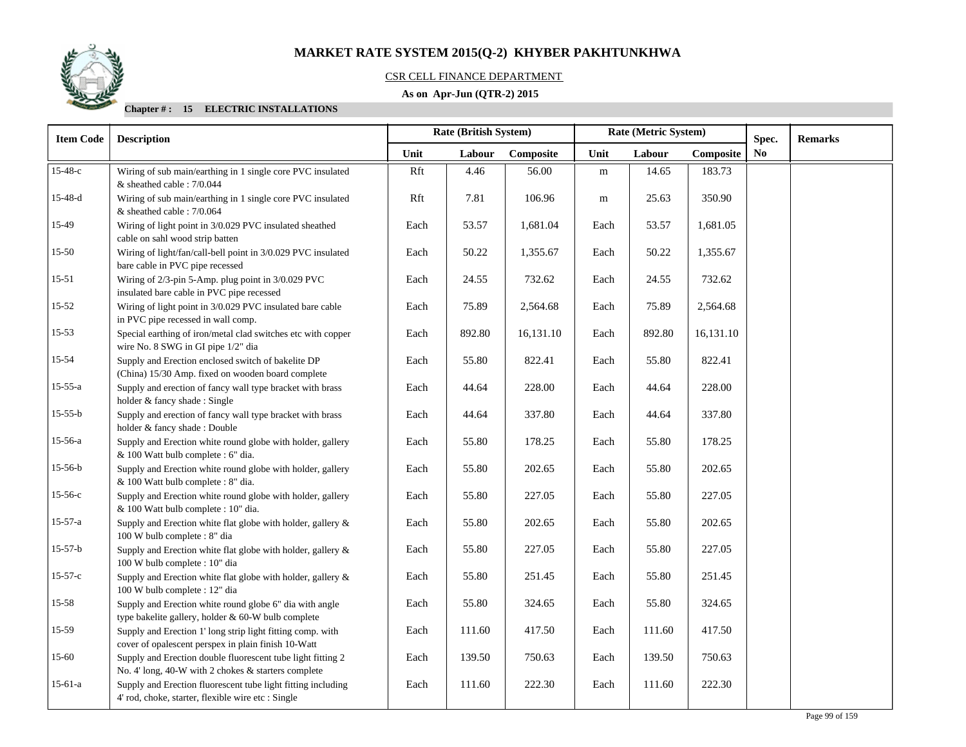

## CSR CELL FINANCE DEPARTMENT

## **As on Apr-Jun (QTR-2) 2015**

| <b>Item Code</b> | <b>Description</b>                                                                                                 |      | Rate (British System) |           | Rate (Metric System) |        |           | Spec.          | <b>Remarks</b> |
|------------------|--------------------------------------------------------------------------------------------------------------------|------|-----------------------|-----------|----------------------|--------|-----------|----------------|----------------|
|                  |                                                                                                                    | Unit | Labour                | Composite | Unit                 | Labour | Composite | N <sub>0</sub> |                |
| 15-48-с          | Wiring of sub main/earthing in 1 single core PVC insulated<br>& sheathed cable: 7/0.044                            | Rft  | 4.46                  | 56.00     | ${\bf m}$            | 14.65  | 183.73    |                |                |
| $15-48-d$        | Wiring of sub main/earthing in 1 single core PVC insulated<br>& sheathed cable : 7/0.064                           | Rft  | 7.81                  | 106.96    | m                    | 25.63  | 350.90    |                |                |
| 15-49            | Wiring of light point in 3/0.029 PVC insulated sheathed<br>cable on sahl wood strip batten                         | Each | 53.57                 | 1,681.04  | Each                 | 53.57  | 1,681.05  |                |                |
| $15 - 50$        | Wiring of light/fan/call-bell point in 3/0.029 PVC insulated<br>bare cable in PVC pipe recessed                    | Each | 50.22                 | 1,355.67  | Each                 | 50.22  | 1,355.67  |                |                |
| $15 - 51$        | Wiring of 2/3-pin 5-Amp. plug point in 3/0.029 PVC<br>insulated bare cable in PVC pipe recessed                    | Each | 24.55                 | 732.62    | Each                 | 24.55  | 732.62    |                |                |
| 15-52            | Wiring of light point in 3/0.029 PVC insulated bare cable<br>in PVC pipe recessed in wall comp.                    | Each | 75.89                 | 2,564.68  | Each                 | 75.89  | 2,564.68  |                |                |
| 15-53            | Special earthing of iron/metal clad switches etc with copper<br>wire No. 8 SWG in GI pipe 1/2" dia                 | Each | 892.80                | 16,131.10 | Each                 | 892.80 | 16,131.10 |                |                |
| 15-54            | Supply and Erection enclosed switch of bakelite DP<br>(China) 15/30 Amp. fixed on wooden board complete            | Each | 55.80                 | 822.41    | Each                 | 55.80  | 822.41    |                |                |
| $15 - 55 - a$    | Supply and erection of fancy wall type bracket with brass<br>holder & fancy shade: Single                          | Each | 44.64                 | 228.00    | Each                 | 44.64  | 228.00    |                |                |
| $15-55-b$        | Supply and erection of fancy wall type bracket with brass<br>holder & fancy shade: Double                          | Each | 44.64                 | 337.80    | Each                 | 44.64  | 337.80    |                |                |
| 15-56-a          | Supply and Erection white round globe with holder, gallery<br>& 100 Watt bulb complete : 6" dia.                   | Each | 55.80                 | 178.25    | Each                 | 55.80  | 178.25    |                |                |
| $15-56-b$        | Supply and Erection white round globe with holder, gallery<br>& 100 Watt bulb complete : 8" dia.                   | Each | 55.80                 | 202.65    | Each                 | 55.80  | 202.65    |                |                |
| $15-56-c$        | Supply and Erection white round globe with holder, gallery<br>& 100 Watt bulb complete : 10" dia.                  | Each | 55.80                 | 227.05    | Each                 | 55.80  | 227.05    |                |                |
| $15-57-a$        | Supply and Erection white flat globe with holder, gallery &<br>100 W bulb complete : 8" dia                        | Each | 55.80                 | 202.65    | Each                 | 55.80  | 202.65    |                |                |
| $15-57-b$        | Supply and Erection white flat globe with holder, gallery &<br>100 W bulb complete : 10" dia                       | Each | 55.80                 | 227.05    | Each                 | 55.80  | 227.05    |                |                |
| $15-57-c$        | Supply and Erection white flat globe with holder, gallery &<br>100 W bulb complete : 12" dia                       | Each | 55.80                 | 251.45    | Each                 | 55.80  | 251.45    |                |                |
| 15-58            | Supply and Erection white round globe 6" dia with angle<br>type bakelite gallery, holder & 60-W bulb complete      | Each | 55.80                 | 324.65    | Each                 | 55.80  | 324.65    |                |                |
| 15-59            | Supply and Erection 1' long strip light fitting comp. with<br>cover of opalescent perspex in plain finish 10-Watt  | Each | 111.60                | 417.50    | Each                 | 111.60 | 417.50    |                |                |
| $15 - 60$        | Supply and Erection double fluorescent tube light fitting 2<br>No. 4' long, 40-W with 2 chokes & starters complete | Each | 139.50                | 750.63    | Each                 | 139.50 | 750.63    |                |                |
| $15-61-a$        | Supply and Erection fluorescent tube light fitting including<br>4' rod, choke, starter, flexible wire etc : Single | Each | 111.60                | 222.30    | Each                 | 111.60 | 222.30    |                |                |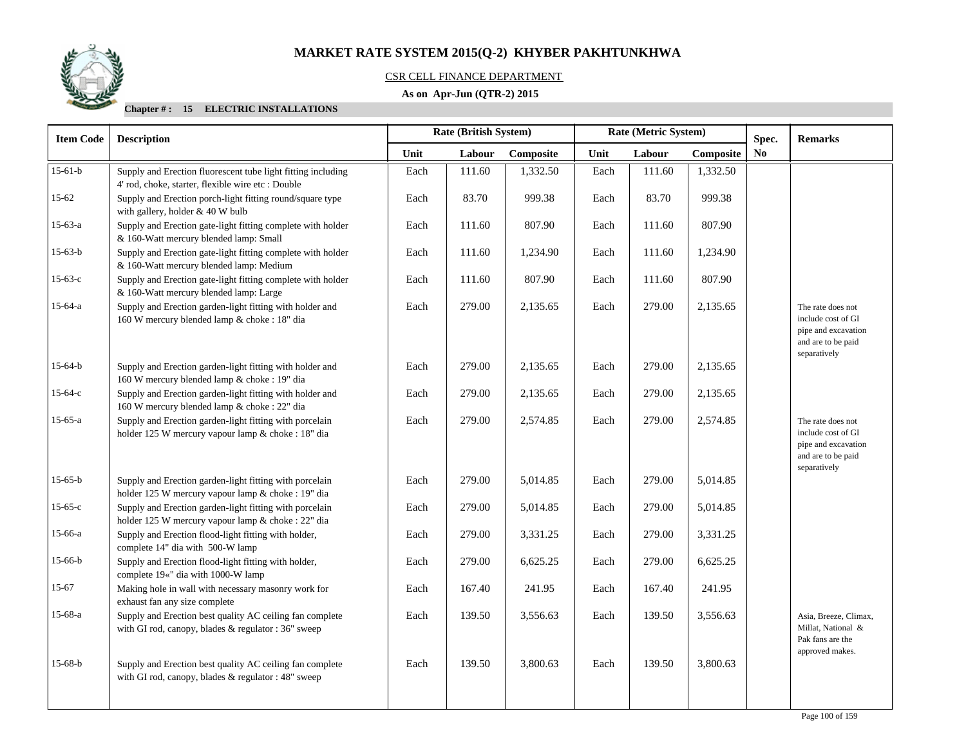## CSR CELL FINANCE DEPARTMENT

## **As on Apr-Jun (QTR-2) 2015**

| <b>Item Code</b> | <b>Description</b>                                                                                                 |      | <b>Rate (British System)</b> |           | Rate (Metric System) |        |           | Spec.          | <b>Remarks</b>                                                                                       |
|------------------|--------------------------------------------------------------------------------------------------------------------|------|------------------------------|-----------|----------------------|--------|-----------|----------------|------------------------------------------------------------------------------------------------------|
|                  |                                                                                                                    | Unit | Labour                       | Composite | Unit                 | Labour | Composite | N <sub>0</sub> |                                                                                                      |
| $15-61-b$        | Supply and Erection fluorescent tube light fitting including<br>4' rod, choke, starter, flexible wire etc : Double | Each | 111.60                       | 1,332.50  | Each                 | 111.60 | 1,332.50  |                |                                                                                                      |
| $15 - 62$        | Supply and Erection porch-light fitting round/square type<br>with gallery, holder & 40 W bulb                      | Each | 83.70                        | 999.38    | Each                 | 83.70  | 999.38    |                |                                                                                                      |
| 15-63-a          | Supply and Erection gate-light fitting complete with holder<br>& 160-Watt mercury blended lamp: Small              | Each | 111.60                       | 807.90    | Each                 | 111.60 | 807.90    |                |                                                                                                      |
| $15-63-b$        | Supply and Erection gate-light fitting complete with holder<br>& 160-Watt mercury blended lamp: Medium             | Each | 111.60                       | 1,234.90  | Each                 | 111.60 | 1,234.90  |                |                                                                                                      |
| $15-63-c$        | Supply and Erection gate-light fitting complete with holder<br>& 160-Watt mercury blended lamp: Large              | Each | 111.60                       | 807.90    | Each                 | 111.60 | 807.90    |                |                                                                                                      |
| $15-64-a$        | Supply and Erection garden-light fitting with holder and<br>160 W mercury blended lamp & choke : 18" dia           | Each | 279.00                       | 2,135.65  | Each                 | 279.00 | 2,135.65  |                | The rate does not<br>include cost of GI<br>pipe and excavation<br>and are to be paid<br>separatively |
| 15-64-b          | Supply and Erection garden-light fitting with holder and<br>160 W mercury blended lamp & choke : 19" dia           | Each | 279.00                       | 2.135.65  | Each                 | 279.00 | 2,135.65  |                |                                                                                                      |
| 15-64-с          | Supply and Erection garden-light fitting with holder and<br>160 W mercury blended lamp & choke : 22" dia           | Each | 279.00                       | 2,135.65  | Each                 | 279.00 | 2,135.65  |                |                                                                                                      |
| $15-65-a$        | Supply and Erection garden-light fitting with porcelain<br>holder 125 W mercury vapour lamp & choke : 18" dia      | Each | 279.00                       | 2,574.85  | Each                 | 279.00 | 2,574.85  |                | The rate does not<br>include cost of GI<br>pipe and excavation<br>and are to be paid<br>separatively |
| 15-65-b          | Supply and Erection garden-light fitting with porcelain<br>holder 125 W mercury vapour lamp & choke : 19" dia      | Each | 279.00                       | 5,014.85  | Each                 | 279.00 | 5,014.85  |                |                                                                                                      |
| $15-65-c$        | Supply and Erection garden-light fitting with porcelain<br>holder 125 W mercury vapour lamp & choke : 22" dia      | Each | 279.00                       | 5,014.85  | Each                 | 279.00 | 5,014.85  |                |                                                                                                      |
| 15-66-a          | Supply and Erection flood-light fitting with holder,<br>complete 14" dia with 500-W lamp                           | Each | 279.00                       | 3,331.25  | Each                 | 279.00 | 3,331.25  |                |                                                                                                      |
| $15-66-b$        | Supply and Erection flood-light fitting with holder,<br>complete 19«" dia with 1000-W lamp                         | Each | 279.00                       | 6,625.25  | Each                 | 279.00 | 6,625.25  |                |                                                                                                      |
| $15 - 67$        | Making hole in wall with necessary masonry work for<br>exhaust fan any size complete                               | Each | 167.40                       | 241.95    | Each                 | 167.40 | 241.95    |                |                                                                                                      |
| 15-68-a          | Supply and Erection best quality AC ceiling fan complete<br>with GI rod, canopy, blades & regulator : 36" sweep    | Each | 139.50                       | 3,556.63  | Each                 | 139.50 | 3,556.63  |                | Asia, Breeze, Climax,<br>Millat, National &<br>Pak fans are the                                      |
| $15-68-b$        | Supply and Erection best quality AC ceiling fan complete<br>with GI rod, canopy, blades & regulator : 48" sweep    | Each | 139.50                       | 3,800.63  | Each                 | 139.50 | 3,800.63  |                | approved makes.                                                                                      |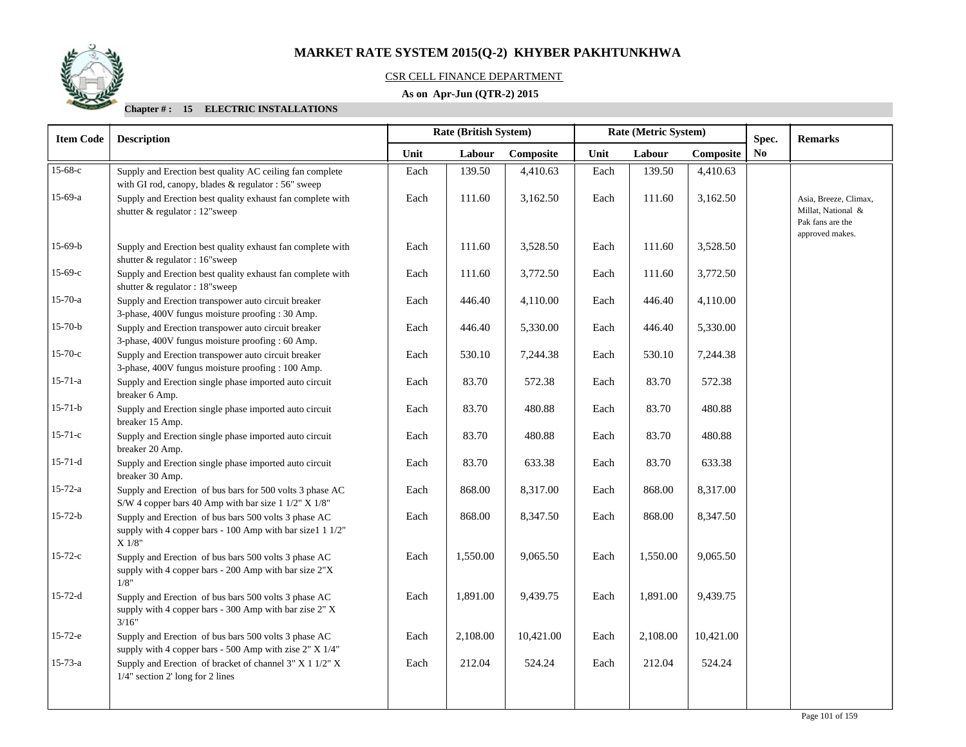

## CSR CELL FINANCE DEPARTMENT

## **As on Apr-Jun (QTR-2) 2015**

| <b>Item Code</b> | <b>Description</b>                                                                                                                 | Rate (British System) |          |           | Rate (Metric System) |          |           |    |                                                                                    |  | Spec. | <b>Remarks</b> |
|------------------|------------------------------------------------------------------------------------------------------------------------------------|-----------------------|----------|-----------|----------------------|----------|-----------|----|------------------------------------------------------------------------------------|--|-------|----------------|
|                  |                                                                                                                                    | Unit                  | Labour   | Composite | Unit                 | Labour   | Composite | No |                                                                                    |  |       |                |
| 15-68-с          | Supply and Erection best quality AC ceiling fan complete<br>with GI rod, canopy, blades & regulator : 56" sweep                    | Each                  | 139.50   | 4,410.63  | Each                 | 139.50   | 4,410.63  |    |                                                                                    |  |       |                |
| $15-69-a$        | Supply and Erection best quality exhaust fan complete with<br>shutter & regulator : 12"sweep                                       | Each                  | 111.60   | 3,162.50  | Each                 | 111.60   | 3,162.50  |    | Asia, Breeze, Climax,<br>Millat, National &<br>Pak fans are the<br>approved makes. |  |       |                |
| $15-69-b$        | Supply and Erection best quality exhaust fan complete with<br>shutter & regulator : 16"sweep                                       | Each                  | 111.60   | 3,528.50  | Each                 | 111.60   | 3,528.50  |    |                                                                                    |  |       |                |
| $15-69-c$        | Supply and Erection best quality exhaust fan complete with<br>shutter & regulator : 18"sweep                                       | Each                  | 111.60   | 3,772.50  | Each                 | 111.60   | 3,772.50  |    |                                                                                    |  |       |                |
| $15 - 70 - a$    | Supply and Erection transpower auto circuit breaker<br>3-phase, 400V fungus moisture proofing : 30 Amp.                            | Each                  | 446.40   | 4,110.00  | Each                 | 446.40   | 4,110.00  |    |                                                                                    |  |       |                |
| $15 - 70 - b$    | Supply and Erection transpower auto circuit breaker<br>3-phase, 400V fungus moisture proofing : 60 Amp.                            | Each                  | 446.40   | 5,330.00  | Each                 | 446.40   | 5,330.00  |    |                                                                                    |  |       |                |
| $15 - 70 - c$    | Supply and Erection transpower auto circuit breaker<br>3-phase, 400V fungus moisture proofing : 100 Amp.                           | Each                  | 530.10   | 7,244.38  | Each                 | 530.10   | 7,244.38  |    |                                                                                    |  |       |                |
| $15 - 71 - a$    | Supply and Erection single phase imported auto circuit<br>breaker 6 Amp.                                                           | Each                  | 83.70    | 572.38    | Each                 | 83.70    | 572.38    |    |                                                                                    |  |       |                |
| $15 - 71 - b$    | Supply and Erection single phase imported auto circuit<br>breaker 15 Amp.                                                          | Each                  | 83.70    | 480.88    | Each                 | 83.70    | 480.88    |    |                                                                                    |  |       |                |
| $15 - 71 - c$    | Supply and Erection single phase imported auto circuit<br>breaker 20 Amp.                                                          | Each                  | 83.70    | 480.88    | Each                 | 83.70    | 480.88    |    |                                                                                    |  |       |                |
| $15-71-d$        | Supply and Erection single phase imported auto circuit<br>breaker 30 Amp.                                                          | Each                  | 83.70    | 633.38    | Each                 | 83.70    | 633.38    |    |                                                                                    |  |       |                |
| $15 - 72 - a$    | Supply and Erection of bus bars for 500 volts 3 phase AC<br>S/W 4 copper bars 40 Amp with bar size 1 1/2" X 1/8"                   | Each                  | 868.00   | 8,317.00  | Each                 | 868.00   | 8,317.00  |    |                                                                                    |  |       |                |
| $15 - 72 - b$    | Supply and Erection of bus bars 500 volts 3 phase AC<br>supply with 4 copper bars - 100 Amp with bar size1 1 1/2"<br>$X$ 1/8" $\,$ | Each                  | 868.00   | 8,347.50  | Each                 | 868.00   | 8,347.50  |    |                                                                                    |  |       |                |
| $15 - 72 - c$    | Supply and Erection of bus bars 500 volts 3 phase AC<br>supply with 4 copper bars - 200 Amp with bar size 2"X<br>1/8"              | Each                  | 1,550.00 | 9,065.50  | Each                 | 1,550.00 | 9,065.50  |    |                                                                                    |  |       |                |
| $15 - 72 - d$    | Supply and Erection of bus bars 500 volts 3 phase AC<br>supply with 4 copper bars - 300 Amp with bar zise 2" X<br>3/16"            | Each                  | 1,891.00 | 9,439.75  | Each                 | 1,891.00 | 9,439.75  |    |                                                                                    |  |       |                |
| $15 - 72 - e$    | Supply and Erection of bus bars 500 volts 3 phase AC<br>supply with 4 copper bars - 500 Amp with zise 2" X 1/4"                    | Each                  | 2,108.00 | 10,421.00 | Each                 | 2,108.00 | 10,421.00 |    |                                                                                    |  |       |                |
| $15 - 73 - a$    | Supply and Erection of bracket of channel 3" X 1 1/2" X<br>1/4" section 2' long for 2 lines                                        | Each                  | 212.04   | 524.24    | Each                 | 212.04   | 524.24    |    |                                                                                    |  |       |                |
|                  |                                                                                                                                    |                       |          |           |                      |          |           |    |                                                                                    |  |       |                |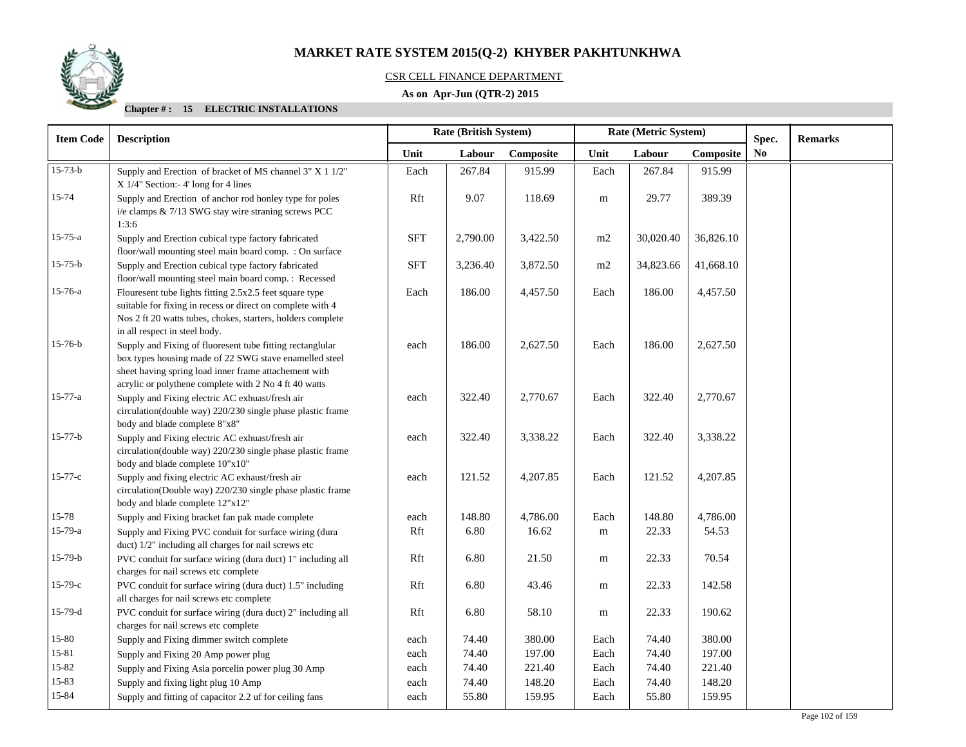

## CSR CELL FINANCE DEPARTMENT

## **As on Apr-Jun (QTR-2) 2015**

| <b>Item Code</b> | Rate (British System)<br>Rate (Metric System)<br><b>Description</b>                                                                                                                                                                   |            |          |           |             |           | Spec.     | <b>Remarks</b> |  |
|------------------|---------------------------------------------------------------------------------------------------------------------------------------------------------------------------------------------------------------------------------------|------------|----------|-----------|-------------|-----------|-----------|----------------|--|
|                  |                                                                                                                                                                                                                                       | Unit       | Labour   | Composite | Unit        | Labour    | Composite | N <sub>0</sub> |  |
| $15 - 73 - b$    | Supply and Erection of bracket of MS channel 3" X 1 1/2"<br>$X$ 1/4" Section:-4' long for 4 lines                                                                                                                                     | Each       | 267.84   | 915.99    | Each        | 267.84    | 915.99    |                |  |
| 15-74            | Supply and Erection of anchor rod honley type for poles<br>i/e clamps & 7/13 SWG stay wire straning screws PCC<br>1:3:6                                                                                                               | Rft        | 9.07     | 118.69    | ${\bf m}$   | 29.77     | 389.39    |                |  |
| 15-75-a          | Supply and Erection cubical type factory fabricated<br>floor/wall mounting steel main board comp. : On surface                                                                                                                        | <b>SFT</b> | 2,790.00 | 3,422.50  | m2          | 30,020.40 | 36,826.10 |                |  |
| $15 - 75 - b$    | Supply and Erection cubical type factory fabricated<br>floor/wall mounting steel main board comp. : Recessed                                                                                                                          | <b>SFT</b> | 3,236.40 | 3,872.50  | m2          | 34,823.66 | 41,668.10 |                |  |
| 15-76-a          | Flouresent tube lights fitting 2.5x2.5 feet square type<br>suitable for fixing in recess or direct on complete with 4<br>Nos 2 ft 20 watts tubes, chokes, starters, holders complete<br>in all respect in steel body.                 | Each       | 186.00   | 4,457.50  | Each        | 186.00    | 4,457.50  |                |  |
| $15 - 76 - b$    | Supply and Fixing of fluoresent tube fitting rectanglular<br>box types housing made of 22 SWG stave enamelled steel<br>sheet having spring load inner frame attachement with<br>acrylic or polythene complete with 2 No 4 ft 40 watts | each       | 186.00   | 2,627.50  | Each        | 186.00    | 2,627.50  |                |  |
| 15-77-a          | Supply and Fixing electric AC exhuast/fresh air<br>circulation(double way) 220/230 single phase plastic frame<br>body and blade complete 8"x8"                                                                                        | each       | 322.40   | 2,770.67  | Each        | 322.40    | 2,770.67  |                |  |
| $15 - 77 - b$    | Supply and Fixing electric AC exhuast/fresh air<br>circulation(double way) 220/230 single phase plastic frame<br>body and blade complete 10"x10"                                                                                      | each       | 322.40   | 3,338.22  | Each        | 322.40    | 3,338.22  |                |  |
| $15 - 77 - c$    | Supply and fixing electric AC exhaust/fresh air<br>circulation(Double way) 220/230 single phase plastic frame<br>body and blade complete 12"x12"                                                                                      | each       | 121.52   | 4,207.85  | Each        | 121.52    | 4,207.85  |                |  |
| 15-78            | Supply and Fixing bracket fan pak made complete                                                                                                                                                                                       | each       | 148.80   | 4,786.00  | Each        | 148.80    | 4,786.00  |                |  |
| $15-79-a$        | Supply and Fixing PVC conduit for surface wiring (dura<br>duct) 1/2" including all charges for nail screws etc                                                                                                                        | Rft        | 6.80     | 16.62     | m           | 22.33     | 54.53     |                |  |
| $15-79-b$        | PVC conduit for surface wiring (dura duct) 1" including all<br>charges for nail screws etc complete                                                                                                                                   | Rft        | 6.80     | 21.50     | m           | 22.33     | 70.54     |                |  |
| $15-79-c$        | PVC conduit for surface wiring (dura duct) 1.5" including<br>all charges for nail screws etc complete                                                                                                                                 | Rft        | 6.80     | 43.46     | $\mathbf m$ | 22.33     | 142.58    |                |  |
| $15-79-d$        | PVC conduit for surface wiring (dura duct) 2" including all<br>charges for nail screws etc complete                                                                                                                                   | Rft        | 6.80     | 58.10     | m           | 22.33     | 190.62    |                |  |
| 15-80            | Supply and Fixing dimmer switch complete                                                                                                                                                                                              | each       | 74.40    | 380.00    | Each        | 74.40     | 380.00    |                |  |
| 15-81            | Supply and Fixing 20 Amp power plug                                                                                                                                                                                                   | each       | 74.40    | 197.00    | Each        | 74.40     | 197.00    |                |  |
| 15-82            | Supply and Fixing Asia porcelin power plug 30 Amp                                                                                                                                                                                     | each       | 74.40    | 221.40    | Each        | 74.40     | 221.40    |                |  |
| 15-83            | Supply and fixing light plug 10 Amp                                                                                                                                                                                                   | each       | 74.40    | 148.20    | Each        | 74.40     | 148.20    |                |  |
| 15-84            | Supply and fitting of capacitor 2.2 uf for ceiling fans                                                                                                                                                                               | each       | 55.80    | 159.95    | Each        | 55.80     | 159.95    |                |  |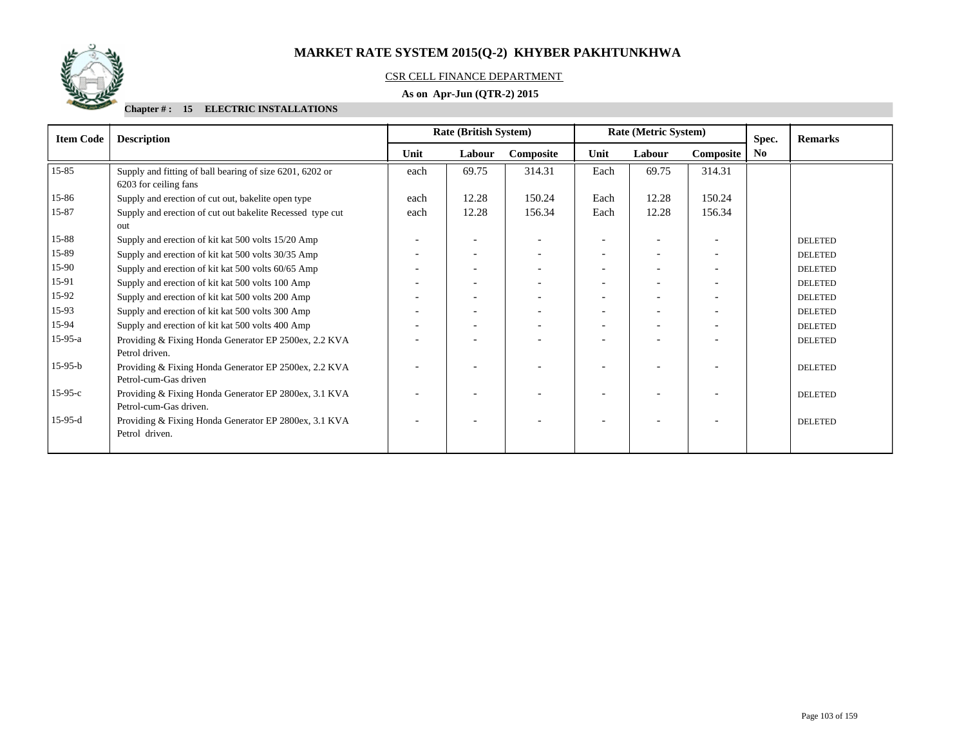

## CSR CELL FINANCE DEPARTMENT

## **As on Apr-Jun (QTR-2) 2015**

| <b>Item Code</b> | <b>Description</b>                                                                |      | <b>Rate (British System)</b> |           |                          | Rate (Metric System) |                          | Spec. | <b>Remarks</b> |
|------------------|-----------------------------------------------------------------------------------|------|------------------------------|-----------|--------------------------|----------------------|--------------------------|-------|----------------|
|                  |                                                                                   | Unit | Labour                       | Composite | Unit                     | Labour               | Composite                | No.   |                |
| $15 - 85$        | Supply and fitting of ball bearing of size 6201, 6202 or<br>6203 for ceiling fans | each | 69.75                        | 314.31    | Each                     | 69.75                | 314.31                   |       |                |
| 15-86            | Supply and erection of cut out, bakelite open type                                | each | 12.28                        | 150.24    | Each                     | 12.28                | 150.24                   |       |                |
| 15-87            | Supply and erection of cut out bakelite Recessed type cut<br>out                  | each | 12.28                        | 156.34    | Each                     | 12.28                | 156.34                   |       |                |
| 15-88            | Supply and erection of kit kat 500 volts 15/20 Amp                                |      | $\overline{\phantom{a}}$     |           |                          |                      |                          |       | <b>DELETED</b> |
| 15-89            | Supply and erection of kit kat 500 volts 30/35 Amp                                |      | $\overline{\phantom{a}}$     |           | $\overline{\phantom{a}}$ |                      | $\overline{\phantom{a}}$ |       | <b>DELETED</b> |
| 15-90            | Supply and erection of kit kat 500 volts 60/65 Amp                                |      | $\overline{\phantom{a}}$     |           |                          |                      |                          |       | <b>DELETED</b> |
| 15-91            | Supply and erection of kit kat 500 volts 100 Amp                                  |      | $\overline{\phantom{0}}$     |           |                          |                      |                          |       | <b>DELETED</b> |
| 15-92            | Supply and erection of kit kat 500 volts 200 Amp                                  |      | $\overline{\phantom{0}}$     |           |                          |                      |                          |       | <b>DELETED</b> |
| 15-93            | Supply and erection of kit kat 500 volts 300 Amp                                  |      | $\overline{\phantom{0}}$     |           |                          |                      | $\overline{\phantom{0}}$ |       | <b>DELETED</b> |
| 15-94            | Supply and erection of kit kat 500 volts 400 Amp                                  |      | $\overline{\phantom{a}}$     |           |                          |                      |                          |       | <b>DELETED</b> |
| $15-95-a$        | Providing & Fixing Honda Generator EP 2500ex, 2.2 KVA<br>Petrol driven.           |      |                              |           |                          |                      |                          |       | <b>DELETED</b> |
| $15-95-b$        | Providing & Fixing Honda Generator EP 2500ex, 2.2 KVA<br>Petrol-cum-Gas driven    |      |                              |           |                          |                      |                          |       | <b>DELETED</b> |
| $15-95-c$        | Providing & Fixing Honda Generator EP 2800ex, 3.1 KVA<br>Petrol-cum-Gas driven.   |      | $\overline{\phantom{0}}$     |           |                          |                      |                          |       | <b>DELETED</b> |
| $15-95-d$        | Providing & Fixing Honda Generator EP 2800ex, 3.1 KVA<br>Petrol driven.           |      |                              |           |                          |                      |                          |       | <b>DELETED</b> |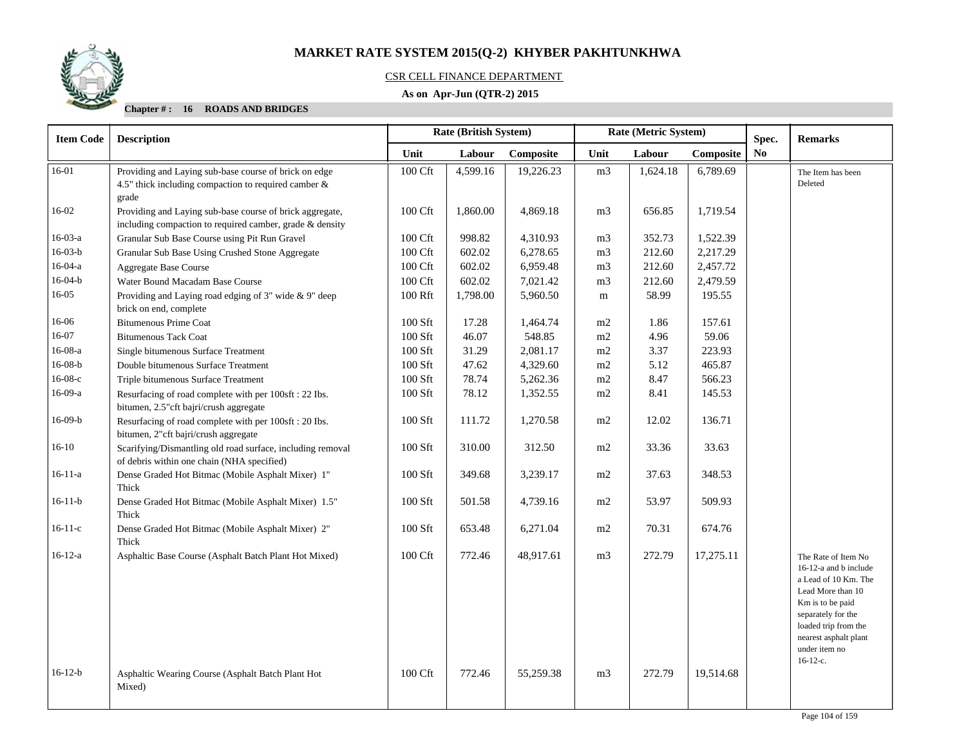

## CSR CELL FINANCE DEPARTMENT

## **As on Apr-Jun (QTR-2) 2015**

| <b>Item Code</b> | <b>Description</b>                                                                                                        | <b>Rate (British System)</b><br>Rate (Metric System)<br>Spec. |          |           |                |          |           | <b>Remarks</b> |                                                                                                                                                                                                                     |
|------------------|---------------------------------------------------------------------------------------------------------------------------|---------------------------------------------------------------|----------|-----------|----------------|----------|-----------|----------------|---------------------------------------------------------------------------------------------------------------------------------------------------------------------------------------------------------------------|
|                  |                                                                                                                           | Unit                                                          | Labour   | Composite | Unit           | Labour   | Composite | N <sub>0</sub> |                                                                                                                                                                                                                     |
| 16-01            | Providing and Laying sub-base course of brick on edge<br>4.5" thick including compaction to required camber $\&$<br>grade | 100 Cft                                                       | 4,599.16 | 19,226.23 | m <sub>3</sub> | 1,624.18 | 6,789.69  |                | The Item has been<br>Deleted                                                                                                                                                                                        |
| 16-02            | Providing and Laying sub-base course of brick aggregate,<br>including compaction to required camber, grade & density      | 100 Cft                                                       | 1,860.00 | 4,869.18  | m <sub>3</sub> | 656.85   | 1,719.54  |                |                                                                                                                                                                                                                     |
| $16-03-a$        | Granular Sub Base Course using Pit Run Gravel                                                                             | 100 Cft                                                       | 998.82   | 4,310.93  | m <sub>3</sub> | 352.73   | 1,522.39  |                |                                                                                                                                                                                                                     |
| $16-03-b$        | Granular Sub Base Using Crushed Stone Aggregate                                                                           | 100 Cft                                                       | 602.02   | 6,278.65  | m <sub>3</sub> | 212.60   | 2,217.29  |                |                                                                                                                                                                                                                     |
| $16-04-a$        | <b>Aggregate Base Course</b>                                                                                              | 100 Cft                                                       | 602.02   | 6,959.48  | m <sub>3</sub> | 212.60   | 2,457.72  |                |                                                                                                                                                                                                                     |
| $16-04-b$        | Water Bound Macadam Base Course                                                                                           | 100 Cft                                                       | 602.02   | 7,021.42  | m <sub>3</sub> | 212.60   | 2,479.59  |                |                                                                                                                                                                                                                     |
| 16-05            | Providing and Laying road edging of $3"$ wide $\&$ 9" deep<br>brick on end, complete                                      | 100 Rft                                                       | 1,798.00 | 5,960.50  | m              | 58.99    | 195.55    |                |                                                                                                                                                                                                                     |
| 16-06            | <b>Bitumenous Prime Coat</b>                                                                                              | $100$ Sft                                                     | 17.28    | 1,464.74  | m2             | 1.86     | 157.61    |                |                                                                                                                                                                                                                     |
| 16-07            | <b>Bitumenous Tack Coat</b>                                                                                               | 100 Sft                                                       | 46.07    | 548.85    | m2             | 4.96     | 59.06     |                |                                                                                                                                                                                                                     |
| $16-08-a$        | Single bitumenous Surface Treatment                                                                                       | 100 Sft                                                       | 31.29    | 2,081.17  | m2             | 3.37     | 223.93    |                |                                                                                                                                                                                                                     |
| $16-08-b$        | Double bitumenous Surface Treatment                                                                                       | 100 Sft                                                       | 47.62    | 4,329.60  | m2             | 5.12     | 465.87    |                |                                                                                                                                                                                                                     |
| $16-08-c$        | Triple bitumenous Surface Treatment                                                                                       | 100 Sft                                                       | 78.74    | 5,262.36  | m2             | 8.47     | 566.23    |                |                                                                                                                                                                                                                     |
| $16-09-a$        | Resurfacing of road complete with per 100sft : 22 Ibs.<br>bitumen, 2.5"cft bajri/crush aggregate                          | 100 Sft                                                       | 78.12    | 1,352.55  | m2             | 8.41     | 145.53    |                |                                                                                                                                                                                                                     |
| $16-09-b$        | Resurfacing of road complete with per 100sft : 20 Ibs.<br>bitumen, 2"cft bajri/crush aggregate                            | 100 Sft                                                       | 111.72   | 1,270.58  | m2             | 12.02    | 136.71    |                |                                                                                                                                                                                                                     |
| $16-10$          | Scarifying/Dismantling old road surface, including removal<br>of debris within one chain (NHA specified)                  | 100 Sft                                                       | 310.00   | 312.50    | m2             | 33.36    | 33.63     |                |                                                                                                                                                                                                                     |
| $16 - 11 - a$    | Dense Graded Hot Bitmac (Mobile Asphalt Mixer) 1"<br>Thick                                                                | 100 Sft                                                       | 349.68   | 3,239.17  | m2             | 37.63    | 348.53    |                |                                                                                                                                                                                                                     |
| $16-11-b$        | Dense Graded Hot Bitmac (Mobile Asphalt Mixer) 1.5"<br>Thick                                                              | $100$ Sft                                                     | 501.58   | 4,739.16  | m2             | 53.97    | 509.93    |                |                                                                                                                                                                                                                     |
| $16-11-c$        | Dense Graded Hot Bitmac (Mobile Asphalt Mixer) 2"<br>Thick                                                                | 100 Sft                                                       | 653.48   | 6,271.04  | m2             | 70.31    | 674.76    |                |                                                                                                                                                                                                                     |
| $16-12-a$        | Asphaltic Base Course (Asphalt Batch Plant Hot Mixed)                                                                     | 100 Cft                                                       | 772.46   | 48,917.61 | m <sub>3</sub> | 272.79   | 17,275.11 |                | The Rate of Item No<br>16-12-a and b include<br>a Lead of 10 Km. The<br>Lead More than 10<br>Km is to be paid<br>separately for the<br>loaded trip from the<br>nearest asphalt plant<br>under item no<br>$16-12-c.$ |
| $16-12-b$        | Asphaltic Wearing Course (Asphalt Batch Plant Hot<br>Mixed)                                                               | 100 Cft                                                       | 772.46   | 55,259.38 | m <sub>3</sub> | 272.79   | 19,514.68 |                |                                                                                                                                                                                                                     |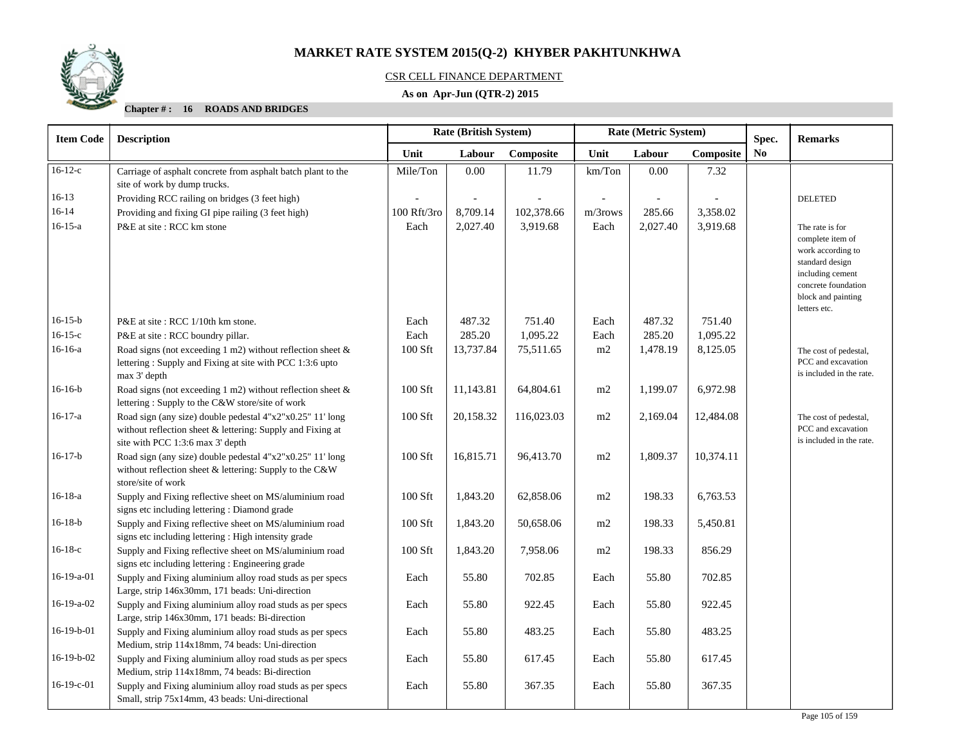

## CSR CELL FINANCE DEPARTMENT

## **As on Apr-Jun (QTR-2) 2015**

| <b>Item Code</b> | <b>Description</b>                                                                                                                                          | Rate (British System)<br>Rate (Metric System) |           |            |            |          |           | Spec. | <b>Remarks</b>                                                                                                                                               |
|------------------|-------------------------------------------------------------------------------------------------------------------------------------------------------------|-----------------------------------------------|-----------|------------|------------|----------|-----------|-------|--------------------------------------------------------------------------------------------------------------------------------------------------------------|
|                  |                                                                                                                                                             | Unit                                          | Labour    | Composite  | Unit       | Labour   | Composite | No.   |                                                                                                                                                              |
| $16-12-c$        | Carriage of asphalt concrete from asphalt batch plant to the<br>site of work by dump trucks.                                                                | Mile/Ton                                      | 0.00      | 11.79      | km/Ton     | 0.00     | 7.32      |       |                                                                                                                                                              |
| $16-13$          | Providing RCC railing on bridges (3 feet high)                                                                                                              |                                               |           |            |            |          |           |       | <b>DELETED</b>                                                                                                                                               |
| $16-14$          | Providing and fixing GI pipe railing (3 feet high)                                                                                                          | 100 Rft/3ro                                   | 8,709.14  | 102,378.66 | $m/3$ rows | 285.66   | 3,358.02  |       |                                                                                                                                                              |
| $16-15-a$        | P&E at site: RCC km stone                                                                                                                                   | Each                                          | 2,027.40  | 3,919.68   | Each       | 2,027.40 | 3,919.68  |       | The rate is for<br>complete item of<br>work according to<br>standard design<br>including cement<br>concrete foundation<br>block and painting<br>letters etc. |
| $16-15-b$        | P&E at site: RCC 1/10th km stone.                                                                                                                           | Each                                          | 487.32    | 751.40     | Each       | 487.32   | 751.40    |       |                                                                                                                                                              |
| $16 - 15 - c$    | P&E at site : RCC boundry pillar.                                                                                                                           | Each                                          | 285.20    | 1,095.22   | Each       | 285.20   | 1,095.22  |       |                                                                                                                                                              |
| $16-16-a$        | Road signs (not exceeding 1 m2) without reflection sheet $\&$<br>lettering: Supply and Fixing at site with PCC 1:3:6 upto<br>max 3' depth                   | 100 Sft                                       | 13,737.84 | 75,511.65  | $\rm m2$   | 1,478.19 | 8,125.05  |       | The cost of pedestal,<br>PCC and excavation<br>is included in the rate.                                                                                      |
| $16-16-b$        | Road signs (not exceeding 1 m2) without reflection sheet $\&$<br>lettering: Supply to the C&W store/site of work                                            | 100 Sft                                       | 11,143.81 | 64,804.61  | m2         | 1,199.07 | 6,972.98  |       |                                                                                                                                                              |
| $16-17-a$        | Road sign (any size) double pedestal 4"x2"x0.25" 11' long<br>without reflection sheet & lettering: Supply and Fixing at<br>site with PCC 1:3:6 max 3' depth | 100 Sft                                       | 20,158.32 | 116,023.03 | m2         | 2,169.04 | 12,484.08 |       | The cost of pedestal,<br>PCC and excavation<br>is included in the rate.                                                                                      |
| $16-17-b$        | Road sign (any size) double pedestal 4"x2"x0.25" 11' long<br>without reflection sheet & lettering: Supply to the C&W<br>store/site of work                  | 100 Sft                                       | 16,815.71 | 96,413.70  | m2         | 1,809.37 | 10,374.11 |       |                                                                                                                                                              |
| $16-18-a$        | Supply and Fixing reflective sheet on MS/aluminium road<br>signs etc including lettering : Diamond grade                                                    | 100 Sft                                       | 1,843.20  | 62,858.06  | m2         | 198.33   | 6,763.53  |       |                                                                                                                                                              |
| $16-18-b$        | Supply and Fixing reflective sheet on MS/aluminium road<br>signs etc including lettering : High intensity grade                                             | 100 Sft                                       | 1,843.20  | 50,658.06  | m2         | 198.33   | 5,450.81  |       |                                                                                                                                                              |
| $16-18-c$        | Supply and Fixing reflective sheet on MS/aluminium road<br>signs etc including lettering : Engineering grade                                                | 100 Sft                                       | 1,843.20  | 7,958.06   | m2         | 198.33   | 856.29    |       |                                                                                                                                                              |
| $16-19-a-01$     | Supply and Fixing aluminium alloy road studs as per specs<br>Large, strip 146x30mm, 171 beads: Uni-direction                                                | Each                                          | 55.80     | 702.85     | Each       | 55.80    | 702.85    |       |                                                                                                                                                              |
| 16-19-a-02       | Supply and Fixing aluminium alloy road studs as per specs<br>Large, strip 146x30mm, 171 beads: Bi-direction                                                 | Each                                          | 55.80     | 922.45     | Each       | 55.80    | 922.45    |       |                                                                                                                                                              |
| $16-19-b-01$     | Supply and Fixing aluminium alloy road studs as per specs<br>Medium, strip 114x18mm, 74 beads: Uni-direction                                                | Each                                          | 55.80     | 483.25     | Each       | 55.80    | 483.25    |       |                                                                                                                                                              |
| 16-19-b-02       | Supply and Fixing aluminium alloy road studs as per specs<br>Medium, strip 114x18mm, 74 beads: Bi-direction                                                 | Each                                          | 55.80     | 617.45     | Each       | 55.80    | 617.45    |       |                                                                                                                                                              |
| $16-19-c-01$     | Supply and Fixing aluminium alloy road studs as per specs<br>Small, strip 75x14mm, 43 beads: Uni-directional                                                | Each                                          | 55.80     | 367.35     | Each       | 55.80    | 367.35    |       |                                                                                                                                                              |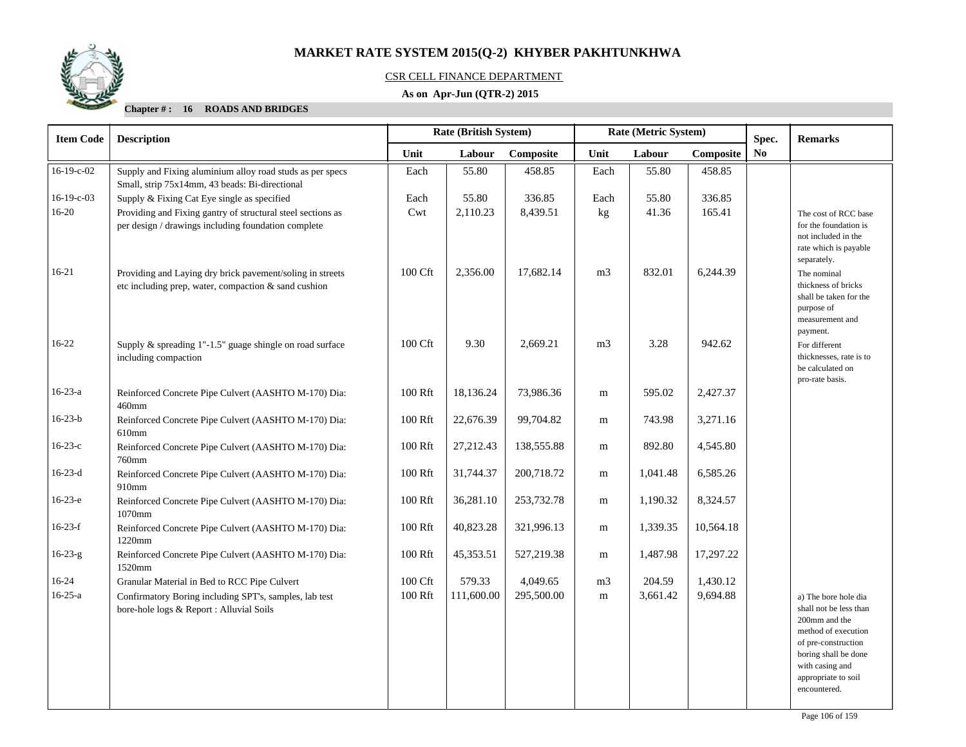

## CSR CELL FINANCE DEPARTMENT

## **As on Apr-Jun (QTR-2) 2015**

| <b>Item Code</b> | <b>Description</b>                                                                                                   |         | Rate (British System) |            | Rate (Metric System) |          |           | Spec.          | <b>Remarks</b>                                                                                                                                                                                  |
|------------------|----------------------------------------------------------------------------------------------------------------------|---------|-----------------------|------------|----------------------|----------|-----------|----------------|-------------------------------------------------------------------------------------------------------------------------------------------------------------------------------------------------|
|                  |                                                                                                                      | Unit    | Labour                | Composite  | Unit                 | Labour   | Composite | N <sub>0</sub> |                                                                                                                                                                                                 |
| 16-19-c-02       | Supply and Fixing aluminium alloy road studs as per specs<br>Small, strip 75x14mm, 43 beads: Bi-directional          | Each    | 55.80                 | 458.85     | Each                 | 55.80    | 458.85    |                |                                                                                                                                                                                                 |
| $16-19-c-03$     | Supply & Fixing Cat Eye single as specified                                                                          | Each    | 55.80                 | 336.85     | Each                 | 55.80    | 336.85    |                |                                                                                                                                                                                                 |
| $16 - 20$        | Providing and Fixing gantry of structural steel sections as<br>per design / drawings including foundation complete   | Cwt     | 2,110.23              | 8,439.51   | kg                   | 41.36    | 165.41    |                | The cost of RCC base<br>for the foundation is<br>not included in the<br>rate which is payable<br>separately.                                                                                    |
| $16 - 21$        | Providing and Laying dry brick pavement/soling in streets<br>etc including prep, water, compaction $\&$ sand cushion | 100 Cft | 2,356.00              | 17,682.14  | m <sub>3</sub>       | 832.01   | 6,244.39  |                | The nominal<br>thickness of bricks<br>shall be taken for the<br>purpose of<br>measurement and<br>payment.                                                                                       |
| $16-22$          | Supply $\&$ spreading 1"-1.5" guage shingle on road surface<br>including compaction                                  | 100 Cft | 9.30                  | 2,669.21   | m <sub>3</sub>       | 3.28     | 942.62    |                | For different<br>thicknesses, rate is to<br>be calculated on<br>pro-rate basis.                                                                                                                 |
| $16-23-a$        | Reinforced Concrete Pipe Culvert (AASHTO M-170) Dia:<br>460mm                                                        | 100 Rft | 18,136.24             | 73,986.36  | m                    | 595.02   | 2,427.37  |                |                                                                                                                                                                                                 |
| $16 - 23 - b$    | Reinforced Concrete Pipe Culvert (AASHTO M-170) Dia:<br>610mm                                                        | 100 Rft | 22,676.39             | 99,704.82  | m                    | 743.98   | 3,271.16  |                |                                                                                                                                                                                                 |
| $16-23-c$        | Reinforced Concrete Pipe Culvert (AASHTO M-170) Dia:<br>760mm                                                        | 100 Rft | 27,212.43             | 138,555.88 | m                    | 892.80   | 4,545.80  |                |                                                                                                                                                                                                 |
| $16-23-d$        | Reinforced Concrete Pipe Culvert (AASHTO M-170) Dia:<br>910mm                                                        | 100 Rft | 31,744.37             | 200,718.72 | m                    | 1,041.48 | 6,585.26  |                |                                                                                                                                                                                                 |
| $16-23-e$        | Reinforced Concrete Pipe Culvert (AASHTO M-170) Dia:<br>1070mm                                                       | 100 Rft | 36,281.10             | 253,732.78 | ${\bf m}$            | 1,190.32 | 8,324.57  |                |                                                                                                                                                                                                 |
| $16-23-f$        | Reinforced Concrete Pipe Culvert (AASHTO M-170) Dia:<br>1220mm                                                       | 100 Rft | 40,823.28             | 321,996.13 | m                    | 1,339.35 | 10,564.18 |                |                                                                                                                                                                                                 |
| $16 - 23 - g$    | Reinforced Concrete Pipe Culvert (AASHTO M-170) Dia:<br>1520mm                                                       | 100 Rft | 45,353.51             | 527,219.38 | m                    | 1,487.98 | 17,297.22 |                |                                                                                                                                                                                                 |
| $16-24$          | Granular Material in Bed to RCC Pipe Culvert                                                                         | 100 Cft | 579.33                | 4,049.65   | m <sub>3</sub>       | 204.59   | 1,430.12  |                |                                                                                                                                                                                                 |
| $16 - 25 - a$    | Confirmatory Boring including SPT's, samples, lab test<br>bore-hole logs & Report : Alluvial Soils                   | 100 Rft | 111,600.00            | 295,500.00 | m                    | 3,661.42 | 9,694.88  |                | a) The bore hole dia<br>shall not be less than<br>200mm and the<br>method of execution<br>of pre-construction<br>boring shall be done<br>with casing and<br>appropriate to soil<br>encountered. |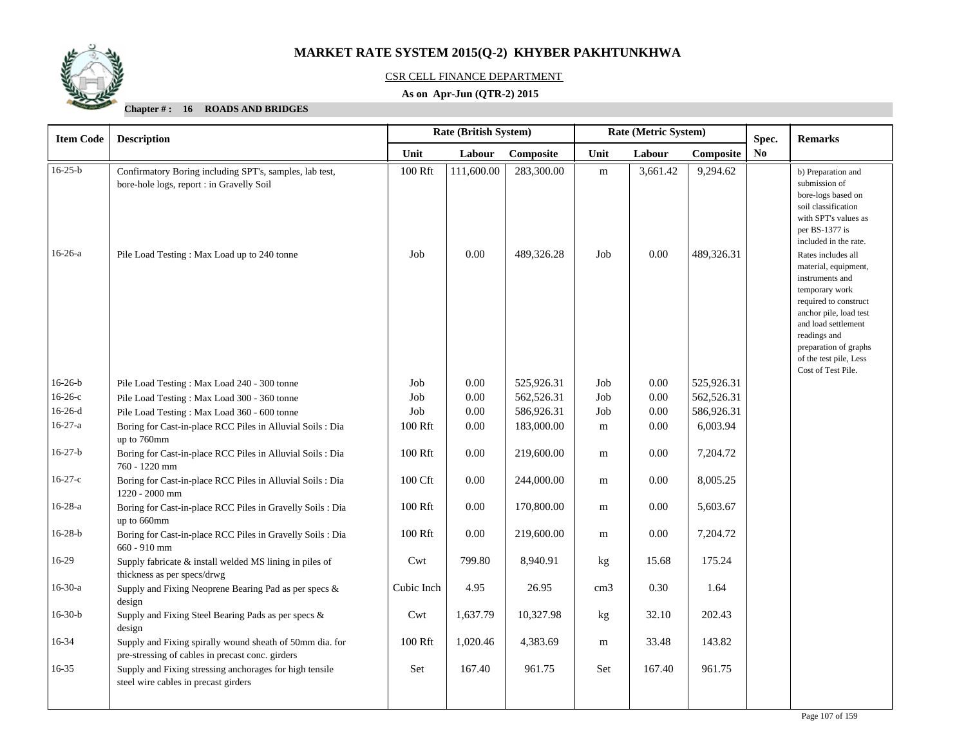

## CSR CELL FINANCE DEPARTMENT

## **As on Apr-Jun (QTR-2) 2015**

| <b>Item Code</b> | <b>Description</b>                                                                                           |            | Rate (Metric System)<br><b>Rate (British System)</b><br>Spec. |            |                 |          |            |                | <b>Remarks</b>                                                                                                                                                                                                                                     |
|------------------|--------------------------------------------------------------------------------------------------------------|------------|---------------------------------------------------------------|------------|-----------------|----------|------------|----------------|----------------------------------------------------------------------------------------------------------------------------------------------------------------------------------------------------------------------------------------------------|
|                  |                                                                                                              | Unit       | Labour                                                        | Composite  | Unit            | Labour   | Composite  | N <sub>0</sub> |                                                                                                                                                                                                                                                    |
| $16-25-b$        | Confirmatory Boring including SPT's, samples, lab test,<br>bore-hole logs, report : in Gravelly Soil         | 100 Rft    | 111,600.00                                                    | 283,300.00 | ${\rm m}$       | 3,661.42 | 9,294.62   |                | b) Preparation and<br>submission of<br>bore-logs based on<br>soil classification<br>with SPT's values as<br>per BS-1377 is<br>included in the rate.                                                                                                |
| $16-26-a$        | Pile Load Testing: Max Load up to 240 tonne                                                                  | Job        | 0.00                                                          | 489,326.28 | Job             | 0.00     | 489,326.31 |                | Rates includes all<br>material, equipment,<br>instruments and<br>temporary work<br>required to construct<br>anchor pile, load test<br>and load settlement<br>readings and<br>preparation of graphs<br>of the test pile, Less<br>Cost of Test Pile. |
| $16-26-b$        | Pile Load Testing: Max Load 240 - 300 tonne                                                                  | Job        | 0.00                                                          | 525,926.31 | Job             | 0.00     | 525,926.31 |                |                                                                                                                                                                                                                                                    |
| $16-26-c$        | Pile Load Testing: Max Load 300 - 360 tonne                                                                  | Job        | 0.00                                                          | 562,526.31 | Job             | 0.00     | 562,526.31 |                |                                                                                                                                                                                                                                                    |
| $16-26-d$        | Pile Load Testing: Max Load 360 - 600 tonne                                                                  | Job        | 0.00                                                          | 586,926.31 | Job             | 0.00     | 586,926.31 |                |                                                                                                                                                                                                                                                    |
| $16-27-a$        | Boring for Cast-in-place RCC Piles in Alluvial Soils : Dia<br>up to 760mm                                    | 100 Rft    | 0.00                                                          | 183,000.00 | m               | 0.00     | 6,003.94   |                |                                                                                                                                                                                                                                                    |
| $16-27-b$        | Boring for Cast-in-place RCC Piles in Alluvial Soils : Dia<br>760 - 1220 mm                                  | 100 Rft    | 0.00                                                          | 219,600.00 | m               | 0.00     | 7,204.72   |                |                                                                                                                                                                                                                                                    |
| $16-27-c$        | Boring for Cast-in-place RCC Piles in Alluvial Soils : Dia<br>1220 - 2000 mm                                 | 100 Cft    | 0.00                                                          | 244,000.00 | m               | 0.00     | 8,005.25   |                |                                                                                                                                                                                                                                                    |
| $16-28-a$        | Boring for Cast-in-place RCC Piles in Gravelly Soils : Dia<br>up to 660mm                                    | 100 Rft    | 0.00                                                          | 170,800.00 | m               | 0.00     | 5,603.67   |                |                                                                                                                                                                                                                                                    |
| $16-28-b$        | Boring for Cast-in-place RCC Piles in Gravelly Soils : Dia<br>660 - 910 mm                                   | 100 Rft    | 0.00                                                          | 219,600.00 | m               | 0.00     | 7,204.72   |                |                                                                                                                                                                                                                                                    |
| 16-29            | Supply fabricate & install welded MS lining in piles of<br>thickness as per specs/drwg                       | Cwt        | 799.80                                                        | 8,940.91   | kg              | 15.68    | 175.24     |                |                                                                                                                                                                                                                                                    |
| $16-30-a$        | Supply and Fixing Neoprene Bearing Pad as per specs &<br>design                                              | Cubic Inch | 4.95                                                          | 26.95      | cm <sub>3</sub> | 0.30     | 1.64       |                |                                                                                                                                                                                                                                                    |
| $16-30-b$        | Supply and Fixing Steel Bearing Pads as per specs &<br>design                                                | Cwt        | 1,637.79                                                      | 10,327.98  | kg              | 32.10    | 202.43     |                |                                                                                                                                                                                                                                                    |
| 16-34            | Supply and Fixing spirally wound sheath of 50mm dia. for<br>pre-stressing of cables in precast conc. girders | 100 Rft    | 1,020.46                                                      | 4,383.69   | m               | 33.48    | 143.82     |                |                                                                                                                                                                                                                                                    |
| $16 - 35$        | Supply and Fixing stressing anchorages for high tensile<br>steel wire cables in precast girders              | Set        | 167.40                                                        | 961.75     | Set             | 167.40   | 961.75     |                |                                                                                                                                                                                                                                                    |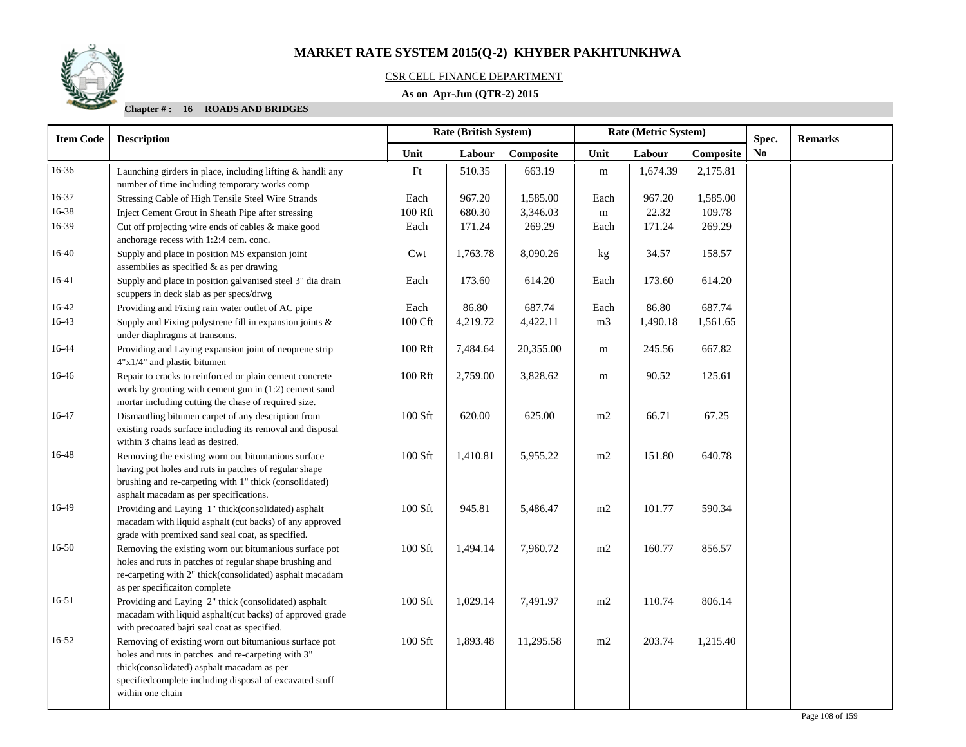

## CSR CELL FINANCE DEPARTMENT

## **As on Apr-Jun (QTR-2) 2015**

| <b>Item Code</b> | <b>Rate (British System)</b><br>Rate (Metric System)<br><b>Description</b>                                                                                                                                                               |         | Spec.    |           | <b>Remarks</b> |          |           |                |  |
|------------------|------------------------------------------------------------------------------------------------------------------------------------------------------------------------------------------------------------------------------------------|---------|----------|-----------|----------------|----------|-----------|----------------|--|
|                  |                                                                                                                                                                                                                                          | Unit    | Labour   | Composite | Unit           | Labour   | Composite | N <sub>0</sub> |  |
| 16-36            | Launching girders in place, including lifting & handli any<br>number of time including temporary works comp                                                                                                                              | Ft      | 510.35   | 663.19    | m              | 1,674.39 | 2,175.81  |                |  |
| 16-37            | Stressing Cable of High Tensile Steel Wire Strands                                                                                                                                                                                       | Each    | 967.20   | 1,585.00  | Each           | 967.20   | 1,585.00  |                |  |
| 16-38            | Inject Cement Grout in Sheath Pipe after stressing                                                                                                                                                                                       | 100 Rft | 680.30   | 3,346.03  | m              | 22.32    | 109.78    |                |  |
| 16-39            | Cut off projecting wire ends of cables & make good<br>anchorage recess with 1:2:4 cem. conc.                                                                                                                                             | Each    | 171.24   | 269.29    | Each           | 171.24   | 269.29    |                |  |
| 16-40            | Supply and place in position MS expansion joint<br>assemblies as specified & as per drawing                                                                                                                                              | Cwt     | 1,763.78 | 8,090.26  | kg             | 34.57    | 158.57    |                |  |
| 16-41            | Supply and place in position galvanised steel 3" dia drain<br>scuppers in deck slab as per specs/drwg                                                                                                                                    | Each    | 173.60   | 614.20    | Each           | 173.60   | 614.20    |                |  |
| 16-42            | Providing and Fixing rain water outlet of AC pipe                                                                                                                                                                                        | Each    | 86.80    | 687.74    | Each           | 86.80    | 687.74    |                |  |
| 16-43            | Supply and Fixing polystrene fill in expansion joints $\&$<br>under diaphragms at transoms.                                                                                                                                              | 100 Cft | 4,219.72 | 4,422.11  | m <sub>3</sub> | 1,490.18 | 1,561.65  |                |  |
| 16-44            | Providing and Laying expansion joint of neoprene strip<br>4"x1/4" and plastic bitumen                                                                                                                                                    | 100 Rft | 7,484.64 | 20,355.00 | m              | 245.56   | 667.82    |                |  |
| 16-46            | Repair to cracks to reinforced or plain cement concrete<br>work by grouting with cement gun in $(1:2)$ cement sand<br>mortar including cutting the chase of required size.                                                               | 100 Rft | 2,759.00 | 3,828.62  | m              | 90.52    | 125.61    |                |  |
| 16-47            | Dismantling bitumen carpet of any description from<br>existing roads surface including its removal and disposal<br>within 3 chains lead as desired.                                                                                      | 100 Sft | 620.00   | 625.00    | m2             | 66.71    | 67.25     |                |  |
| 16-48            | Removing the existing worn out bitumanious surface<br>having pot holes and ruts in patches of regular shape<br>brushing and re-carpeting with 1" thick (consolidated)<br>asphalt macadam as per specifications.                          | 100 Sft | 1,410.81 | 5,955.22  | m2             | 151.80   | 640.78    |                |  |
| 16-49            | Providing and Laying 1" thick(consolidated) asphalt<br>macadam with liquid asphalt (cut backs) of any approved<br>grade with premixed sand seal coat, as specified.                                                                      | 100 Sft | 945.81   | 5,486.47  | $\rm m2$       | 101.77   | 590.34    |                |  |
| 16-50            | Removing the existing worn out bitumanious surface pot<br>holes and ruts in patches of regular shape brushing and<br>re-carpeting with 2" thick(consolidated) asphalt macadam<br>as per specificaiton complete                           | 100 Sft | 1,494.14 | 7,960.72  | m2             | 160.77   | 856.57    |                |  |
| $16 - 51$        | Providing and Laying 2" thick (consolidated) asphalt<br>macadam with liquid asphalt(cut backs) of approved grade<br>with precoated bajri seal coat as specified.                                                                         | 100 Sft | 1,029.14 | 7,491.97  | $\rm m2$       | 110.74   | 806.14    |                |  |
| $16 - 52$        | Removing of existing worn out bitumanious surface pot<br>holes and ruts in patches and re-carpeting with 3"<br>thick(consolidated) asphalt macadam as per<br>specifiedcomplete including disposal of excavated stuff<br>within one chain | 100 Sft | 1,893.48 | 11,295.58 | m2             | 203.74   | 1,215.40  |                |  |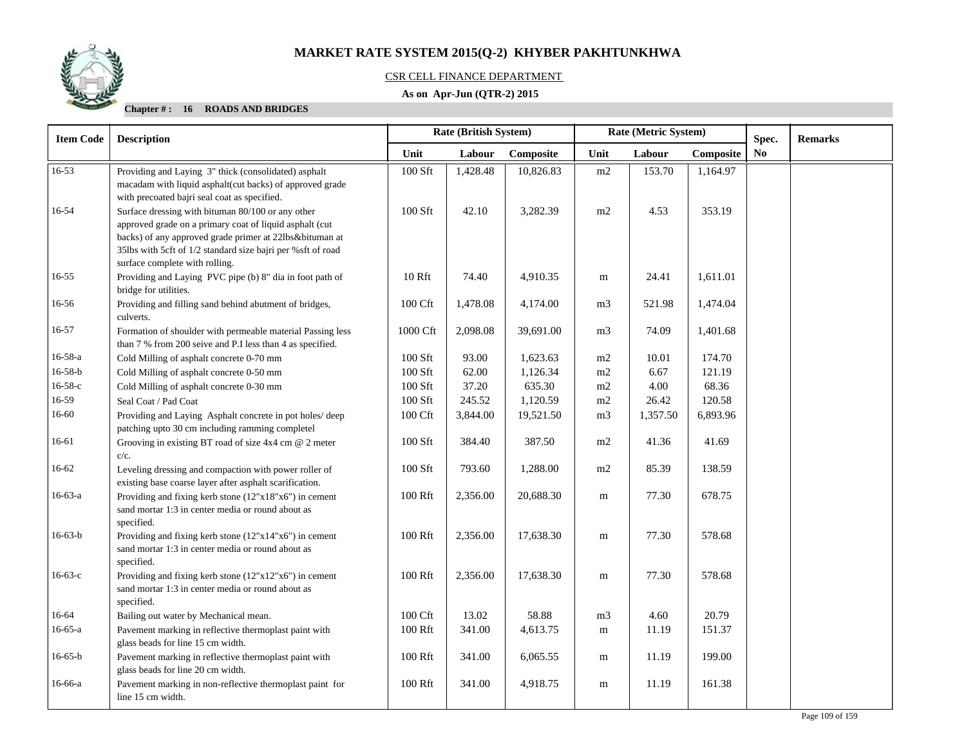

#### CSR CELL FINANCE DEPARTMENT

## **As on Apr-Jun (QTR-2) 2015**

#### **Chapter # : 16 ROADS AND BRIDGES**

| <b>Item Code</b> | <b>Description</b>                                                                                                                                                                                                                                                       | Rate (British System) |          |           |                | Rate (Metric System) |           | Spec.          | <b>Remarks</b> |
|------------------|--------------------------------------------------------------------------------------------------------------------------------------------------------------------------------------------------------------------------------------------------------------------------|-----------------------|----------|-----------|----------------|----------------------|-----------|----------------|----------------|
|                  |                                                                                                                                                                                                                                                                          | Unit                  | Labour   | Composite | Unit           | Labour               | Composite | N <sub>0</sub> |                |
| 16-53            | Providing and Laying 3" thick (consolidated) asphalt<br>macadam with liquid asphalt(cut backs) of approved grade<br>with precoated bajri seal coat as specified.                                                                                                         | 100 Sft               | 1,428.48 | 10,826.83 | m2             | 153.70               | 1,164.97  |                |                |
| 16-54            | Surface dressing with bituman 80/100 or any other<br>approved grade on a primary coat of liquid asphalt (cut<br>backs) of any approved grade primer at 22lbs&bituman at<br>35lbs with 5cft of 1/2 standard size bajri per %sft of road<br>surface complete with rolling. | 100 Sft               | 42.10    | 3,282.39  | m2             | 4.53                 | 353.19    |                |                |
| $16 - 55$        | Providing and Laying PVC pipe (b) 8" dia in foot path of<br>bridge for utilities.                                                                                                                                                                                        | 10 Rft                | 74.40    | 4,910.35  | ${\bf m}$      | 24.41                | 1,611.01  |                |                |
| 16-56            | Providing and filling sand behind abutment of bridges,<br>culverts.                                                                                                                                                                                                      | 100 Cft               | 1,478.08 | 4,174.00  | m <sub>3</sub> | 521.98               | 1,474.04  |                |                |
| 16-57            | Formation of shoulder with permeable material Passing less<br>than 7 % from 200 seive and P.I less than 4 as specified.                                                                                                                                                  | 1000 Cft              | 2,098.08 | 39,691.00 | m <sub>3</sub> | 74.09                | 1,401.68  |                |                |
| $16 - 58 - a$    | Cold Milling of asphalt concrete 0-70 mm                                                                                                                                                                                                                                 | 100 Sft               | 93.00    | 1,623.63  | m2             | 10.01                | 174.70    |                |                |
| $16 - 58 - b$    | Cold Milling of asphalt concrete 0-50 mm                                                                                                                                                                                                                                 | 100 Sft               | 62.00    | 1,126.34  | m2             | 6.67                 | 121.19    |                |                |
| $16 - 58 - c$    | Cold Milling of asphalt concrete 0-30 mm                                                                                                                                                                                                                                 | 100 Sft               | 37.20    | 635.30    | m2             | 4.00                 | 68.36     |                |                |
| 16-59            | Seal Coat / Pad Coat                                                                                                                                                                                                                                                     | 100 Sft               | 245.52   | 1,120.59  | m2             | 26.42                | 120.58    |                |                |
| 16-60            | Providing and Laying Asphalt concrete in pot holes/deep<br>patching upto 30 cm including ramming completel                                                                                                                                                               | 100 Cft               | 3,844.00 | 19,521.50 | m <sub>3</sub> | 1,357.50             | 6,893.96  |                |                |
| 16-61            | Grooving in existing BT road of size 4x4 cm @ 2 meter<br>$c/c$ .                                                                                                                                                                                                         | 100 Sft               | 384.40   | 387.50    | m2             | 41.36                | 41.69     |                |                |
| $16 - 62$        | Leveling dressing and compaction with power roller of<br>existing base coarse layer after asphalt scarification.                                                                                                                                                         | 100 Sft               | 793.60   | 1,288.00  | m2             | 85.39                | 138.59    |                |                |
| $16-63-a$        | Providing and fixing kerb stone (12"x18"x6") in cement<br>sand mortar 1:3 in center media or round about as<br>specified.                                                                                                                                                | 100 Rft               | 2,356.00 | 20,688.30 | m              | 77.30                | 678.75    |                |                |
| $16-63-b$        | Providing and fixing kerb stone $(12"x14"x6")$ in cement<br>sand mortar 1:3 in center media or round about as<br>specified.                                                                                                                                              | 100 Rft               | 2,356.00 | 17,638.30 | m              | 77.30                | 578.68    |                |                |
| $16-63-c$        | Providing and fixing kerb stone (12"x12"x6") in cement<br>sand mortar 1:3 in center media or round about as<br>specified.                                                                                                                                                | 100 Rft               | 2,356.00 | 17,638.30 | m              | 77.30                | 578.68    |                |                |
| 16-64            | Bailing out water by Mechanical mean.                                                                                                                                                                                                                                    | $100\ \mathrm{Cft}$   | 13.02    | 58.88     | m <sub>3</sub> | 4.60                 | 20.79     |                |                |
| $16-65-a$        | Pavement marking in reflective thermoplast paint with<br>glass beads for line 15 cm width.                                                                                                                                                                               | 100 Rft               | 341.00   | 4,613.75  | m              | 11.19                | 151.37    |                |                |
| $16 - 65 - b$    | Pavement marking in reflective thermoplast paint with<br>glass beads for line 20 cm width.                                                                                                                                                                               | 100 Rft               | 341.00   | 6,065.55  | m              | 11.19                | 199.00    |                |                |
| 16-66-a          | Pavement marking in non-reflective thermoplast paint for<br>line 15 cm width.                                                                                                                                                                                            | 100 Rft               | 341.00   | 4,918.75  | m              | 11.19                | 161.38    |                |                |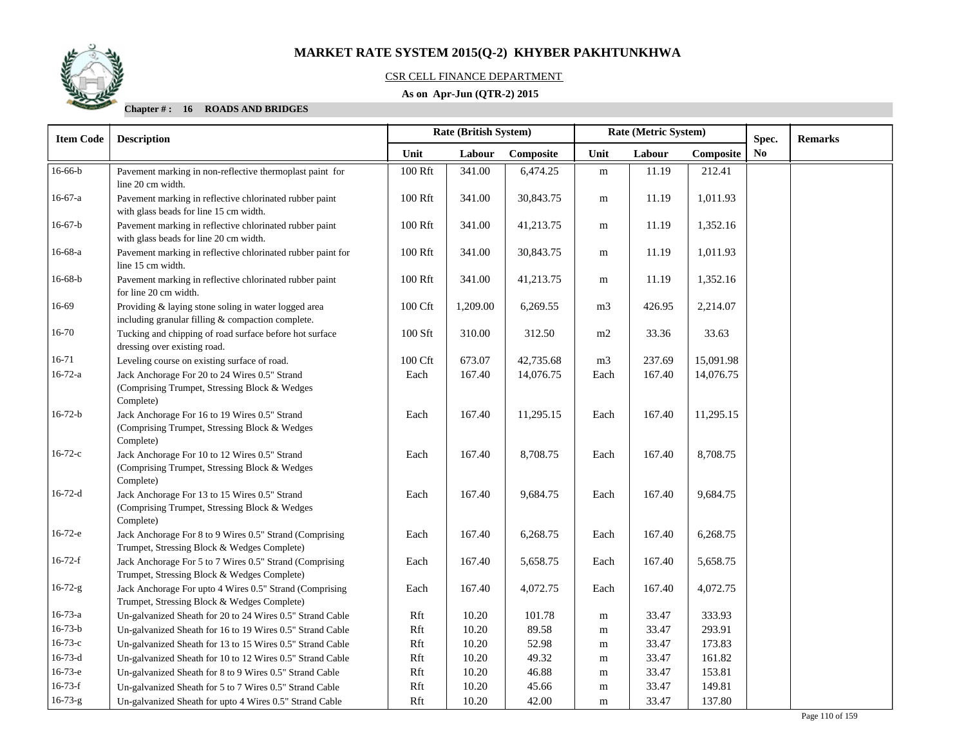

## CSR CELL FINANCE DEPARTMENT

## **As on Apr-Jun (QTR-2) 2015**

**Chapter # : 16 ROADS AND BRIDGES**

| <b>Item Code</b> | <b>Description</b>                                                                                          | <b>Rate (British System)</b> |          |           |                | Rate (Metric System) |           | Spec.          | <b>Remarks</b> |
|------------------|-------------------------------------------------------------------------------------------------------------|------------------------------|----------|-----------|----------------|----------------------|-----------|----------------|----------------|
|                  |                                                                                                             | Unit                         | Labour   | Composite | Unit           | Labour               | Composite | N <sub>0</sub> |                |
| $16-66-b$        | Pavement marking in non-reflective thermoplast paint for<br>line 20 cm width.                               | 100 Rft                      | 341.00   | 6,474.25  | ${\bf m}$      | 11.19                | 212.41    |                |                |
| $16-67-a$        | Pavement marking in reflective chlorinated rubber paint<br>with glass beads for line 15 cm width.           | 100 Rft                      | 341.00   | 30,843.75 | m              | 11.19                | 1,011.93  |                |                |
| $16-67-b$        | Pavement marking in reflective chlorinated rubber paint<br>with glass beads for line 20 cm width.           | 100 Rft                      | 341.00   | 41,213.75 | m              | 11.19                | 1,352.16  |                |                |
| $16-68-a$        | Pavement marking in reflective chlorinated rubber paint for<br>line 15 cm width.                            | 100 Rft                      | 341.00   | 30,843.75 | m              | 11.19                | 1,011.93  |                |                |
| $16-68-b$        | Pavement marking in reflective chlorinated rubber paint<br>for line 20 cm width.                            | 100 Rft                      | 341.00   | 41,213.75 | m              | 11.19                | 1,352.16  |                |                |
| 16-69            | Providing & laying stone soling in water logged area<br>including granular filling & compaction complete.   | 100 Cft                      | 1,209.00 | 6,269.55  | m <sub>3</sub> | 426.95               | 2,214.07  |                |                |
| $16 - 70$        | Tucking and chipping of road surface before hot surface<br>dressing over existing road.                     | 100 Sft                      | 310.00   | 312.50    | m2             | 33.36                | 33.63     |                |                |
| $16 - 71$        | Leveling course on existing surface of road.                                                                | 100 Cft                      | 673.07   | 42,735.68 | m <sub>3</sub> | 237.69               | 15,091.98 |                |                |
| $16 - 72 - a$    | Jack Anchorage For 20 to 24 Wires 0.5" Strand<br>(Comprising Trumpet, Stressing Block & Wedges<br>Complete) | Each                         | 167.40   | 14,076.75 | Each           | 167.40               | 14,076.75 |                |                |
| $16 - 72 - b$    | Jack Anchorage For 16 to 19 Wires 0.5" Strand<br>(Comprising Trumpet, Stressing Block & Wedges<br>Complete) | Each                         | 167.40   | 11,295.15 | Each           | 167.40               | 11,295.15 |                |                |
| $16 - 72 - c$    | Jack Anchorage For 10 to 12 Wires 0.5" Strand<br>(Comprising Trumpet, Stressing Block & Wedges<br>Complete) | Each                         | 167.40   | 8,708.75  | Each           | 167.40               | 8,708.75  |                |                |
| $16 - 72 - d$    | Jack Anchorage For 13 to 15 Wires 0.5" Strand<br>(Comprising Trumpet, Stressing Block & Wedges<br>Complete) | Each                         | 167.40   | 9,684.75  | Each           | 167.40               | 9,684.75  |                |                |
| $16-72-e$        | Jack Anchorage For 8 to 9 Wires 0.5" Strand (Comprising<br>Trumpet, Stressing Block & Wedges Complete)      | Each                         | 167.40   | 6,268.75  | Each           | 167.40               | 6,268.75  |                |                |
| $16-72-f$        | Jack Anchorage For 5 to 7 Wires 0.5" Strand (Comprising<br>Trumpet, Stressing Block & Wedges Complete)      | Each                         | 167.40   | 5,658.75  | Each           | 167.40               | 5,658.75  |                |                |
| $16 - 72 - g$    | Jack Anchorage For upto 4 Wires 0.5" Strand (Comprising<br>Trumpet, Stressing Block & Wedges Complete)      | Each                         | 167.40   | 4,072.75  | Each           | 167.40               | 4,072.75  |                |                |
| $16 - 73 - a$    | Un-galvanized Sheath for 20 to 24 Wires 0.5" Strand Cable                                                   | Rft                          | 10.20    | 101.78    | ${\bf m}$      | 33.47                | 333.93    |                |                |
| $16 - 73 - b$    | Un-galvanized Sheath for 16 to 19 Wires 0.5" Strand Cable                                                   | Rft                          | 10.20    | 89.58     | m              | 33.47                | 293.91    |                |                |
| $16 - 73 - c$    | Un-galvanized Sheath for 13 to 15 Wires 0.5" Strand Cable                                                   | Rft                          | 10.20    | 52.98     | m              | 33.47                | 173.83    |                |                |
| $16 - 73 - d$    | Un-galvanized Sheath for 10 to 12 Wires 0.5" Strand Cable                                                   | Rft                          | 10.20    | 49.32     | m              | 33.47                | 161.82    |                |                |
| $16-73-e$        | Un-galvanized Sheath for 8 to 9 Wires 0.5" Strand Cable                                                     | Rft                          | 10.20    | 46.88     | m              | 33.47                | 153.81    |                |                |
| $16-73-f$        | Un-galvanized Sheath for 5 to 7 Wires 0.5" Strand Cable                                                     | Rft                          | 10.20    | 45.66     | m              | 33.47                | 149.81    |                |                |
| $16 - 73 - g$    | Un-galvanized Sheath for upto 4 Wires 0.5" Strand Cable                                                     | Rft                          | 10.20    | 42.00     | ${\bf m}$      | 33.47                | 137.80    |                |                |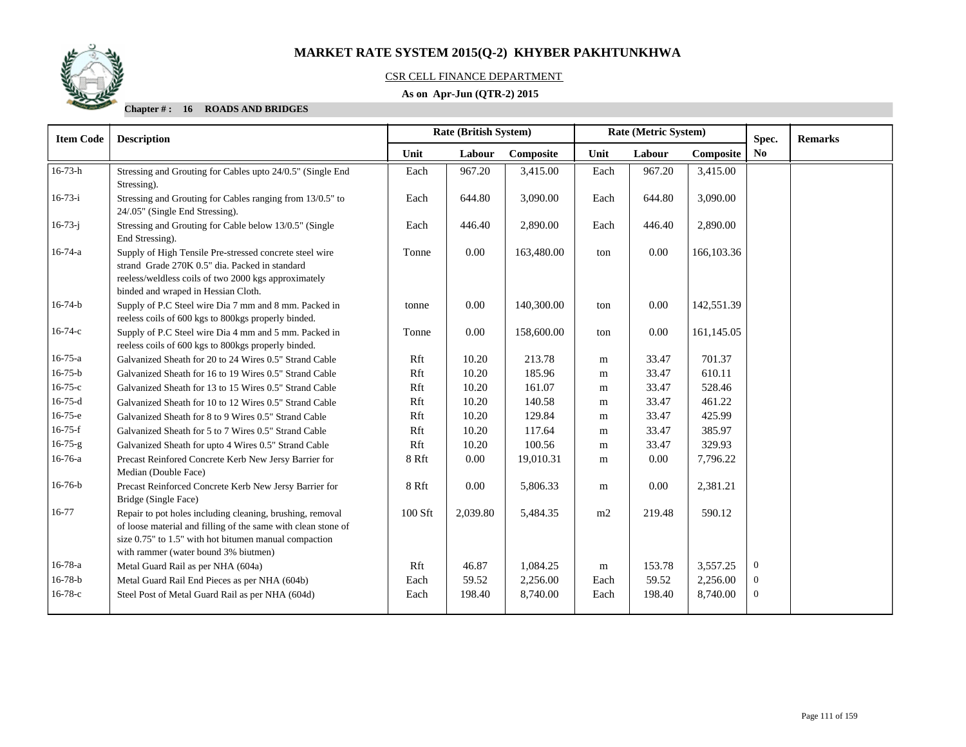

## CSR CELL FINANCE DEPARTMENT

## **As on Apr-Jun (QTR-2) 2015**

**Chapter # : 16 ROADS AND BRIDGES**

| <b>Item Code</b> | <b>Description</b>                                                                                                                                                                                                          |         | <b>Rate (British System)</b> |            |      | Rate (Metric System) |            | Spec.          | <b>Remarks</b> |
|------------------|-----------------------------------------------------------------------------------------------------------------------------------------------------------------------------------------------------------------------------|---------|------------------------------|------------|------|----------------------|------------|----------------|----------------|
|                  |                                                                                                                                                                                                                             | Unit    | Labour                       | Composite  | Unit | Labour               | Composite  | No             |                |
| $16 - 73 - h$    | Stressing and Grouting for Cables upto 24/0.5" (Single End<br>Stressing).                                                                                                                                                   | Each    | 967.20                       | 3,415.00   | Each | 967.20               | 3,415.00   |                |                |
| $16-73-i$        | Stressing and Grouting for Cables ranging from 13/0.5" to<br>24/.05" (Single End Stressing).                                                                                                                                | Each    | 644.80                       | 3,090.00   | Each | 644.80               | 3,090.00   |                |                |
| $16 - 73 - j$    | Stressing and Grouting for Cable below 13/0.5" (Single<br>End Stressing).                                                                                                                                                   | Each    | 446.40                       | 2,890.00   | Each | 446.40               | 2,890.00   |                |                |
| $16 - 74 - a$    | Supply of High Tensile Pre-stressed concrete steel wire<br>strand Grade 270K 0.5" dia. Packed in standard<br>reeless/weldless coils of two 2000 kgs approximately<br>binded and wraped in Hessian Cloth.                    | Tonne   | 0.00                         | 163,480.00 | ton  | 0.00                 | 166,103.36 |                |                |
| $16 - 74 - b$    | Supply of P.C Steel wire Dia 7 mm and 8 mm. Packed in<br>reeless coils of 600 kgs to 800kgs properly binded.                                                                                                                | tonne   | 0.00                         | 140,300.00 | ton  | 0.00                 | 142,551.39 |                |                |
| $16 - 74 - c$    | Supply of P.C Steel wire Dia 4 mm and 5 mm. Packed in<br>reeless coils of 600 kgs to 800kgs properly binded.                                                                                                                | Tonne   | 0.00                         | 158,600.00 | ton  | 0.00                 | 161,145.05 |                |                |
| $16 - 75 - a$    | Galvanized Sheath for 20 to 24 Wires 0.5" Strand Cable                                                                                                                                                                      | Rft     | 10.20                        | 213.78     | m    | 33.47                | 701.37     |                |                |
| $16 - 75 - b$    | Galvanized Sheath for 16 to 19 Wires 0.5" Strand Cable                                                                                                                                                                      | Rft     | 10.20                        | 185.96     | m    | 33.47                | 610.11     |                |                |
| $16 - 75 - c$    | Galvanized Sheath for 13 to 15 Wires 0.5" Strand Cable                                                                                                                                                                      | Rft     | 10.20                        | 161.07     | m    | 33.47                | 528.46     |                |                |
| $16-75-d$        | Galvanized Sheath for 10 to 12 Wires 0.5" Strand Cable                                                                                                                                                                      | Rft     | 10.20                        | 140.58     | m    | 33.47                | 461.22     |                |                |
| 16-75-e          | Galvanized Sheath for 8 to 9 Wires 0.5" Strand Cable                                                                                                                                                                        | Rft     | 10.20                        | 129.84     | m    | 33.47                | 425.99     |                |                |
| $16-75-f$        | Galvanized Sheath for 5 to 7 Wires 0.5" Strand Cable                                                                                                                                                                        | Rft     | 10.20                        | 117.64     | m    | 33.47                | 385.97     |                |                |
| $16 - 75 - g$    | Galvanized Sheath for upto 4 Wires 0.5" Strand Cable                                                                                                                                                                        | Rft     | 10.20                        | 100.56     | m    | 33.47                | 329.93     |                |                |
| 16-76-a          | Precast Reinfored Concrete Kerb New Jersy Barrier for<br>Median (Double Face)                                                                                                                                               | 8 Rft   | 0.00                         | 19,010.31  | m    | 0.00                 | 7,796.22   |                |                |
| $16-76-b$        | Precast Reinforced Concrete Kerb New Jersy Barrier for<br>Bridge (Single Face)                                                                                                                                              | 8 Rft   | 0.00                         | 5,806.33   | m    | 0.00                 | 2,381.21   |                |                |
| 16-77            | Repair to pot holes including cleaning, brushing, removal<br>of loose material and filling of the same with clean stone of<br>size 0.75" to 1.5" with hot bitumen manual compaction<br>with rammer (water bound 3% biutmen) | 100 Sft | 2,039.80                     | 5,484.35   | m2   | 219.48               | 590.12     |                |                |
| $16 - 78 - a$    | Metal Guard Rail as per NHA (604a)                                                                                                                                                                                          | Rft     | 46.87                        | 1,084.25   | m    | 153.78               | 3,557.25   | $\overline{0}$ |                |
| $16-78-b$        | Metal Guard Rail End Pieces as per NHA (604b)                                                                                                                                                                               | Each    | 59.52                        | 2,256.00   | Each | 59.52                | 2,256.00   | $\mathbf{0}$   |                |
| $16-78-c$        | Steel Post of Metal Guard Rail as per NHA (604d)                                                                                                                                                                            | Each    | 198.40                       | 8,740.00   | Each | 198.40               | 8,740.00   | $\overline{0}$ |                |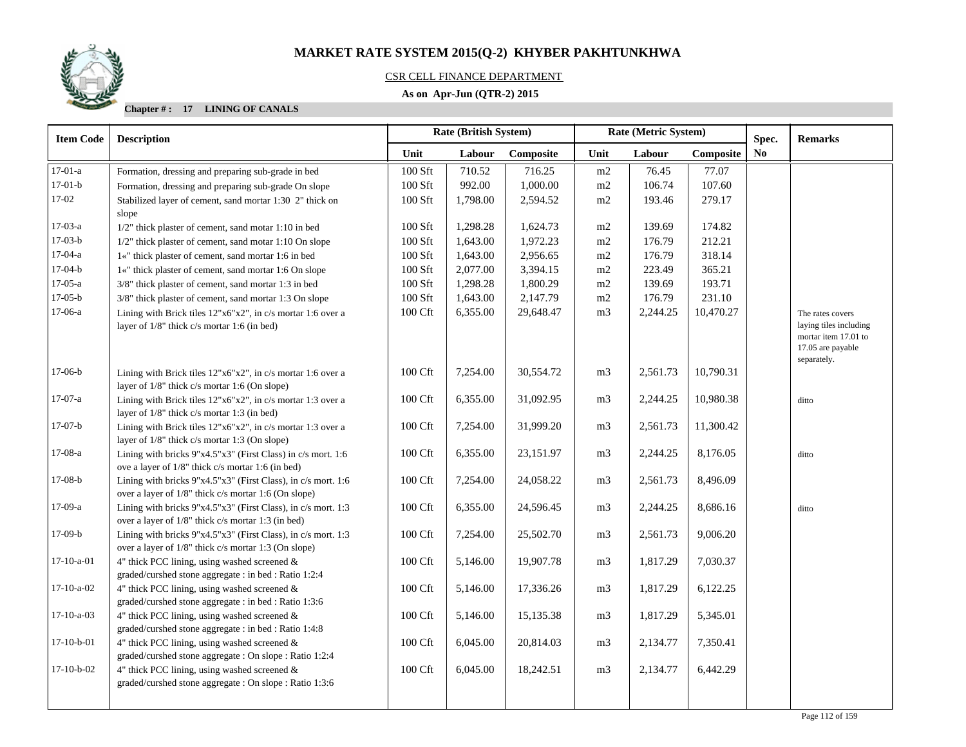## CSR CELL FINANCE DEPARTMENT

## **As on Apr-Jun (QTR-2) 2015**

**Chapter # : 17 LINING OF CANALS**

| <b>Item Code</b> | <b>Description</b>                                                                                       | Rate (British System) |          |           |                             | Rate (Metric System) |           | Spec.          | <b>Remarks</b>                            |
|------------------|----------------------------------------------------------------------------------------------------------|-----------------------|----------|-----------|-----------------------------|----------------------|-----------|----------------|-------------------------------------------|
|                  |                                                                                                          | Unit                  | Labour   | Composite | Unit<br>Labour<br>Composite |                      |           | N <sub>0</sub> |                                           |
| $17-01-a$        | Formation, dressing and preparing sub-grade in bed                                                       | 100 Sft               | 710.52   | 716.25    | m2                          | 76.45                | 77.07     |                |                                           |
| $17-01-b$        | Formation, dressing and preparing sub-grade On slope                                                     | $100$ Sft             | 992.00   | 1,000.00  | m2                          | 106.74               | 107.60    |                |                                           |
| 17-02            | Stabilized layer of cement, sand mortar 1:30 2" thick on                                                 | $100$ Sft             | 1,798.00 | 2,594.52  | m2                          | 193.46               | 279.17    |                |                                           |
|                  | slope                                                                                                    |                       |          |           |                             |                      |           |                |                                           |
| $17-03-a$        | 1/2" thick plaster of cement, sand motar 1:10 in bed                                                     | 100 Sft               | 1,298.28 | 1,624.73  | m2                          | 139.69               | 174.82    |                |                                           |
| $17-03-b$        | 1/2" thick plaster of cement, sand motar 1:10 On slope                                                   | $100$ Sft             | 1,643.00 | 1,972.23  | m2                          | 176.79               | 212.21    |                |                                           |
| $17-04-a$        | 1«" thick plaster of cement, sand mortar 1:6 in bed                                                      | $100$ Sft             | 1,643.00 | 2,956.65  | m2                          | 176.79               | 318.14    |                |                                           |
| $17-04-b$        | 1«" thick plaster of cement, sand mortar 1:6 On slope                                                    | $100$ Sft             | 2,077.00 | 3,394.15  | m2                          | 223.49               | 365.21    |                |                                           |
| $17-05-a$        | 3/8" thick plaster of cement, sand mortar 1:3 in bed                                                     | 100 Sft               | 1,298.28 | 1,800.29  | m2                          | 139.69               | 193.71    |                |                                           |
| $17-05-b$        | 3/8" thick plaster of cement, sand mortar 1:3 On slope                                                   | 100 Sft               | 1,643.00 | 2,147.79  | m2                          | 176.79               | 231.10    |                |                                           |
| $17-06-a$        | Lining with Brick tiles 12"x6"x2", in c/s mortar 1:6 over a                                              | 100 Cft               | 6,355.00 | 29,648.47 | m <sub>3</sub>              | 2,244.25             | 10,470.27 |                | The rates covers                          |
|                  | layer of 1/8" thick c/s mortar 1:6 (in bed)                                                              |                       |          |           |                             |                      |           |                | laying tiles including                    |
|                  |                                                                                                          |                       |          |           |                             |                      |           |                | mortar item 17.01 to<br>17.05 are payable |
|                  |                                                                                                          |                       |          |           |                             |                      |           |                | separately.                               |
| $17-06-b$        | Lining with Brick tiles $12"x6"x2"$ , in c/s mortar 1:6 over a                                           | 100 Cft               | 7,254.00 | 30,554.72 | m <sub>3</sub>              | 2,561.73             | 10,790.31 |                |                                           |
|                  | layer of 1/8" thick c/s mortar 1:6 (On slope)                                                            |                       |          |           |                             |                      |           |                |                                           |
| $17-07-a$        | Lining with Brick tiles 12"x6"x2", in c/s mortar 1:3 over a                                              | 100 Cft               | 6,355.00 | 31,092.95 | m <sub>3</sub>              | 2,244.25             | 10,980.38 |                | ditto                                     |
|                  | layer of 1/8" thick c/s mortar 1:3 (in bed)                                                              |                       |          |           |                             |                      |           |                |                                           |
| $17-07-b$        | Lining with Brick tiles $12"x6"x2"$ , in c/s mortar 1:3 over a                                           | 100 Cft               | 7,254.00 | 31,999.20 | m <sub>3</sub>              | 2,561.73             | 11,300.42 |                |                                           |
|                  | layer of 1/8" thick c/s mortar 1:3 (On slope)                                                            |                       |          |           |                             |                      |           |                |                                           |
| $17-08-a$        | Lining with bricks 9"x4.5"x3" (First Class) in c/s mort. 1:6                                             | 100 Cft               | 6,355.00 | 23,151.97 | m <sub>3</sub>              | 2,244.25             | 8,176.05  |                | ditto                                     |
|                  | ove a layer of 1/8" thick c/s mortar 1:6 (in bed)                                                        |                       |          |           |                             |                      |           |                |                                           |
| $17-08-b$        | Lining with bricks 9"x4.5"x3" (First Class), in c/s mort. 1:6                                            | 100 Cft               | 7,254.00 | 24,058.22 | m <sub>3</sub>              | 2,561.73             | 8,496.09  |                |                                           |
|                  | over a layer of 1/8" thick c/s mortar 1:6 (On slope)                                                     |                       |          |           |                             |                      |           |                |                                           |
| 17-09-a          | Lining with bricks 9"x4.5"x3" (First Class), in c/s mort. 1:3                                            | 100 Cft               | 6,355.00 | 24,596.45 | m <sub>3</sub>              | 2,244.25             | 8,686.16  |                | ditto                                     |
|                  | over a layer of 1/8" thick c/s mortar 1:3 (in bed)                                                       |                       |          |           |                             |                      |           |                |                                           |
| $17-09-b$        | Lining with bricks 9"x4.5"x3" (First Class), in c/s mort. 1:3                                            | 100 Cft               | 7,254.00 | 25,502.70 | m <sub>3</sub>              | 2,561.73             | 9,006.20  |                |                                           |
|                  | over a layer of 1/8" thick c/s mortar 1:3 (On slope)                                                     |                       |          |           |                             |                      |           |                |                                           |
| $17-10-a-01$     | 4" thick PCC lining, using washed screened &                                                             | 100 Cft               | 5,146.00 | 19,907.78 | m <sub>3</sub>              | 1,817.29             | 7,030.37  |                |                                           |
| $17-10-a-02$     | graded/curshed stone aggregate : in bed : Ratio 1:2:4                                                    |                       |          |           |                             |                      |           |                |                                           |
|                  | 4" thick PCC lining, using washed screened $\&$                                                          | 100 Cft               | 5,146.00 | 17,336.26 | m <sub>3</sub>              | 1,817.29             | 6,122.25  |                |                                           |
| $17-10-a-03$     | graded/curshed stone aggregate : in bed : Ratio 1:3:6                                                    |                       |          |           |                             |                      |           |                |                                           |
|                  | 4" thick PCC lining, using washed screened $\&$<br>graded/curshed stone aggregate : in bed : Ratio 1:4:8 | 100 Cft               | 5,146.00 | 15,135.38 | m <sub>3</sub>              | 1,817.29             | 5,345.01  |                |                                           |
| $17-10-b-01$     | 4" thick PCC lining, using washed screened $\&$                                                          | 100 Cft               | 6,045.00 | 20,814.03 | m <sub>3</sub>              | 2,134.77             | 7,350.41  |                |                                           |
|                  | graded/curshed stone aggregate : On slope : Ratio 1:2:4                                                  |                       |          |           |                             |                      |           |                |                                           |
| $17-10-b-02$     | 4" thick PCC lining, using washed screened $\&$                                                          | 100 Cft               | 6,045.00 | 18,242.51 | m <sub>3</sub>              | 2,134.77             | 6,442.29  |                |                                           |
|                  | graded/curshed stone aggregate : On slope : Ratio 1:3:6                                                  |                       |          |           |                             |                      |           |                |                                           |
|                  |                                                                                                          |                       |          |           |                             |                      |           |                |                                           |
|                  |                                                                                                          |                       |          |           |                             |                      |           |                |                                           |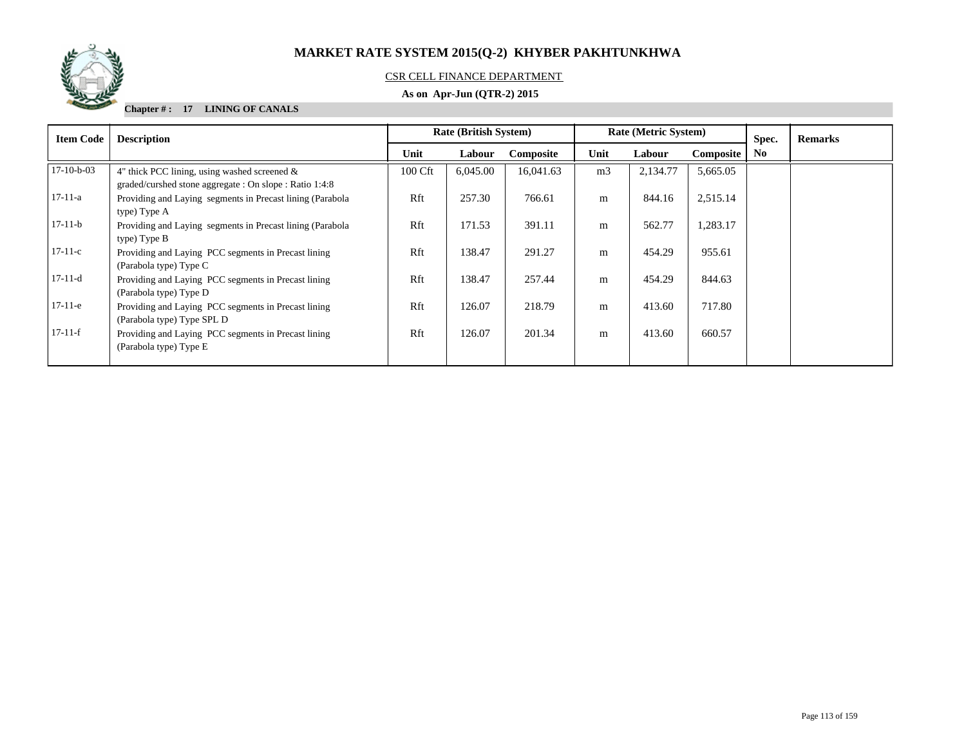

## CSR CELL FINANCE DEPARTMENT

## **As on Apr-Jun (QTR-2) 2015**

**Chapter # : 17 LINING OF CANALS**

| <b>Item Code</b> | <b>Description</b>                                                                                         | <b>Rate (British System)</b> |          |           |                | <b>Rate (Metric System)</b> |           | Spec.          | <b>Remarks</b> |
|------------------|------------------------------------------------------------------------------------------------------------|------------------------------|----------|-----------|----------------|-----------------------------|-----------|----------------|----------------|
|                  |                                                                                                            | Unit                         | Labour   | Composite | Unit           | Labour                      | Composite | N <sub>0</sub> |                |
| $17-10-b-03$     | 4" thick PCC lining, using washed screened $\&$<br>graded/curshed stone aggregate : On slope : Ratio 1:4:8 | 100 Cft                      | 6,045.00 | 16,041.63 | m <sub>3</sub> | 2,134.77                    | 5,665.05  |                |                |
| $17-11-a$        | Providing and Laying segments in Precast lining (Parabola)<br>type) Type A                                 | Rft                          | 257.30   | 766.61    | m              | 844.16                      | 2,515.14  |                |                |
| $17-11-b$        | Providing and Laying segments in Precast lining (Parabola)<br>type) Type B                                 | Rft                          | 171.53   | 391.11    | m              | 562.77                      | 1,283.17  |                |                |
| $17-11-c$        | Providing and Laying PCC segments in Precast lining<br>(Parabola type) Type C                              | Rft                          | 138.47   | 291.27    | m              | 454.29                      | 955.61    |                |                |
| $17-11-d$        | Providing and Laying PCC segments in Precast lining<br>(Parabola type) Type D                              | Rft                          | 138.47   | 257.44    | m              | 454.29                      | 844.63    |                |                |
| $17-11-e$        | Providing and Laying PCC segments in Precast lining<br>(Parabola type) Type SPL D                          | Rft                          | 126.07   | 218.79    | m              | 413.60                      | 717.80    |                |                |
| $17-11-f$        | Providing and Laying PCC segments in Precast lining<br>(Parabola type) Type E                              | Rft                          | 126.07   | 201.34    | m              | 413.60                      | 660.57    |                |                |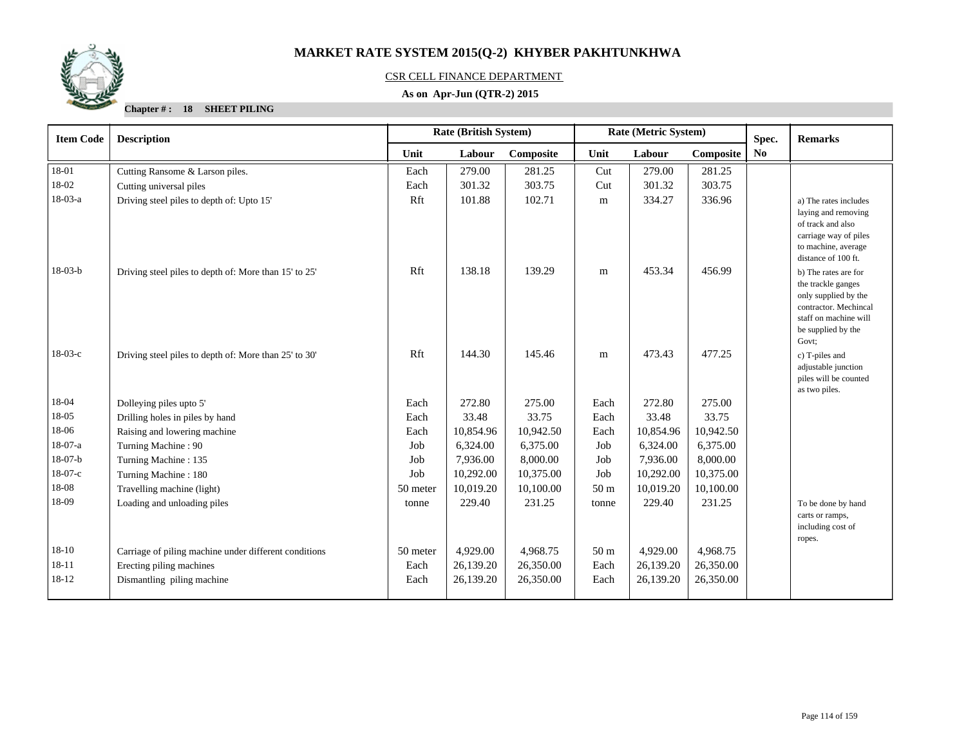

## CSR CELL FINANCE DEPARTMENT

## **As on Apr-Jun (QTR-2) 2015**

**Chapter # : 18 SHEET PILING**

| <b>Item Code</b> | <b>Rate (British System)</b><br>Rate (Metric System)<br><b>Description</b> |          |           |           |                 | Spec.     | <b>Remarks</b> |                |                                                                                                                                                                   |
|------------------|----------------------------------------------------------------------------|----------|-----------|-----------|-----------------|-----------|----------------|----------------|-------------------------------------------------------------------------------------------------------------------------------------------------------------------|
|                  |                                                                            | Unit     | Labour    | Composite | Unit            | Labour    | Composite      | N <sub>0</sub> |                                                                                                                                                                   |
| 18-01            | Cutting Ransome & Larson piles.                                            | Each     | 279.00    | 281.25    | Cut             | 279.00    | 281.25         |                |                                                                                                                                                                   |
| 18-02            | Cutting universal piles                                                    | Each     | 301.32    | 303.75    | Cut             | 301.32    | 303.75         |                |                                                                                                                                                                   |
| $18-03-a$        | Driving steel piles to depth of: Upto 15'                                  | Rft      | 101.88    | 102.71    | m               | 334.27    | 336.96         |                | a) The rates includes<br>laying and removing<br>of track and also<br>carriage way of piles<br>to machine, average                                                 |
| $18-03-b$        | Driving steel piles to depth of: More than 15' to 25'                      | Rft      | 138.18    | 139.29    | m               | 453.34    | 456.99         |                | distance of 100 ft.<br>b) The rates are for<br>the trackle ganges<br>only supplied by the<br>contractor. Mechincal<br>staff on machine will<br>be supplied by the |
| $18-03-c$        | Driving steel piles to depth of: More than 25' to 30'                      | Rft      | 144.30    | 145.46    | m               | 473.43    | 477.25         |                | Govt:<br>c) T-piles and<br>adjustable junction<br>piles will be counted<br>as two piles.                                                                          |
| 18-04            | Dolleying piles upto 5'                                                    | Each     | 272.80    | 275.00    | Each            | 272.80    | 275.00         |                |                                                                                                                                                                   |
| 18-05            | Drilling holes in piles by hand                                            | Each     | 33.48     | 33.75     | Each            | 33.48     | 33.75          |                |                                                                                                                                                                   |
| 18-06            | Raising and lowering machine                                               | Each     | 10,854.96 | 10,942.50 | Each            | 10,854.96 | 10,942.50      |                |                                                                                                                                                                   |
| $18-07-a$        | Turning Machine: 90                                                        | Job      | 6,324.00  | 6,375.00  | Job             | 6,324.00  | 6,375.00       |                |                                                                                                                                                                   |
| $18-07-b$        | Turning Machine: 135                                                       | Job      | 7,936.00  | 8,000.00  | Job             | 7,936.00  | 8,000.00       |                |                                                                                                                                                                   |
| $18-07-c$        | Turning Machine: 180                                                       | Job      | 10,292.00 | 10,375.00 | Job             | 10,292.00 | 10,375.00      |                |                                                                                                                                                                   |
| 18-08            | Travelling machine (light)                                                 | 50 meter | 10,019.20 | 10,100.00 | 50 <sub>m</sub> | 10,019.20 | 10,100.00      |                |                                                                                                                                                                   |
| 18-09            | Loading and unloading piles                                                | tonne    | 229.40    | 231.25    | tonne           | 229.40    | 231.25         |                | To be done by hand<br>carts or ramps,<br>including cost of<br>ropes.                                                                                              |
| $18 - 10$        | Carriage of piling machine under different conditions                      | 50 meter | 4,929.00  | 4,968.75  | 50 <sub>m</sub> | 4,929.00  | 4,968.75       |                |                                                                                                                                                                   |
| $18 - 11$        | Erecting piling machines                                                   | Each     | 26,139.20 | 26,350.00 | Each            | 26,139.20 | 26,350.00      |                |                                                                                                                                                                   |
| 18-12            | Dismantling piling machine                                                 | Each     | 26,139.20 | 26,350.00 | Each            | 26,139.20 | 26,350.00      |                |                                                                                                                                                                   |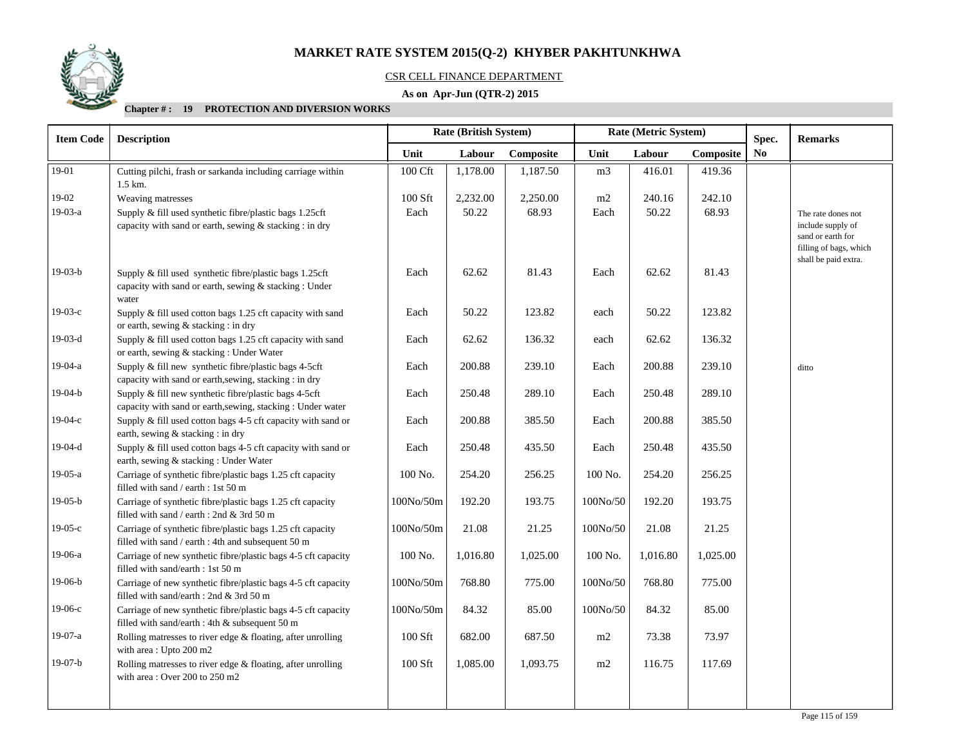

## CSR CELL FINANCE DEPARTMENT

## **As on Apr-Jun (QTR-2) 2015**

| <b>Item Code</b> | <b>Description</b>                                                                                                         | Rate (Metric System)<br>Rate (British System) |          |           |                |          | Spec.     | <b>Remarks</b> |                                                                                                                |
|------------------|----------------------------------------------------------------------------------------------------------------------------|-----------------------------------------------|----------|-----------|----------------|----------|-----------|----------------|----------------------------------------------------------------------------------------------------------------|
|                  |                                                                                                                            | Unit                                          | Labour   | Composite | Unit           | Labour   | Composite | No             |                                                                                                                |
| 19-01            | Cutting pilchi, frash or sarkanda including carriage within<br>1.5 km.                                                     | 100 Cft                                       | 1,178.00 | 1,187.50  | m <sub>3</sub> | 416.01   | 419.36    |                |                                                                                                                |
| $19-02$          | Weaving matresses                                                                                                          | 100 Sft                                       | 2,232.00 | 2,250.00  | m2             | 240.16   | 242.10    |                |                                                                                                                |
| 19-03-a          | Supply & fill used synthetic fibre/plastic bags 1.25cft<br>capacity with sand or earth, sewing & stacking : in dry         | Each                                          | 50.22    | 68.93     | Each           | 50.22    | 68.93     |                | The rate dones not<br>include supply of<br>sand or earth for<br>filling of bags, which<br>shall be paid extra. |
| $19-03-b$        | Supply & fill used synthetic fibre/plastic bags 1.25cft<br>capacity with sand or earth, sewing & stacking : Under<br>water | Each                                          | 62.62    | 81.43     | Each           | 62.62    | 81.43     |                |                                                                                                                |
| $19-03-c$        | Supply & fill used cotton bags 1.25 cft capacity with sand<br>or earth, sewing & stacking : in dry                         | Each                                          | 50.22    | 123.82    | each           | 50.22    | 123.82    |                |                                                                                                                |
| $19-03-d$        | Supply & fill used cotton bags 1.25 cft capacity with sand<br>or earth, sewing & stacking: Under Water                     | Each                                          | 62.62    | 136.32    | each           | 62.62    | 136.32    |                |                                                                                                                |
| $19-04-a$        | Supply & fill new synthetic fibre/plastic bags 4-5cft<br>capacity with sand or earth, sewing, stacking : in dry            | Each                                          | 200.88   | 239.10    | Each           | 200.88   | 239.10    |                | ditto                                                                                                          |
| $19-04-b$        | Supply & fill new synthetic fibre/plastic bags 4-5cft<br>capacity with sand or earth, sewing, stacking: Under water        | Each                                          | 250.48   | 289.10    | Each           | 250.48   | 289.10    |                |                                                                                                                |
| $19-04-c$        | Supply & fill used cotton bags 4-5 cft capacity with sand or<br>earth, sewing & stacking : in dry                          | Each                                          | 200.88   | 385.50    | Each           | 200.88   | 385.50    |                |                                                                                                                |
| $19-04-d$        | Supply & fill used cotton bags 4-5 cft capacity with sand or<br>earth, sewing & stacking: Under Water                      | Each                                          | 250.48   | 435.50    | Each           | 250.48   | 435.50    |                |                                                                                                                |
| $19-05-a$        | Carriage of synthetic fibre/plastic bags 1.25 cft capacity<br>filled with sand / earth : 1st 50 m                          | 100 No.                                       | 254.20   | 256.25    | 100 No.        | 254.20   | 256.25    |                |                                                                                                                |
| $19-05-b$        | Carriage of synthetic fibre/plastic bags 1.25 cft capacity<br>filled with sand / earth : 2nd & 3rd 50 m                    | 100No/50m                                     | 192.20   | 193.75    | 100No/50       | 192.20   | 193.75    |                |                                                                                                                |
| $19-05-c$        | Carriage of synthetic fibre/plastic bags 1.25 cft capacity<br>filled with sand / earth : 4th and subsequent 50 m           | 100No/50m                                     | 21.08    | 21.25     | 100No/50       | 21.08    | 21.25     |                |                                                                                                                |
| 19-06-a          | Carriage of new synthetic fibre/plastic bags 4-5 cft capacity<br>filled with sand/earth : 1st 50 m                         | 100 No.                                       | 1,016.80 | 1,025.00  | 100 No.        | 1,016.80 | 1,025.00  |                |                                                                                                                |
| $19-06-b$        | Carriage of new synthetic fibre/plastic bags 4-5 cft capacity<br>filled with sand/earth : 2nd & 3rd 50 m                   | 100No/50m                                     | 768.80   | 775.00    | 100No/50       | 768.80   | 775.00    |                |                                                                                                                |
| $19-06-c$        | Carriage of new synthetic fibre/plastic bags 4-5 cft capacity<br>filled with sand/earth : 4th & subsequent 50 m            | 100No/50m                                     | 84.32    | 85.00     | 100No/50       | 84.32    | 85.00     |                |                                                                                                                |
| 19-07-a          | Rolling matresses to river edge $&$ floating, after unrolling<br>with area: Upto 200 m2                                    | 100 Sft                                       | 682.00   | 687.50    | m2             | 73.38    | 73.97     |                |                                                                                                                |
| $19-07-b$        | Rolling matresses to river edge & floating, after unrolling<br>with area: Over 200 to 250 m2                               | 100 Sft                                       | 1,085.00 | 1,093.75  | m2             | 116.75   | 117.69    |                |                                                                                                                |
|                  |                                                                                                                            |                                               |          |           |                |          |           |                |                                                                                                                |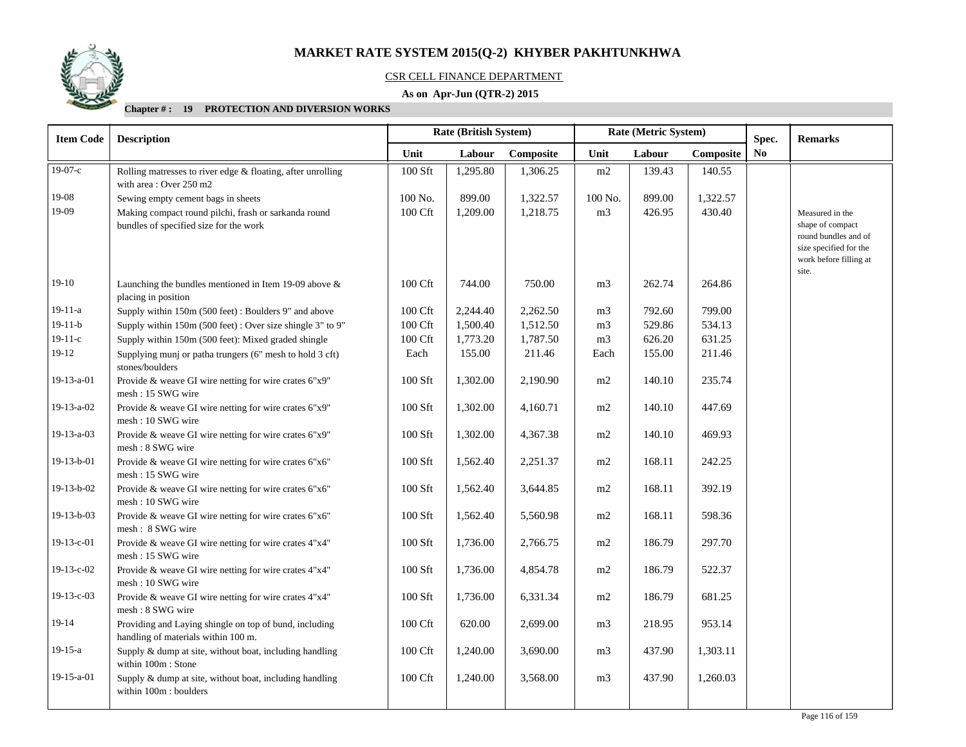

## CSR CELL FINANCE DEPARTMENT

## **As on Apr-Jun (QTR-2) 2015**

| <b>Item Code</b> | <b>Description</b>                                                                             |         | Rate (British System) |           | Rate (Metric System)        |        |          | Spec.          | <b>Remarks</b>                                                                                                           |
|------------------|------------------------------------------------------------------------------------------------|---------|-----------------------|-----------|-----------------------------|--------|----------|----------------|--------------------------------------------------------------------------------------------------------------------------|
|                  |                                                                                                | Unit    | Labour                | Composite | Unit<br>Labour<br>Composite |        |          | N <sub>o</sub> |                                                                                                                          |
| $19-07-c$        | Rolling matresses to river edge & floating, after unrolling<br>with area: Over 250 m2          | 100 Sft | 1,295.80              | 1,306.25  | m2                          | 139.43 | 140.55   |                |                                                                                                                          |
| 19-08            | Sewing empty cement bags in sheets                                                             | 100 No. | 899.00                | 1,322.57  | 100 No.                     | 899.00 | 1,322.57 |                |                                                                                                                          |
| 19-09            | Making compact round pilchi, frash or sarkanda round<br>bundles of specified size for the work | 100 Cft | 1,209.00              | 1,218.75  | m <sub>3</sub>              | 426.95 | 430.40   |                | Measured in the<br>shape of compact<br>round bundles and of<br>size specified for the<br>work before filling at<br>site. |
| $19-10$          | Launching the bundles mentioned in Item 19-09 above $\&$<br>placing in position                | 100 Cft | 744.00                | 750.00    | m <sub>3</sub>              | 262.74 | 264.86   |                |                                                                                                                          |
| $19 - 11 - a$    | Supply within 150m (500 feet): Boulders 9" and above                                           | 100 Cft | 2,244.40              | 2,262.50  | m <sub>3</sub>              | 792.60 | 799.00   |                |                                                                                                                          |
| $19-11-b$        | Supply within 150m (500 feet): Over size shingle 3" to 9"                                      | 100 Cft | 1,500.40              | 1,512.50  | m <sub>3</sub>              | 529.86 | 534.13   |                |                                                                                                                          |
| $19-11-c$        | Supply within 150m (500 feet): Mixed graded shingle                                            | 100 Cft | 1,773.20              | 1,787.50  | m <sub>3</sub>              | 626.20 | 631.25   |                |                                                                                                                          |
| $19-12$          | Supplying munj or patha trungers (6" mesh to hold 3 cft)<br>stones/boulders                    | Each    | 155.00                | 211.46    | Each                        | 155.00 | 211.46   |                |                                                                                                                          |
| 19-13-a-01       | Provide & weave GI wire netting for wire crates 6"x9"<br>mesh: 15 SWG wire                     | 100 Sft | 1,302.00              | 2,190.90  | m2                          | 140.10 | 235.74   |                |                                                                                                                          |
| 19-13-a-02       | Provide & weave GI wire netting for wire crates 6"x9"<br>mesh: 10 SWG wire                     | 100 Sft | 1,302.00              | 4,160.71  | m2                          | 140.10 | 447.69   |                |                                                                                                                          |
| 19-13-a-03       | Provide & weave GI wire netting for wire crates 6"x9"<br>mesh: 8 SWG wire                      | 100 Sft | 1,302.00              | 4,367.38  | m2                          | 140.10 | 469.93   |                |                                                                                                                          |
| 19-13-b-01       | Provide & weave GI wire netting for wire crates 6"x6"<br>mesh: 15 SWG wire                     | 100 Sft | 1,562.40              | 2,251.37  | m2                          | 168.11 | 242.25   |                |                                                                                                                          |
| $19-13-b-02$     | Provide & weave GI wire netting for wire crates 6"x6"<br>mesh: 10 SWG wire                     | 100 Sft | 1,562.40              | 3,644.85  | m2                          | 168.11 | 392.19   |                |                                                                                                                          |
| $19-13-b-03$     | Provide & weave GI wire netting for wire crates 6"x6"<br>mesh: 8 SWG wire                      | 100 Sft | 1,562.40              | 5,560.98  | m2                          | 168.11 | 598.36   |                |                                                                                                                          |
| 19-13-c-01       | Provide & weave GI wire netting for wire crates 4"x4"<br>mesh: 15 SWG wire                     | 100 Sft | 1,736.00              | 2,766.75  | m2                          | 186.79 | 297.70   |                |                                                                                                                          |
| 19-13-c-02       | Provide & weave GI wire netting for wire crates 4"x4"<br>mesh: 10 SWG wire                     | 100 Sft | 1,736.00              | 4,854.78  | m2                          | 186.79 | 522.37   |                |                                                                                                                          |
| $19-13-c-03$     | Provide & weave GI wire netting for wire crates 4"x4"<br>mesh: 8 SWG wire                      | 100 Sft | 1,736.00              | 6,331.34  | m2                          | 186.79 | 681.25   |                |                                                                                                                          |
| $19-14$          | Providing and Laying shingle on top of bund, including<br>handling of materials within 100 m.  | 100 Cft | 620.00                | 2,699.00  | m <sub>3</sub>              | 218.95 | 953.14   |                |                                                                                                                          |
| $19-15-a$        | Supply & dump at site, without boat, including handling<br>within 100m : Stone                 | 100 Cft | 1,240.00              | 3,690.00  | m <sub>3</sub>              | 437.90 | 1,303.11 |                |                                                                                                                          |
| 19-15-a-01       | Supply & dump at site, without boat, including handling<br>within 100m : boulders              | 100 Cft | 1,240.00              | 3,568.00  | m <sub>3</sub>              | 437.90 | 1,260.03 |                |                                                                                                                          |
|                  |                                                                                                |         |                       |           |                             |        |          |                |                                                                                                                          |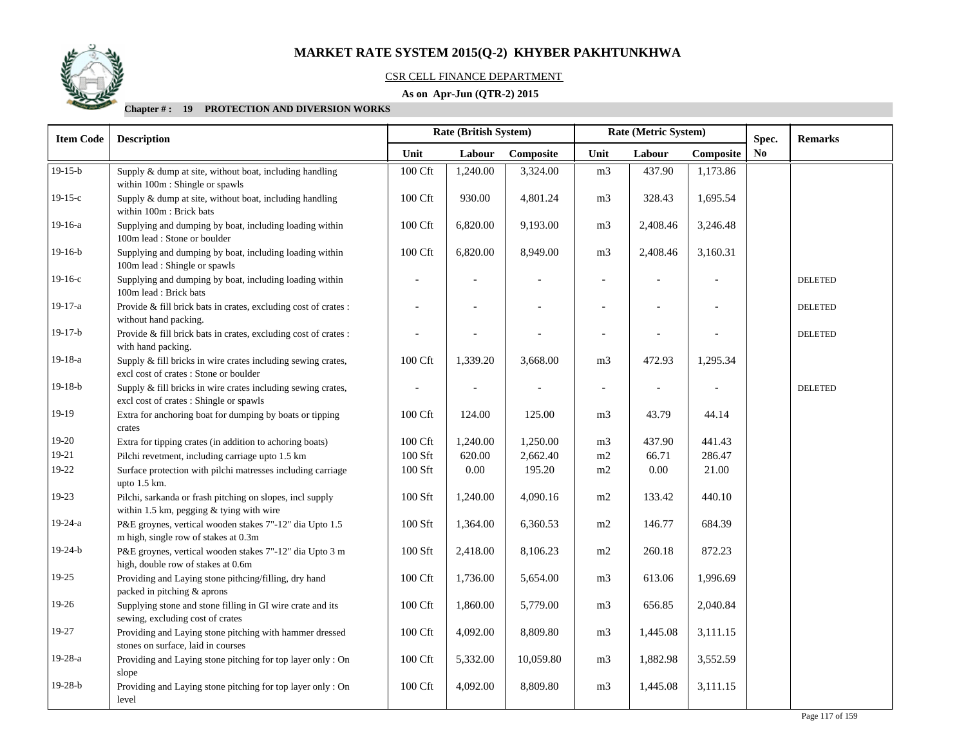

## CSR CELL FINANCE DEPARTMENT

## **As on Apr-Jun (QTR-2) 2015**

| <b>Item Code</b> | <b>Description</b>                                                                                      | <b>Rate (British System)</b> |          |           |                | Rate (Metric System)     |           | Spec.          | <b>Remarks</b> |
|------------------|---------------------------------------------------------------------------------------------------------|------------------------------|----------|-----------|----------------|--------------------------|-----------|----------------|----------------|
|                  |                                                                                                         | Unit                         | Labour   | Composite | Unit<br>Labour |                          | Composite | N <sub>0</sub> |                |
| $19-15-b$        | Supply & dump at site, without boat, including handling<br>within 100m : Shingle or spawls              | 100 Cft                      | 1,240.00 | 3,324.00  | m <sub>3</sub> | 437.90                   | 1,173.86  |                |                |
| $19-15-c$        | Supply & dump at site, without boat, including handling<br>within 100m : Brick bats                     | 100 Cft                      | 930.00   | 4,801.24  | m <sub>3</sub> | 328.43                   | 1,695.54  |                |                |
| 19-16-a          | Supplying and dumping by boat, including loading within<br>100m lead : Stone or boulder                 | 100 Cft                      | 6,820.00 | 9,193.00  | m <sub>3</sub> | 2,408.46                 | 3,246.48  |                |                |
| $19-16-b$        | Supplying and dumping by boat, including loading within<br>100m lead : Shingle or spawls                | 100 Cft                      | 6,820.00 | 8,949.00  | m <sub>3</sub> | 2,408.46                 | 3,160.31  |                |                |
| $19-16-c$        | Supplying and dumping by boat, including loading within<br>100m lead: Brick bats                        |                              |          |           |                |                          |           |                | <b>DELETED</b> |
| 19-17-a          | Provide & fill brick bats in crates, excluding cost of crates :<br>without hand packing.                |                              |          |           |                |                          |           |                | <b>DELETED</b> |
| $19-17-b$        | Provide & fill brick bats in crates, excluding cost of crates :<br>with hand packing.                   |                              |          |           |                |                          |           |                | <b>DELETED</b> |
| 19-18-a          | Supply & fill bricks in wire crates including sewing crates,<br>excl cost of crates : Stone or boulder  | 100 Cft                      | 1,339.20 | 3,668.00  | m <sub>3</sub> | 472.93                   | 1,295.34  |                |                |
| $19-18-b$        | Supply & fill bricks in wire crates including sewing crates,<br>excl cost of crates : Shingle or spawls | $\overline{a}$               | ÷,       |           | $\blacksquare$ | $\overline{\phantom{a}}$ |           |                | <b>DELETED</b> |
| 19-19            | Extra for anchoring boat for dumping by boats or tipping<br>crates                                      | 100 Cft                      | 124.00   | 125.00    | m <sub>3</sub> | 43.79                    | 44.14     |                |                |
| $19-20$          | Extra for tipping crates (in addition to achoring boats)                                                | 100 Cft                      | 1,240.00 | 1,250.00  | m <sub>3</sub> | 437.90                   | 441.43    |                |                |
| $19 - 21$        | Pilchi revetment, including carriage upto 1.5 km                                                        | 100 Sft                      | 620.00   | 2,662.40  | m2             | 66.71                    | 286.47    |                |                |
| 19-22            | Surface protection with pilchi matresses including carriage<br>upto $1.5$ km.                           | $100$ Sft $\,$               | 0.00     | 195.20    | $\rm m2$       | $0.00\,$                 | 21.00     |                |                |
| 19-23            | Pilchi, sarkanda or frash pitching on slopes, incl supply<br>within 1.5 km, pegging & tying with wire   | 100 Sft                      | 1,240.00 | 4,090.16  | m2             | 133.42                   | 440.10    |                |                |
| 19-24-a          | P&E groynes, vertical wooden stakes 7"-12" dia Upto 1.5<br>m high, single row of stakes at 0.3m         | 100 Sft                      | 1,364.00 | 6,360.53  | m2             | 146.77                   | 684.39    |                |                |
| $19-24-b$        | P&E groynes, vertical wooden stakes 7"-12" dia Upto 3 m<br>high, double row of stakes at 0.6m           | 100 Sft                      | 2,418.00 | 8,106.23  | m2             | 260.18                   | 872.23    |                |                |
| 19-25            | Providing and Laying stone pithcing/filling, dry hand<br>packed in pitching & aprons                    | 100 Cft                      | 1,736.00 | 5,654.00  | m <sub>3</sub> | 613.06                   | 1,996.69  |                |                |
| 19-26            | Supplying stone and stone filling in GI wire crate and its<br>sewing, excluding cost of crates          | 100 Cft                      | 1,860.00 | 5,779.00  | m <sub>3</sub> | 656.85                   | 2,040.84  |                |                |
| 19-27            | Providing and Laying stone pitching with hammer dressed<br>stones on surface, laid in courses           | 100 Cft                      | 4,092.00 | 8,809.80  | m <sub>3</sub> | 1,445.08                 | 3,111.15  |                |                |
| $19-28-a$        | Providing and Laying stone pitching for top layer only: On<br>slope                                     | 100 Cft                      | 5,332.00 | 10,059.80 | m <sub>3</sub> | 1,882.98                 | 3,552.59  |                |                |
| $19-28-b$        | Providing and Laying stone pitching for top layer only : On<br>level                                    | 100 Cft                      | 4,092.00 | 8,809.80  | m <sub>3</sub> | 1,445.08                 | 3,111.15  |                |                |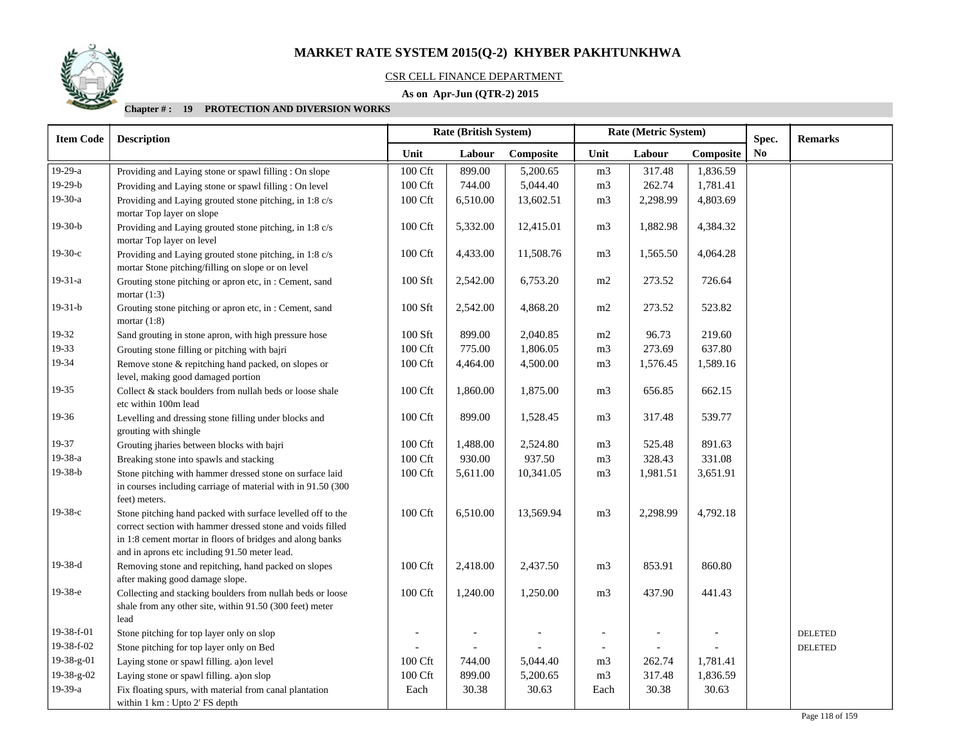## CSR CELL FINANCE DEPARTMENT

## **As on Apr-Jun (QTR-2) 2015**

| <b>Item Code</b> | <b>Description</b>                                                                                                                                                                                                                      | <b>Rate (British System)</b> |          |           |                          | Rate (Metric System) |           | Spec.                  | <b>Remarks</b> |
|------------------|-----------------------------------------------------------------------------------------------------------------------------------------------------------------------------------------------------------------------------------------|------------------------------|----------|-----------|--------------------------|----------------------|-----------|------------------------|----------------|
|                  |                                                                                                                                                                                                                                         | Unit                         | Labour   | Composite | Unit<br>Labour           |                      | Composite | $\mathbf{N}\mathbf{o}$ |                |
| 19-29-a          | Providing and Laying stone or spawl filling : On slope                                                                                                                                                                                  | 100 Cft                      | 899.00   | 5,200.65  | m <sub>3</sub>           | 317.48               | 1,836.59  |                        |                |
| $19-29-b$        | Providing and Laying stone or spawl filling : On level                                                                                                                                                                                  | 100 Cft                      | 744.00   | 5,044.40  | m <sub>3</sub>           | 262.74               | 1,781.41  |                        |                |
| 19-30-a          | Providing and Laying grouted stone pitching, in 1:8 c/s<br>mortar Top layer on slope                                                                                                                                                    | 100 Cft                      | 6,510.00 | 13,602.51 | m <sub>3</sub>           | 2,298.99             | 4,803.69  |                        |                |
| $19-30-b$        | Providing and Laying grouted stone pitching, in 1:8 c/s<br>mortar Top layer on level                                                                                                                                                    | 100 Cft                      | 5,332.00 | 12,415.01 | m <sub>3</sub>           | 1,882.98             | 4,384.32  |                        |                |
| $19-30-c$        | Providing and Laying grouted stone pitching, in 1:8 c/s<br>mortar Stone pitching/filling on slope or on level                                                                                                                           | 100 Cft                      | 4,433.00 | 11,508.76 | m <sub>3</sub>           | 1,565.50             | 4,064.28  |                        |                |
| $19-31-a$        | Grouting stone pitching or apron etc, in: Cement, sand<br>mortar $(1:3)$                                                                                                                                                                | 100 Sft                      | 2,542.00 | 6,753.20  | m2                       | 273.52               | 726.64    |                        |                |
| $19-31-b$        | Grouting stone pitching or apron etc, in: Cement, sand<br>mortar $(1:8)$                                                                                                                                                                | 100 Sft                      | 2,542.00 | 4,868.20  | m2                       | 273.52               | 523.82    |                        |                |
| 19-32            | Sand grouting in stone apron, with high pressure hose                                                                                                                                                                                   | 100 Sft                      | 899.00   | 2,040.85  | m2                       | 96.73                | 219.60    |                        |                |
| 19-33            | Grouting stone filling or pitching with bajri                                                                                                                                                                                           | $100\,\mathrm{Cft}$          | 775.00   | 1,806.05  | m <sub>3</sub>           | 273.69               | 637.80    |                        |                |
| 19-34            | Remove stone & repitching hand packed, on slopes or<br>level, making good damaged portion                                                                                                                                               | 100 Cft                      | 4,464.00 | 4,500.00  | m <sub>3</sub>           | 1,576.45             | 1,589.16  |                        |                |
| 19-35            | Collect & stack boulders from nullah beds or loose shale<br>etc within 100m lead                                                                                                                                                        | 100 Cft                      | 1,860.00 | 1,875.00  | m <sub>3</sub>           | 656.85               | 662.15    |                        |                |
| 19-36            | Levelling and dressing stone filling under blocks and<br>grouting with shingle                                                                                                                                                          | 100 Cft                      | 899.00   | 1,528.45  | m <sub>3</sub>           | 317.48               | 539.77    |                        |                |
| 19-37            | Grouting jharies between blocks with bajri                                                                                                                                                                                              | 100 Cft                      | 1,488.00 | 2,524.80  | m <sub>3</sub>           | 525.48               | 891.63    |                        |                |
| 19-38-a          | Breaking stone into spawls and stacking                                                                                                                                                                                                 | 100 Cft                      | 930.00   | 937.50    | m <sub>3</sub>           | 328.43               | 331.08    |                        |                |
| $19-38-b$        | Stone pitching with hammer dressed stone on surface laid<br>in courses including carriage of material with in 91.50 (300<br>feet) meters.                                                                                               | 100 Cft                      | 5,611.00 | 10,341.05 | m <sub>3</sub>           | 1,981.51             | 3,651.91  |                        |                |
| $19-38-c$        | Stone pitching hand packed with surface levelled off to the<br>correct section with hammer dressed stone and voids filled<br>in 1:8 cement mortar in floors of bridges and along banks<br>and in aprons etc including 91.50 meter lead. | 100 Cft                      | 6,510.00 | 13,569.94 | m <sub>3</sub>           | 2,298.99             | 4,792.18  |                        |                |
| $19-38-d$        | Removing stone and repitching, hand packed on slopes<br>after making good damage slope.                                                                                                                                                 | 100 Cft                      | 2,418.00 | 2,437.50  | m <sub>3</sub>           | 853.91               | 860.80    |                        |                |
| $19-38-e$        | Collecting and stacking boulders from nullah beds or loose<br>shale from any other site, within 91.50 (300 feet) meter<br>lead                                                                                                          | 100 Cft                      | 1,240.00 | 1,250.00  | m <sub>3</sub>           | 437.90               | 441.43    |                        |                |
| 19-38-f-01       | Stone pitching for top layer only on slop                                                                                                                                                                                               |                              |          |           |                          |                      |           |                        | <b>DELETED</b> |
| 19-38-f-02       | Stone pitching for top layer only on Bed                                                                                                                                                                                                |                              |          |           | $\overline{\phantom{a}}$ |                      |           |                        | <b>DELETED</b> |
| 19-38-g-01       | Laying stone or spawl filling. a) on level                                                                                                                                                                                              | 100 Cft                      | 744.00   | 5,044.40  | m <sub>3</sub>           | 262.74               | 1,781.41  |                        |                |
| 19-38-g-02       | Laying stone or spawl filling. a) on slop                                                                                                                                                                                               | 100 Cft                      | 899.00   | 5,200.65  | m <sub>3</sub>           | 317.48               | 1,836.59  |                        |                |
| 19-39-a          | Fix floating spurs, with material from canal plantation<br>within 1 km : Upto 2' FS depth                                                                                                                                               | Each                         | 30.38    | 30.63     | Each                     | 30.38                | 30.63     |                        |                |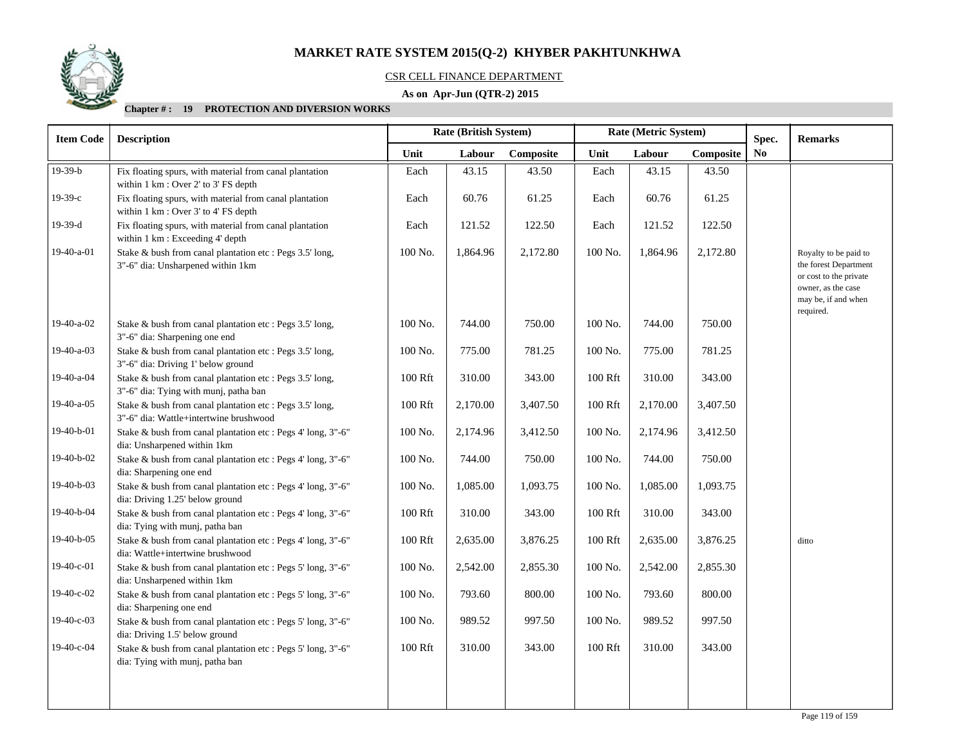

## CSR CELL FINANCE DEPARTMENT

## **As on Apr-Jun (QTR-2) 2015**

| <b>Item Code</b> | <b>Description</b>                                                                                 |         | Rate (British System) |           | Rate (Metric System) |          |           | Spec.          | <b>Remarks</b>                                                                                                                     |
|------------------|----------------------------------------------------------------------------------------------------|---------|-----------------------|-----------|----------------------|----------|-----------|----------------|------------------------------------------------------------------------------------------------------------------------------------|
|                  |                                                                                                    | Unit    | Labour                | Composite | Unit                 | Labour   | Composite | N <sub>0</sub> |                                                                                                                                    |
| $19-39-b$        | Fix floating spurs, with material from canal plantation<br>within 1 km : Over 2' to 3' FS depth    | Each    | 43.15                 | 43.50     | Each                 | 43.15    | 43.50     |                |                                                                                                                                    |
| $19-39-c$        | Fix floating spurs, with material from canal plantation<br>within 1 km : Over 3' to 4' FS depth    | Each    | 60.76                 | 61.25     | Each                 | 60.76    | 61.25     |                |                                                                                                                                    |
| $19-39-d$        | Fix floating spurs, with material from canal plantation<br>within 1 km : Exceeding 4' depth        | Each    | 121.52                | 122.50    | Each                 | 121.52   | 122.50    |                |                                                                                                                                    |
| 19-40-a-01       | Stake & bush from canal plantation etc : Pegs 3.5' long,<br>3"-6" dia: Unsharpened within 1km      | 100 No. | 1,864.96              | 2,172.80  | 100 No.              | 1,864.96 | 2,172.80  |                | Royalty to be paid to<br>the forest Department<br>or cost to the private<br>owner, as the case<br>may be, if and when<br>required. |
| 19-40-a-02       | Stake & bush from canal plantation etc : Pegs 3.5' long,<br>3"-6" dia: Sharpening one end          | 100 No. | 744.00                | 750.00    | 100 No.              | 744.00   | 750.00    |                |                                                                                                                                    |
| 19-40-a-03       | Stake & bush from canal plantation etc : Pegs 3.5' long,<br>3"-6" dia: Driving 1' below ground     | 100 No. | 775.00                | 781.25    | 100 No.              | 775.00   | 781.25    |                |                                                                                                                                    |
| 19-40-a-04       | Stake & bush from canal plantation etc : Pegs 3.5' long,<br>3"-6" dia: Tying with munj, patha ban  | 100 Rft | 310.00                | 343.00    | 100 Rft              | 310.00   | 343.00    |                |                                                                                                                                    |
| 19-40-a-05       | Stake & bush from canal plantation etc : Pegs 3.5' long,<br>3"-6" dia: Wattle+intertwine brushwood | 100 Rft | 2,170.00              | 3,407.50  | 100 Rft              | 2,170.00 | 3,407.50  |                |                                                                                                                                    |
| 19-40-b-01       | Stake & bush from canal plantation etc : Pegs 4' long, 3"-6"<br>dia: Unsharpened within 1km        | 100 No. | 2,174.96              | 3,412.50  | 100 No.              | 2,174.96 | 3,412.50  |                |                                                                                                                                    |
| 19-40-b-02       | Stake & bush from canal plantation etc : Pegs 4' long, 3"-6"<br>dia: Sharpening one end            | 100 No. | 744.00                | 750.00    | 100 No.              | 744.00   | 750.00    |                |                                                                                                                                    |
| 19-40-b-03       | Stake & bush from canal plantation etc : Pegs 4' long, 3"-6"<br>dia: Driving 1.25' below ground    | 100 No. | 1,085.00              | 1,093.75  | 100 No.              | 1,085.00 | 1,093.75  |                |                                                                                                                                    |
| 19-40-b-04       | Stake & bush from canal plantation etc : Pegs 4' long, 3"-6"<br>dia: Tying with munj, patha ban    | 100 Rft | 310.00                | 343.00    | 100 Rft              | 310.00   | 343.00    |                |                                                                                                                                    |
| 19-40-b-05       | Stake & bush from canal plantation etc : Pegs 4' long, 3"-6"<br>dia: Wattle+intertwine brushwood   | 100 Rft | 2,635.00              | 3,876.25  | 100 Rft              | 2,635.00 | 3,876.25  |                | ditto                                                                                                                              |
| 19-40-c-01       | Stake & bush from canal plantation etc : Pegs 5' long, 3"-6"<br>dia: Unsharpened within 1km        | 100 No. | 2,542.00              | 2,855.30  | $100$ No. $\,$       | 2,542.00 | 2,855.30  |                |                                                                                                                                    |
| 19-40-c-02       | Stake & bush from canal plantation etc : Pegs 5' long, 3"-6"<br>dia: Sharpening one end            | 100 No. | 793.60                | 800.00    | 100 No.              | 793.60   | 800.00    |                |                                                                                                                                    |
| 19-40-c-03       | Stake & bush from canal plantation etc : Pegs 5' long, 3"-6"<br>dia: Driving 1.5' below ground     | 100 No. | 989.52                | 997.50    | 100 No.              | 989.52   | 997.50    |                |                                                                                                                                    |
| 19-40-c-04       | Stake & bush from canal plantation etc : Pegs 5' long, 3"-6"<br>dia: Tying with munj, patha ban    | 100 Rft | 310.00                | 343.00    | 100 Rft              | 310.00   | 343.00    |                |                                                                                                                                    |
|                  |                                                                                                    |         |                       |           |                      |          |           |                |                                                                                                                                    |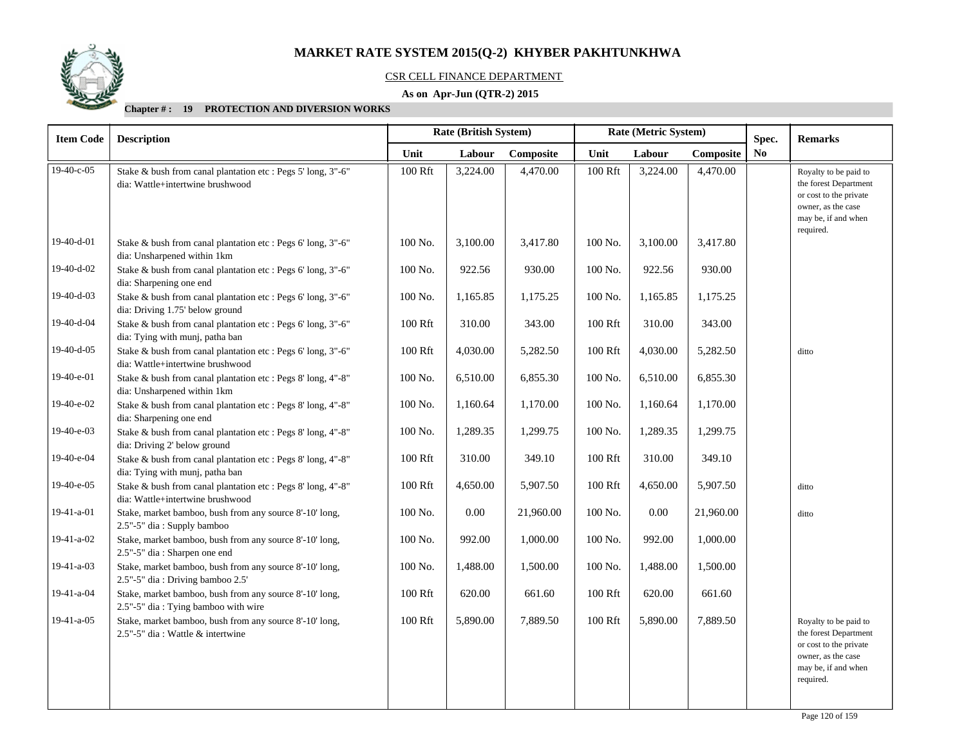

## CSR CELL FINANCE DEPARTMENT

## **As on Apr-Jun (QTR-2) 2015**

| <b>Item Code</b> | <b>Description</b>                                                                               |         | <b>Rate (British System)</b> |           | Rate (Metric System) |          |           | Spec.          | <b>Remarks</b>                                                                                                                     |
|------------------|--------------------------------------------------------------------------------------------------|---------|------------------------------|-----------|----------------------|----------|-----------|----------------|------------------------------------------------------------------------------------------------------------------------------------|
|                  |                                                                                                  | Unit    | Labour                       | Composite | Unit                 | Labour   | Composite | N <sub>0</sub> |                                                                                                                                    |
| 19-40-c-05       | Stake & bush from canal plantation etc : Pegs 5' long, 3"-6"<br>dia: Wattle+intertwine brushwood | 100 Rft | 3,224.00                     | 4,470.00  | 100 Rft              | 3,224.00 | 4,470.00  |                | Royalty to be paid to<br>the forest Department<br>or cost to the private<br>owner, as the case<br>may be, if and when<br>required. |
| 19-40-d-01       | Stake & bush from canal plantation etc : Pegs 6' long, 3"-6"<br>dia: Unsharpened within 1km      | 100 No. | 3,100.00                     | 3,417.80  | 100 No.              | 3,100.00 | 3,417.80  |                |                                                                                                                                    |
| 19-40-d-02       | Stake & bush from canal plantation etc : Pegs 6' long, 3"-6"<br>dia: Sharpening one end          | 100 No. | 922.56                       | 930.00    | 100 No.              | 922.56   | 930.00    |                |                                                                                                                                    |
| 19-40-d-03       | Stake & bush from canal plantation etc : Pegs 6' long, 3"-6"<br>dia: Driving 1.75' below ground  | 100 No. | 1,165.85                     | 1,175.25  | 100 No.              | 1,165.85 | 1,175.25  |                |                                                                                                                                    |
| 19-40-d-04       | Stake & bush from canal plantation etc : Pegs 6' long, 3"-6"<br>dia: Tying with munj, patha ban  | 100 Rft | 310.00                       | 343.00    | 100 Rft              | 310.00   | 343.00    |                |                                                                                                                                    |
| 19-40-d-05       | Stake & bush from canal plantation etc : Pegs 6' long, 3"-6"<br>dia: Wattle+intertwine brushwood | 100 Rft | 4,030.00                     | 5,282.50  | 100 Rft              | 4,030.00 | 5,282.50  |                | ditto                                                                                                                              |
| 19-40-e-01       | Stake & bush from canal plantation etc : Pegs 8' long, 4"-8"<br>dia: Unsharpened within 1km      | 100 No. | 6,510.00                     | 6,855.30  | 100 No.              | 6,510.00 | 6,855.30  |                |                                                                                                                                    |
| 19-40-e-02       | Stake & bush from canal plantation etc : Pegs 8' long, 4"-8"<br>dia: Sharpening one end          | 100 No. | 1,160.64                     | 1,170.00  | 100 No.              | 1,160.64 | 1,170.00  |                |                                                                                                                                    |
| 19-40-e-03       | Stake & bush from canal plantation etc : Pegs 8' long, 4"-8"<br>dia: Driving 2' below ground     | 100 No. | 1,289.35                     | 1,299.75  | 100 No.              | 1,289.35 | 1,299.75  |                |                                                                                                                                    |
| 19-40-e-04       | Stake & bush from canal plantation etc : Pegs 8' long, 4"-8"<br>dia: Tying with munj, patha ban  | 100 Rft | 310.00                       | 349.10    | 100 Rft              | 310.00   | 349.10    |                |                                                                                                                                    |
| 19-40-e-05       | Stake & bush from canal plantation etc : Pegs 8' long, 4"-8"<br>dia: Wattle+intertwine brushwood | 100 Rft | 4,650.00                     | 5,907.50  | 100 Rft              | 4,650.00 | 5,907.50  |                | ditto                                                                                                                              |
| 19-41-a-01       | Stake, market bamboo, bush from any source 8'-10' long,<br>2.5"-5" dia: Supply bamboo            | 100 No. | 0.00                         | 21,960.00 | 100 No.              | 0.00     | 21,960.00 |                | ditto                                                                                                                              |
| 19-41-a-02       | Stake, market bamboo, bush from any source 8'-10' long,<br>2.5"-5" dia: Sharpen one end          | 100 No. | 992.00                       | 1,000.00  | 100 No.              | 992.00   | 1,000.00  |                |                                                                                                                                    |
| 19-41-a-03       | Stake, market bamboo, bush from any source 8'-10' long,<br>2.5"-5" dia: Driving bamboo 2.5'      | 100 No. | 1,488.00                     | 1,500.00  | 100 No.              | 1,488.00 | 1,500.00  |                |                                                                                                                                    |
| 19-41-a-04       | Stake, market bamboo, bush from any source 8'-10' long,<br>2.5"-5" dia: Tying bamboo with wire   | 100 Rft | 620.00                       | 661.60    | 100 Rft              | 620.00   | 661.60    |                |                                                                                                                                    |
| $19-41-a-05$     | Stake, market bamboo, bush from any source 8'-10' long,<br>2.5"-5" dia: Wattle & intertwine      | 100 Rft | 5,890.00                     | 7,889.50  | 100 Rft              | 5,890.00 | 7,889.50  |                | Royalty to be paid to<br>the forest Department<br>or cost to the private<br>owner, as the case<br>may be, if and when<br>required. |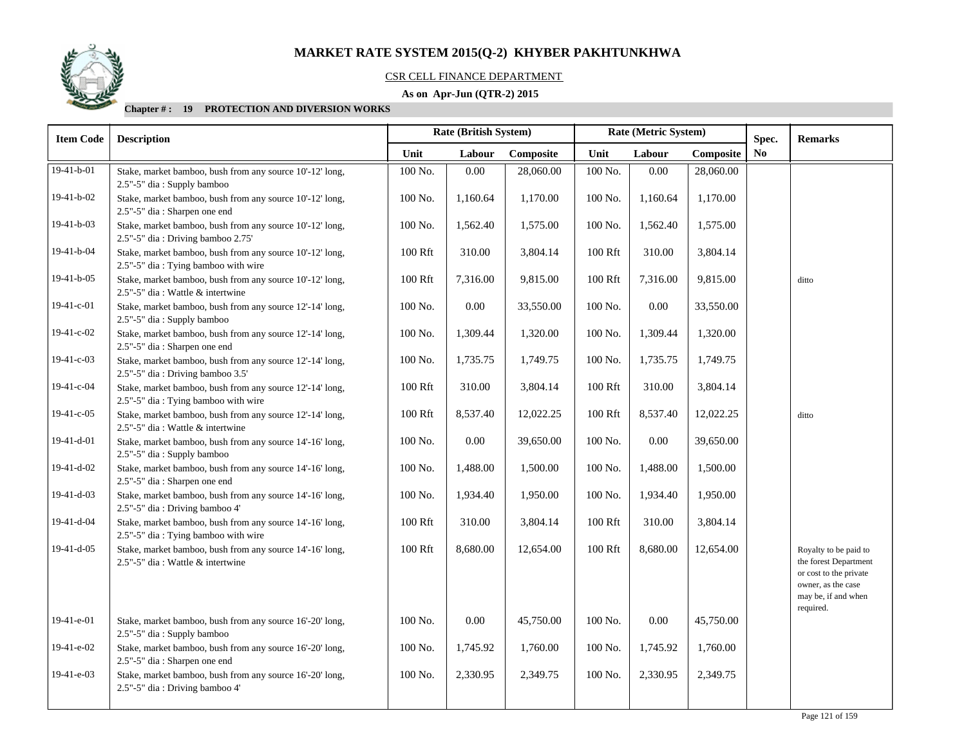

#### CSR CELL FINANCE DEPARTMENT

## **As on Apr-Jun (QTR-2) 2015**

| <b>Item Code</b> | <b>Description</b>                                                                              | Rate (British System) |          |           |                | Rate (Metric System) |           | Spec. | <b>Remarks</b>                                                                                                                     |
|------------------|-------------------------------------------------------------------------------------------------|-----------------------|----------|-----------|----------------|----------------------|-----------|-------|------------------------------------------------------------------------------------------------------------------------------------|
|                  |                                                                                                 | Unit                  | Labour   | Composite | Unit           | Labour               | Composite | No    |                                                                                                                                    |
| 19-41-b-01       | Stake, market bamboo, bush from any source 10'-12' long,<br>2.5"-5" dia: Supply bamboo          | 100 No.               | 0.00     | 28,060.00 | 100 No.        | 0.00                 | 28,060.00 |       |                                                                                                                                    |
| 19-41-b-02       | Stake, market bamboo, bush from any source 10'-12' long,<br>2.5"-5" dia: Sharpen one end        | 100 No.               | 1,160.64 | 1,170.00  | 100 No.        | 1,160.64             | 1,170.00  |       |                                                                                                                                    |
| 19-41-b-03       | Stake, market bamboo, bush from any source 10'-12' long,<br>2.5"-5" dia: Driving bamboo 2.75'   | 100 No.               | 1,562.40 | 1,575.00  | 100 No.        | 1,562.40             | 1,575.00  |       |                                                                                                                                    |
| 19-41-b-04       | Stake, market bamboo, bush from any source 10'-12' long,<br>2.5"-5" dia: Tying bamboo with wire | 100 Rft               | 310.00   | 3,804.14  | 100 Rft        | 310.00               | 3,804.14  |       |                                                                                                                                    |
| 19-41-b-05       | Stake, market bamboo, bush from any source 10'-12' long,<br>2.5"-5" dia : Wattle & intertwine   | 100 Rft               | 7,316.00 | 9,815.00  | $100$ Rft      | 7,316.00             | 9,815.00  |       | ditto                                                                                                                              |
| 19-41-c-01       | Stake, market bamboo, bush from any source 12'-14' long,<br>2.5"-5" dia: Supply bamboo          | 100 No.               | $0.00\,$ | 33,550.00 | 100 No.        | 0.00                 | 33,550.00 |       |                                                                                                                                    |
| 19-41-c-02       | Stake, market bamboo, bush from any source 12'-14' long,<br>2.5"-5" dia: Sharpen one end        | 100 No.               | 1,309.44 | 1,320.00  | 100 No.        | 1,309.44             | 1,320.00  |       |                                                                                                                                    |
| 19-41-c-03       | Stake, market bamboo, bush from any source 12'-14' long,<br>2.5"-5" dia: Driving bamboo 3.5'    | 100 No.               | 1,735.75 | 1,749.75  | 100 No.        | 1,735.75             | 1,749.75  |       |                                                                                                                                    |
| 19-41-c-04       | Stake, market bamboo, bush from any source 12'-14' long,<br>2.5"-5" dia: Tying bamboo with wire | 100 Rft               | 310.00   | 3,804.14  | 100 Rft        | 310.00               | 3,804.14  |       |                                                                                                                                    |
| $19-41-c-05$     | Stake, market bamboo, bush from any source 12'-14' long,<br>2.5"-5" dia: Wattle & intertwine    | 100 Rft               | 8,537.40 | 12,022.25 | 100 Rft        | 8,537.40             | 12,022.25 |       | ditto                                                                                                                              |
| 19-41-d-01       | Stake, market bamboo, bush from any source 14'-16' long,<br>2.5"-5" dia: Supply bamboo          | 100 No.               | 0.00     | 39,650.00 | 100 No.        | 0.00                 | 39,650.00 |       |                                                                                                                                    |
| 19-41-d-02       | Stake, market bamboo, bush from any source 14'-16' long,<br>2.5"-5" dia: Sharpen one end        | 100 No.               | 1,488.00 | 1,500.00  | 100 No.        | 1,488.00             | 1,500.00  |       |                                                                                                                                    |
| 19-41-d-03       | Stake, market bamboo, bush from any source 14'-16' long,<br>2.5"-5" dia: Driving bamboo 4'      | 100 No.               | 1,934.40 | 1,950.00  | 100 No.        | 1,934.40             | 1,950.00  |       |                                                                                                                                    |
| 19-41-d-04       | Stake, market bamboo, bush from any source 14'-16' long,<br>2.5"-5" dia: Tying bamboo with wire | 100 Rft               | 310.00   | 3,804.14  | 100 Rft        | 310.00               | 3,804.14  |       |                                                                                                                                    |
| $19-41-d-05$     | Stake, market bamboo, bush from any source 14'-16' long,<br>2.5"-5" dia : Wattle & intertwine   | 100 Rft               | 8,680.00 | 12,654.00 | 100 Rft        | 8,680.00             | 12,654.00 |       | Royalty to be paid to<br>the forest Department<br>or cost to the private<br>owner, as the case<br>may be, if and when<br>required. |
| 19-41-e-01       | Stake, market bamboo, bush from any source 16'-20' long,<br>2.5"-5" dia: Supply bamboo          | 100 No.               | 0.00     | 45,750.00 | 100 No.        | 0.00                 | 45,750.00 |       |                                                                                                                                    |
| 19-41-e-02       | Stake, market bamboo, bush from any source 16'-20' long,<br>2.5"-5" dia: Sharpen one end        | 100 No.               | 1,745.92 | 1,760.00  | 100 No.        | 1,745.92             | 1,760.00  |       |                                                                                                                                    |
| 19-41-e-03       | Stake, market bamboo, bush from any source 16'-20' long,<br>2.5"-5" dia: Driving bamboo 4'      | 100 No.               | 2,330.95 | 2,349.75  | $100$ No. $\,$ | 2,330.95             | 2,349.75  |       |                                                                                                                                    |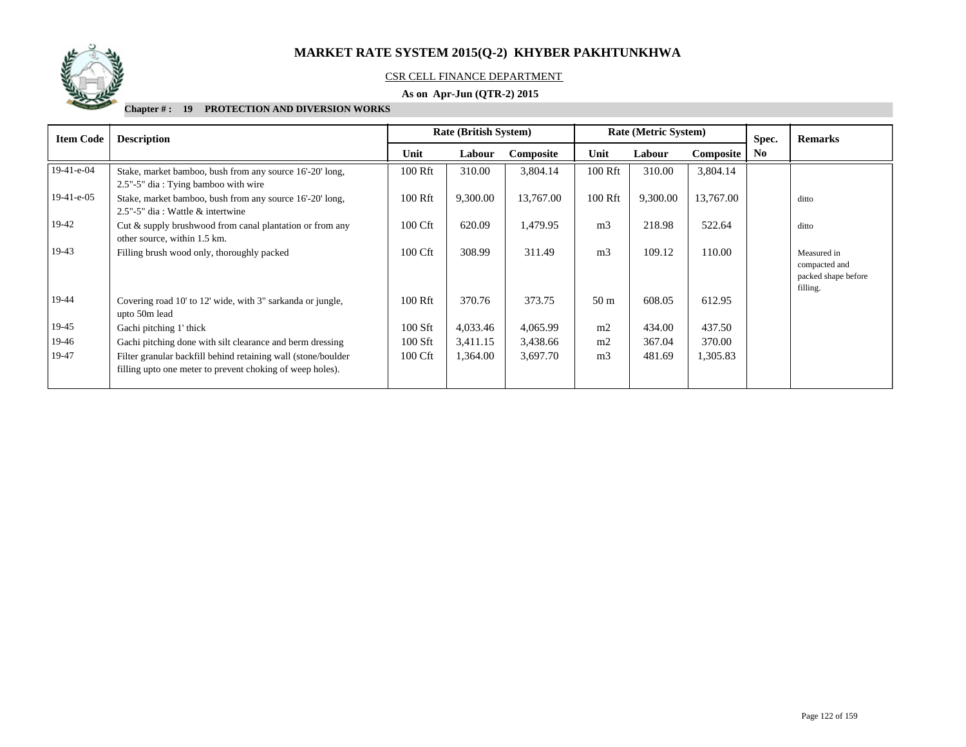

## CSR CELL FINANCE DEPARTMENT

## **As on Apr-Jun (QTR-2) 2015**

| <b>Item Code</b> | <b>Description</b>                                                                                                         | <b>Rate (British System)</b> |          |           |                 | Rate (Metric System) |           | Spec.          | <b>Remarks</b>                                                  |
|------------------|----------------------------------------------------------------------------------------------------------------------------|------------------------------|----------|-----------|-----------------|----------------------|-----------|----------------|-----------------------------------------------------------------|
|                  |                                                                                                                            | Unit                         | Labour   | Composite | Unit            | Labour               | Composite | N <sub>0</sub> |                                                                 |
| $19-41-e-04$     | Stake, market bamboo, bush from any source 16'-20' long,<br>2.5"-5" dia: Tying bamboo with wire                            | 100 Rft                      | 310.00   | 3,804.14  | 100 Rft         | 310.00               | 3,804.14  |                |                                                                 |
| $19-41-e-05$     | Stake, market bamboo, bush from any source 16'-20' long,<br>2.5"-5" dia : Wattle & intertwine                              | 100 Rft                      | 9,300.00 | 13,767.00 | 100 Rft         | 9,300.00             | 13,767.00 |                | ditto                                                           |
| 19-42            | Cut & supply brushwood from canal plantation or from any<br>other source, within 1.5 km.                                   | 100 Cft                      | 620.09   | 1,479.95  | m <sub>3</sub>  | 218.98               | 522.64    |                | ditto                                                           |
| 19-43            | Filling brush wood only, thoroughly packed                                                                                 | 100 Cft                      | 308.99   | 311.49    | m <sub>3</sub>  | 109.12               | 110.00    |                | Measured in<br>compacted and<br>packed shape before<br>filling. |
| 19-44            | Covering road 10' to 12' wide, with 3" sarkanda or jungle,<br>upto 50m lead                                                | 100 Rft                      | 370.76   | 373.75    | 50 <sub>m</sub> | 608.05               | 612.95    |                |                                                                 |
| 19-45            | Gachi pitching 1' thick                                                                                                    | 100 Sft                      | 4,033.46 | 4,065.99  | m <sub>2</sub>  | 434.00               | 437.50    |                |                                                                 |
| 19-46            | Gachi pitching done with silt clearance and berm dressing                                                                  | 100 Sft                      | 3,411.15 | 3,438.66  | m2              | 367.04               | 370.00    |                |                                                                 |
| 19-47            | Filter granular backfill behind retaining wall (stone/boulder<br>filling upto one meter to prevent choking of weep holes). | 100 Cft                      | 1,364.00 | 3,697.70  | m <sub>3</sub>  | 481.69               | 1,305.83  |                |                                                                 |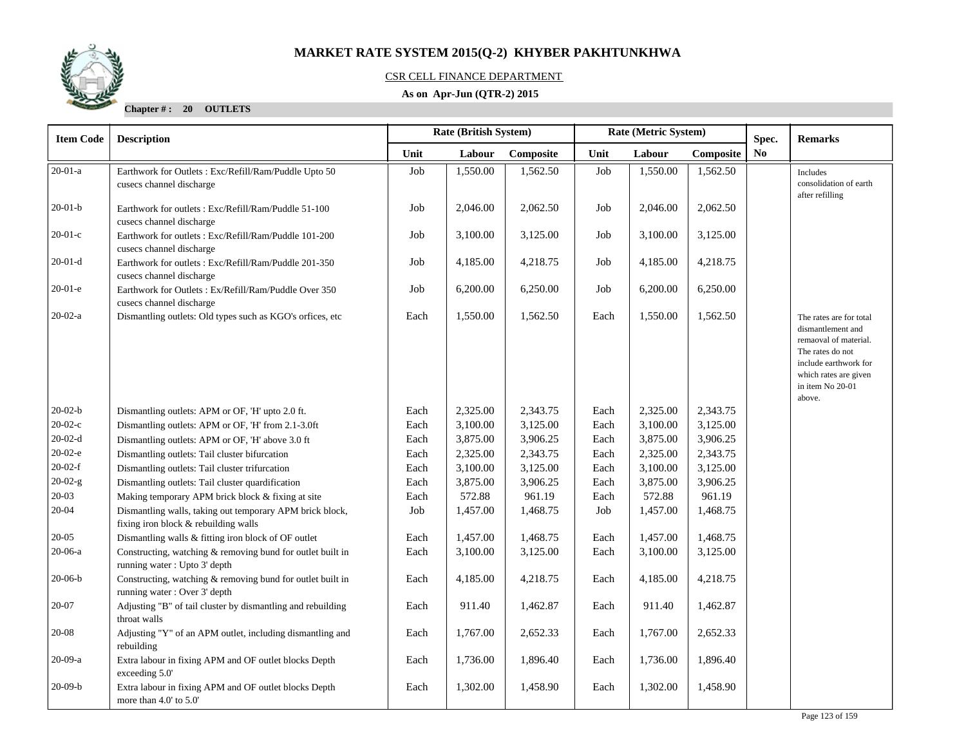## CSR CELL FINANCE DEPARTMENT

## **As on Apr-Jun (QTR-2) 2015**

**Chapter # : 20 OUTLETS**

| <b>Item Code</b> | Rate (British System)<br>Rate (Metric System)<br><b>Description</b>                              |      |          |           | Spec.             | <b>Remarks</b> |           |                |                                                                                                                                                                           |
|------------------|--------------------------------------------------------------------------------------------------|------|----------|-----------|-------------------|----------------|-----------|----------------|---------------------------------------------------------------------------------------------------------------------------------------------------------------------------|
|                  |                                                                                                  | Unit | Labour   | Composite | Unit              | Labour         | Composite | N <sub>0</sub> |                                                                                                                                                                           |
| $20-01-a$        | Earthwork for Outlets : Exc/Refill/Ram/Puddle Upto 50<br>cusecs channel discharge                | Job  | 1,550.00 | 1,562.50  | Job               | 1,550.00       | 1,562.50  |                | Includes<br>consolidation of earth<br>after refilling                                                                                                                     |
| $20-01-b$        | Earthwork for outlets: Exc/Refill/Ram/Puddle 51-100<br>cusecs channel discharge                  | Job  | 2,046.00 | 2,062.50  | Job               | 2,046.00       | 2,062.50  |                |                                                                                                                                                                           |
| $20-01-c$        | Earthwork for outlets: Exc/Refill/Ram/Puddle 101-200<br>cusecs channel discharge                 | Job  | 3,100.00 | 3,125.00  | $_{\mathrm{Job}}$ | 3,100.00       | 3,125.00  |                |                                                                                                                                                                           |
| $20-01-d$        | Earthwork for outlets: Exc/Refill/Ram/Puddle 201-350<br>cusecs channel discharge                 | Job  | 4,185.00 | 4,218.75  | Job               | 4,185.00       | 4,218.75  |                |                                                                                                                                                                           |
| $20-01-e$        | Earthwork for Outlets: Ex/Refill/Ram/Puddle Over 350<br>cusecs channel discharge                 | Job  | 6,200.00 | 6,250.00  | Job               | 6,200.00       | 6,250.00  |                |                                                                                                                                                                           |
| $20-02-a$        | Dismantling outlets: Old types such as KGO's orfices, etc.                                       | Each | 1,550.00 | 1,562.50  | Each              | 1,550.00       | 1,562.50  |                | The rates are for total<br>dismantlement and<br>remaoval of material.<br>The rates do not<br>include earthwork for<br>which rates are given<br>in item No 20-01<br>above. |
| $20-02-b$        | Dismantling outlets: APM or OF, 'H' upto 2.0 ft.                                                 | Each | 2,325.00 | 2,343.75  | Each              | 2,325.00       | 2,343.75  |                |                                                                                                                                                                           |
| $20-02-c$        | Dismantling outlets: APM or OF, 'H' from 2.1-3.0ft                                               | Each | 3,100.00 | 3,125.00  | Each              | 3,100.00       | 3,125.00  |                |                                                                                                                                                                           |
| $20-02-d$        | Dismantling outlets: APM or OF, 'H' above 3.0 ft                                                 | Each | 3,875.00 | 3,906.25  | Each              | 3,875.00       | 3,906.25  |                |                                                                                                                                                                           |
| $20-02-e$        | Dismantling outlets: Tail cluster bifurcation                                                    | Each | 2,325.00 | 2,343.75  | Each              | 2,325.00       | 2,343.75  |                |                                                                                                                                                                           |
| $20-02-f$        | Dismantling outlets: Tail cluster trifurcation                                                   | Each | 3,100.00 | 3,125.00  | Each              | 3,100.00       | 3,125.00  |                |                                                                                                                                                                           |
| $20-02-g$        | Dismantling outlets: Tail cluster quardification                                                 | Each | 3,875.00 | 3,906.25  | Each              | 3,875.00       | 3,906.25  |                |                                                                                                                                                                           |
| $20 - 03$        | Making temporary APM brick block & fixing at site                                                | Each | 572.88   | 961.19    | Each              | 572.88         | 961.19    |                |                                                                                                                                                                           |
| $20 - 04$        | Dismantling walls, taking out temporary APM brick block,<br>fixing iron block & rebuilding walls | Job  | 1,457.00 | 1,468.75  | Job               | 1,457.00       | 1,468.75  |                |                                                                                                                                                                           |
| $20 - 05$        | Dismantling walls & fitting iron block of OF outlet                                              | Each | 1,457.00 | 1,468.75  | Each              | 1,457.00       | 1,468.75  |                |                                                                                                                                                                           |
| $20-06-a$        | Constructing, watching & removing bund for outlet built in<br>running water: Upto 3' depth       | Each | 3,100.00 | 3,125.00  | Each              | 3,100.00       | 3,125.00  |                |                                                                                                                                                                           |
| $20-06-b$        | Constructing, watching & removing bund for outlet built in<br>running water: Over 3' depth       | Each | 4,185.00 | 4,218.75  | Each              | 4,185.00       | 4,218.75  |                |                                                                                                                                                                           |
| 20-07            | Adjusting "B" of tail cluster by dismantling and rebuilding<br>throat walls                      | Each | 911.40   | 1,462.87  | Each              | 911.40         | 1,462.87  |                |                                                                                                                                                                           |
| $20 - 08$        | Adjusting "Y" of an APM outlet, including dismantling and<br>rebuilding                          | Each | 1,767.00 | 2,652.33  | Each              | 1,767.00       | 2,652.33  |                |                                                                                                                                                                           |
| 20-09-a          | Extra labour in fixing APM and OF outlet blocks Depth<br>exceeding 5.0'                          | Each | 1,736.00 | 1,896.40  | Each              | 1,736.00       | 1,896.40  |                |                                                                                                                                                                           |
| $20-09-b$        | Extra labour in fixing APM and OF outlet blocks Depth<br>more than $4.0'$ to $5.0'$              | Each | 1,302.00 | 1,458.90  | Each              | 1,302.00       | 1,458.90  |                |                                                                                                                                                                           |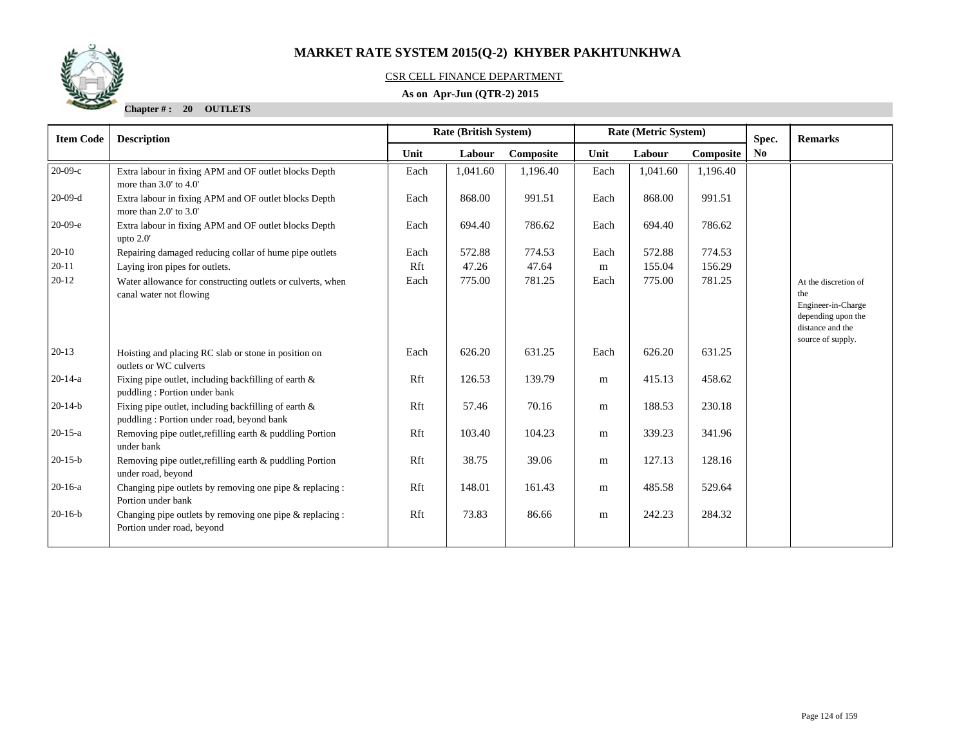

## CSR CELL FINANCE DEPARTMENT

## **As on Apr-Jun (QTR-2) 2015**

**Chapter # : 20 OUTLETS**

| <b>Item Code</b> | <b>Description</b>                                                                                   |      | <b>Rate (British System)</b> |           |      | Rate (Metric System) |           | Spec.          | <b>Remarks</b>                                                                                                   |
|------------------|------------------------------------------------------------------------------------------------------|------|------------------------------|-----------|------|----------------------|-----------|----------------|------------------------------------------------------------------------------------------------------------------|
|                  |                                                                                                      | Unit | Labour                       | Composite | Unit | Labour               | Composite | N <sub>0</sub> |                                                                                                                  |
| $20-09-c$        | Extra labour in fixing APM and OF outlet blocks Depth<br>more than $3.0'$ to $4.0'$                  | Each | 1,041.60                     | 1,196.40  | Each | 1,041.60             | 1.196.40  |                |                                                                                                                  |
| $20-09-d$        | Extra labour in fixing APM and OF outlet blocks Depth<br>more than $2.0'$ to $3.0'$                  | Each | 868.00                       | 991.51    | Each | 868.00               | 991.51    |                |                                                                                                                  |
| $20-09-e$        | Extra labour in fixing APM and OF outlet blocks Depth<br>upto $2.0'$                                 | Each | 694.40                       | 786.62    | Each | 694.40               | 786.62    |                |                                                                                                                  |
| $20-10$          | Repairing damaged reducing collar of hume pipe outlets                                               | Each | 572.88                       | 774.53    | Each | 572.88               | 774.53    |                |                                                                                                                  |
| $20 - 11$        | Laying iron pipes for outlets.                                                                       | Rft  | 47.26                        | 47.64     | m    | 155.04               | 156.29    |                |                                                                                                                  |
| $20-12$          | Water allowance for constructing outlets or culverts, when<br>canal water not flowing                | Each | 775.00                       | 781.25    | Each | 775.00               | 781.25    |                | At the discretion of<br>the<br>Engineer-in-Charge<br>depending upon the<br>distance and the<br>source of supply. |
| $20-13$          | Hoisting and placing RC slab or stone in position on<br>outlets or WC culverts                       | Each | 626.20                       | 631.25    | Each | 626.20               | 631.25    |                |                                                                                                                  |
| $20-14-a$        | Fixing pipe outlet, including backfilling of earth $\&$<br>puddling: Portion under bank              | Rft  | 126.53                       | 139.79    | m    | 415.13               | 458.62    |                |                                                                                                                  |
| $20-14-b$        | Fixing pipe outlet, including backfilling of earth $\&$<br>puddling: Portion under road, beyond bank | Rft  | 57.46                        | 70.16     | m    | 188.53               | 230.18    |                |                                                                                                                  |
| $20 - 15 - a$    | Removing pipe outlet, refilling earth & puddling Portion<br>under bank                               | Rft  | 103.40                       | 104.23    | m    | 339.23               | 341.96    |                |                                                                                                                  |
| $20-15-b$        | Removing pipe outlet, refilling earth & puddling Portion<br>under road, beyond                       | Rft  | 38.75                        | 39.06     | m    | 127.13               | 128.16    |                |                                                                                                                  |
| $20-16-a$        | Changing pipe outlets by removing one pipe $\&$ replacing :<br>Portion under bank                    | Rft  | 148.01                       | 161.43    | m    | 485.58               | 529.64    |                |                                                                                                                  |
| $20-16-b$        | Changing pipe outlets by removing one pipe & replacing :<br>Portion under road, beyond               | Rft  | 73.83                        | 86.66     | m    | 242.23               | 284.32    |                |                                                                                                                  |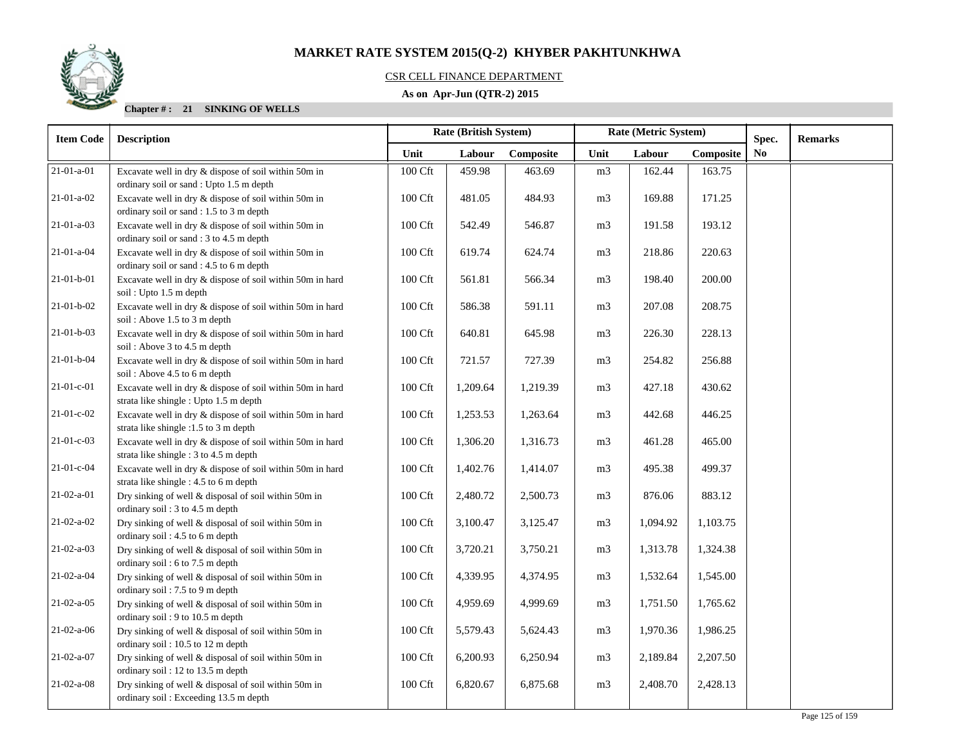

## CSR CELL FINANCE DEPARTMENT

## **As on Apr-Jun (QTR-2) 2015**

| <b>Item Code</b>   | <b>Description</b>                                                                                  | Rate (British System) |          |           |                | Rate (Metric System) |           | Spec. | <b>Remarks</b> |
|--------------------|-----------------------------------------------------------------------------------------------------|-----------------------|----------|-----------|----------------|----------------------|-----------|-------|----------------|
|                    |                                                                                                     | Unit                  | Labour   | Composite | Unit           | Labour               | Composite | No    |                |
| $21-01-a-01$       | Excavate well in dry & dispose of soil within 50m in<br>ordinary soil or sand : Upto 1.5 m depth    | 100 Cft               | 459.98   | 463.69    | m <sub>3</sub> | 162.44               | 163.75    |       |                |
| $21-01-a-02$       | Excavate well in dry & dispose of soil within 50m in<br>ordinary soil or sand : 1.5 to 3 m depth    | 100 Cft               | 481.05   | 484.93    | m <sub>3</sub> | 169.88               | 171.25    |       |                |
| $21-01-a-03$       | Excavate well in dry & dispose of soil within 50m in<br>ordinary soil or sand: 3 to 4.5 m depth     | 100 Cft               | 542.49   | 546.87    | m <sub>3</sub> | 191.58               | 193.12    |       |                |
| 21-01-a-04         | Excavate well in dry & dispose of soil within 50m in<br>ordinary soil or sand : 4.5 to 6 m depth    | 100 Cft               | 619.74   | 624.74    | m <sub>3</sub> | 218.86               | 220.63    |       |                |
| 21-01-b-01         | Excavate well in dry & dispose of soil within 50m in hard<br>soil: Upto 1.5 m depth                 | 100 Cft               | 561.81   | 566.34    | m <sub>3</sub> | 198.40               | 200.00    |       |                |
| $21-01-b-02$       | Excavate well in dry & dispose of soil within 50m in hard<br>soil: Above 1.5 to 3 m depth           | 100 Cft               | 586.38   | 591.11    | m <sub>3</sub> | 207.08               | 208.75    |       |                |
| $21-01-b-03$       | Excavate well in dry & dispose of soil within 50m in hard<br>soil: Above 3 to 4.5 m depth           | 100 Cft               | 640.81   | 645.98    | m <sub>3</sub> | 226.30               | 228.13    |       |                |
| $21-01-b-04$       | Excavate well in dry & dispose of soil within 50m in hard<br>soil: Above 4.5 to 6 m depth           | 100 Cft               | 721.57   | 727.39    | m3             | 254.82               | 256.88    |       |                |
| 21-01-c-01         | Excavate well in dry & dispose of soil within 50m in hard<br>strata like shingle : Upto 1.5 m depth | 100 Cft               | 1,209.64 | 1,219.39  | m <sub>3</sub> | 427.18               | 430.62    |       |                |
| $21-01-c-02$       | Excavate well in dry & dispose of soil within 50m in hard<br>strata like shingle :1.5 to 3 m depth  | 100 Cft               | 1,253.53 | 1,263.64  | m <sub>3</sub> | 442.68               | 446.25    |       |                |
| $21-01-c-03$       | Excavate well in dry & dispose of soil within 50m in hard<br>strata like shingle : 3 to 4.5 m depth | 100 Cft               | 1,306.20 | 1,316.73  | m <sub>3</sub> | 461.28               | 465.00    |       |                |
| 21-01-c-04         | Excavate well in dry & dispose of soil within 50m in hard<br>strata like shingle : 4.5 to 6 m depth | 100 Cft               | 1,402.76 | 1,414.07  | m <sub>3</sub> | 495.38               | 499.37    |       |                |
| $21-02-a-01$       | Dry sinking of well & disposal of soil within 50m in<br>ordinary soil: 3 to 4.5 m depth             | 100 Cft               | 2,480.72 | 2,500.73  | m <sub>3</sub> | 876.06               | 883.12    |       |                |
| $21-02-a-02$       | Dry sinking of well & disposal of soil within 50m in<br>ordinary soil: 4.5 to 6 m depth             | 100 Cft               | 3,100.47 | 3,125.47  | m <sub>3</sub> | 1,094.92             | 1,103.75  |       |                |
| $21 - 02 - a - 03$ | Dry sinking of well & disposal of soil within 50m in<br>ordinary soil: 6 to 7.5 m depth             | 100 Cft               | 3,720.21 | 3,750.21  | m <sub>3</sub> | 1,313.78             | 1,324.38  |       |                |
| 21-02-a-04         | Dry sinking of well & disposal of soil within 50m in<br>ordinary soil: 7.5 to 9 m depth             | 100 Cft               | 4,339.95 | 4,374.95  | m <sub>3</sub> | 1,532.64             | 1,545.00  |       |                |
| $21-02-a-05$       | Dry sinking of well & disposal of soil within 50m in<br>ordinary soil: 9 to 10.5 m depth            | 100 Cft               | 4,959.69 | 4,999.69  | m <sub>3</sub> | 1,751.50             | 1,765.62  |       |                |
| $21-02-a-06$       | Dry sinking of well & disposal of soil within 50m in<br>ordinary soil: 10.5 to 12 m depth           | 100 Cft               | 5,579.43 | 5,624.43  | m <sub>3</sub> | 1,970.36             | 1,986.25  |       |                |
| $21-02-a-07$       | Dry sinking of well & disposal of soil within 50m in<br>ordinary soil: 12 to 13.5 m depth           | 100 Cft               | 6,200.93 | 6,250.94  | m <sub>3</sub> | 2,189.84             | 2,207.50  |       |                |
| $21-02-a-08$       | Dry sinking of well & disposal of soil within 50m in<br>ordinary soil: Exceeding 13.5 m depth       | 100 Cft               | 6,820.67 | 6,875.68  | m <sub>3</sub> | 2,408.70             | 2,428.13  |       |                |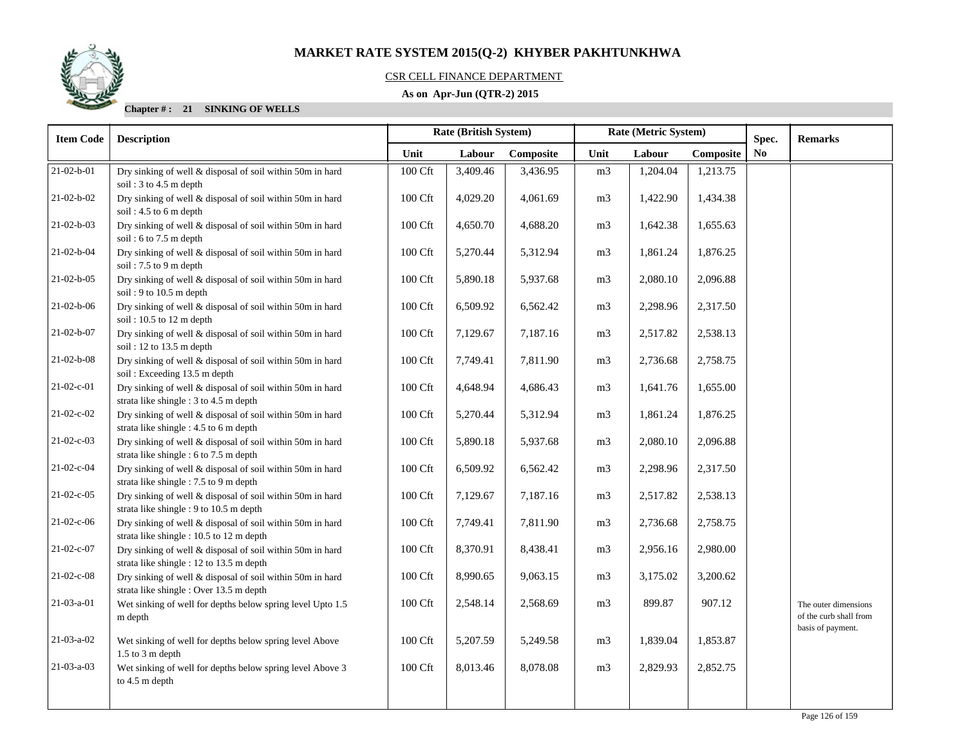

## CSR CELL FINANCE DEPARTMENT

## **As on Apr-Jun (QTR-2) 2015**

| <b>Item Code</b>   | <b>Description</b>                                                                                    | Rate (British System) |          |           |                | Rate (Metric System) |           | Spec.          | <b>Remarks</b>                                 |
|--------------------|-------------------------------------------------------------------------------------------------------|-----------------------|----------|-----------|----------------|----------------------|-----------|----------------|------------------------------------------------|
|                    |                                                                                                       | Unit                  | Labour   | Composite | Unit           | Labour               | Composite | N <sub>0</sub> |                                                |
| $21 - 02 - b - 01$ | Dry sinking of well & disposal of soil within 50m in hard<br>soil: $3$ to $4.5$ m depth               | 100 Cft               | 3,409.46 | 3,436.95  | m <sub>3</sub> | 1,204.04             | 1,213.75  |                |                                                |
| $21 - 02 - b - 02$ | Dry sinking of well & disposal of soil within 50m in hard<br>soil: 4.5 to 6 m depth                   | 100 Cft               | 4,029.20 | 4,061.69  | m <sub>3</sub> | 1,422.90             | 1,434.38  |                |                                                |
| $21 - 02 - b - 03$ | Dry sinking of well & disposal of soil within 50m in hard<br>soil: $6$ to $7.5$ m depth               | 100 Cft               | 4,650.70 | 4,688.20  | m <sub>3</sub> | 1,642.38             | 1,655.63  |                |                                                |
| 21-02-b-04         | Dry sinking of well & disposal of soil within 50m in hard<br>soil: 7.5 to 9 m depth                   | 100 Cft               | 5,270.44 | 5,312.94  | m <sub>3</sub> | 1,861.24             | 1,876.25  |                |                                                |
| $21-02-b-05$       | Dry sinking of well & disposal of soil within 50m in hard<br>soil: 9 to 10.5 m depth                  | 100 Cft               | 5,890.18 | 5,937.68  | m <sub>3</sub> | 2,080.10             | 2,096.88  |                |                                                |
| $21 - 02 - b - 06$ | Dry sinking of well & disposal of soil within 50m in hard<br>soil: 10.5 to 12 m depth                 | 100 Cft               | 6,509.92 | 6,562.42  | m <sub>3</sub> | 2,298.96             | 2,317.50  |                |                                                |
| 21-02-b-07         | Dry sinking of well & disposal of soil within 50m in hard<br>soil: 12 to 13.5 m depth                 | 100 Cft               | 7,129.67 | 7,187.16  | m <sub>3</sub> | 2,517.82             | 2,538.13  |                |                                                |
| $21 - 02 - b - 08$ | Dry sinking of well & disposal of soil within 50m in hard<br>soil: Exceeding 13.5 m depth             | 100 Cft               | 7,749.41 | 7,811.90  | m <sub>3</sub> | 2,736.68             | 2,758.75  |                |                                                |
| $21-02-c-01$       | Dry sinking of well & disposal of soil within 50m in hard<br>strata like shingle : 3 to 4.5 m depth   | 100 Cft               | 4,648.94 | 4,686.43  | m <sub>3</sub> | 1,641.76             | 1,655.00  |                |                                                |
| $21-02-c-02$       | Dry sinking of well & disposal of soil within 50m in hard<br>strata like shingle : 4.5 to 6 m depth   | 100 Cft               | 5,270.44 | 5,312.94  | m <sub>3</sub> | 1,861.24             | 1,876.25  |                |                                                |
| $21-02-c-03$       | Dry sinking of well & disposal of soil within 50m in hard<br>strata like shingle : 6 to 7.5 m depth   | 100 Cft               | 5,890.18 | 5,937.68  | m <sub>3</sub> | 2,080.10             | 2,096.88  |                |                                                |
| 21-02-c-04         | Dry sinking of well & disposal of soil within 50m in hard<br>strata like shingle : 7.5 to 9 m depth   | 100 Cft               | 6,509.92 | 6,562.42  | m <sub>3</sub> | 2,298.96             | 2,317.50  |                |                                                |
| $21-02-c-05$       | Dry sinking of well & disposal of soil within 50m in hard<br>strata like shingle : 9 to 10.5 m depth  | 100 Cft               | 7,129.67 | 7,187.16  | m <sub>3</sub> | 2,517.82             | 2,538.13  |                |                                                |
| 21-02-c-06         | Dry sinking of well & disposal of soil within 50m in hard<br>strata like shingle : 10.5 to 12 m depth | 100 Cft               | 7,749.41 | 7,811.90  | m <sub>3</sub> | 2,736.68             | 2,758.75  |                |                                                |
| 21-02-c-07         | Dry sinking of well & disposal of soil within 50m in hard<br>strata like shingle : 12 to 13.5 m depth | 100 Cft               | 8,370.91 | 8,438.41  | m <sub>3</sub> | 2,956.16             | 2,980.00  |                |                                                |
| $21-02-c-08$       | Dry sinking of well & disposal of soil within 50m in hard<br>strata like shingle: Over 13.5 m depth   | 100 Cft               | 8,990.65 | 9,063.15  | m <sub>3</sub> | 3,175.02             | 3,200.62  |                |                                                |
| $21-03-a-01$       | Wet sinking of well for depths below spring level Upto 1.5<br>m depth                                 | 100 Cft               | 2,548.14 | 2,568.69  | m <sub>3</sub> | 899.87               | 907.12    |                | The outer dimensions<br>of the curb shall from |
| $21-03-a-02$       | Wet sinking of well for depths below spring level Above<br>$1.5$ to $3 \text{ m}$ depth               | 100 Cft               | 5,207.59 | 5,249.58  | m <sub>3</sub> | 1,839.04             | 1,853.87  |                | basis of payment.                              |
| $21-03-a-03$       | Wet sinking of well for depths below spring level Above 3<br>to 4.5 m depth                           | 100 Cft               | 8,013.46 | 8,078.08  | m <sub>3</sub> | 2,829.93             | 2,852.75  |                |                                                |
|                    |                                                                                                       |                       |          |           |                |                      |           |                |                                                |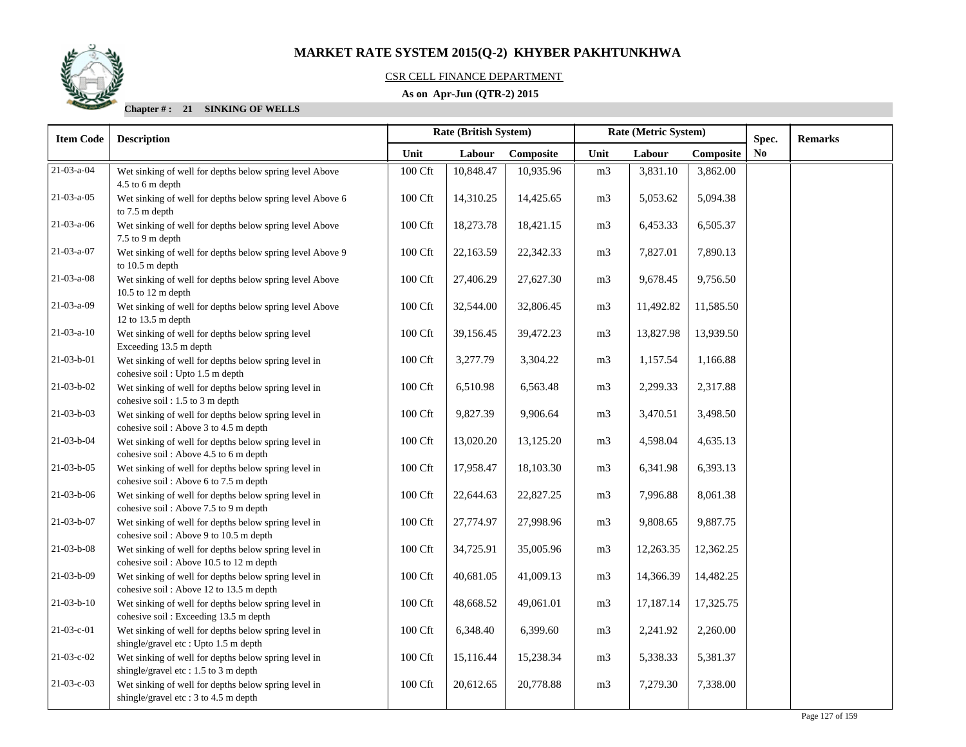

## CSR CELL FINANCE DEPARTMENT

## **As on Apr-Jun (QTR-2) 2015**

| <b>Item Code</b> | <b>Description</b>                                                                              |                     | <b>Rate (British System)</b> |           | Rate (Metric System) |           |           | Spec.          | <b>Remarks</b> |
|------------------|-------------------------------------------------------------------------------------------------|---------------------|------------------------------|-----------|----------------------|-----------|-----------|----------------|----------------|
|                  |                                                                                                 | Unit                | Labour                       | Composite | Unit                 | Labour    | Composite | N <sub>0</sub> |                |
| 21-03-a-04       | Wet sinking of well for depths below spring level Above<br>4.5 to 6 m depth                     | 100 Cft             | 10,848.47                    | 10,935.96 | m <sub>3</sub>       | 3,831.10  | 3,862.00  |                |                |
| $21-03-a-05$     | Wet sinking of well for depths below spring level Above 6<br>to 7.5 m depth                     | 100 Cft             | 14,310.25                    | 14,425.65 | m <sub>3</sub>       | 5,053.62  | 5,094.38  |                |                |
| $21-03-a-06$     | Wet sinking of well for depths below spring level Above<br>7.5 to 9 m depth                     | 100 Cft             | 18,273.78                    | 18,421.15 | m <sub>3</sub>       | 6,453.33  | 6,505.37  |                |                |
| 21-03-a-07       | Wet sinking of well for depths below spring level Above 9<br>to 10.5 m depth                    | 100 Cft             | 22,163.59                    | 22,342.33 | m <sub>3</sub>       | 7,827.01  | 7,890.13  |                |                |
| $21-03-a-08$     | Wet sinking of well for depths below spring level Above<br>10.5 to 12 m depth                   | 100 Cft             | 27,406.29                    | 27,627.30 | m <sub>3</sub>       | 9,678.45  | 9,756.50  |                |                |
| 21-03-a-09       | Wet sinking of well for depths below spring level Above<br>12 to 13.5 m depth                   | 100 Cft             | 32,544.00                    | 32,806.45 | m <sub>3</sub>       | 11,492.82 | 11,585.50 |                |                |
| $21-03-a-10$     | Wet sinking of well for depths below spring level<br>Exceeding 13.5 m depth                     | 100 Cft             | 39,156.45                    | 39,472.23 | m <sub>3</sub>       | 13,827.98 | 13,939.50 |                |                |
| 21-03-b-01       | Wet sinking of well for depths below spring level in<br>cohesive soil : Upto 1.5 m depth        | $100\ \mathrm{Cft}$ | 3,277.79                     | 3,304.22  | m3                   | 1,157.54  | 1,166.88  |                |                |
| $21-03-b-02$     | Wet sinking of well for depths below spring level in<br>cohesive soil: 1.5 to 3 m depth         | 100 Cft             | 6,510.98                     | 6,563.48  | m3                   | 2,299.33  | 2,317.88  |                |                |
| 21-03-b-03       | Wet sinking of well for depths below spring level in<br>cohesive soil: Above 3 to 4.5 m depth   | 100 Cft             | 9,827.39                     | 9,906.64  | m <sub>3</sub>       | 3,470.51  | 3,498.50  |                |                |
| 21-03-b-04       | Wet sinking of well for depths below spring level in<br>cohesive soil: Above 4.5 to 6 m depth   | 100 Cft             | 13,020.20                    | 13,125.20 | m <sub>3</sub>       | 4,598.04  | 4,635.13  |                |                |
| $21-03-b-05$     | Wet sinking of well for depths below spring level in<br>cohesive soil: Above 6 to 7.5 m depth   | 100 Cft             | 17,958.47                    | 18,103.30 | m <sub>3</sub>       | 6,341.98  | 6,393.13  |                |                |
| $21-03-b-06$     | Wet sinking of well for depths below spring level in<br>cohesive soil: Above 7.5 to 9 m depth   | 100 Cft             | 22,644.63                    | 22,827.25 | m <sub>3</sub>       | 7,996.88  | 8,061.38  |                |                |
| 21-03-b-07       | Wet sinking of well for depths below spring level in<br>cohesive soil: Above 9 to 10.5 m depth  | 100 Cft             | 27,774.97                    | 27,998.96 | m <sub>3</sub>       | 9,808.65  | 9,887.75  |                |                |
| $21-03-b-08$     | Wet sinking of well for depths below spring level in<br>cohesive soil: Above 10.5 to 12 m depth | $100\ \mathrm{Cft}$ | 34,725.91                    | 35,005.96 | m3                   | 12,263.35 | 12,362.25 |                |                |
| $21-03-b-09$     | Wet sinking of well for depths below spring level in<br>cohesive soil: Above 12 to 13.5 m depth | 100 Cft             | 40,681.05                    | 41,009.13 | m <sub>3</sub>       | 14,366.39 | 14,482.25 |                |                |
| $21-03-b-10$     | Wet sinking of well for depths below spring level in<br>cohesive soil: Exceeding 13.5 m depth   | 100 Cft             | 48,668.52                    | 49,061.01 | m <sub>3</sub>       | 17,187.14 | 17,325.75 |                |                |
| $21-03-c-01$     | Wet sinking of well for depths below spring level in<br>shingle/gravel etc: Upto 1.5 m depth    | 100 Cft             | 6,348.40                     | 6,399.60  | m <sub>3</sub>       | 2,241.92  | 2,260.00  |                |                |
| 21-03-c-02       | Wet sinking of well for depths below spring level in<br>shingle/gravel etc: 1.5 to 3 m depth    | $100\ \mathrm{Cft}$ | 15,116.44                    | 15,238.34 | m <sub>3</sub>       | 5,338.33  | 5,381.37  |                |                |
| 21-03-c-03       | Wet sinking of well for depths below spring level in<br>shingle/gravel etc: 3 to 4.5 m depth    | 100 Cft             | 20,612.65                    | 20,778.88 | m <sub>3</sub>       | 7,279.30  | 7,338.00  |                |                |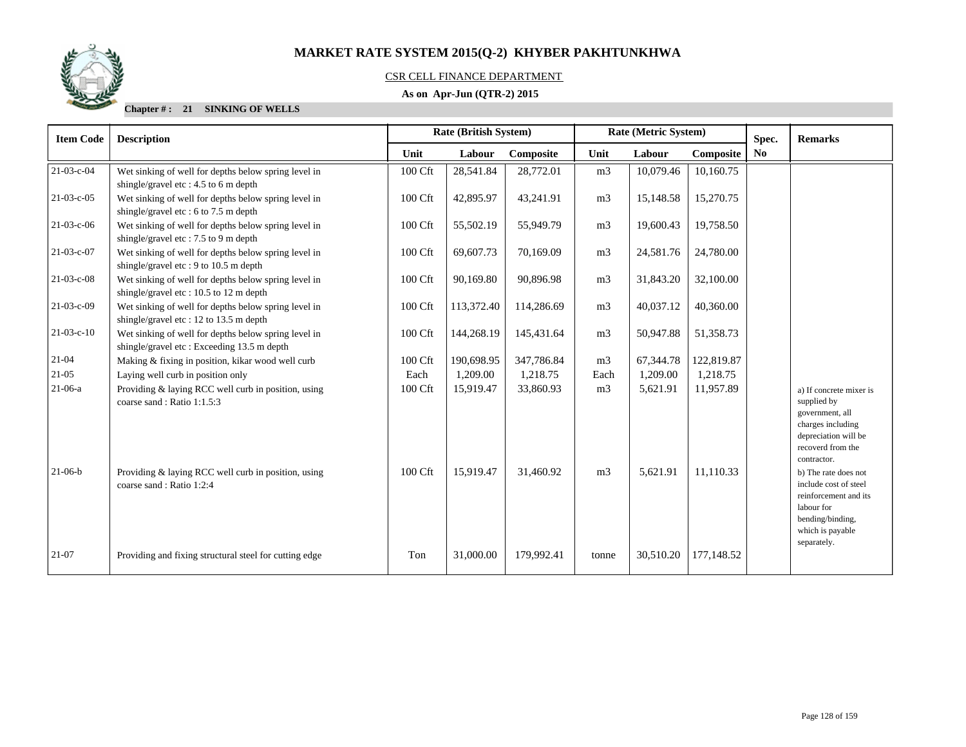

## CSR CELL FINANCE DEPARTMENT

## **As on Apr-Jun (QTR-2) 2015**

| <b>Item Code</b> | Rate (British System)<br><b>Description</b>                                                        |         |            | Rate (Metric System) |                |           |            | Spec. | <b>Remarks</b>                                                                                                                              |
|------------------|----------------------------------------------------------------------------------------------------|---------|------------|----------------------|----------------|-----------|------------|-------|---------------------------------------------------------------------------------------------------------------------------------------------|
|                  |                                                                                                    | Unit    | Labour     | Composite            | Unit           | Labour    | Composite  | No    |                                                                                                                                             |
| 21-03-c-04       | Wet sinking of well for depths below spring level in<br>shingle/gravel etc: 4.5 to 6 m depth       | 100 Cft | 28,541.84  | 28,772.01            | m <sub>3</sub> | 10,079.46 | 10,160.75  |       |                                                                                                                                             |
| $21-03-c-05$     | Wet sinking of well for depths below spring level in<br>shingle/gravel etc: 6 to 7.5 m depth       | 100 Cft | 42,895.97  | 43,241.91            | m <sub>3</sub> | 15,148.58 | 15,270.75  |       |                                                                                                                                             |
| $21-03-c-06$     | Wet sinking of well for depths below spring level in<br>shingle/gravel etc: 7.5 to 9 m depth       | 100 Cft | 55,502.19  | 55,949.79            | m <sub>3</sub> | 19,600.43 | 19,758.50  |       |                                                                                                                                             |
| 21-03-c-07       | Wet sinking of well for depths below spring level in<br>shingle/gravel etc: 9 to 10.5 m depth      | 100 Cft | 69,607.73  | 70,169.09            | m <sub>3</sub> | 24,581.76 | 24,780.00  |       |                                                                                                                                             |
| $21-03-c-08$     | Wet sinking of well for depths below spring level in<br>shingle/gravel etc: $10.5$ to 12 m depth   | 100 Cft | 90,169.80  | 90,896.98            | m <sub>3</sub> | 31,843.20 | 32,100.00  |       |                                                                                                                                             |
| $21-03-c-09$     | Wet sinking of well for depths below spring level in<br>shingle/gravel etc: 12 to 13.5 m depth     | 100 Cft | 113,372.40 | 114,286.69           | m <sub>3</sub> | 40,037.12 | 40,360.00  |       |                                                                                                                                             |
| $21-03-c-10$     | Wet sinking of well for depths below spring level in<br>shingle/gravel etc: Exceeding 13.5 m depth | 100 Cft | 144,268.19 | 145,431.64           | m <sub>3</sub> | 50,947.88 | 51,358.73  |       |                                                                                                                                             |
| $21 - 04$        | Making & fixing in position, kikar wood well curb                                                  | 100 Cft | 190,698.95 | 347,786.84           | m <sub>3</sub> | 67,344.78 | 122,819.87 |       |                                                                                                                                             |
| 21-05            | Laying well curb in position only                                                                  | Each    | 1,209.00   | 1,218.75             | Each           | 1,209.00  | 1,218.75   |       |                                                                                                                                             |
| $21-06-a$        | Providing & laying RCC well curb in position, using<br>coarse sand: Ratio 1:1.5:3                  | 100 Cft | 15,919.47  | 33,860.93            | m <sub>3</sub> | 5,621.91  | 11,957.89  |       | a) If concrete mixer is<br>supplied by<br>government, all<br>charges including<br>depreciation will be<br>recoverd from the<br>contractor.  |
| $21-06-b$        | Providing & laying RCC well curb in position, using<br>coarse sand: Ratio 1:2:4                    | 100 Cft | 15,919.47  | 31,460.92            | m <sub>3</sub> | 5,621.91  | 11,110.33  |       | b) The rate does not<br>include cost of steel<br>reinforcement and its<br>labour for<br>bending/binding,<br>which is payable<br>separately. |
| 21-07            | Providing and fixing structural steel for cutting edge                                             | Ton     | 31,000.00  | 179.992.41           | tonne          | 30,510.20 | 177,148.52 |       |                                                                                                                                             |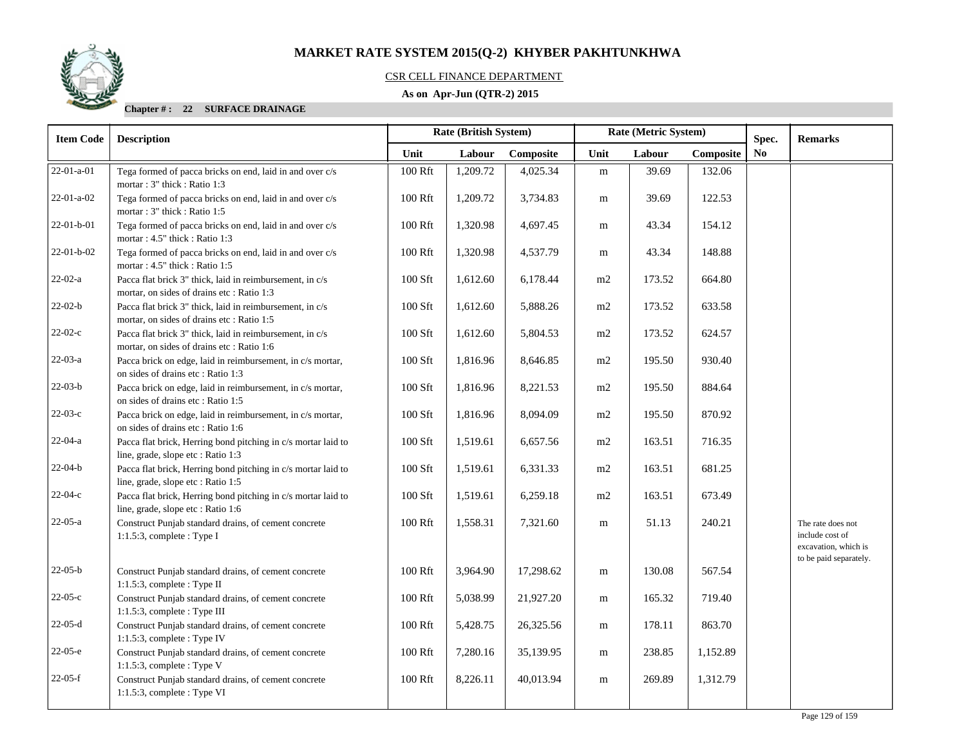

## CSR CELL FINANCE DEPARTMENT

## **As on Apr-Jun (QTR-2) 2015**

#### **Chapter # : 22 SURFACE DRAINAGE**

| <b>Item Code</b>   | <b>Description</b>                                                                                     | Rate (British System) |          |           |           | Rate (Metric System) |           | Spec. | <b>Remarks</b>                                                                         |
|--------------------|--------------------------------------------------------------------------------------------------------|-----------------------|----------|-----------|-----------|----------------------|-----------|-------|----------------------------------------------------------------------------------------|
|                    |                                                                                                        | Unit                  | Labour   | Composite | Unit      | Labour               | Composite | No    |                                                                                        |
| $22 - 01 - a - 01$ | Tega formed of pacca bricks on end, laid in and over c/s<br>mortar: 3" thick: Ratio 1:3                | 100 Rft               | 1,209.72 | 4,025.34  | ${\bf m}$ | 39.69                | 132.06    |       |                                                                                        |
| $22-01-a-02$       | Tega formed of pacca bricks on end, laid in and over c/s<br>mortar: 3" thick: Ratio 1:5                | 100 Rft               | 1,209.72 | 3,734.83  | m         | 39.69                | 122.53    |       |                                                                                        |
| 22-01-b-01         | Tega formed of pacca bricks on end, laid in and over c/s<br>mortar: 4.5" thick: Ratio 1:3              | 100 Rft               | 1,320.98 | 4,697.45  | m         | 43.34                | 154.12    |       |                                                                                        |
| $22-01-b-02$       | Tega formed of pacca bricks on end, laid in and over c/s<br>mortar: 4.5" thick: Ratio 1:5              | 100 Rft               | 1,320.98 | 4,537.79  | m         | 43.34                | 148.88    |       |                                                                                        |
| $22-02-a$          | Pacca flat brick 3" thick, laid in reimbursement, in c/s<br>mortar, on sides of drains etc: Ratio 1:3  | 100 Sft               | 1,612.60 | 6,178.44  | m2        | 173.52               | 664.80    |       |                                                                                        |
| $22-02-b$          | Pacca flat brick 3" thick, laid in reimbursement, in c/s<br>mortar, on sides of drains etc: Ratio 1:5  | 100 Sft               | 1,612.60 | 5,888.26  | m2        | 173.52               | 633.58    |       |                                                                                        |
| $22-02-c$          | Pacca flat brick 3" thick, laid in reimbursement, in c/s<br>mortar, on sides of drains etc : Ratio 1:6 | 100 Sft               | 1,612.60 | 5,804.53  | m2        | 173.52               | 624.57    |       |                                                                                        |
| $22-03-a$          | Pacca brick on edge, laid in reimbursement, in c/s mortar,<br>on sides of drains etc: Ratio 1:3        | 100 Sft               | 1,816.96 | 8,646.85  | m2        | 195.50               | 930.40    |       |                                                                                        |
| $22-03-b$          | Pacca brick on edge, laid in reimbursement, in c/s mortar,<br>on sides of drains etc: Ratio 1:5        | 100 Sft               | 1,816.96 | 8,221.53  | m2        | 195.50               | 884.64    |       |                                                                                        |
| $22-03-c$          | Pacca brick on edge, laid in reimbursement, in c/s mortar,<br>on sides of drains etc: Ratio 1:6        | 100 Sft               | 1,816.96 | 8,094.09  | m2        | 195.50               | 870.92    |       |                                                                                        |
| $22-04-a$          | Pacca flat brick, Herring bond pitching in c/s mortar laid to<br>line, grade, slope etc : Ratio 1:3    | 100 Sft               | 1,519.61 | 6,657.56  | m2        | 163.51               | 716.35    |       |                                                                                        |
| $22-04-b$          | Pacca flat brick, Herring bond pitching in c/s mortar laid to<br>line, grade, slope etc : Ratio 1:5    | 100 Sft               | 1,519.61 | 6,331.33  | m2        | 163.51               | 681.25    |       |                                                                                        |
| $22-04-c$          | Pacca flat brick, Herring bond pitching in c/s mortar laid to<br>line, grade, slope etc : Ratio 1:6    | 100 Sft               | 1,519.61 | 6,259.18  | m2        | 163.51               | 673.49    |       |                                                                                        |
| $22-05-a$          | Construct Punjab standard drains, of cement concrete<br>$1:1.5:3$ , complete : Type I                  | 100 Rft               | 1,558.31 | 7,321.60  | m         | 51.13                | 240.21    |       | The rate does not<br>include cost of<br>excavation, which is<br>to be paid separately. |
| $22-05-b$          | Construct Punjab standard drains, of cement concrete<br>$1:1.5:3$ , complete : Type II                 | 100 Rft               | 3,964.90 | 17,298.62 | m         | 130.08               | 567.54    |       |                                                                                        |
| $22-05-c$          | Construct Punjab standard drains, of cement concrete<br>1:1.5:3, complete : Type III                   | 100 Rft               | 5,038.99 | 21,927.20 | m         | 165.32               | 719.40    |       |                                                                                        |
| $22-05-d$          | Construct Punjab standard drains, of cement concrete<br>1:1.5:3, complete : Type IV                    | 100 Rft               | 5,428.75 | 26,325.56 | m         | 178.11               | 863.70    |       |                                                                                        |
| $22-05-e$          | Construct Punjab standard drains, of cement concrete<br>1:1.5:3, complete : Type V                     | 100 Rft               | 7,280.16 | 35,139.95 | m         | 238.85               | 1,152.89  |       |                                                                                        |
| $22-05-f$          | Construct Punjab standard drains, of cement concrete<br>$1:1.5:3$ , complete : Type VI                 | 100 Rft               | 8,226.11 | 40,013.94 | m         | 269.89               | 1,312.79  |       |                                                                                        |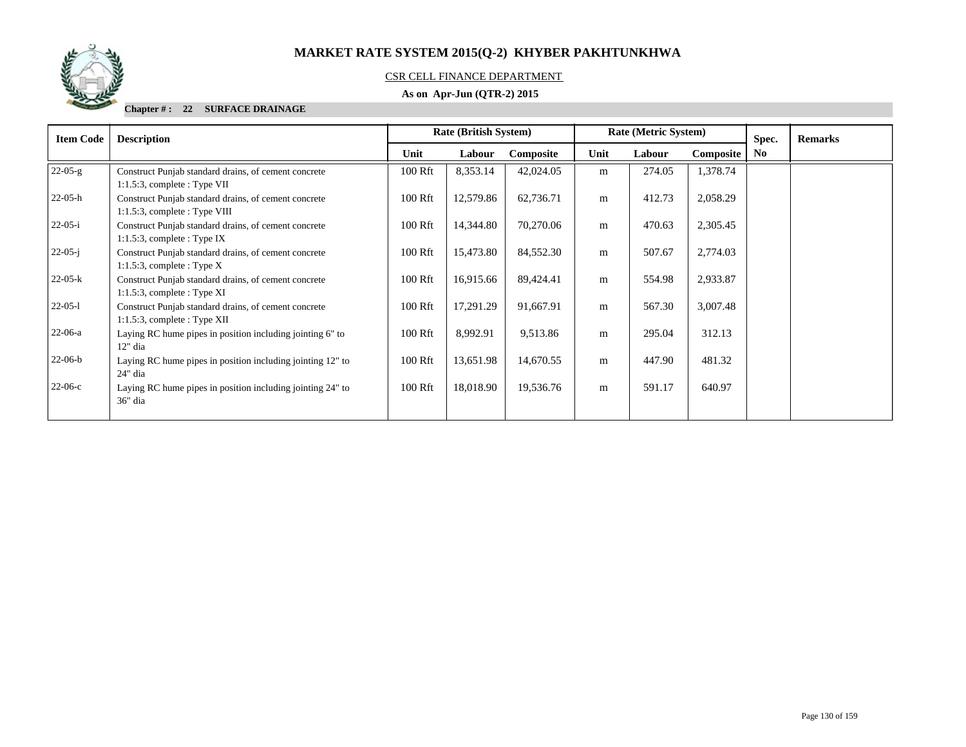

## CSR CELL FINANCE DEPARTMENT

## **As on Apr-Jun (QTR-2) 2015**

#### **Chapter # : 22 SURFACE DRAINAGE**

| <b>Item Code</b> | <b>Description</b>                                                                       | <b>Rate (British System)</b> |           |           |      | Rate (Metric System) |           | Spec.          | <b>Remarks</b> |
|------------------|------------------------------------------------------------------------------------------|------------------------------|-----------|-----------|------|----------------------|-----------|----------------|----------------|
|                  |                                                                                          | Unit                         | Labour    | Composite | Unit | Labour               | Composite | N <sub>0</sub> |                |
| $22-05-g$        | Construct Punjab standard drains, of cement concrete<br>$1:1.5:3$ , complete : Type VII  | 100 Rft                      | 8,353.14  | 42,024.05 | m    | 274.05               | 1,378.74  |                |                |
| $22-05-h$        | Construct Punjab standard drains, of cement concrete<br>$1:1.5:3$ , complete : Type VIII | 100 Rft                      | 12,579.86 | 62,736.71 | m    | 412.73               | 2,058.29  |                |                |
| $22-05-i$        | Construct Punjab standard drains, of cement concrete<br>$1:1.5:3$ , complete : Type IX   | 100 Rft                      | 14,344.80 | 70,270.06 | m    | 470.63               | 2,305.45  |                |                |
| $22-05-i$        | Construct Punjab standard drains, of cement concrete<br>1:1.5:3, complete : Type $X$     | 100 Rft                      | 15,473.80 | 84,552.30 | m    | 507.67               | 2,774.03  |                |                |
| $22-05-k$        | Construct Punjab standard drains, of cement concrete<br>$1:1.5:3$ , complete : Type XI   | 100 Rft                      | 16,915.66 | 89,424.41 | m    | 554.98               | 2,933.87  |                |                |
| $22-05-1$        | Construct Punjab standard drains, of cement concrete<br>$1:1.5:3$ , complete : Type XII  | 100 Rft                      | 17,291.29 | 91,667.91 | m    | 567.30               | 3,007.48  |                |                |
| $22-06-a$        | Laying RC hume pipes in position including jointing 6" to<br>$12"$ dia                   | 100 Rft                      | 8,992.91  | 9,513.86  | m    | 295.04               | 312.13    |                |                |
| $22-06-b$        | Laying RC hume pipes in position including jointing 12" to<br>24" dia                    | 100 Rft                      | 13,651.98 | 14,670.55 | m    | 447.90               | 481.32    |                |                |
| $22-06-c$        | Laying RC hume pipes in position including jointing 24" to<br>36" dia                    | 100 Rft                      | 18,018.90 | 19,536.76 | m    | 591.17               | 640.97    |                |                |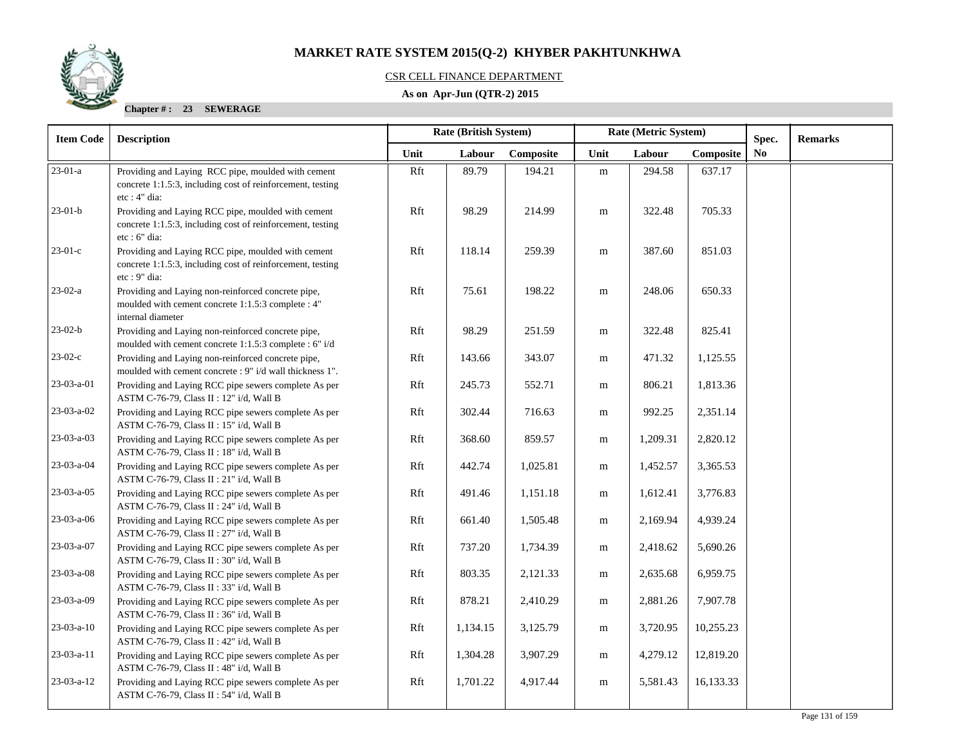## CSR CELL FINANCE DEPARTMENT

## **As on Apr-Jun (QTR-2) 2015**

| <b>Item Code</b>     | <b>Rate (British System)</b><br>Rate (Metric System)<br><b>Description</b>                                                        |      |          |           |           |          | Spec.     | <b>Remarks</b> |  |
|----------------------|-----------------------------------------------------------------------------------------------------------------------------------|------|----------|-----------|-----------|----------|-----------|----------------|--|
|                      |                                                                                                                                   | Unit | Labour   | Composite | Unit      | Labour   | Composite | No             |  |
| $\overline{23-01-a}$ | Providing and Laying RCC pipe, moulded with cement<br>concrete 1:1.5:3, including cost of reinforcement, testing<br>etc : 4" dia: | Rft  | 89.79    | 194.21    | ${\bf m}$ | 294.58   | 637.17    |                |  |
| $23-01-b$            | Providing and Laying RCC pipe, moulded with cement<br>concrete 1:1.5:3, including cost of reinforcement, testing<br>etc : 6" dia: | Rft  | 98.29    | 214.99    | ${\bf m}$ | 322.48   | 705.33    |                |  |
| $23-01-c$            | Providing and Laying RCC pipe, moulded with cement<br>concrete 1:1.5:3, including cost of reinforcement, testing<br>etc: 9" dia:  | Rft  | 118.14   | 259.39    | m         | 387.60   | 851.03    |                |  |
| $23-02-a$            | Providing and Laying non-reinforced concrete pipe,<br>moulded with cement concrete 1:1.5:3 complete : 4"<br>internal diameter     | Rft  | 75.61    | 198.22    | m         | 248.06   | 650.33    |                |  |
| $23-02-b$            | Providing and Laying non-reinforced concrete pipe,<br>moulded with cement concrete 1:1.5:3 complete : 6" i/d                      | Rft  | 98.29    | 251.59    | m         | 322.48   | 825.41    |                |  |
| $23-02-c$            | Providing and Laying non-reinforced concrete pipe,<br>moulded with cement concrete : 9" i/d wall thickness 1".                    | Rft  | 143.66   | 343.07    | m         | 471.32   | 1,125.55  |                |  |
| 23-03-a-01           | Providing and Laying RCC pipe sewers complete As per<br>ASTM C-76-79, Class II : 12" i/d, Wall B                                  | Rft  | 245.73   | 552.71    | m         | 806.21   | 1,813.36  |                |  |
| 23-03-a-02           | Providing and Laying RCC pipe sewers complete As per<br>ASTM C-76-79, Class II : 15" i/d, Wall B                                  | Rft  | 302.44   | 716.63    | m         | 992.25   | 2,351.14  |                |  |
| 23-03-a-03           | Providing and Laying RCC pipe sewers complete As per<br>ASTM C-76-79, Class II : 18" i/d, Wall B                                  | Rft  | 368.60   | 859.57    | m         | 1,209.31 | 2,820.12  |                |  |
| 23-03-a-04           | Providing and Laying RCC pipe sewers complete As per<br>ASTM C-76-79, Class II : 21" i/d, Wall B                                  | Rft  | 442.74   | 1,025.81  | m         | 1,452.57 | 3,365.53  |                |  |
| 23-03-a-05           | Providing and Laying RCC pipe sewers complete As per<br>ASTM C-76-79, Class II : 24" i/d, Wall B                                  | Rft  | 491.46   | 1,151.18  | m         | 1,612.41 | 3,776.83  |                |  |
| 23-03-a-06           | Providing and Laying RCC pipe sewers complete As per<br>ASTM C-76-79, Class II : 27" i/d, Wall B                                  | Rft  | 661.40   | 1,505.48  | m         | 2,169.94 | 4,939.24  |                |  |
| 23-03-a-07           | Providing and Laying RCC pipe sewers complete As per<br>ASTM C-76-79, Class II : 30" i/d, Wall B                                  | Rft  | 737.20   | 1,734.39  | m         | 2,418.62 | 5,690.26  |                |  |
| 23-03-a-08           | Providing and Laying RCC pipe sewers complete As per<br>ASTM C-76-79, Class II : 33" i/d, Wall B                                  | Rft  | 803.35   | 2,121.33  | m         | 2,635.68 | 6,959.75  |                |  |
| 23-03-a-09           | Providing and Laying RCC pipe sewers complete As per<br>ASTM C-76-79, Class II : 36" i/d, Wall B                                  | Rft  | 878.21   | 2,410.29  | m         | 2,881.26 | 7,907.78  |                |  |
| $23-03-a-10$         | Providing and Laying RCC pipe sewers complete As per<br>ASTM C-76-79, Class II : 42" i/d, Wall B                                  | Rft  | 1,134.15 | 3,125.79  | m         | 3,720.95 | 10,255.23 |                |  |
| 23-03-a-11           | Providing and Laying RCC pipe sewers complete As per<br>ASTM C-76-79, Class II : 48" i/d, Wall B                                  | Rft  | 1,304.28 | 3,907.29  | m         | 4,279.12 | 12,819.20 |                |  |
| $23-03-a-12$         | Providing and Laying RCC pipe sewers complete As per<br>ASTM C-76-79, Class II : 54" i/d, Wall B                                  | Rft  | 1,701.22 | 4,917.44  | m         | 5,581.43 | 16,133.33 |                |  |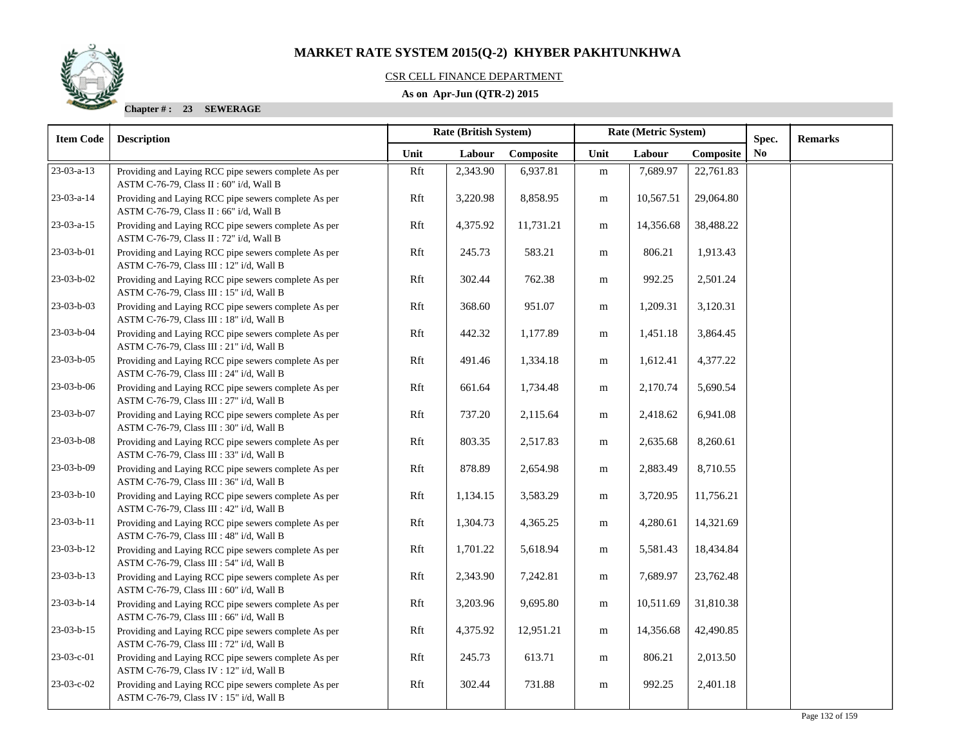## CSR CELL FINANCE DEPARTMENT

## **As on Apr-Jun (QTR-2) 2015**

| <b>Item Code</b> | <b>Description</b>                                                                                | <b>Rate (British System)</b> |          |           |           | Rate (Metric System) |           | Spec.          | <b>Remarks</b> |
|------------------|---------------------------------------------------------------------------------------------------|------------------------------|----------|-----------|-----------|----------------------|-----------|----------------|----------------|
|                  |                                                                                                   | Unit                         | Labour   | Composite | Unit      | Labour               | Composite | N <sub>0</sub> |                |
| 23-03-a-13       | Providing and Laying RCC pipe sewers complete As per<br>ASTM C-76-79, Class II : 60" i/d, Wall B  | Rft                          | 2,343.90 | 6,937.81  | m         | 7,689.97             | 22,761.83 |                |                |
| 23-03-a-14       | Providing and Laying RCC pipe sewers complete As per<br>ASTM C-76-79, Class II : 66" i/d, Wall B  | Rft                          | 3,220.98 | 8,858.95  | m         | 10,567.51            | 29,064.80 |                |                |
| $23-03-a-15$     | Providing and Laying RCC pipe sewers complete As per<br>ASTM C-76-79, Class II: 72" i/d, Wall B   | Rft                          | 4,375.92 | 11,731.21 | ${\bf m}$ | 14,356.68            | 38,488.22 |                |                |
| 23-03-b-01       | Providing and Laying RCC pipe sewers complete As per<br>ASTM C-76-79, Class III : 12" i/d, Wall B | Rft                          | 245.73   | 583.21    | m         | 806.21               | 1,913.43  |                |                |
| 23-03-b-02       | Providing and Laying RCC pipe sewers complete As per<br>ASTM C-76-79, Class III : 15" i/d, Wall B | Rft                          | 302.44   | 762.38    | m         | 992.25               | 2,501.24  |                |                |
| 23-03-b-03       | Providing and Laying RCC pipe sewers complete As per<br>ASTM C-76-79, Class III : 18" i/d, Wall B | Rft                          | 368.60   | 951.07    | m         | 1,209.31             | 3,120.31  |                |                |
| 23-03-b-04       | Providing and Laying RCC pipe sewers complete As per<br>ASTM C-76-79, Class III : 21" i/d, Wall B | Rft                          | 442.32   | 1.177.89  | m         | 1,451.18             | 3,864.45  |                |                |
| 23-03-b-05       | Providing and Laying RCC pipe sewers complete As per<br>ASTM C-76-79, Class III : 24" i/d, Wall B | Rft                          | 491.46   | 1,334.18  | m         | 1,612.41             | 4,377.22  |                |                |
| 23-03-b-06       | Providing and Laying RCC pipe sewers complete As per<br>ASTM C-76-79, Class III : 27" i/d, Wall B | Rft                          | 661.64   | 1,734.48  | m         | 2,170.74             | 5,690.54  |                |                |
| 23-03-b-07       | Providing and Laying RCC pipe sewers complete As per<br>ASTM C-76-79, Class III : 30" i/d, Wall B | Rft                          | 737.20   | 2,115.64  | m         | 2,418.62             | 6,941.08  |                |                |
| 23-03-b-08       | Providing and Laying RCC pipe sewers complete As per<br>ASTM C-76-79, Class III : 33" i/d, Wall B | Rft                          | 803.35   | 2,517.83  | m         | 2,635.68             | 8,260.61  |                |                |
| 23-03-b-09       | Providing and Laying RCC pipe sewers complete As per<br>ASTM C-76-79, Class III : 36" i/d, Wall B | Rft                          | 878.89   | 2,654.98  | m         | 2,883.49             | 8,710.55  |                |                |
| 23-03-b-10       | Providing and Laying RCC pipe sewers complete As per<br>ASTM C-76-79, Class III : 42" i/d, Wall B | Rft                          | 1,134.15 | 3,583.29  | m         | 3,720.95             | 11,756.21 |                |                |
| 23-03-b-11       | Providing and Laying RCC pipe sewers complete As per<br>ASTM C-76-79, Class III : 48" i/d, Wall B | Rft                          | 1,304.73 | 4,365.25  | m         | 4,280.61             | 14,321.69 |                |                |
| 23-03-b-12       | Providing and Laying RCC pipe sewers complete As per<br>ASTM C-76-79, Class III : 54" i/d, Wall B | Rft                          | 1,701.22 | 5,618.94  | m         | 5,581.43             | 18,434.84 |                |                |
| $23-03-b-13$     | Providing and Laying RCC pipe sewers complete As per<br>ASTM C-76-79, Class III : 60" i/d, Wall B | Rft                          | 2,343.90 | 7,242.81  | m         | 7,689.97             | 23,762.48 |                |                |
| $23-03-b-14$     | Providing and Laying RCC pipe sewers complete As per<br>ASTM C-76-79, Class III : 66" i/d, Wall B | Rft                          | 3,203.96 | 9,695.80  | m         | 10,511.69            | 31,810.38 |                |                |
| $23-03-b-15$     | Providing and Laying RCC pipe sewers complete As per<br>ASTM C-76-79, Class III : 72" i/d, Wall B | Rft                          | 4,375.92 | 12,951.21 | m         | 14,356.68            | 42,490.85 |                |                |
| $23-03-c-01$     | Providing and Laying RCC pipe sewers complete As per<br>ASTM C-76-79, Class IV : 12" i/d, Wall B  | Rft                          | 245.73   | 613.71    | m         | 806.21               | 2,013.50  |                |                |
| 23-03-c-02       | Providing and Laying RCC pipe sewers complete As per<br>ASTM C-76-79, Class IV : 15" i/d, Wall B  | Rft                          | 302.44   | 731.88    | m         | 992.25               | 2,401.18  |                |                |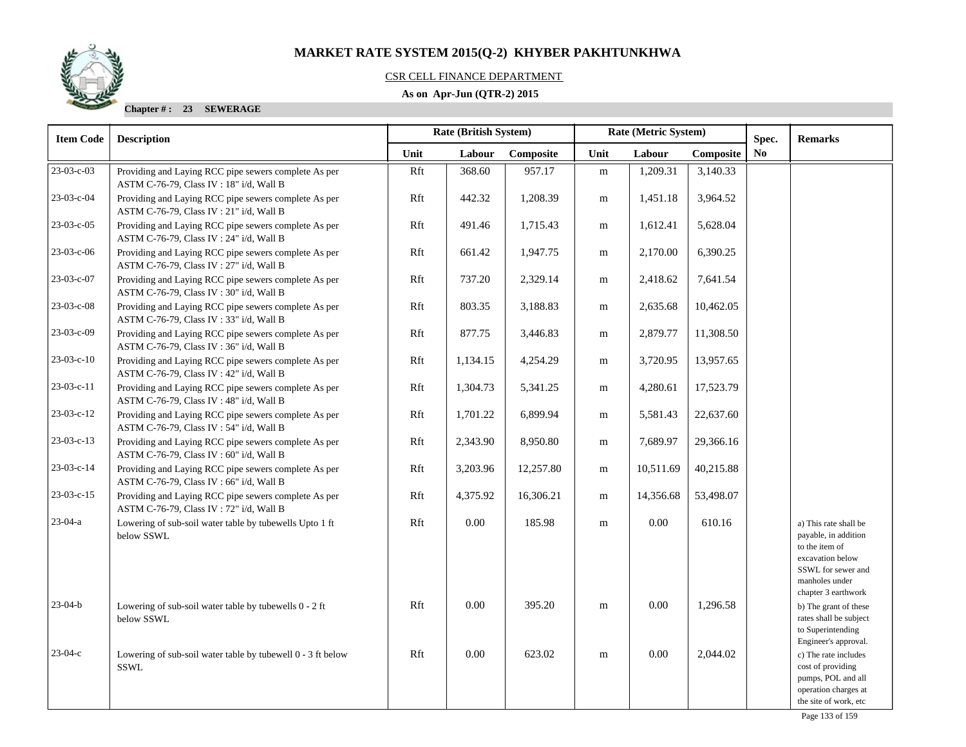## CSR CELL FINANCE DEPARTMENT

## **As on Apr-Jun (QTR-2) 2015**

| <b>Item Code</b> | <b>Description</b>                                                                               | Rate (British System) |          |           |           | Rate (Metric System) |           | Spec.          | <b>Remarks</b>                                                                                                                                     |
|------------------|--------------------------------------------------------------------------------------------------|-----------------------|----------|-----------|-----------|----------------------|-----------|----------------|----------------------------------------------------------------------------------------------------------------------------------------------------|
|                  |                                                                                                  | Unit                  | Labour   | Composite | Unit      | Labour               | Composite | N <sub>o</sub> |                                                                                                                                                    |
| $23-03-c-03$     | Providing and Laying RCC pipe sewers complete As per<br>ASTM C-76-79, Class IV: 18" i/d, Wall B  | Rft                   | 368.60   | 957.17    | ${\bf m}$ | 1,209.31             | 3,140.33  |                |                                                                                                                                                    |
| 23-03-c-04       | Providing and Laying RCC pipe sewers complete As per<br>ASTM C-76-79, Class IV : 21" i/d, Wall B | Rft                   | 442.32   | 1,208.39  | ${\rm m}$ | 1,451.18             | 3,964.52  |                |                                                                                                                                                    |
| 23-03-c-05       | Providing and Laying RCC pipe sewers complete As per<br>ASTM C-76-79, Class IV : 24" i/d, Wall B | Rft                   | 491.46   | 1,715.43  | ${\rm m}$ | 1,612.41             | 5,628.04  |                |                                                                                                                                                    |
| 23-03-c-06       | Providing and Laying RCC pipe sewers complete As per<br>ASTM C-76-79, Class IV: 27" i/d, Wall B  | Rft                   | 661.42   | 1,947.75  | ${\bf m}$ | 2,170.00             | 6,390.25  |                |                                                                                                                                                    |
| 23-03-c-07       | Providing and Laying RCC pipe sewers complete As per<br>ASTM C-76-79, Class IV: 30" i/d, Wall B  | Rft                   | 737.20   | 2,329.14  | m         | 2,418.62             | 7,641.54  |                |                                                                                                                                                    |
| 23-03-c-08       | Providing and Laying RCC pipe sewers complete As per<br>ASTM C-76-79, Class IV: 33" i/d, Wall B  | Rft                   | 803.35   | 3,188.83  | m         | 2,635.68             | 10,462.05 |                |                                                                                                                                                    |
| 23-03-c-09       | Providing and Laying RCC pipe sewers complete As per<br>ASTM C-76-79, Class IV: 36" i/d, Wall B  | Rft                   | 877.75   | 3,446.83  | m         | 2,879.77             | 11,308.50 |                |                                                                                                                                                    |
| $23-03-c-10$     | Providing and Laying RCC pipe sewers complete As per<br>ASTM C-76-79, Class IV: 42" i/d, Wall B  | Rft                   | 1,134.15 | 4,254.29  | m         | 3,720.95             | 13,957.65 |                |                                                                                                                                                    |
| 23-03-c-11       | Providing and Laying RCC pipe sewers complete As per<br>ASTM C-76-79, Class IV: 48" i/d, Wall B  | Rft                   | 1,304.73 | 5,341.25  | m         | 4,280.61             | 17,523.79 |                |                                                                                                                                                    |
| $23-03-c-12$     | Providing and Laying RCC pipe sewers complete As per<br>ASTM C-76-79, Class IV: 54" i/d, Wall B  | Rft                   | 1,701.22 | 6,899.94  | m         | 5,581.43             | 22,637.60 |                |                                                                                                                                                    |
| $23-03-c-13$     | Providing and Laying RCC pipe sewers complete As per<br>ASTM C-76-79, Class IV: 60" i/d, Wall B  | Rft                   | 2,343.90 | 8,950.80  | m         | 7,689.97             | 29,366.16 |                |                                                                                                                                                    |
| $23-03-c-14$     | Providing and Laying RCC pipe sewers complete As per<br>ASTM C-76-79, Class IV: 66" i/d, Wall B  | Rft                   | 3,203.96 | 12,257.80 | m         | 10,511.69            | 40,215.88 |                |                                                                                                                                                    |
| $23-03-c-15$     | Providing and Laying RCC pipe sewers complete As per<br>ASTM C-76-79, Class IV: 72" i/d, Wall B  | Rft                   | 4,375.92 | 16,306.21 | m         | 14,356.68            | 53,498.07 |                |                                                                                                                                                    |
| $23-04-a$        | Lowering of sub-soil water table by tubewells Upto 1 ft<br>below SSWL                            | Rft                   | $0.00\,$ | 185.98    | m         | 0.00                 | 610.16    |                | a) This rate shall be<br>payable, in addition<br>to the item of<br>excavation below<br>SSWL for sewer and<br>manholes under<br>chapter 3 earthwork |
| $23 - 04 - b$    | Lowering of sub-soil water table by tubewells 0 - 2 ft<br>below SSWL                             | Rft                   | $0.00\,$ | 395.20    | m         | 0.00                 | 1,296.58  |                | b) The grant of these<br>rates shall be subject<br>to Superintending<br>Engineer's approval.                                                       |
| $23-04-c$        | Lowering of sub-soil water table by tubewell 0 - 3 ft below<br>SSWL                              | Rft                   | 0.00     | 623.02    | ${\rm m}$ | 0.00                 | 2,044.02  |                | c) The rate includes<br>cost of providing<br>pumps, POL and all<br>operation charges at<br>the site of work, etc                                   |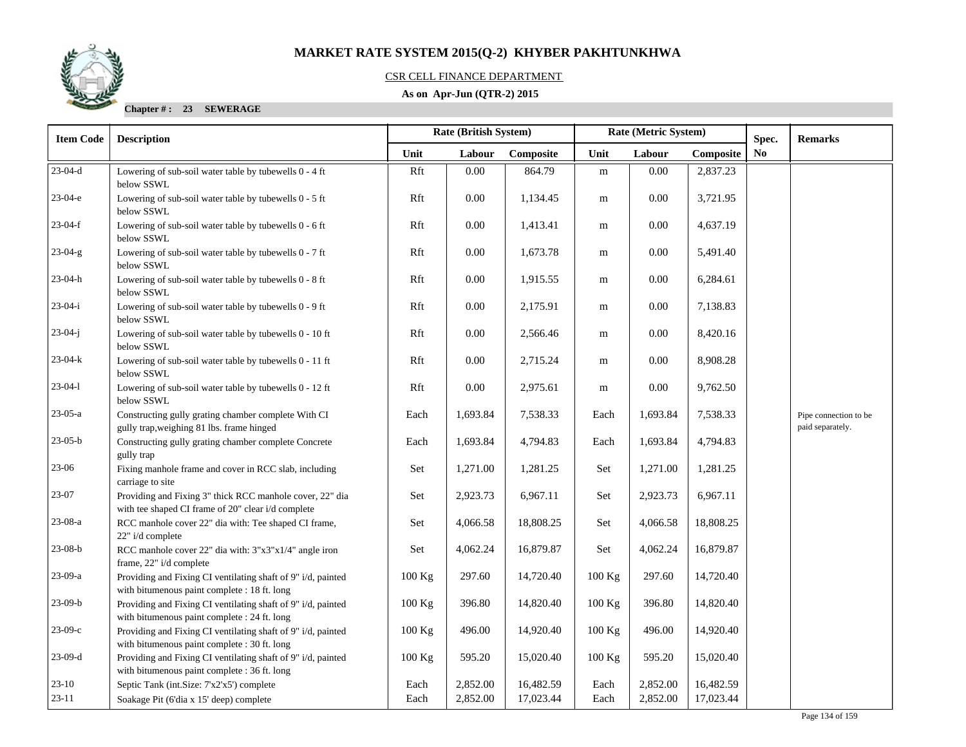

## CSR CELL FINANCE DEPARTMENT

## **As on Apr-Jun (QTR-2) 2015**

| <b>Item Code</b> | <b>Description</b>                                                                                             |          | <b>Rate (British System)</b> |           |          | Rate (Metric System) |           | Spec.          | <b>Remarks</b>                            |
|------------------|----------------------------------------------------------------------------------------------------------------|----------|------------------------------|-----------|----------|----------------------|-----------|----------------|-------------------------------------------|
|                  |                                                                                                                | Unit     | Labour                       | Composite | Unit     | Labour               | Composite | N <sub>0</sub> |                                           |
| $23-04-d$        | Lowering of sub-soil water table by tubewells 0 - 4 ft<br>below SSWL                                           | Rft      | $0.00\,$                     | 864.79    | m        | 0.00                 | 2,837.23  |                |                                           |
| $23-04-e$        | Lowering of sub-soil water table by tubewells 0 - 5 ft<br>below SSWL                                           | Rft      | $0.00\,$                     | 1,134.45  | m        | 0.00                 | 3,721.95  |                |                                           |
| $23-04-f$        | Lowering of sub-soil water table by tubewells 0 - 6 ft<br>below SSWL                                           | Rft      | 0.00                         | 1,413.41  | m        | 0.00                 | 4,637.19  |                |                                           |
| 23-04-g          | Lowering of sub-soil water table by tubewells 0 - 7 ft<br>below SSWL                                           | Rft      | $0.00\,$                     | 1,673.78  | m        | 0.00                 | 5,491.40  |                |                                           |
| $23-04-h$        | Lowering of sub-soil water table by tubewells 0 - 8 ft<br>below SSWL                                           | Rft      | 0.00                         | 1,915.55  | m        | 0.00                 | 6,284.61  |                |                                           |
| $23-04-i$        | Lowering of sub-soil water table by tubewells 0 - 9 ft<br>below SSWL                                           | Rft      | 0.00                         | 2,175.91  | m        | 0.00                 | 7,138.83  |                |                                           |
| $23-04-j$        | Lowering of sub-soil water table by tubewells 0 - 10 ft<br>below SSWL                                          | Rft      | 0.00                         | 2,566.46  | m        | 0.00                 | 8,420.16  |                |                                           |
| $23-04-k$        | Lowering of sub-soil water table by tubewells 0 - 11 ft<br>below SSWL                                          | Rft      | 0.00                         | 2,715.24  | m        | 0.00                 | 8,908.28  |                |                                           |
| $23-04-1$        | Lowering of sub-soil water table by tubewells 0 - 12 ft<br>below SSWL                                          | Rft      | $0.00\,$                     | 2,975.61  | m        | $0.00\,$             | 9,762.50  |                |                                           |
| $23-05-a$        | Constructing gully grating chamber complete With CI<br>gully trap, weighing 81 lbs. frame hinged               | Each     | 1,693.84                     | 7,538.33  | Each     | 1,693.84             | 7,538.33  |                | Pipe connection to be<br>paid separately. |
| $23-05-b$        | Constructing gully grating chamber complete Concrete<br>gully trap                                             | Each     | 1,693.84                     | 4,794.83  | Each     | 1,693.84             | 4,794.83  |                |                                           |
| $23-06$          | Fixing manhole frame and cover in RCC slab, including<br>carriage to site                                      | Set      | 1,271.00                     | 1,281.25  | Set      | 1,271.00             | 1,281.25  |                |                                           |
| 23-07            | Providing and Fixing 3" thick RCC manhole cover, 22" dia<br>with tee shaped CI frame of 20" clear i/d complete | Set      | 2,923.73                     | 6,967.11  | Set      | 2,923.73             | 6,967.11  |                |                                           |
| 23-08-a          | RCC manhole cover 22" dia with: Tee shaped CI frame,<br>22" i/d complete                                       | Set      | 4,066.58                     | 18,808.25 | Set      | 4,066.58             | 18,808.25 |                |                                           |
| $23-08-b$        | RCC manhole cover 22" dia with: 3"x3"x1/4" angle iron<br>frame, 22" i/d complete                               | Set      | 4,062.24                     | 16,879.87 | Set      | 4,062.24             | 16,879.87 |                |                                           |
| 23-09-a          | Providing and Fixing CI ventilating shaft of 9" i/d, painted<br>with bitumenous paint complete : 18 ft. long   | 100 Kg   | 297.60                       | 14,720.40 | 100 Kg   | 297.60               | 14,720.40 |                |                                           |
| $23-09-b$        | Providing and Fixing CI ventilating shaft of 9" i/d, painted<br>with bitumenous paint complete : 24 ft. long   | $100$ Kg | 396.80                       | 14,820.40 | 100 Kg   | 396.80               | 14,820.40 |                |                                           |
| $23-09-c$        | Providing and Fixing CI ventilating shaft of 9" i/d, painted<br>with bitumenous paint complete : 30 ft. long   | $100$ Kg | 496.00                       | 14,920.40 | 100 Kg   | 496.00               | 14,920.40 |                |                                           |
| $23-09-d$        | Providing and Fixing CI ventilating shaft of 9" i/d, painted<br>with bitumenous paint complete : 36 ft. long   | $100$ Kg | 595.20                       | 15,020.40 | $100$ Kg | 595.20               | 15,020.40 |                |                                           |
| $23-10$          | Septic Tank (int.Size: 7'x2'x5') complete                                                                      | Each     | 2,852.00                     | 16,482.59 | Each     | 2,852.00             | 16,482.59 |                |                                           |
| $23-11$          | Soakage Pit (6'dia x 15' deep) complete                                                                        | Each     | 2,852.00                     | 17,023.44 | Each     | 2,852.00             | 17,023.44 |                |                                           |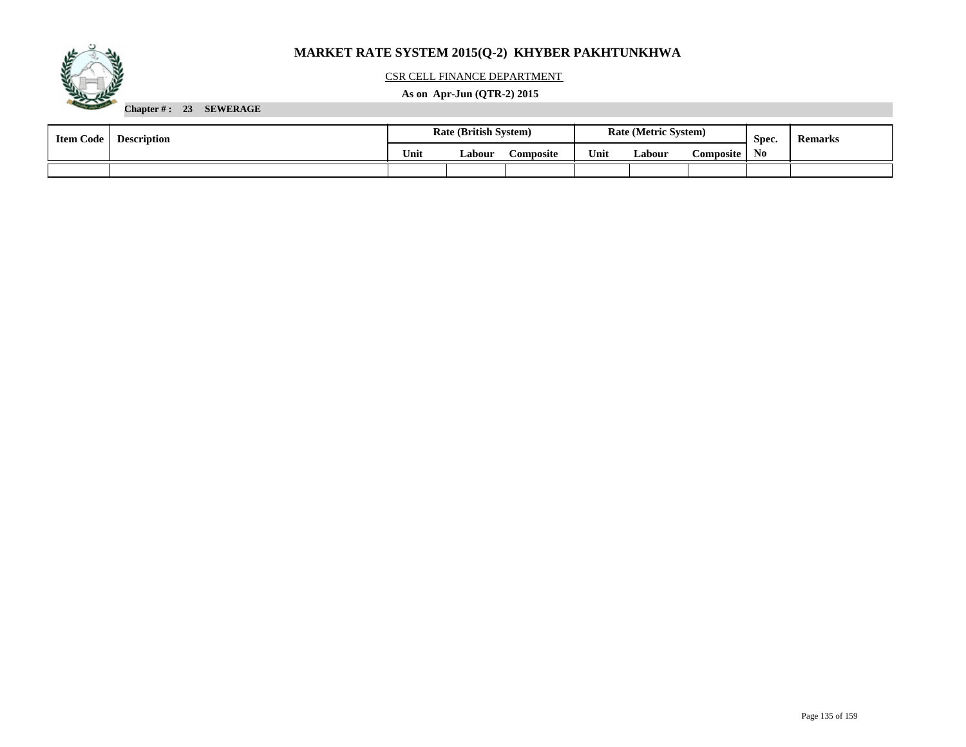

## CSR CELL FINANCE DEPARTMENT

## **As on Apr-Jun (QTR-2) 2015**

| <b>Item Code</b> | <b>Description</b> |      |        | <b>Rate (British System)</b> |      | <b>Rate (Metric System)</b> |             | Spec. | <b>Remarks</b> |
|------------------|--------------------|------|--------|------------------------------|------|-----------------------------|-------------|-------|----------------|
|                  |                    | Unit | Labour | <b>Composite</b>             | Unit | Labour                      | Composite ' | No    |                |
|                  |                    |      |        |                              |      |                             |             |       |                |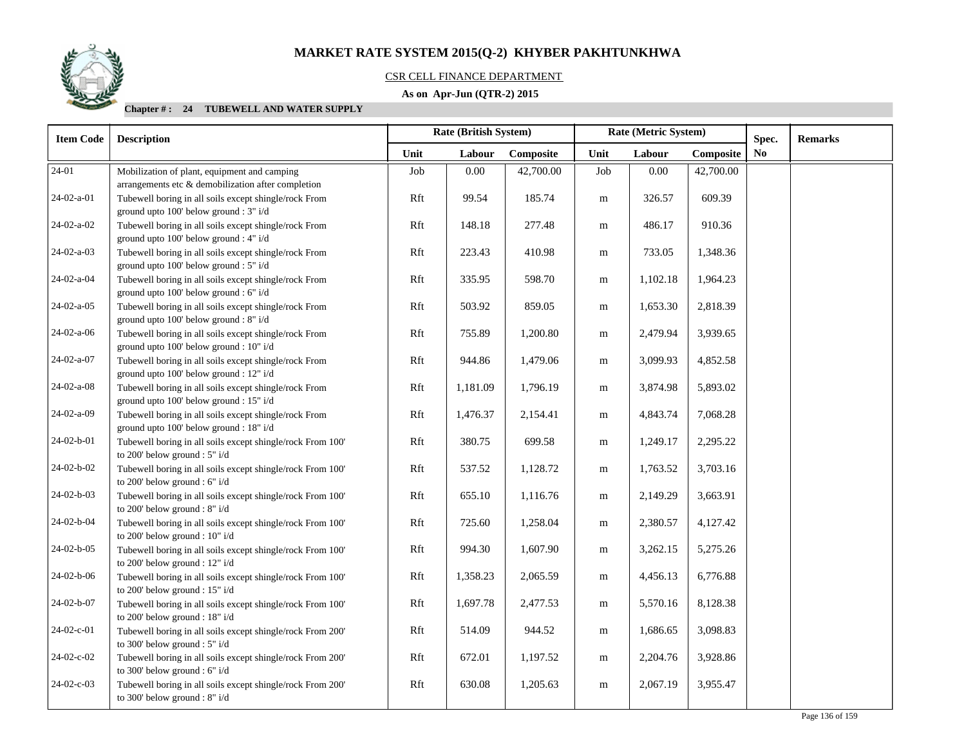## CSR CELL FINANCE DEPARTMENT

## **As on Apr-Jun (QTR-2) 2015**

| <b>Item Code</b> | <b>Description</b>                                                                                 |      | <b>Rate (British System)</b> |           |           | Rate (Metric System) |           | Spec. | <b>Remarks</b> |
|------------------|----------------------------------------------------------------------------------------------------|------|------------------------------|-----------|-----------|----------------------|-----------|-------|----------------|
|                  |                                                                                                    | Unit | Labour                       | Composite | Unit      | Labour               | Composite | No    |                |
| 24-01            | Mobilization of plant, equipment and camping<br>arrangements etc & demobilization after completion | Job  | 0.00                         | 42,700.00 | Job       | 0.00                 | 42,700.00 |       |                |
| 24-02-a-01       | Tubewell boring in all soils except shingle/rock From<br>ground upto 100' below ground : 3" i/d    | Rft  | 99.54                        | 185.74    | m         | 326.57               | 609.39    |       |                |
| 24-02-a-02       | Tubewell boring in all soils except shingle/rock From<br>ground upto 100' below ground : 4" i/d    | Rft  | 148.18                       | 277.48    | m         | 486.17               | 910.36    |       |                |
| 24-02-a-03       | Tubewell boring in all soils except shingle/rock From<br>ground upto 100' below ground : 5" i/d    | Rft  | 223.43                       | 410.98    | m         | 733.05               | 1,348.36  |       |                |
| 24-02-a-04       | Tubewell boring in all soils except shingle/rock From<br>ground upto 100' below ground : 6" i/d    | Rft  | 335.95                       | 598.70    | m         | 1,102.18             | 1,964.23  |       |                |
| 24-02-a-05       | Tubewell boring in all soils except shingle/rock From<br>ground upto 100' below ground : 8" i/d    | Rft  | 503.92                       | 859.05    | m         | 1,653.30             | 2,818.39  |       |                |
| 24-02-a-06       | Tubewell boring in all soils except shingle/rock From<br>ground upto 100' below ground : 10" i/d   | Rft  | 755.89                       | 1,200.80  | m         | 2,479.94             | 3,939.65  |       |                |
| 24-02-a-07       | Tubewell boring in all soils except shingle/rock From<br>ground upto 100' below ground : 12" i/d   | Rft  | 944.86                       | 1,479.06  | m         | 3,099.93             | 4,852.58  |       |                |
| 24-02-a-08       | Tubewell boring in all soils except shingle/rock From<br>ground upto 100' below ground : 15" i/d   | Rft  | 1,181.09                     | 1,796.19  | m         | 3,874.98             | 5,893.02  |       |                |
| 24-02-a-09       | Tubewell boring in all soils except shingle/rock From<br>ground upto 100' below ground : 18" i/d   | Rft  | 1,476.37                     | 2,154.41  | m         | 4,843.74             | 7,068.28  |       |                |
| 24-02-b-01       | Tubewell boring in all soils except shingle/rock From 100'<br>to 200' below ground : 5" i/d        | Rft  | 380.75                       | 699.58    | m         | 1,249.17             | 2,295.22  |       |                |
| 24-02-b-02       | Tubewell boring in all soils except shingle/rock From 100'<br>to 200' below ground : 6" i/d        | Rft  | 537.52                       | 1,128.72  | m         | 1,763.52             | 3,703.16  |       |                |
| 24-02-b-03       | Tubewell boring in all soils except shingle/rock From 100'<br>to 200' below ground : 8" i/d        | Rft  | 655.10                       | 1,116.76  | ${\bf m}$ | 2,149.29             | 3,663.91  |       |                |
| 24-02-b-04       | Tubewell boring in all soils except shingle/rock From 100'<br>to 200' below ground : $10" i/d$     | Rft  | 725.60                       | 1,258.04  | m         | 2,380.57             | 4,127.42  |       |                |
| 24-02-b-05       | Tubewell boring in all soils except shingle/rock From 100'<br>to 200' below ground : 12" i/d       | Rft  | 994.30                       | 1,607.90  | m         | 3,262.15             | 5,275.26  |       |                |
| 24-02-b-06       | Tubewell boring in all soils except shingle/rock From 100'<br>to 200' below ground : 15" i/d       | Rft  | 1,358.23                     | 2,065.59  | m         | 4,456.13             | 6,776.88  |       |                |
| 24-02-b-07       | Tubewell boring in all soils except shingle/rock From 100'<br>to 200' below ground : 18" i/d       | Rft  | 1,697.78                     | 2,477.53  | m         | 5,570.16             | 8,128.38  |       |                |
| 24-02-c-01       | Tubewell boring in all soils except shingle/rock From 200'<br>to 300' below ground : $5"$ i/d      | Rft  | 514.09                       | 944.52    | m         | 1,686.65             | 3,098.83  |       |                |
| 24-02-c-02       | Tubewell boring in all soils except shingle/rock From 200'<br>to 300' below ground : 6" i/d        | Rft  | 672.01                       | 1,197.52  | m         | 2,204.76             | 3,928.86  |       |                |
| 24-02-c-03       | Tubewell boring in all soils except shingle/rock From 200'<br>to 300' below ground : 8" i/d        | Rft  | 630.08                       | 1,205.63  | ${\bf m}$ | 2,067.19             | 3,955.47  |       |                |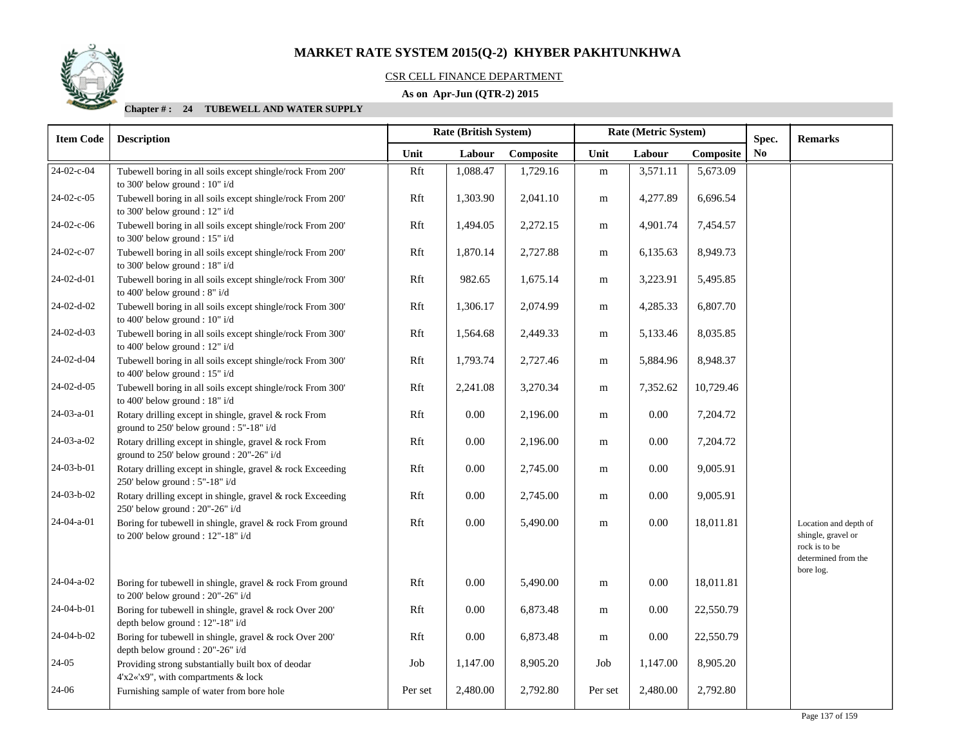#### CSR CELL FINANCE DEPARTMENT

## **As on Apr-Jun (QTR-2) 2015**

| <b>Item Code</b> | <b>Description</b>                                                                                 |         | Rate (British System) |           |           | Rate (Metric System) |           | Spec.          | <b>Remarks</b>                                                                                   |
|------------------|----------------------------------------------------------------------------------------------------|---------|-----------------------|-----------|-----------|----------------------|-----------|----------------|--------------------------------------------------------------------------------------------------|
|                  |                                                                                                    | Unit    | Labour                | Composite | Unit      | Labour               | Composite | N <sub>0</sub> |                                                                                                  |
| 24-02-c-04       | Tubewell boring in all soils except shingle/rock From 200'<br>to 300' below ground : 10" i/d       | Rft     | 1,088.47              | 1,729.16  | ${\bf m}$ | 3,571.11             | 5,673.09  |                |                                                                                                  |
| 24-02-c-05       | Tubewell boring in all soils except shingle/rock From 200'<br>to 300' below ground : 12" i/d       | Rft     | 1,303.90              | 2,041.10  | m         | 4,277.89             | 6,696.54  |                |                                                                                                  |
| 24-02-c-06       | Tubewell boring in all soils except shingle/rock From 200'<br>to 300' below ground : $15"$ i/d     | Rft     | 1,494.05              | 2,272.15  | ${\bf m}$ | 4,901.74             | 7,454.57  |                |                                                                                                  |
| 24-02-c-07       | Tubewell boring in all soils except shingle/rock From 200'<br>to 300' below ground : 18" i/d       | Rft     | 1,870.14              | 2,727.88  | ${\bf m}$ | 6,135.63             | 8,949.73  |                |                                                                                                  |
| $24-02-d-01$     | Tubewell boring in all soils except shingle/rock From 300'<br>to 400' below ground : 8" i/d        | Rft     | 982.65                | 1,675.14  | m         | 3,223.91             | 5,495.85  |                |                                                                                                  |
| 24-02-d-02       | Tubewell boring in all soils except shingle/rock From 300'<br>to 400' below ground : 10" i/d       | Rft     | 1,306.17              | 2,074.99  | m         | 4,285.33             | 6,807.70  |                |                                                                                                  |
| $24-02-d-03$     | Tubewell boring in all soils except shingle/rock From 300'<br>to 400' below ground : $12"$ i/d     | Rft     | 1,564.68              | 2,449.33  | m         | 5,133.46             | 8,035.85  |                |                                                                                                  |
| 24-02-d-04       | Tubewell boring in all soils except shingle/rock From 300'<br>to 400' below ground : 15" i/d       | Rft     | 1,793.74              | 2,727.46  | m         | 5,884.96             | 8,948.37  |                |                                                                                                  |
| $24-02-d-05$     | Tubewell boring in all soils except shingle/rock From 300'<br>to 400' below ground : 18" i/d       | Rft     | 2,241.08              | 3,270.34  | m         | 7,352.62             | 10,729.46 |                |                                                                                                  |
| 24-03-a-01       | Rotary drilling except in shingle, gravel & rock From<br>ground to 250' below ground : 5"-18" i/d  | Rft     | 0.00                  | 2,196.00  | m         | 0.00                 | 7,204.72  |                |                                                                                                  |
| 24-03-a-02       | Rotary drilling except in shingle, gravel & rock From<br>ground to 250' below ground : 20"-26" i/d | Rft     | $0.00\,$              | 2,196.00  | m         | 0.00                 | 7,204.72  |                |                                                                                                  |
| 24-03-b-01       | Rotary drilling except in shingle, gravel & rock Exceeding<br>250' below ground : 5"-18" i/d       | Rft     | $0.00\,$              | 2,745.00  | m         | 0.00                 | 9,005.91  |                |                                                                                                  |
| 24-03-b-02       | Rotary drilling except in shingle, gravel & rock Exceeding<br>250' below ground : 20"-26" i/d      | Rft     | 0.00                  | 2,745.00  | m         | $0.00\,$             | 9,005.91  |                |                                                                                                  |
| 24-04-a-01       | Boring for tubewell in shingle, gravel & rock From ground<br>to 200' below ground : 12"-18" i/d    | Rft     | 0.00                  | 5,490.00  | m         | $0.00\,$             | 18,011.81 |                | Location and depth of<br>shingle, gravel or<br>rock is to be<br>determined from the<br>bore log. |
| $24-04-a-02$     | Boring for tubewell in shingle, gravel & rock From ground<br>to 200' below ground : 20"-26" i/d    | Rft     | $0.00\,$              | 5,490.00  | m         | $0.00\,$             | 18,011.81 |                |                                                                                                  |
| 24-04-b-01       | Boring for tubewell in shingle, gravel & rock Over 200'<br>depth below ground : 12"-18" i/d        | Rft     | $0.00\,$              | 6,873.48  | m         | $0.00\,$             | 22,550.79 |                |                                                                                                  |
| 24-04-b-02       | Boring for tubewell in shingle, gravel & rock Over 200'<br>depth below ground : 20"-26" i/d        | Rft     | $0.00\,$              | 6,873.48  | m         | $0.00\,$             | 22,550.79 |                |                                                                                                  |
| $24-05$          | Providing strong substantially built box of deodar<br>4'x2«'x9", with compartments & lock          | Job     | 1,147.00              | 8,905.20  | Job       | 1,147.00             | 8,905.20  |                |                                                                                                  |
| 24-06            | Furnishing sample of water from bore hole                                                          | Per set | 2,480.00              | 2,792.80  | Per set   | 2,480.00             | 2,792.80  |                |                                                                                                  |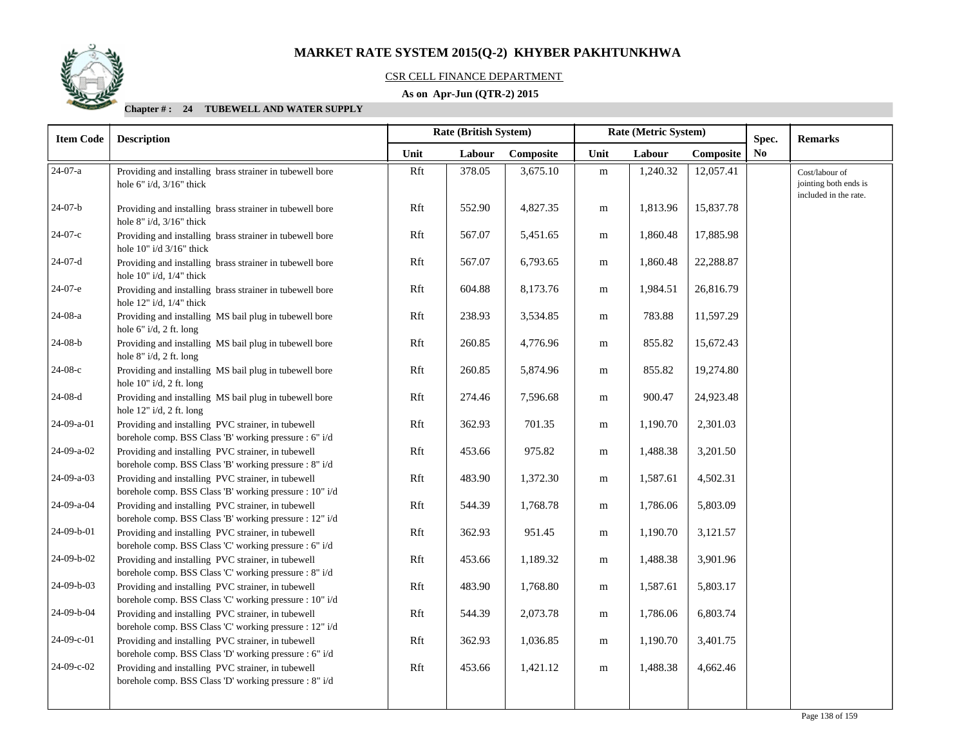

## CSR CELL FINANCE DEPARTMENT

## **As on Apr-Jun (QTR-2) 2015**

| <b>Item Code</b> | <b>Description</b>                                                                                            |      | <b>Rate (British System)</b> |           | Rate (Metric System) |          |           | Spec. | <b>Remarks</b>                                                   |
|------------------|---------------------------------------------------------------------------------------------------------------|------|------------------------------|-----------|----------------------|----------|-----------|-------|------------------------------------------------------------------|
|                  |                                                                                                               | Unit | Labour                       | Composite | Unit                 | Labour   | Composite | No    |                                                                  |
| 24-07-a          | Providing and installing brass strainer in tubewell bore<br>hole 6" $i/d$ , $3/16$ " thick                    | Rft  | 378.05                       | 3,675.10  | ${\bf m}$            | 1,240.32 | 12,057.41 |       | Cost/labour of<br>jointing both ends is<br>included in the rate. |
| $24-07-b$        | Providing and installing brass strainer in tubewell bore<br>hole $8"$ i/d, $3/16"$ thick                      | Rft  | 552.90                       | 4,827.35  | m                    | 1,813.96 | 15,837.78 |       |                                                                  |
| $24-07-c$        | Providing and installing brass strainer in tubewell bore<br>hole 10" i/d 3/16" thick                          | Rft  | 567.07                       | 5,451.65  | m                    | 1,860.48 | 17,885.98 |       |                                                                  |
| $24-07-d$        | Providing and installing brass strainer in tubewell bore<br>hole $10"$ i/d, $1/4"$ thick                      | Rft  | 567.07                       | 6,793.65  | m                    | 1,860.48 | 22,288.87 |       |                                                                  |
| 24-07-е          | Providing and installing brass strainer in tubewell bore<br>hole $12"$ i/d, $1/4"$ thick                      | Rft  | 604.88                       | 8,173.76  | m                    | 1,984.51 | 26,816.79 |       |                                                                  |
| 24-08-a          | Providing and installing MS bail plug in tubewell bore<br>hole $6"$ i/d, 2 ft. long                           | Rft  | 238.93                       | 3,534.85  | m                    | 783.88   | 11,597.29 |       |                                                                  |
| $24-08-b$        | Providing and installing MS bail plug in tubewell bore<br>hole 8" i/d, 2 ft. long                             | Rft  | 260.85                       | 4,776.96  | m                    | 855.82   | 15,672.43 |       |                                                                  |
| $24-08-c$        | Providing and installing MS bail plug in tubewell bore<br>hole 10" i/d, 2 ft. long                            | Rft  | 260.85                       | 5,874.96  | m                    | 855.82   | 19,274.80 |       |                                                                  |
| $24-08-d$        | Providing and installing MS bail plug in tubewell bore<br>hole 12" i/d, 2 ft. long                            | Rft  | 274.46                       | 7,596.68  | m                    | 900.47   | 24,923.48 |       |                                                                  |
| 24-09-a-01       | Providing and installing PVC strainer, in tubewell<br>borehole comp. BSS Class 'B' working pressure : 6" i/d  | Rft  | 362.93                       | 701.35    | m                    | 1,190.70 | 2,301.03  |       |                                                                  |
| 24-09-a-02       | Providing and installing PVC strainer, in tubewell<br>borehole comp. BSS Class 'B' working pressure : 8" i/d  | Rft  | 453.66                       | 975.82    | m                    | 1,488.38 | 3,201.50  |       |                                                                  |
| 24-09-a-03       | Providing and installing PVC strainer, in tubewell<br>borehole comp. BSS Class 'B' working pressure : 10" i/d | Rft  | 483.90                       | 1,372.30  | m                    | 1,587.61 | 4,502.31  |       |                                                                  |
| 24-09-a-04       | Providing and installing PVC strainer, in tubewell<br>borehole comp. BSS Class 'B' working pressure : 12" i/d | Rft  | 544.39                       | 1,768.78  | m                    | 1,786.06 | 5,803.09  |       |                                                                  |
| 24-09-b-01       | Providing and installing PVC strainer, in tubewell<br>borehole comp. BSS Class 'C' working pressure : 6" i/d  | Rft  | 362.93                       | 951.45    | m                    | 1,190.70 | 3,121.57  |       |                                                                  |
| 24-09-b-02       | Providing and installing PVC strainer, in tubewell<br>borehole comp. BSS Class 'C' working pressure : 8" i/d  | Rft  | 453.66                       | 1,189.32  | m                    | 1,488.38 | 3,901.96  |       |                                                                  |
| 24-09-b-03       | Providing and installing PVC strainer, in tubewell<br>borehole comp. BSS Class 'C' working pressure : 10" i/d | Rft  | 483.90                       | 1,768.80  | m                    | 1,587.61 | 5,803.17  |       |                                                                  |
| 24-09-b-04       | Providing and installing PVC strainer, in tubewell<br>borehole comp. BSS Class 'C' working pressure : 12" i/d | Rft  | 544.39                       | 2,073.78  | m                    | 1,786.06 | 6,803.74  |       |                                                                  |
| 24-09-c-01       | Providing and installing PVC strainer, in tubewell<br>borehole comp. BSS Class 'D' working pressure : 6" i/d  | Rft  | 362.93                       | 1,036.85  | m                    | 1,190.70 | 3,401.75  |       |                                                                  |
| 24-09-с-02       | Providing and installing PVC strainer, in tubewell<br>borehole comp. BSS Class 'D' working pressure : 8" i/d  | Rft  | 453.66                       | 1,421.12  | ${\rm m}$            | 1,488.38 | 4,662.46  |       |                                                                  |
|                  |                                                                                                               |      |                              |           |                      |          |           |       |                                                                  |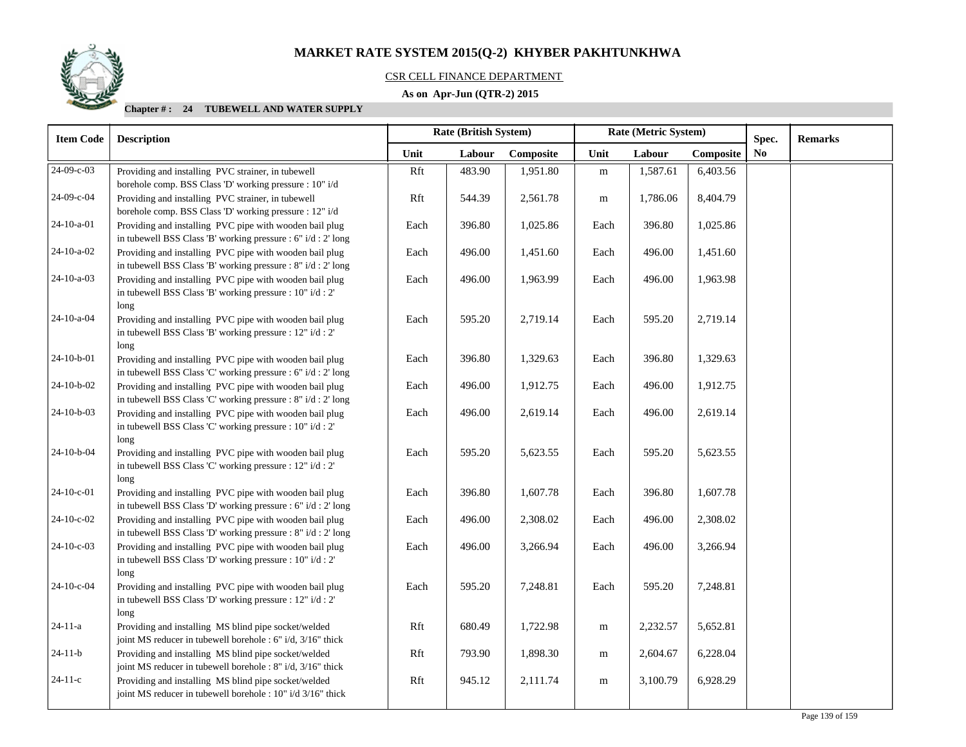#### CSR CELL FINANCE DEPARTMENT

## **As on Apr-Jun (QTR-2) 2015**

| <b>Item Code</b> | <b>Description</b>                                                                                                                 |      | Rate (British System) |           | Rate (Metric System) |          |           | Spec.          | <b>Remarks</b> |
|------------------|------------------------------------------------------------------------------------------------------------------------------------|------|-----------------------|-----------|----------------------|----------|-----------|----------------|----------------|
|                  |                                                                                                                                    | Unit | Labour                | Composite | Unit                 | Labour   | Composite | N <sub>0</sub> |                |
| 24-09-c-03       | Providing and installing PVC strainer, in tubewell<br>borehole comp. BSS Class 'D' working pressure : 10" i/d                      | Rft  | 483.90                | 1,951.80  | ${\bf m}$            | 1,587.61 | 6,403.56  |                |                |
| 24-09-с-04       | Providing and installing PVC strainer, in tubewell<br>borehole comp. BSS Class 'D' working pressure : 12" i/d                      | Rft  | 544.39                | 2,561.78  | m                    | 1,786.06 | 8,404.79  |                |                |
| 24-10-a-01       | Providing and installing PVC pipe with wooden bail plug<br>in tubewell BSS Class 'B' working pressure : 6" i/d : 2' long           | Each | 396.80                | 1,025.86  | Each                 | 396.80   | 1,025.86  |                |                |
| $24-10-a-02$     | Providing and installing PVC pipe with wooden bail plug<br>in tubewell BSS Class 'B' working pressure : 8" i/d : 2' long           | Each | 496.00                | 1,451.60  | Each                 | 496.00   | 1,451.60  |                |                |
| 24-10-a-03       | Providing and installing PVC pipe with wooden bail plug<br>in tubewell BSS Class 'B' working pressure : 10" i/d : 2'<br>long       | Each | 496.00                | 1,963.99  | Each                 | 496.00   | 1,963.98  |                |                |
| 24-10-a-04       | Providing and installing PVC pipe with wooden bail plug<br>in tubewell BSS Class 'B' working pressure : 12" i/d : 2'<br>long       | Each | 595.20                | 2,719.14  | Each                 | 595.20   | 2,719.14  |                |                |
| $24-10-b-01$     | Providing and installing PVC pipe with wooden bail plug<br>in tubewell BSS Class 'C' working pressure : 6" i/d : 2' long           | Each | 396.80                | 1,329.63  | Each                 | 396.80   | 1,329.63  |                |                |
| 24-10-b-02       | Providing and installing PVC pipe with wooden bail plug<br>in tubewell BSS Class 'C' working pressure : 8" i/d : 2' long           | Each | 496.00                | 1,912.75  | Each                 | 496.00   | 1,912.75  |                |                |
| 24-10-b-03       | Providing and installing PVC pipe with wooden bail plug<br>in tubewell BSS Class 'C' working pressure : $10$ " i/d : $2$ "<br>long | Each | 496.00                | 2,619.14  | Each                 | 496.00   | 2,619.14  |                |                |
| 24-10-b-04       | Providing and installing PVC pipe with wooden bail plug<br>in tubewell BSS Class 'C' working pressure : 12" i/d : 2'<br>long       | Each | 595.20                | 5,623.55  | Each                 | 595.20   | 5,623.55  |                |                |
| $24-10-c-01$     | Providing and installing PVC pipe with wooden bail plug<br>in tubewell BSS Class 'D' working pressure : 6" i/d : 2' long           | Each | 396.80                | 1,607.78  | Each                 | 396.80   | 1,607.78  |                |                |
| 24-10-c-02       | Providing and installing PVC pipe with wooden bail plug<br>in tubewell BSS Class 'D' working pressure : 8" i/d : 2' long           | Each | 496.00                | 2,308.02  | Each                 | 496.00   | 2,308.02  |                |                |
| $24-10-c-03$     | Providing and installing PVC pipe with wooden bail plug<br>in tubewell BSS Class 'D' working pressure : 10" i/d : 2'<br>long       | Each | 496.00                | 3,266.94  | Each                 | 496.00   | 3,266.94  |                |                |
| 24-10-c-04       | Providing and installing PVC pipe with wooden bail plug<br>in tubewell BSS Class 'D' working pressure : 12" i/d : 2"<br>long       | Each | 595.20                | 7,248.81  | Each                 | 595.20   | 7,248.81  |                |                |
| $24 - 11 - a$    | Providing and installing MS blind pipe socket/welded<br>joint MS reducer in tubewell borehole : 6" i/d, 3/16" thick                | Rft  | 680.49                | 1,722.98  | m                    | 2,232.57 | 5,652.81  |                |                |
| $24-11-b$        | Providing and installing MS blind pipe socket/welded<br>joint MS reducer in tubewell borehole : 8" i/d, 3/16" thick                | Rft  | 793.90                | 1,898.30  | m                    | 2,604.67 | 6,228.04  |                |                |
| $24-11-c$        | Providing and installing MS blind pipe socket/welded<br>joint MS reducer in tubewell borehole : 10" i/d 3/16" thick                | Rft  | 945.12                | 2,111.74  | m                    | 3,100.79 | 6,928.29  |                |                |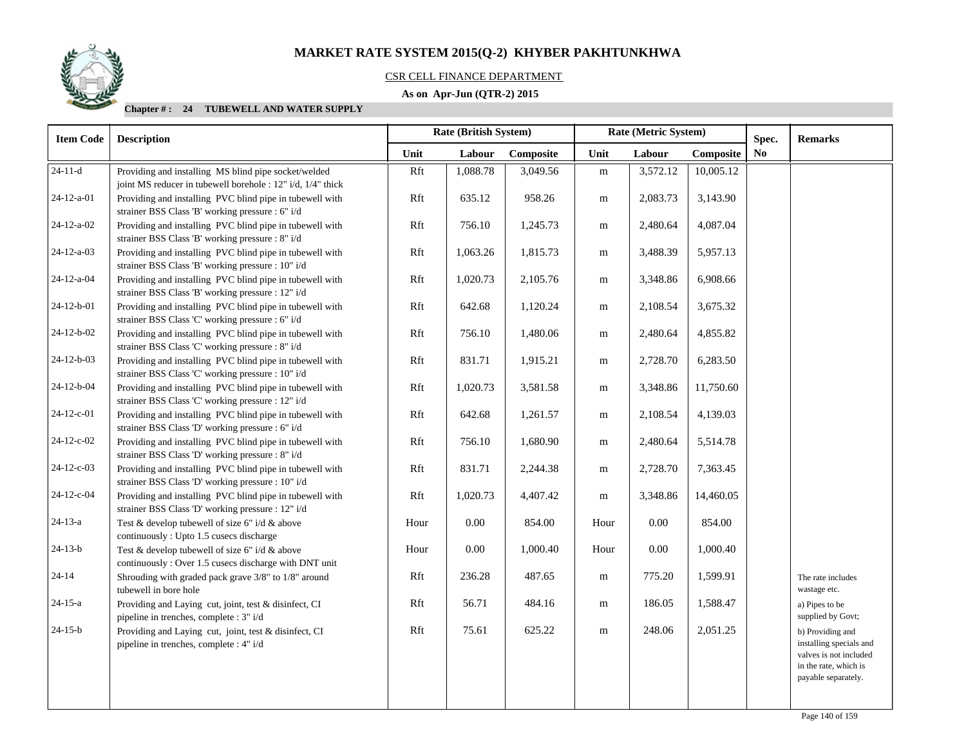## CSR CELL FINANCE DEPARTMENT

## **As on Apr-Jun (QTR-2) 2015**

| <b>Item Code</b>   | <b>Description</b>                                                                                                  |      | <b>Rate (British System)</b> |           | Rate (Metric System) |          | Spec.     | <b>Remarks</b> |                                                                                                                       |
|--------------------|---------------------------------------------------------------------------------------------------------------------|------|------------------------------|-----------|----------------------|----------|-----------|----------------|-----------------------------------------------------------------------------------------------------------------------|
|                    |                                                                                                                     | Unit | Labour                       | Composite | Unit                 | Labour   | Composite | N <sub>0</sub> |                                                                                                                       |
| $24-11-d$          | Providing and installing MS blind pipe socket/welded<br>joint MS reducer in tubewell borehole : 12" i/d, 1/4" thick | Rft  | 1,088.78                     | 3,049.56  | m                    | 3,572.12 | 10,005.12 |                |                                                                                                                       |
| 24-12-a-01         | Providing and installing PVC blind pipe in tubewell with<br>strainer BSS Class 'B' working pressure : 6" i/d        | Rft  | 635.12                       | 958.26    | ${\bf m}$            | 2,083.73 | 3,143.90  |                |                                                                                                                       |
| $24-12-a-02$       | Providing and installing PVC blind pipe in tubewell with<br>strainer BSS Class 'B' working pressure : 8" i/d        | Rft  | 756.10                       | 1,245.73  | m                    | 2,480.64 | 4,087.04  |                |                                                                                                                       |
| $24 - 12 - a - 03$ | Providing and installing PVC blind pipe in tubewell with<br>strainer BSS Class 'B' working pressure : 10" i/d       | Rft  | 1,063.26                     | 1,815.73  | m                    | 3,488.39 | 5,957.13  |                |                                                                                                                       |
| 24-12-a-04         | Providing and installing PVC blind pipe in tubewell with<br>strainer BSS Class 'B' working pressure : 12" i/d       | Rft  | 1,020.73                     | 2,105.76  | ${\rm m}$            | 3,348.86 | 6,908.66  |                |                                                                                                                       |
| 24-12-b-01         | Providing and installing PVC blind pipe in tubewell with<br>strainer BSS Class 'C' working pressure : 6" i/d        | Rft  | 642.68                       | 1,120.24  | m                    | 2,108.54 | 3,675.32  |                |                                                                                                                       |
| $24-12-b-02$       | Providing and installing PVC blind pipe in tubewell with<br>strainer BSS Class 'C' working pressure : 8" i/d        | Rft  | 756.10                       | 1,480.06  | m                    | 2,480.64 | 4,855.82  |                |                                                                                                                       |
| 24-12-b-03         | Providing and installing PVC blind pipe in tubewell with<br>strainer BSS Class 'C' working pressure : 10" i/d       | Rft  | 831.71                       | 1,915.21  | m                    | 2,728.70 | 6,283.50  |                |                                                                                                                       |
| 24-12-b-04         | Providing and installing PVC blind pipe in tubewell with<br>strainer BSS Class 'C' working pressure : 12" i/d       | Rft  | 1,020.73                     | 3,581.58  | m                    | 3,348.86 | 11,750.60 |                |                                                                                                                       |
| 24-12-c-01         | Providing and installing PVC blind pipe in tubewell with<br>strainer BSS Class 'D' working pressure : 6" i/d        | Rft  | 642.68                       | 1,261.57  | m                    | 2,108.54 | 4,139.03  |                |                                                                                                                       |
| 24-12-c-02         | Providing and installing PVC blind pipe in tubewell with<br>strainer BSS Class 'D' working pressure : 8" i/d        | Rft  | 756.10                       | 1,680.90  | m                    | 2,480.64 | 5,514.78  |                |                                                                                                                       |
| 24-12-c-03         | Providing and installing PVC blind pipe in tubewell with<br>strainer BSS Class 'D' working pressure : 10" i/d       | Rft  | 831.71                       | 2,244.38  | m                    | 2,728.70 | 7,363.45  |                |                                                                                                                       |
| 24-12-c-04         | Providing and installing PVC blind pipe in tubewell with<br>strainer BSS Class 'D' working pressure : 12" i/d       | Rft  | 1,020.73                     | 4,407.42  | m                    | 3,348.86 | 14,460.05 |                |                                                                                                                       |
| $24 - 13 - a$      | Test & develop tubewell of size 6" i/d & above<br>continuously: Upto 1.5 cusecs discharge                           | Hour | 0.00                         | 854.00    | Hour                 | 0.00     | 854.00    |                |                                                                                                                       |
| $24-13-b$          | Test & develop tubewell of size 6" i/d & above<br>continuously: Over 1.5 cusecs discharge with DNT unit             | Hour | 0.00                         | 1,000.40  | Hour                 | 0.00     | 1,000.40  |                |                                                                                                                       |
| $24 - 14$          | Shrouding with graded pack grave 3/8" to 1/8" around<br>tubewell in bore hole                                       | Rft  | 236.28                       | 487.65    | m                    | 775.20   | 1,599.91  |                | The rate includes<br>wastage etc.                                                                                     |
| $24 - 15 - a$      | Providing and Laying cut, joint, test & disinfect, CI<br>pipeline in trenches, complete : 3" i/d                    | Rft  | 56.71                        | 484.16    | ${\bf m}$            | 186.05   | 1,588.47  |                | a) Pipes to be<br>supplied by Govt;                                                                                   |
| $24 - 15 - b$      | Providing and Laying cut, joint, test & disinfect, CI<br>pipeline in trenches, complete : 4" i/d                    | Rft  | 75.61                        | 625.22    | m                    | 248.06   | 2,051.25  |                | b) Providing and<br>installing specials and<br>valves is not included<br>in the rate, which is<br>payable separately. |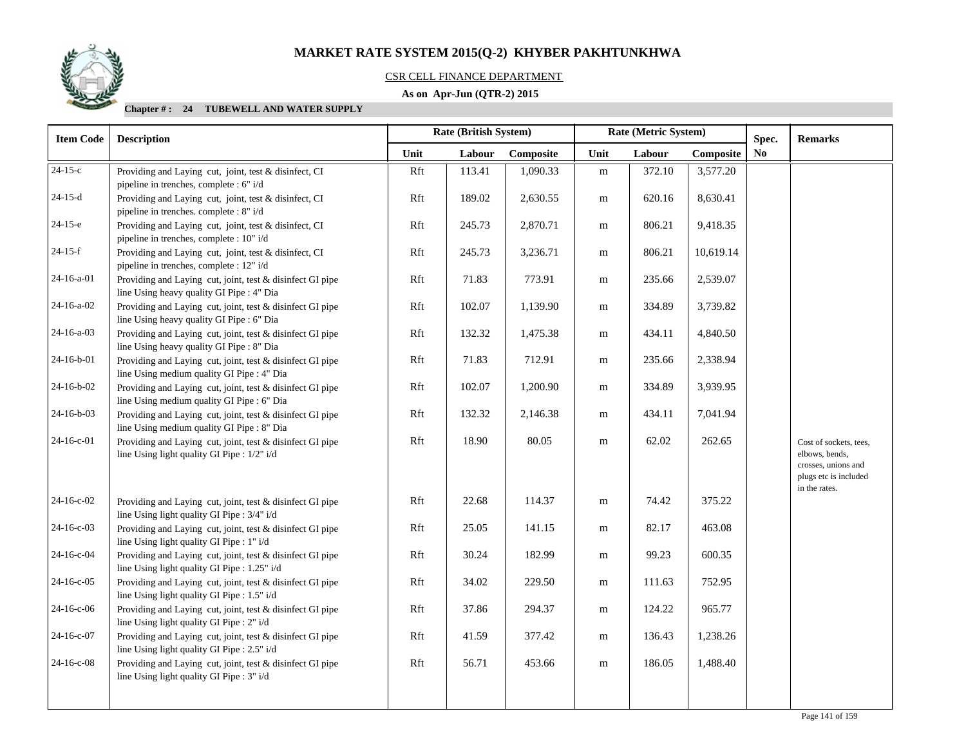

## CSR CELL FINANCE DEPARTMENT

## **As on Apr-Jun (QTR-2) 2015**

| <b>Item Code</b> | <b>Description</b>                                                                                        |      | Rate (British System) |           | Rate (Metric System) |        |           | Spec.          | <b>Remarks</b>                                                                           |
|------------------|-----------------------------------------------------------------------------------------------------------|------|-----------------------|-----------|----------------------|--------|-----------|----------------|------------------------------------------------------------------------------------------|
|                  |                                                                                                           | Unit | Labour                | Composite | Unit                 | Labour | Composite | N <sub>0</sub> |                                                                                          |
| $24-15-c$        | Providing and Laying cut, joint, test & disinfect, CI<br>pipeline in trenches, complete : 6" i/d          | Rft  | 113.41                | 1,090.33  | ${\bf m}$            | 372.10 | 3,577.20  |                |                                                                                          |
| $24-15-d$        | Providing and Laying cut, joint, test & disinfect, CI<br>pipeline in trenches. complete : 8" i/d          | Rft  | 189.02                | 2,630.55  | m                    | 620.16 | 8,630.41  |                |                                                                                          |
| $24-15-e$        | Providing and Laying cut, joint, test & disinfect, CI<br>pipeline in trenches, complete : 10" i/d         | Rft  | 245.73                | 2,870.71  | m                    | 806.21 | 9,418.35  |                |                                                                                          |
| $24-15-f$        | Providing and Laying cut, joint, test & disinfect, CI<br>pipeline in trenches, complete : 12" i/d         | Rft  | 245.73                | 3,236.71  | m                    | 806.21 | 10,619.14 |                |                                                                                          |
| 24-16-a-01       | Providing and Laying cut, joint, test & disinfect GI pipe<br>line Using heavy quality GI Pipe : 4" Dia    | Rft  | 71.83                 | 773.91    | m                    | 235.66 | 2,539.07  |                |                                                                                          |
| 24-16-a-02       | Providing and Laying cut, joint, test & disinfect GI pipe<br>line Using heavy quality GI Pipe : 6" Dia    | Rft  | 102.07                | 1,139.90  | m                    | 334.89 | 3,739.82  |                |                                                                                          |
| 24-16-a-03       | Providing and Laying cut, joint, test & disinfect GI pipe<br>line Using heavy quality GI Pipe : 8" Dia    | Rft  | 132.32                | 1,475.38  | m                    | 434.11 | 4,840.50  |                |                                                                                          |
| $24-16-b-01$     | Providing and Laying cut, joint, test & disinfect GI pipe<br>line Using medium quality GI Pipe : 4" Dia   | Rft  | 71.83                 | 712.91    | ${\rm m}$            | 235.66 | 2,338.94  |                |                                                                                          |
| 24-16-b-02       | Providing and Laying cut, joint, test & disinfect GI pipe<br>line Using medium quality GI Pipe : 6" Dia   | Rft  | 102.07                | 1,200.90  | ${\bf m}$            | 334.89 | 3,939.95  |                |                                                                                          |
| 24-16-b-03       | Providing and Laying cut, joint, test & disinfect GI pipe<br>line Using medium quality GI Pipe : 8" Dia   | Rft  | 132.32                | 2,146.38  | ${\bf m}$            | 434.11 | 7,041.94  |                |                                                                                          |
| 24-16-c-01       | Providing and Laying cut, joint, test & disinfect GI pipe<br>line Using light quality GI Pipe : 1/2" i/d  | Rft  | 18.90                 | 80.05     | ${\bf m}$            | 62.02  | 262.65    |                | Cost of sockets, tees,<br>elbows, bends,<br>crosses, unions and<br>plugs etc is included |
| $24-16-c-02$     | Providing and Laying cut, joint, test & disinfect GI pipe<br>line Using light quality GI Pipe : 3/4" i/d  | Rft  | 22.68                 | 114.37    | m                    | 74.42  | 375.22    |                | in the rates.                                                                            |
| 24-16-c-03       | Providing and Laying cut, joint, test & disinfect GI pipe<br>line Using light quality GI Pipe : 1" i/d    | Rft  | 25.05                 | 141.15    | m                    | 82.17  | 463.08    |                |                                                                                          |
| 24-16-c-04       | Providing and Laying cut, joint, test & disinfect GI pipe<br>line Using light quality GI Pipe : 1.25" i/d | Rft  | 30.24                 | 182.99    | m                    | 99.23  | 600.35    |                |                                                                                          |
| 24-16-c-05       | Providing and Laying cut, joint, test & disinfect GI pipe<br>line Using light quality GI Pipe : 1.5" i/d  | Rft  | 34.02                 | 229.50    | m                    | 111.63 | 752.95    |                |                                                                                          |
| $24-16-c-06$     | Providing and Laying cut, joint, test & disinfect GI pipe<br>line Using light quality GI Pipe : 2" i/d    | Rft  | 37.86                 | 294.37    | m                    | 124.22 | 965.77    |                |                                                                                          |
| 24-16-c-07       | Providing and Laying cut, joint, test & disinfect GI pipe<br>line Using light quality GI Pipe : 2.5" i/d  | Rft  | 41.59                 | 377.42    | ${\bf m}$            | 136.43 | 1,238.26  |                |                                                                                          |
| 24-16-c-08       | Providing and Laying cut, joint, test & disinfect GI pipe<br>line Using light quality GI Pipe : 3" i/d    | Rft  | 56.71                 | 453.66    | ${\bf m}$            | 186.05 | 1,488.40  |                |                                                                                          |
|                  |                                                                                                           |      |                       |           |                      |        |           |                |                                                                                          |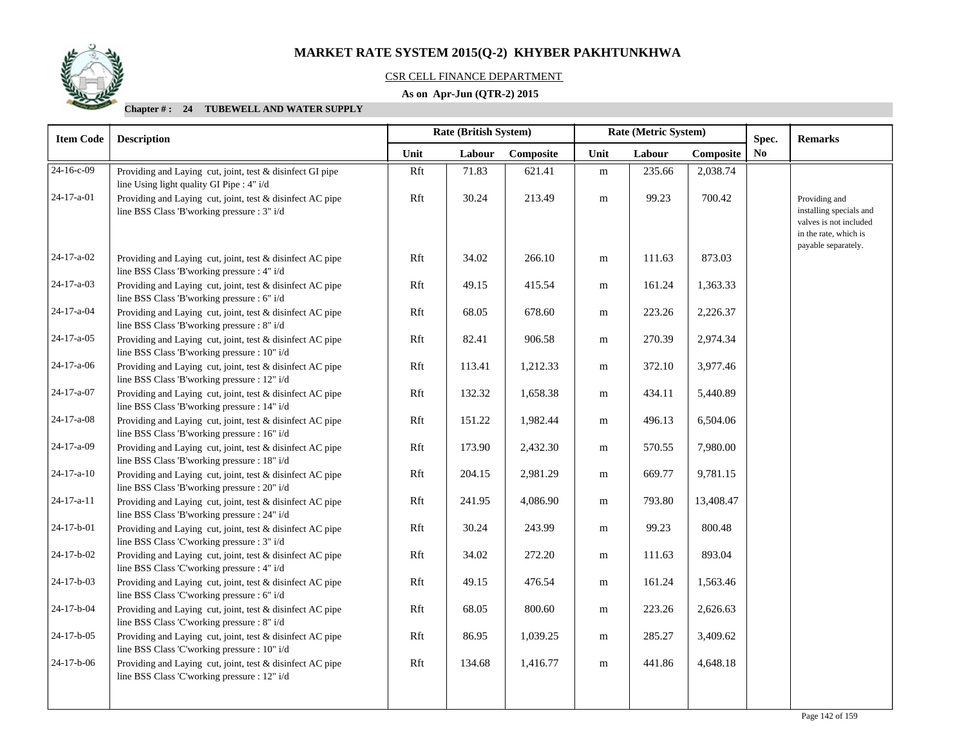

## CSR CELL FINANCE DEPARTMENT

## **As on Apr-Jun (QTR-2) 2015**

| <b>Item Code</b>   | <b>Description</b>                                                                                        |      | <b>Rate (British System)</b> |           | Rate (Metric System) |        |           | Spec. | <b>Remarks</b>                                                                                                     |
|--------------------|-----------------------------------------------------------------------------------------------------------|------|------------------------------|-----------|----------------------|--------|-----------|-------|--------------------------------------------------------------------------------------------------------------------|
|                    |                                                                                                           | Unit | Labour                       | Composite | Unit                 | Labour | Composite | No.   |                                                                                                                    |
| 24-16-c-09         | Providing and Laying cut, joint, test & disinfect GI pipe<br>line Using light quality GI Pipe : 4" i/d    | Rft  | 71.83                        | 621.41    | ${\rm m}$            | 235.66 | 2,038.74  |       |                                                                                                                    |
| 24-17-a-01         | Providing and Laying cut, joint, test & disinfect AC pipe<br>line BSS Class 'B'working pressure : 3" i/d  | Rft  | 30.24                        | 213.49    | m                    | 99.23  | 700.42    |       | Providing and<br>installing specials and<br>valves is not included<br>in the rate, which is<br>payable separately. |
| 24-17-a-02         | Providing and Laying cut, joint, test & disinfect AC pipe<br>line BSS Class 'B'working pressure : 4" i/d  | Rft  | 34.02                        | 266.10    | ${\bf m}$            | 111.63 | 873.03    |       |                                                                                                                    |
| 24-17-a-03         | Providing and Laying cut, joint, test & disinfect AC pipe<br>line BSS Class 'B'working pressure : 6" i/d  | Rft  | 49.15                        | 415.54    | m                    | 161.24 | 1,363.33  |       |                                                                                                                    |
| 24-17-a-04         | Providing and Laying cut, joint, test & disinfect AC pipe<br>line BSS Class 'B'working pressure : 8" i/d  | Rft  | 68.05                        | 678.60    | m                    | 223.26 | 2,226.37  |       |                                                                                                                    |
| 24-17-a-05         | Providing and Laying cut, joint, test & disinfect AC pipe<br>line BSS Class 'B'working pressure : 10" i/d | Rft  | 82.41                        | 906.58    | m                    | 270.39 | 2,974.34  |       |                                                                                                                    |
| $24-17-a-06$       | Providing and Laying cut, joint, test & disinfect AC pipe<br>line BSS Class 'B'working pressure : 12" i/d | Rft  | 113.41                       | 1,212.33  | m                    | 372.10 | 3,977.46  |       |                                                                                                                    |
| 24-17-a-07         | Providing and Laying cut, joint, test & disinfect AC pipe<br>line BSS Class 'B'working pressure : 14" i/d | Rft  | 132.32                       | 1,658.38  | m                    | 434.11 | 5,440.89  |       |                                                                                                                    |
| 24-17-a-08         | Providing and Laying cut, joint, test & disinfect AC pipe<br>line BSS Class 'B'working pressure : 16" i/d | Rft  | 151.22                       | 1,982.44  | m                    | 496.13 | 6,504.06  |       |                                                                                                                    |
| 24-17-a-09         | Providing and Laying cut, joint, test & disinfect AC pipe<br>line BSS Class 'B'working pressure : 18" i/d | Rft  | 173.90                       | 2,432.30  | m                    | 570.55 | 7,980.00  |       |                                                                                                                    |
| $24 - 17 - a - 10$ | Providing and Laying cut, joint, test & disinfect AC pipe<br>line BSS Class 'B'working pressure : 20" i/d | Rft  | 204.15                       | 2,981.29  | m                    | 669.77 | 9,781.15  |       |                                                                                                                    |
| $24 - 17 - a - 11$ | Providing and Laying cut, joint, test & disinfect AC pipe<br>line BSS Class 'B'working pressure : 24" i/d | Rft  | 241.95                       | 4,086.90  | m                    | 793.80 | 13,408.47 |       |                                                                                                                    |
| 24-17-b-01         | Providing and Laying cut, joint, test & disinfect AC pipe<br>line BSS Class 'C'working pressure : 3" i/d  | Rft  | 30.24                        | 243.99    | m                    | 99.23  | 800.48    |       |                                                                                                                    |
| 24-17-b-02         | Providing and Laying cut, joint, test & disinfect AC pipe<br>line BSS Class 'C'working pressure : 4" i/d  | Rft  | 34.02                        | 272.20    | ${\rm m}$            | 111.63 | 893.04    |       |                                                                                                                    |
| 24-17-b-03         | Providing and Laying cut, joint, test & disinfect AC pipe<br>line BSS Class 'C'working pressure : 6" i/d  | Rft  | 49.15                        | 476.54    | m                    | 161.24 | 1,563.46  |       |                                                                                                                    |
| 24-17-b-04         | Providing and Laying cut, joint, test & disinfect AC pipe<br>line BSS Class 'C'working pressure : 8" i/d  | Rft  | 68.05                        | 800.60    | m                    | 223.26 | 2,626.63  |       |                                                                                                                    |
| 24-17-b-05         | Providing and Laying cut, joint, test & disinfect AC pipe<br>line BSS Class 'C'working pressure : 10" i/d | Rft  | 86.95                        | 1,039.25  | m                    | 285.27 | 3,409.62  |       |                                                                                                                    |
| 24-17-b-06         | Providing and Laying cut, joint, test & disinfect AC pipe<br>line BSS Class 'C'working pressure : 12" i/d | Rft  | 134.68                       | 1,416.77  | m                    | 441.86 | 4,648.18  |       |                                                                                                                    |
|                    |                                                                                                           |      |                              |           |                      |        |           |       |                                                                                                                    |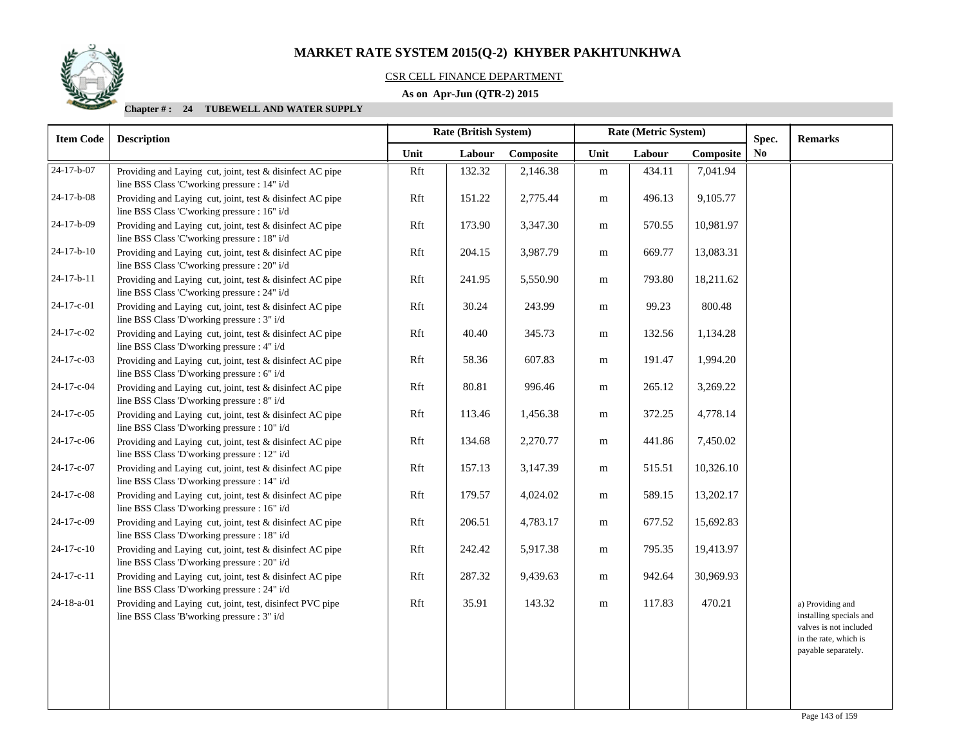

## CSR CELL FINANCE DEPARTMENT

## **As on Apr-Jun (QTR-2) 2015**

| <b>Item Code</b> | <b>Description</b>                                                                                        |      | <b>Rate (British System)</b> |           |           | Rate (Metric System) |           | Spec. | <b>Remarks</b>                                                                                                        |
|------------------|-----------------------------------------------------------------------------------------------------------|------|------------------------------|-----------|-----------|----------------------|-----------|-------|-----------------------------------------------------------------------------------------------------------------------|
|                  |                                                                                                           | Unit | Labour                       | Composite | Unit      | Labour               | Composite | No.   |                                                                                                                       |
| $24-17-b-07$     | Providing and Laying cut, joint, test & disinfect AC pipe<br>line BSS Class 'C'working pressure : 14" i/d | Rft  | 132.32                       | 2,146.38  | ${\bf m}$ | 434.11               | 7,041.94  |       |                                                                                                                       |
| 24-17-b-08       | Providing and Laying cut, joint, test & disinfect AC pipe<br>line BSS Class 'C'working pressure : 16" i/d | Rft  | 151.22                       | 2,775.44  | m         | 496.13               | 9,105.77  |       |                                                                                                                       |
| 24-17-b-09       | Providing and Laying cut, joint, test & disinfect AC pipe<br>line BSS Class 'C'working pressure : 18" i/d | Rft  | 173.90                       | 3,347.30  | m         | 570.55               | 10,981.97 |       |                                                                                                                       |
| $24-17-b-10$     | Providing and Laying cut, joint, test & disinfect AC pipe<br>line BSS Class 'C'working pressure : 20" i/d | Rft  | 204.15                       | 3,987.79  | m         | 669.77               | 13,083.31 |       |                                                                                                                       |
| 24-17-b-11       | Providing and Laying cut, joint, test & disinfect AC pipe<br>line BSS Class 'C'working pressure : 24" i/d | Rft  | 241.95                       | 5,550.90  | m         | 793.80               | 18,211.62 |       |                                                                                                                       |
| 24-17-c-01       | Providing and Laying cut, joint, test & disinfect AC pipe<br>line BSS Class 'D'working pressure : 3" i/d  | Rft  | 30.24                        | 243.99    | m         | 99.23                | 800.48    |       |                                                                                                                       |
| 24-17-c-02       | Providing and Laying cut, joint, test & disinfect AC pipe<br>line BSS Class 'D'working pressure : 4" i/d  | Rft  | 40.40                        | 345.73    | m         | 132.56               | 1,134.28  |       |                                                                                                                       |
| 24-17-c-03       | Providing and Laying cut, joint, test & disinfect AC pipe<br>line BSS Class 'D'working pressure : 6" i/d  | Rft  | 58.36                        | 607.83    | ${\bf m}$ | 191.47               | 1,994.20  |       |                                                                                                                       |
| 24-17-c-04       | Providing and Laying cut, joint, test & disinfect AC pipe<br>line BSS Class 'D'working pressure : 8" i/d  | Rft  | 80.81                        | 996.46    | m         | 265.12               | 3,269.22  |       |                                                                                                                       |
| 24-17-c-05       | Providing and Laying cut, joint, test & disinfect AC pipe<br>line BSS Class 'D'working pressure : 10" i/d | Rft  | 113.46                       | 1,456.38  | m         | 372.25               | 4,778.14  |       |                                                                                                                       |
| 24-17-c-06       | Providing and Laying cut, joint, test & disinfect AC pipe<br>line BSS Class 'D'working pressure : 12" i/d | Rft  | 134.68                       | 2,270.77  | m         | 441.86               | 7,450.02  |       |                                                                                                                       |
| 24-17-c-07       | Providing and Laying cut, joint, test & disinfect AC pipe<br>line BSS Class 'D'working pressure : 14" i/d | Rft  | 157.13                       | 3,147.39  | m         | 515.51               | 10,326.10 |       |                                                                                                                       |
| 24-17-c-08       | Providing and Laying cut, joint, test & disinfect AC pipe<br>line BSS Class 'D'working pressure : 16" i/d | Rft  | 179.57                       | 4,024.02  | m         | 589.15               | 13,202.17 |       |                                                                                                                       |
| 24-17-c-09       | Providing and Laying cut, joint, test & disinfect AC pipe<br>line BSS Class 'D'working pressure : 18" i/d | Rft  | 206.51                       | 4,783.17  | m         | 677.52               | 15,692.83 |       |                                                                                                                       |
| $24-17-c-10$     | Providing and Laying cut, joint, test & disinfect AC pipe<br>line BSS Class 'D'working pressure : 20" i/d | Rft  | 242.42                       | 5,917.38  | m         | 795.35               | 19,413.97 |       |                                                                                                                       |
| 24-17-c-11       | Providing and Laying cut, joint, test & disinfect AC pipe<br>line BSS Class 'D'working pressure : 24" i/d | Rft  | 287.32                       | 9,439.63  | m         | 942.64               | 30,969.93 |       |                                                                                                                       |
| 24-18-a-01       | Providing and Laying cut, joint, test, disinfect PVC pipe<br>line BSS Class 'B'working pressure : 3" i/d  | Rft  | 35.91                        | 143.32    | m         | 117.83               | 470.21    |       | a) Providing and<br>installing specials and<br>valves is not included<br>in the rate, which is<br>payable separately. |
|                  |                                                                                                           |      |                              |           |           |                      |           |       |                                                                                                                       |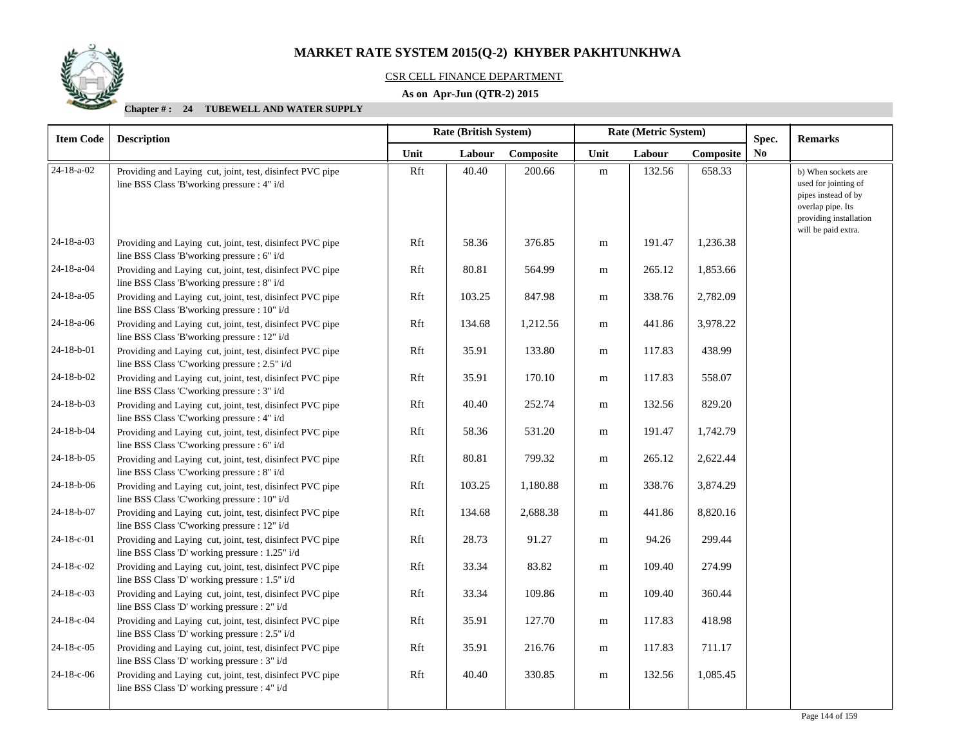

#### CSR CELL FINANCE DEPARTMENT

## **As on Apr-Jun (QTR-2) 2015**

|                                                                                                            |                                                                                                                                                                                                                                                                           |        |           | Rate (Metric System)  |        |           |                | <b>Remarks</b>                                                                                                                           |
|------------------------------------------------------------------------------------------------------------|---------------------------------------------------------------------------------------------------------------------------------------------------------------------------------------------------------------------------------------------------------------------------|--------|-----------|-----------------------|--------|-----------|----------------|------------------------------------------------------------------------------------------------------------------------------------------|
|                                                                                                            | Unit                                                                                                                                                                                                                                                                      | Labour | Composite | Unit                  | Labour | Composite | N <sub>0</sub> |                                                                                                                                          |
| Providing and Laying cut, joint, test, disinfect PVC pipe<br>line BSS Class 'B'working pressure : 4" i/d   | Rft                                                                                                                                                                                                                                                                       | 40.40  | 200.66    | ${\rm m}$             | 132.56 | 658.33    |                | b) When sockets are<br>used for jointing of<br>pipes instead of by<br>overlap pipe. Its<br>providing installation<br>will be paid extra. |
| Providing and Laying cut, joint, test, disinfect PVC pipe<br>line BSS Class 'B'working pressure : 6" i/d   | Rft                                                                                                                                                                                                                                                                       | 58.36  | 376.85    | ${\bf m}$             | 191.47 | 1,236.38  |                |                                                                                                                                          |
| Providing and Laying cut, joint, test, disinfect PVC pipe<br>line BSS Class 'B'working pressure : 8" i/d   | Rft                                                                                                                                                                                                                                                                       | 80.81  | 564.99    | m                     | 265.12 | 1,853.66  |                |                                                                                                                                          |
| Providing and Laying cut, joint, test, disinfect PVC pipe<br>line BSS Class 'B'working pressure : 10" i/d  | Rft                                                                                                                                                                                                                                                                       | 103.25 | 847.98    | m                     | 338.76 | 2,782.09  |                |                                                                                                                                          |
| Providing and Laying cut, joint, test, disinfect PVC pipe<br>line BSS Class 'B'working pressure : 12" i/d  | Rft                                                                                                                                                                                                                                                                       | 134.68 | 1,212.56  | m                     | 441.86 | 3,978.22  |                |                                                                                                                                          |
| Providing and Laying cut, joint, test, disinfect PVC pipe<br>line BSS Class 'C'working pressure : 2.5" i/d | Rft                                                                                                                                                                                                                                                                       | 35.91  | 133.80    | m                     | 117.83 | 438.99    |                |                                                                                                                                          |
| Providing and Laying cut, joint, test, disinfect PVC pipe<br>line BSS Class 'C'working pressure : 3" i/d   | Rft                                                                                                                                                                                                                                                                       | 35.91  | 170.10    | m                     | 117.83 | 558.07    |                |                                                                                                                                          |
| Providing and Laying cut, joint, test, disinfect PVC pipe<br>line BSS Class 'C'working pressure : 4" i/d   | Rft                                                                                                                                                                                                                                                                       | 40.40  | 252.74    | m                     | 132.56 | 829.20    |                |                                                                                                                                          |
| Providing and Laying cut, joint, test, disinfect PVC pipe<br>line BSS Class 'C'working pressure : 6" i/d   | Rft                                                                                                                                                                                                                                                                       | 58.36  | 531.20    | m                     | 191.47 | 1,742.79  |                |                                                                                                                                          |
| Providing and Laying cut, joint, test, disinfect PVC pipe<br>line BSS Class 'C'working pressure : 8" i/d   | Rft                                                                                                                                                                                                                                                                       | 80.81  | 799.32    | m                     | 265.12 | 2,622.44  |                |                                                                                                                                          |
| Providing and Laying cut, joint, test, disinfect PVC pipe<br>line BSS Class 'C'working pressure : 10" i/d  | Rft                                                                                                                                                                                                                                                                       | 103.25 | 1,180.88  | m                     | 338.76 | 3,874.29  |                |                                                                                                                                          |
| Providing and Laying cut, joint, test, disinfect PVC pipe<br>line BSS Class 'C'working pressure : 12" i/d  | Rft                                                                                                                                                                                                                                                                       | 134.68 | 2,688.38  | m                     | 441.86 | 8,820.16  |                |                                                                                                                                          |
| Providing and Laying cut, joint, test, disinfect PVC pipe                                                  | Rft                                                                                                                                                                                                                                                                       | 28.73  | 91.27     | m                     | 94.26  | 299.44    |                |                                                                                                                                          |
| Providing and Laying cut, joint, test, disinfect PVC pipe                                                  | Rft                                                                                                                                                                                                                                                                       | 33.34  | 83.82     | m                     | 109.40 | 274.99    |                |                                                                                                                                          |
| Providing and Laying cut, joint, test, disinfect PVC pipe                                                  | Rft                                                                                                                                                                                                                                                                       | 33.34  | 109.86    | m                     | 109.40 | 360.44    |                |                                                                                                                                          |
| Providing and Laying cut, joint, test, disinfect PVC pipe                                                  | Rft                                                                                                                                                                                                                                                                       | 35.91  | 127.70    | m                     | 117.83 | 418.98    |                |                                                                                                                                          |
| Providing and Laying cut, joint, test, disinfect PVC pipe                                                  | Rft                                                                                                                                                                                                                                                                       | 35.91  | 216.76    | m                     | 117.83 | 711.17    |                |                                                                                                                                          |
| Providing and Laying cut, joint, test, disinfect PVC pipe<br>line BSS Class 'D' working pressure : 4" i/d  | Rft                                                                                                                                                                                                                                                                       | 40.40  | 330.85    | ${\bf m}$             | 132.56 | 1,085.45  |                |                                                                                                                                          |
|                                                                                                            | <b>Description</b><br>line BSS Class 'D' working pressure : 1.25" i/d<br>line BSS Class 'D' working pressure : 1.5" i/d<br>line BSS Class 'D' working pressure : 2" i/d<br>line BSS Class 'D' working pressure : 2.5" i/d<br>line BSS Class 'D' working pressure : 3" i/d |        |           | Rate (British System) |        |           |                | Spec.                                                                                                                                    |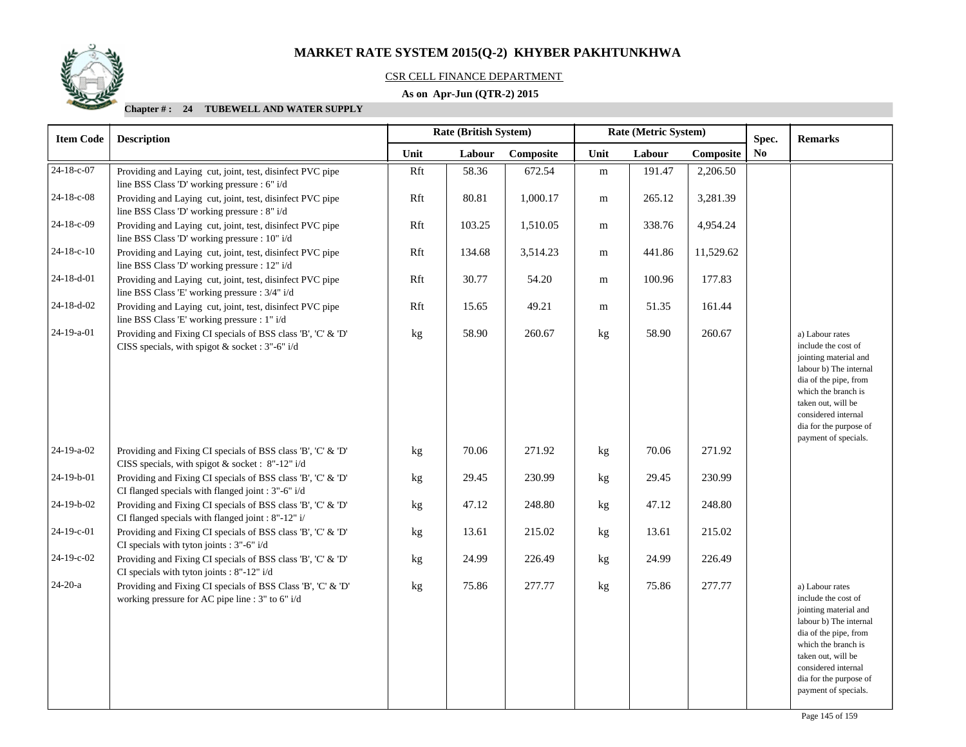

# CSR CELL FINANCE DEPARTMENT

# **As on Apr-Jun (QTR-2) 2015**

| <b>Item Code</b> | <b>Description</b>                                                                                                 | <b>Rate (British System)</b><br>Rate (Metric System) |        | Spec.     | <b>Remarks</b> |        |           |                |                                                                                                                                                                                                                                          |
|------------------|--------------------------------------------------------------------------------------------------------------------|------------------------------------------------------|--------|-----------|----------------|--------|-----------|----------------|------------------------------------------------------------------------------------------------------------------------------------------------------------------------------------------------------------------------------------------|
|                  |                                                                                                                    | Unit                                                 | Labour | Composite | Unit           | Labour | Composite | N <sub>0</sub> |                                                                                                                                                                                                                                          |
| 24-18-c-07       | Providing and Laying cut, joint, test, disinfect PVC pipe<br>line BSS Class 'D' working pressure : 6" i/d          | Rft                                                  | 58.36  | 672.54    | ${\bf m}$      | 191.47 | 2,206.50  |                |                                                                                                                                                                                                                                          |
| 24-18-c-08       | Providing and Laying cut, joint, test, disinfect PVC pipe<br>line BSS Class 'D' working pressure : 8" i/d          | Rft                                                  | 80.81  | 1,000.17  | m              | 265.12 | 3,281.39  |                |                                                                                                                                                                                                                                          |
| 24-18-c-09       | Providing and Laying cut, joint, test, disinfect PVC pipe<br>line BSS Class 'D' working pressure : 10" i/d         | Rft                                                  | 103.25 | 1,510.05  | m              | 338.76 | 4,954.24  |                |                                                                                                                                                                                                                                          |
| $24-18-c-10$     | Providing and Laying cut, joint, test, disinfect PVC pipe<br>line BSS Class 'D' working pressure : 12" i/d         | Rft                                                  | 134.68 | 3,514.23  | m              | 441.86 | 11,529.62 |                |                                                                                                                                                                                                                                          |
| 24-18-d-01       | Providing and Laying cut, joint, test, disinfect PVC pipe<br>line BSS Class 'E' working pressure : 3/4" i/d        | Rft                                                  | 30.77  | 54.20     | m              | 100.96 | 177.83    |                |                                                                                                                                                                                                                                          |
| $24-18-d-02$     | Providing and Laying cut, joint, test, disinfect PVC pipe<br>line BSS Class 'E' working pressure : 1" i/d          | Rft                                                  | 15.65  | 49.21     | m              | 51.35  | 161.44    |                |                                                                                                                                                                                                                                          |
| 24-19-a-01       | Providing and Fixing CI specials of BSS class 'B', 'C' & 'D'<br>CISS specials, with spigot & socket : 3"-6" i/d    | kg                                                   | 58.90  | 260.67    | kg             | 58.90  | 260.67    |                | a) Labour rates<br>include the cost of<br>jointing material and<br>labour b) The internal<br>dia of the pipe, from<br>which the branch is<br>taken out, will be<br>considered internal<br>dia for the purpose of<br>payment of specials. |
| 24-19-a-02       | Providing and Fixing CI specials of BSS class 'B', 'C' & 'D'<br>CISS specials, with spigot & socket : 8"-12" i/d   | kg                                                   | 70.06  | 271.92    | kg             | 70.06  | 271.92    |                |                                                                                                                                                                                                                                          |
| 24-19-b-01       | Providing and Fixing CI specials of BSS class 'B', 'C' & 'D'<br>CI flanged specials with flanged joint : 3"-6" i/d | kg                                                   | 29.45  | 230.99    | kg             | 29.45  | 230.99    |                |                                                                                                                                                                                                                                          |
| 24-19-b-02       | Providing and Fixing CI specials of BSS class 'B', 'C' & 'D'<br>CI flanged specials with flanged joint : 8"-12" i/ | kg                                                   | 47.12  | 248.80    | kg             | 47.12  | 248.80    |                |                                                                                                                                                                                                                                          |
| 24-19-c-01       | Providing and Fixing CI specials of BSS class 'B', 'C' & 'D'<br>CI specials with tyton joints : 3"-6" i/d          | kg                                                   | 13.61  | 215.02    | kg             | 13.61  | 215.02    |                |                                                                                                                                                                                                                                          |
| 24-19-c-02       | Providing and Fixing CI specials of BSS class 'B', 'C' & 'D'<br>CI specials with tyton joints : 8"-12" i/d         | kg                                                   | 24.99  | 226.49    | kg             | 24.99  | 226.49    |                |                                                                                                                                                                                                                                          |
| $24-20-a$        | Providing and Fixing CI specials of BSS Class 'B', 'C' & 'D'<br>working pressure for AC pipe line : 3" to 6" i/d   | kg                                                   | 75.86  | 277.77    | kg             | 75.86  | 277.77    |                | a) Labour rates<br>include the cost of<br>jointing material and<br>labour b) The internal<br>dia of the pipe, from<br>which the branch is<br>taken out, will be<br>considered internal<br>dia for the purpose of<br>payment of specials. |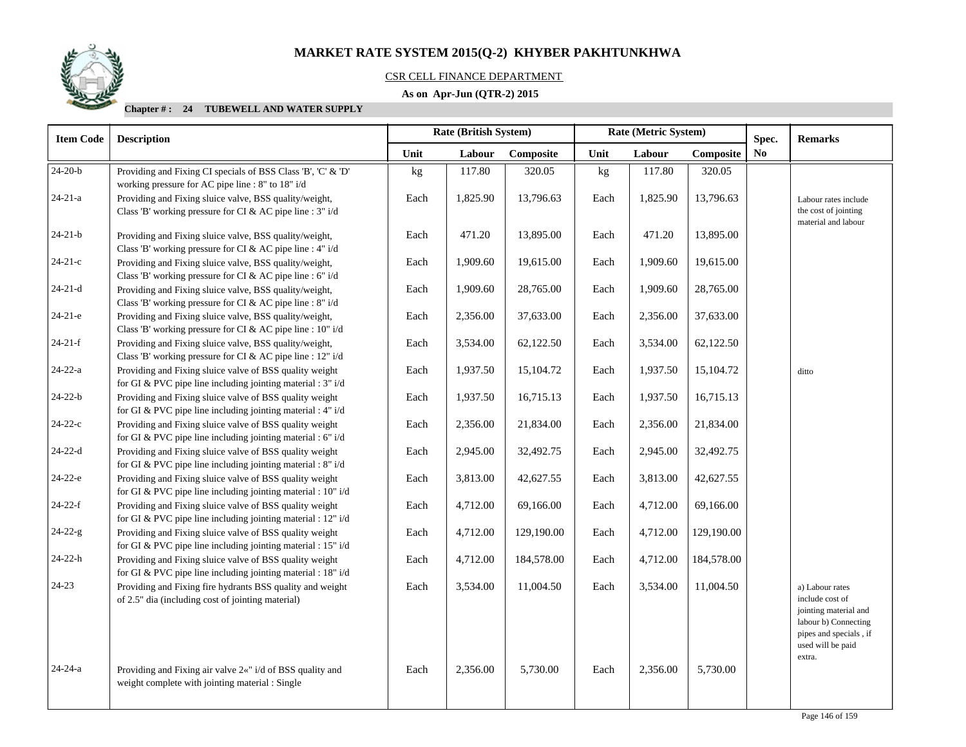# CSR CELL FINANCE DEPARTMENT

# **As on Apr-Jun (QTR-2) 2015**

| <b>Item Code</b> | Rate (British System)<br><b>Description</b>                                                                             |      |          |            | Rate (Metric System) |          |            | Spec. | <b>Remarks</b>                                                                                                |
|------------------|-------------------------------------------------------------------------------------------------------------------------|------|----------|------------|----------------------|----------|------------|-------|---------------------------------------------------------------------------------------------------------------|
|                  |                                                                                                                         | Unit | Labour   | Composite  | Unit                 | Labour   | Composite  | No    |                                                                                                               |
| $24-20-b$        | Providing and Fixing CI specials of BSS Class 'B', 'C' & 'D'<br>working pressure for AC pipe line : 8" to 18" i/d       | kg   | 117.80   | 320.05     | kg                   | 117.80   | 320.05     |       |                                                                                                               |
| $24 - 21 - a$    | Providing and Fixing sluice valve, BSS quality/weight,<br>Class 'B' working pressure for CI & AC pipe line : 3" i/d     | Each | 1,825.90 | 13,796.63  | Each                 | 1,825.90 | 13,796.63  |       | Labour rates include<br>the cost of jointing<br>material and labour                                           |
| $24 - 21 - b$    | Providing and Fixing sluice valve, BSS quality/weight,<br>Class 'B' working pressure for CI & AC pipe line : 4" i/d     | Each | 471.20   | 13,895.00  | Each                 | 471.20   | 13,895.00  |       |                                                                                                               |
| $24-21-c$        | Providing and Fixing sluice valve, BSS quality/weight,<br>Class 'B' working pressure for CI & AC pipe line : 6" i/d     | Each | 1,909.60 | 19,615.00  | Each                 | 1,909.60 | 19,615.00  |       |                                                                                                               |
| $24-21-d$        | Providing and Fixing sluice valve, BSS quality/weight,<br>Class 'B' working pressure for CI & AC pipe line : 8" i/d     | Each | 1,909.60 | 28,765.00  | Each                 | 1,909.60 | 28,765.00  |       |                                                                                                               |
| $24-21-e$        | Providing and Fixing sluice valve, BSS quality/weight,<br>Class 'B' working pressure for CI & AC pipe line : 10" i/d    | Each | 2,356.00 | 37,633.00  | Each                 | 2,356.00 | 37,633.00  |       |                                                                                                               |
| $24-21-f$        | Providing and Fixing sluice valve, BSS quality/weight,<br>Class 'B' working pressure for CI & AC pipe line : 12" i/d    | Each | 3,534.00 | 62,122.50  | Each                 | 3,534.00 | 62,122.50  |       |                                                                                                               |
| $24 - 22 - a$    | Providing and Fixing sluice valve of BSS quality weight<br>for GI & PVC pipe line including jointing material : 3" i/d  | Each | 1,937.50 | 15,104.72  | Each                 | 1,937.50 | 15,104.72  |       | ditto                                                                                                         |
| $24 - 22 - b$    | Providing and Fixing sluice valve of BSS quality weight<br>for GI & PVC pipe line including jointing material : 4" i/d  | Each | 1,937.50 | 16,715.13  | Each                 | 1,937.50 | 16,715.13  |       |                                                                                                               |
| $24-22-c$        | Providing and Fixing sluice valve of BSS quality weight<br>for GI & PVC pipe line including jointing material : 6" i/d  | Each | 2,356.00 | 21,834.00  | Each                 | 2,356.00 | 21,834.00  |       |                                                                                                               |
| $24 - 22 - d$    | Providing and Fixing sluice valve of BSS quality weight<br>for GI & PVC pipe line including jointing material : 8" i/d  | Each | 2,945.00 | 32,492.75  | Each                 | 2,945.00 | 32,492.75  |       |                                                                                                               |
| $24-22-e$        | Providing and Fixing sluice valve of BSS quality weight<br>for GI & PVC pipe line including jointing material : 10" i/d | Each | 3,813.00 | 42,627.55  | Each                 | 3,813.00 | 42,627.55  |       |                                                                                                               |
| $24-22-f$        | Providing and Fixing sluice valve of BSS quality weight<br>for GI & PVC pipe line including jointing material : 12" i/d | Each | 4,712.00 | 69,166.00  | Each                 | 4,712.00 | 69,166.00  |       |                                                                                                               |
| $24 - 22 - g$    | Providing and Fixing sluice valve of BSS quality weight<br>for GI & PVC pipe line including jointing material : 15" i/d | Each | 4,712.00 | 129,190.00 | Each                 | 4,712.00 | 129,190.00 |       |                                                                                                               |
| $24 - 22 - h$    | Providing and Fixing sluice valve of BSS quality weight<br>for GI & PVC pipe line including jointing material : 18" i/d | Each | 4,712.00 | 184,578.00 | Each                 | 4,712.00 | 184,578.00 |       |                                                                                                               |
| $24 - 23$        | Providing and Fixing fire hydrants BSS quality and weight<br>of 2.5" dia (including cost of jointing material)          | Each | 3,534.00 | 11,004.50  | Each                 | 3,534.00 | 11,004.50  |       | a) Labour rates<br>include cost of<br>jointing material and<br>labour b) Connecting<br>pipes and specials, if |
| $24 - 24 - a$    | Providing and Fixing air valve 2«" i/d of BSS quality and<br>weight complete with jointing material : Single            | Each | 2,356.00 | 5,730.00   | Each                 | 2,356.00 | 5,730.00   |       | used will be paid<br>extra.                                                                                   |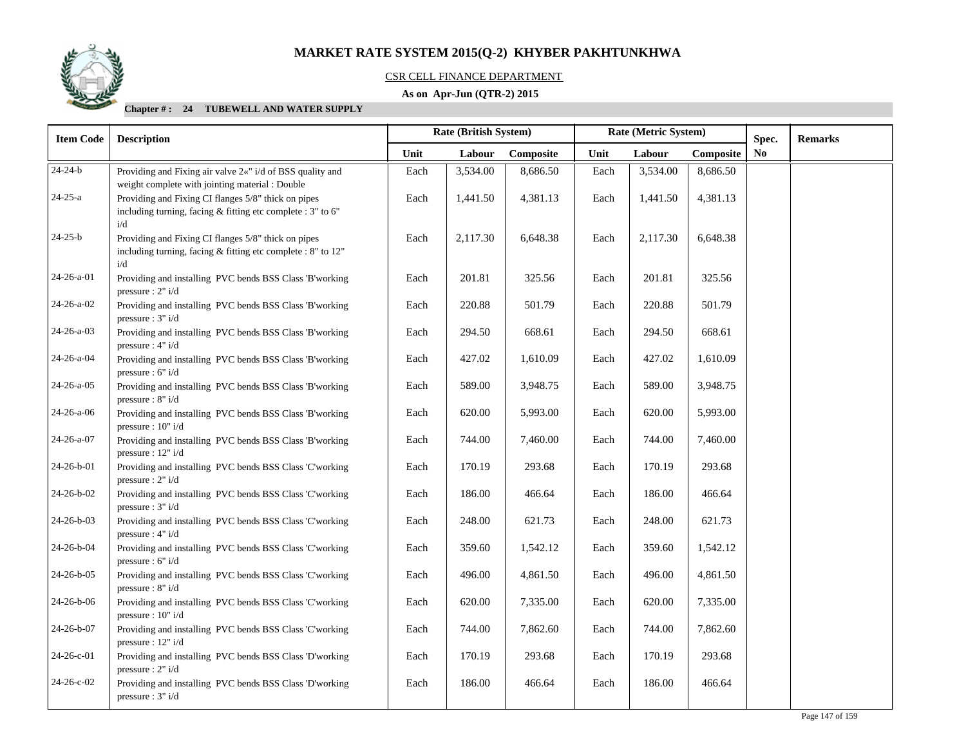

### CSR CELL FINANCE DEPARTMENT

# **As on Apr-Jun (QTR-2) 2015**

| <b>Item Code</b> | <b>Description</b>                                                                                                           | Rate (British System) |          |           | Rate (Metric System) |          |           |    |  |  | Spec. | <b>Remarks</b> |
|------------------|------------------------------------------------------------------------------------------------------------------------------|-----------------------|----------|-----------|----------------------|----------|-----------|----|--|--|-------|----------------|
|                  |                                                                                                                              | Unit                  | Labour   | Composite | Unit                 | Labour   | Composite | No |  |  |       |                |
| $24 - 24 - b$    | Providing and Fixing air valve 2«" i/d of BSS quality and<br>weight complete with jointing material : Double                 | Each                  | 3,534.00 | 8,686.50  | Each                 | 3,534.00 | 8,686.50  |    |  |  |       |                |
| $24 - 25 - a$    | Providing and Fixing CI flanges 5/8" thick on pipes<br>including turning, facing & fitting etc complete : 3" to 6"<br>i/d    | Each                  | 1,441.50 | 4,381.13  | Each                 | 1,441.50 | 4,381.13  |    |  |  |       |                |
| $24 - 25 - b$    | Providing and Fixing CI flanges 5/8" thick on pipes<br>including turning, facing $&$ fitting etc complete : 8" to 12"<br>i/d | Each                  | 2,117.30 | 6,648.38  | Each                 | 2,117.30 | 6,648.38  |    |  |  |       |                |
| 24-26-a-01       | Providing and installing PVC bends BSS Class 'B'working<br>pressure : $2" i/d$                                               | Each                  | 201.81   | 325.56    | Each                 | 201.81   | 325.56    |    |  |  |       |                |
| 24-26-a-02       | Providing and installing PVC bends BSS Class 'B'working<br>pressure : $3" i/d$                                               | Each                  | 220.88   | 501.79    | Each                 | 220.88   | 501.79    |    |  |  |       |                |
| 24-26-a-03       | Providing and installing PVC bends BSS Class 'B'working<br>pressure : 4" i/d                                                 | Each                  | 294.50   | 668.61    | Each                 | 294.50   | 668.61    |    |  |  |       |                |
| 24-26-a-04       | Providing and installing PVC bends BSS Class 'B'working<br>pressure : $6" i/d$                                               | Each                  | 427.02   | 1,610.09  | Each                 | 427.02   | 1,610.09  |    |  |  |       |                |
| $24-26-a-05$     | Providing and installing PVC bends BSS Class 'B'working<br>pressure : $8" i/d$                                               | Each                  | 589.00   | 3,948.75  | Each                 | 589.00   | 3,948.75  |    |  |  |       |                |
| $24-26-a-06$     | Providing and installing PVC bends BSS Class 'B'working<br>pressure : $10" i/d$                                              | Each                  | 620.00   | 5,993.00  | Each                 | 620.00   | 5,993.00  |    |  |  |       |                |
| 24-26-a-07       | Providing and installing PVC bends BSS Class 'B'working<br>pressure : $12" i/d$                                              | Each                  | 744.00   | 7,460.00  | Each                 | 744.00   | 7,460.00  |    |  |  |       |                |
| 24-26-b-01       | Providing and installing PVC bends BSS Class 'C'working<br>pressure : $2" i/d$                                               | Each                  | 170.19   | 293.68    | Each                 | 170.19   | 293.68    |    |  |  |       |                |
| 24-26-b-02       | Providing and installing PVC bends BSS Class 'C'working<br>pressure : $3" i/d$                                               | Each                  | 186.00   | 466.64    | Each                 | 186.00   | 466.64    |    |  |  |       |                |
| 24-26-b-03       | Providing and installing PVC bends BSS Class 'C'working<br>pressure : $4" i/d$                                               | Each                  | 248.00   | 621.73    | Each                 | 248.00   | 621.73    |    |  |  |       |                |
| 24-26-b-04       | Providing and installing PVC bends BSS Class 'C'working<br>pressure : 6" i/d                                                 | Each                  | 359.60   | 1,542.12  | Each                 | 359.60   | 1,542.12  |    |  |  |       |                |
| 24-26-b-05       | Providing and installing PVC bends BSS Class 'C'working<br>pressure : $8" i/d$                                               | Each                  | 496.00   | 4,861.50  | Each                 | 496.00   | 4,861.50  |    |  |  |       |                |
| 24-26-b-06       | Providing and installing PVC bends BSS Class 'C'working<br>pressure: 10" i/d                                                 | Each                  | 620.00   | 7,335.00  | Each                 | 620.00   | 7,335.00  |    |  |  |       |                |
| 24-26-b-07       | Providing and installing PVC bends BSS Class 'C'working<br>pressure : 12" i/d                                                | Each                  | 744.00   | 7,862.60  | Each                 | 744.00   | 7,862.60  |    |  |  |       |                |
| 24-26-c-01       | Providing and installing PVC bends BSS Class 'D'working<br>pressure : $2" i/d$                                               | Each                  | 170.19   | 293.68    | Each                 | 170.19   | 293.68    |    |  |  |       |                |
| 24-26-c-02       | Providing and installing PVC bends BSS Class 'D'working<br>pressure : $3" i/d$                                               | Each                  | 186.00   | 466.64    | Each                 | 186.00   | 466.64    |    |  |  |       |                |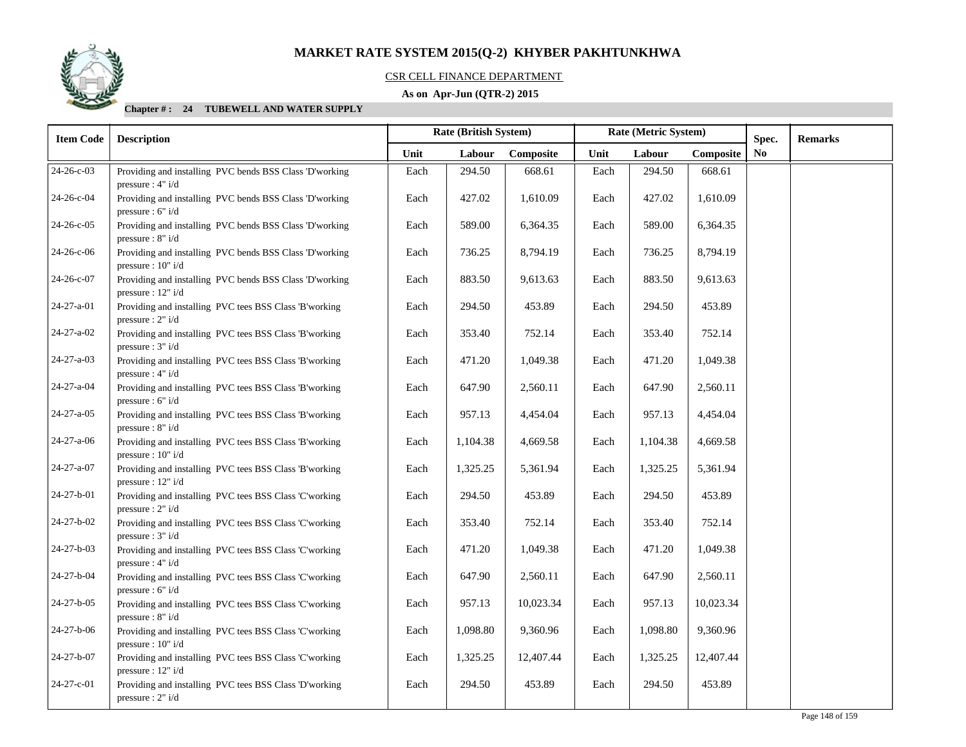

# CSR CELL FINANCE DEPARTMENT

# **As on Apr-Jun (QTR-2) 2015**

| <b>Item Code</b>   | <b>Description</b>                                                              | Rate (British System) |          |           | Rate (Metric System) |          |           |                |  |  | Spec. | <b>Remarks</b> |
|--------------------|---------------------------------------------------------------------------------|-----------------------|----------|-----------|----------------------|----------|-----------|----------------|--|--|-------|----------------|
|                    |                                                                                 | Unit                  | Labour   | Composite | Unit                 | Labour   | Composite | N <sub>0</sub> |  |  |       |                |
| 24-26-c-03         | Providing and installing PVC bends BSS Class 'D'working<br>pressure : $4" i/d$  | Each                  | 294.50   | 668.61    | Each                 | 294.50   | 668.61    |                |  |  |       |                |
| 24-26-c-04         | Providing and installing PVC bends BSS Class 'D'working<br>pressure : $6" i/d$  | Each                  | 427.02   | 1,610.09  | Each                 | 427.02   | 1,610.09  |                |  |  |       |                |
| $24 - 26 - c - 05$ | Providing and installing PVC bends BSS Class 'D'working<br>pressure: 8" i/d     | Each                  | 589.00   | 6,364.35  | Each                 | 589.00   | 6,364.35  |                |  |  |       |                |
| 24-26-c-06         | Providing and installing PVC bends BSS Class 'D'working<br>pressure : $10" i/d$ | Each                  | 736.25   | 8,794.19  | Each                 | 736.25   | 8,794.19  |                |  |  |       |                |
| 24-26-c-07         | Providing and installing PVC bends BSS Class 'D'working<br>pressure : $12" i/d$ | Each                  | 883.50   | 9,613.63  | Each                 | 883.50   | 9,613.63  |                |  |  |       |                |
| 24-27-a-01         | Providing and installing PVC tees BSS Class 'B'working<br>pressure : $2" i/d$   | Each                  | 294.50   | 453.89    | Each                 | 294.50   | 453.89    |                |  |  |       |                |
| 24-27-a-02         | Providing and installing PVC tees BSS Class 'B'working<br>pressure : $3" i/d$   | Each                  | 353.40   | 752.14    | Each                 | 353.40   | 752.14    |                |  |  |       |                |
| 24-27-a-03         | Providing and installing PVC tees BSS Class 'B'working<br>pressure : 4" i/d     | Each                  | 471.20   | 1,049.38  | Each                 | 471.20   | 1,049.38  |                |  |  |       |                |
| 24-27-a-04         | Providing and installing PVC tees BSS Class 'B'working<br>pressure : $6" i/d$   | Each                  | 647.90   | 2,560.11  | Each                 | 647.90   | 2,560.11  |                |  |  |       |                |
| 24-27-a-05         | Providing and installing PVC tees BSS Class 'B'working<br>pressure: 8" i/d      | Each                  | 957.13   | 4,454.04  | Each                 | 957.13   | 4,454.04  |                |  |  |       |                |
| 24-27-a-06         | Providing and installing PVC tees BSS Class 'B'working<br>pressure: 10" i/d     | Each                  | 1,104.38 | 4,669.58  | Each                 | 1,104.38 | 4,669.58  |                |  |  |       |                |
| 24-27-a-07         | Providing and installing PVC tees BSS Class 'B'working<br>pressure : $12" i/d$  | Each                  | 1,325.25 | 5,361.94  | Each                 | 1,325.25 | 5,361.94  |                |  |  |       |                |
| 24-27-b-01         | Providing and installing PVC tees BSS Class 'C'working<br>pressure : $2" i/d$   | Each                  | 294.50   | 453.89    | Each                 | 294.50   | 453.89    |                |  |  |       |                |
| 24-27-b-02         | Providing and installing PVC tees BSS Class 'C'working<br>pressure: 3" i/d      | Each                  | 353.40   | 752.14    | Each                 | 353.40   | 752.14    |                |  |  |       |                |
| 24-27-b-03         | Providing and installing PVC tees BSS Class 'C'working<br>pressure : $4" i/d$   | Each                  | 471.20   | 1,049.38  | Each                 | 471.20   | 1,049.38  |                |  |  |       |                |
| 24-27-b-04         | Providing and installing PVC tees BSS Class 'C'working<br>pressure : $6" i/d$   | Each                  | 647.90   | 2,560.11  | Each                 | 647.90   | 2,560.11  |                |  |  |       |                |
| 24-27-b-05         | Providing and installing PVC tees BSS Class 'C'working<br>pressure : 8" i/d     | Each                  | 957.13   | 10,023.34 | Each                 | 957.13   | 10,023.34 |                |  |  |       |                |
| 24-27-b-06         | Providing and installing PVC tees BSS Class 'C'working<br>pressure : 10" i/d    | Each                  | 1,098.80 | 9,360.96  | Each                 | 1,098.80 | 9,360.96  |                |  |  |       |                |
| 24-27-b-07         | Providing and installing PVC tees BSS Class 'C'working<br>pressure : $12" i/d$  | Each                  | 1,325.25 | 12,407.44 | Each                 | 1,325.25 | 12,407.44 |                |  |  |       |                |
| 24-27-c-01         | Providing and installing PVC tees BSS Class 'D'working<br>pressure : $2" i/d$   | Each                  | 294.50   | 453.89    | Each                 | 294.50   | 453.89    |                |  |  |       |                |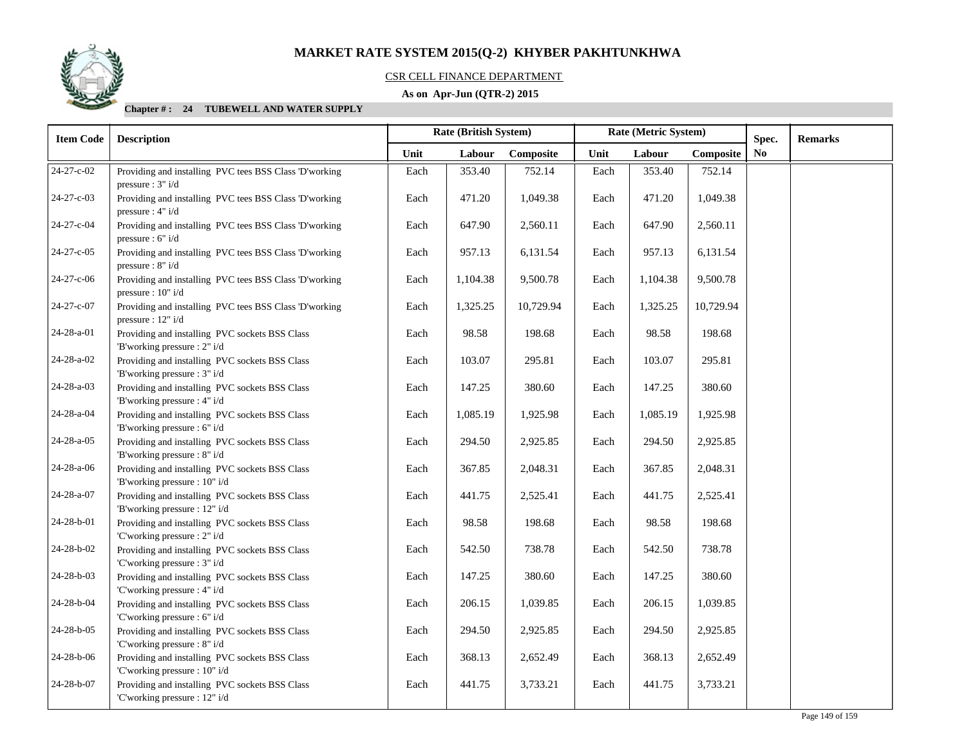

### CSR CELL FINANCE DEPARTMENT

# **As on Apr-Jun (QTR-2) 2015**

| <b>Item Code</b>   | <b>Description</b>                                                              |      | <b>Rate (British System)</b> |           | Rate (Metric System) |          | Spec.     | <b>Remarks</b> |  |
|--------------------|---------------------------------------------------------------------------------|------|------------------------------|-----------|----------------------|----------|-----------|----------------|--|
|                    |                                                                                 | Unit | Labour                       | Composite | Unit                 | Labour   | Composite | No             |  |
| 24-27-c-02         | Providing and installing PVC tees BSS Class 'D'working<br>pressure : $3" i/d$   | Each | 353.40                       | 752.14    | Each                 | 353.40   | 752.14    |                |  |
| 24-27-c-03         | Providing and installing PVC tees BSS Class 'D'working<br>pressure : $4" i/d$   | Each | 471.20                       | 1,049.38  | Each                 | 471.20   | 1,049.38  |                |  |
| 24-27-c-04         | Providing and installing PVC tees BSS Class 'D'working<br>pressure : $6" i/d$   | Each | 647.90                       | 2,560.11  | Each                 | 647.90   | 2,560.11  |                |  |
| 24-27-c-05         | Providing and installing PVC tees BSS Class 'D'working<br>pressure : 8" i/d     | Each | 957.13                       | 6,131.54  | Each                 | 957.13   | 6,131.54  |                |  |
| 24-27-c-06         | Providing and installing PVC tees BSS Class 'D'working<br>pressure : $10" i/d$  | Each | 1,104.38                     | 9,500.78  | Each                 | 1,104.38 | 9,500.78  |                |  |
| 24-27-c-07         | Providing and installing PVC tees BSS Class 'D'working<br>pressure : $12" i/d$  | Each | 1,325.25                     | 10,729.94 | Each                 | 1,325.25 | 10,729.94 |                |  |
| 24-28-a-01         | Providing and installing PVC sockets BSS Class<br>'B'working pressure : 2" i/d  | Each | 98.58                        | 198.68    | Each                 | 98.58    | 198.68    |                |  |
| 24-28-a-02         | Providing and installing PVC sockets BSS Class<br>'B'working pressure : 3" i/d  | Each | 103.07                       | 295.81    | Each                 | 103.07   | 295.81    |                |  |
| 24-28-a-03         | Providing and installing PVC sockets BSS Class<br>'B'working pressure : 4" i/d  | Each | 147.25                       | 380.60    | Each                 | 147.25   | 380.60    |                |  |
| 24-28-a-04         | Providing and installing PVC sockets BSS Class<br>'B'working pressure : 6" i/d  | Each | 1,085.19                     | 1,925.98  | Each                 | 1,085.19 | 1,925.98  |                |  |
| 24-28-a-05         | Providing and installing PVC sockets BSS Class<br>'B'working pressure : 8" i/d  | Each | 294.50                       | 2,925.85  | Each                 | 294.50   | 2,925.85  |                |  |
| 24-28-a-06         | Providing and installing PVC sockets BSS Class<br>'B'working pressure : 10" i/d | Each | 367.85                       | 2,048.31  | Each                 | 367.85   | 2,048.31  |                |  |
| 24-28-a-07         | Providing and installing PVC sockets BSS Class<br>'B'working pressure : 12" i/d | Each | 441.75                       | 2,525.41  | Each                 | 441.75   | 2,525.41  |                |  |
| 24-28-b-01         | Providing and installing PVC sockets BSS Class<br>'C'working pressure : 2" i/d  | Each | 98.58                        | 198.68    | Each                 | 98.58    | 198.68    |                |  |
| 24-28-b-02         | Providing and installing PVC sockets BSS Class<br>'C'working pressure : 3" i/d  | Each | 542.50                       | 738.78    | Each                 | 542.50   | 738.78    |                |  |
| 24-28-b-03         | Providing and installing PVC sockets BSS Class<br>'C'working pressure : 4" i/d  | Each | 147.25                       | 380.60    | Each                 | 147.25   | 380.60    |                |  |
| 24-28-b-04         | Providing and installing PVC sockets BSS Class<br>'C'working pressure : 6" i/d  | Each | 206.15                       | 1,039.85  | Each                 | 206.15   | 1,039.85  |                |  |
| 24-28-b-05         | Providing and installing PVC sockets BSS Class<br>'C'working pressure : 8" i/d  | Each | 294.50                       | 2,925.85  | Each                 | 294.50   | 2,925.85  |                |  |
| $24 - 28 - b - 06$ | Providing and installing PVC sockets BSS Class<br>'C'working pressure : 10" i/d | Each | 368.13                       | 2,652.49  | Each                 | 368.13   | 2,652.49  |                |  |
| 24-28-b-07         | Providing and installing PVC sockets BSS Class<br>'C'working pressure : 12" i/d | Each | 441.75                       | 3,733.21  | Each                 | 441.75   | 3,733.21  |                |  |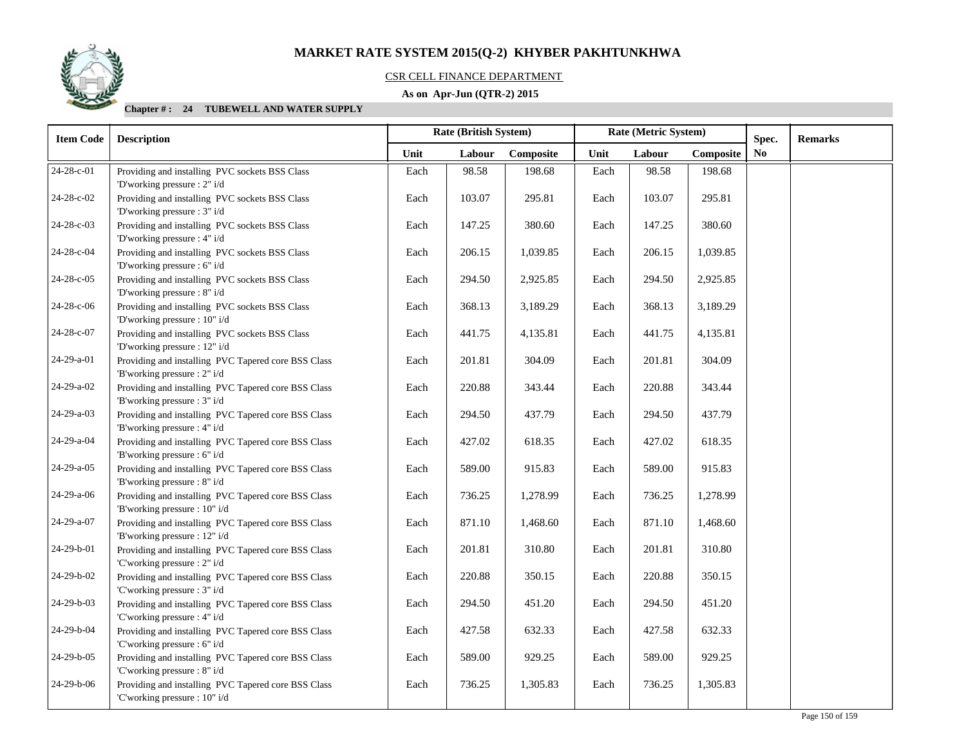

# CSR CELL FINANCE DEPARTMENT

# **As on Apr-Jun (QTR-2) 2015**

| <b>Item Code</b>   | <b>Description</b>                                                                   | Rate (British System)<br>Rate (Metric System)<br>Spec. |        |           |      |        |           |                | <b>Remarks</b> |
|--------------------|--------------------------------------------------------------------------------------|--------------------------------------------------------|--------|-----------|------|--------|-----------|----------------|----------------|
|                    |                                                                                      | Unit                                                   | Labour | Composite | Unit | Labour | Composite | N <sub>o</sub> |                |
| 24-28-c-01         | Providing and installing PVC sockets BSS Class<br>'D'working pressure : 2" i/d       | Each                                                   | 98.58  | 198.68    | Each | 98.58  | 198.68    |                |                |
| 24-28-c-02         | Providing and installing PVC sockets BSS Class<br>'D'working pressure : 3" i/d       | Each                                                   | 103.07 | 295.81    | Each | 103.07 | 295.81    |                |                |
| 24-28-c-03         | Providing and installing PVC sockets BSS Class<br>'D'working pressure : 4" i/d       | Each                                                   | 147.25 | 380.60    | Each | 147.25 | 380.60    |                |                |
| 24-28-c-04         | Providing and installing PVC sockets BSS Class<br>'D'working pressure : 6" i/d       | Each                                                   | 206.15 | 1,039.85  | Each | 206.15 | 1,039.85  |                |                |
| 24-28-c-05         | Providing and installing PVC sockets BSS Class<br>'D'working pressure : 8" i/d       | Each                                                   | 294.50 | 2,925.85  | Each | 294.50 | 2,925.85  |                |                |
| 24-28-c-06         | Providing and installing PVC sockets BSS Class<br>'D'working pressure : 10" i/d      | Each                                                   | 368.13 | 3,189.29  | Each | 368.13 | 3,189.29  |                |                |
| 24-28-c-07         | Providing and installing PVC sockets BSS Class<br>'D'working pressure : 12" i/d      | Each                                                   | 441.75 | 4,135.81  | Each | 441.75 | 4,135.81  |                |                |
| 24-29-a-01         | Providing and installing PVC Tapered core BSS Class<br>'B'working pressure : 2" i/d  | Each                                                   | 201.81 | 304.09    | Each | 201.81 | 304.09    |                |                |
| 24-29-a-02         | Providing and installing PVC Tapered core BSS Class<br>'B'working pressure : 3" i/d  | Each                                                   | 220.88 | 343.44    | Each | 220.88 | 343.44    |                |                |
| $24-29-a-03$       | Providing and installing PVC Tapered core BSS Class<br>'B'working pressure : 4" i/d  | Each                                                   | 294.50 | 437.79    | Each | 294.50 | 437.79    |                |                |
| 24-29-a-04         | Providing and installing PVC Tapered core BSS Class<br>'B'working pressure : 6" i/d  | Each                                                   | 427.02 | 618.35    | Each | 427.02 | 618.35    |                |                |
| $24-29-a-05$       | Providing and installing PVC Tapered core BSS Class<br>'B'working pressure : 8" i/d  | Each                                                   | 589.00 | 915.83    | Each | 589.00 | 915.83    |                |                |
| $24-29-a-06$       | Providing and installing PVC Tapered core BSS Class<br>'B'working pressure : 10" i/d | Each                                                   | 736.25 | 1,278.99  | Each | 736.25 | 1,278.99  |                |                |
| $24 - 29 - a - 07$ | Providing and installing PVC Tapered core BSS Class<br>'B'working pressure : 12" i/d | Each                                                   | 871.10 | 1,468.60  | Each | 871.10 | 1,468.60  |                |                |
| 24-29-b-01         | Providing and installing PVC Tapered core BSS Class<br>'C'working pressure : 2" i/d  | Each                                                   | 201.81 | 310.80    | Each | 201.81 | 310.80    |                |                |
| 24-29-b-02         | Providing and installing PVC Tapered core BSS Class<br>'C'working pressure : 3" i/d  | Each                                                   | 220.88 | 350.15    | Each | 220.88 | 350.15    |                |                |
| 24-29-b-03         | Providing and installing PVC Tapered core BSS Class<br>'C'working pressure : 4" i/d  | Each                                                   | 294.50 | 451.20    | Each | 294.50 | 451.20    |                |                |
| 24-29-b-04         | Providing and installing PVC Tapered core BSS Class<br>'C'working pressure : 6" i/d  | Each                                                   | 427.58 | 632.33    | Each | 427.58 | 632.33    |                |                |
| 24-29-b-05         | Providing and installing PVC Tapered core BSS Class<br>'C'working pressure : 8" i/d  | Each                                                   | 589.00 | 929.25    | Each | 589.00 | 929.25    |                |                |
| 24-29-b-06         | Providing and installing PVC Tapered core BSS Class<br>'C'working pressure : 10" i/d | Each                                                   | 736.25 | 1,305.83  | Each | 736.25 | 1,305.83  |                |                |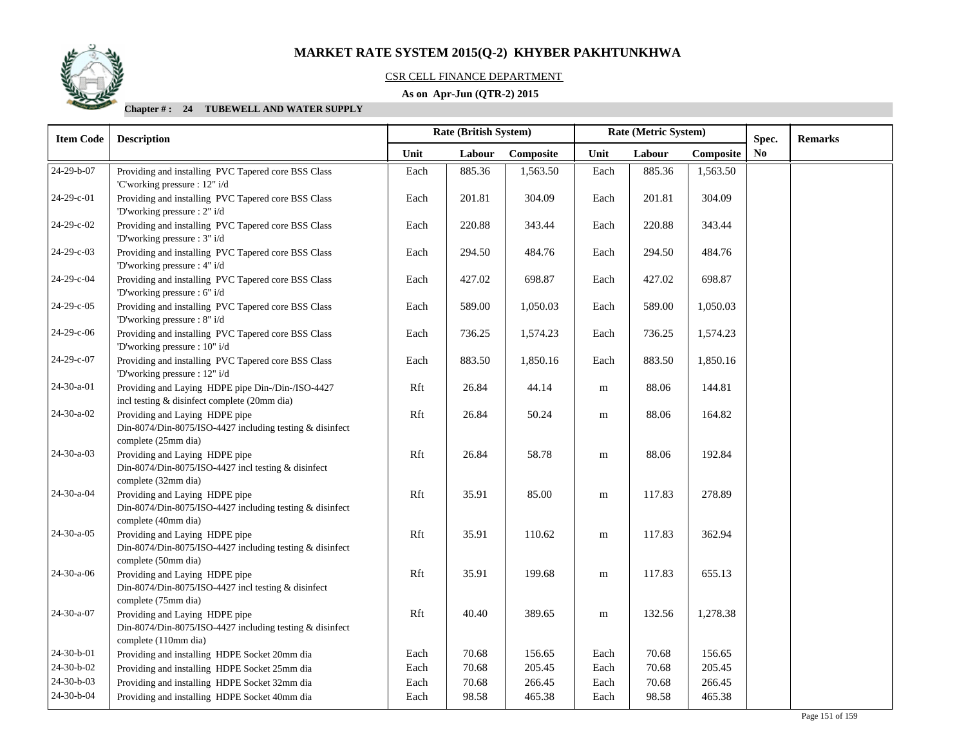

# CSR CELL FINANCE DEPARTMENT

# **As on Apr-Jun (QTR-2) 2015**

| <b>Item Code</b> | <b>Description</b>                                                                                                 |      | Rate (British System)<br>Rate (Metric System) |           |           |        | Spec.     | <b>Remarks</b> |  |
|------------------|--------------------------------------------------------------------------------------------------------------------|------|-----------------------------------------------|-----------|-----------|--------|-----------|----------------|--|
|                  |                                                                                                                    | Unit | Labour                                        | Composite | Unit      | Labour | Composite | N <sub>0</sub> |  |
| 24-29-b-07       | Providing and installing PVC Tapered core BSS Class<br>'C'working pressure : 12" i/d                               | Each | 885.36                                        | 1,563.50  | Each      | 885.36 | 1,563.50  |                |  |
| 24-29-c-01       | Providing and installing PVC Tapered core BSS Class<br>'D'working pressure : 2" i/d                                | Each | 201.81                                        | 304.09    | Each      | 201.81 | 304.09    |                |  |
| 24-29-c-02       | Providing and installing PVC Tapered core BSS Class<br>'D'working pressure : 3" i/d                                | Each | 220.88                                        | 343.44    | Each      | 220.88 | 343.44    |                |  |
| 24-29-c-03       | Providing and installing PVC Tapered core BSS Class<br>'D'working pressure : 4" i/d                                | Each | 294.50                                        | 484.76    | Each      | 294.50 | 484.76    |                |  |
| 24-29-c-04       | Providing and installing PVC Tapered core BSS Class<br>'D'working pressure : 6" i/d                                | Each | 427.02                                        | 698.87    | Each      | 427.02 | 698.87    |                |  |
| 24-29-c-05       | Providing and installing PVC Tapered core BSS Class<br>'D'working pressure : 8" i/d                                | Each | 589.00                                        | 1,050.03  | Each      | 589.00 | 1,050.03  |                |  |
| 24-29-c-06       | Providing and installing PVC Tapered core BSS Class<br>'D'working pressure : 10" i/d                               | Each | 736.25                                        | 1,574.23  | Each      | 736.25 | 1,574.23  |                |  |
| 24-29-c-07       | Providing and installing PVC Tapered core BSS Class<br>'D'working pressure : 12" i/d                               | Each | 883.50                                        | 1,850.16  | Each      | 883.50 | 1,850.16  |                |  |
| 24-30-a-01       | Providing and Laying HDPE pipe Din-/Din-/ISO-4427<br>incl testing & disinfect complete (20mm dia)                  | Rft  | 26.84                                         | 44.14     | ${\bf m}$ | 88.06  | 144.81    |                |  |
| $24-30-a-02$     | Providing and Laying HDPE pipe<br>Din-8074/Din-8075/ISO-4427 including testing & disinfect<br>complete (25mm dia)  | Rft  | 26.84                                         | 50.24     | ${\bf m}$ | 88.06  | 164.82    |                |  |
| $24-30-a-03$     | Providing and Laying HDPE pipe<br>Din-8074/Din-8075/ISO-4427 incl testing & disinfect<br>complete (32mm dia)       | Rft  | 26.84                                         | 58.78     | ${\bf m}$ | 88.06  | 192.84    |                |  |
| 24-30-a-04       | Providing and Laying HDPE pipe<br>Din-8074/Din-8075/ISO-4427 including testing & disinfect<br>complete (40mm dia)  | Rft  | 35.91                                         | 85.00     | ${\bf m}$ | 117.83 | 278.89    |                |  |
| $24-30-a-05$     | Providing and Laying HDPE pipe<br>Din-8074/Din-8075/ISO-4427 including testing & disinfect<br>complete (50mm dia)  | Rft  | 35.91                                         | 110.62    | m         | 117.83 | 362.94    |                |  |
| $24-30-a-06$     | Providing and Laying HDPE pipe<br>Din-8074/Din-8075/ISO-4427 incl testing & disinfect<br>complete (75mm dia)       | Rft  | 35.91                                         | 199.68    | ${\bf m}$ | 117.83 | 655.13    |                |  |
| 24-30-a-07       | Providing and Laying HDPE pipe<br>Din-8074/Din-8075/ISO-4427 including testing & disinfect<br>complete (110mm dia) | Rft  | 40.40                                         | 389.65    | ${\bf m}$ | 132.56 | 1,278.38  |                |  |
| 24-30-b-01       | Providing and installing HDPE Socket 20mm dia                                                                      | Each | 70.68                                         | 156.65    | Each      | 70.68  | 156.65    |                |  |
| 24-30-b-02       | Providing and installing HDPE Socket 25mm dia                                                                      | Each | 70.68                                         | 205.45    | Each      | 70.68  | 205.45    |                |  |
| 24-30-b-03       | Providing and installing HDPE Socket 32mm dia                                                                      | Each | 70.68                                         | 266.45    | Each      | 70.68  | 266.45    |                |  |
| 24-30-b-04       | Providing and installing HDPE Socket 40mm dia                                                                      | Each | 98.58                                         | 465.38    | Each      | 98.58  | 465.38    |                |  |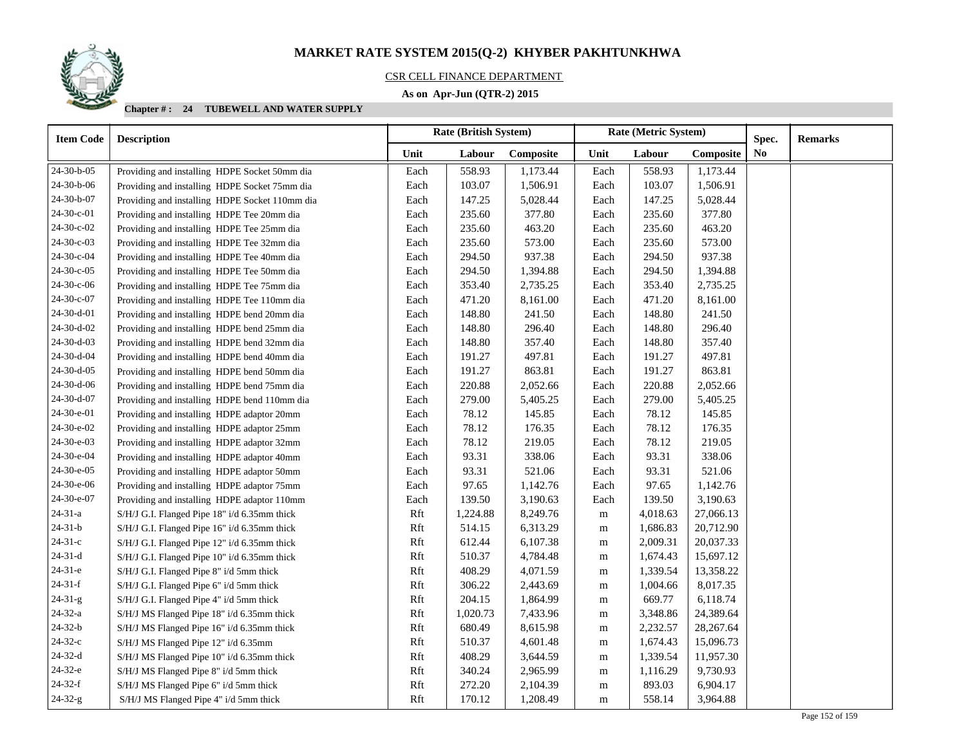

# CSR CELL FINANCE DEPARTMENT

# **As on Apr-Jun (QTR-2) 2015**

| <b>Item Code</b> | <b>Description</b>                             |      | <b>Rate (British System)</b> |           | Rate (Metric System) |          |             | Spec.          | <b>Remarks</b> |
|------------------|------------------------------------------------|------|------------------------------|-----------|----------------------|----------|-------------|----------------|----------------|
|                  |                                                | Unit | Labour                       | Composite | Unit                 | Labour   | Composite   | N <sub>0</sub> |                |
| 24-30-b-05       | Providing and installing HDPE Socket 50mm dia  | Each | 558.93                       | 1,173.44  | Each                 | 558.93   | 1,173.44    |                |                |
| 24-30-b-06       | Providing and installing HDPE Socket 75mm dia  | Each | 103.07                       | 1,506.91  | Each                 | 103.07   | 1,506.91    |                |                |
| 24-30-b-07       | Providing and installing HDPE Socket 110mm dia | Each | 147.25                       | 5,028.44  | Each                 | 147.25   | 5,028.44    |                |                |
| 24-30-c-01       | Providing and installing HDPE Tee 20mm dia     | Each | 235.60                       | 377.80    | Each                 | 235.60   | 377.80      |                |                |
| 24-30-c-02       | Providing and installing HDPE Tee 25mm dia     | Each | 235.60                       | 463.20    | Each                 | 235.60   | 463.20      |                |                |
| 24-30-c-03       | Providing and installing HDPE Tee 32mm dia     | Each | 235.60                       | 573.00    | Each                 | 235.60   | 573.00      |                |                |
| 24-30-c-04       | Providing and installing HDPE Tee 40mm dia     | Each | 294.50                       | 937.38    | Each                 | 294.50   | 937.38      |                |                |
| 24-30-c-05       | Providing and installing HDPE Tee 50mm dia     | Each | 294.50                       | 1,394.88  | Each                 | 294.50   | 1,394.88    |                |                |
| 24-30-c-06       | Providing and installing HDPE Tee 75mm dia     | Each | 353.40                       | 2,735.25  | Each                 | 353.40   | 2,735.25    |                |                |
| 24-30-c-07       | Providing and installing HDPE Tee 110mm dia    | Each | 471.20                       | 8,161.00  | Each                 | 471.20   | 8,161.00    |                |                |
| 24-30-d-01       | Providing and installing HDPE bend 20mm dia    | Each | 148.80                       | 241.50    | Each                 | 148.80   | 241.50      |                |                |
| 24-30-d-02       | Providing and installing HDPE bend 25mm dia    | Each | 148.80                       | 296.40    | Each                 | 148.80   | 296.40      |                |                |
| 24-30-d-03       | Providing and installing HDPE bend 32mm dia    | Each | 148.80                       | 357.40    | Each                 | 148.80   | 357.40      |                |                |
| 24-30-d-04       | Providing and installing HDPE bend 40mm dia    | Each | 191.27                       | 497.81    | Each                 | 191.27   | 497.81      |                |                |
| $24-30-d-05$     | Providing and installing HDPE bend 50mm dia    | Each | 191.27                       | 863.81    | Each                 | 191.27   | 863.81      |                |                |
| 24-30-d-06       | Providing and installing HDPE bend 75mm dia    | Each | 220.88                       | 2,052.66  | Each                 | 220.88   | 2,052.66    |                |                |
| 24-30-d-07       | Providing and installing HDPE bend 110mm dia   | Each | 279.00                       | 5,405.25  | Each                 | 279.00   | 5,405.25    |                |                |
| 24-30-e-01       | Providing and installing HDPE adaptor 20mm     | Each | 78.12                        | 145.85    | Each                 | 78.12    | 145.85      |                |                |
| 24-30-e-02       | Providing and installing HDPE adaptor 25mm     | Each | 78.12                        | 176.35    | Each                 | 78.12    | 176.35      |                |                |
| 24-30-e-03       | Providing and installing HDPE adaptor 32mm     | Each | 78.12                        | 219.05    | Each                 | 78.12    | 219.05      |                |                |
| 24-30-e-04       | Providing and installing HDPE adaptor 40mm     | Each | 93.31                        | 338.06    | Each                 | 93.31    | 338.06      |                |                |
| 24-30-e-05       | Providing and installing HDPE adaptor 50mm     | Each | 93.31                        | 521.06    | Each                 | 93.31    | 521.06      |                |                |
| 24-30-e-06       | Providing and installing HDPE adaptor 75mm     | Each | 97.65                        | 1,142.76  | Each                 | 97.65    | 1,142.76    |                |                |
| 24-30-e-07       | Providing and installing HDPE adaptor 110mm    | Each | 139.50                       | 3,190.63  | Each                 | 139.50   | 3,190.63    |                |                |
| $24 - 31 - a$    | S/H/J G.I. Flanged Pipe 18" i/d 6.35mm thick   | Rft  | 1,224.88                     | 8,249.76  | m                    | 4,018.63 | 27,066.13   |                |                |
| $24 - 31 - b$    | S/H/J G.I. Flanged Pipe 16" i/d 6.35mm thick   | Rft  | 514.15                       | 6,313.29  | m                    | 1,686.83 | 20,712.90   |                |                |
| $24 - 31 - c$    | S/H/J G.I. Flanged Pipe 12" i/d 6.35mm thick   | Rft  | 612.44                       | 6,107.38  | m                    | 2,009.31 | 20,037.33   |                |                |
| $24 - 31 - d$    | S/H/J G.I. Flanged Pipe 10" i/d 6.35mm thick   | Rft  | 510.37                       | 4,784.48  | m                    | 1,674.43 | 15,697.12   |                |                |
| $24-31-e$        | S/H/J G.I. Flanged Pipe 8" i/d 5mm thick       | Rft  | 408.29                       | 4,071.59  | m                    | 1,339.54 | 13,358.22   |                |                |
| $24-31-f$        | S/H/J G.I. Flanged Pipe 6" i/d 5mm thick       | Rft  | 306.22                       | 2,443.69  | m                    | 1,004.66 | 8,017.35    |                |                |
| $24 - 31 - g$    | S/H/J G.I. Flanged Pipe 4" i/d 5mm thick       | Rft  | 204.15                       | 1,864.99  | m                    | 669.77   | 6,118.74    |                |                |
| $24 - 32 - a$    | S/H/J MS Flanged Pipe 18" i/d 6.35mm thick     | Rft  | 1,020.73                     | 7,433.96  | m                    | 3,348.86 | 24,389.64   |                |                |
| $24 - 32 - b$    | S/H/J MS Flanged Pipe 16" i/d 6.35mm thick     | Rft  | 680.49                       | 8,615.98  | m                    | 2,232.57 | 28, 267. 64 |                |                |
| $24-32-c$        | S/H/J MS Flanged Pipe 12" i/d 6.35mm           | Rft  | 510.37                       | 4,601.48  | m                    | 1,674.43 | 15,096.73   |                |                |
| $24-32-d$        | S/H/J MS Flanged Pipe 10" i/d 6.35mm thick     | Rft  | 408.29                       | 3,644.59  | m                    | 1,339.54 | 11,957.30   |                |                |
| 24-32-е          | S/H/J MS Flanged Pipe 8" i/d 5mm thick         | Rft  | 340.24                       | 2,965.99  | m                    | 1,116.29 | 9,730.93    |                |                |
| $24-32-f$        | S/H/J MS Flanged Pipe 6" i/d 5mm thick         | Rft  | 272.20                       | 2,104.39  | m                    | 893.03   | 6,904.17    |                |                |
| $24 - 32 - g$    | S/H/J MS Flanged Pipe 4" i/d 5mm thick         | Rft  | 170.12                       | 1,208.49  | ${\bf m}$            | 558.14   | 3,964.88    |                |                |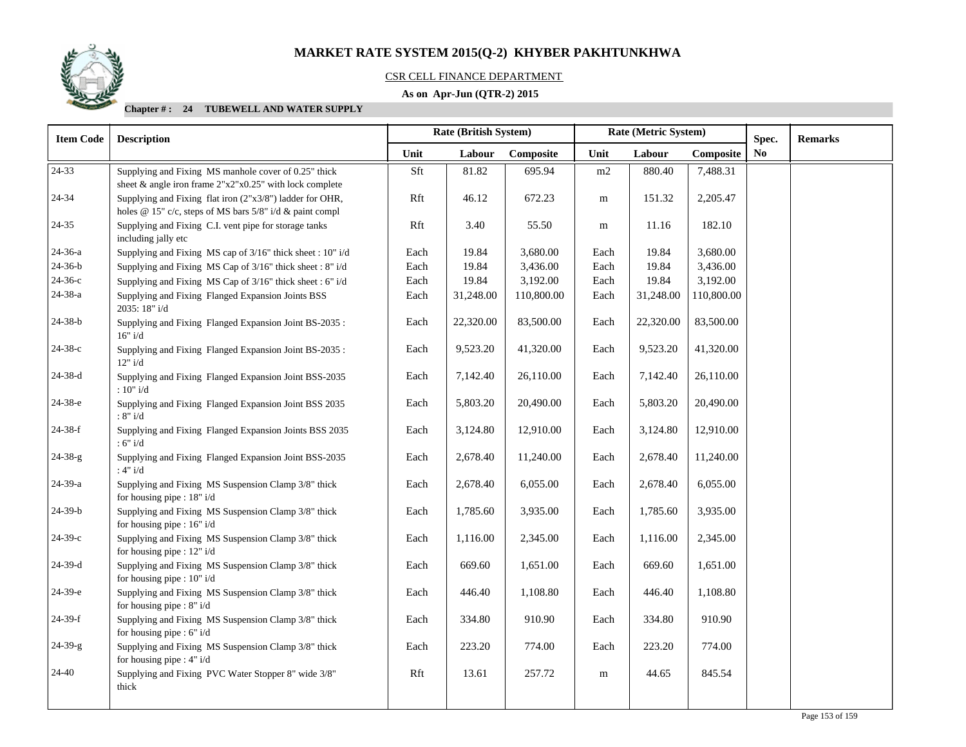

# CSR CELL FINANCE DEPARTMENT

# **As on Apr-Jun (QTR-2) 2015**

| <b>Item Code</b> | <b>Description</b>                                                                                                   |      | Rate (British System) |                |           | Rate (Metric System) | Spec.      | <b>Remarks</b> |  |
|------------------|----------------------------------------------------------------------------------------------------------------------|------|-----------------------|----------------|-----------|----------------------|------------|----------------|--|
|                  | Unit<br>Unit<br>Labour<br>Composite<br>Labour                                                                        |      | Composite             | N <sub>0</sub> |           |                      |            |                |  |
| 24-33            | Supplying and Fixing MS manhole cover of 0.25" thick<br>sheet & angle iron frame $2"x2"x0.25"$ with lock complete    | Sft  | 81.82                 | 695.94         | m2        | 880.40               | 7,488.31   |                |  |
| 24-34            | Supplying and Fixing flat iron (2"x3/8") ladder for OHR,<br>holes @ 15" c/c, steps of MS bars 5/8" i/d & paint compl | Rft  | 46.12                 | 672.23         | m         | 151.32               | 2,205.47   |                |  |
| 24-35            | Supplying and Fixing C.I. vent pipe for storage tanks<br>including jally etc                                         | Rft  | 3.40                  | 55.50          | m         | 11.16                | 182.10     |                |  |
| $24 - 36 - a$    | Supplying and Fixing MS cap of 3/16" thick sheet : 10" i/d                                                           | Each | 19.84                 | 3,680.00       | Each      | 19.84                | 3,680.00   |                |  |
| $24 - 36 - b$    | Supplying and Fixing MS Cap of 3/16" thick sheet : 8" i/d                                                            | Each | 19.84                 | 3,436.00       | Each      | 19.84                | 3,436.00   |                |  |
| 24-36-с          | Supplying and Fixing MS Cap of 3/16" thick sheet: 6" i/d                                                             | Each | 19.84                 | 3,192.00       | Each      | 19.84                | 3,192.00   |                |  |
| 24-38-a          | Supplying and Fixing Flanged Expansion Joints BSS<br>2035: 18" i/d                                                   | Each | 31,248.00             | 110,800.00     | Each      | 31,248.00            | 110,800.00 |                |  |
| $24 - 38 - b$    | Supplying and Fixing Flanged Expansion Joint BS-2035:<br>16" i/d                                                     | Each | 22,320.00             | 83,500.00      | Each      | 22,320.00            | 83,500.00  |                |  |
| 24-38-с          | Supplying and Fixing Flanged Expansion Joint BS-2035:<br>12" i/d                                                     | Each | 9,523.20              | 41,320.00      | Each      | 9,523.20             | 41,320.00  |                |  |
| 24-38-d          | Supplying and Fixing Flanged Expansion Joint BSS-2035<br>: $10"$ i/d                                                 | Each | 7,142.40              | 26,110.00      | Each      | 7,142.40             | 26,110.00  |                |  |
| 24-38-е          | Supplying and Fixing Flanged Expansion Joint BSS 2035<br>:8"i/d                                                      | Each | 5,803.20              | 20,490.00      | Each      | 5,803.20             | 20,490.00  |                |  |
| $24-38-f$        | Supplying and Fixing Flanged Expansion Joints BSS 2035<br>:6"i/d                                                     | Each | 3,124.80              | 12,910.00      | Each      | 3,124.80             | 12,910.00  |                |  |
| $24 - 38 - g$    | Supplying and Fixing Flanged Expansion Joint BSS-2035<br>:4"i/d                                                      | Each | 2,678.40              | 11,240.00      | Each      | 2,678.40             | 11,240.00  |                |  |
| 24-39-a          | Supplying and Fixing MS Suspension Clamp 3/8" thick<br>for housing pipe : 18" i/d                                    | Each | 2,678.40              | 6,055.00       | Each      | 2,678.40             | 6,055.00   |                |  |
| 24-39-b          | Supplying and Fixing MS Suspension Clamp 3/8" thick<br>for housing pipe : 16" i/d                                    | Each | 1,785.60              | 3,935.00       | Each      | 1,785.60             | 3,935.00   |                |  |
| 24-39-с          | Supplying and Fixing MS Suspension Clamp 3/8" thick<br>for housing pipe : 12" i/d                                    | Each | 1,116.00              | 2,345.00       | Each      | 1,116.00             | 2,345.00   |                |  |
| $24-39-d$        | Supplying and Fixing MS Suspension Clamp 3/8" thick<br>for housing pipe : $10" i/d$                                  | Each | 669.60                | 1,651.00       | Each      | 669.60               | 1,651.00   |                |  |
| 24-39-е          | Supplying and Fixing MS Suspension Clamp 3/8" thick<br>for housing pipe : 8" i/d                                     | Each | 446.40                | 1,108.80       | Each      | 446.40               | 1,108.80   |                |  |
| $24-39-f$        | Supplying and Fixing MS Suspension Clamp 3/8" thick<br>for housing pipe : 6" i/d                                     | Each | 334.80                | 910.90         | Each      | 334.80               | 910.90     |                |  |
| 24-39-g          | Supplying and Fixing MS Suspension Clamp 3/8" thick<br>for housing pipe : $4" i/d$                                   | Each | 223.20                | 774.00         | Each      | 223.20               | 774.00     |                |  |
| 24-40            | Supplying and Fixing PVC Water Stopper 8" wide 3/8"<br>thick                                                         | Rft  | 13.61                 | 257.72         | ${\bf m}$ | 44.65                | 845.54     |                |  |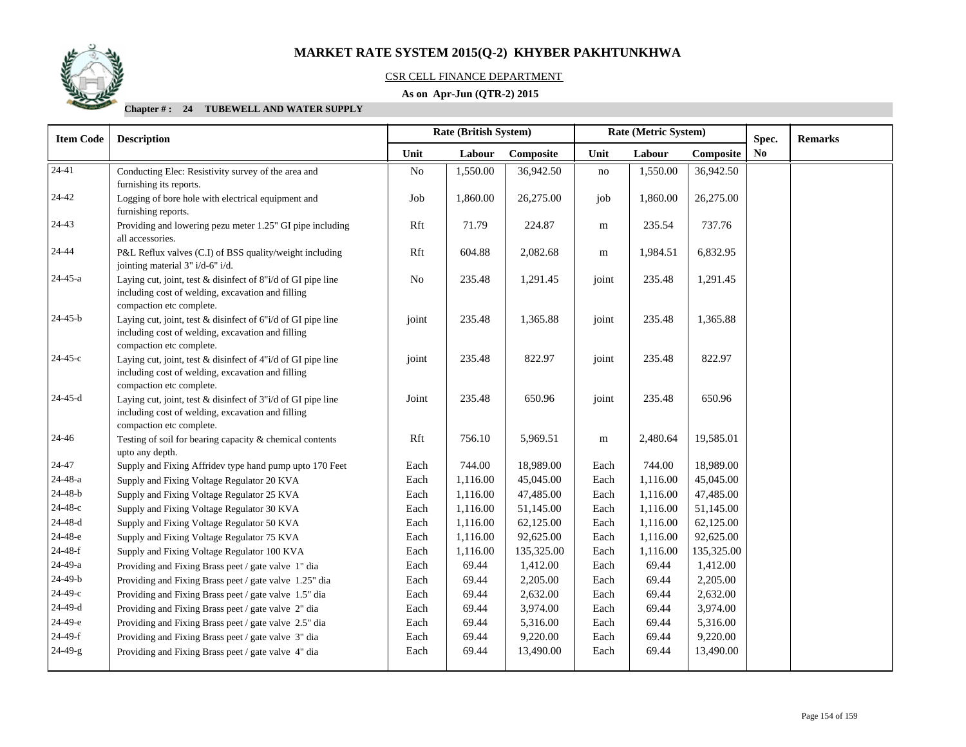

# CSR CELL FINANCE DEPARTMENT

# **As on Apr-Jun (QTR-2) 2015**

| <b>Item Code</b> | <b>Description</b>                                                                                                                                |          | <b>Rate (British System)</b> |            | Rate (Metric System) |          |            | Spec.     | <b>Remarks</b> |
|------------------|---------------------------------------------------------------------------------------------------------------------------------------------------|----------|------------------------------|------------|----------------------|----------|------------|-----------|----------------|
|                  |                                                                                                                                                   | Unit     | Labour                       | Composite  | Unit                 | Labour   | Composite  | <b>No</b> |                |
| $24-41$          | Conducting Elec: Resistivity survey of the area and<br>furnishing its reports.                                                                    | No       | 1,550.00                     | 36,942.50  | no                   | 1,550.00 | 36,942.50  |           |                |
| 24-42            | Logging of bore hole with electrical equipment and<br>furnishing reports.                                                                         | Job      | 1,860.00                     | 26,275.00  | job                  | 1,860.00 | 26,275.00  |           |                |
| 24-43            | Providing and lowering pezu meter 1.25" GI pipe including<br>all accessories.                                                                     | Rft      | 71.79                        | 224.87     | m                    | 235.54   | 737.76     |           |                |
| 24-44            | P&L Reflux valves (C.I) of BSS quality/weight including<br>jointing material 3" i/d-6" i/d.                                                       | Rft      | 604.88                       | 2,082.68   | m                    | 1,984.51 | 6,832.95   |           |                |
| 24-45-a          | Laying cut, joint, test & disinfect of 8"i/d of GI pipe line<br>including cost of welding, excavation and filling<br>compaction etc complete.     | $\rm No$ | 235.48                       | 1,291.45   | joint                | 235.48   | 1,291.45   |           |                |
| $24 - 45 - b$    | Laying cut, joint, test & disinfect of 6"i/d of GI pipe line<br>including cost of welding, excavation and filling<br>compaction etc complete.     | joint    | 235.48                       | 1,365.88   | joint                | 235.48   | 1,365.88   |           |                |
| $24 - 45 - c$    | Laying cut, joint, test $&$ disinfect of $4"i/d$ of GI pipe line<br>including cost of welding, excavation and filling<br>compaction etc complete. | joint    | 235.48                       | 822.97     | joint                | 235.48   | 822.97     |           |                |
| 24-45-d          | Laying cut, joint, test & disinfect of 3"i/d of GI pipe line<br>including cost of welding, excavation and filling<br>compaction etc complete.     | Joint    | 235.48                       | 650.96     | joint                | 235.48   | 650.96     |           |                |
| 24-46            | Testing of soil for bearing capacity & chemical contents<br>upto any depth.                                                                       | Rft      | 756.10                       | 5,969.51   | m                    | 2,480.64 | 19,585.01  |           |                |
| 24-47            | Supply and Fixing Affridev type hand pump upto 170 Feet                                                                                           | Each     | 744.00                       | 18,989.00  | Each                 | 744.00   | 18,989.00  |           |                |
| 24-48-a          | Supply and Fixing Voltage Regulator 20 KVA                                                                                                        | Each     | 1,116.00                     | 45,045.00  | Each                 | 1,116.00 | 45,045.00  |           |                |
| 24-48-b          | Supply and Fixing Voltage Regulator 25 KVA                                                                                                        | Each     | 1,116.00                     | 47,485.00  | Each                 | 1,116.00 | 47,485.00  |           |                |
| 24-48-с          | Supply and Fixing Voltage Regulator 30 KVA                                                                                                        | Each     | 1,116.00                     | 51,145.00  | Each                 | 1,116.00 | 51,145.00  |           |                |
| $24 - 48 - d$    | Supply and Fixing Voltage Regulator 50 KVA                                                                                                        | Each     | 1,116.00                     | 62,125.00  | Each                 | 1,116.00 | 62,125.00  |           |                |
| 24-48-е          | Supply and Fixing Voltage Regulator 75 KVA                                                                                                        | Each     | 1,116.00                     | 92,625.00  | Each                 | 1,116.00 | 92,625.00  |           |                |
| $24-48-f$        | Supply and Fixing Voltage Regulator 100 KVA                                                                                                       | Each     | 1,116.00                     | 135,325.00 | Each                 | 1,116.00 | 135,325.00 |           |                |
| 24-49-a          | Providing and Fixing Brass peet / gate valve 1" dia                                                                                               | Each     | 69.44                        | 1,412.00   | Each                 | 69.44    | 1,412.00   |           |                |
| $24-49-b$        | Providing and Fixing Brass peet / gate valve 1.25" dia                                                                                            | Each     | 69.44                        | 2,205.00   | Each                 | 69.44    | 2,205.00   |           |                |
| 24-49-с          | Providing and Fixing Brass peet / gate valve 1.5" dia                                                                                             | Each     | 69.44                        | 2,632.00   | Each                 | 69.44    | 2,632.00   |           |                |
| $24-49-d$        | Providing and Fixing Brass peet / gate valve 2" dia                                                                                               | Each     | 69.44                        | 3,974.00   | Each                 | 69.44    | 3,974.00   |           |                |
| 24-49-е          | Providing and Fixing Brass peet / gate valve 2.5" dia                                                                                             | Each     | 69.44                        | 5,316.00   | Each                 | 69.44    | 5,316.00   |           |                |
| $24-49-f$        | Providing and Fixing Brass peet / gate valve 3" dia                                                                                               | Each     | 69.44                        | 9,220.00   | Each                 | 69.44    | 9,220.00   |           |                |
| $24 - 49 - g$    | Providing and Fixing Brass peet / gate valve 4" dia                                                                                               | Each     | 69.44                        | 13,490.00  | Each                 | 69.44    | 13,490.00  |           |                |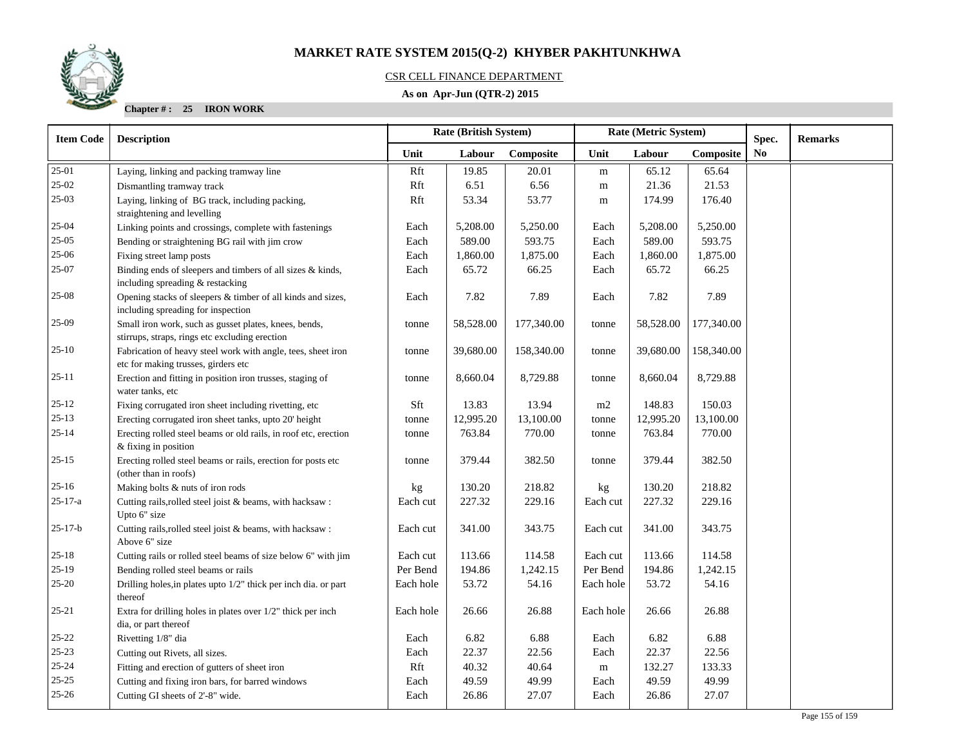# CSR CELL FINANCE DEPARTMENT

# **As on Apr-Jun (QTR-2) 2015**

**Chapter # : 25 IRON WORK**

| <b>Item Code</b> | <b>Description</b>                                                                                                                                                                |           | <b>Rate (British System)</b> |               | Rate (Metric System) |           |            | Spec.          | <b>Remarks</b> |
|------------------|-----------------------------------------------------------------------------------------------------------------------------------------------------------------------------------|-----------|------------------------------|---------------|----------------------|-----------|------------|----------------|----------------|
|                  |                                                                                                                                                                                   | Unit      | Labour                       | Composite     | Unit                 | Labour    | Composite  | N <sub>0</sub> |                |
| 25-01            | Laying, linking and packing tramway line                                                                                                                                          | Rft       | 19.85                        | 20.01         | m                    | 65.12     | 65.64      |                |                |
| $25-02$          | Dismantling tramway track                                                                                                                                                         | Rft       | 6.51                         | 6.56          | ${\rm m}$            | 21.36     | 21.53      |                |                |
| $25-03$          | Laying, linking of BG track, including packing,                                                                                                                                   | Rft       | 53.34                        | 53.77         | m                    | 174.99    | 176.40     |                |                |
|                  | straightening and levelling                                                                                                                                                       |           |                              |               |                      |           |            |                |                |
| $25 - 04$        | Linking points and crossings, complete with fastenings                                                                                                                            | Each      | 5,208.00                     | 5,250.00      | Each                 | 5,208.00  | 5,250.00   |                |                |
| $25-05$          | Bending or straightening BG rail with jim crow                                                                                                                                    | Each      | 589.00                       | 593.75        | Each                 | 589.00    | 593.75     |                |                |
| $25 - 06$        | Fixing street lamp posts                                                                                                                                                          | Each      | 1,860.00                     | 1,875.00      | Each                 | 1,860.00  | 1,875.00   |                |                |
| 25-07            | Binding ends of sleepers and timbers of all sizes & kinds,<br>including spreading & restacking                                                                                    | Each      | 65.72                        | 66.25         | Each                 | 65.72     | 66.25      |                |                |
| $25-08$          | Opening stacks of sleepers & timber of all kinds and sizes,<br>including spreading for inspection                                                                                 | Each      | 7.82                         | 7.89          | Each                 | 7.82      | 7.89       |                |                |
| 25-09            | Small iron work, such as gusset plates, knees, bends,<br>stirrups, straps, rings etc excluding erection                                                                           | tonne     | 58,528.00                    | 177,340.00    | tonne                | 58,528.00 | 177,340.00 |                |                |
| $25 - 10$        | Fabrication of heavy steel work with angle, tees, sheet iron<br>etc for making trusses, girders etc                                                                               | tonne     | 39,680.00                    | 158,340.00    | tonne                | 39,680.00 | 158,340.00 |                |                |
| $25 - 11$        | Erection and fitting in position iron trusses, staging of<br>water tanks, etc                                                                                                     | tonne     | 8,660.04                     | 8,729.88      | tonne                | 8,660.04  | 8,729.88   |                |                |
| $25 - 12$        | Fixing corrugated iron sheet including rivetting, etc                                                                                                                             | Sft       | 13.83                        | 13.94         | m2                   | 148.83    | 150.03     |                |                |
| $25 - 13$        | Erecting corrugated iron sheet tanks, upto 20' height                                                                                                                             | tonne     | 12,995.20                    | 13,100.00     | tonne                | 12,995.20 | 13,100.00  |                |                |
| $25 - 14$        | Erecting rolled steel beams or old rails, in roof etc, erection<br>$&$ fixing in position                                                                                         | tonne     | 763.84                       | 770.00        | tonne                | 763.84    | 770.00     |                |                |
| $25 - 15$        | Erecting rolled steel beams or rails, erection for posts etc<br>(other than in roofs)                                                                                             | tonne     | 379.44                       | 382.50        | tonne                | 379.44    | 382.50     |                |                |
| $25 - 16$        | Making bolts & nuts of iron rods                                                                                                                                                  | kg        | 130.20                       | 218.82        | kg                   | 130.20    | 218.82     |                |                |
| $25 - 17 - a$    | Cutting rails, rolled steel joist & beams, with hacksaw:<br>Upto 6" size                                                                                                          | Each cut  | 227.32                       | 229.16        | Each cut             | 227.32    | 229.16     |                |                |
| $25 - 17 - b$    | Cutting rails, rolled steel joist & beams, with hacksaw :<br>Above 6" size                                                                                                        | Each cut  | 341.00                       | 343.75        | Each cut             | 341.00    | 343.75     |                |                |
| $25 - 18$        | Cutting rails or rolled steel beams of size below 6" with jim                                                                                                                     | Each cut  | 113.66                       | 114.58        | Each cut             | 113.66    | 114.58     |                |                |
| $25-19$          | Bending rolled steel beams or rails                                                                                                                                               | Per Bend  | 194.86                       | 1,242.15      | Per Bend             | 194.86    | 1,242.15   |                |                |
| $25 - 20$        | Drilling holes, in plates upto 1/2" thick per inch dia. or part<br>thereof                                                                                                        | Each hole | 53.72                        | 54.16         | Each hole            | 53.72     | 54.16      |                |                |
| $25 - 21$        | Extra for drilling holes in plates over $1/2$ " thick per inch                                                                                                                    | Each hole | 26.66                        | 26.88         | Each hole            | 26.66     | 26.88      |                |                |
| $25 - 22$        |                                                                                                                                                                                   | Each      |                              |               | Each                 | 6.82      | 6.88       |                |                |
| $25 - 23$        |                                                                                                                                                                                   |           |                              |               |                      |           |            |                |                |
| $25 - 24$        |                                                                                                                                                                                   | Rft       | 40.32                        | 40.64         | m                    | 132.27    | 133.33     |                |                |
| $25 - 25$        |                                                                                                                                                                                   | Each      | 49.59                        | 49.99         | Each                 | 49.59     | 49.99      |                |                |
| $25 - 26$        | Cutting GI sheets of 2'-8" wide.                                                                                                                                                  | Each      | 26.86                        | 27.07         | Each                 | 26.86     | 27.07      |                |                |
|                  | dia, or part thereof<br>Rivetting 1/8" dia<br>Cutting out Rivets, all sizes.<br>Fitting and erection of gutters of sheet iron<br>Cutting and fixing iron bars, for barred windows | Each      | 6.82<br>22.37                | 6.88<br>22.56 | Each                 | 22.37     | 22.56      |                |                |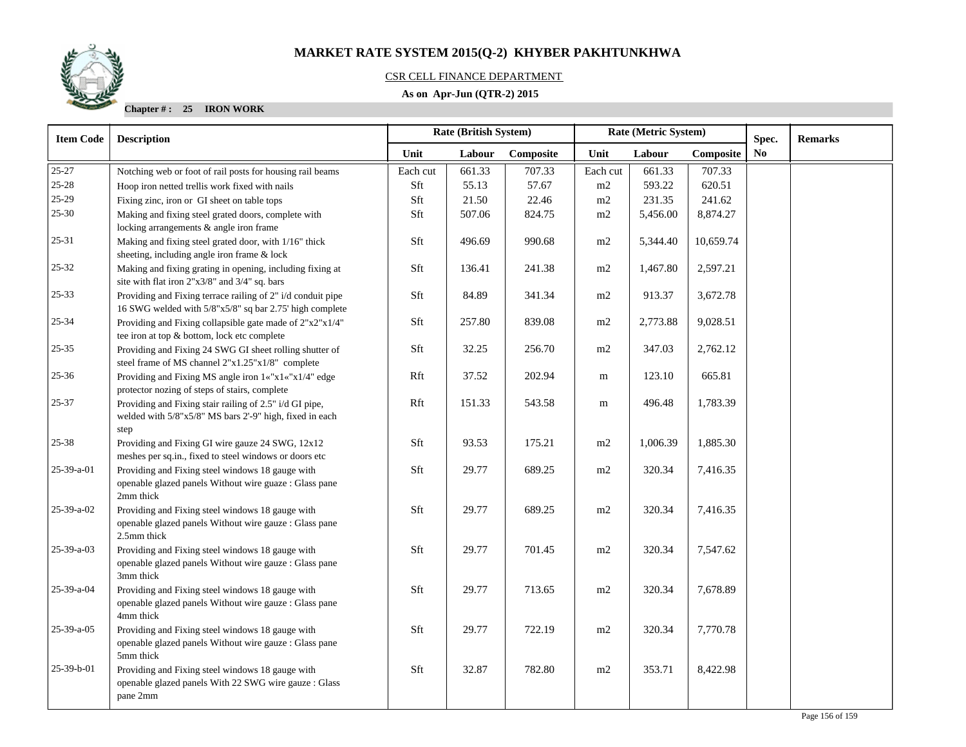# CSR CELL FINANCE DEPARTMENT

# **As on Apr-Jun (QTR-2) 2015**

**Chapter # : 25 IRON WORK**

| <b>Item Code</b>   | <b>Description</b>                                                                                                         | Rate (British System)<br>Rate (Metric System) |        |           |          |          | Spec.     | <b>Remarks</b> |  |
|--------------------|----------------------------------------------------------------------------------------------------------------------------|-----------------------------------------------|--------|-----------|----------|----------|-----------|----------------|--|
|                    |                                                                                                                            | Unit                                          | Labour | Composite | Unit     | Labour   | Composite | N <sub>0</sub> |  |
| $25 - 27$          | Notching web or foot of rail posts for housing rail beams                                                                  | Each cut                                      | 661.33 | 707.33    | Each cut | 661.33   | 707.33    |                |  |
| $25 - 28$          | Hoop iron netted trellis work fixed with nails                                                                             | Sft                                           | 55.13  | 57.67     | m2       | 593.22   | 620.51    |                |  |
| 25-29              | Fixing zinc, iron or GI sheet on table tops                                                                                | Sft                                           | 21.50  | 22.46     | m2       | 231.35   | 241.62    |                |  |
| $25 - 30$          | Making and fixing steel grated doors, complete with<br>locking arrangements & angle iron frame                             | Sft                                           | 507.06 | 824.75    | m2       | 5,456.00 | 8,874.27  |                |  |
| $25 - 31$          | Making and fixing steel grated door, with 1/16" thick<br>sheeting, including angle iron frame & lock                       | Sft                                           | 496.69 | 990.68    | m2       | 5,344.40 | 10,659.74 |                |  |
| $25 - 32$          | Making and fixing grating in opening, including fixing at<br>site with flat iron 2"x3/8" and 3/4" sq. bars                 | Sft                                           | 136.41 | 241.38    | $\rm m2$ | 1,467.80 | 2,597.21  |                |  |
| $25 - 33$          | Providing and Fixing terrace railing of 2" i/d conduit pipe<br>16 SWG welded with 5/8"x5/8" sq bar 2.75' high complete     | Sft                                           | 84.89  | 341.34    | m2       | 913.37   | 3,672.78  |                |  |
| $25 - 34$          | Providing and Fixing collapsible gate made of 2"x2"x1/4"<br>tee iron at top & bottom, lock etc complete                    | Sft                                           | 257.80 | 839.08    | m2       | 2,773.88 | 9,028.51  |                |  |
| $25 - 35$          | Providing and Fixing 24 SWG GI sheet rolling shutter of<br>steel frame of MS channel 2"x1.25"x1/8" complete                | Sft                                           | 32.25  | 256.70    | m2       | 347.03   | 2,762.12  |                |  |
| $25 - 36$          | Providing and Fixing MS angle iron 1«"x1«"x1/4" edge<br>protector nozing of steps of stairs, complete                      | Rft                                           | 37.52  | 202.94    | m        | 123.10   | 665.81    |                |  |
| $25 - 37$          | Providing and Fixing stair railing of 2.5" i/d GI pipe,<br>welded with 5/8"x5/8" MS bars 2'-9" high, fixed in each<br>step | Rft                                           | 151.33 | 543.58    | m        | 496.48   | 1,783.39  |                |  |
| $25 - 38$          | Providing and Fixing GI wire gauze 24 SWG, 12x12<br>meshes per sq.in., fixed to steel windows or doors etc                 | Sft                                           | 93.53  | 175.21    | m2       | 1,006.39 | 1,885.30  |                |  |
| 25-39-a-01         | Providing and Fixing steel windows 18 gauge with<br>openable glazed panels Without wire guaze : Glass pane<br>2mm thick    | Sft                                           | 29.77  | 689.25    | m2       | 320.34   | 7,416.35  |                |  |
| 25-39-a-02         | Providing and Fixing steel windows 18 gauge with<br>openable glazed panels Without wire gauze : Glass pane<br>2.5mm thick  | Sft                                           | 29.77  | 689.25    | m2       | 320.34   | 7,416.35  |                |  |
| 25-39-a-03         | Providing and Fixing steel windows 18 gauge with<br>openable glazed panels Without wire gauze : Glass pane<br>3mm thick    | Sft                                           | 29.77  | 701.45    | m2       | 320.34   | 7,547.62  |                |  |
| 25-39-a-04         | Providing and Fixing steel windows 18 gauge with<br>openable glazed panels Without wire gauze : Glass pane<br>4mm thick    | Sft                                           | 29.77  | 713.65    | m2       | 320.34   | 7,678.89  |                |  |
| $25 - 39 - a - 05$ | Providing and Fixing steel windows 18 gauge with<br>openable glazed panels Without wire gauze : Glass pane<br>5mm thick    | Sft                                           | 29.77  | 722.19    | m2       | 320.34   | 7,770.78  |                |  |
| 25-39-b-01         | Providing and Fixing steel windows 18 gauge with<br>openable glazed panels With 22 SWG wire gauze : Glass<br>pane 2mm      | Sft                                           | 32.87  | 782.80    | m2       | 353.71   | 8,422.98  |                |  |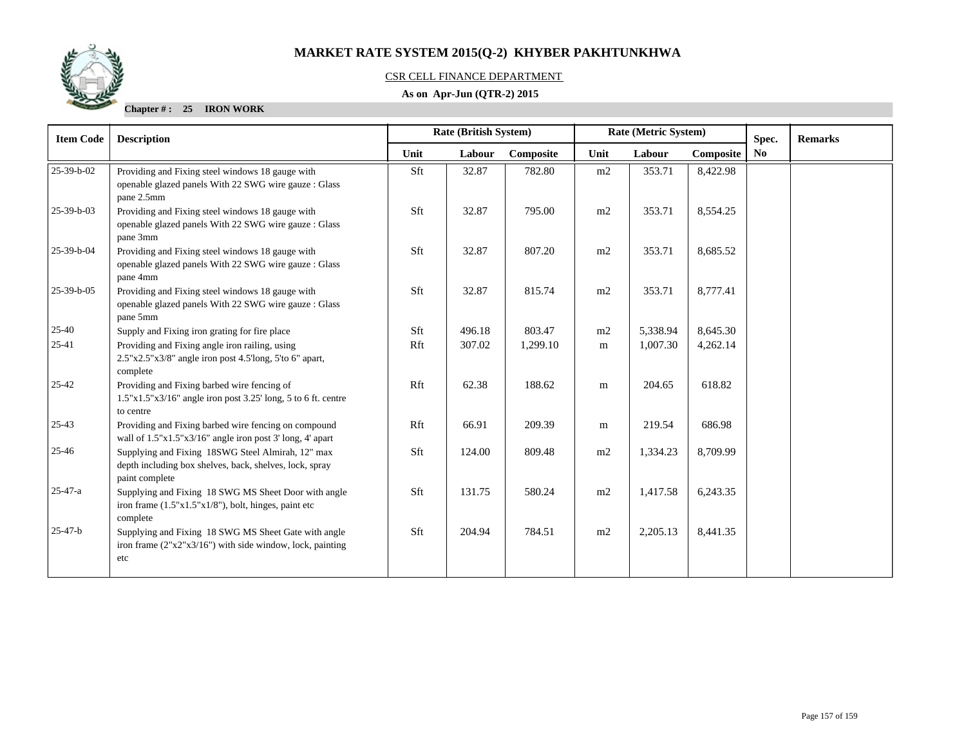

# CSR CELL FINANCE DEPARTMENT

# **As on Apr-Jun (QTR-2) 2015**

**Chapter # : 25 IRON WORK**

| <b>Item Code</b> | <b>Description</b>                                                                                                             | <b>Rate (British System)</b> |        |           | Rate (Metric System) |          |           | Spec. | <b>Remarks</b> |
|------------------|--------------------------------------------------------------------------------------------------------------------------------|------------------------------|--------|-----------|----------------------|----------|-----------|-------|----------------|
|                  |                                                                                                                                | Unit                         | Labour | Composite | Unit                 | Labour   | Composite | No    |                |
| 25-39-b-02       | Providing and Fixing steel windows 18 gauge with<br>openable glazed panels With 22 SWG wire gauze : Glass<br>pane 2.5mm        | Sft                          | 32.87  | 782.80    | m2                   | 353.71   | 8,422.98  |       |                |
| 25-39-b-03       | Providing and Fixing steel windows 18 gauge with<br>openable glazed panels With 22 SWG wire gauze : Glass<br>pane 3mm          | Sft                          | 32.87  | 795.00    | m2                   | 353.71   | 8,554.25  |       |                |
| 25-39-b-04       | Providing and Fixing steel windows 18 gauge with<br>openable glazed panels With 22 SWG wire gauze : Glass<br>pane 4mm          | Sft                          | 32.87  | 807.20    | m2                   | 353.71   | 8,685.52  |       |                |
| 25-39-b-05       | Providing and Fixing steel windows 18 gauge with<br>openable glazed panels With 22 SWG wire gauze : Glass<br>pane 5mm          | Sft                          | 32.87  | 815.74    | m2                   | 353.71   | 8,777.41  |       |                |
| $25 - 40$        | Supply and Fixing iron grating for fire place                                                                                  | Sft                          | 496.18 | 803.47    | m2                   | 5,338.94 | 8,645.30  |       |                |
| $25-41$          | Providing and Fixing angle iron railing, using<br>$2.5"x2.5"x3/8"$ angle iron post 4.5'long, 5'to 6" apart,<br>complete        | Rft                          | 307.02 | 1,299.10  | m                    | 1,007.30 | 4,262.14  |       |                |
| $25 - 42$        | Providing and Fixing barbed wire fencing of<br>$1.5"x1.5"x3/16"$ angle iron post 3.25' long, 5 to 6 ft. centre<br>to centre    | Rft                          | 62.38  | 188.62    | m                    | 204.65   | 618.82    |       |                |
| $25 - 43$        | Providing and Fixing barbed wire fencing on compound<br>wall of 1.5"x1.5"x3/16" angle iron post 3' long, 4' apart              | Rft                          | 66.91  | 209.39    | m                    | 219.54   | 686.98    |       |                |
| 25-46            | Supplying and Fixing 18SWG Steel Almirah, 12" max<br>depth including box shelves, back, shelves, lock, spray<br>paint complete | Sft                          | 124.00 | 809.48    | m2                   | 1,334.23 | 8,709.99  |       |                |
| $25 - 47 - a$    | Supplying and Fixing 18 SWG MS Sheet Door with angle<br>iron frame $(1.5"x1.5"x1/8")$ , bolt, hinges, paint etc<br>complete    | Sft                          | 131.75 | 580.24    | m2                   | 1,417.58 | 6,243.35  |       |                |
| $25 - 47 - b$    | Supplying and Fixing 18 SWG MS Sheet Gate with angle<br>iron frame $(2"x2"x3/16")$ with side window, lock, painting<br>etc     | Sft                          | 204.94 | 784.51    | m2                   | 2,205.13 | 8,441.35  |       |                |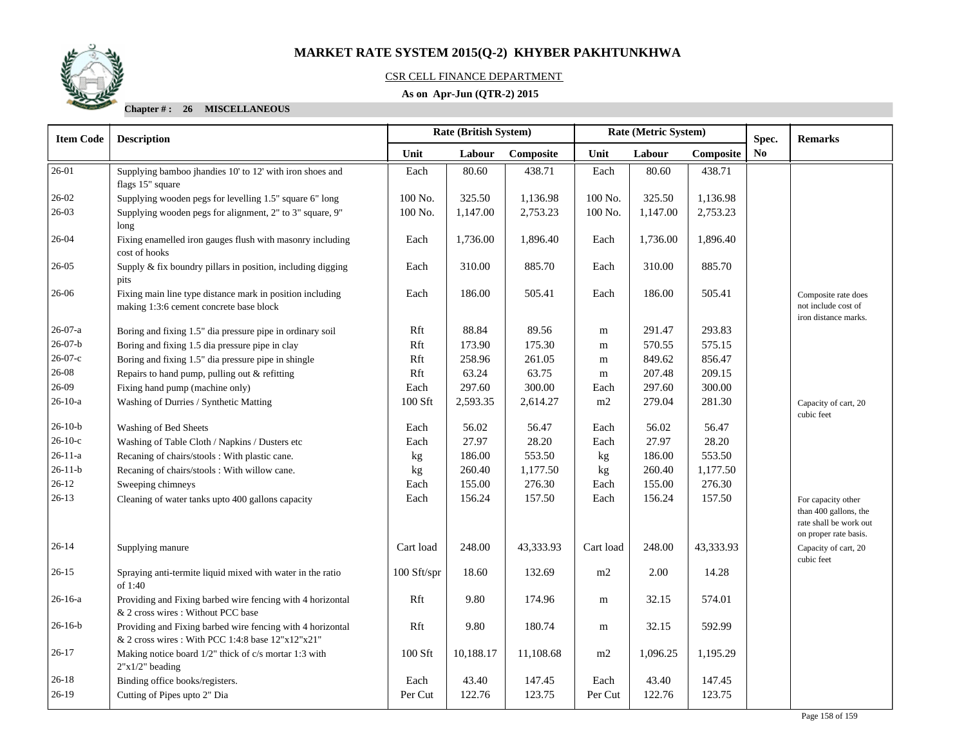

# CSR CELL FINANCE DEPARTMENT

# **As on Apr-Jun (QTR-2) 2015**

**Chapter # : 26 MISCELLANEOUS**

| <b>Item Code</b> | <b>Description</b>                                                                                               | Rate (British System) |           |           | Rate (Metric System) |          |           | Spec.                  | <b>Remarks</b>                                                                                 |
|------------------|------------------------------------------------------------------------------------------------------------------|-----------------------|-----------|-----------|----------------------|----------|-----------|------------------------|------------------------------------------------------------------------------------------------|
|                  |                                                                                                                  | Unit                  | Labour    | Composite | Unit                 | Labour   | Composite | $\mathbf{N}\mathbf{o}$ |                                                                                                |
| 26-01            | Supplying bamboo jhandies 10' to 12' with iron shoes and<br>flags 15" square                                     | Each                  | 80.60     | 438.71    | Each                 | 80.60    | 438.71    |                        |                                                                                                |
| $26 - 02$        | Supplying wooden pegs for levelling 1.5" square 6" long                                                          | 100 No.               | 325.50    | 1,136.98  | 100 No.              | 325.50   | 1,136.98  |                        |                                                                                                |
| $26-03$          | Supplying wooden pegs for alignment, 2" to 3" square, 9"<br>long                                                 | 100 No.               | 1,147.00  | 2,753.23  | 100 No.              | 1,147.00 | 2,753.23  |                        |                                                                                                |
| $26 - 04$        | Fixing enamelled iron gauges flush with masonry including<br>cost of hooks                                       | Each                  | 1,736.00  | 1,896.40  | Each                 | 1,736.00 | 1,896.40  |                        |                                                                                                |
| 26-05            | Supply & fix boundry pillars in position, including digging<br>pits                                              | Each                  | 310.00    | 885.70    | Each                 | 310.00   | 885.70    |                        |                                                                                                |
| 26-06            | Fixing main line type distance mark in position including<br>making 1:3:6 cement concrete base block             | Each                  | 186.00    | 505.41    | Each                 | 186.00   | 505.41    |                        | Composite rate does<br>not include cost of<br>iron distance marks.                             |
| $26-07-a$        | Boring and fixing 1.5" dia pressure pipe in ordinary soil                                                        | Rft                   | 88.84     | 89.56     | m                    | 291.47   | 293.83    |                        |                                                                                                |
| $26-07-b$        | Boring and fixing 1.5 dia pressure pipe in clay                                                                  | Rft                   | 173.90    | 175.30    | m                    | 570.55   | 575.15    |                        |                                                                                                |
| $26-07-c$        | Boring and fixing 1.5" dia pressure pipe in shingle                                                              | Rft                   | 258.96    | 261.05    | m                    | 849.62   | 856.47    |                        |                                                                                                |
| 26-08            | Repairs to hand pump, pulling out & refitting                                                                    | Rft                   | 63.24     | 63.75     | m                    | 207.48   | 209.15    |                        |                                                                                                |
| 26-09            | Fixing hand pump (machine only)                                                                                  | Each                  | 297.60    | 300.00    | Each                 | 297.60   | 300.00    |                        |                                                                                                |
| $26-10-a$        | Washing of Durries / Synthetic Matting                                                                           | 100 Sft               | 2,593.35  | 2,614.27  | m2                   | 279.04   | 281.30    |                        | Capacity of cart, 20<br>cubic feet                                                             |
| $26-10-b$        | Washing of Bed Sheets                                                                                            | Each                  | 56.02     | 56.47     | Each                 | 56.02    | 56.47     |                        |                                                                                                |
| $26-10-c$        | Washing of Table Cloth / Napkins / Dusters etc                                                                   | Each                  | 27.97     | 28.20     | Each                 | 27.97    | 28.20     |                        |                                                                                                |
| $26 - 11 - a$    | Recaning of chairs/stools: With plastic cane.                                                                    | kg                    | 186.00    | 553.50    | kg                   | 186.00   | 553.50    |                        |                                                                                                |
| $26 - 11 - b$    | Recaning of chairs/stools: With willow cane.                                                                     | kg                    | 260.40    | 1,177.50  | kg                   | 260.40   | 1,177.50  |                        |                                                                                                |
| $26 - 12$        | Sweeping chimneys                                                                                                | Each                  | 155.00    | 276.30    | Each                 | 155.00   | 276.30    |                        |                                                                                                |
| $26-13$          | Cleaning of water tanks upto 400 gallons capacity                                                                | Each                  | 156.24    | 157.50    | Each                 | 156.24   | 157.50    |                        | For capacity other<br>than 400 gallons, the<br>rate shall be work out<br>on proper rate basis. |
| $26 - 14$        | Supplying manure                                                                                                 | Cart load             | 248.00    | 43,333.93 | Cart load            | 248.00   | 43,333.93 |                        | Capacity of cart, 20<br>cubic feet                                                             |
| $26 - 15$        | Spraying anti-termite liquid mixed with water in the ratio<br>of 1:40                                            | 100 Sft/spr           | 18.60     | 132.69    | m2                   | 2.00     | 14.28     |                        |                                                                                                |
| $26-16-a$        | Providing and Fixing barbed wire fencing with 4 horizontal<br>& 2 cross wires: Without PCC base                  | Rft                   | 9.80      | 174.96    | m                    | 32.15    | 574.01    |                        |                                                                                                |
| $26-16-b$        | Providing and Fixing barbed wire fencing with 4 horizontal<br>& 2 cross wires: With PCC 1:4:8 base $12"x12"x21"$ | Rft                   | 9.80      | 180.74    | m                    | 32.15    | 592.99    |                        |                                                                                                |
| $26 - 17$        | Making notice board 1/2" thick of c/s mortar 1:3 with<br>$2"x1/2"$ beading                                       | 100 Sft               | 10,188.17 | 11,108.68 | m2                   | 1,096.25 | 1,195.29  |                        |                                                                                                |
| $26 - 18$        | Binding office books/registers.                                                                                  | Each                  | 43.40     | 147.45    | Each                 | 43.40    | 147.45    |                        |                                                                                                |
| $26-19$          | Cutting of Pipes upto 2" Dia                                                                                     | Per Cut               | 122.76    | 123.75    | Per Cut              | 122.76   | 123.75    |                        |                                                                                                |